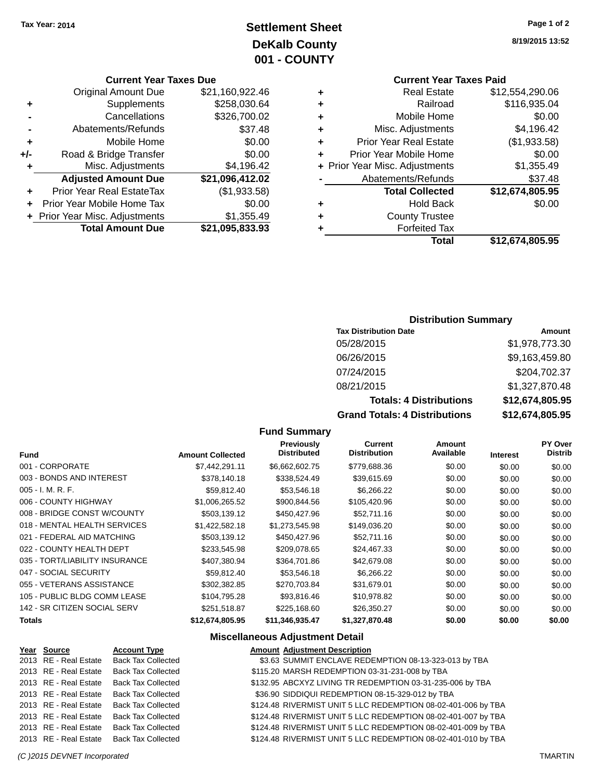### **Settlement Sheet Tax Year: 2014 Page 1 of 2 DeKalb County 001 - COUNTY**

**Current Year Taxes Due**

|     | <b>Original Amount Due</b>     | \$21,160,922.46 |
|-----|--------------------------------|-----------------|
| ٠   | Supplements                    | \$258,030.64    |
|     | Cancellations                  | \$326,700.02    |
|     | Abatements/Refunds             | \$37.48         |
| ٠   | Mobile Home                    | \$0.00          |
| +/- | Road & Bridge Transfer         | \$0.00          |
| ٠   | Misc. Adjustments              | \$4,196.42      |
|     | <b>Adjusted Amount Due</b>     | \$21,096,412.02 |
| ÷   | Prior Year Real EstateTax      | (\$1,933.58)    |
|     | Prior Year Mobile Home Tax     | \$0.00          |
|     | + Prior Year Misc. Adjustments | \$1,355.49      |
|     | <b>Total Amount Due</b>        | \$21,095,833.93 |
|     |                                |                 |

**8/19/2015 13:52**

### **Current Year Taxes Paid +** Real Estate \$12,554,290.06 **+** Railroad \$116,935.04

|   | Total                          | \$12,674,805.95 |
|---|--------------------------------|-----------------|
| ٠ | <b>Forfeited Tax</b>           |                 |
| ٠ | <b>County Trustee</b>          |                 |
| ٠ | <b>Hold Back</b>               | \$0.00          |
|   | <b>Total Collected</b>         | \$12,674,805.95 |
|   | Abatements/Refunds             | \$37.48         |
|   | + Prior Year Misc. Adjustments | \$1,355.49      |
| ÷ | Prior Year Mobile Home         | \$0.00          |
| ÷ | <b>Prior Year Real Estate</b>  | (\$1,933.58)    |
| ÷ | Misc. Adjustments              | \$4,196.42      |
| ٠ | Mobile Home                    | \$0.00          |

### **Distribution Summary**

| <b>Tax Distribution Date</b>         | Amount          |
|--------------------------------------|-----------------|
| 05/28/2015                           | \$1,978,773.30  |
| 06/26/2015                           | \$9,163,459.80  |
| 07/24/2015                           | \$204,702.37    |
| 08/21/2015                           | \$1,327,870.48  |
| <b>Totals: 4 Distributions</b>       | \$12,674,805.95 |
| <b>Grand Totals: 4 Distributions</b> | \$12,674,805.95 |

#### **Fund Summary**

| <b>Fund</b>                    | <b>Amount Collected</b> | <b>Previously</b><br><b>Distributed</b> | Current<br><b>Distribution</b> | Amount<br>Available | <b>Interest</b> | PY Over<br><b>Distrib</b> |
|--------------------------------|-------------------------|-----------------------------------------|--------------------------------|---------------------|-----------------|---------------------------|
| 001 - CORPORATE                | \$7.442.291.11          | \$6,662,602.75                          | \$779,688.36                   | \$0.00              | \$0.00          | \$0.00                    |
| 003 - BONDS AND INTEREST       | \$378,140.18            | \$338,524.49                            | \$39.615.69                    | \$0.00              | \$0.00          | \$0.00                    |
| $005 - I. M. R. F.$            | \$59,812.40             | \$53,546.18                             | \$6,266.22                     | \$0.00              | \$0.00          | \$0.00                    |
| 006 - COUNTY HIGHWAY           | \$1,006,265.52          | \$900,844.56                            | \$105,420.96                   | \$0.00              | \$0.00          | \$0.00                    |
| 008 - BRIDGE CONST W/COUNTY    | \$503,139.12            | \$450,427.96                            | \$52,711.16                    | \$0.00              | \$0.00          | \$0.00                    |
| 018 - MENTAL HEALTH SERVICES   | \$1.422,582.18          | \$1,273,545.98                          | \$149,036.20                   | \$0.00              | \$0.00          | \$0.00                    |
| 021 - FEDERAL AID MATCHING     | \$503.139.12            | \$450,427.96                            | \$52,711.16                    | \$0.00              | \$0.00          | \$0.00                    |
| 022 - COUNTY HEALTH DEPT       | \$233,545.98            | \$209.078.65                            | \$24.467.33                    | \$0.00              | \$0.00          | \$0.00                    |
| 035 - TORT/LIABILITY INSURANCE | \$407.380.94            | \$364,701.86                            | \$42,679.08                    | \$0.00              | \$0.00          | \$0.00                    |
| 047 - SOCIAL SECURITY          | \$59,812.40             | \$53,546.18                             | \$6,266.22                     | \$0.00              | \$0.00          | \$0.00                    |
| 055 - VETERANS ASSISTANCE      | \$302,382.85            | \$270.703.84                            | \$31,679.01                    | \$0.00              | \$0.00          | \$0.00                    |
| 105 - PUBLIC BLDG COMM LEASE   | \$104.795.28            | \$93,816.46                             | \$10,978.82                    | \$0.00              | \$0.00          | \$0.00                    |
| 142 - SR CITIZEN SOCIAL SERV   | \$251,518.87            | \$225,168.60                            | \$26,350.27                    | \$0.00              | \$0.00          | \$0.00                    |
| Totals                         | \$12,674,805.95         | \$11,346,935.47                         | \$1,327,870.48                 | \$0.00              | \$0.00          | \$0.00                    |

#### **Miscellaneous Adjustment Detail**

| Year Source           | <b>Account Type</b>       | <b>Amount Adjustment Description</b>                          |
|-----------------------|---------------------------|---------------------------------------------------------------|
| 2013 RE - Real Estate | <b>Back Tax Collected</b> | \$3.63 SUMMIT ENCLAVE REDEMPTION 08-13-323-013 by TBA         |
| 2013 RE - Real Estate | <b>Back Tax Collected</b> | \$115.20 MARSH REDEMPTION 03-31-231-008 by TBA                |
| 2013 RE - Real Estate | <b>Back Tax Collected</b> | \$132.95 ABCXYZ LIVING TR REDEMPTION 03-31-235-006 by TBA     |
| 2013 RE - Real Estate | <b>Back Tax Collected</b> | \$36.90 SIDDIQUI REDEMPTION 08-15-329-012 by TBA              |
| 2013 RE - Real Estate | <b>Back Tax Collected</b> | \$124.48 RIVERMIST UNIT 5 LLC REDEMPTION 08-02-401-006 by TBA |
| 2013 RE - Real Estate | <b>Back Tax Collected</b> | \$124.48 RIVERMIST UNIT 5 LLC REDEMPTION 08-02-401-007 by TBA |
| 2013 RE - Real Estate | <b>Back Tax Collected</b> | \$124.48 RIVERMIST UNIT 5 LLC REDEMPTION 08-02-401-009 by TBA |
| 2013 RE - Real Estate | <b>Back Tax Collected</b> | \$124.48 RIVERMIST UNIT 5 LLC REDEMPTION 08-02-401-010 by TBA |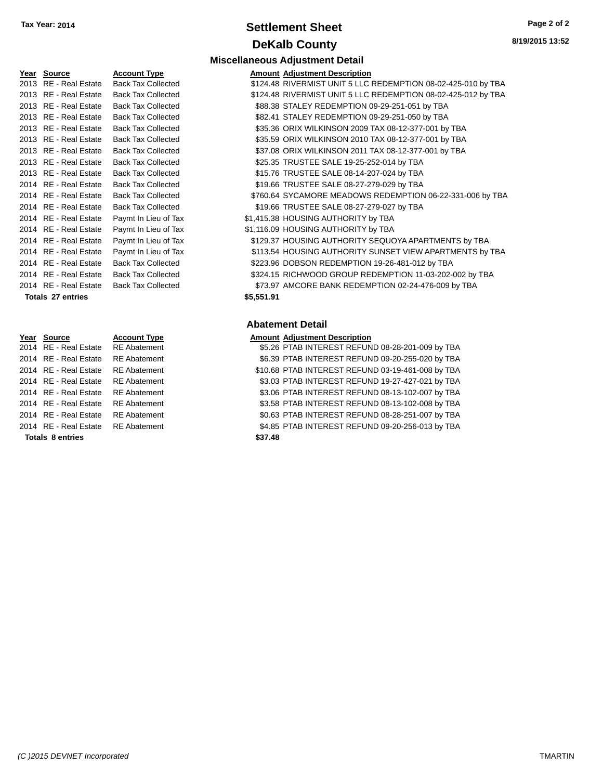### **Settlement Sheet Tax Year: 2014 Page 2 of 2 DeKalb County**

**8/19/2015 13:52**

| <b>Miscellaneous Adjustment Detail</b> |  |  |
|----------------------------------------|--|--|
|                                        |  |  |

|            | <b>Amount Adjustment Description</b>                          |
|------------|---------------------------------------------------------------|
|            | \$124.48 RIVERMIST UNIT 5 LLC REDEMPTION 08-02-425-010 by TBA |
|            | \$124.48 RIVERMIST UNIT 5 LLC REDEMPTION 08-02-425-012 by TBA |
|            | \$88.38 STALEY REDEMPTION 09-29-251-051 by TBA                |
|            | \$82.41 STALEY REDEMPTION 09-29-251-050 by TBA                |
|            | \$35.36 ORIX WILKINSON 2009 TAX 08-12-377-001 by TBA          |
|            | \$35.59 ORIX WILKINSON 2010 TAX 08-12-377-001 by TBA          |
|            | \$37.08 ORIX WILKINSON 2011 TAX 08-12-377-001 by TBA          |
|            | \$25.35 TRUSTEE SALE 19-25-252-014 by TBA                     |
|            | \$15.76 TRUSTEE SALE 08-14-207-024 by TBA                     |
|            | \$19.66 TRUSTEE SALE 08-27-279-029 by TBA                     |
|            | \$760.64 SYCAMORE MEADOWS REDEMPTION 06-22-331-006 by TBA     |
|            | \$19.66 TRUSTEE SALE 08-27-279-027 by TBA                     |
|            | \$1,415.38 HOUSING AUTHORITY by TBA                           |
|            | \$1,116.09 HOUSING AUTHORITY by TBA                           |
|            | \$129.37 HOUSING AUTHORITY SEQUOYA APARTMENTS by TBA          |
|            | \$113.54 HOUSING AUTHORITY SUNSET VIEW APARTMENTS by TBA      |
|            | \$223.96 DOBSON REDEMPTION 19-26-481-012 by TBA               |
|            | \$324.15 RICHWOOD GROUP REDEMPTION 11-03-202-002 by TBA       |
|            | \$73.97 AMCORE BANK REDEMPTION 02-24-476-009 by TBA           |
| \$5,551.91 |                                                               |
|            |                                                               |

#### **Abatement Detail**

#### **Year Source Account Type Amount Adjustment Description**

2014 RE - Real Estate RE Abatement \$5.26 PTAB INTEREST REFUND 08-28-201-009 by TBA 2014 RE - Real Estate RE Abatement \$6.39 PTAB INTEREST REFUND 09-20-255-020 by TBA 2014 RE - Real Estate RE Abatement \$10.68 PTAB INTEREST REFUND 03-19-461-008 by TBA 2014 RE - Real Estate RE Abatement \$3.03 PTAB INTEREST REFUND 19-27-427-021 by TBA 2014 RE - Real Estate \$3.06 PTAB INTEREST REFUND 08-13-102-007 by TBA RE Abatement 2014 RE - Real Estate RE Abatement \$3.58 PTAB INTEREST REFUND 08-13-102-008 by TBA 2014 RE - Real Estate RE Abatement \$0.63 PTAB INTEREST REFUND 08-28-251-007 by TBA 2014 RE - Real Estate RE Abatement \$4.85 PTAB INTEREST REFUND 09-20-256-013 by TBA

**Year Source Account Type** 2013 RE - Real Estate Back Tax Collected 2013 RE - Real Estate Back Tax Collected 2013 RE - Real Estate Back Tax Collected 2013 RE - Real Estate Back Tax Collected 2013 RE - Real Estate Back Tax Collected 2013 RE - Real Estate Back Tax Collected 2013 RE - Real Estate Back Tax Collected 2013 RE - Real Estate Back Tax Collected 2013 RE - Real Estate Back Tax Collected 2014 RE - Real Estate Back Tax Collected 2014 RE - Real Estate Back Tax Collected 2014 RE - Real Estate Back Tax Collected 2014 RE - Real Estate Paymt In Lieu of Tax 2014 RE - Real Estate Paymt In Lieu of Tax 2014 RE - Real Estate Paymt In Lieu of Tax 2014 RE - Real Estate Paymt In Lieu of Tax 2014 RE - Real Estate Back Tax Collected 2014 RE - Real Estate Back Tax Collected 2014 RE - Real Estate Back Tax Collected

#### **Totals \$37.48 8 entries**

**Totals \$5,551.91 27 entries**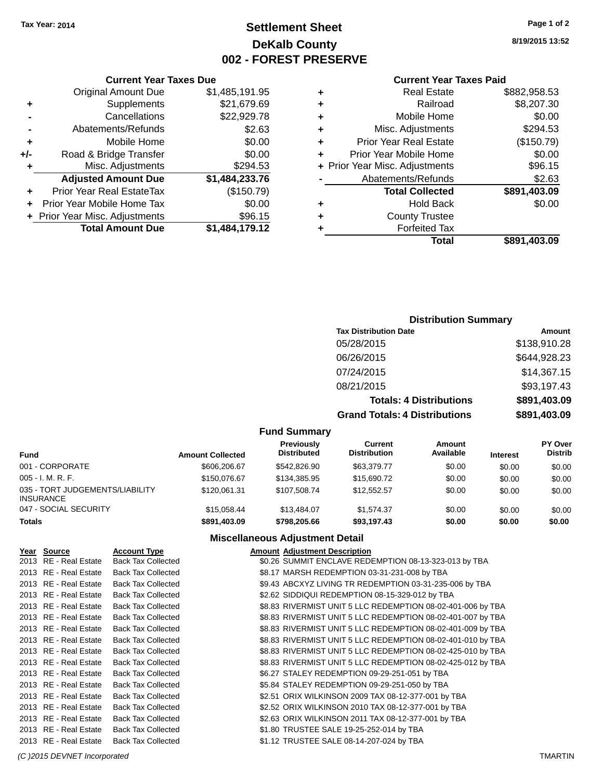### **Settlement Sheet Tax Year: 2014 Page 1 of 2 DeKalb County 002 - FOREST PRESERVE**

**8/19/2015 13:52**

#### **Current Year Taxes Paid**

|   | <b>Real Estate</b>             | \$882,958.53 |
|---|--------------------------------|--------------|
| ٠ | Railroad                       | \$8,207.30   |
| ÷ | Mobile Home                    | \$0.00       |
| ٠ | Misc. Adjustments              | \$294.53     |
| ٠ | <b>Prior Year Real Estate</b>  | (\$150.79)   |
| ÷ | Prior Year Mobile Home         | \$0.00       |
|   | + Prior Year Misc. Adjustments | \$96.15      |
|   | Abatements/Refunds             | \$2.63       |
|   | <b>Total Collected</b>         | \$891,403.09 |
| ٠ | <b>Hold Back</b>               | \$0.00       |
| ٠ | <b>County Trustee</b>          |              |
|   | <b>Forfeited Tax</b>           |              |
|   | Total                          | \$891,403.09 |

|     | <b>Current Year Taxes Due</b>    |                |  |  |  |
|-----|----------------------------------|----------------|--|--|--|
|     | <b>Original Amount Due</b>       | \$1,485,191.95 |  |  |  |
| ٠   | Supplements                      | \$21,679.69    |  |  |  |
|     | Cancellations                    | \$22,929.78    |  |  |  |
|     | Abatements/Refunds               | \$2.63         |  |  |  |
| ٠   | Mobile Home                      | \$0.00         |  |  |  |
| +/- | Road & Bridge Transfer           | \$0.00         |  |  |  |
| ٠   | Misc. Adjustments                | \$294.53       |  |  |  |
|     | <b>Adjusted Amount Due</b>       | \$1,484,233.76 |  |  |  |
|     | <b>Prior Year Real EstateTax</b> | (\$150.79)     |  |  |  |
|     | Prior Year Mobile Home Tax       | \$0.00         |  |  |  |
|     | + Prior Year Misc. Adjustments   | \$96.15        |  |  |  |
|     | <b>Total Amount Due</b>          | \$1,484,179.12 |  |  |  |

### **Distribution Summary**

| <b>Tax Distribution Date</b>         | Amount       |
|--------------------------------------|--------------|
| 05/28/2015                           | \$138,910.28 |
| 06/26/2015                           | \$644,928.23 |
| 07/24/2015                           | \$14,367.15  |
| 08/21/2015                           | \$93,197.43  |
| <b>Totals: 4 Distributions</b>       | \$891,403.09 |
| <b>Grand Totals: 4 Distributions</b> | \$891,403.09 |

#### **Fund Summary**

| <b>Fund</b>                                         | <b>Amount Collected</b> | <b>Previously</b><br><b>Distributed</b> | Current<br><b>Distribution</b> | Amount<br>Available | <b>Interest</b> | <b>PY Over</b><br><b>Distrib</b> |
|-----------------------------------------------------|-------------------------|-----------------------------------------|--------------------------------|---------------------|-----------------|----------------------------------|
| 001 - CORPORATE                                     | \$606,206.67            | \$542,826.90                            | \$63,379.77                    | \$0.00              | \$0.00          | \$0.00                           |
| $005 - I. M. R. F.$                                 | \$150,076.67            | \$134,385.95                            | \$15,690.72                    | \$0.00              | \$0.00          | \$0.00                           |
| 035 - TORT JUDGEMENTS/LIABILITY<br><b>INSURANCE</b> | \$120.061.31            | \$107.508.74                            | \$12.552.57                    | \$0.00              | \$0.00          | \$0.00                           |
| 047 - SOCIAL SECURITY                               | \$15.058.44             | \$13,484.07                             | \$1.574.37                     | \$0.00              | \$0.00          | \$0.00                           |
| <b>Totals</b>                                       | \$891,403.09            | \$798.205.66                            | \$93,197.43                    | \$0.00              | \$0.00          | \$0.00                           |

### **Miscellaneous Adjustment Detail**

| Year Source           | <b>Account Type</b>       | <b>Amount Adiustment Description</b>                        |
|-----------------------|---------------------------|-------------------------------------------------------------|
| 2013 RE - Real Estate | <b>Back Tax Collected</b> | \$0.26 SUMMIT ENCLAVE REDEMPTION 08-13-323-013 by TBA       |
| 2013 RE - Real Estate | <b>Back Tax Collected</b> | \$8.17 MARSH REDEMPTION 03-31-231-008 by TBA                |
| 2013 RE - Real Estate | <b>Back Tax Collected</b> | \$9.43 ABCXYZ LIVING TR REDEMPTION 03-31-235-006 by TBA     |
| 2013 RE - Real Estate | <b>Back Tax Collected</b> | \$2.62 SIDDIQUI REDEMPTION 08-15-329-012 by TBA             |
| 2013 RE - Real Estate | <b>Back Tax Collected</b> | \$8.83 RIVERMIST UNIT 5 LLC REDEMPTION 08-02-401-006 by TBA |
| 2013 RE - Real Estate | <b>Back Tax Collected</b> | \$8.83 RIVERMIST UNIT 5 LLC REDEMPTION 08-02-401-007 by TBA |
| 2013 RE - Real Estate | <b>Back Tax Collected</b> | \$8.83 RIVERMIST UNIT 5 LLC REDEMPTION 08-02-401-009 by TBA |
| 2013 RE - Real Estate | <b>Back Tax Collected</b> | \$8.83 RIVERMIST UNIT 5 LLC REDEMPTION 08-02-401-010 by TBA |
| 2013 RE - Real Estate | <b>Back Tax Collected</b> | \$8.83 RIVERMIST UNIT 5 LLC REDEMPTION 08-02-425-010 by TBA |
| 2013 RE - Real Estate | <b>Back Tax Collected</b> | \$8.83 RIVERMIST UNIT 5 LLC REDEMPTION 08-02-425-012 by TBA |
| 2013 RE - Real Estate | <b>Back Tax Collected</b> | \$6.27 STALEY REDEMPTION 09-29-251-051 by TBA               |
| 2013 RE - Real Estate | <b>Back Tax Collected</b> | \$5.84 STALEY REDEMPTION 09-29-251-050 by TBA               |
| 2013 RE - Real Estate | <b>Back Tax Collected</b> | \$2.51 ORIX WILKINSON 2009 TAX 08-12-377-001 by TBA         |
| 2013 RE - Real Estate | <b>Back Tax Collected</b> | \$2.52 ORIX WILKINSON 2010 TAX 08-12-377-001 by TBA         |
| 2013 RE - Real Estate | <b>Back Tax Collected</b> | \$2.63 ORIX WILKINSON 2011 TAX 08-12-377-001 by TBA         |
| 2013 RE - Real Estate | <b>Back Tax Collected</b> | \$1.80 TRUSTEE SALE 19-25-252-014 by TBA                    |
| 2013 RE - Real Estate | <b>Back Tax Collected</b> | \$1.12 TRUSTEE SALE 08-14-207-024 by TBA                    |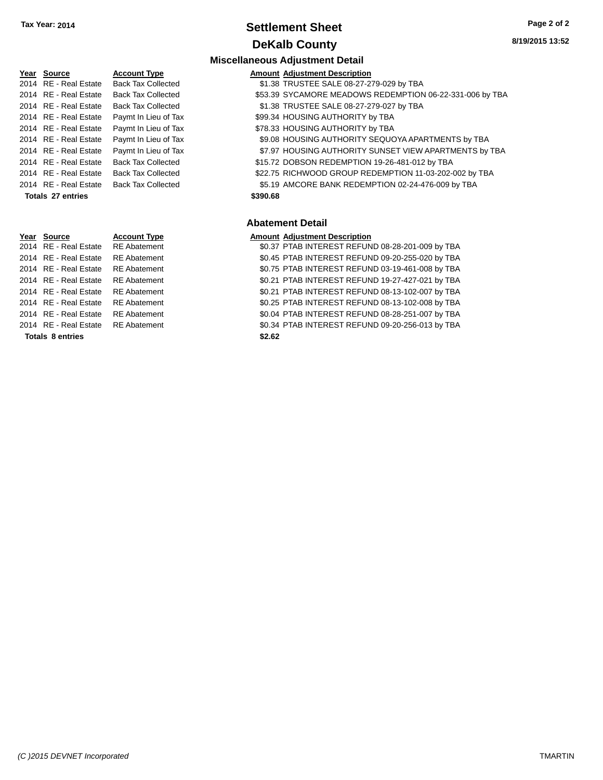### **Settlement Sheet Tax Year: 2014 Page 2 of 2 DeKalb County**

**8/19/2015 13:52**

### **Year Source Account Type** 2014 RE - Real Estate Back Tax Collected 2014 RE - Real Estate Back Tax Collected 2014 RE - Real Estate Paymt In Lieu of Tax 2014 RE - Real Estate Paymt In Lieu of Tax 2014 RE - Real Estate Paymt In Lieu of Tax 2014 RE - Real Estate Back Tax Collected 2014 RE - Real Estate Back Tax Collected 2014 RE - Real Estate Back Tax Collected **Totals \$390.68 27 entries**

# **Year Source Account Type Amount Adjustment Description Totals \$2.62 8 entries**

|                       |                           |          | <b>Miscellaneous Adjustment Detail</b>                   |
|-----------------------|---------------------------|----------|----------------------------------------------------------|
| Year Source           | <b>Account Type</b>       |          | <b>Amount Adjustment Description</b>                     |
| 2014 RE - Real Estate | <b>Back Tax Collected</b> |          | \$1.38 TRUSTEE SALE 08-27-279-029 by TBA                 |
| 2014 RE - Real Estate | <b>Back Tax Collected</b> |          | \$53.39 SYCAMORE MEADOWS REDEMPTION 06-22-331-006 by TBA |
| 2014 RE - Real Estate | <b>Back Tax Collected</b> |          | \$1.38 TRUSTEE SALE 08-27-279-027 by TBA                 |
| 2014 RE - Real Estate | Paymt In Lieu of Tax      |          | \$99.34 HOUSING AUTHORITY by TBA                         |
| 2014 RE - Real Estate | Paymt In Lieu of Tax      |          | \$78.33 HOUSING AUTHORITY by TBA                         |
| 2014 RE - Real Estate | Paymt In Lieu of Tax      |          | \$9.08 HOUSING AUTHORITY SEQUOYA APARTMENTS by TBA       |
| 2014 RE - Real Estate | Paymt In Lieu of Tax      |          | \$7.97 HOUSING AUTHORITY SUNSET VIEW APARTMENTS by TBA   |
| 2014 RE - Real Estate | <b>Back Tax Collected</b> |          | \$15.72 DOBSON REDEMPTION 19-26-481-012 by TBA           |
| 2014 RE - Real Estate | <b>Back Tax Collected</b> |          | \$22.75 RICHWOOD GROUP REDEMPTION 11-03-202-002 by TBA   |
| 2014 RE - Real Estate | Back Tax Collected        |          | \$5.19 AMCORE BANK REDEMPTION 02-24-476-009 by TBA       |
| Totals 27 entries     |                           | \$390.68 |                                                          |

#### **Abatement Detail**

2014 RE - Real Estate RE Abatement \$0.37 PTAB INTEREST REFUND 08-28-201-009 by TBA 2014 RE - Real Estate RE Abatement \$0.45 PTAB INTEREST REFUND 09-20-255-020 by TBA 2014 RE - Real Estate RE Abatement \$0.75 PTAB INTEREST REFUND 03-19-461-008 by TBA 2014 RE - Real Estate RE Abatement \$0.21 PTAB INTEREST REFUND 19-27-427-021 by TBA 2014 RE - Real Estate RE Abatement \$0.21 PTAB INTEREST REFUND 08-13-102-007 by TBA 2014 RE - Real Estate RE Abatement \$0.25 PTAB INTEREST REFUND 08-13-102-008 by TBA 2014 RE - Real Estate RE Abatement \$0.04 PTAB INTEREST REFUND 08-28-251-007 by TBA 2014 RE - Real Estate RE Abatement \$0.34 PTAB INTEREST REFUND 09-20-256-013 by TBA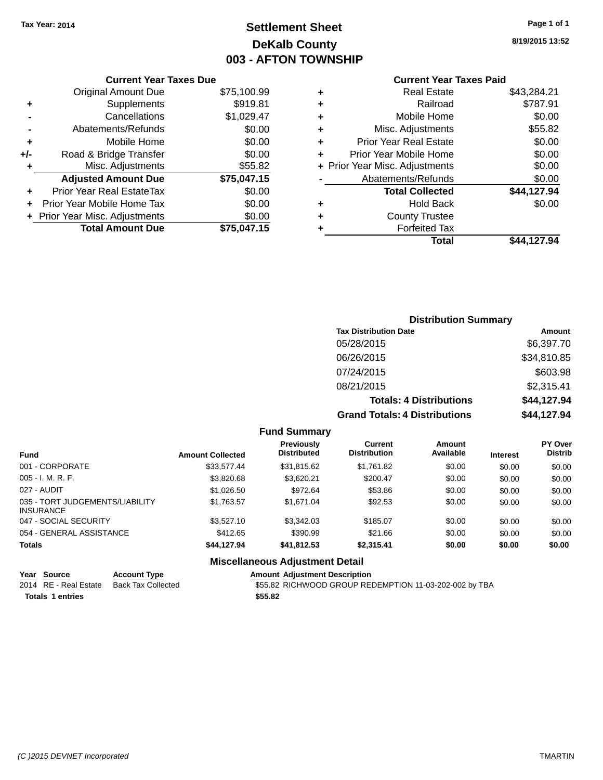### **Settlement Sheet Tax Year: 2014 Page 1 of 1 DeKalb County 003 - AFTON TOWNSHIP**

**8/19/2015 13:52**

### **Current Year Taxes Paid**

|     | <b>Current Year Taxes Due</b>  |             |  |  |  |
|-----|--------------------------------|-------------|--|--|--|
|     | <b>Original Amount Due</b>     | \$75,100.99 |  |  |  |
| ٠   | Supplements                    | \$919.81    |  |  |  |
|     | Cancellations                  | \$1,029.47  |  |  |  |
|     | Abatements/Refunds             | \$0.00      |  |  |  |
| ٠   | Mobile Home                    | \$0.00      |  |  |  |
| +/- | Road & Bridge Transfer         | \$0.00      |  |  |  |
| ٠   | Misc. Adjustments<br>\$55.82   |             |  |  |  |
|     | <b>Adjusted Amount Due</b>     | \$75,047.15 |  |  |  |
|     | Prior Year Real EstateTax      | \$0.00      |  |  |  |
|     | Prior Year Mobile Home Tax     | \$0.00      |  |  |  |
|     | + Prior Year Misc. Adjustments | \$0.00      |  |  |  |
|     | <b>Total Amount Due</b>        | \$75,047.15 |  |  |  |
|     |                                |             |  |  |  |

| ٠ | <b>Real Estate</b>             | \$43,284.21 |
|---|--------------------------------|-------------|
| ٠ | Railroad                       | \$787.91    |
| ٠ | Mobile Home                    | \$0.00      |
| ٠ | Misc. Adjustments              | \$55.82     |
| ٠ | <b>Prior Year Real Estate</b>  | \$0.00      |
| ٠ | Prior Year Mobile Home         | \$0.00      |
|   | + Prior Year Misc. Adjustments | \$0.00      |
|   | Abatements/Refunds             | \$0.00      |
|   | <b>Total Collected</b>         | \$44,127.94 |
| ٠ | Hold Back                      | \$0.00      |
| ٠ | <b>County Trustee</b>          |             |
| ٠ | <b>Forfeited Tax</b>           |             |
|   | Total                          | \$44.127.94 |
|   |                                |             |

| <b>Distribution Summary</b>          |             |
|--------------------------------------|-------------|
| <b>Tax Distribution Date</b>         | Amount      |
| 05/28/2015                           | \$6,397.70  |
| 06/26/2015                           | \$34,810.85 |
| 07/24/2015                           | \$603.98    |
| 08/21/2015                           | \$2,315.41  |
| <b>Totals: 4 Distributions</b>       | \$44,127.94 |
| <b>Grand Totals: 4 Distributions</b> | \$44,127.94 |

|  | <b>Fund Summary</b> |
|--|---------------------|
|--|---------------------|

| Fund                                                | <b>Amount Collected</b> | <b>Previously</b><br><b>Distributed</b> | Current<br><b>Distribution</b> | Amount<br>Available | <b>Interest</b> | <b>PY Over</b><br><b>Distrib</b> |
|-----------------------------------------------------|-------------------------|-----------------------------------------|--------------------------------|---------------------|-----------------|----------------------------------|
| 001 - CORPORATE                                     | \$33,577.44             | \$31,815.62                             | \$1,761.82                     | \$0.00              | \$0.00          | \$0.00                           |
| $005 - I. M. R. F.$                                 | \$3,820.68              | \$3,620.21                              | \$200.47                       | \$0.00              | \$0.00          | \$0.00                           |
| 027 - AUDIT                                         | \$1,026.50              | \$972.64                                | \$53.86                        | \$0.00              | \$0.00          | \$0.00                           |
| 035 - TORT JUDGEMENTS/LIABILITY<br><b>INSURANCE</b> | \$1,763.57              | \$1.671.04                              | \$92.53                        | \$0.00              | \$0.00          | \$0.00                           |
| 047 - SOCIAL SECURITY                               | \$3,527.10              | \$3,342.03                              | \$185.07                       | \$0.00              | \$0.00          | \$0.00                           |
| 054 - GENERAL ASSISTANCE                            | \$412.65                | \$390.99                                | \$21.66                        | \$0.00              | \$0.00          | \$0.00                           |
| <b>Totals</b>                                       | \$44,127.94             | \$41,812.53                             | \$2,315.41                     | \$0.00              | \$0.00          | \$0.00                           |

### **Miscellaneous Adjustment Detail**

|                         | Year Source           | <b>Account Type</b> | <b>Amount Adjustment Description</b>                   |
|-------------------------|-----------------------|---------------------|--------------------------------------------------------|
|                         | 2014 RE - Real Estate | Back Tax Collected  | \$55.82 RICHWOOD GROUP REDEMPTION 11-03-202-002 by TBA |
| <b>Totals 1 entries</b> |                       |                     | \$55.82                                                |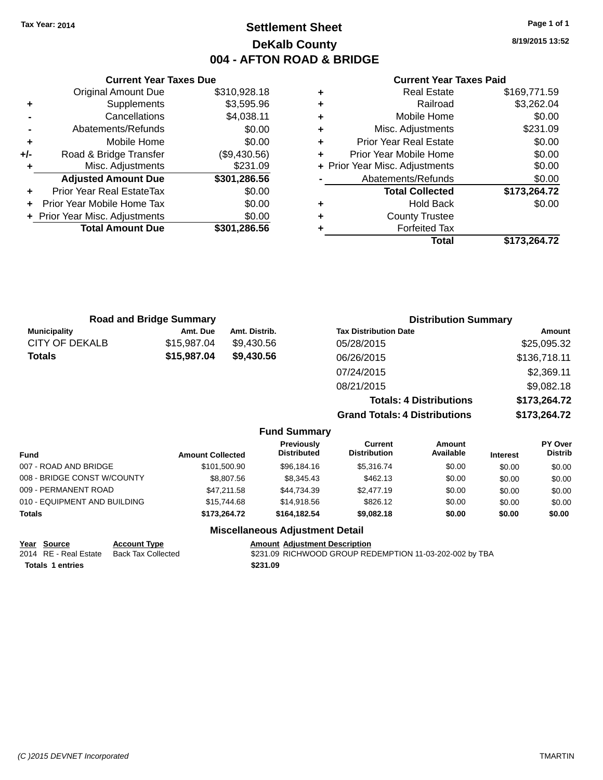### **Settlement Sheet Tax Year: 2014 Page 1 of 1 DeKalb County 004 - AFTON ROAD & BRIDGE**

**8/19/2015 13:52**

#### **Current Year Taxes Paid**

|     | <b>Current Year Taxes Due</b>              |              |  |  |  |  |
|-----|--------------------------------------------|--------------|--|--|--|--|
|     | <b>Original Amount Due</b><br>\$310,928.18 |              |  |  |  |  |
| ٠   | \$3,595.96<br>Supplements                  |              |  |  |  |  |
|     | Cancellations                              | \$4,038.11   |  |  |  |  |
|     | Abatements/Refunds                         | \$0.00       |  |  |  |  |
| ٠   | Mobile Home                                | \$0.00       |  |  |  |  |
| +/- | Road & Bridge Transfer                     | (\$9,430.56) |  |  |  |  |
|     | Misc. Adjustments                          | \$231.09     |  |  |  |  |
|     | <b>Adjusted Amount Due</b>                 | \$301,286.56 |  |  |  |  |
|     | <b>Prior Year Real EstateTax</b>           | \$0.00       |  |  |  |  |
|     | Prior Year Mobile Home Tax                 | \$0.00       |  |  |  |  |
|     | + Prior Year Misc. Adjustments             | \$0.00       |  |  |  |  |
|     | <b>Total Amount Due</b>                    | \$301.286.56 |  |  |  |  |
|     |                                            |              |  |  |  |  |

| ٠ | <b>Real Estate</b>             | \$169,771.59 |
|---|--------------------------------|--------------|
| ٠ | Railroad                       | \$3,262.04   |
| ٠ | Mobile Home                    | \$0.00       |
| ٠ | Misc. Adjustments              | \$231.09     |
| ٠ | <b>Prior Year Real Estate</b>  | \$0.00       |
| ٠ | Prior Year Mobile Home         | \$0.00       |
|   | + Prior Year Misc. Adjustments | \$0.00       |
|   | Abatements/Refunds             | \$0.00       |
|   | <b>Total Collected</b>         | \$173,264.72 |
| ٠ | <b>Hold Back</b>               | \$0.00       |
| ٠ | <b>County Trustee</b>          |              |
| ٠ | <b>Forfeited Tax</b>           |              |
|   | Total                          | \$173,264.72 |
|   |                                |              |

|                       | <b>Road and Bridge Summary</b> |                     | <b>Distribution Summary</b>          |              |
|-----------------------|--------------------------------|---------------------|--------------------------------------|--------------|
| <b>Municipality</b>   | Amt. Due                       | Amt. Distrib.       | <b>Tax Distribution Date</b>         | Amount       |
| <b>CITY OF DEKALB</b> | \$15,987.04                    | \$9,430.56          | 05/28/2015                           | \$25,095.32  |
| <b>Totals</b>         | \$15,987.04<br>\$9,430.56      | 06/26/2015          | \$136,718.11                         |              |
|                       |                                |                     | 07/24/2015                           | \$2,369.11   |
|                       |                                |                     | 08/21/2015                           | \$9,082.18   |
|                       |                                |                     | <b>Totals: 4 Distributions</b>       | \$173,264.72 |
|                       |                                |                     | <b>Grand Totals: 4 Distributions</b> | \$173,264.72 |
|                       |                                | <b>Fund Summary</b> |                                      |              |

| Fund                         | <b>Amount Collected</b> | Previously<br><b>Distributed</b> | <b>Current</b><br><b>Distribution</b> | Amount<br>Available | <b>Interest</b> | <b>PY Over</b><br><b>Distrib</b> |
|------------------------------|-------------------------|----------------------------------|---------------------------------------|---------------------|-----------------|----------------------------------|
| 007 - ROAD AND BRIDGE        | \$101.500.90            | \$96,184,16                      | \$5.316.74                            | \$0.00              | \$0.00          | \$0.00                           |
| 008 - BRIDGE CONST W/COUNTY  | \$8,807.56              | \$8,345.43                       | \$462.13                              | \$0.00              | \$0.00          | \$0.00                           |
| 009 - PERMANENT ROAD         | \$47,211.58             | \$44.734.39                      | \$2,477.19                            | \$0.00              | \$0.00          | \$0.00                           |
| 010 - EQUIPMENT AND BUILDING | \$15,744.68             | \$14,918.56                      | \$826.12                              | \$0.00              | \$0.00          | \$0.00                           |
| <b>Totals</b>                | \$173.264.72            | \$164,182,54                     | \$9,082.18                            | \$0.00              | \$0.00          | \$0.00                           |

#### **Miscellaneous Adjustment Detail**

| Year Source             | <b>Account Type</b> | <b>Amount Adiustment Description</b>                    |
|-------------------------|---------------------|---------------------------------------------------------|
| 2014 RE - Real Estate   | Back Tax Collected  | \$231.09 RICHWOOD GROUP REDEMPTION 11-03-202-002 by TBA |
| <b>Totals 1 entries</b> |                     | \$231.09                                                |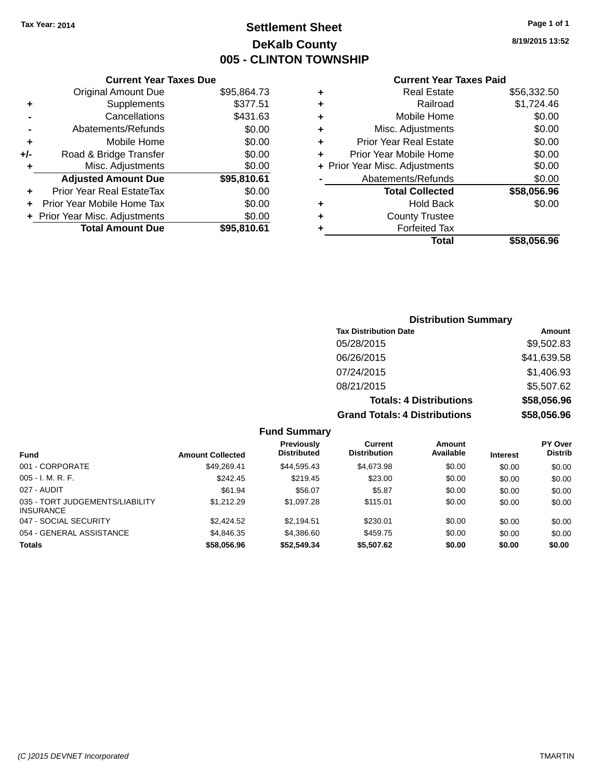### **Settlement Sheet Tax Year: 2014 Page 1 of 1 DeKalb County 005 - CLINTON TOWNSHIP**

**8/19/2015 13:52**

### **Current Year Taxes Paid**

|     | <b>Current Year Taxes Due</b>  |             |
|-----|--------------------------------|-------------|
|     | <b>Original Amount Due</b>     | \$95,864.73 |
| ٠   | Supplements                    | \$377.51    |
|     | Cancellations                  | \$431.63    |
|     | Abatements/Refunds             | \$0.00      |
| ٠   | Mobile Home                    | \$0.00      |
| +/- | Road & Bridge Transfer         | \$0.00      |
| ٠   | Misc. Adjustments              | \$0.00      |
|     | <b>Adjusted Amount Due</b>     | \$95,810.61 |
| ÷   | Prior Year Real EstateTax      | \$0.00      |
|     | Prior Year Mobile Home Tax     | \$0.00      |
|     | + Prior Year Misc. Adjustments | \$0.00      |
|     | <b>Total Amount Due</b>        | \$95,810.61 |
|     |                                |             |

| ٠ | <b>Real Estate</b>             | \$56,332.50 |
|---|--------------------------------|-------------|
| ٠ | Railroad                       | \$1,724.46  |
| ٠ | Mobile Home                    | \$0.00      |
| ٠ | Misc. Adjustments              | \$0.00      |
| ٠ | <b>Prior Year Real Estate</b>  | \$0.00      |
| ٠ | Prior Year Mobile Home         | \$0.00      |
|   | + Prior Year Misc. Adjustments | \$0.00      |
|   | Abatements/Refunds             | \$0.00      |
|   | <b>Total Collected</b>         | \$58,056.96 |
| ٠ | Hold Back                      | \$0.00      |
| ٠ | <b>County Trustee</b>          |             |
| ٠ | <b>Forfeited Tax</b>           |             |
|   | Total                          | \$58,056,96 |
|   |                                |             |

### **Distribution Summary Tax Distribution Date Amount** 05/28/2015 \$9,502.83 06/26/2015 \$41,639.58 07/24/2015 \$1,406.93 08/21/2015 \$5,507.62 **Totals: 4 Distributions \$58,056.96 Grand Totals: 4 Distributions \$58,056.96**

| <b>Fund Summary</b>                                 |                         |                                  |                                |                     |                 |                                  |
|-----------------------------------------------------|-------------------------|----------------------------------|--------------------------------|---------------------|-----------------|----------------------------------|
| <b>Fund</b>                                         | <b>Amount Collected</b> | Previously<br><b>Distributed</b> | Current<br><b>Distribution</b> | Amount<br>Available | <b>Interest</b> | <b>PY Over</b><br><b>Distrib</b> |
| 001 - CORPORATE                                     | \$49.269.41             | \$44.595.43                      | \$4,673.98                     | \$0.00              | \$0.00          | \$0.00                           |
| $005 - I. M. R. F.$                                 | \$242.45                | \$219.45                         | \$23.00                        | \$0.00              | \$0.00          | \$0.00                           |
| 027 - AUDIT                                         | \$61.94                 | \$56.07                          | \$5.87                         | \$0.00              | \$0.00          | \$0.00                           |
| 035 - TORT JUDGEMENTS/LIABILITY<br><b>INSURANCE</b> | \$1.212.29              | \$1,097.28                       | \$115.01                       | \$0.00              | \$0.00          | \$0.00                           |
| 047 - SOCIAL SECURITY                               | \$2,424.52              | \$2.194.51                       | \$230.01                       | \$0.00              | \$0.00          | \$0.00                           |
| 054 - GENERAL ASSISTANCE                            | \$4,846.35              | \$4,386.60                       | \$459.75                       | \$0.00              | \$0.00          | \$0.00                           |
| <b>Totals</b>                                       | \$58,056.96             | \$52,549.34                      | \$5,507.62                     | \$0.00              | \$0.00          | \$0.00                           |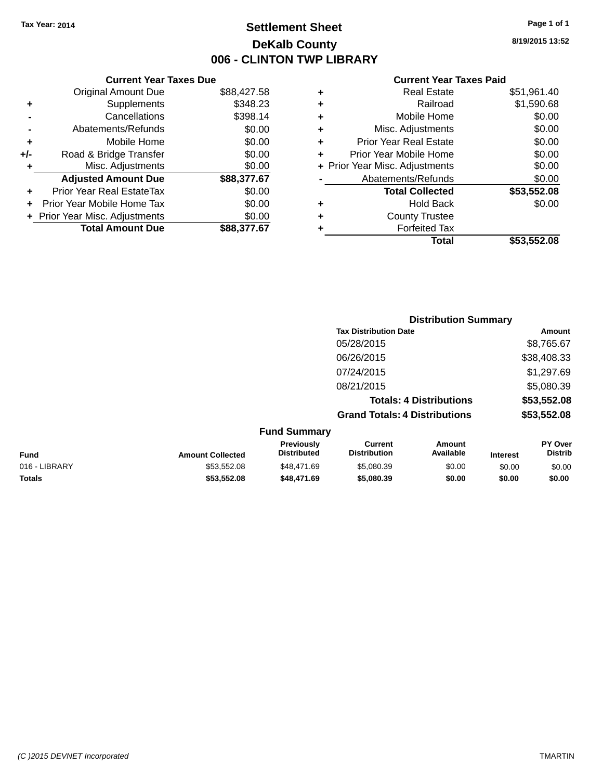### **Settlement Sheet Tax Year: 2014 Page 1 of 1 DeKalb County 006 - CLINTON TWP LIBRARY**

**8/19/2015 13:52**

|     | <b>Current Year Taxes Due</b>  |             |
|-----|--------------------------------|-------------|
|     | <b>Original Amount Due</b>     | \$88,427.58 |
| ٠   | Supplements                    | \$348.23    |
|     | Cancellations                  | \$398.14    |
|     | Abatements/Refunds             | \$0.00      |
| ٠   | Mobile Home                    | \$0.00      |
| +/- | Road & Bridge Transfer         | \$0.00      |
| ٠   | Misc. Adjustments              | \$0.00      |
|     | <b>Adjusted Amount Due</b>     | \$88,377.67 |
| ÷   | Prior Year Real EstateTax      | \$0.00      |
|     | Prior Year Mobile Home Tax     | \$0.00      |
|     | + Prior Year Misc. Adjustments | \$0.00      |
|     | <b>Total Amount Due</b>        | \$88,377,67 |

|   | <b>Real Estate</b>             | \$51,961.40 |
|---|--------------------------------|-------------|
| ٠ | Railroad                       | \$1,590.68  |
| ٠ | Mobile Home                    | \$0.00      |
| ٠ | Misc. Adjustments              | \$0.00      |
| ٠ | <b>Prior Year Real Estate</b>  | \$0.00      |
| ÷ | Prior Year Mobile Home         | \$0.00      |
|   | + Prior Year Misc. Adjustments | \$0.00      |
|   | Abatements/Refunds             | \$0.00      |
|   | <b>Total Collected</b>         | \$53,552.08 |
| ٠ | <b>Hold Back</b>               | \$0.00      |
| ٠ | <b>County Trustee</b>          |             |
| ٠ | <b>Forfeited Tax</b>           |             |
|   | Total                          | \$53,552.08 |
|   |                                |             |

|                     |                                      | <b>Distribution Summary</b>    |             |
|---------------------|--------------------------------------|--------------------------------|-------------|
|                     | <b>Tax Distribution Date</b>         |                                | Amount      |
|                     | 05/28/2015                           |                                | \$8,765.67  |
|                     | 06/26/2015                           |                                | \$38,408.33 |
|                     | 07/24/2015                           |                                | \$1,297.69  |
|                     | 08/21/2015                           |                                | \$5,080.39  |
|                     |                                      | <b>Totals: 4 Distributions</b> | \$53,552.08 |
|                     | <b>Grand Totals: 4 Distributions</b> |                                | \$53,552.08 |
| <b>Fund Summary</b> |                                      |                                |             |
| <b>Provinuely</b>   | Currant                              | <b>Amount</b>                  | PY ∩ver     |

| <b>Fund</b>   | <b>Amount Collected</b> | <b>Previously</b><br><b>Distributed</b> | Current<br><b>Distribution</b> | Amount<br>Available | <b>Interest</b> | <b>PY Over</b><br>Distrib |
|---------------|-------------------------|-----------------------------------------|--------------------------------|---------------------|-----------------|---------------------------|
| 016 - LIBRARY | \$53.552.08             | \$48.471.69                             | \$5,080.39                     | \$0.00              | \$0.00          | \$0.00                    |
| <b>Totals</b> | \$53.552.08             | \$48,471.69                             | \$5,080,39                     | \$0.00              | \$0.00          | \$0.00                    |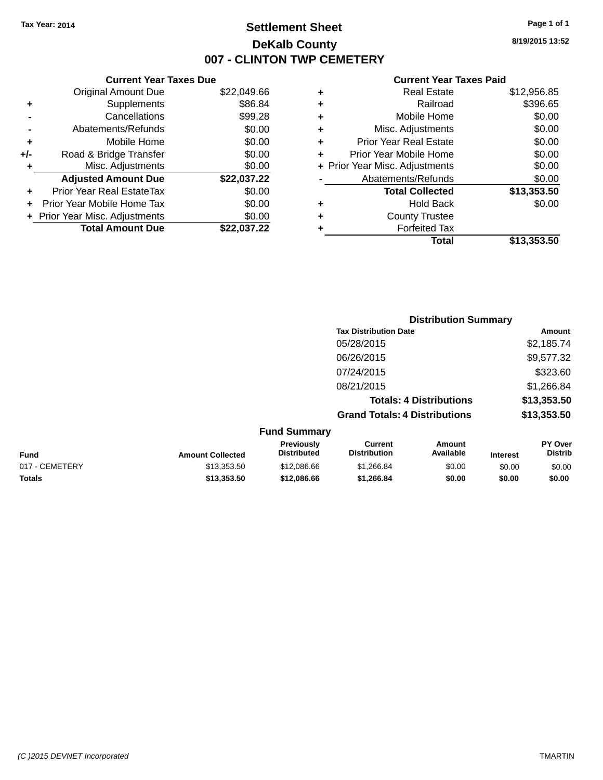### **Settlement Sheet Tax Year: 2014 Page 1 of 1 DeKalb County 007 - CLINTON TWP CEMETERY**

**8/19/2015 13:52**

|       | <b>Current Year Taxes Due</b>  |             |
|-------|--------------------------------|-------------|
|       | <b>Original Amount Due</b>     | \$22,049.66 |
| ٠     | Supplements                    | \$86.84     |
|       | Cancellations                  | \$99.28     |
|       | Abatements/Refunds             | \$0.00      |
| ٠     | Mobile Home                    | \$0.00      |
| $+/-$ | Road & Bridge Transfer         | \$0.00      |
| ٠     | Misc. Adjustments              | \$0.00      |
|       | <b>Adjusted Amount Due</b>     | \$22,037.22 |
| ٠     | Prior Year Real EstateTax      | \$0.00      |
|       | Prior Year Mobile Home Tax     | \$0.00      |
|       | + Prior Year Misc. Adjustments | \$0.00      |
|       | <b>Total Amount Due</b>        | \$22.037.22 |
|       |                                |             |

| ٠ | <b>Real Estate</b>             | \$12,956.85 |
|---|--------------------------------|-------------|
| ٠ | Railroad                       | \$396.65    |
| ٠ | Mobile Home                    | \$0.00      |
| ٠ | Misc. Adjustments              | \$0.00      |
| ٠ | <b>Prior Year Real Estate</b>  | \$0.00      |
| ٠ | Prior Year Mobile Home         | \$0.00      |
|   | + Prior Year Misc. Adjustments | \$0.00      |
|   | Abatements/Refunds             | \$0.00      |
|   | <b>Total Collected</b>         | \$13,353.50 |
| ٠ | <b>Hold Back</b>               | \$0.00      |
| ٠ | <b>County Trustee</b>          |             |
| ٠ | <b>Forfeited Tax</b>           |             |
|   | Total                          | \$13,353.50 |
|   |                                |             |

|                         |                                         | <b>Distribution Summary</b>           |                                |                 |                           |
|-------------------------|-----------------------------------------|---------------------------------------|--------------------------------|-----------------|---------------------------|
|                         |                                         | <b>Tax Distribution Date</b>          |                                |                 | Amount                    |
|                         |                                         | 05/28/2015                            |                                | \$2,185.74      |                           |
|                         |                                         | 06/26/2015                            | \$9,577.32                     |                 |                           |
|                         | 07/24/2015                              |                                       |                                |                 | \$323.60                  |
|                         |                                         | 08/21/2015                            |                                |                 | \$1,266.84                |
|                         |                                         |                                       | <b>Totals: 4 Distributions</b> |                 | \$13,353.50               |
|                         |                                         | <b>Grand Totals: 4 Distributions</b>  |                                |                 | \$13,353.50               |
|                         | <b>Fund Summary</b>                     |                                       |                                |                 |                           |
| <b>Amount Collected</b> | <b>Previously</b><br><b>Distributed</b> | <b>Current</b><br><b>Distribution</b> | Amount<br>Available            | <b>Interest</b> | PY Over<br><b>Distrib</b> |

| <b>Fund</b>    | <b>Amount Collected</b> | Previouslv<br><b>Distributed</b> | Current<br><b>Distribution</b> | Amount<br>Available | Interest | PY Over<br>Distrib |
|----------------|-------------------------|----------------------------------|--------------------------------|---------------------|----------|--------------------|
| 017 - CEMETERY | \$13.353.50             | \$12,086.66                      | \$1.266.84                     | \$0.00              | \$0.00   | \$0.00             |
| <b>Totals</b>  | \$13.353.50             | \$12,086,66                      | \$1.266.84                     | \$0.00              | \$0.00   | \$0.00             |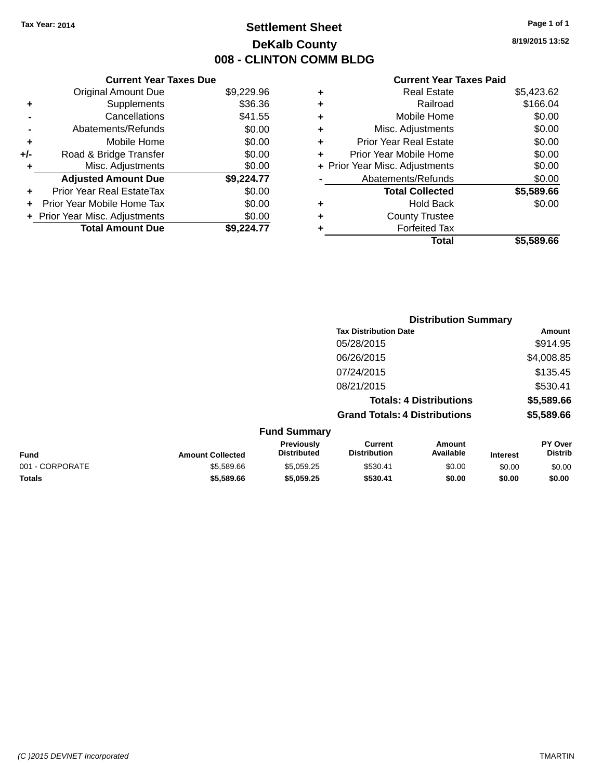### **Settlement Sheet Tax Year: 2014 Page 1 of 1 DeKalb County 008 - CLINTON COMM BLDG**

**8/19/2015 13:52**

|     | <b>Current Year Taxes Due</b>  |            |
|-----|--------------------------------|------------|
|     | <b>Original Amount Due</b>     | \$9,229.96 |
| ٠   | Supplements                    | \$36.36    |
|     | Cancellations                  | \$41.55    |
|     | Abatements/Refunds             | \$0.00     |
| ٠   | Mobile Home                    | \$0.00     |
| +/- | Road & Bridge Transfer         | \$0.00     |
| ٠   | Misc. Adjustments              | \$0.00     |
|     | <b>Adjusted Amount Due</b>     | \$9,224.77 |
| ÷   | Prior Year Real EstateTax      | \$0.00     |
|     | Prior Year Mobile Home Tax     | \$0.00     |
|     | + Prior Year Misc. Adjustments | \$0.00     |
|     | <b>Total Amount Due</b>        | \$9.224.77 |

|   | <b>Real Estate</b>             | \$5,423.62 |
|---|--------------------------------|------------|
| ٠ | Railroad                       | \$166.04   |
| ٠ | Mobile Home                    | \$0.00     |
| ٠ | Misc. Adjustments              | \$0.00     |
| ٠ | <b>Prior Year Real Estate</b>  | \$0.00     |
| ÷ | Prior Year Mobile Home         | \$0.00     |
|   | + Prior Year Misc. Adjustments | \$0.00     |
|   | Abatements/Refunds             | \$0.00     |
|   | <b>Total Collected</b>         | \$5,589.66 |
| ٠ | <b>Hold Back</b>               | \$0.00     |
|   | <b>County Trustee</b>          |            |
| ٠ | <b>Forfeited Tax</b>           |            |
|   | Total                          | \$5,589.66 |
|   |                                |            |

|                 |                         |                                  | <b>Distribution Summary</b>           |                                |                 |                                  |
|-----------------|-------------------------|----------------------------------|---------------------------------------|--------------------------------|-----------------|----------------------------------|
|                 |                         |                                  | <b>Tax Distribution Date</b>          |                                |                 | Amount                           |
|                 |                         |                                  | 05/28/2015                            |                                |                 | \$914.95                         |
|                 |                         |                                  | 06/26/2015                            |                                |                 | \$4,008.85                       |
|                 |                         |                                  | 07/24/2015                            |                                |                 | \$135.45                         |
|                 |                         |                                  | 08/21/2015                            |                                |                 | \$530.41                         |
|                 |                         |                                  |                                       | <b>Totals: 4 Distributions</b> |                 | \$5,589.66                       |
|                 |                         |                                  | <b>Grand Totals: 4 Distributions</b>  |                                |                 | \$5,589.66                       |
|                 |                         | <b>Fund Summary</b>              |                                       |                                |                 |                                  |
| <b>Fund</b>     | <b>Amount Collected</b> | Previously<br><b>Distributed</b> | <b>Current</b><br><b>Distribution</b> | <b>Amount</b><br>Available     | <b>Interest</b> | <b>PY Over</b><br><b>Distrib</b> |
| 001 - CORPORATE | \$5,589.66              | \$5,059.25                       | \$530.41                              | \$0.00                         | \$0.00          | \$0.00                           |
| <b>Totals</b>   | \$5,589.66              | \$5,059.25                       | \$530.41                              | \$0.00                         | \$0.00          | \$0.00                           |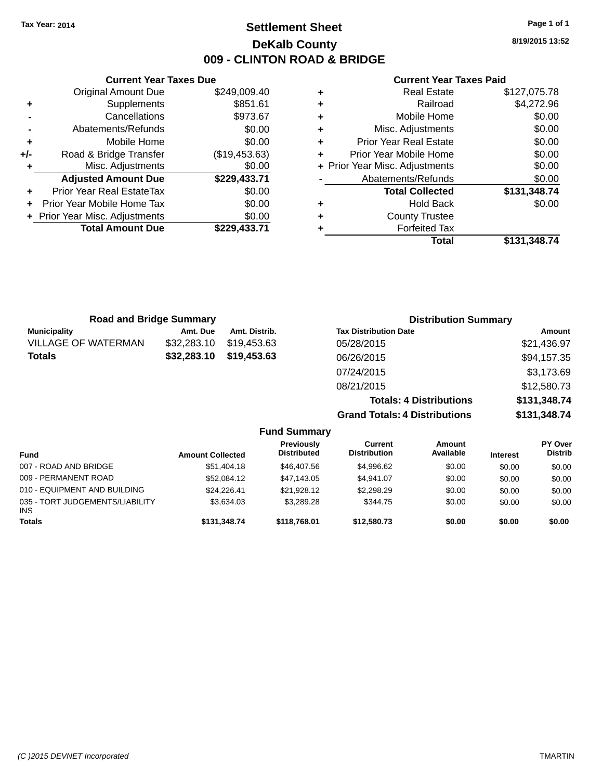### **Settlement Sheet Tax Year: 2014 Page 1 of 1 DeKalb County 009 - CLINTON ROAD & BRIDGE**

**8/19/2015 13:52**

| <b>Current Year Taxes Paid</b> |  |  |  |
|--------------------------------|--|--|--|
|--------------------------------|--|--|--|

|     | <b>Current Year Taxes Due</b>  |               |
|-----|--------------------------------|---------------|
|     | <b>Original Amount Due</b>     | \$249,009.40  |
| ٠   | Supplements                    | \$851.61      |
|     | Cancellations                  | \$973.67      |
|     | Abatements/Refunds             | \$0.00        |
| ٠   | Mobile Home                    | \$0.00        |
| +/- | Road & Bridge Transfer         | (\$19,453.63) |
| ٠   | Misc. Adjustments              | \$0.00        |
|     | <b>Adjusted Amount Due</b>     | \$229,433.71  |
|     | Prior Year Real EstateTax      | \$0.00        |
| ÷   | Prior Year Mobile Home Tax     | \$0.00        |
|     | + Prior Year Misc. Adjustments | \$0.00        |
|     | <b>Total Amount Due</b>        | \$229.433.71  |
|     |                                |               |

| ٠ | <b>Real Estate</b>             | \$127,075.78 |
|---|--------------------------------|--------------|
| ٠ | Railroad                       | \$4,272.96   |
| ٠ | Mobile Home                    | \$0.00       |
| ٠ | Misc. Adjustments              | \$0.00       |
| ٠ | <b>Prior Year Real Estate</b>  | \$0.00       |
| ٠ | Prior Year Mobile Home         | \$0.00       |
|   | + Prior Year Misc. Adjustments | \$0.00       |
|   | Abatements/Refunds             | \$0.00       |
|   | <b>Total Collected</b>         | \$131,348.74 |
| ٠ | <b>Hold Back</b>               | \$0.00       |
| ٠ | <b>County Trustee</b>          |              |
| ٠ | <b>Forfeited Tax</b>           |              |
|   | Total                          | \$131,348.74 |
|   |                                |              |

| <b>Road and Bridge Summary</b> |             |               | <b>Distribution Summary</b>    |              |
|--------------------------------|-------------|---------------|--------------------------------|--------------|
| <b>Municipality</b>            | Amt. Due    | Amt. Distrib. | <b>Tax Distribution Date</b>   | Amount       |
| <b>VILLAGE OF WATERMAN</b>     | \$32,283.10 | \$19,453.63   | 05/28/2015                     | \$21,436.97  |
| <b>Totals</b>                  | \$32,283.10 | \$19,453.63   | 06/26/2015                     | \$94,157.35  |
|                                |             |               | 07/24/2015                     | \$3,173.69   |
|                                |             |               | 08/21/2015                     | \$12,580.73  |
|                                |             |               | <b>Totals: 4 Distributions</b> | \$131,348.74 |

**Grand Totals: 4 Distributions \$131,348.74**

|                                               |                         | <b>Fund Summary</b>                     |                                |                            |                 |                                  |
|-----------------------------------------------|-------------------------|-----------------------------------------|--------------------------------|----------------------------|-----------------|----------------------------------|
| <b>Fund</b>                                   | <b>Amount Collected</b> | <b>Previously</b><br><b>Distributed</b> | Current<br><b>Distribution</b> | <b>Amount</b><br>Available | <b>Interest</b> | <b>PY Over</b><br><b>Distrib</b> |
| 007 - ROAD AND BRIDGE                         | \$51,404.18             | \$46,407.56                             | \$4,996.62                     | \$0.00                     | \$0.00          | \$0.00                           |
| 009 - PERMANENT ROAD                          | \$52,084.12             | \$47,143.05                             | \$4.941.07                     | \$0.00                     | \$0.00          | \$0.00                           |
| 010 - EQUIPMENT AND BUILDING                  | \$24.226.41             | \$21,928.12                             | \$2,298.29                     | \$0.00                     | \$0.00          | \$0.00                           |
| 035 - TORT JUDGEMENTS/LIABILITY<br><b>INS</b> | \$3.634.03              | \$3.289.28                              | \$344.75                       | \$0.00                     | \$0.00          | \$0.00                           |
| <b>Totals</b>                                 | \$131,348.74            | \$118,768,01                            | \$12,580,73                    | \$0.00                     | \$0.00          | \$0.00                           |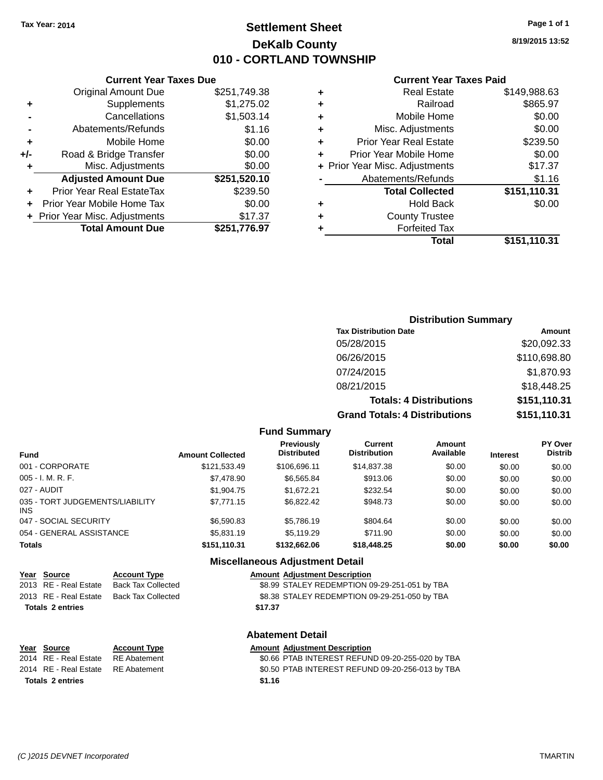### **Settlement Sheet Tax Year: 2014 Page 1 of 1 DeKalb County 010 - CORTLAND TOWNSHIP**

**8/19/2015 13:52**

#### **Current Year Taxes Paid**

|     | <b>Current Year Taxes Due</b>  |              |  |  |  |  |  |  |
|-----|--------------------------------|--------------|--|--|--|--|--|--|
|     | <b>Original Amount Due</b>     | \$251,749.38 |  |  |  |  |  |  |
| ٠   | Supplements                    | \$1,275.02   |  |  |  |  |  |  |
|     | Cancellations                  | \$1,503.14   |  |  |  |  |  |  |
|     | Abatements/Refunds             | \$1.16       |  |  |  |  |  |  |
| ٠   | Mobile Home                    | \$0.00       |  |  |  |  |  |  |
| +/- | Road & Bridge Transfer         | \$0.00       |  |  |  |  |  |  |
| ٠   | Misc. Adjustments              | \$0.00       |  |  |  |  |  |  |
|     | <b>Adjusted Amount Due</b>     | \$251,520.10 |  |  |  |  |  |  |
| ٠   | Prior Year Real EstateTax      | \$239.50     |  |  |  |  |  |  |
|     | Prior Year Mobile Home Tax     | \$0.00       |  |  |  |  |  |  |
|     | + Prior Year Misc. Adjustments | \$17.37      |  |  |  |  |  |  |
|     | <b>Total Amount Due</b>        | \$251,776.97 |  |  |  |  |  |  |
|     |                                |              |  |  |  |  |  |  |

| ٠ | <b>Real Estate</b>             | \$149,988.63 |
|---|--------------------------------|--------------|
| ٠ | Railroad                       | \$865.97     |
| ٠ | Mobile Home                    | \$0.00       |
| ٠ | Misc. Adjustments              | \$0.00       |
| ٠ | <b>Prior Year Real Estate</b>  | \$239.50     |
| ٠ | Prior Year Mobile Home         | \$0.00       |
|   | + Prior Year Misc. Adjustments | \$17.37      |
|   | Abatements/Refunds             | \$1.16       |
|   | <b>Total Collected</b>         | \$151,110.31 |
| ٠ | <b>Hold Back</b>               | \$0.00       |
| ٠ | <b>County Trustee</b>          |              |
| ٠ | <b>Forfeited Tax</b>           |              |
|   | Total                          | \$151,110.31 |
|   |                                |              |

### **Distribution Summary Tax Distribution Date Amount** 05/28/2015 \$20,092.33 06/26/2015 \$110,698.80 07/24/2015 \$1,870.93 08/21/2015 \$18,448.25 **Totals: 4 Distributions \$151,110.31 Grand Totals: 4 Distributions \$151,110.31**

#### **Fund Summary**

| <b>Amount Collected</b> | <b>Previously</b><br><b>Distributed</b> | <b>Current</b><br><b>Distribution</b> | Amount<br>Available | <b>Interest</b> | <b>PY Over</b><br><b>Distrib</b> |
|-------------------------|-----------------------------------------|---------------------------------------|---------------------|-----------------|----------------------------------|
| \$121.533.49            | \$106.696.11                            | \$14,837,38                           | \$0.00              | \$0.00          | \$0.00                           |
| \$7,478.90              | \$6,565.84                              | \$913.06                              | \$0.00              | \$0.00          | \$0.00                           |
| \$1,904.75              | \$1.672.21                              | \$232.54                              | \$0.00              | \$0.00          | \$0.00                           |
| \$7.771.15              | \$6.822.42                              | \$948.73                              | \$0.00              | \$0.00          | \$0.00                           |
| \$6,590.83              | \$5,786.19                              | \$804.64                              | \$0.00              | \$0.00          | \$0.00                           |
| \$5,831.19              | \$5,119.29                              | \$711.90                              | \$0.00              | \$0.00          | \$0.00                           |
| \$151,110.31            | \$132,662,06                            | \$18,448.25                           | \$0.00              | \$0.00          | \$0.00                           |
|                         |                                         |                                       |                     |                 |                                  |

#### **Miscellaneous Adjustment Detail**

| <u>Year Source</u>      | <b>Account Type</b> | <b>Amount Adjustment Description</b>          |
|-------------------------|---------------------|-----------------------------------------------|
| 2013 RE - Real Estate   | Back Tax Collected  | \$8.99 STALEY REDEMPTION 09-29-251-051 by TBA |
| 2013 RE - Real Estate   | Back Tax Collected  | \$8.38 STALEY REDEMPTION 09-29-251-050 by TBA |
| <b>Totals 2 entries</b> |                     | \$17.37                                       |
|                         |                     |                                               |

**Totals \$1.16 2 entries**

**Year** Source **Account Type Account Account Adjustment Description** 

# **Abatement Detail**

2014 RE - Real Estate RE Abatement \$0.66 PTAB INTEREST REFUND 09-20-255-020 by TBA 2014 RE - Real Estate RE Abatement \$0.50 PTAB INTEREST REFUND 09-20-256-013 by TBA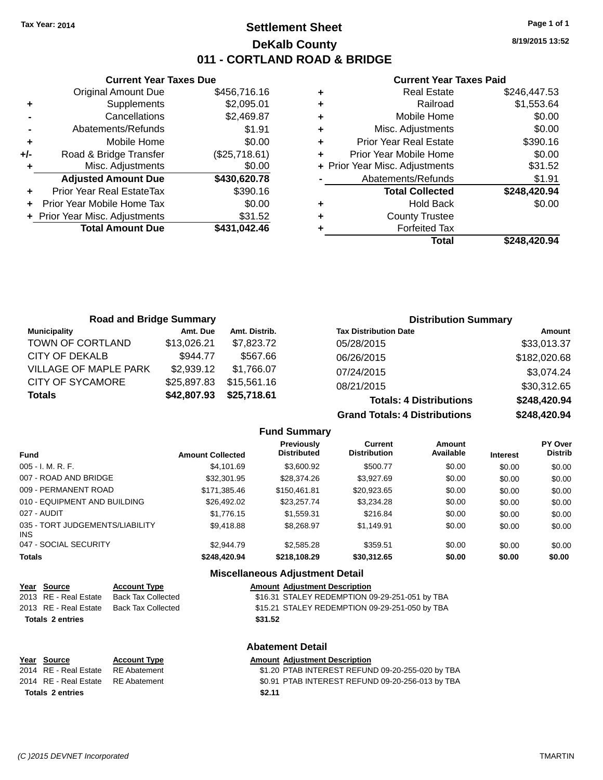### **Settlement Sheet Tax Year: 2014 Page 1 of 1 DeKalb County 011 - CORTLAND ROAD & BRIDGE**

**8/19/2015 13:52**

#### **Current Year Taxes Paid**

|     | <b>Current Year Taxes Due</b>  |               |  |  |  |  |  |
|-----|--------------------------------|---------------|--|--|--|--|--|
|     | <b>Original Amount Due</b>     | \$456,716.16  |  |  |  |  |  |
| ٠   | Supplements                    | \$2,095.01    |  |  |  |  |  |
|     | Cancellations                  | \$2,469.87    |  |  |  |  |  |
|     | Abatements/Refunds             | \$1.91        |  |  |  |  |  |
| ٠   | Mobile Home                    | \$0.00        |  |  |  |  |  |
| +/- | Road & Bridge Transfer         | (\$25,718.61) |  |  |  |  |  |
|     | Misc. Adjustments              | \$0.00        |  |  |  |  |  |
|     | <b>Adjusted Amount Due</b>     | \$430,620.78  |  |  |  |  |  |
| ٠   | Prior Year Real EstateTax      | \$390.16      |  |  |  |  |  |
|     | Prior Year Mobile Home Tax     | \$0.00        |  |  |  |  |  |
|     | + Prior Year Misc. Adjustments | \$31.52       |  |  |  |  |  |
|     | <b>Total Amount Due</b>        | \$431,042.46  |  |  |  |  |  |
|     |                                |               |  |  |  |  |  |

|   | <b>Real Estate</b>             | \$246,447.53 |
|---|--------------------------------|--------------|
| ٠ | Railroad                       | \$1,553.64   |
| ٠ | Mobile Home                    | \$0.00       |
| ÷ | Misc. Adjustments              | \$0.00       |
| ٠ | <b>Prior Year Real Estate</b>  | \$390.16     |
| ٠ | Prior Year Mobile Home         | \$0.00       |
|   | + Prior Year Misc. Adjustments | \$31.52      |
|   | Abatements/Refunds             | \$1.91       |
|   | <b>Total Collected</b>         | \$248,420.94 |
| ٠ | <b>Hold Back</b>               | \$0.00       |
| ٠ | <b>County Trustee</b>          |              |
|   | <b>Forfeited Tax</b>           |              |
|   | Total                          | \$248.420.94 |

| <b>Road and Bridge Summary</b> |             |               |                                      | <b>Distribution Summary</b> |  |  |
|--------------------------------|-------------|---------------|--------------------------------------|-----------------------------|--|--|
| <b>Municipality</b>            | Amt. Due    | Amt. Distrib. | <b>Tax Distribution Date</b>         | <b>Amount</b>               |  |  |
| TOWN OF CORTLAND               | \$13,026.21 | \$7,823.72    | 05/28/2015                           | \$33,013.37                 |  |  |
| CITY OF DEKALB                 | \$944.77    | \$567.66      | 06/26/2015                           | \$182,020.68                |  |  |
| <b>VILLAGE OF MAPLE PARK</b>   | \$2,939.12  | \$1.766.07    | 07/24/2015                           | \$3,074.24                  |  |  |
| <b>CITY OF SYCAMORE</b>        | \$25,897.83 | \$15,561.16   | 08/21/2015                           | \$30,312.65                 |  |  |
| <b>Totals</b>                  | \$42,807.93 | \$25,718.61   | <b>Totals: 4 Distributions</b>       | \$248,420.94                |  |  |
|                                |             |               | <b>Grand Totals: 4 Distributions</b> | \$248,420.94                |  |  |

**Fund Summary Fund Interest Amount Collected Distributed PY Over Distrib Amount Available Current Distribution Previously** 005 - I. M. R. F. \$4,101.69 \$3,600.92 \$500.77 \$0.00 \$0.00 \$0.00 007 - ROAD AND BRIDGE 60.00 \$32,301.95 \$28,374.26 \$3,927.69 \$0.00 \$0.00 \$0.00 \$0.00 009 - PERMANENT ROAD \$171,385.46 \$150,461.81 \$20,923.65 \$0.00 \$0.00 \$0.00 \$0.00 010 - EQUIPMENT AND BUILDING \$26,492.02 \$23,257.74 \$3,234.28 \$0.00 \$0.00 \$0.00 027 - AUDIT \$1,776.15 \$1,559.31 \$216.84 \$0.00 \$0.00 \$0.00 035 - TORT JUDGEMENTS/LIABILITY INS \$9,418.88 \$8,268.97 \$1,149.91 \$0.00 \$0.00 \$0.00 047 - SOCIAL SECURITY \$2,944.79 \$2,585.28 \$359.51 \$0.00 \$0.00 \$0.00 **Totals \$248,420.94 \$218,108.29 \$30,312.65 \$0.00 \$0.00 \$0.00**

### **Miscellaneous Adjustment Detail**

| Year Source             | <b>Account Type</b>                      |         | <b>Amount Adiustment Description</b>           |
|-------------------------|------------------------------------------|---------|------------------------------------------------|
| 2013 RE - Real Estate   | Back Tax Collected                       |         | \$16.31 STALEY REDEMPTION 09-29-251-051 by TBA |
|                         | 2013 RE - Real Estate Back Tax Collected |         | \$15.21 STALEY REDEMPTION 09-29-251-050 by TBA |
| <b>Totals 2 entries</b> |                                          | \$31.52 |                                                |

#### **Abatement Detail**

| Year Source                        | <b>Account Type</b> | <b>Amount Adjustment Description</b>             |
|------------------------------------|---------------------|--------------------------------------------------|
| 2014 RE - Real Estate RE Abatement |                     | \$1.20 PTAB INTEREST REFUND 09-20-255-020 by TBA |
| 2014 RE - Real Estate RE Abatement |                     | \$0.91 PTAB INTEREST REFUND 09-20-256-013 by TBA |
| Totals 2 entries                   |                     | \$2.11                                           |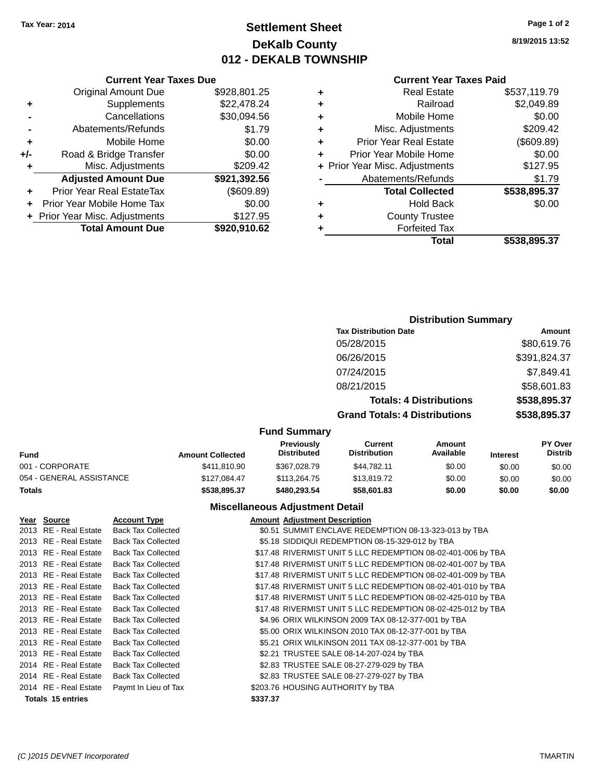### **Settlement Sheet Tax Year: 2014 Page 1 of 2 DeKalb County 012 - DEKALB TOWNSHIP**

**8/19/2015 13:52**

#### **Current Year Taxes Paid**

| Total                          | \$538,895.37 |
|--------------------------------|--------------|
| <b>Forfeited Tax</b>           |              |
| <b>County Trustee</b>          |              |
| <b>Hold Back</b>               | \$0.00       |
| <b>Total Collected</b>         | \$538,895.37 |
| Abatements/Refunds             | \$1.79       |
| + Prior Year Misc. Adjustments | \$127.95     |
| Prior Year Mobile Home         | \$0.00       |
| <b>Prior Year Real Estate</b>  | (\$609.89)   |
| Misc. Adjustments              | \$209.42     |
| Mobile Home                    | \$0.00       |
| Railroad                       | \$2,049.89   |
| <b>Real Estate</b>             | \$537,119.79 |
|                                |              |

|     | Cancellations                    | \$30,094.56  |
|-----|----------------------------------|--------------|
|     | Abatements/Refunds               | \$1.79       |
| ÷   | Mobile Home                      | \$0.00       |
| +/- | Road & Bridge Transfer           | \$0.00       |
| ٠   | Misc. Adjustments                | \$209.42     |
|     | <b>Adjusted Amount Due</b>       | \$921,392.56 |
| ٠   | <b>Prior Year Real EstateTax</b> | (\$609.89)   |
|     | Prior Year Mobile Home Tax       | \$0.00       |
|     | + Prior Year Misc. Adjustments   | \$127.95     |
|     | <b>Total Amount Due</b>          | \$920,910.62 |

**Current Year Taxes Due**

### **Distribution Summary**

| Amount       |
|--------------|
| \$80,619.76  |
| \$391,824.37 |
| \$7,849.41   |
| \$58,601.83  |
| \$538,895.37 |
| \$538,895.37 |
|              |

#### **Fund Summary**

| Fund                     | <b>Amount Collected</b> | <b>Previously</b><br><b>Distributed</b> | Current<br><b>Distribution</b> | Amount<br>Available | <b>Interest</b> | <b>PY Over</b><br><b>Distrib</b> |
|--------------------------|-------------------------|-----------------------------------------|--------------------------------|---------------------|-----------------|----------------------------------|
| 001 - CORPORATE          | \$411.810.90            | \$367,028.79                            | \$44.782.11                    | \$0.00              | \$0.00          | \$0.00                           |
| 054 - GENERAL ASSISTANCE | \$127.084.47            | \$113,264.75                            | \$13,819.72                    | \$0.00              | \$0.00          | \$0.00                           |
| Totals                   | \$538,895,37            | \$480,293,54                            | \$58,601.83                    | \$0.00              | \$0.00          | \$0.00                           |

### **Miscellaneous Adjustment Detail**

| Year Source              | <b>Account Type</b>       |          | <b>Amount Adjustment Description</b>                         |
|--------------------------|---------------------------|----------|--------------------------------------------------------------|
| 2013 RE - Real Estate    | <b>Back Tax Collected</b> |          | \$0.51 SUMMIT ENCLAVE REDEMPTION 08-13-323-013 by TBA        |
| 2013 RE - Real Estate    | <b>Back Tax Collected</b> |          | \$5.18 SIDDIQUI REDEMPTION 08-15-329-012 by TBA              |
| 2013 RE - Real Estate    | <b>Back Tax Collected</b> |          | \$17.48 RIVERMIST UNIT 5 LLC REDEMPTION 08-02-401-006 by TBA |
| 2013 RE - Real Estate    | <b>Back Tax Collected</b> |          | \$17.48 RIVERMIST UNIT 5 LLC REDEMPTION 08-02-401-007 by TBA |
| 2013 RE - Real Estate    | <b>Back Tax Collected</b> |          | \$17.48 RIVERMIST UNIT 5 LLC REDEMPTION 08-02-401-009 by TBA |
| 2013 RE - Real Estate    | <b>Back Tax Collected</b> |          | \$17.48 RIVERMIST UNIT 5 LLC REDEMPTION 08-02-401-010 by TBA |
| 2013 RE - Real Estate    | <b>Back Tax Collected</b> |          | \$17.48 RIVERMIST UNIT 5 LLC REDEMPTION 08-02-425-010 by TBA |
| 2013 RE - Real Estate    | <b>Back Tax Collected</b> |          | \$17.48 RIVERMIST UNIT 5 LLC REDEMPTION 08-02-425-012 by TBA |
| 2013 RE - Real Estate    | <b>Back Tax Collected</b> |          | \$4.96 ORIX WILKINSON 2009 TAX 08-12-377-001 by TBA          |
| 2013 RE - Real Estate    | <b>Back Tax Collected</b> |          | \$5.00 ORIX WILKINSON 2010 TAX 08-12-377-001 by TBA          |
| 2013 RE - Real Estate    | <b>Back Tax Collected</b> |          | \$5.21 ORIX WILKINSON 2011 TAX 08-12-377-001 by TBA          |
| 2013 RE - Real Estate    | <b>Back Tax Collected</b> |          | \$2.21 TRUSTEE SALE 08-14-207-024 by TBA                     |
| 2014 RE - Real Estate    | <b>Back Tax Collected</b> |          | \$2.83 TRUSTEE SALE 08-27-279-029 by TBA                     |
| 2014 RE - Real Estate    | <b>Back Tax Collected</b> |          | \$2.83 TRUSTEE SALE 08-27-279-027 by TBA                     |
| 2014 RE - Real Estate    | Paymt In Lieu of Tax      |          | \$203.76 HOUSING AUTHORITY by TBA                            |
| <b>Totals 15 entries</b> |                           | \$337.37 |                                                              |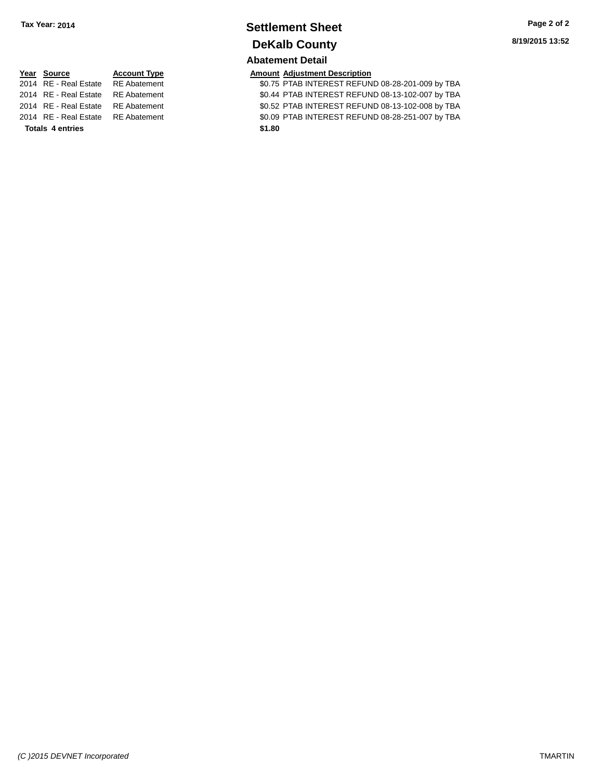### **Settlement Sheet Tax Year: 2014 Page 2 of 2 DeKalb County**

# **Abatement Detail**

**Year Source Account Type Amount Adjustment Description** 2014 Real Estate Real Estate Real Estate Real Estate Refund to the Case of the Abatement Section Abatement Real Politics and Tennes Real Politics and Tennes Real Politics and Tennes Real Politics and Tennes Real Politics a 2014 REAL INTEREST REFUND 08-13-102-007 by TBA 2015 REAL ESTATE INTEREST REFUND 08-13-102-008 by TBA 20.09 PTAB INTEREST REFUND 08-28-251-007 by TBA

| Year Source                        | <b>Account Type</b> | Amount |
|------------------------------------|---------------------|--------|
| 2014 RE - Real Estate RE Abatement |                     | \$0.75 |
| 2014 RE - Real Estate RE Abatement |                     | \$0.44 |
| 2014 RE - Real Estate RE Abatement |                     | \$0.52 |
| 2014 RE - Real Estate RE Abatement |                     | \$0.09 |
| <b>Totals 4 entries</b>            |                     | \$1.80 |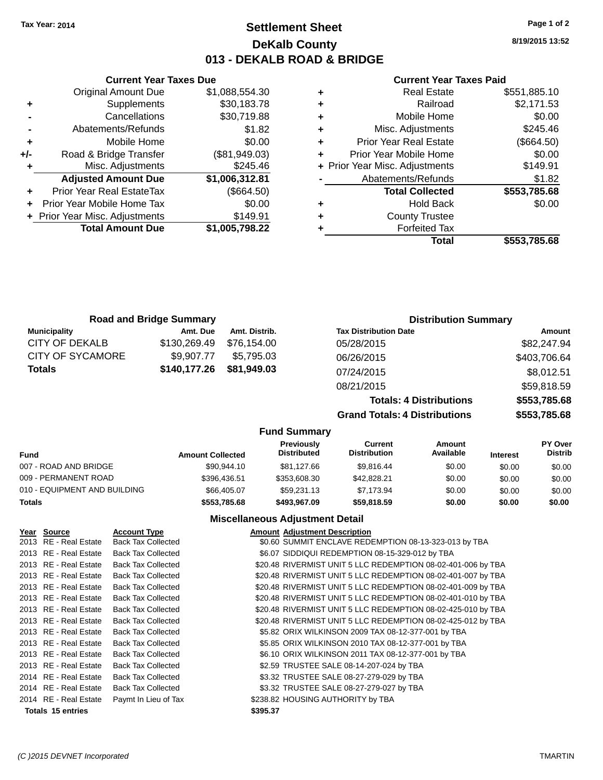### **Settlement Sheet Tax Year: 2014 Page 1 of 2 DeKalb County 013 - DEKALB ROAD & BRIDGE**

**8/19/2015 13:52**

#### **Current Year Taxes Paid**

|   | <b>Real Estate</b>             | \$551,885.10 |
|---|--------------------------------|--------------|
| ٠ | Railroad                       | \$2,171.53   |
| ٠ | Mobile Home                    | \$0.00       |
| ٠ | Misc. Adjustments              | \$245.46     |
| ٠ | <b>Prior Year Real Estate</b>  | (\$664.50)   |
| ٠ | Prior Year Mobile Home         | \$0.00       |
|   | + Prior Year Misc. Adjustments | \$149.91     |
|   | Abatements/Refunds             | \$1.82       |
|   | <b>Total Collected</b>         | \$553,785.68 |
| ٠ | <b>Hold Back</b>               | \$0.00       |
| ٠ | <b>County Trustee</b>          |              |
|   | <b>Forfeited Tax</b>           |              |
|   | Total                          | \$553,785.68 |

|     | <b>Current Year Taxes Due</b>  |                |  |  |  |
|-----|--------------------------------|----------------|--|--|--|
|     | <b>Original Amount Due</b>     | \$1,088,554.30 |  |  |  |
| ٠   | Supplements                    | \$30,183.78    |  |  |  |
|     | Cancellations                  | \$30,719.88    |  |  |  |
|     | Abatements/Refunds             | \$1.82         |  |  |  |
| ٠   | Mobile Home                    | \$0.00         |  |  |  |
| +/- | Road & Bridge Transfer         | (\$81,949.03)  |  |  |  |
| ٠   | Misc. Adjustments              | \$245.46       |  |  |  |
|     | <b>Adjusted Amount Due</b>     | \$1,006,312.81 |  |  |  |
| ÷   | Prior Year Real EstateTax      | (\$664.50)     |  |  |  |
|     | Prior Year Mobile Home Tax     | \$0.00         |  |  |  |
|     | + Prior Year Misc. Adjustments | \$149.91       |  |  |  |
|     | <b>Total Amount Due</b>        | \$1,005,798.22 |  |  |  |
|     |                                |                |  |  |  |

| <b>Road and Bridge Summary</b> |              |                     |                                      | <b>Distribution Summary</b>    |              |  |
|--------------------------------|--------------|---------------------|--------------------------------------|--------------------------------|--------------|--|
| <b>Municipality</b>            | Amt. Due     | Amt. Distrib.       | <b>Tax Distribution Date</b>         |                                | Amount       |  |
| <b>CITY OF DEKALB</b>          | \$130,269.49 | \$76,154.00         | 05/28/2015                           |                                | \$82,247.94  |  |
| <b>CITY OF SYCAMORE</b>        | \$9,907.77   | \$5,795.03          | 06/26/2015                           |                                | \$403,706.64 |  |
| <b>Totals</b>                  | \$140,177.26 | \$81,949.03         | 07/24/2015                           |                                | \$8,012.51   |  |
|                                |              |                     | 08/21/2015                           |                                | \$59,818.59  |  |
|                                |              |                     |                                      | <b>Totals: 4 Distributions</b> | \$553,785.68 |  |
|                                |              |                     | <b>Grand Totals: 4 Distributions</b> |                                | \$553,785.68 |  |
|                                |              | <b>Fund Summary</b> |                                      |                                |              |  |
|                                |              | <b>Previously</b>   | <b>Current</b>                       | Amount                         | PY Over      |  |

| Fund                         | <b>Amount Collected</b> | <b>Previously</b><br><b>Distributed</b> | Current<br><b>Distribution</b> | Amount<br>Available | <b>Interest</b> | <b>PT OVER</b><br><b>Distrib</b> |
|------------------------------|-------------------------|-----------------------------------------|--------------------------------|---------------------|-----------------|----------------------------------|
| 007 - ROAD AND BRIDGE        | \$90.944.10             | \$81,127.66                             | \$9.816.44                     | \$0.00              | \$0.00          | \$0.00                           |
| 009 - PERMANENT ROAD         | \$396.436.51            | \$353,608.30                            | \$42,828,21                    | \$0.00              | \$0.00          | \$0.00                           |
| 010 - EQUIPMENT AND BUILDING | \$66,405,07             | \$59.231.13                             | \$7.173.94                     | \$0.00              | \$0.00          | \$0.00                           |
| Totals                       | \$553,785.68            | \$493,967.09                            | \$59,818.59                    | \$0.00              | \$0.00          | \$0.00                           |

#### **Miscellaneous Adjustment Detail**

| Year Source              | <b>Account Type</b>       | <b>Amount Adjustment Description</b>                         |
|--------------------------|---------------------------|--------------------------------------------------------------|
| 2013 RE - Real Estate    | <b>Back Tax Collected</b> | \$0.60 SUMMIT ENCLAVE REDEMPTION 08-13-323-013 by TBA        |
| 2013 RE - Real Estate    | <b>Back Tax Collected</b> | \$6.07 SIDDIQUI REDEMPTION 08-15-329-012 by TBA              |
| 2013 RE - Real Estate    | <b>Back Tax Collected</b> | \$20.48 RIVERMIST UNIT 5 LLC REDEMPTION 08-02-401-006 by TBA |
| 2013 RE - Real Estate    | <b>Back Tax Collected</b> | \$20.48 RIVERMIST UNIT 5 LLC REDEMPTION 08-02-401-007 by TBA |
| 2013 RE - Real Estate    | <b>Back Tax Collected</b> | \$20.48 RIVERMIST UNIT 5 LLC REDEMPTION 08-02-401-009 by TBA |
| 2013 RE - Real Estate    | <b>Back Tax Collected</b> | \$20.48 RIVERMIST UNIT 5 LLC REDEMPTION 08-02-401-010 by TBA |
| 2013 RE - Real Estate    | <b>Back Tax Collected</b> | \$20.48 RIVERMIST UNIT 5 LLC REDEMPTION 08-02-425-010 by TBA |
| 2013 RE - Real Estate    | <b>Back Tax Collected</b> | \$20.48 RIVERMIST UNIT 5 LLC REDEMPTION 08-02-425-012 by TBA |
| 2013 RE - Real Estate    | <b>Back Tax Collected</b> | \$5.82 ORIX WILKINSON 2009 TAX 08-12-377-001 by TBA          |
| 2013 RE - Real Estate    | <b>Back Tax Collected</b> | \$5.85 ORIX WILKINSON 2010 TAX 08-12-377-001 by TBA          |
| 2013 RE - Real Estate    | <b>Back Tax Collected</b> | \$6.10 ORIX WILKINSON 2011 TAX 08-12-377-001 by TBA          |
| 2013 RE - Real Estate    | <b>Back Tax Collected</b> | \$2.59 TRUSTEE SALE 08-14-207-024 by TBA                     |
| 2014 RE - Real Estate    | <b>Back Tax Collected</b> | \$3.32 TRUSTEE SALE 08-27-279-029 by TBA                     |
| 2014 RE - Real Estate    | <b>Back Tax Collected</b> | \$3.32 TRUSTEE SALE 08-27-279-027 by TBA                     |
| 2014 RE - Real Estate    | Paymt In Lieu of Tax      | \$238.82 HOUSING AUTHORITY by TBA                            |
| <b>Totals 15 entries</b> |                           | \$395.37                                                     |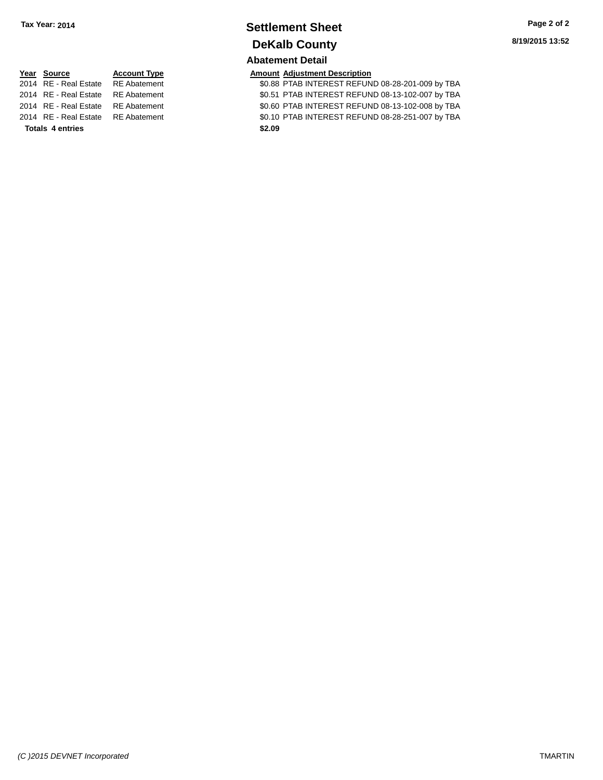### **Settlement Sheet Tax Year: 2014 Page 2 of 2 DeKalb County**

# **Abatement Detail**

**PERETA CONTENT CONTENT ACCOUNT** Adjustment Description

atement **2014 REAL ESTATE STAB INTEREST REFUND 08-28-201-009 by TBA** atement **2014 REAL ESTATE SOLICE SOLICE REAL ESTATE REFUND 08-13-102-007 by TBA** atement **2014 REAL ESTATE SO SOUT ABATE REAL EST REFUND 08-13-102-008 by TBA** atement **2014 REAL ESTATE SOLIO** PTAB INTEREST REFUND 08-28-251-007 by TBA

| Year Source                        | <b>Account Type</b> | Amount |
|------------------------------------|---------------------|--------|
| 2014 RE - Real Estate RE Abatement |                     | \$0.88 |
| 2014 RE - Real Estate RE Abatement |                     | \$0.51 |
| 2014 RE - Real Estate RE Abatement |                     | \$0.60 |
| 2014 RE - Real Estate RE Abatement |                     | \$0.10 |
| Totals 4 entries                   |                     | \$2.09 |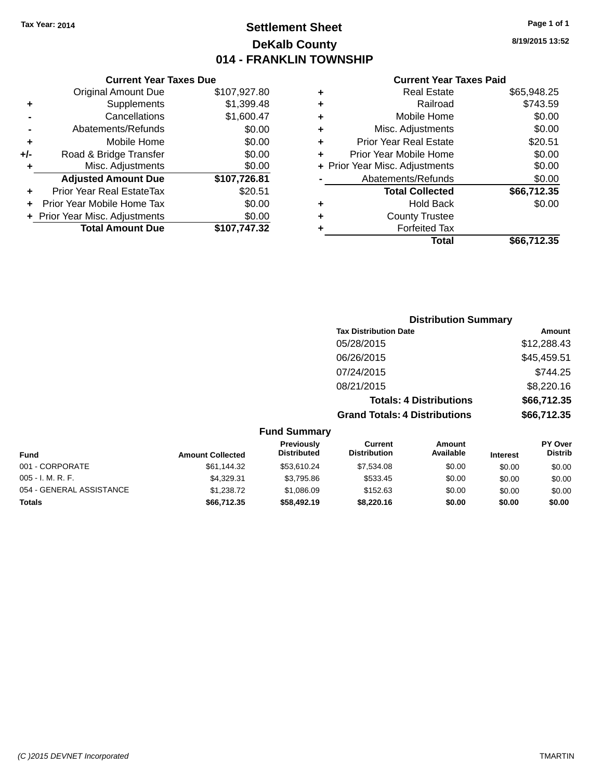### **Settlement Sheet Tax Year: 2014 Page 1 of 1 DeKalb County 014 - FRANKLIN TOWNSHIP**

**8/19/2015 13:52**

|     | <b>Current Year Taxes Due</b>  |              |
|-----|--------------------------------|--------------|
|     | <b>Original Amount Due</b>     | \$107,927.80 |
| ٠   | Supplements                    | \$1,399.48   |
|     | Cancellations                  | \$1,600.47   |
|     | Abatements/Refunds             | \$0.00       |
| ٠   | Mobile Home                    | \$0.00       |
| +/- | Road & Bridge Transfer         | \$0.00       |
|     | Misc. Adjustments              | \$0.00       |
|     | <b>Adjusted Amount Due</b>     | \$107,726.81 |
| ٠   | Prior Year Real EstateTax      | \$20.51      |
|     | Prior Year Mobile Home Tax     | \$0.00       |
|     | + Prior Year Misc. Adjustments | \$0.00       |
|     | <b>Total Amount Due</b>        | \$107,747.32 |
|     |                                |              |

| ٠ | <b>Real Estate</b>             | \$65,948.25 |
|---|--------------------------------|-------------|
| ٠ | Railroad                       | \$743.59    |
| ٠ | Mobile Home                    | \$0.00      |
| ٠ | Misc. Adjustments              | \$0.00      |
| ٠ | <b>Prior Year Real Estate</b>  | \$20.51     |
| ٠ | Prior Year Mobile Home         | \$0.00      |
|   | + Prior Year Misc. Adjustments | \$0.00      |
|   | Abatements/Refunds             | \$0.00      |
|   | <b>Total Collected</b>         | \$66,712.35 |
| ٠ | <b>Hold Back</b>               | \$0.00      |
|   | <b>County Trustee</b>          |             |
| ٠ | <b>Forfeited Tax</b>           |             |
|   | Total                          | \$66.712.35 |
|   |                                |             |

| <b>Distribution Summary</b>          |             |
|--------------------------------------|-------------|
| <b>Tax Distribution Date</b>         | Amount      |
| 05/28/2015                           | \$12,288.43 |
| 06/26/2015                           | \$45,459.51 |
| 07/24/2015                           | \$744.25    |
| 08/21/2015                           | \$8,220.16  |
| <b>Totals: 4 Distributions</b>       | \$66,712.35 |
| <b>Grand Totals: 4 Distributions</b> | \$66,712.35 |

| <b>Fund Summary</b> |  |
|---------------------|--|
|---------------------|--|

| <b>Fund</b>              | <b>Amount Collected</b> | <b>Previously</b><br><b>Distributed</b> | Current<br><b>Distribution</b> | Amount<br>Available | <b>Interest</b> | PY Over<br><b>Distrib</b> |
|--------------------------|-------------------------|-----------------------------------------|--------------------------------|---------------------|-----------------|---------------------------|
| 001 - CORPORATE          | \$61,144.32             | \$53,610.24                             | \$7,534.08                     | \$0.00              | \$0.00          | \$0.00                    |
| $005 - I. M. R. F.$      | \$4.329.31              | \$3.795.86                              | \$533.45                       | \$0.00              | \$0.00          | \$0.00                    |
| 054 - GENERAL ASSISTANCE | \$1,238,72              | \$1,086.09                              | \$152.63                       | \$0.00              | \$0.00          | \$0.00                    |
| <b>Totals</b>            | \$66,712.35             | \$58,492.19                             | \$8,220,16                     | \$0.00              | \$0.00          | \$0.00                    |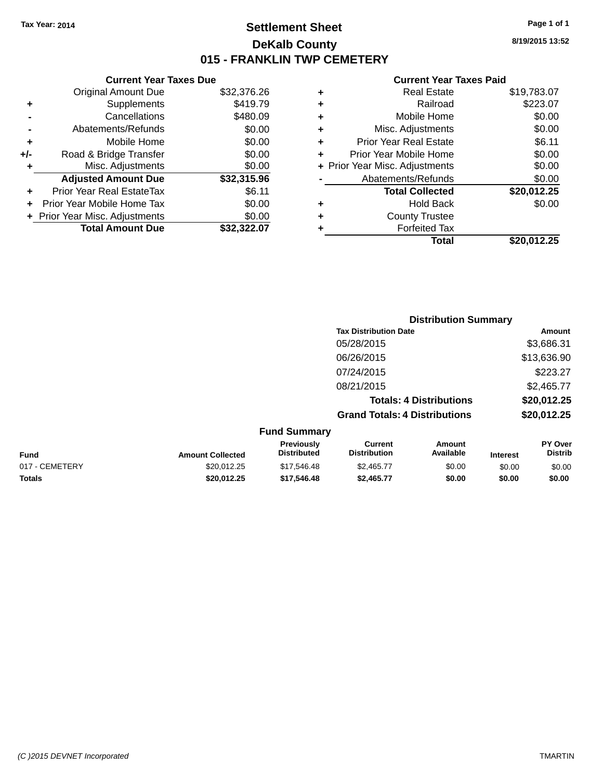### **Settlement Sheet Tax Year: 2014 Page 1 of 1 DeKalb County 015 - FRANKLIN TWP CEMETERY**

**8/19/2015 13:52**

|     | <b>Current Year Taxes Due</b>  |             |  |
|-----|--------------------------------|-------------|--|
|     | <b>Original Amount Due</b>     | \$32,376.26 |  |
| ٠   | Supplements                    | \$419.79    |  |
|     | Cancellations                  | \$480.09    |  |
|     | Abatements/Refunds             | \$0.00      |  |
| ٠   | Mobile Home                    | \$0.00      |  |
| +/- | Road & Bridge Transfer         | \$0.00      |  |
| ٠   | Misc. Adjustments              | \$0.00      |  |
|     | <b>Adjusted Amount Due</b>     | \$32,315.96 |  |
| ٠   | Prior Year Real EstateTax      | \$6.11      |  |
|     | Prior Year Mobile Home Tax     | \$0.00      |  |
|     | + Prior Year Misc. Adjustments | \$0.00      |  |
|     | <b>Total Amount Due</b>        | \$32.322.07 |  |
|     |                                |             |  |

| ٠ | Real Estate                    | \$19,783.07 |
|---|--------------------------------|-------------|
| ٠ | Railroad                       | \$223.07    |
| ٠ | Mobile Home                    | \$0.00      |
| ٠ | Misc. Adjustments              | \$0.00      |
| ٠ | <b>Prior Year Real Estate</b>  | \$6.11      |
| ٠ | Prior Year Mobile Home         | \$0.00      |
|   | + Prior Year Misc. Adjustments | \$0.00      |
|   | Abatements/Refunds             | \$0.00      |
|   | <b>Total Collected</b>         | \$20,012.25 |
| ٠ | <b>Hold Back</b>               | \$0.00      |
| ٠ | <b>County Trustee</b>          |             |
| ٠ | <b>Forfeited Tax</b>           |             |
|   | Total                          | \$20,012.25 |
|   |                                |             |

|                                                                                                                                                                                                                                |                                      | <b>Distribution Summary</b>    |              |
|--------------------------------------------------------------------------------------------------------------------------------------------------------------------------------------------------------------------------------|--------------------------------------|--------------------------------|--------------|
|                                                                                                                                                                                                                                | <b>Tax Distribution Date</b>         |                                | Amount       |
|                                                                                                                                                                                                                                | 05/28/2015                           |                                | \$3,686.31   |
|                                                                                                                                                                                                                                | 06/26/2015                           |                                | \$13,636.90  |
|                                                                                                                                                                                                                                | 07/24/2015                           |                                | \$223.27     |
|                                                                                                                                                                                                                                | 08/21/2015                           |                                | \$2,465.77   |
|                                                                                                                                                                                                                                |                                      | <b>Totals: 4 Distributions</b> | \$20,012.25  |
|                                                                                                                                                                                                                                | <b>Grand Totals: 4 Distributions</b> |                                | \$20,012.25  |
| <b>Fund Summary</b>                                                                                                                                                                                                            |                                      |                                |              |
| Property and the second second second to the second second second to the second second second second second second second second second second second second second second second second second second second second second se |                                      |                                | <b>BY A.</b> |

| Fund           | <b>Amount Collected</b> | <b>Previously</b><br><b>Distributed</b> | Current<br><b>Distribution</b> | Amount<br>Available | <b>Interest</b> | PY Over<br><b>Distrib</b> |
|----------------|-------------------------|-----------------------------------------|--------------------------------|---------------------|-----------------|---------------------------|
| 017 - CEMETERY | \$20.012.25             | \$17.546.48                             | \$2.465.77                     | \$0.00              | \$0.00          | \$0.00                    |
| <b>Totals</b>  | \$20.012.25             | \$17.546.48                             | \$2,465.77                     | \$0.00              | \$0.00          | \$0.00                    |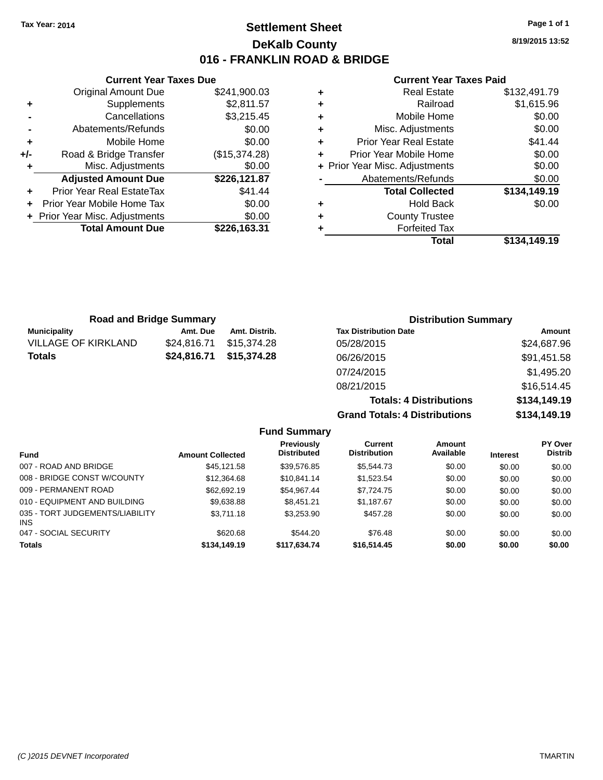### **Settlement Sheet Tax Year: 2014 Page 1 of 1 DeKalb County 016 - FRANKLIN ROAD & BRIDGE**

**8/19/2015 13:52**

#### **Current Year Taxes Paid**

|     | <b>Current Year Taxes Due</b>    |               |  |  |
|-----|----------------------------------|---------------|--|--|
|     | <b>Original Amount Due</b>       | \$241,900.03  |  |  |
| ٠   | Supplements                      | \$2,811.57    |  |  |
|     | \$3,215.45<br>Cancellations      |               |  |  |
|     | Abatements/Refunds               | \$0.00        |  |  |
| ٠   | Mobile Home                      | \$0.00        |  |  |
| +/- | Road & Bridge Transfer           | (\$15,374.28) |  |  |
| ٠   | Misc. Adjustments                | \$0.00        |  |  |
|     | <b>Adjusted Amount Due</b>       | \$226,121.87  |  |  |
| ٠   | <b>Prior Year Real EstateTax</b> | \$41.44       |  |  |
| ÷   | Prior Year Mobile Home Tax       | \$0.00        |  |  |
|     | + Prior Year Misc. Adjustments   | \$0.00        |  |  |
|     | <b>Total Amount Due</b>          | \$226,163.31  |  |  |
|     |                                  |               |  |  |

| ٠ | <b>Real Estate</b>             | \$132,491.79 |
|---|--------------------------------|--------------|
| ٠ | Railroad                       | \$1,615.96   |
| ٠ | Mobile Home                    | \$0.00       |
| ٠ | Misc. Adjustments              | \$0.00       |
| ٠ | <b>Prior Year Real Estate</b>  | \$41.44      |
| ٠ | Prior Year Mobile Home         | \$0.00       |
|   | + Prior Year Misc. Adjustments | \$0.00       |
|   | Abatements/Refunds             | \$0.00       |
|   | <b>Total Collected</b>         | \$134,149.19 |
| ٠ | <b>Hold Back</b>               | \$0.00       |
| ٠ | <b>County Trustee</b>          |              |
| ٠ | <b>Forfeited Tax</b>           |              |
|   | Total                          | \$134.149.19 |

| <b>Road and Bridge Summary</b> |             |                         | <b>Distribution Summary</b>  |               |  |
|--------------------------------|-------------|-------------------------|------------------------------|---------------|--|
| Municipality                   | Amt. Due    | Amt. Distrib.           | <b>Tax Distribution Date</b> | Amount        |  |
| <b>VILLAGE OF KIRKLAND</b>     | \$24.816.71 | \$15.374.28             | 05/28/2015                   | \$24,687.96   |  |
| <b>Totals</b>                  |             | \$24,816.71 \$15,374.28 | 06/26/2015                   | \$91,451.58   |  |
|                                |             |                         | 07/24/2015                   | \$1,495.20    |  |
|                                |             |                         | 09/21/2015                   | $Q$ 16 511 15 |  |

08/21/2015 \$16,514.45 **Totals: 4 Distributions \$134,149.19 Grand Totals: 4 Distributions \$134,149.19**

|                                               |                         | <b>Fund Summary</b>                     |                                |                     |                 |                                  |
|-----------------------------------------------|-------------------------|-----------------------------------------|--------------------------------|---------------------|-----------------|----------------------------------|
| <b>Fund</b>                                   | <b>Amount Collected</b> | <b>Previously</b><br><b>Distributed</b> | Current<br><b>Distribution</b> | Amount<br>Available | <b>Interest</b> | <b>PY Over</b><br><b>Distrib</b> |
| 007 - ROAD AND BRIDGE                         | \$45.121.58             | \$39.576.85                             | \$5,544.73                     | \$0.00              | \$0.00          | \$0.00                           |
| 008 - BRIDGE CONST W/COUNTY                   | \$12,364.68             | \$10.841.14                             | \$1,523,54                     | \$0.00              | \$0.00          | \$0.00                           |
| 009 - PERMANENT ROAD                          | \$62.692.19             | \$54.967.44                             | \$7.724.75                     | \$0.00              | \$0.00          | \$0.00                           |
| 010 - EQUIPMENT AND BUILDING                  | \$9,638.88              | \$8.451.21                              | \$1.187.67                     | \$0.00              | \$0.00          | \$0.00                           |
| 035 - TORT JUDGEMENTS/LIABILITY<br><b>INS</b> | \$3,711.18              | \$3,253,90                              | \$457.28                       | \$0.00              | \$0.00          | \$0.00                           |
| 047 - SOCIAL SECURITY                         | \$620.68                | \$544.20                                | \$76.48                        | \$0.00              | \$0.00          | \$0.00                           |
| <b>Totals</b>                                 | \$134,149.19            | \$117,634.74                            | \$16,514.45                    | \$0.00              | \$0.00          | \$0.00                           |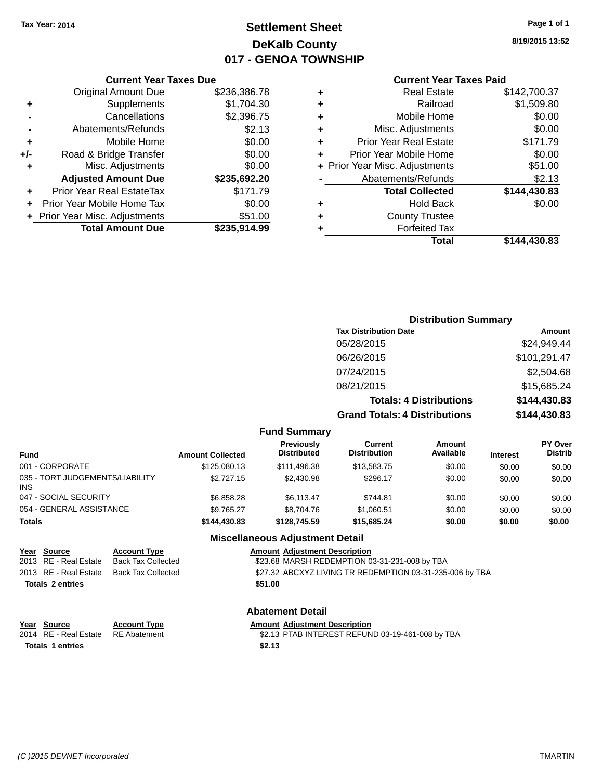### **Settlement Sheet Tax Year: 2014 Page 1 of 1 DeKalb County 017 - GENOA TOWNSHIP**

**8/19/2015 13:52**

#### **Current Year Taxes Paid**

|       | <b>Current Year Taxes Due</b>  |              |
|-------|--------------------------------|--------------|
|       | <b>Original Amount Due</b>     | \$236,386.78 |
| ٠     | Supplements                    | \$1,704.30   |
|       | Cancellations                  | \$2,396.75   |
|       | Abatements/Refunds             | \$2.13       |
| ٠     | Mobile Home                    | \$0.00       |
| $+/-$ | Road & Bridge Transfer         | \$0.00       |
|       | Misc. Adjustments              | \$0.00       |
|       | <b>Adjusted Amount Due</b>     | \$235,692.20 |
| ٠     | Prior Year Real EstateTax      | \$171.79     |
|       | Prior Year Mobile Home Tax     | \$0.00       |
|       | + Prior Year Misc. Adjustments | \$51.00      |
|       | <b>Total Amount Due</b>        | \$235,914.99 |
|       |                                |              |

| ٠ | <b>Real Estate</b>             | \$142,700.37 |
|---|--------------------------------|--------------|
| ٠ | Railroad                       | \$1,509.80   |
| ٠ | Mobile Home                    | \$0.00       |
| ٠ | Misc. Adjustments              | \$0.00       |
| ٠ | <b>Prior Year Real Estate</b>  | \$171.79     |
| ÷ | Prior Year Mobile Home         | \$0.00       |
|   | + Prior Year Misc. Adjustments | \$51.00      |
|   | Abatements/Refunds             | \$2.13       |
|   | <b>Total Collected</b>         | \$144,430.83 |
| ٠ | <b>Hold Back</b>               | \$0.00       |
| ٠ | <b>County Trustee</b>          |              |
|   |                                |              |
| ٠ | <b>Forfeited Tax</b>           |              |
|   | Total                          | \$144,430.83 |

### **Distribution Summary Tax Distribution Date Amount** 05/28/2015 \$24,949.44 06/26/2015 \$101,291.47 07/24/2015 \$2,504.68 08/21/2015 \$15,685.24 **Totals: 4 Distributions \$144,430.83 Grand Totals: 4 Distributions \$144,430.83**

|                                               |                         | <b>Fund Summary</b>                     |                                       |                     |                 |                                  |
|-----------------------------------------------|-------------------------|-----------------------------------------|---------------------------------------|---------------------|-----------------|----------------------------------|
| <b>Fund</b>                                   | <b>Amount Collected</b> | <b>Previously</b><br><b>Distributed</b> | <b>Current</b><br><b>Distribution</b> | Amount<br>Available | <b>Interest</b> | <b>PY Over</b><br><b>Distrib</b> |
| 001 - CORPORATE                               | \$125,080.13            | \$111,496.38                            | \$13,583.75                           | \$0.00              | \$0.00          | \$0.00                           |
| 035 - TORT JUDGEMENTS/LIABILITY<br><b>INS</b> | \$2,727.15              | \$2,430.98                              | \$296.17                              | \$0.00              | \$0.00          | \$0.00                           |
| 047 - SOCIAL SECURITY                         | \$6,858.28              | \$6.113.47                              | \$744.81                              | \$0.00              | \$0.00          | \$0.00                           |
| 054 - GENERAL ASSISTANCE                      | \$9,765.27              | \$8,704.76                              | \$1.060.51                            | \$0.00              | \$0.00          | \$0.00                           |
| <b>Totals</b>                                 | \$144,430.83            | \$128,745.59                            | \$15,685,24                           | \$0.00              | \$0.00          | \$0.00                           |
|                                               |                         | <b>Miscellaneous Adjustment Detail</b>  |                                       |                     |                 |                                  |

| <u>Year Source</u>      | <b>Account Type</b>       | <b>Amount Adjustment Description</b>                     |
|-------------------------|---------------------------|----------------------------------------------------------|
| 2013 RE - Real Estate   | <b>Back Tax Collected</b> | \$23.68 MARSH REDEMPTION 03-31-231-008 by TBA            |
| 2013 RE - Real Estate   | Back Tax Collected        | \$27.32 ABCXYZ LIVING TR REDEMPTION 03-31-235-006 by TBA |
| <b>Totals 2 entries</b> |                           | \$51.00                                                  |
|                         |                           |                                                          |

### **Abatement Detail**

| Year Source<br>2014 RE - Real Estate RE Abatement | <b>Account Type</b> | <b>Amount Adjustment Description</b><br>\$2.13 PTAB INTEREST REFUND 03-19-461-008 by TBA |
|---------------------------------------------------|---------------------|------------------------------------------------------------------------------------------|
| Totals 1 entries                                  |                     | \$2.13                                                                                   |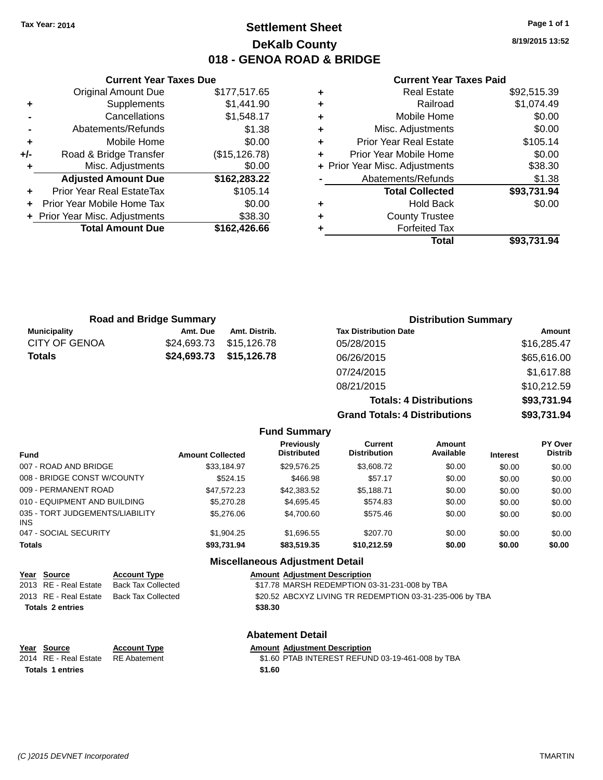### **Settlement Sheet Tax Year: 2014 Page 1 of 1 DeKalb County 018 - GENOA ROAD & BRIDGE**

**8/19/2015 13:52**

#### **Current Year Taxes Paid**

|     | <b>Current Year Taxes Due</b>  |                |
|-----|--------------------------------|----------------|
|     | <b>Original Amount Due</b>     | \$177,517.65   |
| ٠   | Supplements                    | \$1,441.90     |
|     | Cancellations                  | \$1,548.17     |
|     | Abatements/Refunds             | \$1.38         |
| ٠   | Mobile Home                    | \$0.00         |
| +/- | Road & Bridge Transfer         | (\$15, 126.78) |
|     | Misc. Adjustments              | \$0.00         |
|     | <b>Adjusted Amount Due</b>     | \$162,283.22   |
| ٠   | Prior Year Real EstateTax      | \$105.14       |
|     | Prior Year Mobile Home Tax     | \$0.00         |
|     | + Prior Year Misc. Adjustments | \$38.30        |
|     | <b>Total Amount Due</b>        | \$162,426.66   |
|     |                                |                |

|   | <b>Real Estate</b>             | \$92,515.39 |
|---|--------------------------------|-------------|
| ÷ | Railroad                       | \$1,074.49  |
| ٠ | Mobile Home                    | \$0.00      |
| ٠ | Misc. Adjustments              | \$0.00      |
| ٠ | <b>Prior Year Real Estate</b>  | \$105.14    |
| ٠ | Prior Year Mobile Home         | \$0.00      |
|   | + Prior Year Misc. Adjustments | \$38.30     |
|   | Abatements/Refunds             | \$1.38      |
|   | <b>Total Collected</b>         | \$93,731.94 |
| ٠ | <b>Hold Back</b>               | \$0.00      |
| ٠ | <b>County Trustee</b>          |             |
| ٠ | <b>Forfeited Tax</b>           |             |
|   | Total                          | \$93,731.94 |
|   |                                |             |

|                      | <b>Road and Bridge Summary</b> |               | <b>Distribution Summary</b>          |             |
|----------------------|--------------------------------|---------------|--------------------------------------|-------------|
| <b>Municipality</b>  | Amt. Due                       | Amt. Distrib. | <b>Tax Distribution Date</b>         | Amount      |
| <b>CITY OF GENOA</b> | \$24,693.73                    | \$15,126.78   | 05/28/2015                           | \$16,285.47 |
| Totals               | \$24,693.73                    | \$15,126.78   | 06/26/2015                           | \$65,616.00 |
|                      |                                |               | 07/24/2015                           | \$1,617.88  |
|                      |                                |               | 08/21/2015                           | \$10,212.59 |
|                      |                                |               | <b>Totals: 4 Distributions</b>       | \$93,731.94 |
|                      |                                |               | <b>Grand Totals: 4 Distributions</b> | \$93,731.94 |

| <b>Fund</b>                             | <b>Amount Collected</b> | <b>Previously</b><br><b>Distributed</b> | Current<br><b>Distribution</b> | Amount<br>Available | <b>Interest</b> | <b>PY Over</b><br><b>Distrib</b> |
|-----------------------------------------|-------------------------|-----------------------------------------|--------------------------------|---------------------|-----------------|----------------------------------|
| 007 - ROAD AND BRIDGE                   | \$33.184.97             | \$29.576.25                             | \$3,608.72                     | \$0.00              | \$0.00          | \$0.00                           |
| 008 - BRIDGE CONST W/COUNTY             | \$524.15                | \$466.98                                | \$57.17                        | \$0.00              | \$0.00          | \$0.00                           |
| 009 - PERMANENT ROAD                    | \$47.572.23             | \$42,383.52                             | \$5,188.71                     | \$0.00              | \$0.00          | \$0.00                           |
| 010 - EQUIPMENT AND BUILDING            | \$5,270.28              | \$4,695.45                              | \$574.83                       | \$0.00              | \$0.00          | \$0.00                           |
| 035 - TORT JUDGEMENTS/LIABILITY<br>INS. | \$5,276,06              | \$4,700.60                              | \$575.46                       | \$0.00              | \$0.00          | \$0.00                           |
| 047 - SOCIAL SECURITY                   | \$1,904.25              | \$1,696.55                              | \$207.70                       | \$0.00              | \$0.00          | \$0.00                           |
| <b>Totals</b>                           | \$93,731.94             | \$83,519.35                             | \$10,212.59                    | \$0.00              | \$0.00          | \$0.00                           |

#### **Miscellaneous Adjustment Detail**

**Abatement Detail**

| Year Source             | <b>Account Type</b>       |         | <b>Amount Adjustment Description</b>                     |
|-------------------------|---------------------------|---------|----------------------------------------------------------|
| 2013 RE - Real Estate   | <b>Back Tax Collected</b> |         | \$17.78 MARSH REDEMPTION 03-31-231-008 by TBA            |
| 2013 RE - Real Estate   | Back Tax Collected        |         | \$20.52 ABCXYZ LIVING TR REDEMPTION 03-31-235-006 by TBA |
| <b>Totals 2 entries</b> |                           | \$38.30 |                                                          |
|                         |                           |         |                                                          |

| Year Source                        | <b>Account Type</b> | <b>Amount Adiustment Description</b> |
|------------------------------------|---------------------|--------------------------------------|
| 2014 RE - Real Estate RE Abatement |                     | \$1.60 PTAB INTEREST REFUN           |
| <b>Totals 1 entries</b>            |                     | \$1.60                               |

batement **2014 81.60 PTAB INTEREST REFUND 03-19-461-008 by TBA**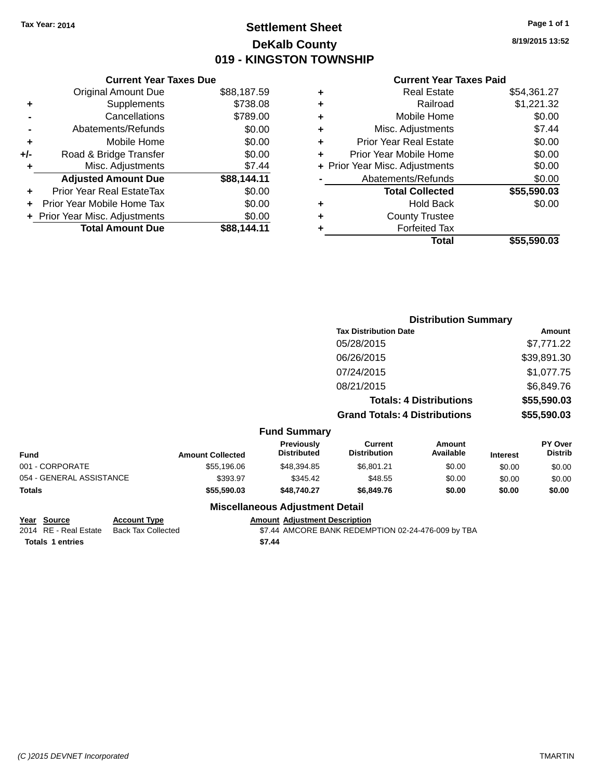### **Settlement Sheet Tax Year: 2014 Page 1 of 1 DeKalb County 019 - KINGSTON TOWNSHIP**

**8/19/2015 13:52**

#### **Current Year Taxes Paid**

| <b>Current Year Taxes Due</b> |                         |
|-------------------------------|-------------------------|
| <b>Original Amount Due</b>    | \$88,187.59             |
| Supplements                   | \$738.08                |
| Cancellations                 | \$789.00                |
| Abatements/Refunds            | \$0.00                  |
| Mobile Home                   | \$0.00                  |
| Road & Bridge Transfer        | \$0.00                  |
| Misc. Adjustments             | \$7.44                  |
| <b>Adjusted Amount Due</b>    | \$88,144.11             |
| Prior Year Real EstateTax     | \$0.00                  |
| Prior Year Mobile Home Tax    | \$0.00                  |
| Prior Year Misc. Adjustments  | \$0.00                  |
|                               | \$88.144.11             |
|                               | <b>Total Amount Due</b> |

|   | <b>Real Estate</b>             | \$54,361.27 |
|---|--------------------------------|-------------|
| ٠ | Railroad                       | \$1,221.32  |
| ٠ | Mobile Home                    | \$0.00      |
| ٠ | Misc. Adjustments              | \$7.44      |
| ٠ | <b>Prior Year Real Estate</b>  | \$0.00      |
| ٠ | Prior Year Mobile Home         | \$0.00      |
|   | + Prior Year Misc. Adjustments | \$0.00      |
|   | Abatements/Refunds             | \$0.00      |
|   | <b>Total Collected</b>         | \$55,590.03 |
| ٠ | <b>Hold Back</b>               | \$0.00      |
| ٠ | <b>County Trustee</b>          |             |
| ٠ | <b>Forfeited Tax</b>           |             |
|   | Total                          | \$55,590.03 |
|   |                                |             |

|                          |                              |                                  | <b>Distribution Summary</b>           |                                |                 |                           |
|--------------------------|------------------------------|----------------------------------|---------------------------------------|--------------------------------|-----------------|---------------------------|
|                          | <b>Tax Distribution Date</b> |                                  |                                       |                                | Amount          |                           |
|                          |                              |                                  | 05/28/2015                            |                                |                 | \$7,771.22                |
|                          |                              |                                  | 06/26/2015                            |                                |                 | \$39,891.30               |
|                          |                              |                                  | 07/24/2015                            |                                |                 | \$1,077.75                |
|                          |                              |                                  | 08/21/2015                            |                                |                 | \$6,849.76                |
|                          |                              |                                  |                                       | <b>Totals: 4 Distributions</b> |                 | \$55,590.03               |
|                          |                              |                                  | <b>Grand Totals: 4 Distributions</b>  |                                |                 | \$55,590.03               |
|                          |                              | <b>Fund Summary</b>              |                                       |                                |                 |                           |
| <b>Fund</b>              | <b>Amount Collected</b>      | Previously<br><b>Distributed</b> | <b>Current</b><br><b>Distribution</b> | <b>Amount</b><br>Available     | <b>Interest</b> | PY Over<br><b>Distrib</b> |
| 001 - CORPORATE          | \$55,196.06                  | \$48,394.85                      | \$6,801.21                            | \$0.00                         | \$0.00          | \$0.00                    |
| 054 - GENERAL ASSISTANCE | \$393.97                     | \$345.42                         | \$48.55                               | \$0.00                         | \$0.00          | \$0.00                    |
| Totals                   | \$55,590.03                  | \$48,740.27                      | \$6,849.76                            | \$0.00                         | \$0.00          | \$0.00                    |
|                          |                              | Missellanesse Adhistocat Datall  |                                       |                                |                 |                           |

# **Year Source Account Type Amount Adjustment Description**<br>2014 RE - Real Estate Back Tax Collected \$7.44 AMCORE BANK REDEM

**Totals \$7.44 1 entries**

### **Miscellaneous Adjustment Detail**

\$7.44 AMCORE BANK REDEMPTION 02-24-476-009 by TBA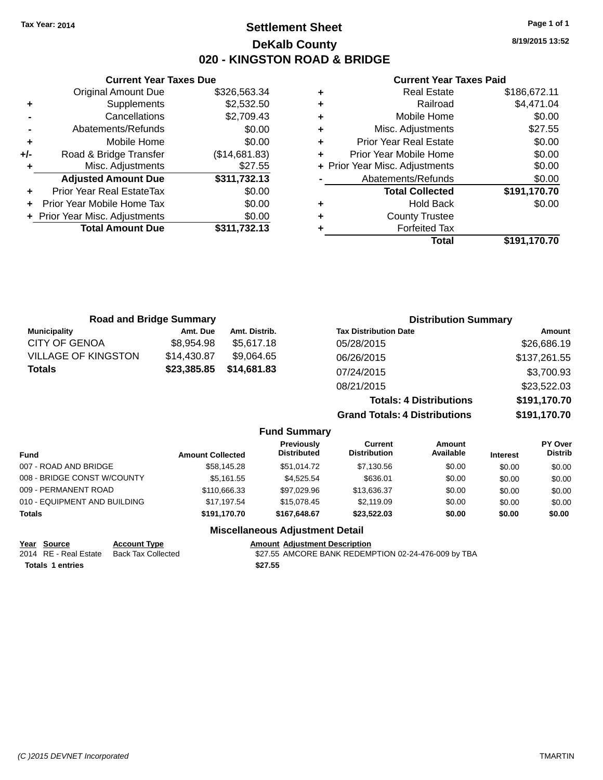### **Settlement Sheet Tax Year: 2014 Page 1 of 1 DeKalb County 020 - KINGSTON ROAD & BRIDGE**

**8/19/2015 13:52**

#### **Current Year Taxes Paid**

|            |   | Total                          | \$191,170.70 |
|------------|---|--------------------------------|--------------|
| 311,732.13 |   | <b>Forfeited Tax</b>           |              |
| \$0.00     | ٠ | <b>County Trustee</b>          |              |
| \$0.00     | ٠ | <b>Hold Back</b>               | \$0.00       |
| \$0.00     |   | <b>Total Collected</b>         | \$191,170.70 |
| 311,732.13 |   | Abatements/Refunds             | \$0.00       |
| \$27.55    |   | + Prior Year Misc. Adjustments | \$0.00       |
| 14,681.83) | ٠ | Prior Year Mobile Home         | \$0.00       |
| \$0.00     | ٠ | <b>Prior Year Real Estate</b>  | \$0.00       |
| \$0.00     | ٠ | Misc. Adjustments              | \$27.55      |
| \$2,709.43 | ٠ | Mobile Home                    | \$0.00       |
| \$2,532.50 | ٠ | Railroad                       | \$4,471.04   |
| 326,563.34 | ٠ | <b>Real Estate</b>             | \$186,672.11 |
|            |   |                                |              |

|     | <b>Current Year Taxes Due</b>  |               |
|-----|--------------------------------|---------------|
|     | <b>Original Amount Due</b>     | \$326,563.34  |
| ٠   | Supplements                    | \$2,532.50    |
|     | Cancellations                  | \$2,709.43    |
|     | Abatements/Refunds             | \$0.00        |
| ٠   | Mobile Home                    | \$0.00        |
| +/- | Road & Bridge Transfer         | (\$14,681.83) |
| ٠   | Misc. Adjustments              | \$27.55       |
|     | <b>Adjusted Amount Due</b>     | \$311,732.13  |
| ٠   | Prior Year Real EstateTax      | \$0.00        |
|     | Prior Year Mobile Home Tax     | \$0.00        |
|     | + Prior Year Misc. Adjustments | \$0.00        |
|     | <b>Total Amount Due</b>        | \$311.732.13  |
|     |                                |               |

| <b>Road and Bridge Summary</b> |             |                     | <b>Distribution Summary</b>          |              |
|--------------------------------|-------------|---------------------|--------------------------------------|--------------|
| <b>Municipality</b>            | Amt. Due    | Amt. Distrib.       | <b>Tax Distribution Date</b>         | Amount       |
| <b>CITY OF GENOA</b>           | \$8,954.98  | \$5,617.18          | 05/28/2015                           | \$26,686.19  |
| <b>VILLAGE OF KINGSTON</b>     | \$14,430.87 | \$9,064.65          | 06/26/2015                           | \$137,261.55 |
| <b>Totals</b>                  | \$23,385.85 | \$14,681.83         | 07/24/2015                           | \$3,700.93   |
|                                |             |                     | 08/21/2015                           | \$23,522.03  |
|                                |             |                     | <b>Totals: 4 Distributions</b>       | \$191,170.70 |
|                                |             |                     | <b>Grand Totals: 4 Distributions</b> | \$191,170.70 |
|                                |             | <b>Fund Summary</b> |                                      |              |

| <b>Fund</b>                  | <b>Amount Collected</b> | Previously<br><b>Distributed</b> | Current<br><b>Distribution</b> | Amount<br>Available | <b>Interest</b> | <b>PY Over</b><br><b>Distrib</b> |
|------------------------------|-------------------------|----------------------------------|--------------------------------|---------------------|-----------------|----------------------------------|
| 007 - ROAD AND BRIDGE        | \$58,145.28             | \$51.014.72                      | \$7,130.56                     | \$0.00              | \$0.00          | \$0.00                           |
| 008 - BRIDGE CONST W/COUNTY  | \$5.161.55              | \$4.525.54                       | \$636.01                       | \$0.00              | \$0.00          | \$0.00                           |
| 009 - PERMANENT ROAD         | \$110,666,33            | \$97.029.96                      | \$13.636.37                    | \$0.00              | \$0.00          | \$0.00                           |
| 010 - EQUIPMENT AND BUILDING | \$17.197.54             | \$15,078.45                      | \$2,119.09                     | \$0.00              | \$0.00          | \$0.00                           |
| <b>Totals</b>                | \$191.170.70            | \$167.648.67                     | \$23,522.03                    | \$0.00              | \$0.00          | \$0.00                           |

#### **Miscellaneous Adjustment Detail**

| Year Source             | <b>Account Type</b> | <b>Amount Adjustment Description</b>                |
|-------------------------|---------------------|-----------------------------------------------------|
| 2014 RE - Real Estate   | Back Tax Collected  | \$27.55 AMCORE BANK REDEMPTION 02-24-476-009 by TBA |
| <b>Totals 1 entries</b> |                     | \$27.55                                             |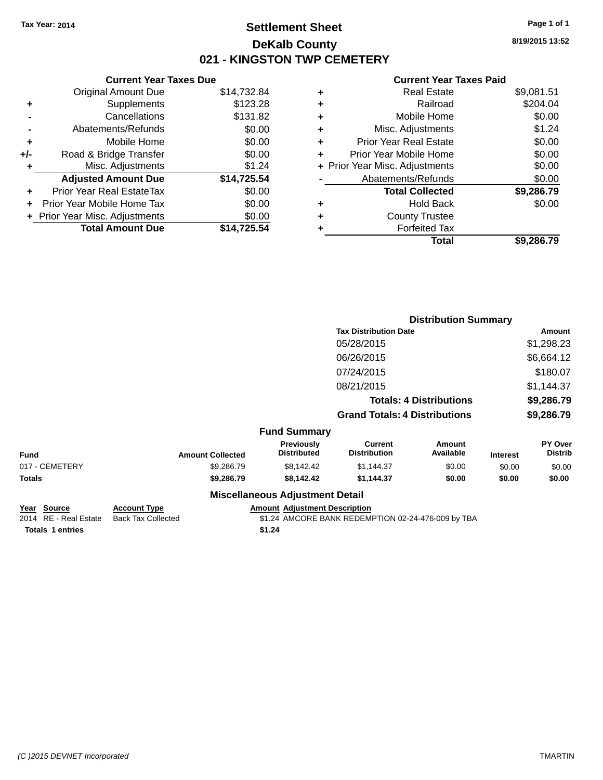### **Settlement Sheet Tax Year: 2014 Page 1 of 1 DeKalb County 021 - KINGSTON TWP CEMETERY**

**8/19/2015 13:52**

#### **Current Year Taxes Paid**

|     | <b>Current Year Taxes Due</b>  |             |
|-----|--------------------------------|-------------|
|     | <b>Original Amount Due</b>     | \$14,732.84 |
| ٠   | Supplements                    | \$123.28    |
|     | Cancellations                  | \$131.82    |
|     | Abatements/Refunds             | \$0.00      |
| ٠   | Mobile Home                    | \$0.00      |
| +/- | Road & Bridge Transfer         | \$0.00      |
| ٠   | Misc. Adjustments              | \$1.24      |
|     | <b>Adjusted Amount Due</b>     | \$14,725.54 |
|     | Prior Year Real EstateTax      | \$0.00      |
|     | Prior Year Mobile Home Tax     | \$0.00      |
|     | + Prior Year Misc. Adjustments | \$0.00      |
|     | <b>Total Amount Due</b>        | \$14.725.54 |
|     |                                |             |

| ٠ | <b>Real Estate</b>             | \$9,081.51 |
|---|--------------------------------|------------|
| ٠ | Railroad                       | \$204.04   |
| ٠ | Mobile Home                    | \$0.00     |
| ٠ | Misc. Adjustments              | \$1.24     |
| ٠ | <b>Prior Year Real Estate</b>  | \$0.00     |
|   | Prior Year Mobile Home         | \$0.00     |
|   | + Prior Year Misc. Adjustments | \$0.00     |
|   | Abatements/Refunds             | \$0.00     |
|   | <b>Total Collected</b>         | \$9,286.79 |
| ٠ | <b>Hold Back</b>               | \$0.00     |
| ٠ | <b>County Trustee</b>          |            |
| ٠ | <b>Forfeited Tax</b>           |            |
|   | Total                          | \$9,286.79 |
|   |                                |            |

|                                |                         |                                        |                                       | <b>Distribution Summary</b> |                 |                           |
|--------------------------------|-------------------------|----------------------------------------|---------------------------------------|-----------------------------|-----------------|---------------------------|
|                                |                         |                                        | <b>Tax Distribution Date</b>          |                             |                 | Amount                    |
|                                |                         |                                        | 05/28/2015                            |                             |                 | \$1,298.23                |
|                                |                         |                                        | 06/26/2015                            |                             |                 | \$6,664.12                |
|                                |                         |                                        | 07/24/2015                            |                             |                 | \$180.07                  |
|                                |                         |                                        | 08/21/2015                            |                             |                 | \$1,144.37                |
| <b>Totals: 4 Distributions</b> |                         |                                        | \$9,286.79                            |                             |                 |                           |
|                                |                         |                                        | <b>Grand Totals: 4 Distributions</b>  |                             |                 | \$9,286.79                |
|                                |                         | <b>Fund Summary</b>                    |                                       |                             |                 |                           |
| <b>Fund</b>                    | <b>Amount Collected</b> | Previously<br><b>Distributed</b>       | <b>Current</b><br><b>Distribution</b> | <b>Amount</b><br>Available  | <b>Interest</b> | PY Over<br><b>Distrib</b> |
| 017 - CEMETERY                 | \$9,286.79              | \$8,142.42                             | \$1,144.37                            | \$0.00                      | \$0.00          | \$0.00                    |
| Totals                         | \$9,286.79              | \$8,142.42                             | \$1,144.37                            | \$0.00                      | \$0.00          | \$0.00                    |
|                                |                         | <b>Miscellaneous Adjustment Detail</b> |                                       |                             |                 |                           |

| Year Source             | <b>Account Type</b>       | Amount Adju |
|-------------------------|---------------------------|-------------|
| 2014 RE - Real Estate   | <b>Back Tax Collected</b> | \$1.24 AMC  |
| <b>Totals 1 entries</b> |                           | \$1.24      |

**<u>Instment Description</u>** 20RE BANK REDEMPTION 02-24-476-009 by TBA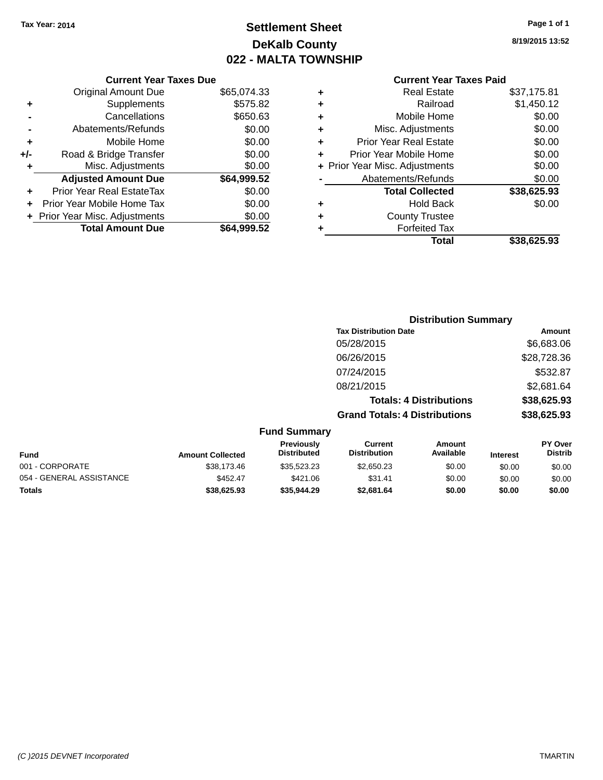### **Settlement Sheet Tax Year: 2014 Page 1 of 1 DeKalb County 022 - MALTA TOWNSHIP**

**8/19/2015 13:52**

|     | <b>Current Year Taxes Due</b>  |             |  |  |
|-----|--------------------------------|-------------|--|--|
|     | <b>Original Amount Due</b>     | \$65,074.33 |  |  |
| ٠   | Supplements                    | \$575.82    |  |  |
|     | Cancellations                  | \$650.63    |  |  |
|     | Abatements/Refunds             | \$0.00      |  |  |
| ٠   | Mobile Home                    | \$0.00      |  |  |
| +/- | Road & Bridge Transfer         | \$0.00      |  |  |
| ٠   | Misc. Adjustments              | \$0.00      |  |  |
|     | <b>Adjusted Amount Due</b>     | \$64,999.52 |  |  |
| ٠   | Prior Year Real EstateTax      | \$0.00      |  |  |
|     | Prior Year Mobile Home Tax     | \$0.00      |  |  |
|     | + Prior Year Misc. Adjustments | \$0.00      |  |  |
|     | <b>Total Amount Due</b>        | \$64,999.52 |  |  |
|     |                                |             |  |  |

| ٠ | <b>Real Estate</b>             | \$37,175.81 |
|---|--------------------------------|-------------|
| ٠ | Railroad                       | \$1,450.12  |
| ٠ | Mobile Home                    | \$0.00      |
| ٠ | Misc. Adjustments              | \$0.00      |
| ٠ | <b>Prior Year Real Estate</b>  | \$0.00      |
| ÷ | Prior Year Mobile Home         | \$0.00      |
|   | + Prior Year Misc. Adjustments | \$0.00      |
|   | Abatements/Refunds             | \$0.00      |
|   | <b>Total Collected</b>         | \$38,625.93 |
| ٠ | <b>Hold Back</b>               | \$0.00      |
| ٠ | <b>County Trustee</b>          |             |
| ٠ | <b>Forfeited Tax</b>           |             |
|   | Total                          | \$38,625.93 |
|   |                                |             |

|                     | <b>Distribution Summary</b>          |               |
|---------------------|--------------------------------------|---------------|
|                     | <b>Tax Distribution Date</b>         | <b>Amount</b> |
|                     | 05/28/2015                           | \$6,683.06    |
|                     | 06/26/2015                           | \$28,728.36   |
|                     | 07/24/2015                           | \$532.87      |
|                     | 08/21/2015                           | \$2,681.64    |
|                     | <b>Totals: 4 Distributions</b>       | \$38,625.93   |
|                     | <b>Grand Totals: 4 Distributions</b> | \$38,625.93   |
| <b>Fund Summary</b> |                                      |               |

| Fund Summary             |                         |                                         |                                |                     |                 |                                  |
|--------------------------|-------------------------|-----------------------------------------|--------------------------------|---------------------|-----------------|----------------------------------|
| <b>Fund</b>              | <b>Amount Collected</b> | <b>Previously</b><br><b>Distributed</b> | Current<br><b>Distribution</b> | Amount<br>Available | <b>Interest</b> | <b>PY Over</b><br><b>Distrib</b> |
| 001 - CORPORATE          | \$38,173,46             | \$35.523.23                             | \$2,650.23                     | \$0.00              | \$0.00          | \$0.00                           |
| 054 - GENERAL ASSISTANCE | \$452.47                | \$421.06                                | \$31.41                        | \$0.00              | \$0.00          | \$0.00                           |
| <b>Totals</b>            | \$38,625.93             | \$35.944.29                             | \$2,681.64                     | \$0.00              | \$0.00          | \$0.00                           |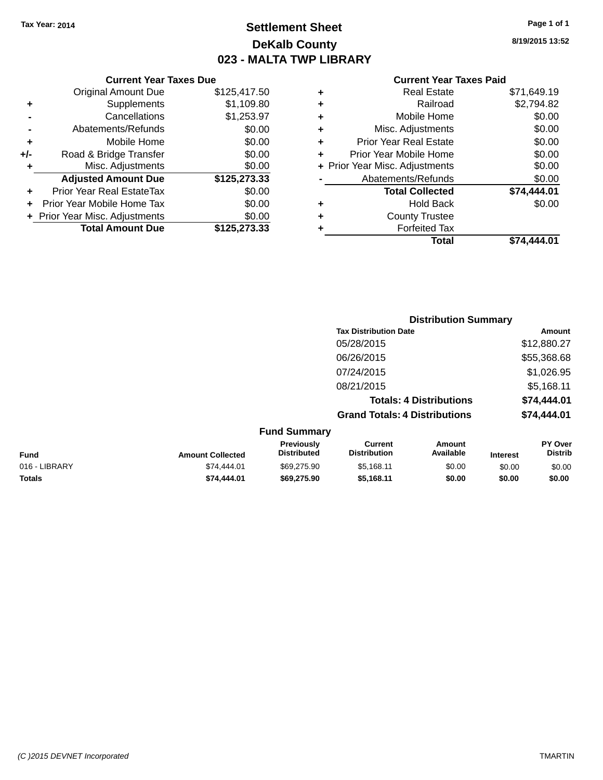### **Settlement Sheet Tax Year: 2014 Page 1 of 1 DeKalb County 023 - MALTA TWP LIBRARY**

**8/19/2015 13:52**

|     | <b>Current Year Taxes Due</b>  |              |  |  |
|-----|--------------------------------|--------------|--|--|
|     | <b>Original Amount Due</b>     | \$125,417.50 |  |  |
| ٠   | Supplements                    | \$1,109.80   |  |  |
|     | Cancellations                  | \$1,253.97   |  |  |
|     | Abatements/Refunds             | \$0.00       |  |  |
| ٠   | Mobile Home                    | \$0.00       |  |  |
| +/- | Road & Bridge Transfer         | \$0.00       |  |  |
| ٠   | Misc. Adjustments              | \$0.00       |  |  |
|     | <b>Adjusted Amount Due</b>     | \$125,273.33 |  |  |
| ٠   | Prior Year Real EstateTax      | \$0.00       |  |  |
|     | Prior Year Mobile Home Tax     | \$0.00       |  |  |
|     | + Prior Year Misc. Adjustments | \$0.00       |  |  |
|     | <b>Total Amount Due</b>        | \$125,273.33 |  |  |
|     |                                |              |  |  |

|   | <b>Real Estate</b>             | \$71,649.19 |
|---|--------------------------------|-------------|
| ٠ | Railroad                       | \$2,794.82  |
| ٠ | Mobile Home                    | \$0.00      |
| ٠ | Misc. Adjustments              | \$0.00      |
| ٠ | <b>Prior Year Real Estate</b>  | \$0.00      |
| ÷ | Prior Year Mobile Home         | \$0.00      |
|   | + Prior Year Misc. Adjustments | \$0.00      |
|   | Abatements/Refunds             | \$0.00      |
|   | <b>Total Collected</b>         | \$74,444.01 |
| ٠ | <b>Hold Back</b>               | \$0.00      |
| ٠ | <b>County Trustee</b>          |             |
| ٠ | <b>Forfeited Tax</b>           |             |
|   | Total                          | \$74.444.01 |
|   |                                |             |

|                     | <b>Distribution Summary</b>          |             |
|---------------------|--------------------------------------|-------------|
|                     | <b>Tax Distribution Date</b>         | Amount      |
|                     | 05/28/2015                           | \$12,880.27 |
|                     | 06/26/2015                           | \$55,368.68 |
|                     | 07/24/2015                           | \$1,026.95  |
|                     | 08/21/2015                           | \$5,168.11  |
|                     | <b>Totals: 4 Distributions</b>       | \$74,444.01 |
|                     | <b>Grand Totals: 4 Distributions</b> | \$74,444.01 |
| <b>Fund Summary</b> |                                      |             |

|               |                         | .                                       |                                |                     |                 |                                  |
|---------------|-------------------------|-----------------------------------------|--------------------------------|---------------------|-----------------|----------------------------------|
| Fund          | <b>Amount Collected</b> | <b>Previously</b><br><b>Distributed</b> | Current<br><b>Distribution</b> | Amount<br>Available | <b>Interest</b> | <b>PY Over</b><br><b>Distrib</b> |
| 016 - LIBRARY | \$74,444.01             | \$69,275.90                             | \$5.168.11                     | \$0.00              | \$0.00          | \$0.00                           |
| <b>Totals</b> | \$74,444.01             | \$69,275.90                             | \$5.168.11                     | \$0.00              | \$0.00          | \$0.00                           |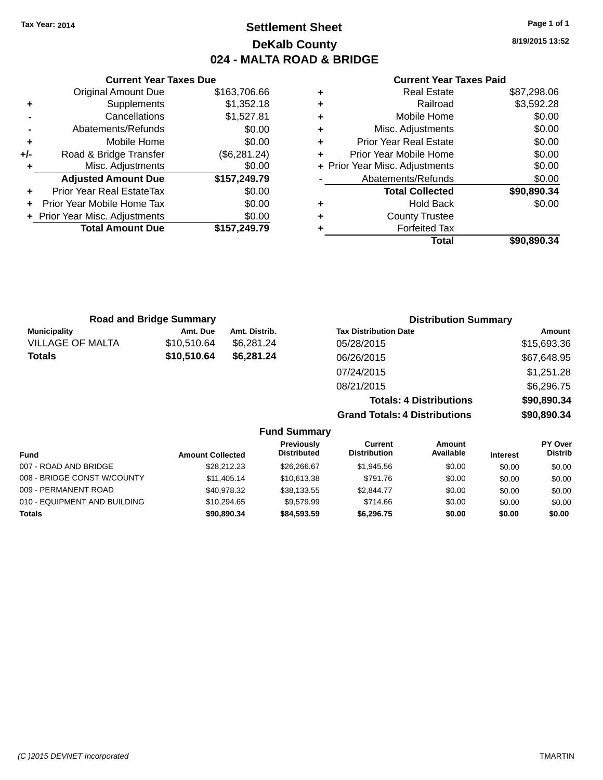### **Settlement Sheet Tax Year: 2014 Page 1 of 1 DeKalb County 024 - MALTA ROAD & BRIDGE**

**Current Year Taxes Due** Original Amount Due \$163,706.66 **+** Supplements \$1,352.18 **-** Cancellations \$1,527.81 **-** Abatements/Refunds \$0.00 **+** Mobile Home \$0.00 **+/-** Road & Bridge Transfer (\$6,281.24) **+** Misc. Adjustments \$0.00 **Adjusted Amount Due \$157,249.79 +** Prior Year Real EstateTax \$0.00 **+** Prior Year Mobile Home Tax \$0.00 **+ Prior Year Misc. Adjustments**  $$0.00$ **Total Amount Due \$157,249.79**

#### **Current Year Taxes Paid**

| ٠ | <b>Real Estate</b>             | \$87,298.06 |
|---|--------------------------------|-------------|
| ٠ | Railroad                       | \$3,592.28  |
| ٠ | Mobile Home                    | \$0.00      |
| ٠ | Misc. Adjustments              | \$0.00      |
| ٠ | <b>Prior Year Real Estate</b>  | \$0.00      |
| ٠ | Prior Year Mobile Home         | \$0.00      |
|   | + Prior Year Misc. Adjustments | \$0.00      |
|   | Abatements/Refunds             | \$0.00      |
|   | <b>Total Collected</b>         | \$90,890.34 |
| ٠ | <b>Hold Back</b>               | \$0.00      |
| ٠ | <b>County Trustee</b>          |             |
| ٠ | <b>Forfeited Tax</b>           |             |
|   | Total                          | \$90,890.34 |
|   |                                |             |

|                         | <b>Road and Bridge Summary</b> |               | <b>Distribution Summary</b>    |             |
|-------------------------|--------------------------------|---------------|--------------------------------|-------------|
| <b>Municipality</b>     | Amt. Due                       | Amt. Distrib. | <b>Tax Distribution Date</b>   | Amount      |
| <b>VILLAGE OF MALTA</b> | \$10,510.64                    | \$6.281.24    | 05/28/2015                     | \$15,693.36 |
| <b>Totals</b>           | \$10,510.64                    | \$6,281.24    | 06/26/2015                     | \$67,648.95 |
|                         |                                |               | 07/24/2015                     | \$1,251.28  |
|                         |                                |               | 08/21/2015                     | \$6,296.75  |
|                         |                                |               | <b>Totals: 4 Distributions</b> | \$90,890.34 |

**Grand Totals: 4 Distributions \$90,890.34**

|                              |                         | <b>Fund Summary</b>                     |                                |                            |                 |                                  |
|------------------------------|-------------------------|-----------------------------------------|--------------------------------|----------------------------|-----------------|----------------------------------|
| Fund                         | <b>Amount Collected</b> | <b>Previously</b><br><b>Distributed</b> | Current<br><b>Distribution</b> | <b>Amount</b><br>Available | <b>Interest</b> | <b>PY Over</b><br><b>Distrib</b> |
| 007 - ROAD AND BRIDGE        | \$28,212,23             | \$26,266,67                             | \$1,945.56                     | \$0.00                     | \$0.00          | \$0.00                           |
| 008 - BRIDGE CONST W/COUNTY  | \$11.405.14             | \$10,613.38                             | \$791.76                       | \$0.00                     | \$0.00          | \$0.00                           |
| 009 - PERMANENT ROAD         | \$40.978.32             | \$38,133.55                             | \$2,844.77                     | \$0.00                     | \$0.00          | \$0.00                           |
| 010 - EQUIPMENT AND BUILDING | \$10,294.65             | \$9,579.99                              | \$714.66                       | \$0.00                     | \$0.00          | \$0.00                           |
| <b>Totals</b>                | \$90,890.34             | \$84,593,59                             | \$6,296.75                     | \$0.00                     | \$0.00          | \$0.00                           |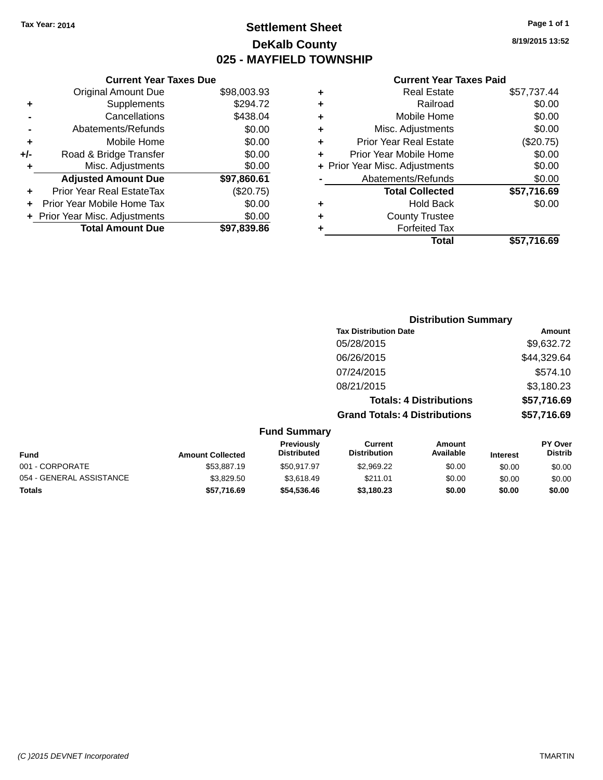### **Settlement Sheet Tax Year: 2014 Page 1 of 1 DeKalb County 025 - MAYFIELD TOWNSHIP**

**8/19/2015 13:52**

|       | <b>Current Year Taxes Due</b>  |             |
|-------|--------------------------------|-------------|
|       | <b>Original Amount Due</b>     | \$98,003.93 |
| ٠     | Supplements                    | \$294.72    |
|       | Cancellations                  | \$438.04    |
|       | Abatements/Refunds             | \$0.00      |
| ٠     | Mobile Home                    | \$0.00      |
| $+/-$ | Road & Bridge Transfer         | \$0.00      |
| ٠     | Misc. Adjustments              | \$0.00      |
|       | <b>Adjusted Amount Due</b>     | \$97,860.61 |
| ٠     | Prior Year Real EstateTax      | (\$20.75)   |
|       | Prior Year Mobile Home Tax     | \$0.00      |
|       | + Prior Year Misc. Adjustments | \$0.00      |
|       | <b>Total Amount Due</b>        | \$97,839.86 |
|       |                                |             |

| ٠ | <b>Real Estate</b>             | \$57,737.44 |
|---|--------------------------------|-------------|
| ٠ | Railroad                       | \$0.00      |
| ٠ | Mobile Home                    | \$0.00      |
| ٠ | Misc. Adjustments              | \$0.00      |
| ٠ | <b>Prior Year Real Estate</b>  | (\$20.75)   |
| ٠ | Prior Year Mobile Home         | \$0.00      |
|   | + Prior Year Misc. Adjustments | \$0.00      |
|   | Abatements/Refunds             | \$0.00      |
|   | <b>Total Collected</b>         | \$57,716.69 |
| ٠ | <b>Hold Back</b>               | \$0.00      |
| ٠ | <b>County Trustee</b>          |             |
|   | <b>Forfeited Tax</b>           |             |
|   | Total                          | \$57,716.69 |
|   |                                |             |

|                     |                                      | <b>Distribution Summary</b>    |                |
|---------------------|--------------------------------------|--------------------------------|----------------|
|                     | <b>Tax Distribution Date</b>         |                                | Amount         |
|                     | 05/28/2015                           |                                | \$9,632.72     |
|                     | 06/26/2015                           |                                | \$44,329.64    |
|                     | 07/24/2015                           |                                | \$574.10       |
|                     | 08/21/2015                           |                                | \$3,180.23     |
|                     |                                      | <b>Totals: 4 Distributions</b> | \$57,716.69    |
|                     | <b>Grand Totals: 4 Distributions</b> |                                | \$57,716.69    |
| <b>Fund Summary</b> |                                      |                                |                |
| <b>Previously</b>   | <b>Current</b>                       | <b>Amount</b>                  | <b>PY Over</b> |

| <b>Fund</b>              | <b>Amount Collected</b> | <b>Previously</b><br><b>Distributed</b> | Current<br><b>Distribution</b> | Amount<br>Available | <b>Interest</b> | <b>PT OVER</b><br><b>Distrib</b> |
|--------------------------|-------------------------|-----------------------------------------|--------------------------------|---------------------|-----------------|----------------------------------|
| 001 - CORPORATE          | \$53,887.19             | \$50.917.97                             | \$2.969.22                     | \$0.00              | \$0.00          | \$0.00                           |
| 054 - GENERAL ASSISTANCE | \$3.829.50              | \$3.618.49                              | \$211.01                       | \$0.00              | \$0.00          | \$0.00                           |
| <b>Totals</b>            | \$57.716.69             | \$54,536,46                             | \$3.180.23                     | \$0.00              | \$0.00          | \$0.00                           |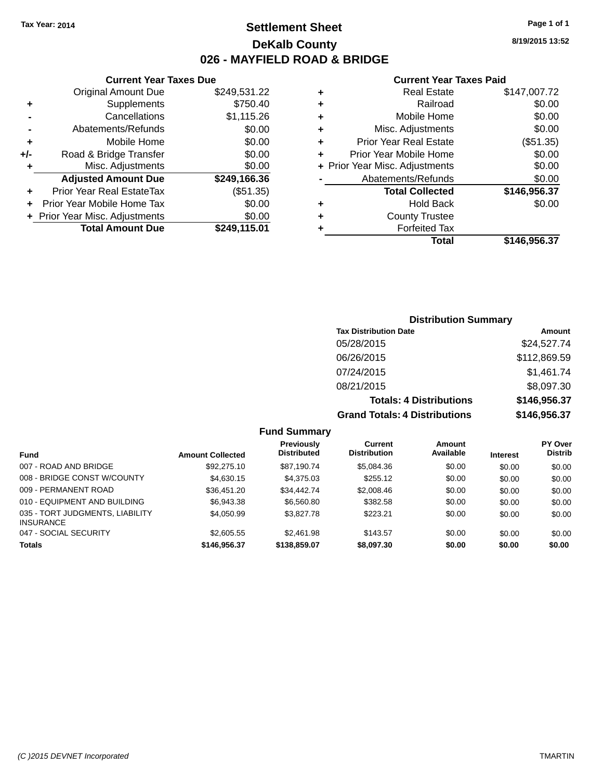**Current Year Taxes Due** Original Amount Due \$249,531.22

**Adjusted Amount Due \$249,166.36**

**+** Supplements \$750.40 **-** Cancellations \$1,115.26 **-** Abatements/Refunds \$0.00 **+** Mobile Home \$0.00 **+/-** Road & Bridge Transfer \$0.00 **+** Misc. Adjustments \$0.00

**+** Prior Year Real EstateTax (\$51.35) **+** Prior Year Mobile Home Tax \$0.00 **+** Prior Year Misc. Adjustments \$0.00<br> **19.3249,115.01** 

**Total Amount Due** 

### **Settlement Sheet Tax Year: 2014 Page 1 of 1 DeKalb County 026 - MAYFIELD ROAD & BRIDGE**

**8/19/2015 13:52**

#### **Current Year Taxes Paid**

| ٠ | <b>Real Estate</b>             | \$147,007.72 |
|---|--------------------------------|--------------|
| ٠ | Railroad                       | \$0.00       |
| ٠ | Mobile Home                    | \$0.00       |
| ٠ | Misc. Adjustments              | \$0.00       |
| ٠ | <b>Prior Year Real Estate</b>  | (\$51.35)    |
| ٠ | Prior Year Mobile Home         | \$0.00       |
|   | + Prior Year Misc. Adjustments | \$0.00       |
|   | Abatements/Refunds             | \$0.00       |
|   | <b>Total Collected</b>         | \$146,956.37 |
| ٠ | <b>Hold Back</b>               | \$0.00       |
| ٠ | <b>County Trustee</b>          |              |
|   | <b>Forfeited Tax</b>           |              |
|   | Total                          | \$146.956.37 |

# **Distribution Summary Tax Distribution Date Amount**

| <b>Grand Totals: 4 Distributions</b> | \$146,956.37 |
|--------------------------------------|--------------|
| <b>Totals: 4 Distributions</b>       | \$146,956.37 |
| 08/21/2015                           | \$8,097.30   |
| 07/24/2015                           | \$1,461.74   |
| 06/26/2015                           | \$112,869.59 |
| 05/28/2015                           | \$24,527.74  |
|                                      |              |

| <b>Fund</b>                                         | <b>Amount Collected</b> | <b>Previously</b><br><b>Distributed</b> | Current<br><b>Distribution</b> | Amount<br>Available | <b>Interest</b> | <b>PY Over</b><br><b>Distrib</b> |
|-----------------------------------------------------|-------------------------|-----------------------------------------|--------------------------------|---------------------|-----------------|----------------------------------|
| 007 - ROAD AND BRIDGE                               | \$92,275.10             | \$87.190.74                             | \$5,084.36                     | \$0.00              | \$0.00          | \$0.00                           |
| 008 - BRIDGE CONST W/COUNTY                         | \$4,630.15              | \$4,375.03                              | \$255.12                       | \$0.00              | \$0.00          | \$0.00                           |
| 009 - PERMANENT ROAD                                | \$36.451.20             | \$34.442.74                             | \$2,008.46                     | \$0.00              | \$0.00          | \$0.00                           |
| 010 - EQUIPMENT AND BUILDING                        | \$6,943,38              | \$6,560.80                              | \$382.58                       | \$0.00              | \$0.00          | \$0.00                           |
| 035 - TORT JUDGMENTS, LIABILITY<br><b>INSURANCE</b> | \$4,050.99              | \$3,827.78                              | \$223.21                       | \$0.00              | \$0.00          | \$0.00                           |
| 047 - SOCIAL SECURITY                               | \$2,605.55              | \$2,461.98                              | \$143.57                       | \$0.00              | \$0.00          | \$0.00                           |
| Totals                                              | \$146,956.37            | \$138,859.07                            | \$8,097.30                     | \$0.00              | \$0.00          | \$0.00                           |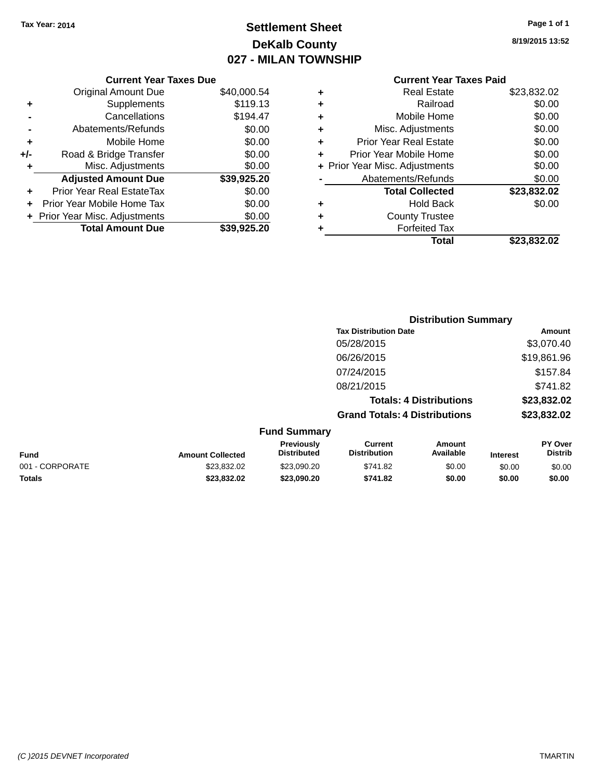### **Settlement Sheet Tax Year: 2014 Page 1 of 1 DeKalb County 027 - MILAN TOWNSHIP**

**8/19/2015 13:52**

| 0.000.54 |   | <b>Current Year Taxes Paid</b> |             |
|----------|---|--------------------------------|-------------|
|          | ٠ | <b>Real Estate</b>             | \$23,832.02 |
| \$119.13 | ٠ | Railroad                       | \$0.00      |
| \$194.47 | ٠ | Mobile Home                    | \$0.00      |
| \$0.00   | ٠ | Misc. Adjustments              | \$0.00      |
| ----     |   |                                | ----        |

|   | Total                          | \$23,832.02 |
|---|--------------------------------|-------------|
| ٠ | <b>Forfeited Tax</b>           |             |
| ÷ | <b>County Trustee</b>          |             |
| ٠ | <b>Hold Back</b>               | \$0.00      |
|   | <b>Total Collected</b>         | \$23,832.02 |
|   | Abatements/Refunds             | \$0.00      |
|   | + Prior Year Misc. Adjustments | \$0.00      |
|   | Prior Year Mobile Home         | \$0.00      |
| ÷ | <b>Prior Year Real Estate</b>  | \$0.00      |
|   | Misc. Adjustments              | \$0.00      |

|     | <b>Current Year Taxes Due</b>    |             |
|-----|----------------------------------|-------------|
|     | <b>Original Amount Due</b>       | \$40,000.54 |
| ٠   | Supplements                      | \$119.13    |
|     | Cancellations                    | \$194.47    |
|     | Abatements/Refunds               | \$0.00      |
| ٠   | Mobile Home                      | \$0.00      |
| +/- | Road & Bridge Transfer           | \$0.00      |
| ٠   | Misc. Adjustments                | \$0.00      |
|     | <b>Adjusted Amount Due</b>       | \$39,925.20 |
|     | <b>Prior Year Real EstateTax</b> | \$0.00      |
| ÷   | Prior Year Mobile Home Tax       | \$0.00      |
|     | + Prior Year Misc. Adjustments   | \$0.00      |
|     | <b>Total Amount Due</b>          | \$39,925.20 |

|                 |                         |                                         | <b>Distribution Summary</b>           |                                |                 |                           |
|-----------------|-------------------------|-----------------------------------------|---------------------------------------|--------------------------------|-----------------|---------------------------|
|                 |                         |                                         | <b>Tax Distribution Date</b>          |                                |                 | Amount                    |
|                 |                         |                                         | 05/28/2015                            |                                |                 | \$3,070.40                |
|                 |                         |                                         | 06/26/2015                            |                                |                 | \$19,861.96               |
|                 |                         |                                         | 07/24/2015                            |                                |                 | \$157.84                  |
|                 |                         |                                         | 08/21/2015                            |                                |                 | \$741.82                  |
|                 |                         |                                         |                                       | <b>Totals: 4 Distributions</b> |                 | \$23,832.02               |
|                 |                         |                                         | <b>Grand Totals: 4 Distributions</b>  |                                |                 | \$23,832.02               |
|                 |                         | <b>Fund Summary</b>                     |                                       |                                |                 |                           |
| <b>Fund</b>     | <b>Amount Collected</b> | <b>Previously</b><br><b>Distributed</b> | <b>Current</b><br><b>Distribution</b> | <b>Amount</b><br>Available     | <b>Interest</b> | PY Over<br><b>Distrib</b> |
| 001 - CORPORATE | \$23,832.02             | \$23,090.20                             | \$741.82                              | \$0.00                         | \$0.00          | \$0.00                    |

**Totals \$23,832.02 \$23,090.20 \$741.82 \$0.00 \$0.00 \$0.00**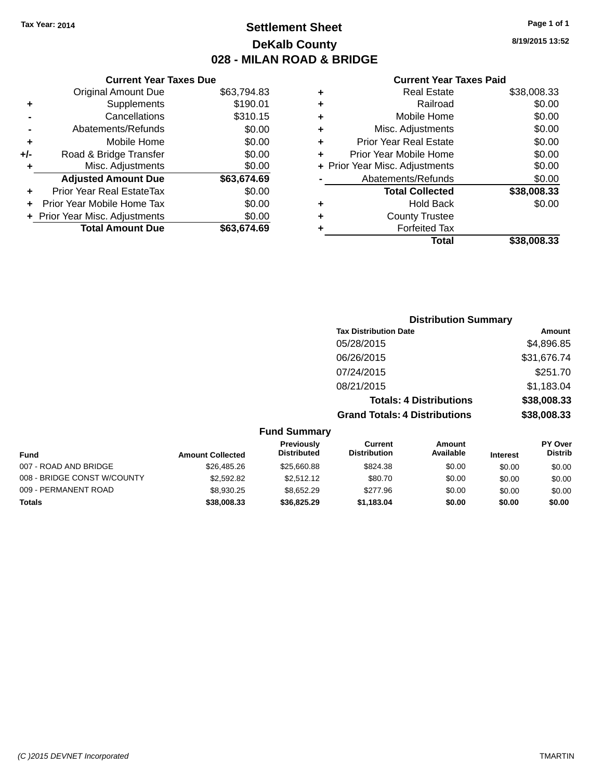### **Settlement Sheet Tax Year: 2014 Page 1 of 1 DeKalb County 028 - MILAN ROAD & BRIDGE**

**8/19/2015 13:52**

#### **Current Year Taxes Paid**

|     | <b>Current Year Taxes Due</b>  |             |  |
|-----|--------------------------------|-------------|--|
|     | <b>Original Amount Due</b>     | \$63,794.83 |  |
| ٠   | Supplements                    | \$190.01    |  |
|     | Cancellations                  | \$310.15    |  |
|     | Abatements/Refunds             | \$0.00      |  |
| ٠   | Mobile Home                    | \$0.00      |  |
| +/- | Road & Bridge Transfer         | \$0.00      |  |
| ٠   | Misc. Adjustments              | \$0.00      |  |
|     | <b>Adjusted Amount Due</b>     | \$63,674.69 |  |
| ٠   | Prior Year Real EstateTax      | \$0.00      |  |
|     | Prior Year Mobile Home Tax     | \$0.00      |  |
|     | + Prior Year Misc. Adjustments | \$0.00      |  |
|     | <b>Total Amount Due</b>        | \$63,674.69 |  |
|     |                                |             |  |

|   | <b>Real Estate</b>             | \$38,008.33 |
|---|--------------------------------|-------------|
| ٠ | Railroad                       | \$0.00      |
| ٠ | Mobile Home                    | \$0.00      |
| ٠ | Misc. Adjustments              | \$0.00      |
| ٠ | <b>Prior Year Real Estate</b>  | \$0.00      |
| ٠ | Prior Year Mobile Home         | \$0.00      |
|   | + Prior Year Misc. Adjustments | \$0.00      |
|   | Abatements/Refunds             | \$0.00      |
|   | <b>Total Collected</b>         | \$38,008.33 |
| ٠ | <b>Hold Back</b>               | \$0.00      |
|   | <b>County Trustee</b>          |             |
| ٠ | <b>Forfeited Tax</b>           |             |
|   | Total                          | \$38,008.33 |

### **Distribution Summary Tax Distribution Date Amount** 05/28/2015 \$4,896.85 06/26/2015 \$31,676.74 07/24/2015 \$251.70 08/21/2015 \$1,183.04 **Totals: 4 Distributions \$38,008.33 Grand Totals: 4 Distributions \$38,008.33 Fund Summary**

| <b>Fund</b>                 | <b>Amount Collected</b> | <b>Previously</b><br><b>Distributed</b> | Current<br><b>Distribution</b> | Amount<br>Available | <b>Interest</b> | <b>PY Over</b><br><b>Distrib</b> |
|-----------------------------|-------------------------|-----------------------------------------|--------------------------------|---------------------|-----------------|----------------------------------|
| 007 - ROAD AND BRIDGE       | \$26,485,26             | \$25,660.88                             | \$824.38                       | \$0.00              | \$0.00          | \$0.00                           |
| 008 - BRIDGE CONST W/COUNTY | \$2,592.82              | \$2,512.12                              | \$80.70                        | \$0.00              | \$0.00          | \$0.00                           |
| 009 - PERMANENT ROAD        | \$8,930.25              | \$8.652.29                              | \$277.96                       | \$0.00              | \$0.00          | \$0.00                           |
| Totals                      | \$38,008.33             | \$36,825,29                             | \$1.183.04                     | \$0.00              | \$0.00          | \$0.00                           |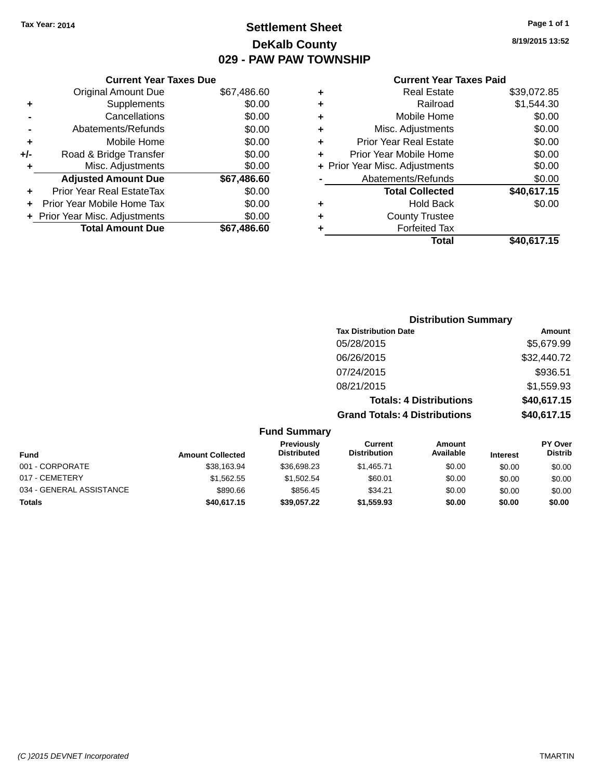### **Settlement Sheet Tax Year: 2014 Page 1 of 1 DeKalb County 029 - PAW PAW TOWNSHIP**

## **8/19/2015 13:52**

|       | <b>Current Year Taxes Due</b>  |             |
|-------|--------------------------------|-------------|
|       | <b>Original Amount Due</b>     | \$67,486.60 |
| ٠     | Supplements                    | \$0.00      |
|       | Cancellations                  | \$0.00      |
|       | Abatements/Refunds             | \$0.00      |
| ٠     | Mobile Home                    | \$0.00      |
| $+/-$ | Road & Bridge Transfer         | \$0.00      |
| ٠     | Misc. Adjustments              | \$0.00      |
|       | <b>Adjusted Amount Due</b>     | \$67,486.60 |
| ÷     | Prior Year Real EstateTax      | \$0.00      |
|       | Prior Year Mobile Home Tax     | \$0.00      |
|       | + Prior Year Misc. Adjustments | \$0.00      |
|       | <b>Total Amount Due</b>        | \$67,486,60 |

|   | <b>Real Estate</b>             | \$39,072.85 |
|---|--------------------------------|-------------|
| ٠ | Railroad                       | \$1,544.30  |
| ٠ | Mobile Home                    | \$0.00      |
| ٠ | Misc. Adjustments              | \$0.00      |
| ٠ | <b>Prior Year Real Estate</b>  | \$0.00      |
| ٠ | Prior Year Mobile Home         | \$0.00      |
|   | + Prior Year Misc. Adjustments | \$0.00      |
|   | Abatements/Refunds             | \$0.00      |
|   | <b>Total Collected</b>         | \$40,617.15 |
| ٠ | <b>Hold Back</b>               | \$0.00      |
| ٠ | <b>County Trustee</b>          |             |
| ٠ | <b>Forfeited Tax</b>           |             |
|   | Total                          | \$40,617.15 |

|                     | <b>Distribution Summary</b>          |             |
|---------------------|--------------------------------------|-------------|
|                     | <b>Tax Distribution Date</b>         | Amount      |
|                     | 05/28/2015                           | \$5,679.99  |
|                     | 06/26/2015                           | \$32,440.72 |
|                     | 07/24/2015                           | \$936.51    |
|                     | 08/21/2015                           | \$1,559.93  |
|                     | <b>Totals: 4 Distributions</b>       | \$40,617.15 |
|                     | <b>Grand Totals: 4 Distributions</b> | \$40,617.15 |
| <b>Fund Summary</b> |                                      |             |

| <b>Fund</b>              | <b>Amount Collected</b> | Previously<br><b>Distributed</b> | Current<br><b>Distribution</b> | Amount<br>Available | <b>Interest</b> | <b>PY Over</b><br><b>Distrib</b> |
|--------------------------|-------------------------|----------------------------------|--------------------------------|---------------------|-----------------|----------------------------------|
| 001 - CORPORATE          | \$38,163.94             | \$36,698.23                      | \$1.465.71                     | \$0.00              | \$0.00          | \$0.00                           |
| 017 - CEMETERY           | \$1.562.55              | \$1,502.54                       | \$60.01                        | \$0.00              | \$0.00          | \$0.00                           |
| 034 - GENERAL ASSISTANCE | \$890.66                | \$856.45                         | \$34.21                        | \$0.00              | \$0.00          | \$0.00                           |
| <b>Totals</b>            | \$40,617.15             | \$39,057,22                      | \$1,559.93                     | \$0.00              | \$0.00          | \$0.00                           |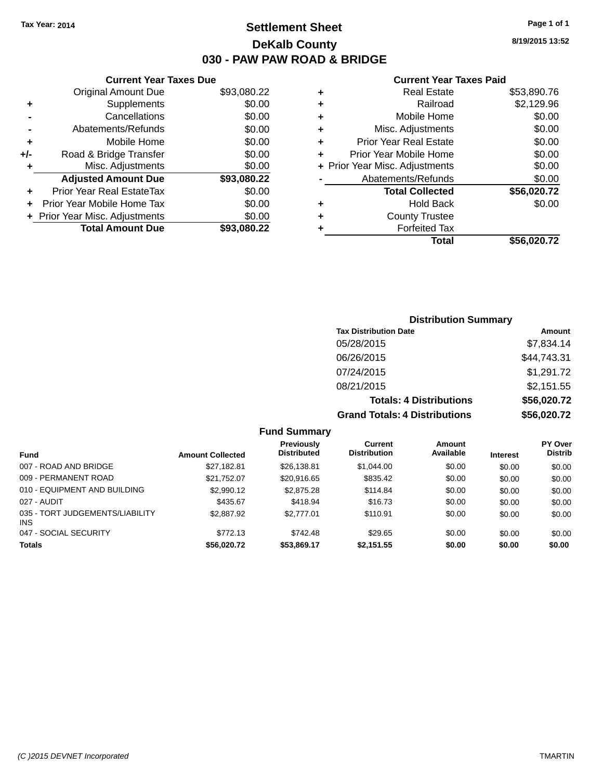### **Settlement Sheet Tax Year: 2014 Page 1 of 1 DeKalb County 030 - PAW PAW ROAD & BRIDGE**

**8/19/2015 13:52**

#### **Current Year Taxes Paid**

|     | <b>Current Year Taxes Due</b>  |             |
|-----|--------------------------------|-------------|
|     | <b>Original Amount Due</b>     | \$93,080.22 |
| ٠   | Supplements                    | \$0.00      |
|     | Cancellations                  | \$0.00      |
|     | Abatements/Refunds             | \$0.00      |
| ٠   | Mobile Home                    | \$0.00      |
| +/- | Road & Bridge Transfer         | \$0.00      |
|     | Misc. Adjustments              | \$0.00      |
|     | <b>Adjusted Amount Due</b>     | \$93,080.22 |
| ٠   | Prior Year Real EstateTax      | \$0.00      |
|     | Prior Year Mobile Home Tax     | \$0.00      |
|     | + Prior Year Misc. Adjustments | \$0.00      |
|     | <b>Total Amount Due</b>        | \$93,080.22 |
|     |                                |             |

|   | <b>Real Estate</b>             | \$53,890.76 |
|---|--------------------------------|-------------|
| ٠ | Railroad                       | \$2,129.96  |
| ٠ | Mobile Home                    | \$0.00      |
| ٠ | Misc. Adjustments              | \$0.00      |
| ٠ | <b>Prior Year Real Estate</b>  | \$0.00      |
| ÷ | Prior Year Mobile Home         | \$0.00      |
|   | + Prior Year Misc. Adjustments | \$0.00      |
|   | Abatements/Refunds             | \$0.00      |
|   | <b>Total Collected</b>         | \$56,020.72 |
| ٠ | <b>Hold Back</b>               | \$0.00      |
| ٠ | <b>County Trustee</b>          |             |
| ٠ | <b>Forfeited Tax</b>           |             |
|   | Total                          | \$56,020.72 |
|   |                                |             |

### **Distribution Summary Tax Distribution Date Amount** 05/28/2015 \$7,834.14 06/26/2015 \$44,743.31 07/24/2015 \$1,291.72 08/21/2015 \$2,151.55 **Totals: 4 Distributions \$56,020.72 Grand Totals: 4 Distributions \$56,020.72**

| <b>Fund</b>                                   | <b>Amount Collected</b> | Previously<br><b>Distributed</b> | <b>Current</b><br><b>Distribution</b> | <b>Amount</b><br>Available | <b>Interest</b> | <b>PY Over</b><br><b>Distrib</b> |
|-----------------------------------------------|-------------------------|----------------------------------|---------------------------------------|----------------------------|-----------------|----------------------------------|
|                                               |                         |                                  |                                       |                            |                 |                                  |
| 007 - ROAD AND BRIDGE                         | \$27.182.81             | \$26,138.81                      | \$1,044.00                            | \$0.00                     | \$0.00          | \$0.00                           |
| 009 - PERMANENT ROAD                          | \$21.752.07             | \$20.916.65                      | \$835.42                              | \$0.00                     | \$0.00          | \$0.00                           |
| 010 - EQUIPMENT AND BUILDING                  | \$2,990.12              | \$2,875.28                       | \$114.84                              | \$0.00                     | \$0.00          | \$0.00                           |
| 027 - AUDIT                                   | \$435.67                | \$418.94                         | \$16.73                               | \$0.00                     | \$0.00          | \$0.00                           |
| 035 - TORT JUDGEMENTS/LIABILITY<br><b>INS</b> | \$2,887.92              | \$2,777.01                       | \$110.91                              | \$0.00                     | \$0.00          | \$0.00                           |
| 047 - SOCIAL SECURITY                         | \$772.13                | \$742.48                         | \$29.65                               | \$0.00                     | \$0.00          | \$0.00                           |
| <b>Totals</b>                                 | \$56,020.72             | \$53,869.17                      | \$2,151.55                            | \$0.00                     | \$0.00          | \$0.00                           |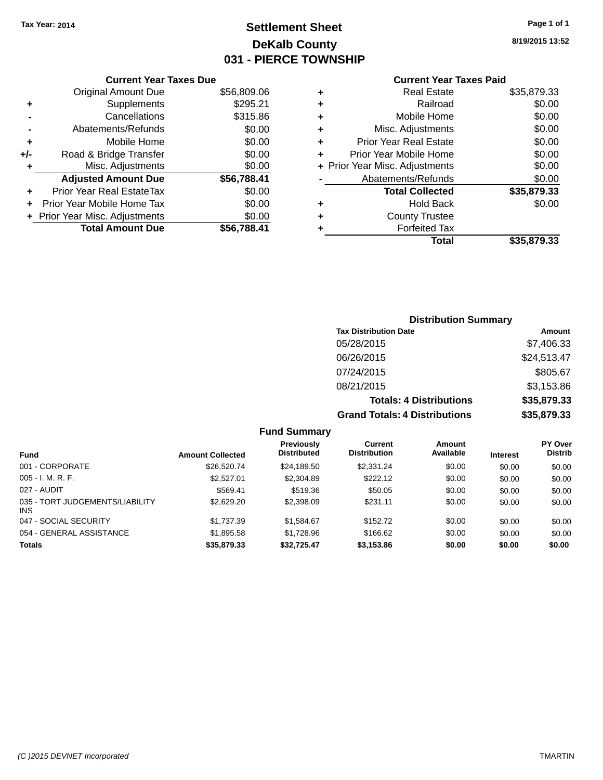### **Settlement Sheet Tax Year: 2014 Page 1 of 1 DeKalb County 031 - PIERCE TOWNSHIP**

**8/19/2015 13:52**

### **Current Year Taxes Paid**

|       | <b>Current Year Taxes Due</b>  |             |
|-------|--------------------------------|-------------|
|       | <b>Original Amount Due</b>     | \$56,809.06 |
| ٠     | Supplements                    | \$295.21    |
|       | Cancellations                  | \$315.86    |
|       | Abatements/Refunds             | \$0.00      |
| ٠     | Mobile Home                    | \$0.00      |
| $+/-$ | Road & Bridge Transfer         | \$0.00      |
|       | Misc. Adjustments              | \$0.00      |
|       | <b>Adjusted Amount Due</b>     | \$56,788.41 |
| ٠     | Prior Year Real EstateTax      | \$0.00      |
|       | Prior Year Mobile Home Tax     | \$0.00      |
|       | + Prior Year Misc. Adjustments | \$0.00      |
|       | <b>Total Amount Due</b>        | \$56.788.41 |
|       |                                |             |

|   | <b>Real Estate</b>             | \$35,879.33 |
|---|--------------------------------|-------------|
| ٠ | Railroad                       | \$0.00      |
| ٠ | Mobile Home                    | \$0.00      |
| ٠ | Misc. Adjustments              | \$0.00      |
| ٠ | <b>Prior Year Real Estate</b>  | \$0.00      |
| ÷ | Prior Year Mobile Home         | \$0.00      |
|   | + Prior Year Misc. Adjustments | \$0.00      |
|   | Abatements/Refunds             | \$0.00      |
|   | <b>Total Collected</b>         | \$35,879.33 |
| ٠ | Hold Back                      | \$0.00      |
| ٠ | <b>County Trustee</b>          |             |
| ٠ | <b>Forfeited Tax</b>           |             |
|   | Total                          | \$35,879.33 |
|   |                                |             |

### **Distribution Summary Tax Distribution Date Amount** 05/28/2015 \$7,406.33 06/26/2015 \$24,513.47 07/24/2015 \$805.67 08/21/2015 \$3,153.86 **Totals: 4 Distributions \$35,879.33 Grand Totals: 4 Distributions \$35,879.33**

| <b>Fund</b>                             | <b>Amount Collected</b> | Previously<br><b>Distributed</b> | Current<br><b>Distribution</b> | Amount<br>Available | <b>Interest</b> | <b>PY Over</b><br><b>Distrib</b> |
|-----------------------------------------|-------------------------|----------------------------------|--------------------------------|---------------------|-----------------|----------------------------------|
| 001 - CORPORATE                         | \$26,520.74             | \$24,189.50                      | \$2,331,24                     | \$0.00              | \$0.00          | \$0.00                           |
| $005 - I. M. R. F.$                     | \$2,527.01              | \$2,304.89                       | \$222.12                       | \$0.00              | \$0.00          | \$0.00                           |
| 027 - AUDIT                             | \$569.41                | \$519.36                         | \$50.05                        | \$0.00              | \$0.00          | \$0.00                           |
| 035 - TORT JUDGEMENTS/LIABILITY<br>INS. | \$2,629.20              | \$2,398.09                       | \$231.11                       | \$0.00              | \$0.00          | \$0.00                           |
| 047 - SOCIAL SECURITY                   | \$1.737.39              | \$1.584.67                       | \$152.72                       | \$0.00              | \$0.00          | \$0.00                           |
| 054 - GENERAL ASSISTANCE                | \$1,895.58              | \$1,728.96                       | \$166.62                       | \$0.00              | \$0.00          | \$0.00                           |
| <b>Totals</b>                           | \$35,879.33             | \$32.725.47                      | \$3,153.86                     | \$0.00              | \$0.00          | \$0.00                           |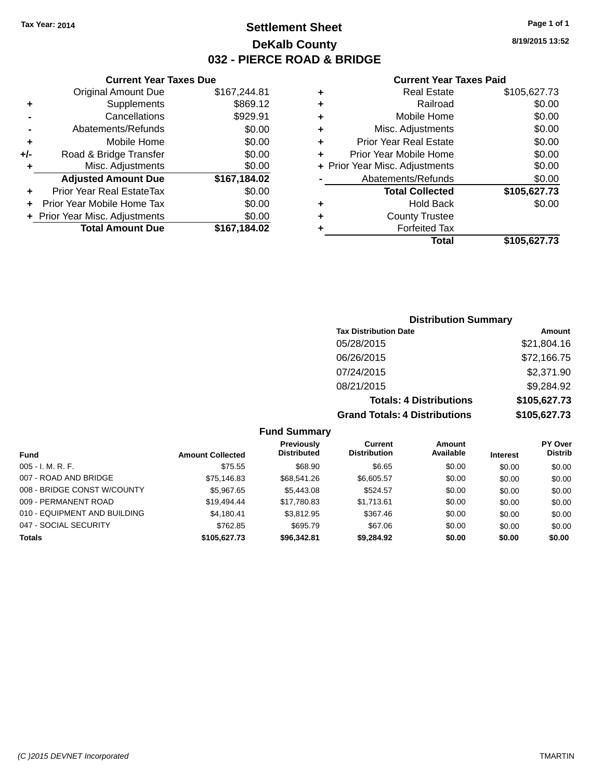### **Settlement Sheet Tax Year: 2014 Page 1 of 1 DeKalb County 032 - PIERCE ROAD & BRIDGE**

**Current Year Taxes Due**

|     | <b>Original Amount Due</b>     | \$167,244.81 |
|-----|--------------------------------|--------------|
| ٠   | Supplements                    | \$869.12     |
|     | Cancellations                  | \$929.91     |
|     | Abatements/Refunds             | \$0.00       |
| ٠   | Mobile Home                    | \$0.00       |
| +/- | Road & Bridge Transfer         | \$0.00       |
| ٠   | Misc. Adjustments              | \$0.00       |
|     | <b>Adjusted Amount Due</b>     | \$167,184.02 |
| ÷   | Prior Year Real EstateTax      | \$0.00       |
|     |                                |              |
|     | Prior Year Mobile Home Tax     | \$0.00       |
|     | + Prior Year Misc. Adjustments | \$0.00       |
|     | <b>Total Amount Due</b>        | \$167,184.02 |

#### **Current Year Taxes Paid**

|   | <b>Real Estate</b>             | \$105,627.73 |
|---|--------------------------------|--------------|
| ٠ | Railroad                       | \$0.00       |
| ٠ | Mobile Home                    | \$0.00       |
| ٠ | Misc. Adjustments              | \$0.00       |
| ٠ | <b>Prior Year Real Estate</b>  | \$0.00       |
| ٠ | Prior Year Mobile Home         | \$0.00       |
|   | + Prior Year Misc. Adjustments | \$0.00       |
|   | Abatements/Refunds             | \$0.00       |
|   | <b>Total Collected</b>         | \$105,627.73 |
| ٠ | <b>Hold Back</b>               | \$0.00       |
| ٠ | <b>County Trustee</b>          |              |
| ٠ | <b>Forfeited Tax</b>           |              |
|   | Total                          | \$105,627.73 |
|   |                                |              |

### **Distribution Summary Tax Distribution Date Amount** 05/28/2015 \$21,804.16 06/26/2015 \$72,166.75 07/24/2015 \$2,371.90 08/21/2015 \$9,284.92 **Totals: 4 Distributions \$105,627.73 Grand Totals: 4 Distributions \$105,627.73**

|                              |                         | Previously         | Current             | Amount    |                 | PY Over        |
|------------------------------|-------------------------|--------------------|---------------------|-----------|-----------------|----------------|
| Fund                         | <b>Amount Collected</b> | <b>Distributed</b> | <b>Distribution</b> | Available | <b>Interest</b> | <b>Distrib</b> |
| $005 - I. M. R. F.$          | \$75.55                 | \$68.90            | \$6.65              | \$0.00    | \$0.00          | \$0.00         |
| 007 - ROAD AND BRIDGE        | \$75,146.83             | \$68,541.26        | \$6,605.57          | \$0.00    | \$0.00          | \$0.00         |
| 008 - BRIDGE CONST W/COUNTY  | \$5,967.65              | \$5,443.08         | \$524.57            | \$0.00    | \$0.00          | \$0.00         |
| 009 - PERMANENT ROAD         | \$19.494.44             | \$17.780.83        | \$1.713.61          | \$0.00    | \$0.00          | \$0.00         |
| 010 - EQUIPMENT AND BUILDING | \$4,180.41              | \$3,812.95         | \$367.46            | \$0.00    | \$0.00          | \$0.00         |
| 047 - SOCIAL SECURITY        | \$762.85                | \$695.79           | \$67.06             | \$0.00    | \$0.00          | \$0.00         |
| <b>Totals</b>                | \$105,627.73            | \$96,342.81        | \$9,284.92          | \$0.00    | \$0.00          | \$0.00         |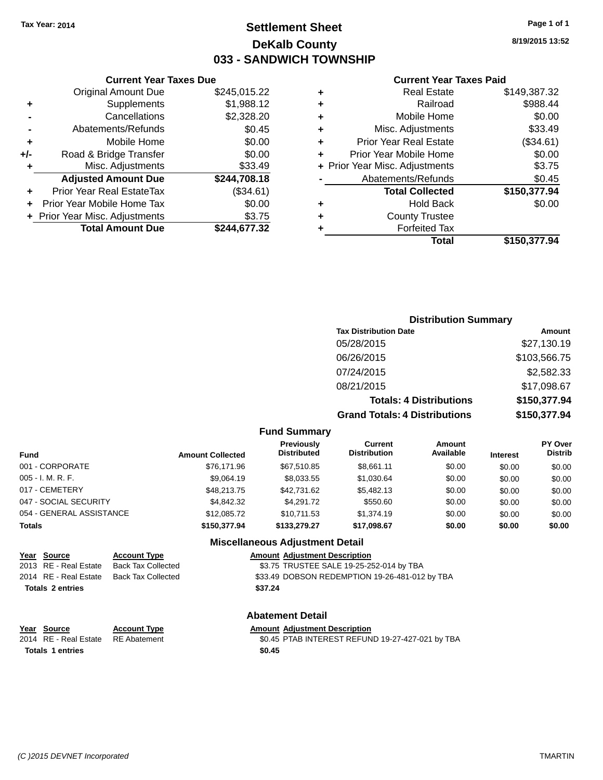# **Settlement Sheet Tax Year: 2014 Page 1 of 1 DeKalb County 033 - SANDWICH TOWNSHIP**

**8/19/2015 13:52**

#### **Current Year Taxes Paid**

| ٠ | <b>Real Estate</b>             | \$149,387.32 |
|---|--------------------------------|--------------|
| ٠ | Railroad                       | \$988.44     |
| ٠ | Mobile Home                    | \$0.00       |
| ٠ | Misc. Adjustments              | \$33.49      |
| ٠ | <b>Prior Year Real Estate</b>  | (\$34.61)    |
| ٠ | Prior Year Mobile Home         | \$0.00       |
|   | + Prior Year Misc. Adjustments | \$3.75       |
|   | Abatements/Refunds             | \$0.45       |
|   | <b>Total Collected</b>         | \$150,377.94 |
| ٠ | <b>Hold Back</b>               | \$0.00       |
| ٠ | <b>County Trustee</b>          |              |
|   | <b>Forfeited Tax</b>           |              |
|   | Total                          | \$150,377,94 |
|   |                                |              |

|     | <b>Current Year Taxes Due</b>  |              |
|-----|--------------------------------|--------------|
|     | <b>Original Amount Due</b>     | \$245,015.22 |
| ٠   | Supplements                    | \$1,988.12   |
|     | Cancellations                  | \$2,328.20   |
|     | Abatements/Refunds             | \$0.45       |
| ٠   | Mobile Home                    | \$0.00       |
| +/- | Road & Bridge Transfer         | \$0.00       |
| ٠   | Misc. Adjustments              | \$33.49      |
|     | <b>Adjusted Amount Due</b>     | \$244,708.18 |
|     | Prior Year Real EstateTax      | (\$34.61)    |
|     | Prior Year Mobile Home Tax     | \$0.00       |
|     | + Prior Year Misc. Adjustments | \$3.75       |
|     | <b>Total Amount Due</b>        | \$244,677.32 |

### **Distribution Summary**

| <b>Tax Distribution Date</b>         | Amount       |
|--------------------------------------|--------------|
| 05/28/2015                           | \$27,130.19  |
| 06/26/2015                           | \$103,566.75 |
| 07/24/2015                           | \$2,582.33   |
| 08/21/2015                           | \$17,098.67  |
| <b>Totals: 4 Distributions</b>       | \$150,377.94 |
| <b>Grand Totals: 4 Distributions</b> | \$150,377.94 |

#### **Fund Summary**

| Fund                     | <b>Amount Collected</b> | <b>Previously</b><br><b>Distributed</b> | Current<br><b>Distribution</b> | Amount<br>Available | <b>Interest</b> | <b>PY Over</b><br><b>Distrib</b> |
|--------------------------|-------------------------|-----------------------------------------|--------------------------------|---------------------|-----------------|----------------------------------|
| 001 - CORPORATE          | \$76.171.96             | \$67.510.85                             | \$8.661.11                     | \$0.00              | \$0.00          | \$0.00                           |
| 005 - I. M. R. F.        | \$9,064.19              | \$8,033.55                              | \$1,030.64                     | \$0.00              | \$0.00          | \$0.00                           |
| 017 - CEMETERY           | \$48,213,75             | \$42,731,62                             | \$5,482.13                     | \$0.00              | \$0.00          | \$0.00                           |
| 047 - SOCIAL SECURITY    | \$4.842.32              | \$4,291.72                              | \$550.60                       | \$0.00              | \$0.00          | \$0.00                           |
| 054 - GENERAL ASSISTANCE | \$12,085,72             | \$10.711.53                             | \$1,374.19                     | \$0.00              | \$0.00          | \$0.00                           |
| <b>Totals</b>            | \$150,377.94            | \$133,279.27                            | \$17,098.67                    | \$0.00              | \$0.00          | \$0.00                           |

### **Miscellaneous Adjustment Detail**

| <u>Year Source</u>      | <b>Account Type</b>       | <b>Amount Adjustment Description</b>           |
|-------------------------|---------------------------|------------------------------------------------|
| 2013 RE - Real Estate   | <b>Back Tax Collected</b> | \$3.75 TRUSTEE SALE 19-25-252-014 by TBA       |
| 2014 RE - Real Estate   | Back Tax Collected        | \$33.49 DOBSON REDEMPTION 19-26-481-012 by TBA |
| <b>Totals 2 entries</b> |                           | \$37.24                                        |
|                         |                           |                                                |

### **Abatement Detail**

**Year Source Account Type Amount Adjustment Description**<br>2014 RE - Real Estate RE Abatement **Amount SCALA SERVINTEREST REFUN** \$0.45 PTAB INTEREST REFUND 19-27-427-021 by TBA **Totals \$0.45 1 entries**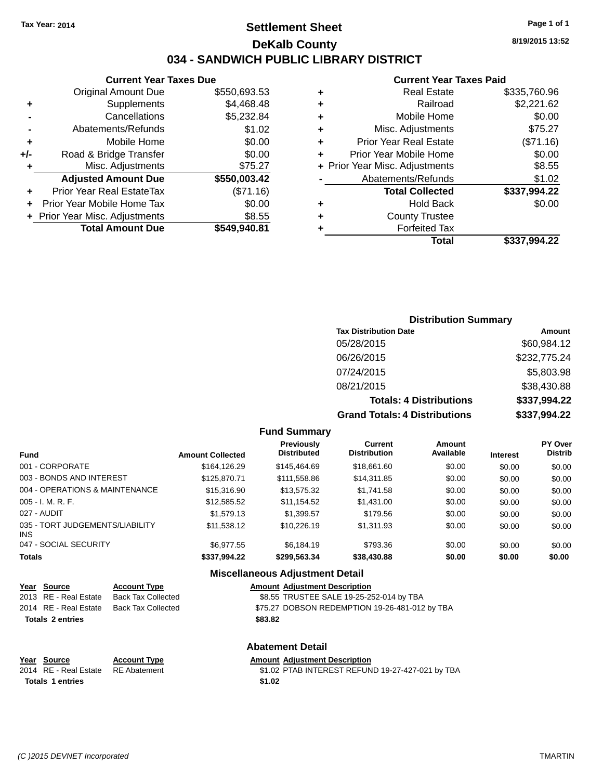# **Settlement Sheet Tax Year: 2014 Page 1 of 1 DeKalb County 034 - SANDWICH PUBLIC LIBRARY DISTRICT**

| <b>Current Year Taxes Due</b> |
|-------------------------------|
|-------------------------------|

|     | <b>Original Amount Due</b>     | \$550,693.53 |
|-----|--------------------------------|--------------|
| ٠   | Supplements                    | \$4,468.48   |
|     | Cancellations                  | \$5,232.84   |
|     | Abatements/Refunds             | \$1.02       |
| ٠   | Mobile Home                    | \$0.00       |
| +/- | Road & Bridge Transfer         | \$0.00       |
| ٠   | Misc. Adjustments              | \$75.27      |
|     | <b>Adjusted Amount Due</b>     | \$550,003.42 |
|     |                                |              |
| ÷   | Prior Year Real EstateTax      | (\$71.16)    |
|     | Prior Year Mobile Home Tax     | \$0.00       |
|     | + Prior Year Misc. Adjustments | \$8.55       |
|     | <b>Total Amount Due</b>        | \$549,940.81 |

#### **Current Year Taxes Paid**

| ٠ | <b>Real Estate</b>             | \$335,760.96 |
|---|--------------------------------|--------------|
| ٠ | Railroad                       | \$2,221.62   |
| ٠ | Mobile Home                    | \$0.00       |
| ٠ | Misc. Adjustments              | \$75.27      |
| ٠ | <b>Prior Year Real Estate</b>  | (\$71.16)    |
| ÷ | Prior Year Mobile Home         | \$0.00       |
|   | + Prior Year Misc. Adjustments | \$8.55       |
|   | Abatements/Refunds             | \$1.02       |
|   | <b>Total Collected</b>         | \$337,994.22 |
| ٠ | Hold Back                      | \$0.00       |
| ٠ | <b>County Trustee</b>          |              |
| ٠ | <b>Forfeited Tax</b>           |              |
|   | Total                          | \$337,994.22 |
|   |                                |              |

### **Distribution Summary Tax Distribution Date Amount** 05/28/2015 \$60,984.12 06/26/2015 \$232,775.24 07/24/2015 \$5,803.98 08/21/2015 \$38,430.88 **Totals: 4 Distributions \$337,994.22 Grand Totals: 4 Distributions \$337,994.22**

#### **Fund Summary**

| <b>Fund</b>                             | <b>Amount Collected</b> | Previously<br><b>Distributed</b> | Current<br><b>Distribution</b> | Amount<br>Available | <b>Interest</b> | <b>PY Over</b><br><b>Distrib</b> |
|-----------------------------------------|-------------------------|----------------------------------|--------------------------------|---------------------|-----------------|----------------------------------|
| 001 - CORPORATE                         | \$164,126.29            | \$145.464.69                     | \$18,661.60                    | \$0.00              | \$0.00          | \$0.00                           |
| 003 - BONDS AND INTEREST                | \$125,870.71            | \$111,558.86                     | \$14,311.85                    | \$0.00              | \$0.00          | \$0.00                           |
| 004 - OPERATIONS & MAINTENANCE          | \$15,316.90             | \$13,575.32                      | \$1,741.58                     | \$0.00              | \$0.00          | \$0.00                           |
| $005 - I. M. R. F.$                     | \$12,585.52             | \$11,154.52                      | \$1,431.00                     | \$0.00              | \$0.00          | \$0.00                           |
| 027 - AUDIT                             | \$1,579.13              | \$1,399.57                       | \$179.56                       | \$0.00              | \$0.00          | \$0.00                           |
| 035 - TORT JUDGEMENTS/LIABILITY<br>INS. | \$11,538.12             | \$10.226.19                      | \$1.311.93                     | \$0.00              | \$0.00          | \$0.00                           |
| 047 - SOCIAL SECURITY                   | \$6.977.55              | \$6,184.19                       | \$793.36                       | \$0.00              | \$0.00          | \$0.00                           |
| <b>Totals</b>                           | \$337,994.22            | \$299,563.34                     | \$38,430.88                    | \$0.00              | \$0.00          | \$0.00                           |

### **Miscellaneous Adjustment Detail**

| <u>Year Source</u>      | <b>Account Type</b> | <b>Amount Adjustment Description</b>           |
|-------------------------|---------------------|------------------------------------------------|
| 2013 RE - Real Estate   | Back Tax Collected  | \$8.55 TRUSTEE SALE 19-25-252-014 by TBA       |
| 2014 RE - Real Estate   | Back Tax Collected  | \$75.27 DOBSON REDEMPTION 19-26-481-012 by TBA |
| <b>Totals 2 entries</b> |                     | \$83.82                                        |

# **Year Source Account Type Amount Adjustment Description**<br>2014 RE - Real Estate RE Abatement \$1.02 PTAB INTEREST REFUN

Totals 1 entries **1.02** 

# **Abatement Detail**

\$1.02 PTAB INTEREST REFUND 19-27-427-021 by TBA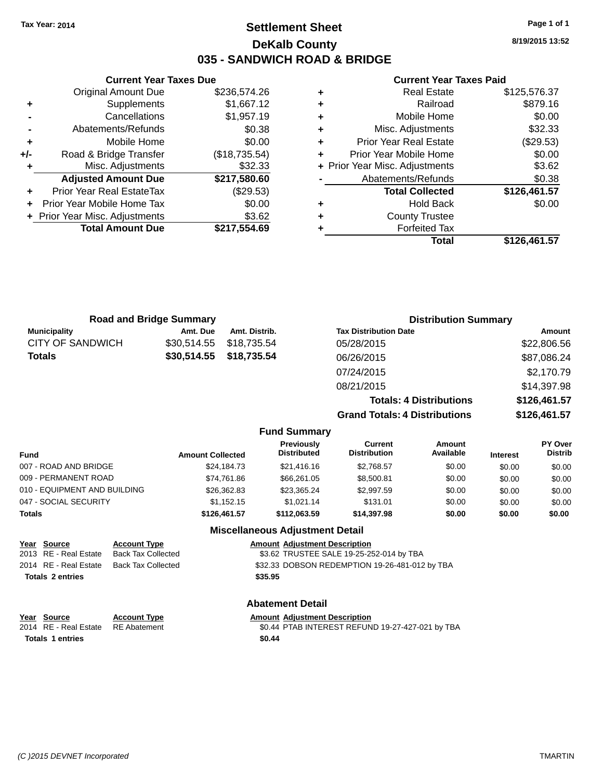# **Settlement Sheet Tax Year: 2014 Page 1 of 1 DeKalb County 035 - SANDWICH ROAD & BRIDGE**

|     | <b>Current Year Taxes Due</b>  |               |
|-----|--------------------------------|---------------|
|     | <b>Original Amount Due</b>     | \$236,574.26  |
| ٠   | Supplements                    | \$1,667.12    |
|     | Cancellations                  | \$1,957.19    |
|     | Abatements/Refunds             | \$0.38        |
| ÷   | Mobile Home                    | \$0.00        |
| +/- | Road & Bridge Transfer         | (\$18,735.54) |
| ٠   | Misc. Adjustments              | \$32.33       |
|     | <b>Adjusted Amount Due</b>     | \$217,580.60  |
|     | Prior Year Real EstateTax      | (\$29.53)     |
|     | Prior Year Mobile Home Tax     | \$0.00        |
|     | + Prior Year Misc. Adjustments | \$3.62        |
|     | <b>Total Amount Due</b>        | \$217,554.69  |
|     |                                |               |

#### **Current Year Taxes Paid**

|   | <b>Real Estate</b>             | \$125,576.37 |
|---|--------------------------------|--------------|
| ٠ | Railroad                       | \$879.16     |
| ٠ | Mobile Home                    | \$0.00       |
| ٠ | Misc. Adjustments              | \$32.33      |
| ٠ | <b>Prior Year Real Estate</b>  | (\$29.53)    |
|   | Prior Year Mobile Home         | \$0.00       |
|   | + Prior Year Misc. Adjustments | \$3.62       |
|   | Abatements/Refunds             | \$0.38       |
|   | <b>Total Collected</b>         | \$126,461.57 |
| ٠ | <b>Hold Back</b>               | \$0.00       |
|   | <b>County Trustee</b>          |              |
|   | <b>Forfeited Tax</b>           |              |
|   | Total                          | \$126,461.57 |
|   |                                |              |

| <b>Road and Bridge Summary</b> |             |                     | <b>Distribution Summary</b>          |              |  |
|--------------------------------|-------------|---------------------|--------------------------------------|--------------|--|
| <b>Municipality</b>            | Amt. Due    | Amt. Distrib.       | <b>Tax Distribution Date</b>         | Amount       |  |
| <b>CITY OF SANDWICH</b>        | \$30,514.55 | \$18,735.54         | 05/28/2015                           | \$22,806.56  |  |
| <b>Totals</b>                  | \$30,514.55 | \$18,735.54         | 06/26/2015                           | \$87,086.24  |  |
|                                |             |                     | 07/24/2015                           | \$2,170.79   |  |
|                                |             |                     | 08/21/2015                           | \$14,397.98  |  |
|                                |             |                     | <b>Totals: 4 Distributions</b>       | \$126,461.57 |  |
|                                |             |                     | <b>Grand Totals: 4 Distributions</b> | \$126,461.57 |  |
|                                |             | <b>Fund Summary</b> |                                      |              |  |

| Fund                         | <b>Amount Collected</b> | <b>Previously</b><br><b>Distributed</b> | Current<br><b>Distribution</b> | Amount<br>Available | <b>Interest</b> | <b>PY Over</b><br><b>Distrib</b> |  |
|------------------------------|-------------------------|-----------------------------------------|--------------------------------|---------------------|-----------------|----------------------------------|--|
| 007 - ROAD AND BRIDGE        | \$24,184.73             | \$21,416.16                             | \$2,768.57                     | \$0.00              | \$0.00          | \$0.00                           |  |
| 009 - PERMANENT ROAD         | \$74,761.86             | \$66.261.05                             | \$8,500.81                     | \$0.00              | \$0.00          | \$0.00                           |  |
| 010 - EQUIPMENT AND BUILDING | \$26,362.83             | \$23.365.24                             | \$2,997.59                     | \$0.00              | \$0.00          | \$0.00                           |  |
| 047 - SOCIAL SECURITY        | \$1.152.15              | \$1.021.14                              | \$131.01                       | \$0.00              | \$0.00          | \$0.00                           |  |
| Totals                       | \$126,461.57            | \$112.063.59                            | \$14,397.98                    | \$0.00              | \$0.00          | \$0.00                           |  |

### **Miscellaneous Adjustment Detail**

| Year Source             | <b>Account Type</b> |         | <b>Amount Adjustment Description</b>           |
|-------------------------|---------------------|---------|------------------------------------------------|
| 2013 RE - Real Estate   | Back Tax Collected  |         | \$3.62 TRUSTEE SALE 19-25-252-014 by TBA       |
| 2014 RE - Real Estate   | Back Tax Collected  |         | \$32.33 DOBSON REDEMPTION 19-26-481-012 by TBA |
| <b>Totals 2 entries</b> |                     | \$35.95 |                                                |

**Year** Source **Account Type Account Adjustment Description Totals 1 entries** \$0.44

# **Abatement Detail**

2014 RE - Real Estate RE Abatement \$0.44 PTAB INTEREST REFUND 19-27-427-021 by TBA

**8/19/2015 13:52**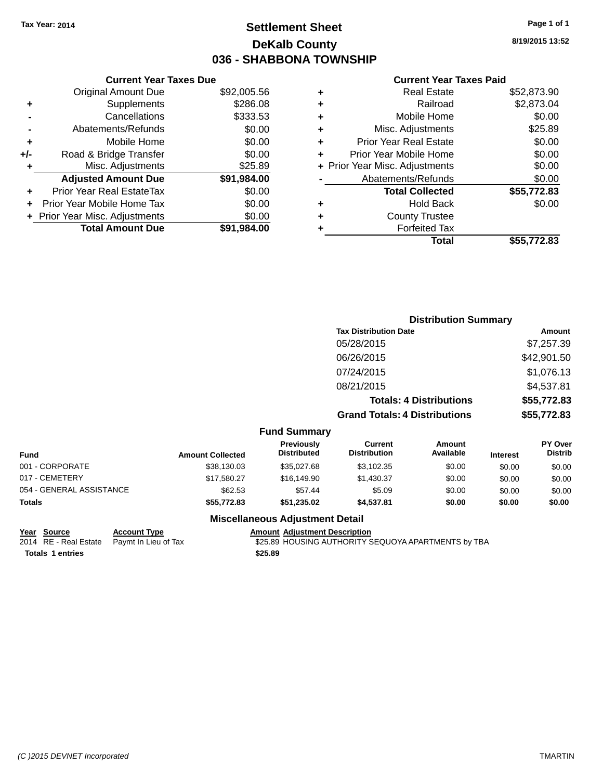# **Settlement Sheet Tax Year: 2014 Page 1 of 1 DeKalb County 036 - SHABBONA TOWNSHIP**

**8/19/2015 13:52**

|     | <b>Current Year Taxes Due</b>    |             |  |  |  |  |  |
|-----|----------------------------------|-------------|--|--|--|--|--|
|     | <b>Original Amount Due</b>       | \$92,005.56 |  |  |  |  |  |
| ٠   | Supplements                      | \$286.08    |  |  |  |  |  |
|     | \$333.53<br>Cancellations        |             |  |  |  |  |  |
|     | \$0.00<br>Abatements/Refunds     |             |  |  |  |  |  |
| ÷   | Mobile Home                      | \$0.00      |  |  |  |  |  |
| +/- | Road & Bridge Transfer           | \$0.00      |  |  |  |  |  |
| ٠   | Misc. Adjustments<br>\$25.89     |             |  |  |  |  |  |
|     | <b>Adjusted Amount Due</b>       | \$91,984.00 |  |  |  |  |  |
| ٠   | <b>Prior Year Real EstateTax</b> | \$0.00      |  |  |  |  |  |
|     | Prior Year Mobile Home Tax       | \$0.00      |  |  |  |  |  |
|     | + Prior Year Misc. Adjustments   | \$0.00      |  |  |  |  |  |
|     | <b>Total Amount Due</b>          | \$91,984.00 |  |  |  |  |  |
|     |                                  |             |  |  |  |  |  |

#### **Current Year Taxes Paid**

|   | Total                          | \$55,772.83 |
|---|--------------------------------|-------------|
| ٠ | <b>Forfeited Tax</b>           |             |
| ٠ | <b>County Trustee</b>          |             |
| ٠ | Hold Back                      | \$0.00      |
|   | <b>Total Collected</b>         | \$55,772.83 |
|   | Abatements/Refunds             | \$0.00      |
|   | + Prior Year Misc. Adjustments | \$0.00      |
| ٠ | Prior Year Mobile Home         | \$0.00      |
| ٠ | <b>Prior Year Real Estate</b>  | \$0.00      |
| ٠ | Misc. Adjustments              | \$25.89     |
| ٠ | Mobile Home                    | \$0.00      |
| ٠ | Railroad                       | \$2,873.04  |
|   | <b>Real Estate</b>             | \$52,873.90 |

|                 |                         |                                  |                                      | <b>Distribution Summary</b>    |                 |                                  |
|-----------------|-------------------------|----------------------------------|--------------------------------------|--------------------------------|-----------------|----------------------------------|
|                 |                         |                                  | <b>Tax Distribution Date</b>         |                                |                 | Amount                           |
|                 |                         |                                  | 05/28/2015                           |                                |                 | \$7,257.39                       |
|                 |                         |                                  | 06/26/2015                           |                                |                 | \$42,901.50                      |
|                 |                         |                                  | 07/24/2015                           |                                |                 | \$1,076.13                       |
|                 |                         |                                  | 08/21/2015                           |                                |                 | \$4,537.81                       |
|                 |                         |                                  |                                      | <b>Totals: 4 Distributions</b> |                 | \$55,772.83                      |
|                 |                         |                                  | <b>Grand Totals: 4 Distributions</b> |                                |                 | \$55,772.83                      |
|                 |                         | <b>Fund Summary</b>              |                                      |                                |                 |                                  |
| <b>Fund</b>     | <b>Amount Collected</b> | Previously<br><b>Distributed</b> | Current<br><b>Distribution</b>       | Amount<br>Available            | <b>Interest</b> | <b>PY Over</b><br><b>Distrib</b> |
| 001 - CORPORATE | \$38,130.03             | \$35,027.68                      | \$3,102.35                           | \$0.00                         | \$0.00          | \$0.00                           |
| 017 - CEMETERY  | \$17,580.27             | \$16,149.90                      | \$1,430.37                           | \$0.00                         | \$0.00          | \$0.00                           |

### **Miscellaneous Adjustment Detail**

054 - GENERAL ASSISTANCE \$62.53 \$57.44 \$0.00 \$0.00 \$0.00 \$0.00 **Totals \$55,772.83 \$51,235.02 \$4,537.81 \$0.00 \$0.00 \$0.00**

| Year Source                                | <b>Account Type</b> | <b>Amount Adiustment D</b> |
|--------------------------------------------|---------------------|----------------------------|
| 2014 RE - Real Estate Paymt In Lieu of Tax |                     | \$25.89 HOUSING AU         |
| <b>Totals 1 entries</b>                    |                     | \$25.89                    |

**<u>Description</u>** THORITY SEQUOYA APARTMENTS by TBA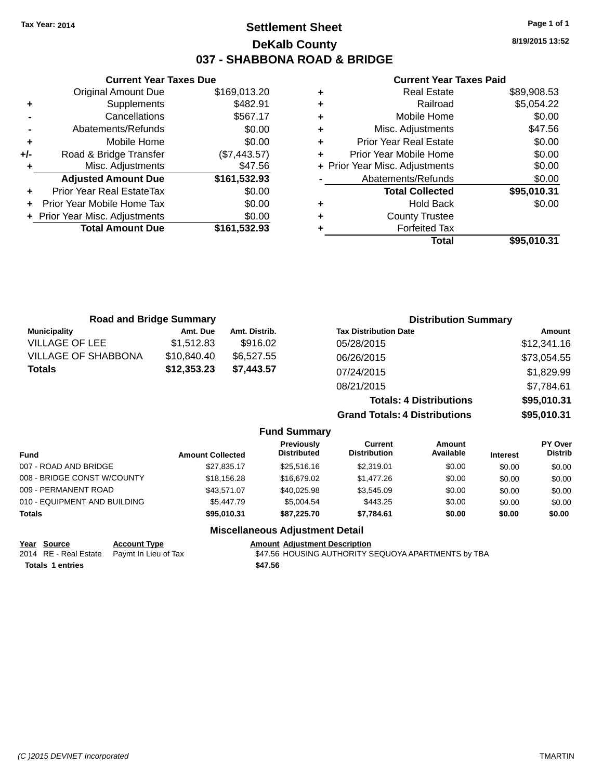# **Settlement Sheet Tax Year: 2014 Page 1 of 1 DeKalb County 037 - SHABBONA ROAD & BRIDGE**

**8/19/2015 13:52**

### **Current Year Taxes Paid**

|     | <b>Current Year Taxes Due</b>              |              |  |  |  |  |  |
|-----|--------------------------------------------|--------------|--|--|--|--|--|
|     | \$169,013.20<br><b>Original Amount Due</b> |              |  |  |  |  |  |
| ٠   | Supplements                                | \$482.91     |  |  |  |  |  |
|     | \$567.17<br>Cancellations                  |              |  |  |  |  |  |
|     | Abatements/Refunds                         | \$0.00       |  |  |  |  |  |
| ٠   | Mobile Home                                | \$0.00       |  |  |  |  |  |
| +/- | Road & Bridge Transfer                     | (\$7,443.57) |  |  |  |  |  |
| ٠   | Misc. Adjustments                          | \$47.56      |  |  |  |  |  |
|     | <b>Adjusted Amount Due</b>                 | \$161,532.93 |  |  |  |  |  |
|     | Prior Year Real EstateTax                  | \$0.00       |  |  |  |  |  |
|     | Prior Year Mobile Home Tax                 | \$0.00       |  |  |  |  |  |
|     | + Prior Year Misc. Adjustments             | \$0.00       |  |  |  |  |  |
|     | <b>Total Amount Due</b>                    | \$161,532.93 |  |  |  |  |  |
|     |                                            |              |  |  |  |  |  |

| ٠ | <b>Real Estate</b>               | \$89,908.53 |  |  |  |  |
|---|----------------------------------|-------------|--|--|--|--|
| ٠ | Railroad                         | \$5,054.22  |  |  |  |  |
| ٠ | Mobile Home                      | \$0.00      |  |  |  |  |
| ٠ | Misc. Adjustments                | \$47.56     |  |  |  |  |
| ٠ | <b>Prior Year Real Estate</b>    |             |  |  |  |  |
| ٠ | \$0.00<br>Prior Year Mobile Home |             |  |  |  |  |
|   | + Prior Year Misc. Adjustments   | \$0.00      |  |  |  |  |
|   | Abatements/Refunds               | \$0.00      |  |  |  |  |
|   | <b>Total Collected</b>           | \$95,010.31 |  |  |  |  |
| ٠ | Hold Back                        | \$0.00      |  |  |  |  |
| ٠ | <b>County Trustee</b>            |             |  |  |  |  |
| ٠ | <b>Forfeited Tax</b>             |             |  |  |  |  |
|   | Total                            | \$95,010.31 |  |  |  |  |
|   |                                  |             |  |  |  |  |

| <b>Road and Bridge Summary</b> |             |                     |                                      | <b>Distribution Summary</b>    |             |
|--------------------------------|-------------|---------------------|--------------------------------------|--------------------------------|-------------|
| <b>Municipality</b>            | Amt. Due    | Amt. Distrib.       | <b>Tax Distribution Date</b>         |                                | Amount      |
| <b>VILLAGE OF LEE</b>          | \$1,512.83  | \$916.02            | 05/28/2015                           |                                | \$12,341.16 |
| <b>VILLAGE OF SHABBONA</b>     | \$10,840.40 | \$6,527.55          | 06/26/2015                           |                                | \$73,054.55 |
| <b>Totals</b>                  | \$12,353.23 | \$7,443.57          | 07/24/2015                           |                                | \$1,829.99  |
|                                |             |                     | 08/21/2015                           |                                | \$7,784.61  |
|                                |             |                     |                                      | <b>Totals: 4 Distributions</b> | \$95,010.31 |
|                                |             |                     | <b>Grand Totals: 4 Distributions</b> |                                | \$95,010.31 |
|                                |             | <b>Fund Summary</b> |                                      |                                |             |
|                                |             | <b>Previously</b>   | Current                              | Amount                         | PY Over     |

| <b>Previously</b><br><b>Distributed</b><br>Fund<br><b>Amount Collected</b> | Current<br><b>Distribution</b> | Amount<br>Available | <b>Interest</b> | <b>PY Over</b><br><b>Distrib</b> |
|----------------------------------------------------------------------------|--------------------------------|---------------------|-----------------|----------------------------------|
| 007 - ROAD AND BRIDGE<br>\$27.835.17<br>\$25,516.16                        | \$2,319.01                     | \$0.00              | \$0.00          | \$0.00                           |
| 008 - BRIDGE CONST W/COUNTY<br>\$18,156.28                                 | \$16,679.02<br>\$1,477.26      | \$0.00              | \$0.00          | \$0.00                           |
| 009 - PERMANENT ROAD<br>\$40,025.98<br>\$43.571.07                         | \$3.545.09                     | \$0.00              | \$0.00          | \$0.00                           |
| 010 - EQUIPMENT AND BUILDING<br>\$5,447.79                                 | \$5.004.54<br>\$443.25         | \$0.00              | \$0.00          | \$0.00                           |
| Totals<br>\$95,010.31                                                      | \$87.225.70<br>\$7,784.61      | \$0.00              | \$0.00          | \$0.00                           |

### **Miscellaneous Adjustment Detail**

| Year Source             | <b>Account Type</b>                        | <b>Amount Adiustment Description</b>                |
|-------------------------|--------------------------------------------|-----------------------------------------------------|
|                         | 2014 RE - Real Estate Paymt In Lieu of Tax | \$47.56 HOUSING AUTHORITY SEQUOYA APARTMENTS by TBA |
| <b>Totals 1 entries</b> |                                            | \$47.56                                             |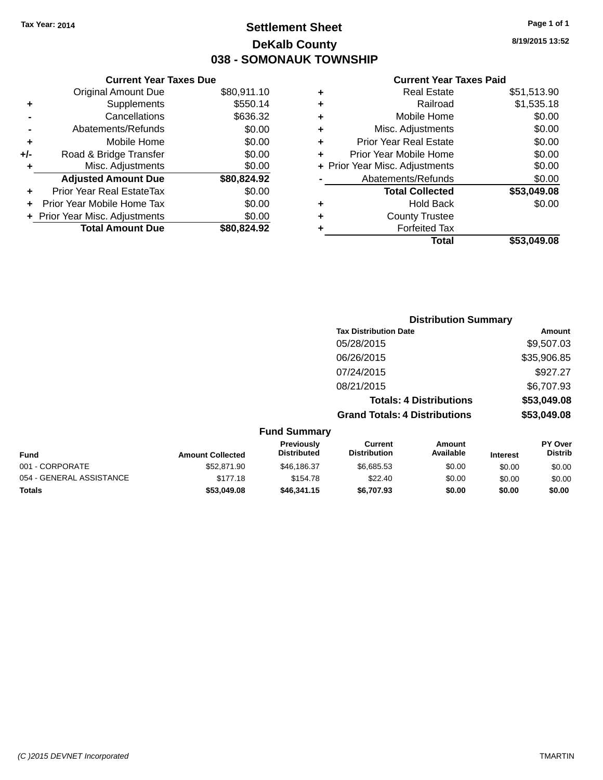# **Settlement Sheet Tax Year: 2014 Page 1 of 1 DeKalb County 038 - SOMONAUK TOWNSHIP**

**8/19/2015 13:52**

### **Current Year Taxes Paid**

| <b>Current Year Taxes Due</b>  |                         |
|--------------------------------|-------------------------|
| <b>Original Amount Due</b>     | \$80,911.10             |
| Supplements                    | \$550.14                |
| Cancellations                  | \$636.32                |
| Abatements/Refunds             | \$0.00                  |
| Mobile Home                    | \$0.00                  |
| Road & Bridge Transfer         | \$0.00                  |
| Misc. Adjustments              | \$0.00                  |
| <b>Adjusted Amount Due</b>     | \$80,824.92             |
| Prior Year Real EstateTax      | \$0.00                  |
| Prior Year Mobile Home Tax     | \$0.00                  |
| + Prior Year Misc. Adjustments | \$0.00                  |
|                                | \$80.824.92             |
|                                | <b>Total Amount Due</b> |

| ٠ | <b>Real Estate</b>             | \$51,513.90 |
|---|--------------------------------|-------------|
| ٠ | Railroad                       | \$1,535.18  |
| ٠ | Mobile Home                    | \$0.00      |
| ٠ | Misc. Adjustments              | \$0.00      |
| ٠ | <b>Prior Year Real Estate</b>  | \$0.00      |
| ٠ | Prior Year Mobile Home         | \$0.00      |
|   | + Prior Year Misc. Adjustments | \$0.00      |
|   | Abatements/Refunds             | \$0.00      |
|   | <b>Total Collected</b>         | \$53,049.08 |
| ٠ | Hold Back                      | \$0.00      |
| ٠ | <b>County Trustee</b>          |             |
| ٠ | <b>Forfeited Tax</b>           |             |
|   | Total                          | \$53,049,08 |
|   |                                |             |

|                         |                                         |                                       | <b>Distribution Summary</b>    |          |                                  |
|-------------------------|-----------------------------------------|---------------------------------------|--------------------------------|----------|----------------------------------|
|                         |                                         | <b>Tax Distribution Date</b>          |                                |          | Amount                           |
|                         |                                         | 05/28/2015                            |                                |          | \$9,507.03                       |
|                         |                                         | 06/26/2015                            |                                |          | \$35,906.85                      |
|                         |                                         | 07/24/2015                            |                                |          | \$927.27                         |
|                         |                                         | 08/21/2015                            |                                |          | \$6,707.93                       |
|                         |                                         |                                       | <b>Totals: 4 Distributions</b> |          | \$53,049.08                      |
|                         |                                         | <b>Grand Totals: 4 Distributions</b>  |                                |          | \$53,049.08                      |
|                         | <b>Fund Summary</b>                     |                                       |                                |          |                                  |
| <b>Amount Collected</b> | <b>Previously</b><br><b>Distributed</b> | <b>Current</b><br><b>Distribution</b> | Amount<br>Available            | Interest | <b>PY Over</b><br><b>Distrib</b> |
|                         |                                         |                                       |                                |          |                                  |

| <b>Fund</b>              | <b>Amount Collected</b> | .<br><b>Distributed</b> | -------<br><b>Distribution</b> | .<br>Available | <b>Interest</b> | .<br>Distrib |
|--------------------------|-------------------------|-------------------------|--------------------------------|----------------|-----------------|--------------|
| 001 - CORPORATE          | \$52.871.90             | \$46.186.37             | \$6.685.53                     | \$0.00         | \$0.00          | \$0.00       |
| 054 - GENERAL ASSISTANCE | \$177.18                | \$154.78                | \$22.40                        | \$0.00         | \$0.00          | \$0.00       |
| <b>Totals</b>            | \$53,049.08             | \$46,341.15             | \$6,707.93                     | \$0.00         | \$0.00          | \$0.00       |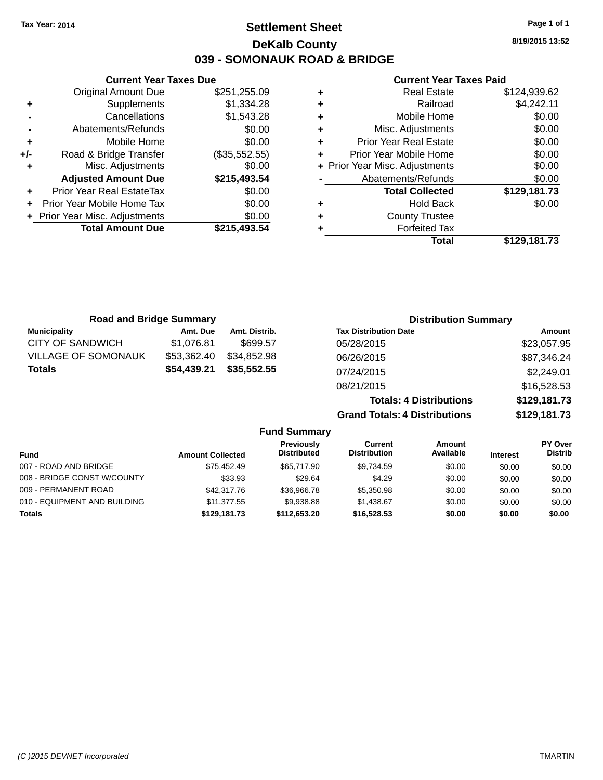# **Settlement Sheet Tax Year: 2014 Page 1 of 1 DeKalb County 039 - SOMONAUK ROAD & BRIDGE**

**8/19/2015 13:52**

### **Current Year Taxes Paid**

|     | <b>Current Year Taxes Due</b>  |               |  |  |  |
|-----|--------------------------------|---------------|--|--|--|
|     | Original Amount Due            | \$251,255.09  |  |  |  |
| ٠   | Supplements                    | \$1,334.28    |  |  |  |
|     | Cancellations                  | \$1,543.28    |  |  |  |
|     | Abatements/Refunds             | \$0.00        |  |  |  |
| ٠   | Mobile Home                    | \$0.00        |  |  |  |
| +/- | Road & Bridge Transfer         | (\$35,552.55) |  |  |  |
| ٠   | Misc. Adjustments              | \$0.00        |  |  |  |
|     | <b>Adjusted Amount Due</b>     | \$215,493.54  |  |  |  |
| ٠   | Prior Year Real EstateTax      | \$0.00        |  |  |  |
| ÷   | Prior Year Mobile Home Tax     | \$0.00        |  |  |  |
|     | + Prior Year Misc. Adjustments | \$0.00        |  |  |  |
|     | <b>Total Amount Due</b>        | \$215,493,54  |  |  |  |
|     |                                |               |  |  |  |

| ٠ | <b>Real Estate</b>             | \$124,939.62 |
|---|--------------------------------|--------------|
| ٠ | Railroad                       | \$4,242.11   |
| ٠ | Mobile Home                    | \$0.00       |
| ٠ | Misc. Adjustments              | \$0.00       |
| ٠ | <b>Prior Year Real Estate</b>  | \$0.00       |
| ÷ | Prior Year Mobile Home         | \$0.00       |
|   | + Prior Year Misc. Adjustments | \$0.00       |
|   | Abatements/Refunds             | \$0.00       |
|   | <b>Total Collected</b>         | \$129,181.73 |
| ٠ | Hold Back                      | \$0.00       |
| ٠ | <b>County Trustee</b>          |              |
| ٠ | <b>Forfeited Tax</b>           |              |
|   | Total                          | \$129,181.73 |
|   |                                |              |

| <b>Road and Bridge Summary</b> |             |               | <b>Distribution Summary</b>    |              |
|--------------------------------|-------------|---------------|--------------------------------|--------------|
| <b>Municipality</b>            | Amt. Due    | Amt. Distrib. | <b>Tax Distribution Date</b>   | Amount       |
| <b>CITY OF SANDWICH</b>        | \$1,076.81  | \$699.57      | 05/28/2015                     | \$23,057.95  |
| <b>VILLAGE OF SOMONAUK</b>     | \$53,362.40 | \$34,852.98   | 06/26/2015                     | \$87,346.24  |
| <b>Totals</b>                  | \$54,439.21 | \$35,552.55   | 07/24/2015                     | \$2,249.01   |
|                                |             |               | 08/21/2015                     | \$16,528.53  |
|                                |             |               | <b>Totals: 4 Distributions</b> | \$129,181.73 |

**Grand Totals: 4 Distributions \$129,181.73**

| <b>Fund Summary</b>          |                         |                                         |                                |                     |                 |                           |
|------------------------------|-------------------------|-----------------------------------------|--------------------------------|---------------------|-----------------|---------------------------|
| <b>Fund</b>                  | <b>Amount Collected</b> | <b>Previously</b><br><b>Distributed</b> | Current<br><b>Distribution</b> | Amount<br>Available | <b>Interest</b> | PY Over<br><b>Distrib</b> |
| 007 - ROAD AND BRIDGE        | \$75.452.49             | \$65,717.90                             | \$9,734.59                     | \$0.00              | \$0.00          | \$0.00                    |
| 008 - BRIDGE CONST W/COUNTY  | \$33.93                 | \$29.64                                 | \$4.29                         | \$0.00              | \$0.00          | \$0.00                    |
| 009 - PERMANENT ROAD         | \$42,317.76             | \$36,966.78                             | \$5,350.98                     | \$0.00              | \$0.00          | \$0.00                    |
| 010 - EQUIPMENT AND BUILDING | \$11,377,55             | \$9.938.88                              | \$1.438.67                     | \$0.00              | \$0.00          | \$0.00                    |
| <b>Totals</b>                | \$129,181.73            | \$112,653,20                            | \$16,528,53                    | \$0.00              | \$0.00          | \$0.00                    |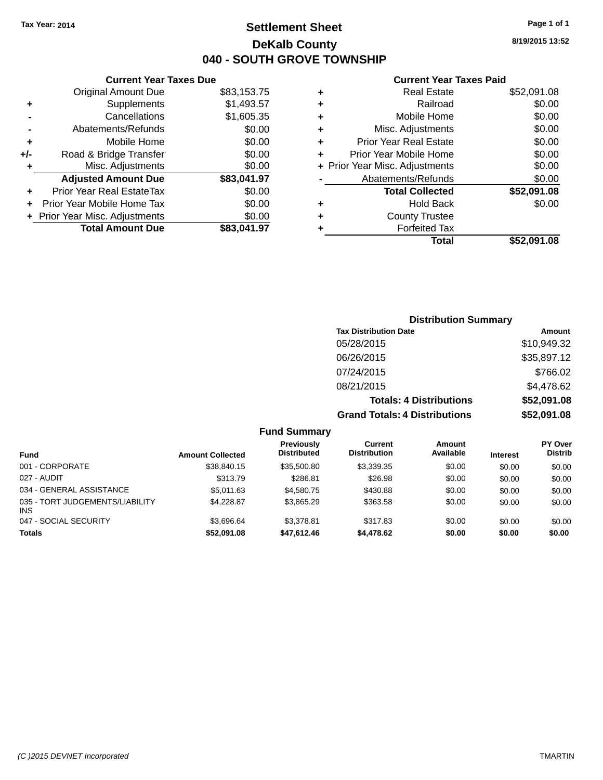# **Settlement Sheet Tax Year: 2014 Page 1 of 1 DeKalb County 040 - SOUTH GROVE TOWNSHIP**

**8/19/2015 13:52**

### **Current Year Taxes Paid**

|     | <b>Current Year Taxes Due</b>    |             |
|-----|----------------------------------|-------------|
|     | <b>Original Amount Due</b>       | \$83,153.75 |
| ٠   | Supplements                      | \$1,493.57  |
|     | Cancellations                    | \$1,605.35  |
|     | Abatements/Refunds               | \$0.00      |
| ٠   | Mobile Home                      | \$0.00      |
| +/- | Road & Bridge Transfer           | \$0.00      |
| ٠   | Misc. Adjustments                | \$0.00      |
|     | <b>Adjusted Amount Due</b>       | \$83,041.97 |
|     | <b>Prior Year Real EstateTax</b> | \$0.00      |
|     | Prior Year Mobile Home Tax       | \$0.00      |
|     | + Prior Year Misc. Adjustments   | \$0.00      |
|     | <b>Total Amount Due</b>          | \$83,041.97 |

# **Distribution Summary**

| <b>Tax Distribution Date</b>         | Amount      |
|--------------------------------------|-------------|
| 05/28/2015                           | \$10,949.32 |
| 06/26/2015                           | \$35,897.12 |
| 07/24/2015                           | \$766.02    |
| 08/21/2015                           | \$4,478.62  |
| <b>Totals: 4 Distributions</b>       | \$52,091.08 |
| <b>Grand Totals: 4 Distributions</b> | \$52,091.08 |

### **Fund Summary**

| <b>Fund</b>                                   | <b>Amount Collected</b> | Previously<br><b>Distributed</b> | Current<br><b>Distribution</b> | <b>Amount</b><br>Available | <b>Interest</b> | <b>PY Over</b><br><b>Distrib</b> |
|-----------------------------------------------|-------------------------|----------------------------------|--------------------------------|----------------------------|-----------------|----------------------------------|
| 001 - CORPORATE                               | \$38.840.15             | \$35,500.80                      | \$3.339.35                     | \$0.00                     | \$0.00          | \$0.00                           |
| 027 - AUDIT                                   | \$313.79                | \$286.81                         | \$26.98                        | \$0.00                     | \$0.00          | \$0.00                           |
| 034 - GENERAL ASSISTANCE                      | \$5.011.63              | \$4.580.75                       | \$430.88                       | \$0.00                     | \$0.00          | \$0.00                           |
| 035 - TORT JUDGEMENTS/LIABILITY<br><b>INS</b> | \$4,228.87              | \$3.865.29                       | \$363.58                       | \$0.00                     | \$0.00          | \$0.00                           |
| 047 - SOCIAL SECURITY                         | \$3.696.64              | \$3.378.81                       | \$317.83                       | \$0.00                     | \$0.00          | \$0.00                           |
| <b>Totals</b>                                 | \$52,091.08             | \$47.612.46                      | \$4,478,62                     | \$0.00                     | \$0.00          | \$0.00                           |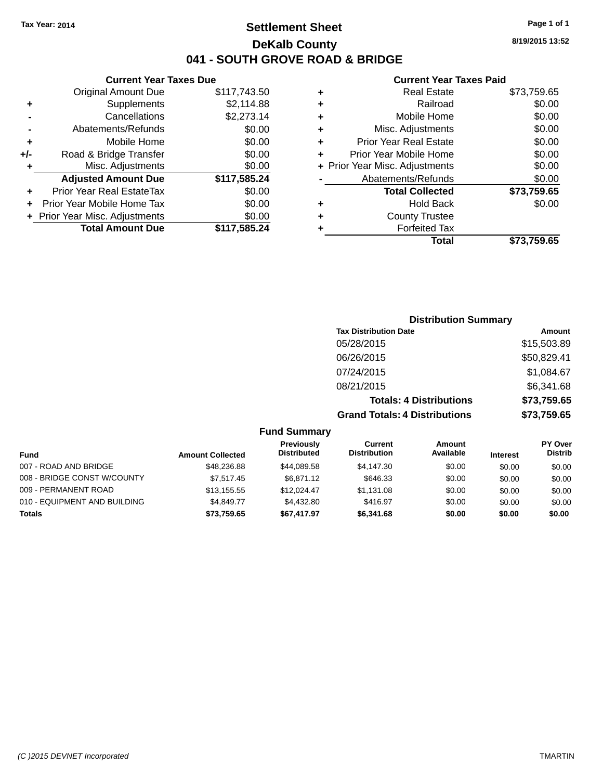# **Settlement Sheet Tax Year: 2014 Page 1 of 1 DeKalb County 041 - SOUTH GROVE ROAD & BRIDGE**

**8/19/2015 13:52**

### **Current Year Taxes Paid**

|       | <b>Current Year Taxes Due</b>  |              |  |  |  |
|-------|--------------------------------|--------------|--|--|--|
|       | <b>Original Amount Due</b>     | \$117,743.50 |  |  |  |
| ٠     | Supplements                    | \$2.114.88   |  |  |  |
|       | Cancellations                  | \$2,273.14   |  |  |  |
|       | Abatements/Refunds             | \$0.00       |  |  |  |
| ٠     | Mobile Home                    | \$0.00       |  |  |  |
| $+/-$ | Road & Bridge Transfer         | \$0.00       |  |  |  |
| ٠     | Misc. Adjustments              | \$0.00       |  |  |  |
|       | <b>Adjusted Amount Due</b>     | \$117,585.24 |  |  |  |
|       | Prior Year Real EstateTax      | \$0.00       |  |  |  |
|       | Prior Year Mobile Home Tax     | \$0.00       |  |  |  |
|       | + Prior Year Misc. Adjustments | \$0.00       |  |  |  |
|       | <b>Total Amount Due</b>        | \$117.585.24 |  |  |  |
|       |                                |              |  |  |  |

| ٠ | <b>Real Estate</b>             | \$73,759.65 |
|---|--------------------------------|-------------|
| ٠ | Railroad                       | \$0.00      |
| ٠ | Mobile Home                    | \$0.00      |
| ٠ | Misc. Adjustments              | \$0.00      |
| ٠ | <b>Prior Year Real Estate</b>  | \$0.00      |
| ٠ | Prior Year Mobile Home         | \$0.00      |
|   | + Prior Year Misc. Adjustments | \$0.00      |
|   | Abatements/Refunds             | \$0.00      |
|   | <b>Total Collected</b>         | \$73,759.65 |
| ٠ | <b>Hold Back</b>               | \$0.00      |
| ٠ | <b>County Trustee</b>          |             |
|   | <b>Forfeited Tax</b>           |             |
|   | Total                          | \$73,759.65 |
|   |                                |             |

## **Distribution Summary Tax Distribution Date Amount** 05/28/2015 \$15,503.89 06/26/2015 \$50,829.41 07/24/2015 \$1,084.67 08/21/2015 \$6,341.68 **Totals: 4 Distributions \$73,759.65 Grand Totals: 4 Distributions \$73,759.65**

### **Fund Summary**

|                              |                         | Previously         | Current             | Amount    |                 | <b>PY Over</b> |
|------------------------------|-------------------------|--------------------|---------------------|-----------|-----------------|----------------|
| <b>Fund</b>                  | <b>Amount Collected</b> | <b>Distributed</b> | <b>Distribution</b> | Available | <b>Interest</b> | <b>Distrib</b> |
| 007 - ROAD AND BRIDGE        | \$48,236,88             | \$44.089.58        | \$4,147,30          | \$0.00    | \$0.00          | \$0.00         |
| 008 - BRIDGE CONST W/COUNTY  | \$7.517.45              | \$6.871.12         | \$646.33            | \$0.00    | \$0.00          | \$0.00         |
| 009 - PERMANENT ROAD         | \$13.155.55             | \$12,024.47        | \$1.131.08          | \$0.00    | \$0.00          | \$0.00         |
| 010 - EQUIPMENT AND BUILDING | \$4.849.77              | \$4,432.80         | \$416.97            | \$0.00    | \$0.00          | \$0.00         |
| Totals                       | \$73,759.65             | \$67,417.97        | \$6,341,68          | \$0.00    | \$0.00          | \$0.00         |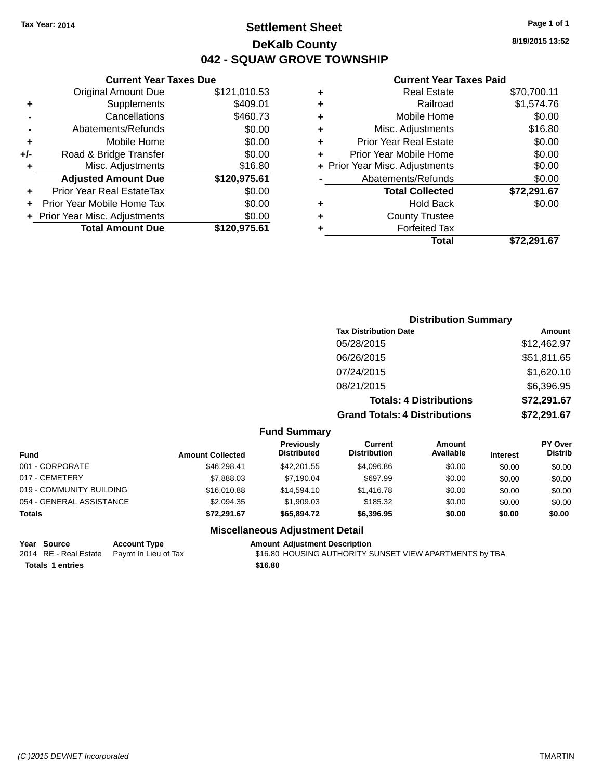# **Settlement Sheet Tax Year: 2014 Page 1 of 1 DeKalb County 042 - SQUAW GROVE TOWNSHIP**

**8/19/2015 13:52**

### **Current Year Taxes Paid**

| \$0.00      | Mobile Home                    | ٠ | \$460.73 |
|-------------|--------------------------------|---|----------|
|             |                                |   |          |
| \$16.80     | Misc. Adjustments              | ٠ | \$0.00   |
| \$0.00      | <b>Prior Year Real Estate</b>  | ٠ | \$0.00   |
| \$0.00      | Prior Year Mobile Home         | ÷ | \$0.00   |
| \$0.00      | + Prior Year Misc. Adjustments |   | \$16.80  |
| \$0.00      | Abatements/Refunds             |   | ,975.61  |
| \$72,291.67 | <b>Total Collected</b>         |   | \$0.00   |
| \$0.00      | Hold Back                      | ٠ | \$0.00   |
|             | <b>County Trustee</b>          | ٠ | \$0.00   |
|             | <b>Forfeited Tax</b>           |   | ,975.61  |
| \$72,291.67 | Total                          |   |          |

### **Current Year Taxes Due** Original Amount Due \$121 **+** Supplements \$409.01 **-** Cancellations \$460.733 **-** Abatements/Refunds **+** Mobile Home **+/-** Road & Bridge Transfer **+** Misc. Adjustments Adjusted Amount Due \$120 **+** Prior Year Real EstateTax \$0.00 **+** Prior Year Mobile Home Tax **+** Prior Year Misc. Adjustments **Total Amount Due \$120**

| <b>Distribution Summary</b>          |             |
|--------------------------------------|-------------|
| <b>Tax Distribution Date</b>         | Amount      |
| 05/28/2015                           | \$12,462.97 |
| 06/26/2015                           | \$51,811.65 |
| 07/24/2015                           | \$1,620.10  |
| 08/21/2015                           | \$6,396.95  |
| <b>Totals: 4 Distributions</b>       | \$72,291.67 |
| <b>Grand Totals: 4 Distributions</b> | \$72,291.67 |
|                                      |             |

#### **Fund Summary**

| <b>Fund</b>              | <b>Amount Collected</b> | <b>Previously</b><br><b>Distributed</b> | Current<br><b>Distribution</b> | Amount<br>Available | <b>Interest</b> | <b>PY Over</b><br><b>Distrib</b> |
|--------------------------|-------------------------|-----------------------------------------|--------------------------------|---------------------|-----------------|----------------------------------|
| 001 - CORPORATE          | \$46.298.41             | \$42,201.55                             | \$4.096.86                     | \$0.00              | \$0.00          | \$0.00                           |
| 017 - CEMETERY           | \$7,888.03              | \$7.190.04                              | \$697.99                       | \$0.00              | \$0.00          | \$0.00                           |
| 019 - COMMUNITY BUILDING | \$16,010.88             | \$14,594.10                             | \$1,416.78                     | \$0.00              | \$0.00          | \$0.00                           |
| 054 - GENERAL ASSISTANCE | \$2,094.35              | \$1,909.03                              | \$185.32                       | \$0.00              | \$0.00          | \$0.00                           |
| <b>Totals</b>            | \$72.291.67             | \$65,894.72                             | \$6,396.95                     | \$0.00              | \$0.00          | \$0.00                           |

### **Miscellaneous Adjustment Detail**

| Year Source                                | <b>Account Type</b> | Amount  |
|--------------------------------------------|---------------------|---------|
| 2014 RE - Real Estate Paymt In Lieu of Tax |                     | \$16.80 |
| <b>Totals 1 entries</b>                    |                     | \$16.80 |

**PERETTE ACCOUNTED ACCOUNT ADDETENT ADDETENT ADDETENT ACCOUNT ADDETENT ACCOUNT ACCOUNT ACCOUNT ACCOUNT ACCOUNT** 10 It In Lieu of Tax 600 FIG.80 HOUSING AUTHORITY SUNSET VIEW APARTMENTS by TBA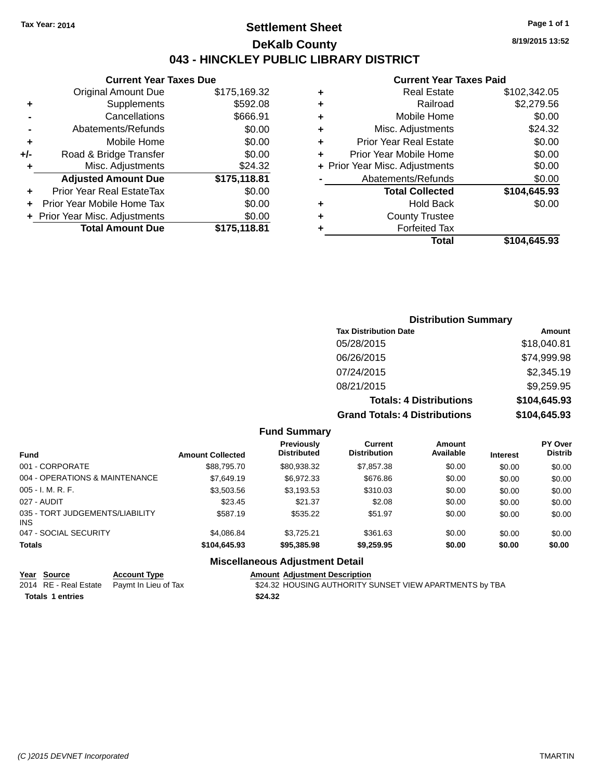# **Settlement Sheet Tax Year: 2014 Page 1 of 1 DeKalb County 043 - HINCKLEY PUBLIC LIBRARY DISTRICT**

**8/19/2015 13:52**

### **Current Year Taxes Paid**

|     | <b>Current Year Taxes Due</b>  |              |  |  |  |  |
|-----|--------------------------------|--------------|--|--|--|--|
|     | <b>Original Amount Due</b>     | \$175,169.32 |  |  |  |  |
| ٠   | Supplements                    | \$592.08     |  |  |  |  |
|     | Cancellations                  | \$666.91     |  |  |  |  |
|     | Abatements/Refunds             | \$0.00       |  |  |  |  |
| ٠   | Mobile Home                    | \$0.00       |  |  |  |  |
| +/- | Road & Bridge Transfer         | \$0.00       |  |  |  |  |
| ٠   | Misc. Adjustments              |              |  |  |  |  |
|     | <b>Adjusted Amount Due</b>     | \$175,118.81 |  |  |  |  |
| ٠   | Prior Year Real EstateTax      | \$0.00       |  |  |  |  |
|     | Prior Year Mobile Home Tax     | \$0.00       |  |  |  |  |
|     | + Prior Year Misc. Adjustments | \$0.00       |  |  |  |  |
|     | <b>Total Amount Due</b>        | \$175.118.81 |  |  |  |  |
|     |                                |              |  |  |  |  |

| ٠ | <b>Real Estate</b>             | \$102,342.05 |
|---|--------------------------------|--------------|
| ٠ | Railroad                       | \$2,279.56   |
| ٠ | Mobile Home                    | \$0.00       |
| ٠ | Misc. Adjustments              | \$24.32      |
| ٠ | <b>Prior Year Real Estate</b>  | \$0.00       |
| ٠ | Prior Year Mobile Home         | \$0.00       |
|   | + Prior Year Misc. Adjustments | \$0.00       |
|   | Abatements/Refunds             | \$0.00       |
|   | <b>Total Collected</b>         | \$104,645.93 |
| ٠ | Hold Back                      | \$0.00       |
| ٠ | <b>County Trustee</b>          |              |
| ٠ | <b>Forfeited Tax</b>           |              |
|   | Total                          | \$104,645.93 |
|   |                                |              |

## **Distribution Summary Tax Distribution Date Amount** 05/28/2015 \$18,040.81 06/26/2015 \$74,999.98 07/24/2015 \$2,345.19 08/21/2015 \$9,259.95 **Totals: 4 Distributions \$104,645.93 Grand Totals: 4 Distributions \$104,645.93**

### **Fund Summary**

| <b>Fund</b>                                   | <b>Amount Collected</b> | <b>Previously</b><br><b>Distributed</b> | Current<br><b>Distribution</b> | Amount<br>Available | <b>Interest</b> | <b>PY Over</b><br><b>Distrib</b> |
|-----------------------------------------------|-------------------------|-----------------------------------------|--------------------------------|---------------------|-----------------|----------------------------------|
| 001 - CORPORATE                               | \$88,795.70             | \$80,938.32                             | \$7,857,38                     | \$0.00              | \$0.00          | \$0.00                           |
| 004 - OPERATIONS & MAINTENANCE                | \$7,649.19              | \$6.972.33                              | \$676.86                       | \$0.00              | \$0.00          | \$0.00                           |
| $005 - I. M. R. F.$                           | \$3,503.56              | \$3,193.53                              | \$310.03                       | \$0.00              | \$0.00          | \$0.00                           |
| 027 - AUDIT                                   | \$23.45                 | \$21.37                                 | \$2.08                         | \$0.00              | \$0.00          | \$0.00                           |
| 035 - TORT JUDGEMENTS/LIABILITY<br><b>INS</b> | \$587.19                | \$535.22                                | \$51.97                        | \$0.00              | \$0.00          | \$0.00                           |
| 047 - SOCIAL SECURITY                         | \$4.086.84              | \$3.725.21                              | \$361.63                       | \$0.00              | \$0.00          | \$0.00                           |
| <b>Totals</b>                                 | \$104,645.93            | \$95,385.98                             | \$9,259.95                     | \$0.00              | \$0.00          | \$0.00                           |

### **Miscellaneous Adjustment Detail**

| Year Source             | <b>Account Type</b>                        | <b>Amount Adiustment Description</b>                    |
|-------------------------|--------------------------------------------|---------------------------------------------------------|
|                         | 2014 RE - Real Estate Paymt In Lieu of Tax | \$24.32 HOUSING AUTHORITY SUNSET VIEW APARTMENTS by TBA |
| <b>Totals 1 entries</b> |                                            | \$24.32                                                 |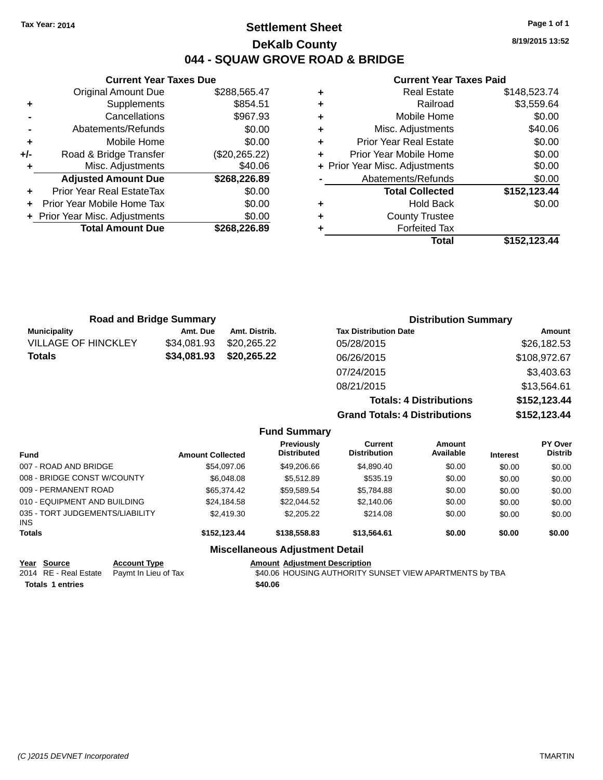# **Settlement Sheet Tax Year: 2014 Page 1 of 1 DeKalb County 044 - SQUAW GROVE ROAD & BRIDGE**

**8/19/2015 13:52**

### **Current Year Taxes Paid**

|       | <b>Current Year Taxes Due</b>  |               |  |  |  |  |
|-------|--------------------------------|---------------|--|--|--|--|
|       | <b>Original Amount Due</b>     | \$288,565.47  |  |  |  |  |
| ٠     | Supplements                    | \$854.51      |  |  |  |  |
|       | Cancellations                  | \$967.93      |  |  |  |  |
|       | Abatements/Refunds             | \$0.00        |  |  |  |  |
| ٠     | Mobile Home                    | \$0.00        |  |  |  |  |
| $+/-$ | Road & Bridge Transfer         | (\$20,265.22) |  |  |  |  |
|       | Misc. Adjustments              | \$40.06       |  |  |  |  |
|       | <b>Adjusted Amount Due</b>     | \$268,226.89  |  |  |  |  |
| ٠     | Prior Year Real EstateTax      | \$0.00        |  |  |  |  |
|       | Prior Year Mobile Home Tax     | \$0.00        |  |  |  |  |
|       | + Prior Year Misc. Adjustments | \$0.00        |  |  |  |  |
|       | <b>Total Amount Due</b>        | \$268,226.89  |  |  |  |  |
|       |                                |               |  |  |  |  |

|   | <b>Real Estate</b>             | \$148,523.74 |
|---|--------------------------------|--------------|
| ٠ | Railroad                       | \$3,559.64   |
| ٠ | Mobile Home                    | \$0.00       |
| ٠ | Misc. Adjustments              | \$40.06      |
| ٠ | <b>Prior Year Real Estate</b>  | \$0.00       |
| ٠ | Prior Year Mobile Home         | \$0.00       |
|   | + Prior Year Misc. Adjustments | \$0.00       |
|   | Abatements/Refunds             | \$0.00       |
|   | <b>Total Collected</b>         | \$152,123.44 |
| ٠ | Hold Back                      | \$0.00       |
| ٠ | <b>County Trustee</b>          |              |
|   | <b>Forfeited Tax</b>           |              |
|   | Total                          | \$152,123.44 |

| <b>Road and Bridge Summary</b> |             |               | <b>Distribution Summary</b>          |              |  |
|--------------------------------|-------------|---------------|--------------------------------------|--------------|--|
| <b>Municipality</b>            | Amt. Due    | Amt. Distrib. | <b>Tax Distribution Date</b>         | Amount       |  |
| <b>VILLAGE OF HINCKLEY</b>     | \$34.081.93 | \$20,265,22   | 05/28/2015                           | \$26,182.53  |  |
| \$34,081.93<br><b>Totals</b>   |             | \$20,265.22   | 06/26/2015                           | \$108,972.67 |  |
|                                |             |               | 07/24/2015                           | \$3,403.63   |  |
|                                |             |               | 08/21/2015                           | \$13,564.61  |  |
|                                |             |               | <b>Totals: 4 Distributions</b>       | \$152,123.44 |  |
|                                |             |               | <b>Grand Totals: 4 Distributions</b> | \$152,123.44 |  |

|                                         |                         | <b>Fund Summary</b>                     |                                |                     |                 |                                  |
|-----------------------------------------|-------------------------|-----------------------------------------|--------------------------------|---------------------|-----------------|----------------------------------|
| <b>Fund</b>                             | <b>Amount Collected</b> | <b>Previously</b><br><b>Distributed</b> | Current<br><b>Distribution</b> | Amount<br>Available | <b>Interest</b> | <b>PY Over</b><br><b>Distrib</b> |
| 007 - ROAD AND BRIDGE                   | \$54,097.06             | \$49,206.66                             | \$4,890.40                     | \$0.00              | \$0.00          | \$0.00                           |
| 008 - BRIDGE CONST W/COUNTY             | \$6,048,08              | \$5,512.89                              | \$535.19                       | \$0.00              | \$0.00          | \$0.00                           |
| 009 - PERMANENT ROAD                    | \$65,374,42             | \$59,589.54                             | \$5,784.88                     | \$0.00              | \$0.00          | \$0.00                           |
| 010 - EQUIPMENT AND BUILDING            | \$24,184.58             | \$22,044.52                             | \$2,140.06                     | \$0.00              | \$0.00          | \$0.00                           |
| 035 - TORT JUDGEMENTS/LIABILITY<br>INS. | \$2,419.30              | \$2,205.22                              | \$214.08                       | \$0.00              | \$0.00          | \$0.00                           |
| <b>Totals</b>                           | \$152.123.44            | \$138,558,83                            | \$13.564.61                    | \$0.00              | \$0.00          | \$0.00                           |
|                                         |                         | <b>Miscellaneous Adjustment Detail</b>  |                                |                     |                 |                                  |

# **Year** Source **Account Type Account Adjustment Description**

| ital Juulut           | AGGOUIN  |
|-----------------------|----------|
| 2014 RE - Real Estate | Paymt In |

**Totals \$40.06 1 entries**

Lieu of Tax **340.06 HOUSING AUTHORITY SUNSET VIEW APARTMENTS by TBA**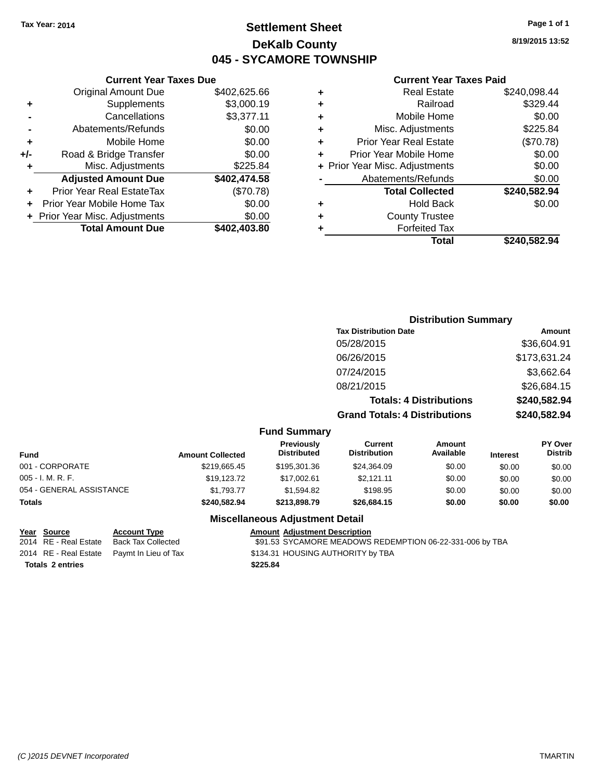# **Settlement Sheet Tax Year: 2014 Page 1 of 1 DeKalb County 045 - SYCAMORE TOWNSHIP**

**8/19/2015 13:52**

#### **Current Year Taxes Paid**

| \$240.582.94 | Total                          |   |  |
|--------------|--------------------------------|---|--|
|              | <b>Forfeited Tax</b>           |   |  |
|              | <b>County Trustee</b>          |   |  |
| \$0.00       | <b>Hold Back</b>               |   |  |
| \$240,582.94 | <b>Total Collected</b>         |   |  |
| \$0.00       | Abatements/Refunds             |   |  |
| \$0.00       | + Prior Year Misc. Adjustments |   |  |
| \$0.00       | Prior Year Mobile Home         |   |  |
| (\$70.78)    | <b>Prior Year Real Estate</b>  | ٠ |  |
| \$225.84     | Misc. Adjustments              |   |  |
| \$0.00       | Mobile Home                    |   |  |
| \$329.44     | Railroad                       |   |  |
| \$240,098.44 | <b>Real Estate</b>             |   |  |
|              |                                |   |  |

|     | <b>Current Year Taxes Due</b>    |              |
|-----|----------------------------------|--------------|
|     | <b>Original Amount Due</b>       | \$402,625.66 |
| ٠   | Supplements                      | \$3,000.19   |
|     | Cancellations                    | \$3,377.11   |
|     | Abatements/Refunds               | \$0.00       |
| ٠   | Mobile Home                      | \$0.00       |
| +/- | Road & Bridge Transfer           | \$0.00       |
| ٠   | Misc. Adjustments                | \$225.84     |
|     | <b>Adjusted Amount Due</b>       | \$402,474.58 |
|     | <b>Prior Year Real EstateTax</b> | (\$70.78)    |
|     | Prior Year Mobile Home Tax       | \$0.00       |
|     | + Prior Year Misc. Adjustments   | \$0.00       |
|     | <b>Total Amount Due</b>          | \$402,403.80 |

|                     | <b>Distribution Summary</b>          |              |
|---------------------|--------------------------------------|--------------|
|                     | <b>Tax Distribution Date</b>         | Amount       |
|                     | 05/28/2015                           | \$36,604.91  |
|                     | 06/26/2015                           | \$173,631.24 |
|                     | 07/24/2015                           | \$3,662.64   |
|                     | 08/21/2015                           | \$26,684.15  |
|                     | <b>Totals: 4 Distributions</b>       | \$240,582.94 |
|                     | <b>Grand Totals: 4 Distributions</b> | \$240,582.94 |
| <b>Fund Summary</b> |                                      |              |

| <b>Fund</b>              | <b>Amount Collected</b> | Previously<br><b>Distributed</b> | Current<br><b>Distribution</b> | Amount<br>Available | <b>Interest</b> | <b>PY Over</b><br><b>Distrib</b> |
|--------------------------|-------------------------|----------------------------------|--------------------------------|---------------------|-----------------|----------------------------------|
| 001 - CORPORATE          | \$219,665.45            | \$195,301,36                     | \$24,364.09                    | \$0.00              | \$0.00          | \$0.00                           |
| $005 - I. M. R. F.$      | \$19,123.72             | \$17,002.61                      | \$2,121.11                     | \$0.00              | \$0.00          | \$0.00                           |
| 054 - GENERAL ASSISTANCE | \$1.793.77              | \$1.594.82                       | \$198.95                       | \$0.00              | \$0.00          | \$0.00                           |
| <b>Totals</b>            | \$240,582.94            | \$213,898.79                     | \$26,684.15                    | \$0.00              | \$0.00          | \$0.00                           |

### **Miscellaneous Adjustment Detail**

**Year Source Account Type Amount Adjustment Description**<br>2014 RE - Real Estate Back Tax Collected \$91.53 SYCAMORE MEADOWS \$91.53 SYCAMORE MEADOWS REDEMPTION 06-22-331-006 by TBA 2014 RE - Real Estate Paymt In Lieu of Tax S134.31 HOUSING AUTHORITY by TBA **Totals \$225.84 2 entries**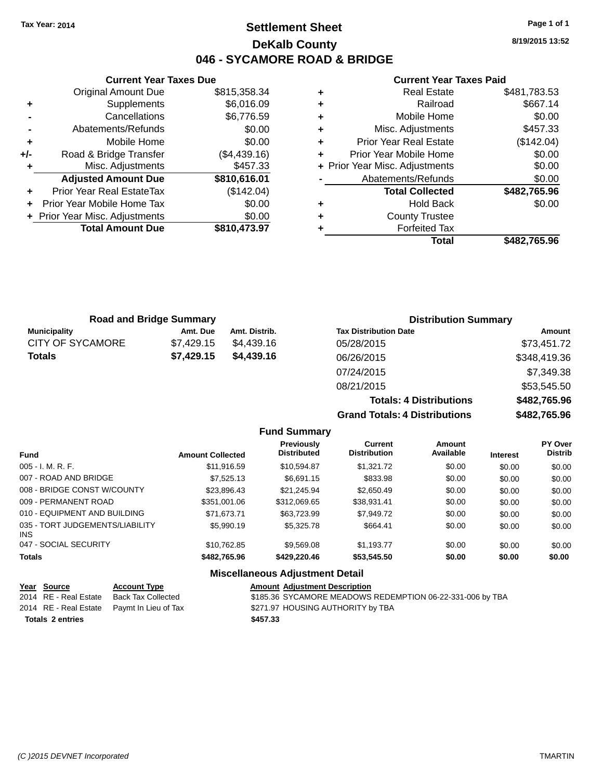# **Settlement Sheet Tax Year: 2014 Page 1 of 1 DeKalb County 046 - SYCAMORE ROAD & BRIDGE**

**8/19/2015 13:52**

### **Current Year Taxes Paid**

|     | <b>Original Amount Due</b>     | \$815,358.34 |
|-----|--------------------------------|--------------|
| ٠   | Supplements                    | \$6,016.09   |
|     | Cancellations                  | \$6,776.59   |
|     | Abatements/Refunds             | \$0.00       |
| ٠   | Mobile Home                    | \$0.00       |
| +/- | Road & Bridge Transfer         | (\$4,439.16) |
| ٠   | Misc. Adjustments              | \$457.33     |
|     | <b>Adjusted Amount Due</b>     | \$810,616.01 |
| ٠   | Prior Year Real EstateTax      | (\$142.04)   |
| ٠   | Prior Year Mobile Home Tax     | \$0.00       |
|     | + Prior Year Misc. Adjustments | \$0.00       |
|     | <b>Total Amount Due</b>        | \$810,473.97 |
|     |                                |              |

**Current Year Taxes Due**

| ٠ | <b>Real Estate</b>             | \$481,783.53 |
|---|--------------------------------|--------------|
| ٠ | Railroad                       | \$667.14     |
| ÷ | Mobile Home                    | \$0.00       |
| ٠ | Misc. Adjustments              | \$457.33     |
| ٠ | <b>Prior Year Real Estate</b>  | (\$142.04)   |
| ٠ | Prior Year Mobile Home         | \$0.00       |
|   | + Prior Year Misc. Adjustments | \$0.00       |
|   | Abatements/Refunds             | \$0.00       |
|   | <b>Total Collected</b>         | \$482,765.96 |
| ٠ | <b>Hold Back</b>               | \$0.00       |
| ٠ | <b>County Trustee</b>          |              |
| ٠ | <b>Forfeited Tax</b>           |              |
|   | Total                          | \$482,765.96 |
|   |                                |              |

**Totals: 4 Distributions \$482,765.96**

**Grand Totals: 4 Distributions \$482,765.96**

| <b>Road and Bridge Summary</b> |            |               | <b>Distribution Summary</b>  |              |  |
|--------------------------------|------------|---------------|------------------------------|--------------|--|
| <b>Municipality</b>            | Amt. Due   | Amt. Distrib. | <b>Tax Distribution Date</b> | Amount       |  |
| <b>CITY OF SYCAMORE</b>        | \$7.429.15 | \$4.439.16    | 05/28/2015                   | \$73,451.72  |  |
| <b>Totals</b>                  | \$7,429.15 | \$4,439.16    | 06/26/2015                   | \$348,419.36 |  |
|                                |            |               | 07/24/2015                   | \$7,349.38   |  |
|                                |            |               | 08/21/2015                   | \$53,545.50  |  |

**Fund Summary Fund Interest Amount Collected Distributed PY Over Distrib Amount Available Current Distribution Previously** 005 - I. M. R. F. \$11,916.59 \$10,594.87 \$1,321.72 \$0.00 \$0.00 \$0.00 007 - ROAD AND BRIDGE \$7,525.13 \$6,691.15 \$833.98 \$0.00 \$0.00 \$0.00 008 - BRIDGE CONST W/COUNTY  $$23,896.43$   $$21,245.94$   $$2,650.49$   $$0.00$   $$0.00$   $$0.00$ 009 - PERMANENT ROAD \$351,001.06 \$312,069.65 \$38,931.41 \$0.00 \$0.00 \$0.00 010 - EQUIPMENT AND BUILDING \$71,673.71 \$63,723.99 \$7,949.72 \$0.00 \$0.00 \$0.00 035 - TORT JUDGEMENTS/LIABILITY INS \$5,990.19 \$5,325.78 \$664.41 \$0.00 \$0.00 \$0.00 047 - SOCIAL SECURITY \$10,762.85 \$9,569.08 \$1,193.77 \$0.00 \$0.00 \$0.00 **Totals \$482,765.96 \$429,220.46 \$53,545.50 \$0.00 \$0.00 \$0.00**

### **Miscellaneous Adjustment Detail**

| Year Source             | <b>Account Type</b>                        | <b>Amount Adjustment Description</b>                      |
|-------------------------|--------------------------------------------|-----------------------------------------------------------|
| 2014 RE - Real Estate   | Back Tax Collected                         | \$185.36 SYCAMORE MEADOWS REDEMPTION 06-22-331-006 by TBA |
|                         | 2014 RE - Real Estate Paymt In Lieu of Tax | \$271.97 HOUSING AUTHORITY by TBA                         |
| <b>Totals 2 entries</b> |                                            | \$457.33                                                  |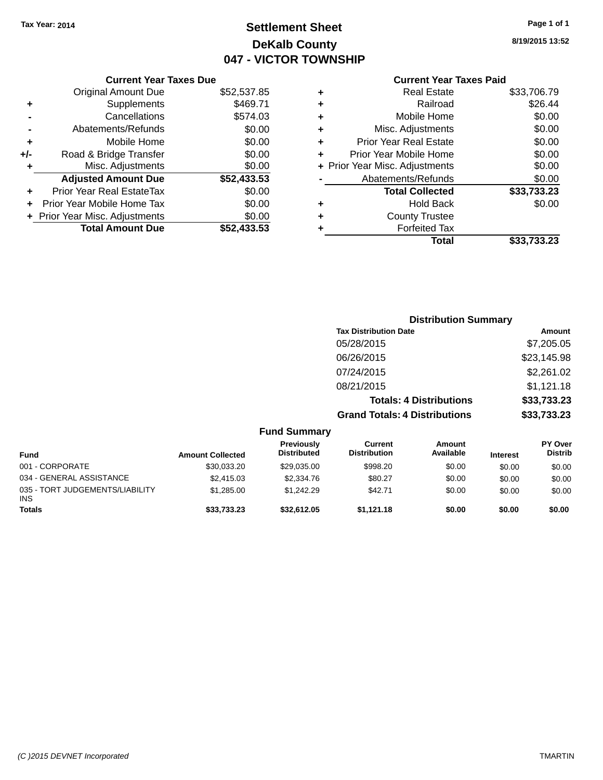# **Settlement Sheet Tax Year: 2014 Page 1 of 1 DeKalb County 047 - VICTOR TOWNSHIP**

**8/19/2015 13:52**

### **Current Year Taxes Paid**

|     | <b>Current Year Taxes Due</b>  |             |
|-----|--------------------------------|-------------|
|     | <b>Original Amount Due</b>     | \$52,537.85 |
| ٠   | Supplements                    | \$469.71    |
|     | Cancellations                  | \$574.03    |
|     | Abatements/Refunds             | \$0.00      |
| ٠   | Mobile Home                    | \$0.00      |
| +/- | Road & Bridge Transfer         | \$0.00      |
| ٠   | Misc. Adjustments              | \$0.00      |
|     | <b>Adjusted Amount Due</b>     | \$52,433.53 |
| ٠   | Prior Year Real EstateTax      | \$0.00      |
|     | Prior Year Mobile Home Tax     | \$0.00      |
|     | + Prior Year Misc. Adjustments | \$0.00      |
|     | <b>Total Amount Due</b>        | \$52,433,53 |
|     |                                |             |

| ٠ | <b>Real Estate</b>             | \$33,706.79 |
|---|--------------------------------|-------------|
| ٠ | Railroad                       | \$26.44     |
| ٠ | Mobile Home                    | \$0.00      |
| ٠ | Misc. Adjustments              | \$0.00      |
| ٠ | <b>Prior Year Real Estate</b>  | \$0.00      |
|   | Prior Year Mobile Home         | \$0.00      |
|   | + Prior Year Misc. Adjustments | \$0.00      |
|   | Abatements/Refunds             | \$0.00      |
|   | <b>Total Collected</b>         | \$33,733.23 |
| ٠ | <b>Hold Back</b>               | \$0.00      |
| ٠ | <b>County Trustee</b>          |             |
|   | <b>Forfeited Tax</b>           |             |
|   | Total                          | \$33,733.23 |
|   |                                |             |

|                 |                         |                                  |                                      | <b>Distribution Summary</b>    |                 |                                  |
|-----------------|-------------------------|----------------------------------|--------------------------------------|--------------------------------|-----------------|----------------------------------|
|                 |                         |                                  | <b>Tax Distribution Date</b>         |                                |                 | Amount                           |
|                 |                         |                                  | 05/28/2015                           |                                |                 | \$7,205.05                       |
|                 |                         |                                  | 06/26/2015                           |                                |                 | \$23,145.98                      |
|                 |                         |                                  | 07/24/2015                           |                                |                 | \$2,261.02                       |
|                 |                         |                                  | 08/21/2015                           |                                |                 | \$1,121.18                       |
|                 |                         |                                  |                                      | <b>Totals: 4 Distributions</b> |                 | \$33,733.23                      |
|                 |                         |                                  | <b>Grand Totals: 4 Distributions</b> |                                |                 | \$33,733.23                      |
|                 |                         | <b>Fund Summary</b>              |                                      |                                |                 |                                  |
| <b>Fund</b>     | <b>Amount Collected</b> | Previously<br><b>Distributed</b> | Current<br><b>Distribution</b>       | Amount<br>Available            | <b>Interest</b> | <b>PY Over</b><br><b>Distrib</b> |
| 001 - CORPORATE | \$30,033.20             | \$29,035.00                      | \$998.20                             | \$0.00                         | \$0.00          | \$0.00                           |

\$1,285.00 \$1,242.29 \$42.71 \$0.00 \$0.00 \$0.00

034 - GENERAL ASSISTANCE  $$2,415.03$   $$2,334.76$   $$80.27$   $$0.00$   $$0.00$   $$0.00$ 

**Totals \$33,733.23 \$32,612.05 \$1,121.18 \$0.00 \$0.00 \$0.00**

INS

035 - TORT JUDGEMENTS/LIABILITY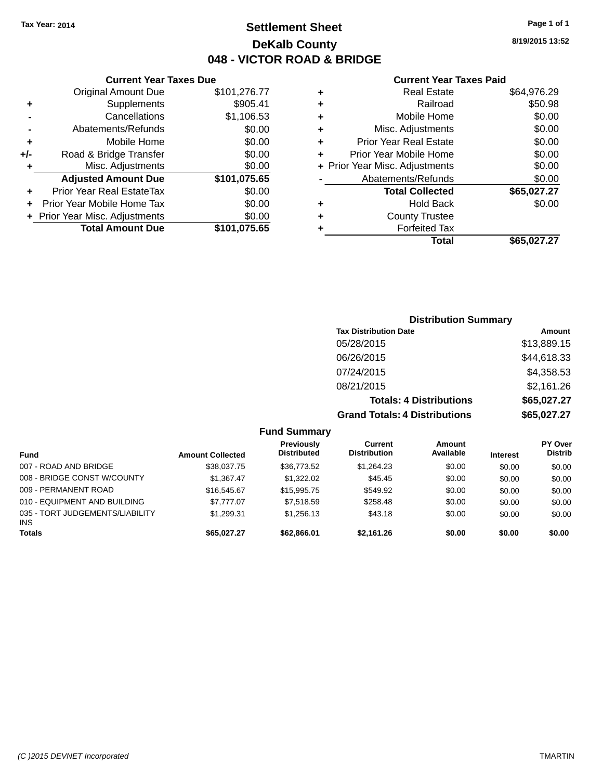# **Settlement Sheet Tax Year: 2014 Page 1 of 1 DeKalb County 048 - VICTOR ROAD & BRIDGE**

**8/19/2015 13:52**

#### **Current Year Taxes Paid**

|     | <b>Current Year Taxes Due</b>  |              |
|-----|--------------------------------|--------------|
|     | <b>Original Amount Due</b>     | \$101,276.77 |
| ٠   | Supplements                    | \$905.41     |
|     | Cancellations                  | \$1,106.53   |
|     | Abatements/Refunds             | \$0.00       |
| ٠   | Mobile Home                    | \$0.00       |
| +/- | Road & Bridge Transfer         | \$0.00       |
| ٠   | Misc. Adjustments              | \$0.00       |
|     | <b>Adjusted Amount Due</b>     | \$101,075.65 |
| ٠   | Prior Year Real EstateTax      | \$0.00       |
|     | Prior Year Mobile Home Tax     | \$0.00       |
|     | + Prior Year Misc. Adjustments | \$0.00       |
|     | <b>Total Amount Due</b>        | \$101,075.65 |
|     |                                |              |

|   | <b>Real Estate</b>             | \$64,976.29 |
|---|--------------------------------|-------------|
| ٠ | Railroad                       | \$50.98     |
| ٠ | Mobile Home                    | \$0.00      |
| ٠ | Misc. Adjustments              | \$0.00      |
| ٠ | <b>Prior Year Real Estate</b>  | \$0.00      |
| ٠ | Prior Year Mobile Home         | \$0.00      |
|   | + Prior Year Misc. Adjustments | \$0.00      |
|   | Abatements/Refunds             | \$0.00      |
|   | <b>Total Collected</b>         | \$65,027.27 |
|   | <b>Hold Back</b>               | \$0.00      |
| ٠ | <b>County Trustee</b>          |             |
|   | <b>Forfeited Tax</b>           |             |
|   | Total                          | \$65,027,27 |
|   |                                |             |

### **Distribution Summary Tax Distribution Date Amount** 05/28/2015 \$13,889.15 06/26/2015 \$44,618.33 07/24/2015 \$4,358.53 08/21/2015 \$2,161.26 **Totals: 4 Distributions \$65,027.27 Grand Totals: 4 Distributions \$65,027.27**

|                                               |                         | <b>Fund Summary</b>                     |                                |                     |                 |                                  |
|-----------------------------------------------|-------------------------|-----------------------------------------|--------------------------------|---------------------|-----------------|----------------------------------|
| <b>Fund</b>                                   | <b>Amount Collected</b> | <b>Previously</b><br><b>Distributed</b> | Current<br><b>Distribution</b> | Amount<br>Available | <b>Interest</b> | <b>PY Over</b><br><b>Distrib</b> |
| 007 - ROAD AND BRIDGE                         | \$38,037.75             | \$36,773.52                             | \$1,264.23                     | \$0.00              | \$0.00          | \$0.00                           |
| 008 - BRIDGE CONST W/COUNTY                   | \$1.367.47              | \$1,322.02                              | \$45.45                        | \$0.00              | \$0.00          | \$0.00                           |
| 009 - PERMANENT ROAD                          | \$16,545.67             | \$15,995.75                             | \$549.92                       | \$0.00              | \$0.00          | \$0.00                           |
| 010 - EQUIPMENT AND BUILDING                  | \$7,777.07              | \$7.518.59                              | \$258.48                       | \$0.00              | \$0.00          | \$0.00                           |
| 035 - TORT JUDGEMENTS/LIABILITY<br><b>INS</b> | \$1.299.31              | \$1.256.13                              | \$43.18                        | \$0.00              | \$0.00          | \$0.00                           |
| <b>Totals</b>                                 | \$65,027.27             | \$62,866.01                             | \$2,161.26                     | \$0.00              | \$0.00          | \$0.00                           |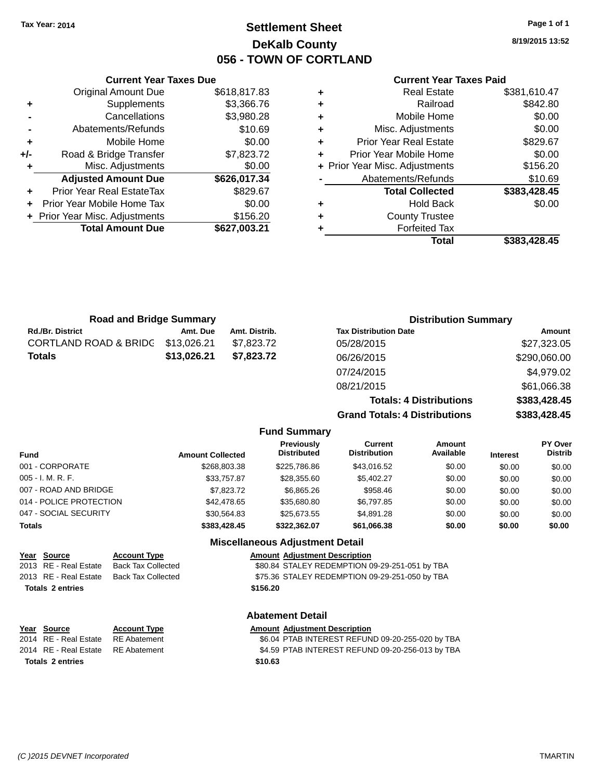**Original Amount Due** 

**Adjusted Amount Due** 

**Total Amount Due** 

**+** Supplements **-** Cancellations **-** Abatements/Refunds **+** Mobile Home **+/-** Road & Bridge Transfer **+** Misc. Adjustments

**+** Prior Year Real EstateTax **+** Prior Year Mobile Home Tax **+ Prior Year Misc. Adjustments** 

# **Settlement Sheet Tax Year: 2014 Page 1 of 1 DeKalb County 056 - TOWN OF CORTLAND**

**8/19/2015 13:52**

### **Current Year Taxes Paid**

| <b>Current Year Taxes Due</b> |              |   | <b>Current Year Taxes Paid</b> |              |  |
|-------------------------------|--------------|---|--------------------------------|--------------|--|
| ่<br>เl Amount Due            | \$618,817.83 | ٠ | <b>Real Estate</b>             | \$381,610.47 |  |
| Supplements                   | \$3,366.76   | ٠ | Railroad                       | \$842.80     |  |
| Cancellations                 | \$3,980.28   | ٠ | Mobile Home                    | \$0.00       |  |
| าents/Refunds                 | \$10.69      | ٠ | Misc. Adjustments              | \$0.00       |  |
| Mobile Home                   | \$0.00       | ÷ | <b>Prior Year Real Estate</b>  | \$829.67     |  |
| ridge Transfer                | \$7,823.72   | ÷ | Prior Year Mobile Home         | \$0.00       |  |
| :. Adjustments                | \$0.00       |   | + Prior Year Misc. Adjustments | \$156.20     |  |
| <b>Amount Due</b>             | \$626,017.34 |   | Abatements/Refunds             | \$10.69      |  |
| leal EstateTax≀               | \$829.67     |   | <b>Total Collected</b>         | \$383,428.45 |  |
| bile Home Tax                 | \$0.00       | ٠ | <b>Hold Back</b>               | \$0.00       |  |
| . Adjustments                 | \$156.20     | ÷ | <b>County Trustee</b>          |              |  |
| <b>Amount Due</b>             | \$627,003.21 |   | <b>Forfeited Tax</b>           |              |  |
|                               |              |   | Total                          | \$383,428.45 |  |

| Total | \$383,428.45 |
|-------|--------------|
| d Tax |              |
| ustee |              |
| Daun  | vv.vv        |

| <b>Road and Bridge Summary</b> |               | <b>Distribution Summary</b>          |              |  |
|--------------------------------|---------------|--------------------------------------|--------------|--|
| Amt. Due                       | Amt. Distrib. | <b>Tax Distribution Date</b>         | Amount       |  |
| \$13,026.21                    | \$7,823.72    | 05/28/2015                           | \$27,323.05  |  |
| \$13,026.21                    | \$7,823.72    | 06/26/2015                           | \$290,060.00 |  |
|                                |               | 07/24/2015                           | \$4,979.02   |  |
|                                |               | 08/21/2015                           | \$61,066.38  |  |
|                                |               | <b>Totals: 4 Distributions</b>       | \$383,428.45 |  |
|                                |               | <b>Grand Totals: 4 Distributions</b> | \$383,428.45 |  |
|                                |               |                                      |              |  |

| <b>Fund</b>             | <b>Amount Collected</b> | <b>Previously</b><br><b>Distributed</b> | Current<br><b>Distribution</b> | Amount<br>Available | <b>Interest</b> | <b>PY Over</b><br><b>Distrib</b> |
|-------------------------|-------------------------|-----------------------------------------|--------------------------------|---------------------|-----------------|----------------------------------|
| 001 - CORPORATE         | \$268,803.38            | \$225,786.86                            | \$43,016.52                    | \$0.00              | \$0.00          | \$0.00                           |
| $005 - I. M. R. F.$     | \$33,757.87             | \$28,355.60                             | \$5,402.27                     | \$0.00              | \$0.00          | \$0.00                           |
| 007 - ROAD AND BRIDGE   | \$7,823.72              | \$6,865.26                              | \$958.46                       | \$0.00              | \$0.00          | \$0.00                           |
| 014 - POLICE PROTECTION | \$42,478.65             | \$35,680.80                             | \$6,797.85                     | \$0.00              | \$0.00          | \$0.00                           |
| 047 - SOCIAL SECURITY   | \$30.564.83             | \$25.673.55                             | \$4,891.28                     | \$0.00              | \$0.00          | \$0.00                           |
| <b>Totals</b>           | \$383,428,45            | \$322.362.07                            | \$61.066.38                    | \$0.00              | \$0.00          | \$0.00                           |
|                         |                         | <b>Miscellaneous Adjustment Detail</b>  |                                |                     |                 |                                  |

**Fund Summary**

| Year Source             | <b>Account Type</b>                      | <b>Amount Adjustment Description</b>           |  |
|-------------------------|------------------------------------------|------------------------------------------------|--|
| 2013 RE - Real Estate   | Back Tax Collected                       | \$80.84 STALEY REDEMPTION 09-29-251-051 by TBA |  |
|                         | 2013 RE - Real Estate Back Tax Collected | \$75.36 STALEY REDEMPTION 09-29-251-050 by TBA |  |
| <b>Totals 2 entries</b> |                                          | \$156.20                                       |  |
|                         |                                          |                                                |  |

### **Abatement Detail**

| <u>Year Source</u>                 | <b>Account Type</b> | <b>Amount Adjustment Description</b>             |
|------------------------------------|---------------------|--------------------------------------------------|
| 2014 RE - Real Estate              | RE Abatement        | \$6.04 PTAB INTEREST REFUND 09-20-255-020 by TBA |
| 2014 RE - Real Estate RE Abatement |                     | \$4.59 PTAB INTEREST REFUND 09-20-256-013 by TBA |
| <b>Totals 2 entries</b>            |                     | \$10.63                                          |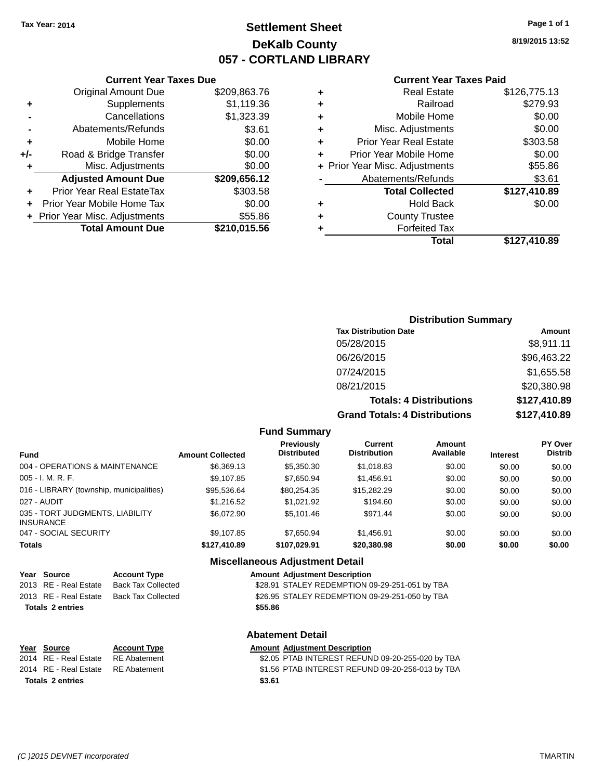# **Settlement Sheet Tax Year: 2014 Page 1 of 1 DeKalb County 057 - CORTLAND LIBRARY**

**8/19/2015 13:52**

#### **Current Year Taxes Paid**

|     | <b>Current Year Taxes Due</b>  |              |      |
|-----|--------------------------------|--------------|------|
|     | <b>Original Amount Due</b>     | \$209,863.76 |      |
|     | Supplements                    | \$1,119.36   |      |
|     | Cancellations                  | \$1,323.39   |      |
|     | Abatements/Refunds             | \$3.61       |      |
|     | Mobile Home                    | \$0.00       |      |
| +/- | Road & Bridge Transfer         | \$0.00       |      |
|     | Misc. Adjustments              | \$0.00       | + Pi |
|     | <b>Adjusted Amount Due</b>     | \$209,656.12 |      |
|     | Prior Year Real EstateTax      | \$303.58     |      |
|     | Prior Year Mobile Home Tax     | \$0.00       |      |
|     | + Prior Year Misc. Adjustments | \$55.86      |      |
|     | <b>Total Amount Due</b>        | \$210,015.56 |      |
|     |                                |              |      |

| ٠ | <b>Real Estate</b>             | \$126,775.13 |
|---|--------------------------------|--------------|
| ٠ | Railroad                       | \$279.93     |
| ٠ | Mobile Home                    | \$0.00       |
| ٠ | Misc. Adjustments              | \$0.00       |
| ٠ | <b>Prior Year Real Estate</b>  | \$303.58     |
| ٠ | Prior Year Mobile Home         | \$0.00       |
|   | + Prior Year Misc. Adjustments | \$55.86      |
|   | Abatements/Refunds             | \$3.61       |
|   | <b>Total Collected</b>         | \$127,410.89 |
| ٠ | Hold Back                      | \$0.00       |
| ٠ | <b>County Trustee</b>          |              |
| ٠ | <b>Forfeited Tax</b>           |              |
|   | Total                          | \$127,410.89 |
|   |                                |              |

## **Distribution Summary Tax Distribution Date Amount** 05/28/2015 \$8,911.11 06/26/2015 \$96,463.22 07/24/2015 \$1,655.58 08/21/2015 \$20,380.98 **Totals: 4 Distributions \$127,410.89 Grand Totals: 4 Distributions \$127,410.89**

#### **Fund Summary**

| <b>Fund</b>                                         | <b>Amount Collected</b> | Previously<br><b>Distributed</b> | Current<br><b>Distribution</b> | Amount<br>Available | <b>Interest</b> | <b>PY Over</b><br><b>Distrib</b> |
|-----------------------------------------------------|-------------------------|----------------------------------|--------------------------------|---------------------|-----------------|----------------------------------|
| 004 - OPERATIONS & MAINTENANCE                      | \$6,369.13              | \$5,350,30                       | \$1,018.83                     | \$0.00              | \$0.00          | \$0.00                           |
| 005 - I. M. R. F.                                   | \$9,107.85              | \$7,650.94                       | \$1,456.91                     | \$0.00              | \$0.00          | \$0.00                           |
| 016 - LIBRARY (township, municipalities)            | \$95.536.64             | \$80.254.35                      | \$15,282,29                    | \$0.00              | \$0.00          | \$0.00                           |
| 027 - AUDIT                                         | \$1,216.52              | \$1.021.92                       | \$194.60                       | \$0.00              | \$0.00          | \$0.00                           |
| 035 - TORT JUDGMENTS, LIABILITY<br><b>INSURANCE</b> | \$6,072.90              | \$5.101.46                       | \$971.44                       | \$0.00              | \$0.00          | \$0.00                           |
| 047 - SOCIAL SECURITY                               | \$9,107.85              | \$7.650.94                       | \$1,456.91                     | \$0.00              | \$0.00          | \$0.00                           |
| <b>Totals</b>                                       | \$127.410.89            | \$107.029.91                     | \$20,380.98                    | \$0.00              | \$0.00          | \$0.00                           |

### **Miscellaneous Adjustment Detail**

| Year Source             | <b>Account Type</b> |         | <b>Amount Adjustment Description</b>           |
|-------------------------|---------------------|---------|------------------------------------------------|
| 2013 RE - Real Estate   | Back Tax Collected  |         | \$28.91 STALEY REDEMPTION 09-29-251-051 by TBA |
| 2013 RE - Real Estate   | Back Tax Collected  |         | \$26.95 STALEY REDEMPTION 09-29-251-050 by TBA |
| <b>Totals 2 entries</b> |                     | \$55.86 |                                                |
|                         |                     |         |                                                |

**Totals \$3.61 2 entries**

**Abatement Detail**

### **Year Source Account Type Amount Adjustment Description**

2014 RE - Real Estate RE Abatement \$2.05 PTAB INTEREST REFUND 09-20-255-020 by TBA 2014 RE - Real Estate RE Abatement \$1.56 PTAB INTEREST REFUND 09-20-256-013 by TBA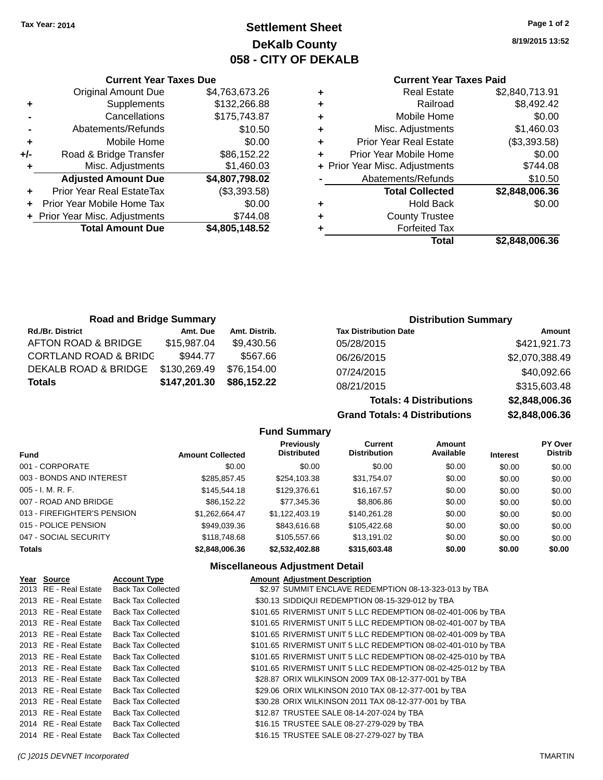# **Settlement Sheet Tax Year: 2014 Page 1 of 2 DeKalb County 058 - CITY OF DEKALB**

**8/19/2015 13:52**

### **Current Year Taxes Paid**

| ٠ | <b>Real Estate</b>             | \$2,840,713.91 |
|---|--------------------------------|----------------|
| ٠ | Railroad                       | \$8,492.42     |
| ٠ | Mobile Home                    | \$0.00         |
| ٠ | Misc. Adjustments              | \$1,460.03     |
| ٠ | <b>Prior Year Real Estate</b>  | (\$3,393.58)   |
| ٠ | Prior Year Mobile Home         | \$0.00         |
|   | + Prior Year Misc. Adjustments | \$744.08       |
|   | Abatements/Refunds             | \$10.50        |
|   | <b>Total Collected</b>         | \$2,848,006.36 |
| ٠ | Hold Back                      | \$0.00         |
| ٠ | <b>County Trustee</b>          |                |
|   | <b>Forfeited Tax</b>           |                |
|   | Total                          | \$2.848.006.36 |

|     | <b>Original Amount Due</b>     | \$4,763,673.26 |
|-----|--------------------------------|----------------|
| ٠   | Supplements                    | \$132,266.88   |
|     | Cancellations                  | \$175,743.87   |
|     | Abatements/Refunds             | \$10.50        |
| ٠   | Mobile Home                    | \$0.00         |
| +/- | Road & Bridge Transfer         | \$86,152.22    |
| ٠   | Misc. Adjustments              | \$1,460.03     |
|     | <b>Adjusted Amount Due</b>     | \$4,807,798.02 |
| ٠   | Prior Year Real EstateTax      | (\$3,393.58)   |
|     | Prior Year Mobile Home Tax     | \$0.00         |
|     | + Prior Year Misc. Adjustments | \$744.08       |
|     | <b>Total Amount Due</b>        | \$4,805,148.52 |

**Current Year Taxes Due**

| <b>Road and Bridge Summary</b>   |              |               | <b>Distribution Summary</b>  |                |
|----------------------------------|--------------|---------------|------------------------------|----------------|
| <b>Rd./Br. District</b>          | Amt. Due     | Amt. Distrib. | <b>Tax Distribution Date</b> | Amount         |
| AFTON ROAD & BRIDGE              | \$15,987.04  | \$9.430.56    | 05/28/2015                   | \$421,921.73   |
| <b>CORTLAND ROAD &amp; BRIDG</b> | \$944.77     | \$567.66      | 06/26/2015                   | \$2,070,388.49 |
| DEKALB ROAD & BRIDGE             | \$130,269.49 | \$76.154.00   | 07/24/2015                   | \$40,092.66    |
| <b>Totals</b>                    | \$147,201.30 | \$86,152.22   | 08/21/2015                   | \$315,603.48   |

| \$315,603.48   |  |
|----------------|--|
| \$2,848,006.36 |  |
| \$2,848,006.36 |  |
|                |  |

|    | \$315,603.48   |
|----|----------------|
| ממ | \$2,848,006.36 |
| ns | \$2,848,006.36 |

|                             |                         | <b>Fund Summary</b>                     |                                       |                     |                 |                           |
|-----------------------------|-------------------------|-----------------------------------------|---------------------------------------|---------------------|-----------------|---------------------------|
| <b>Fund</b>                 | <b>Amount Collected</b> | <b>Previously</b><br><b>Distributed</b> | <b>Current</b><br><b>Distribution</b> | Amount<br>Available | <b>Interest</b> | PY Over<br><b>Distrib</b> |
| 001 - CORPORATE             | \$0.00                  | \$0.00                                  | \$0.00                                | \$0.00              | \$0.00          | \$0.00                    |
| 003 - BONDS AND INTEREST    | \$285.857.45            | \$254,103.38                            | \$31.754.07                           | \$0.00              | \$0.00          | \$0.00                    |
| $005 - I. M. R. F.$         | \$145,544.18            | \$129,376.61                            | \$16,167.57                           | \$0.00              | \$0.00          | \$0.00                    |
| 007 - ROAD AND BRIDGE       | \$86.152.22             | \$77.345.36                             | \$8,806.86                            | \$0.00              | \$0.00          | \$0.00                    |
| 013 - FIREFIGHTER'S PENSION | \$1.262.664.47          | \$1.122,403.19                          | \$140.261.28                          | \$0.00              | \$0.00          | \$0.00                    |
| 015 - POLICE PENSION        | \$949.039.36            | \$843,616,68                            | \$105.422.68                          | \$0.00              | \$0.00          | \$0.00                    |
| 047 - SOCIAL SECURITY       | \$118,748.68            | \$105,557,66                            | \$13.191.02                           | \$0.00              | \$0.00          | \$0.00                    |
| <b>Totals</b>               | \$2,848,006.36          | \$2,532,402.88                          | \$315,603.48                          | \$0.00              | \$0.00          | \$0.00                    |

### **Miscellaneous Adjustment Detail**

| Year Source           | <b>Account Type</b>       | <b>Amount Adjustment Description</b>                          |
|-----------------------|---------------------------|---------------------------------------------------------------|
| 2013 RE - Real Estate | <b>Back Tax Collected</b> | \$2.97 SUMMIT ENCLAVE REDEMPTION 08-13-323-013 by TBA         |
| 2013 RE - Real Estate | <b>Back Tax Collected</b> | \$30.13 SIDDIQUI REDEMPTION 08-15-329-012 by TBA              |
| 2013 RE - Real Estate | <b>Back Tax Collected</b> | \$101.65 RIVERMIST UNIT 5 LLC REDEMPTION 08-02-401-006 by TBA |
| 2013 RE - Real Estate | <b>Back Tax Collected</b> | \$101.65 RIVERMIST UNIT 5 LLC REDEMPTION 08-02-401-007 by TBA |
| 2013 RE - Real Estate | <b>Back Tax Collected</b> | \$101.65 RIVERMIST UNIT 5 LLC REDEMPTION 08-02-401-009 by TBA |
| 2013 RE - Real Estate | <b>Back Tax Collected</b> | \$101.65 RIVERMIST UNIT 5 LLC REDEMPTION 08-02-401-010 by TBA |
| 2013 RE - Real Estate | <b>Back Tax Collected</b> | \$101.65 RIVERMIST UNIT 5 LLC REDEMPTION 08-02-425-010 by TBA |
| 2013 RE - Real Estate | <b>Back Tax Collected</b> | \$101.65 RIVERMIST UNIT 5 LLC REDEMPTION 08-02-425-012 by TBA |
| 2013 RE - Real Estate | <b>Back Tax Collected</b> | \$28.87 ORIX WILKINSON 2009 TAX 08-12-377-001 by TBA          |
| 2013 RE - Real Estate | <b>Back Tax Collected</b> | \$29.06 ORIX WILKINSON 2010 TAX 08-12-377-001 by TBA          |
| 2013 RE - Real Estate | <b>Back Tax Collected</b> | \$30.28 ORIX WILKINSON 2011 TAX 08-12-377-001 by TBA          |
| 2013 RE - Real Estate | <b>Back Tax Collected</b> | \$12.87 TRUSTEE SALE 08-14-207-024 by TBA                     |
| 2014 RE - Real Estate | <b>Back Tax Collected</b> | \$16.15 TRUSTEE SALE 08-27-279-029 by TBA                     |
| 2014 RE - Real Estate | <b>Back Tax Collected</b> | \$16.15 TRUSTEE SALE 08-27-279-027 by TBA                     |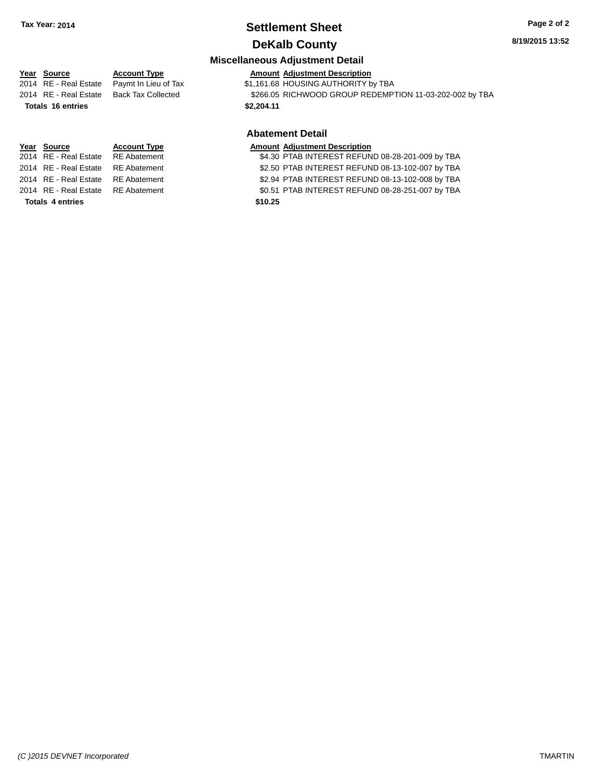# **Settlement Sheet Tax Year: 2014 Page 2 of 2**

# **DeKalb County**

### **Miscellaneous Adjustment Detail**

**Year** Source **Account Type Account Adjustment Description** 2014 RE - Real Estate Paymt In Lieu of Tax  $$1,161.68$  HOUSING AUTHORITY by TBA 2014 RE - Real Estate Back Tax Collected \$266.05 RICHWOOD GROUP REDEMPTION 11-03-202-002 by TBA **Totals \$2,204.11 16 entries Abatement Detail Year Source Account Type Amount Adjustment Description**<br>2014 RE - Real Estate RE Abatement \$4.30 PTAB INTEREST REFUN \$4.30 PTAB INTEREST REFUND 08-28-201-009 by TBA 2014 RE - Real Estate RE Abatement \$2.50 PTAB INTEREST REFUND 08-13-102-007 by TBA

2014 RE - Real Estate RE Abatement \$2.94 PTAB INTEREST REFUND 08-13-102-008 by TBA

2014 RE - Real Estate RE Abatement \$0.51 PTAB INTEREST REFUND 08-28-251-007 by TBA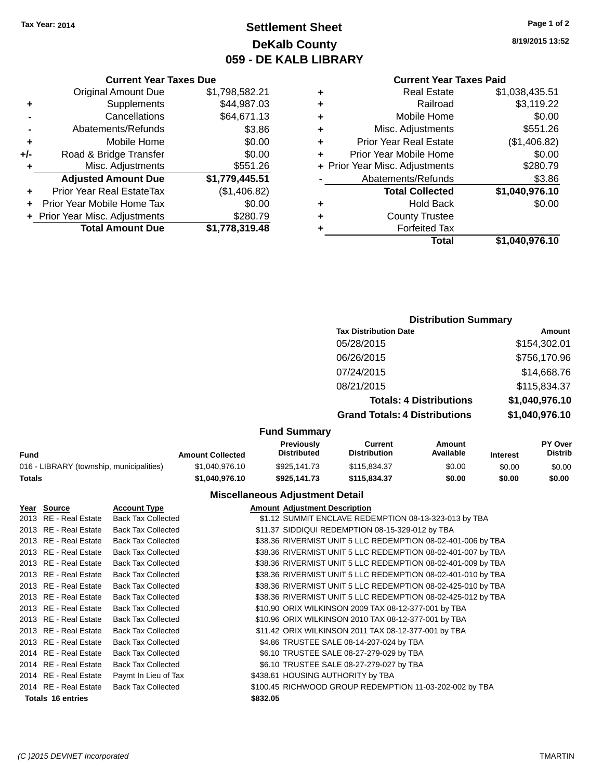# **Settlement Sheet Tax Year: 2014 Page 1 of 2 DeKalb County 059 - DE KALB LIBRARY**

**8/19/2015 13:52**

### **Current Year Taxes Paid**

| ٠ | <b>Real Estate</b>             | \$1,038,435.51 |
|---|--------------------------------|----------------|
| ٠ | Railroad                       | \$3,119.22     |
| ٠ | Mobile Home                    | \$0.00         |
| ٠ | Misc. Adjustments              | \$551.26       |
| ٠ | <b>Prior Year Real Estate</b>  | (\$1,406.82)   |
|   | Prior Year Mobile Home         | \$0.00         |
|   | + Prior Year Misc. Adjustments | \$280.79       |
|   | Abatements/Refunds             | \$3.86         |
|   | <b>Total Collected</b>         | \$1,040,976.10 |
| ٠ | <b>Hold Back</b>               | \$0.00         |
| ٠ | <b>County Trustee</b>          |                |
|   | <b>Forfeited Tax</b>           |                |
|   | Total                          | \$1,040,976.10 |

### **Current Year Taxes Due** Original Amount Due \$1,798,582.21 **+** Supplements \$44,987.03 **-** Cancellations \$64,671.13 **-** Abatements/Refunds \$3.86 **+** Mobile Home \$0.00 **+/-** Road & Bridge Transfer \$0.00 **+** Misc. Adjustments \$551.26 **Adjusted Amount Due \$1,779,445.51 +** Prior Year Real EstateTax (\$1,406.82) **+** Prior Year Mobile Home Tax \$0.00 **+** Prior Year Misc. Adjustments \$280.79 **Total Amount Due \$1,778,319.48**

### **Distribution Summary Tax Distribution Date Amount** 05/28/2015 \$154,302.01 06/26/2015 \$756,170.96 07/24/2015 \$14,668.76 08/21/2015 \$115,834.37 **Totals: 4 Distributions \$1,040,976.10 Grand Totals: 4 Distributions \$1,040,976.10**

#### **Fund Summary**

| Fund                                     | <b>Amount Collected</b> | <b>Previously</b><br><b>Distributed</b> | Current<br><b>Distribution</b> | Amount<br>Available | <b>Interest</b> | <b>PY Over</b><br><b>Distrib</b> |
|------------------------------------------|-------------------------|-----------------------------------------|--------------------------------|---------------------|-----------------|----------------------------------|
| 016 - LIBRARY (township, municipalities) | \$1.040.976.10          | \$925,141.73                            | \$115.834.37                   | \$0.00              | \$0.00          | \$0.00                           |
| Totals                                   | \$1.040.976.10          | \$925.141.73                            | \$115.834.37                   | \$0.00              | \$0.00          | \$0.00                           |

### **Miscellaneous Adjustment Detail**

| Year Source              | <b>Account Type</b>       |          | <b>Amount Adjustment Description</b>                         |
|--------------------------|---------------------------|----------|--------------------------------------------------------------|
| 2013 RE - Real Estate    | <b>Back Tax Collected</b> |          | \$1.12 SUMMIT ENCLAVE REDEMPTION 08-13-323-013 by TBA        |
| 2013 RE - Real Estate    | <b>Back Tax Collected</b> |          | \$11.37 SIDDIQUI REDEMPTION 08-15-329-012 by TBA             |
| 2013 RE - Real Estate    | <b>Back Tax Collected</b> |          | \$38.36 RIVERMIST UNIT 5 LLC REDEMPTION 08-02-401-006 by TBA |
| 2013 RE - Real Estate    | <b>Back Tax Collected</b> |          | \$38.36 RIVERMIST UNIT 5 LLC REDEMPTION 08-02-401-007 by TBA |
| 2013 RE - Real Estate    | <b>Back Tax Collected</b> |          | \$38.36 RIVERMIST UNIT 5 LLC REDEMPTION 08-02-401-009 by TBA |
| 2013 RE - Real Estate    | <b>Back Tax Collected</b> |          | \$38.36 RIVERMIST UNIT 5 LLC REDEMPTION 08-02-401-010 by TBA |
| 2013 RE - Real Estate    | <b>Back Tax Collected</b> |          | \$38.36 RIVERMIST UNIT 5 LLC REDEMPTION 08-02-425-010 by TBA |
| 2013 RE - Real Estate    | <b>Back Tax Collected</b> |          | \$38.36 RIVERMIST UNIT 5 LLC REDEMPTION 08-02-425-012 by TBA |
| 2013 RE - Real Estate    | <b>Back Tax Collected</b> |          | \$10.90 ORIX WILKINSON 2009 TAX 08-12-377-001 by TBA         |
| 2013 RE - Real Estate    | <b>Back Tax Collected</b> |          | \$10.96 ORIX WILKINSON 2010 TAX 08-12-377-001 by TBA         |
| 2013 RE - Real Estate    | <b>Back Tax Collected</b> |          | \$11.42 ORIX WILKINSON 2011 TAX 08-12-377-001 by TBA         |
| 2013 RE - Real Estate    | <b>Back Tax Collected</b> |          | \$4.86 TRUSTEE SALE 08-14-207-024 by TBA                     |
| 2014 RE - Real Estate    | <b>Back Tax Collected</b> |          | \$6.10 TRUSTEE SALE 08-27-279-029 by TBA                     |
| 2014 RE - Real Estate    | <b>Back Tax Collected</b> |          | \$6.10 TRUSTEE SALE 08-27-279-027 by TBA                     |
| 2014 RE - Real Estate    | Paymt In Lieu of Tax      |          | \$438.61 HOUSING AUTHORITY by TBA                            |
| 2014 RE - Real Estate    | <b>Back Tax Collected</b> |          | \$100.45 RICHWOOD GROUP REDEMPTION 11-03-202-002 by TBA      |
| <b>Totals 16 entries</b> |                           | \$832.05 |                                                              |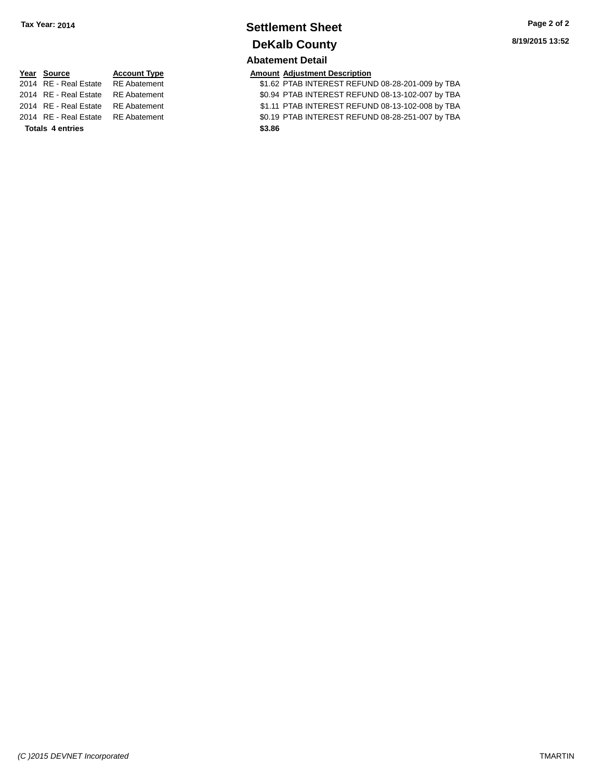# **Settlement Sheet Tax Year: 2014 Page 2 of 2 DeKalb County**

# **Abatement Detail**

### **PE** *Amount Adjustment Description*

2014 PTAB INTEREST REFUND 08-28-201-009 by TBA 20.94 PTAB INTEREST REFUND 08-13-102-007 by TBA 2014 PTAB INTEREST REFUND 08-13-102-008 by TBA 20.19 PTAB INTEREST REFUND 08-28-251-007 by TBA

| Year Source           | <b>Account Typ</b> |
|-----------------------|--------------------|
| 2014 RE - Real Estate | <b>RE</b> Abateme  |
| 2014 RE - Real Estate | <b>RE</b> Abateme  |
| 2014 RE - Real Estate | <b>RE</b> Abateme  |
| 2014 RE - Real Estate | <b>RE</b> Abateme  |
|                       |                    |

**Totals \$3.86 4 entries**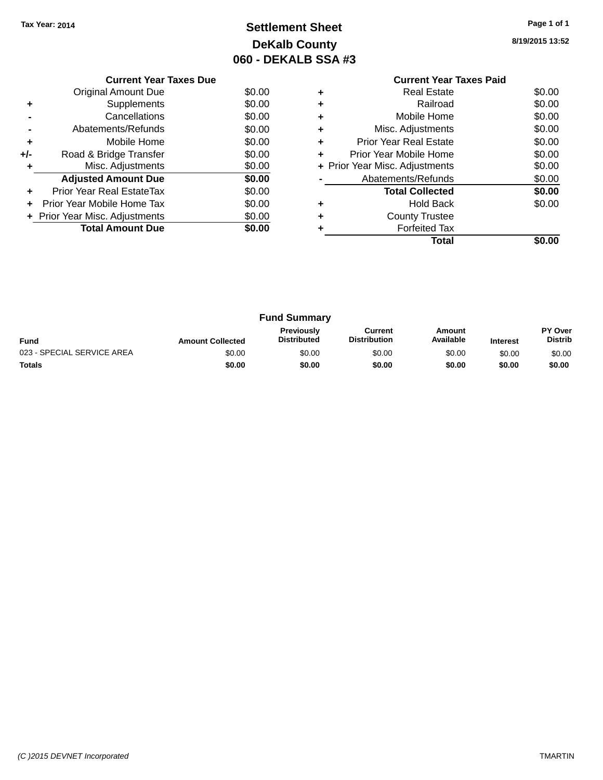# **Settlement Sheet Tax Year: 2014 Page 1 of 1 DeKalb County 060 - DEKALB SSA #3**

**8/19/2015 13:52**

|     | <b>Current Year Taxes Due</b>  |        |
|-----|--------------------------------|--------|
|     | Original Amount Due            | \$0.00 |
| ٠   | Supplements                    | \$0.00 |
|     | Cancellations                  | \$0.00 |
|     | Abatements/Refunds             | \$0.00 |
| ٠   | Mobile Home                    | \$0.00 |
| +/- | Road & Bridge Transfer         | \$0.00 |
| ٠   | Misc. Adjustments              | \$0.00 |
|     | <b>Adjusted Amount Due</b>     | \$0.00 |
| ÷   | Prior Year Real EstateTax      | \$0.00 |
| ÷   | Prior Year Mobile Home Tax     | \$0.00 |
|     | + Prior Year Misc. Adjustments | \$0.00 |
|     | <b>Total Amount Due</b>        | \$0.00 |
|     |                                |        |

### **Current Year Taxes Paid +** Real Estate \$0.00 **+** Railroad \$0.00 **+** Mobile Home \$0.00 **+** Misc. Adjustments \$0.00 **+** Prior Year Real Estate \$0.00 **+** Prior Year Mobile Home \$0.00<br> **+** Prior Year Misc. Adjustments \$0.00 **+ Prior Year Misc. Adjustments -** Abatements/Refunds \$0.00 **Total Collected \$0.00 +** Hold Back \$0.00 **+** County Trustee **+** Forfeited Tax **Total \$0.00**

|                            |                         | <b>Fund Summary</b>                     |                                |                     |                 |                           |
|----------------------------|-------------------------|-----------------------------------------|--------------------------------|---------------------|-----------------|---------------------------|
| <b>Fund</b>                | <b>Amount Collected</b> | <b>Previously</b><br><b>Distributed</b> | Current<br><b>Distribution</b> | Amount<br>Available | <b>Interest</b> | PY Over<br><b>Distrib</b> |
| 023 - SPECIAL SERVICE AREA | \$0.00                  | \$0.00                                  | \$0.00                         | \$0.00              | \$0.00          | \$0.00                    |
| <b>Totals</b>              | \$0.00                  | \$0.00                                  | \$0.00                         | \$0.00              | \$0.00          | \$0.00                    |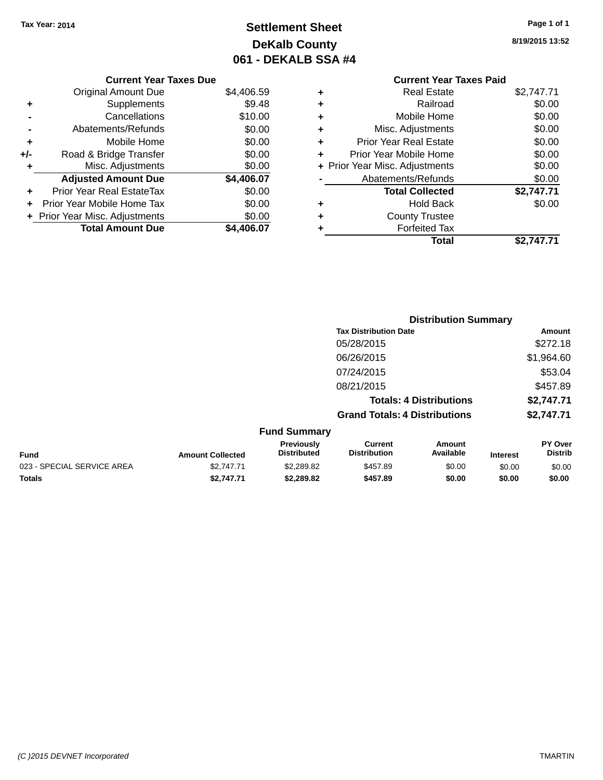# **Settlement Sheet Tax Year: 2014 Page 1 of 1 DeKalb County 061 - DEKALB SSA #4**

**8/19/2015 13:52**

|   | <b>Current Year Taxes Paid</b> |            |
|---|--------------------------------|------------|
| ٠ | Real Estate                    | \$2,747.71 |
| ٠ | Railroad                       | \$0.00     |
|   | Mobile Home                    | \$0.00     |
| ٠ | Misc. Adjustments              | \$0.00     |
| ٠ | <b>Prior Year Real Estate</b>  | \$0.00     |
| ٠ | Prior Year Mobile Home         | \$0.00     |
|   | + Prior Year Misc. Adjustments | \$0.00     |
|   | Abatements/Refunds             | \$0.00     |
|   | <b>Total Collected</b>         | \$2,747.71 |
|   | <b>Hold Back</b>               | \$0.00     |
| ٠ | <b>County Trustee</b>          |            |
|   | <b>Forfeited Tax</b>           |            |
|   | Total                          | \$2.747.71 |

|     | <b>Current Year Taxes Due</b>    |            |
|-----|----------------------------------|------------|
|     | <b>Original Amount Due</b>       | \$4,406.59 |
| ٠   | Supplements                      | \$9.48     |
|     | Cancellations                    | \$10.00    |
|     | Abatements/Refunds               | \$0.00     |
| ٠   | Mobile Home                      | \$0.00     |
| +/- | Road & Bridge Transfer           | \$0.00     |
| ٠   | Misc. Adjustments                | \$0.00     |
|     | <b>Adjusted Amount Due</b>       | \$4,406.07 |
|     | <b>Prior Year Real EstateTax</b> | \$0.00     |
|     | Prior Year Mobile Home Tax       | \$0.00     |
|     | + Prior Year Misc. Adjustments   | \$0.00     |
|     | <b>Total Amount Due</b>          | \$4.406.07 |

|                                     | <b>Distribution Summary</b>          |                                |                                     |  |
|-------------------------------------|--------------------------------------|--------------------------------|-------------------------------------|--|
|                                     | <b>Tax Distribution Date</b>         |                                | Amount                              |  |
|                                     | 05/28/2015                           |                                | \$272.18                            |  |
|                                     | 06/26/2015                           |                                | \$1,964.60                          |  |
|                                     | 07/24/2015                           |                                | \$53.04                             |  |
|                                     | 08/21/2015                           |                                | \$457.89                            |  |
|                                     |                                      | <b>Totals: 4 Distributions</b> | \$2,747.71                          |  |
|                                     | <b>Grand Totals: 4 Distributions</b> |                                | \$2,747.71                          |  |
| <b>Fund Summary</b>                 |                                      |                                |                                     |  |
| <b>Previously</b><br>Djetsik ota sl | Current<br>Distribution              | Amount<br>$A - -1 - 1 - 1 -$   | <b>PY Over</b><br><b>Distributo</b> |  |

| Fund                       | <b>Amount Collected</b> | <b>Previously</b><br><b>Distributed</b> | uurrent<br><b>Distribution</b> | Amount<br>Available | <b>Interest</b> | <b>PT OVER</b><br><b>Distrib</b> |
|----------------------------|-------------------------|-----------------------------------------|--------------------------------|---------------------|-----------------|----------------------------------|
| 023 - SPECIAL SERVICE AREA | \$2,747.71              | \$2,289.82                              | \$457.89                       | \$0.00              | \$0.00          | \$0.00                           |
| Totals                     | \$2.747.71              | \$2,289.82                              | \$457.89                       | \$0.00              | \$0.00          | \$0.00                           |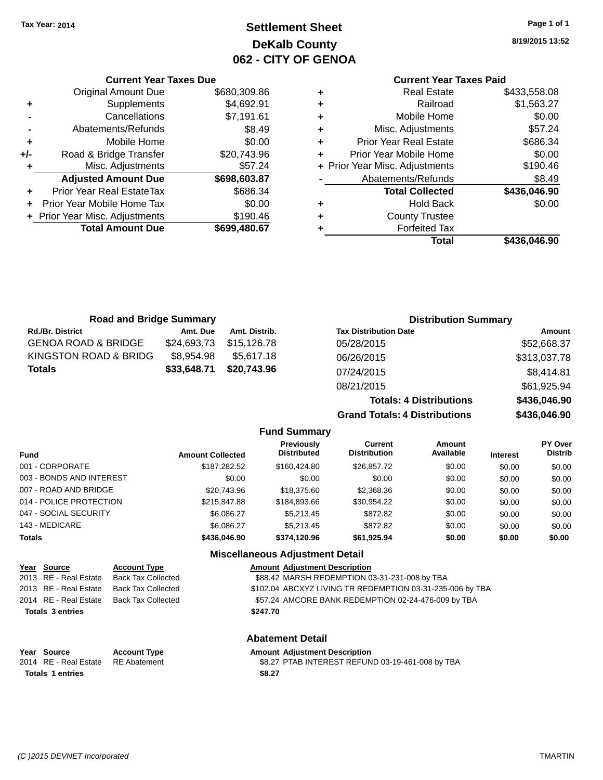# **Settlement Sheet Tax Year: 2014 Page 1 of 1 DeKalb County 062 - CITY OF GENOA**

**8/19/2015 13:52**

### **Current Year Taxes Paid**

|     | <b>Current Year Taxes Due</b>    |              |            |
|-----|----------------------------------|--------------|------------|
|     | <b>Original Amount Due</b>       | \$680,309.86 | ٠          |
|     | Supplements                      | \$4,692.91   | ٠          |
|     | Cancellations                    | \$7,191.61   | ٠          |
|     | Abatements/Refunds               | \$8.49       |            |
|     | Mobile Home                      | \$0.00       | ٠          |
| +/- | Road & Bridge Transfer           | \$20,743.96  | Pri        |
|     | Misc. Adjustments                | \$57.24      | + Prior Ye |
|     | <b>Adjusted Amount Due</b>       | \$698,603.87 |            |
|     | <b>Prior Year Real EstateTax</b> | \$686.34     |            |
|     | Prior Year Mobile Home Tax       | \$0.00       |            |
|     | + Prior Year Misc. Adjustments   | \$190.46     |            |
|     | <b>Total Amount Due</b>          | \$699,480.67 |            |
|     |                                  |              |            |

|   | <b>Real Estate</b>             | \$433,558.08 |
|---|--------------------------------|--------------|
| ٠ | Railroad                       | \$1,563.27   |
| ٠ | Mobile Home                    | \$0.00       |
| ٠ | Misc. Adjustments              | \$57.24      |
| ٠ | <b>Prior Year Real Estate</b>  | \$686.34     |
| ٠ | Prior Year Mobile Home         | \$0.00       |
|   | + Prior Year Misc. Adjustments | \$190.46     |
|   | Abatements/Refunds             | \$8.49       |
|   | <b>Total Collected</b>         | \$436,046.90 |
| ٠ | <b>Hold Back</b>               | \$0.00       |
| ٠ | <b>County Trustee</b>          |              |
|   | <b>Forfeited Tax</b>           |              |
|   | Total                          | \$436,046.90 |
|   |                                |              |

| <b>Road and Bridge Summary</b> |             |               | <b>Distribution Summary</b>    |              |  |
|--------------------------------|-------------|---------------|--------------------------------|--------------|--|
| <b>Rd./Br. District</b>        | Amt. Due    | Amt. Distrib. | <b>Tax Distribution Date</b>   | Amount       |  |
| <b>GENOA ROAD &amp; BRIDGE</b> | \$24,693.73 | \$15,126.78   | 05/28/2015                     | \$52,668.37  |  |
| KINGSTON ROAD & BRIDG          | \$8,954.98  | \$5,617.18    | 06/26/2015                     | \$313,037.78 |  |
| <b>Totals</b>                  | \$33,648.71 | \$20,743.96   | 07/24/2015                     | \$8,414.81   |  |
|                                |             |               | 08/21/2015                     | \$61,925.94  |  |
|                                |             |               | <b>Totals: 4 Distributions</b> | \$436,046.90 |  |

 $Grand$  Totals:

| : 4 Distributions | \$436,046.90 |
|-------------------|--------------|
| : 4 Distributions | \$436,046.90 |
|                   |              |

|                          |                         | <b>Fund Summary</b>                         |                                       |                     |                 |                           |
|--------------------------|-------------------------|---------------------------------------------|---------------------------------------|---------------------|-----------------|---------------------------|
| Fund                     | <b>Amount Collected</b> | <b>Previously</b><br><b>Distributed</b>     | <b>Current</b><br><b>Distribution</b> | Amount<br>Available | <b>Interest</b> | PY Over<br><b>Distrib</b> |
| 001 - CORPORATE          | \$187,282.52            | \$160,424.80                                | \$26.857.72                           | \$0.00              | \$0.00          | \$0.00                    |
| 003 - BONDS AND INTEREST | \$0.00                  | \$0.00                                      | \$0.00                                | \$0.00              | \$0.00          | \$0.00                    |
| 007 - ROAD AND BRIDGE    | \$20,743.96             | \$18,375,60                                 | \$2,368.36                            | \$0.00              | \$0.00          | \$0.00                    |
| 014 - POLICE PROTECTION  | \$215,847.88            | \$184,893,66                                | \$30.954.22                           | \$0.00              | \$0.00          | \$0.00                    |
| 047 - SOCIAL SECURITY    | \$6,086.27              | \$5,213.45                                  | \$872.82                              | \$0.00              | \$0.00          | \$0.00                    |
| 143 - MEDICARE           | \$6,086.27              | \$5.213.45                                  | \$872.82                              | \$0.00              | \$0.00          | \$0.00                    |
| <b>Totals</b>            | \$436,046.90            | \$374.120.96                                | \$61,925.94                           | \$0.00              | \$0.00          | \$0.00                    |
|                          |                         | <b>Missellanessen Adirectives of Betail</b> |                                       |                     |                 |                           |

### **Miscellaneous Adjustment Detail**

| Year Source             | <b>Account Type</b>       | <b>Amount Adjustment Description</b>                      |
|-------------------------|---------------------------|-----------------------------------------------------------|
| 2013 RE - Real Estate   | Back Tax Collected        | \$88.42 MARSH REDEMPTION 03-31-231-008 by TBA             |
| 2013 RE - Real Estate   | <b>Back Tax Collected</b> | \$102.04 ABCXYZ LIVING TR REDEMPTION 03-31-235-006 by TBA |
| 2014 RE - Real Estate   | Back Tax Collected        | \$57.24 AMCORE BANK REDEMPTION 02-24-476-009 by TBA       |
| <b>Totals 3 entries</b> |                           | \$247.70                                                  |
|                         |                           |                                                           |

Totals 1 entries \$8.27

**Year Source Account Type Anneurs Amount Adjustment Description**<br>2014 RE - Real Estate RE Abatement **Amount Adjustment Description** 

# **Abatement Detail**

\$8.27 PTAB INTEREST REFUND 03-19-461-008 by TBA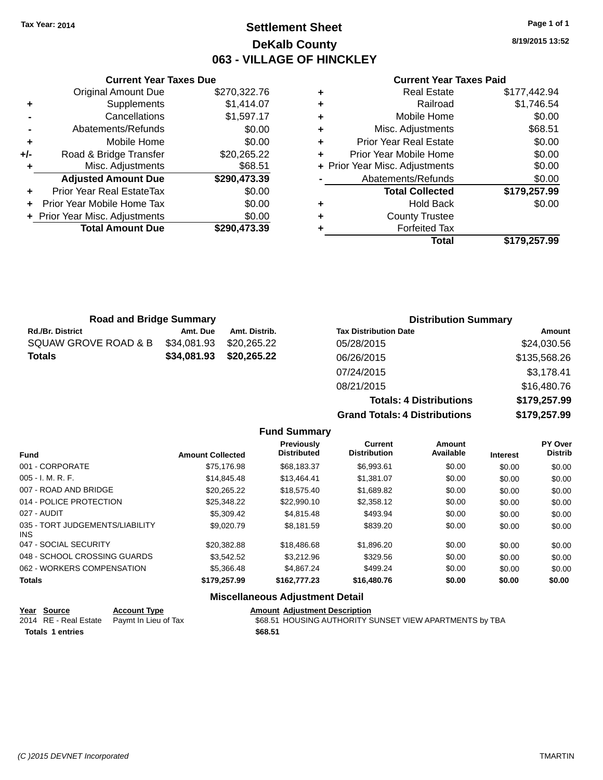# **Settlement Sheet Tax Year: 2014 Page 1 of 1 DeKalb County 063 - VILLAGE OF HINCKLEY**

**8/19/2015 13:52**

#### **Current Year Taxes Paid**

|     | <b>Original Amount Due</b>     | \$270,322.76 |
|-----|--------------------------------|--------------|
| ٠   | Supplements                    | \$1,414.07   |
|     | Cancellations                  | \$1,597.17   |
|     | Abatements/Refunds             | \$0.00       |
| ÷   | Mobile Home                    | \$0.00       |
| +/- | Road & Bridge Transfer         | \$20,265.22  |
| ٠   | Misc. Adjustments              | \$68.51      |
|     | <b>Adjusted Amount Due</b>     | \$290,473.39 |
| ÷   | Prior Year Real EstateTax      | \$0.00       |
| ÷   | Prior Year Mobile Home Tax     | \$0.00       |
|     | + Prior Year Misc. Adjustments | \$0.00       |
|     | <b>Total Amount Due</b>        | \$290,473.39 |
|     |                                |              |

**Current Year Taxes Due**

|   | <b>Real Estate</b>             | \$177,442.94 |
|---|--------------------------------|--------------|
| ٠ | Railroad                       | \$1,746.54   |
| ٠ | Mobile Home                    | \$0.00       |
| ٠ | Misc. Adjustments              | \$68.51      |
| ٠ | <b>Prior Year Real Estate</b>  | \$0.00       |
| ٠ | Prior Year Mobile Home         | \$0.00       |
|   | + Prior Year Misc. Adjustments | \$0.00       |
|   | Abatements/Refunds             | \$0.00       |
|   | <b>Total Collected</b>         | \$179,257.99 |
| ٠ | <b>Hold Back</b>               | \$0.00       |
| ٠ | <b>County Trustee</b>          |              |
|   | <b>Forfeited Tax</b>           |              |
|   | Total                          | \$179,257.99 |

**Grand Totals: 4 Distributions \$179,257.99**

| <b>Road and Bridge Summary</b> |             |               | <b>Distribution Summary</b>    |              |  |
|--------------------------------|-------------|---------------|--------------------------------|--------------|--|
| <b>Rd./Br. District</b>        | Amt. Due    | Amt. Distrib. | <b>Tax Distribution Date</b>   | Amount       |  |
| SQUAW GROVE ROAD & B           | \$34,081.93 | \$20.265.22   | 05/28/2015                     | \$24,030.56  |  |
| <b>Totals</b>                  | \$34,081.93 | \$20,265.22   | 06/26/2015                     | \$135,568.26 |  |
|                                |             |               | 07/24/2015                     | \$3,178.41   |  |
|                                |             |               | 08/21/2015                     | \$16,480.76  |  |
|                                |             |               | <b>Totals: 4 Distributions</b> | \$179,257.99 |  |

**Fund Summary Fund Interest Amount Collected Distributed PY Over Distrib Amount Available Current Distribution Previously** 001 - CORPORATE \$75,176.98 \$68,183.37 \$6,993.61 \$0.00 \$0.00 \$0.00 005 - I. M. R. F. \$14,845.48 \$13,464.41 \$1,381.07 \$0.00 \$0.00 \$0.00 007 - ROAD AND BRIDGE \$20,265.22 \$18,575.40 \$1,689.82 \$0.00 \$0.00 \$0.00 014 - POLICE PROTECTION \$25,348.22 \$22,990.10 \$2,358.12 \$0.00 \$0.00 \$0.00 027 - AUDIT \$5,309.42 \$4,815.48 \$493.94 \$0.00 \$0.00 \$0.00 035 - TORT JUDGEMENTS/LIABILITY INS \$9,020.79 \$8,181.59 \$839.20 \$0.00 \$0.00 \$0.00 047 - SOCIAL SECURITY \$20,382.88 \$18,486.68 \$1,896.20 \$0.00 \$0.00 \$0.00 048 - SCHOOL CROSSING GUARDS  $$3,542.52$   $$3,212.96$   $$329.56$   $$0.00$   $$0.00$   $$0.00$ 062 - WORKERS COMPENSATION \$5,366.48 \$4,867.24 \$499.24 \$0.00 \$0.00 \$0.00 \$0.00 **Totals \$179,257.99 \$162,777.23 \$16,480.76 \$0.00 \$0.00 \$0.00**

### **Miscellaneous Adjustment Detail**

| Year Source             | <b>Account Type</b>                        | <b>Amount Adiustment Description</b>                    |
|-------------------------|--------------------------------------------|---------------------------------------------------------|
|                         | 2014 RE - Real Estate Paymt In Lieu of Tax | \$68.51 HOUSING AUTHORITY SUNSET VIEW APARTMENTS by TBA |
| <b>Totals 1 entries</b> |                                            | \$68.51                                                 |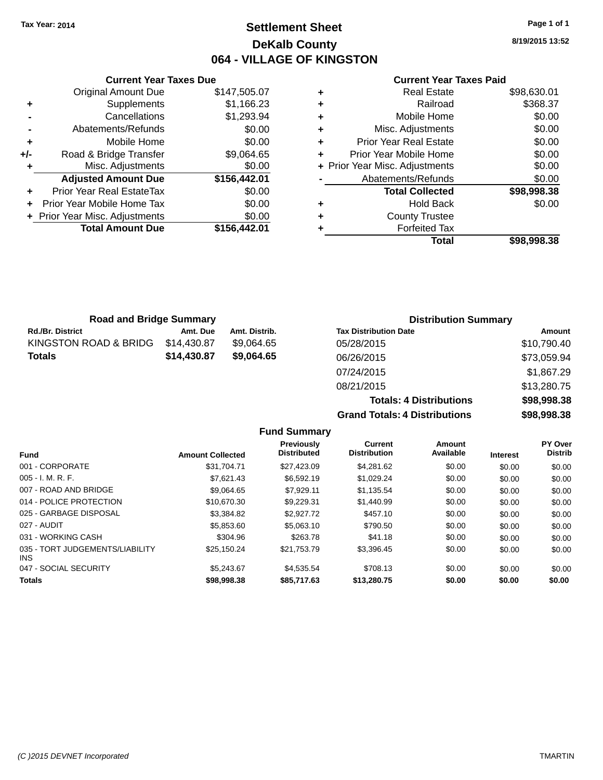# **Settlement Sheet Tax Year: 2014 Page 1 of 1 DeKalb County 064 - VILLAGE OF KINGSTON**

|     | <b>Current Year Taxes Due</b>  |              |
|-----|--------------------------------|--------------|
|     | <b>Original Amount Due</b>     | \$147,505.07 |
| ٠   | Supplements                    | \$1,166.23   |
|     | Cancellations                  | \$1,293.94   |
|     | Abatements/Refunds             | \$0.00       |
| ٠   | Mobile Home                    | \$0.00       |
| +/- | Road & Bridge Transfer         | \$9,064.65   |
| ٠   | Misc. Adjustments              | \$0.00       |
|     | <b>Adjusted Amount Due</b>     | \$156,442.01 |
| ٠   | Prior Year Real EstateTax      | \$0.00       |
| ÷   | Prior Year Mobile Home Tax     | \$0.00       |
|     | + Prior Year Misc. Adjustments | \$0.00       |
|     | <b>Total Amount Due</b>        | \$156,442.01 |
|     |                                |              |

#### **Current Year Taxes Paid**

| ٠ | <b>Real Estate</b>             | \$98,630.01 |
|---|--------------------------------|-------------|
| ٠ | Railroad                       | \$368.37    |
| ٠ | Mobile Home                    | \$0.00      |
| ٠ | Misc. Adjustments              | \$0.00      |
| ٠ | <b>Prior Year Real Estate</b>  | \$0.00      |
| ٠ | Prior Year Mobile Home         | \$0.00      |
|   | + Prior Year Misc. Adjustments | \$0.00      |
|   | Abatements/Refunds             | \$0.00      |
|   | <b>Total Collected</b>         | \$98,998.38 |
| ٠ | <b>Hold Back</b>               | \$0.00      |
| ٠ | <b>County Trustee</b>          |             |
| ٠ | <b>Forfeited Tax</b>           |             |
|   | Total                          | \$98.998.38 |
|   |                                |             |

| <b>Road and Bridge Summary</b> |             | <b>Distribution Summary</b> |                              |             |
|--------------------------------|-------------|-----------------------------|------------------------------|-------------|
| <b>Rd./Br. District</b>        | Amt. Due    | Amt. Distrib.               | <b>Tax Distribution Date</b> | Amount      |
| KINGSTON ROAD & BRIDG          | \$14,430.87 | \$9.064.65                  | 05/28/2015                   | \$10,790.40 |
| <b>Totals</b>                  | \$14,430.87 | \$9.064.65                  | 06/26/2015                   | \$73,059.94 |
|                                |             |                             | 07/24/2015                   | \$1,867.29  |
|                                |             |                             |                              |             |

08/21/2015 \$13,280.75 **Totals: 4 Distributions \$98,998.38 Grand Totals: 4 Distributions \$98,998.38 Fund Summary**

| <b>Fund</b>                             | <b>Amount Collected</b> | Previously<br><b>Distributed</b> | Current<br><b>Distribution</b> | Amount<br>Available | <b>Interest</b> | PY Over<br><b>Distrib</b> |
|-----------------------------------------|-------------------------|----------------------------------|--------------------------------|---------------------|-----------------|---------------------------|
| 001 - CORPORATE                         | \$31.704.71             | \$27,423.09                      | \$4,281.62                     | \$0.00              | \$0.00          | \$0.00                    |
| $005 - I. M. R. F.$                     | \$7.621.43              | \$6,592.19                       | \$1.029.24                     | \$0.00              | \$0.00          | \$0.00                    |
| 007 - ROAD AND BRIDGE                   | \$9.064.65              | \$7.929.11                       | \$1,135.54                     | \$0.00              | \$0.00          | \$0.00                    |
| 014 - POLICE PROTECTION                 | \$10.670.30             | \$9.229.31                       | \$1,440.99                     | \$0.00              | \$0.00          | \$0.00                    |
| 025 - GARBAGE DISPOSAL                  | \$3,384.82              | \$2,927.72                       | \$457.10                       | \$0.00              | \$0.00          | \$0.00                    |
| 027 - AUDIT                             | \$5,853.60              | \$5,063.10                       | \$790.50                       | \$0.00              | \$0.00          | \$0.00                    |
| 031 - WORKING CASH                      | \$304.96                | \$263.78                         | \$41.18                        | \$0.00              | \$0.00          | \$0.00                    |
| 035 - TORT JUDGEMENTS/LIABILITY<br>INS. | \$25.150.24             | \$21.753.79                      | \$3.396.45                     | \$0.00              | \$0.00          | \$0.00                    |
| 047 - SOCIAL SECURITY                   | \$5.243.67              | \$4,535,54                       | \$708.13                       | \$0.00              | \$0.00          | \$0.00                    |
| <b>Totals</b>                           | \$98,998.38             | \$85,717.63                      | \$13,280.75                    | \$0.00              | \$0.00          | \$0.00                    |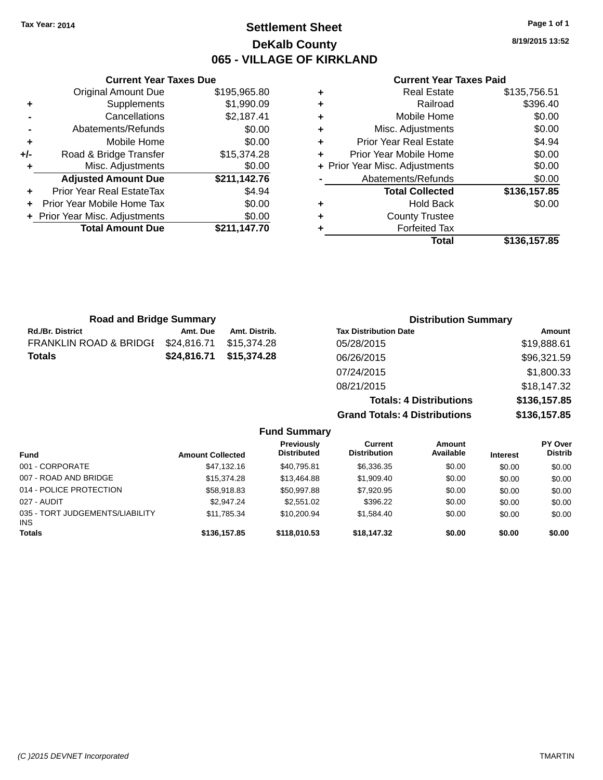# **Settlement Sheet Tax Year: 2014 Page 1 of 1 DeKalb County 065 - VILLAGE OF KIRKLAND**

**8/19/2015 13:52**

|     | <b>Current Year Taxes Due</b>    |              |
|-----|----------------------------------|--------------|
|     | <b>Original Amount Due</b>       | \$195,965.80 |
| ٠   | Supplements                      | \$1,990.09   |
|     | Cancellations                    | \$2,187.41   |
|     | Abatements/Refunds               | \$0.00       |
| ٠   | Mobile Home                      | \$0.00       |
| +/- | Road & Bridge Transfer           | \$15,374.28  |
| ٠   | Misc. Adjustments                | \$0.00       |
|     | <b>Adjusted Amount Due</b>       | \$211,142.76 |
| ÷   | <b>Prior Year Real EstateTax</b> | \$4.94       |
| ÷   | Prior Year Mobile Home Tax       | \$0.00       |
|     | + Prior Year Misc. Adjustments   | \$0.00       |
|     | <b>Total Amount Due</b>          | \$211,147.70 |
|     |                                  |              |

#### **Current Year Taxes Paid**

| ٠ | <b>Real Estate</b>             | \$135,756.51 |
|---|--------------------------------|--------------|
| ÷ | Railroad                       | \$396.40     |
| ٠ | Mobile Home                    | \$0.00       |
| ٠ | Misc. Adjustments              | \$0.00       |
| ٠ | <b>Prior Year Real Estate</b>  | \$4.94       |
| ٠ | Prior Year Mobile Home         | \$0.00       |
|   | + Prior Year Misc. Adjustments | \$0.00       |
|   | Abatements/Refunds             | \$0.00       |
|   | <b>Total Collected</b>         | \$136,157.85 |
| ٠ | <b>Hold Back</b>               | \$0.00       |
| ٠ | <b>County Trustee</b>          |              |
| ٠ | <b>Forfeited Tax</b>           |              |
|   | Total                          | \$136,157.85 |
|   |                                |              |

**Totals: 4 Distributions \$136,157.85**

**Grand Totals: 4 Distributions \$136,157.85**

| <b>Road and Bridge Summary</b> |             |               | <b>Distribution Summary</b>  |             |  |
|--------------------------------|-------------|---------------|------------------------------|-------------|--|
| <b>Rd./Br. District</b>        | Amt. Due    | Amt. Distrib. | <b>Tax Distribution Date</b> | Amount      |  |
| FRANKLIN ROAD & BRIDGI         | \$24,816.71 | \$15,374.28   | 05/28/2015                   | \$19,888.61 |  |
| <b>Totals</b>                  | \$24.816.71 | \$15,374.28   | 06/26/2015                   | \$96,321.59 |  |
|                                |             |               | 07/24/2015                   | \$1,800.33  |  |
|                                |             |               | 08/21/2015                   | \$18,147.32 |  |

**Fund Summary Fund Interest Amount Collected Distributed PY Over Distrib Amount Available Current Distribution Previously** 001 - CORPORATE \$47,132.16 \$40,795.81 \$6,336.35 \$0.00 \$0.00 \$0.00 007 - ROAD AND BRIDGE 6 .00 \$15,374.28 \$13,464.88 \$1,909.40 \$0.00 \$0.00 \$0.00 \$0.00 014 - POLICE PROTECTION \$58,918.83 \$50,997.88 \$7,920.95 \$0.00 \$0.00 \$0.00 \$0.00 027 - AUDIT \$2,947.24 \$2,551.02 \$396.22 \$0.00 \$0.00 \$0.00 035 - TORT JUDGEMENTS/LIABILITY INS \$11,785.34 \$10,200.94 \$1,584.40 \$0.00 \$0.00 \$0.00 \$0.00 **Totals \$136,157.85 \$118,010.53 \$18,147.32 \$0.00 \$0.00 \$0.00**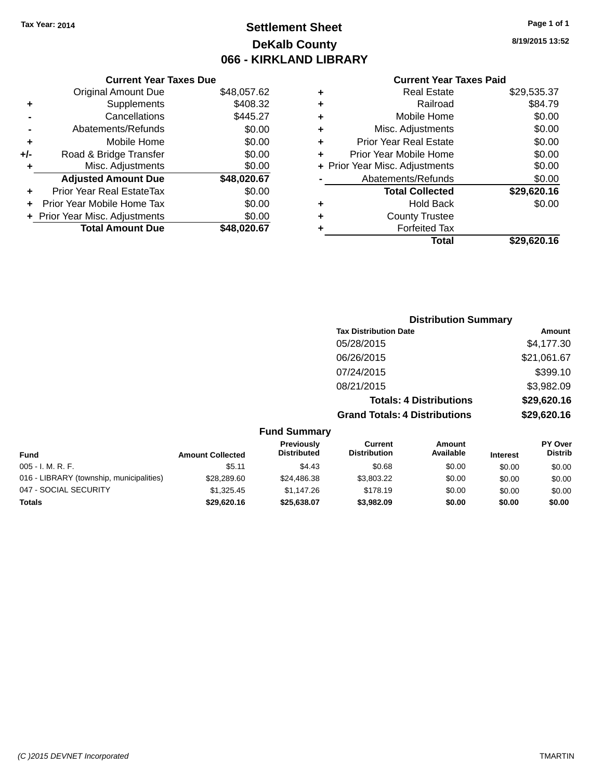# **Settlement Sheet Tax Year: 2014 Page 1 of 1 DeKalb County 066 - KIRKLAND LIBRARY**

**8/19/2015 13:52**

### **Current Year Taxes Paid**

|       | <b>Current Year Taxes Due</b>  |             |
|-------|--------------------------------|-------------|
|       | <b>Original Amount Due</b>     | \$48,057.62 |
| ٠     | Supplements                    | \$408.32    |
|       | Cancellations                  | \$445.27    |
|       | Abatements/Refunds             | \$0.00      |
| ÷     | Mobile Home                    | \$0.00      |
| $+/-$ | Road & Bridge Transfer         | \$0.00      |
| ٠     | Misc. Adjustments              | \$0.00      |
|       | <b>Adjusted Amount Due</b>     | \$48,020.67 |
| ÷     | Prior Year Real EstateTax      | \$0.00      |
| ÷     | Prior Year Mobile Home Tax     | \$0.00      |
|       | + Prior Year Misc. Adjustments | \$0.00      |
|       | <b>Total Amount Due</b>        | \$48,020,67 |
|       |                                |             |

|   | <b>Real Estate</b>             | \$29,535.37 |
|---|--------------------------------|-------------|
| ٠ | Railroad                       | \$84.79     |
| ٠ | Mobile Home                    | \$0.00      |
| ٠ | Misc. Adjustments              | \$0.00      |
| ٠ | <b>Prior Year Real Estate</b>  | \$0.00      |
| ÷ | Prior Year Mobile Home         | \$0.00      |
|   | + Prior Year Misc. Adjustments | \$0.00      |
|   | Abatements/Refunds             | \$0.00      |
|   | <b>Total Collected</b>         | \$29,620.16 |
| ٠ | <b>Hold Back</b>               | \$0.00      |
| ٠ | <b>County Trustee</b>          |             |
| ٠ | <b>Forfeited Tax</b>           |             |
|   | Total                          | \$29,620.16 |
|   |                                |             |

## **Distribution Summary Tax Distribution Date Amount** 05/28/2015 \$4,177.30 06/26/2015 \$21,061.67 07/24/2015 \$399.10 08/21/2015 \$3,982.09 **Totals: 4 Distributions \$29,620.16 Grand Totals: 4 Distributions \$29,620.16**

| <b>Fund</b>                              | <b>Amount Collected</b> | Previously<br><b>Distributed</b> | Current<br><b>Distribution</b> | Amount<br>Available | <b>Interest</b> | <b>PY Over</b><br><b>Distrib</b> |
|------------------------------------------|-------------------------|----------------------------------|--------------------------------|---------------------|-----------------|----------------------------------|
| $005 - I. M. R. F.$                      | \$5.11                  | \$4.43                           | \$0.68                         | \$0.00              | \$0.00          | \$0.00                           |
| 016 - LIBRARY (township, municipalities) | \$28,289.60             | \$24,486,38                      | \$3,803.22                     | \$0.00              | \$0.00          | \$0.00                           |
| 047 - SOCIAL SECURITY                    | \$1.325.45              | \$1,147.26                       | \$178.19                       | \$0.00              | \$0.00          | \$0.00                           |
| <b>Totals</b>                            | \$29,620.16             | \$25,638.07                      | \$3,982.09                     | \$0.00              | \$0.00          | \$0.00                           |
|                                          |                         |                                  |                                |                     |                 |                                  |

**Fund Summary**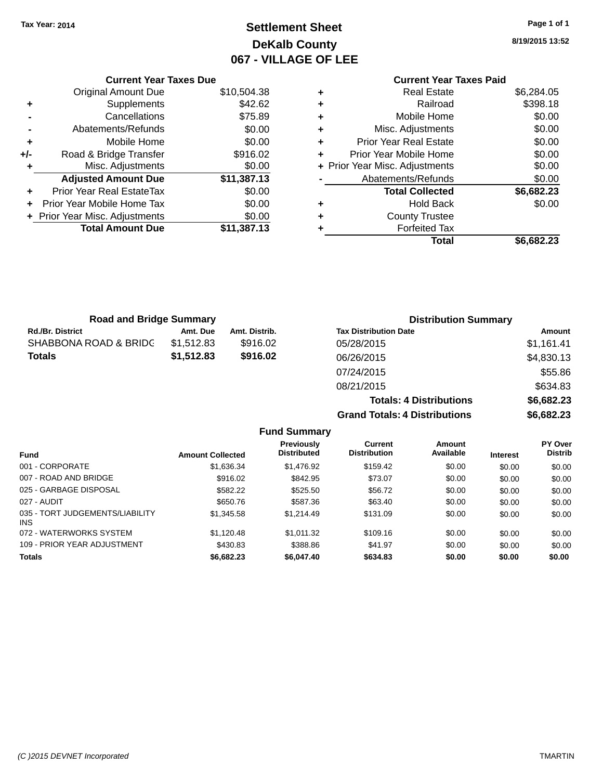# **Settlement Sheet Tax Year: 2014 Page 1 of 1 DeKalb County 067 - VILLAGE OF LEE**

**8/19/2015 13:52**

### **Current Year Taxes Paid +** Real Estate \$6,284.05 **+** Railroad \$398.18 **+** Mobile Home \$0.00 **+** Misc. Adjustments \$0.00 **+** Prior Year Real Estate \$0.00 **+** Prior Year Mobile Home \$0.00 **+ Prior Year Misc. Adjustments**  $$0.00$ Abatements/Refunds \$0.00 **Total Collected \$6,682.23 +** Hold Back \$0.00 **+** County Trustee **+** Forfeited Tax **Total \$6,682.23**

**Grand Totals: 4 Distributions \$6,682.23**

|     | <b>Current Year Taxes Due</b>  |             |
|-----|--------------------------------|-------------|
|     | <b>Original Amount Due</b>     | \$10,504.38 |
| ٠   | Supplements                    | \$42.62     |
|     | Cancellations                  | \$75.89     |
|     | Abatements/Refunds             | \$0.00      |
| ÷   | Mobile Home                    | \$0.00      |
| +/- | Road & Bridge Transfer         | \$916.02    |
|     | Misc. Adjustments              | \$0.00      |
|     | <b>Adjusted Amount Due</b>     | \$11,387.13 |
|     | Prior Year Real EstateTax      | \$0.00      |
|     | Prior Year Mobile Home Tax     | \$0.00      |
|     | + Prior Year Misc. Adjustments | \$0.00      |
|     | <b>Total Amount Due</b>        | \$11,387.13 |
|     |                                |             |

| <b>Road and Bridge Summary</b> |            |               | <b>Distribution Summary</b>    |            |
|--------------------------------|------------|---------------|--------------------------------|------------|
| <b>Rd./Br. District</b>        | Amt. Due   | Amt. Distrib. | <b>Tax Distribution Date</b>   | Amount     |
| SHABBONA ROAD & BRIDC          | \$1,512.83 | \$916.02      | 05/28/2015                     | \$1,161.41 |
| <b>Totals</b>                  | \$1,512.83 | \$916.02      | 06/26/2015                     | \$4,830.13 |
|                                |            |               | 07/24/2015                     | \$55.86    |
|                                |            |               | 08/21/2015                     | \$634.83   |
|                                |            |               | <b>Totals: 4 Distributions</b> | \$6,682.23 |

**Fund Summary Fund Interest Amount Collected Distributed PY Over Distrib Amount Available Current Distribution Previously** 001 - CORPORATE \$1,636.34 \$1,476.92 \$0.00 \$0.00 \$0.00 \$0.00 007 - ROAD AND BRIDGE 60.00 \$916.02 \$842.95 \$73.07 \$0.00 \$0.00 \$0.00 \$0.00 025 - GARBAGE DISPOSAL \$582.22 \$525.50 \$0.00 \$0.00 \$0.00 \$0.00 027 - AUDIT \$650.76 \$587.36 \$63.40 \$0.00 \$0.00 \$0.00 035 - TORT JUDGEMENTS/LIABILITY INS \$1,345.58 \$1,214.49 \$131.09 \$0.00 \$0.00 \$0.00 072 - WATERWORKS SYSTEM \$1,120.48 \$1,011.32 \$109.16 \$0.00 \$0.00 \$0.00 \$0.00 109 - PRIOR YEAR ADJUSTMENT **\$430.83** \$388.86 \$41.97 \$0.00 \$0.00 \$0.00 \$0.00 **Totals \$6,682.23 \$6,047.40 \$634.83 \$0.00 \$0.00 \$0.00**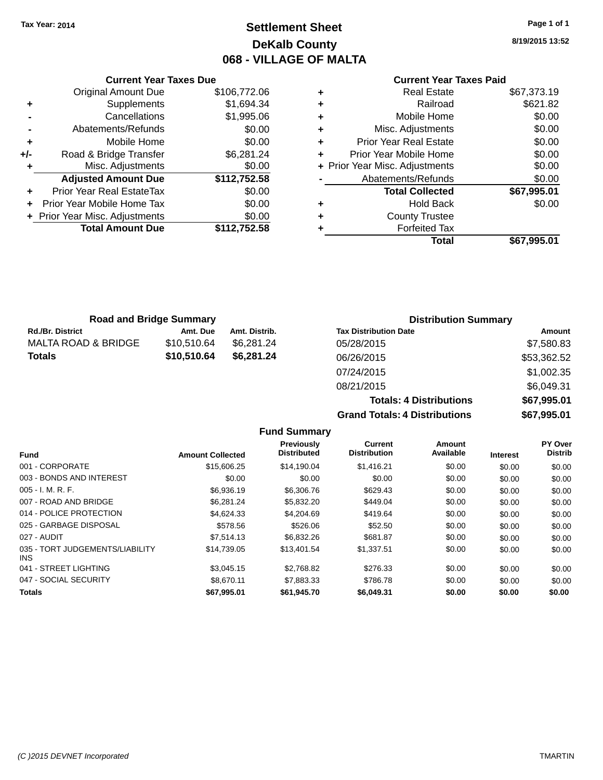# **Settlement Sheet Tax Year: 2014 Page 1 of 1 DeKalb County 068 - VILLAGE OF MALTA**

**8/19/2015 13:52**

### **Current Year Taxes Paid**

|     | <b>Current Year Taxes Due</b> |              |  |  |  |  |
|-----|-------------------------------|--------------|--|--|--|--|
|     | <b>Original Amount Due</b>    | \$106,772.06 |  |  |  |  |
| ٠   | Supplements                   | \$1,694.34   |  |  |  |  |
|     | Cancellations                 | \$1,995.06   |  |  |  |  |
|     | Abatements/Refunds            | \$0.00       |  |  |  |  |
| ٠   | Mobile Home                   | \$0.00       |  |  |  |  |
| +/- | Road & Bridge Transfer        | \$6,281.24   |  |  |  |  |
|     | Misc. Adjustments             | \$0.00       |  |  |  |  |
|     | <b>Adjusted Amount Due</b>    | \$112,752.58 |  |  |  |  |
| ٠   | Prior Year Real EstateTax     | \$0.00       |  |  |  |  |
|     | Prior Year Mobile Home Tax    | \$0.00       |  |  |  |  |
|     | Prior Year Misc. Adjustments  | \$0.00       |  |  |  |  |
|     | <b>Total Amount Due</b>       | \$112,752.58 |  |  |  |  |
|     |                               |              |  |  |  |  |

|   | <b>Real Estate</b>             | \$67,373.19 |
|---|--------------------------------|-------------|
| ٠ | Railroad                       | \$621.82    |
| ٠ | Mobile Home                    | \$0.00      |
| ٠ | Misc. Adjustments              | \$0.00      |
| ٠ | <b>Prior Year Real Estate</b>  | \$0.00      |
| ٠ | Prior Year Mobile Home         | \$0.00      |
|   | + Prior Year Misc. Adjustments | \$0.00      |
|   | Abatements/Refunds             | \$0.00      |
|   | <b>Total Collected</b>         | \$67,995.01 |
| ٠ | <b>Hold Back</b>               | \$0.00      |
| ٠ | <b>County Trustee</b>          |             |
| ٠ | <b>Forfeited Tax</b>           |             |
|   | <b>Total</b>                   | \$67,995.01 |
|   |                                |             |

| <b>Road and Bridge Summary</b> |             |               | <b>Distribution Summary</b>  |             |  |
|--------------------------------|-------------|---------------|------------------------------|-------------|--|
| <b>Rd./Br. District</b>        | Amt. Due    | Amt. Distrib. | <b>Tax Distribution Date</b> | Amount      |  |
| MALTA ROAD & BRIDGE            | \$10.510.64 | \$6.281.24    | 05/28/2015                   | \$7,580.83  |  |
| <b>Totals</b>                  | \$10,510.64 | \$6,281.24    | 06/26/2015                   | \$53,362.52 |  |
|                                |             |               | 07/24/2015                   | \$1,002.35  |  |
|                                |             |               |                              |             |  |

| <u>.</u>                             | $- - - - - - - - -$ |
|--------------------------------------|---------------------|
| 07/24/2015                           | \$1,002.35          |
| 08/21/2015                           | \$6,049.31          |
| <b>Totals: 4 Distributions</b>       | \$67.995.01         |
| <b>Grand Totals: 4 Distributions</b> | \$67,995.01         |
|                                      |                     |

| <b>Fund Summary</b>                     |                         |                                  |                                |                     |                 |                           |
|-----------------------------------------|-------------------------|----------------------------------|--------------------------------|---------------------|-----------------|---------------------------|
| <b>Fund</b>                             | <b>Amount Collected</b> | Previously<br><b>Distributed</b> | Current<br><b>Distribution</b> | Amount<br>Available | <b>Interest</b> | PY Over<br><b>Distrib</b> |
| 001 - CORPORATE                         | \$15,606.25             | \$14,190.04                      | \$1,416.21                     | \$0.00              | \$0.00          | \$0.00                    |
| 003 - BONDS AND INTEREST                | \$0.00                  | \$0.00                           | \$0.00                         | \$0.00              | \$0.00          | \$0.00                    |
| $005 - I. M. R. F.$                     | \$6,936.19              | \$6,306.76                       | \$629.43                       | \$0.00              | \$0.00          | \$0.00                    |
| 007 - ROAD AND BRIDGE                   | \$6,281,24              | \$5,832.20                       | \$449.04                       | \$0.00              | \$0.00          | \$0.00                    |
| 014 - POLICE PROTECTION                 | \$4,624.33              | \$4,204.69                       | \$419.64                       | \$0.00              | \$0.00          | \$0.00                    |
| 025 - GARBAGE DISPOSAL                  | \$578.56                | \$526.06                         | \$52.50                        | \$0.00              | \$0.00          | \$0.00                    |
| 027 - AUDIT                             | \$7,514.13              | \$6,832.26                       | \$681.87                       | \$0.00              | \$0.00          | \$0.00                    |
| 035 - TORT JUDGEMENTS/LIABILITY<br>INS. | \$14,739.05             | \$13,401.54                      | \$1,337.51                     | \$0.00              | \$0.00          | \$0.00                    |
| 041 - STREET LIGHTING                   | \$3,045.15              | \$2,768.82                       | \$276.33                       | \$0.00              | \$0.00          | \$0.00                    |
| 047 - SOCIAL SECURITY                   | \$8.670.11              | \$7,883.33                       | \$786.78                       | \$0.00              | \$0.00          | \$0.00                    |
| <b>Totals</b>                           | \$67,995.01             | \$61,945.70                      | \$6,049.31                     | \$0.00              | \$0.00          | \$0.00                    |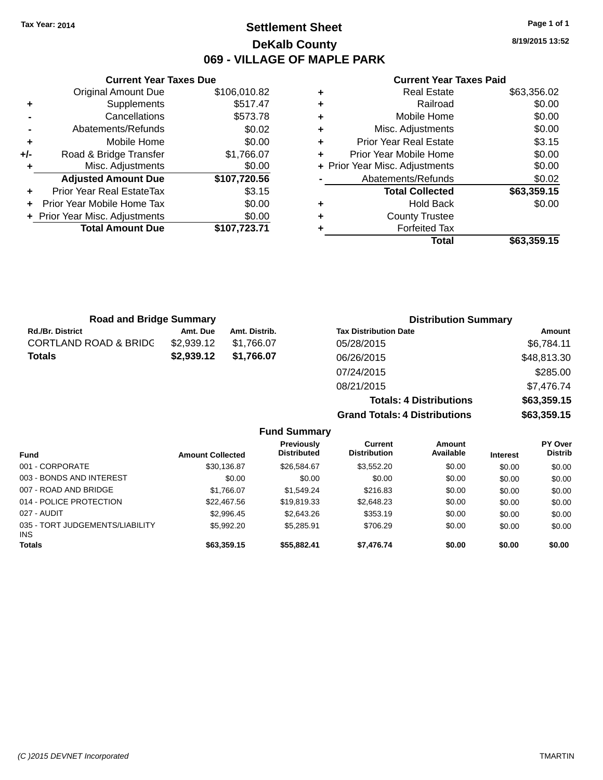# **Settlement Sheet Tax Year: 2014 Page 1 of 1 DeKalb County 069 - VILLAGE OF MAPLE PARK**

**8/19/2015 13:52**

|     | <b>Current Year Taxes Due</b>  |              |
|-----|--------------------------------|--------------|
|     | Original Amount Due            | \$106,010.82 |
| ٠   | Supplements                    | \$517.47     |
|     | Cancellations                  | \$573.78     |
|     | Abatements/Refunds             | \$0.02       |
| ٠   | Mobile Home                    | \$0.00       |
| +/- | Road & Bridge Transfer         | \$1,766.07   |
| ٠   | Misc. Adjustments              | \$0.00       |
|     | <b>Adjusted Amount Due</b>     | \$107,720.56 |
|     | Prior Year Real EstateTax      | \$3.15       |
|     | Prior Year Mobile Home Tax     | \$0.00       |
|     | + Prior Year Misc. Adjustments | \$0.00       |
|     | <b>Total Amount Due</b>        | \$107,723.71 |
|     |                                |              |

### **Current Year Taxes Paid**

|   | Total                          | \$63,359.15 |
|---|--------------------------------|-------------|
| ٠ | <b>Forfeited Tax</b>           |             |
| ٠ | <b>County Trustee</b>          |             |
| ٠ | <b>Hold Back</b>               | \$0.00      |
|   | <b>Total Collected</b>         | \$63,359.15 |
|   | Abatements/Refunds             | \$0.02      |
|   | + Prior Year Misc. Adjustments | \$0.00      |
| ÷ | Prior Year Mobile Home         | \$0.00      |
| ٠ | <b>Prior Year Real Estate</b>  | \$3.15      |
| ٠ | Misc. Adjustments              | \$0.00      |
| ٠ | Mobile Home                    | \$0.00      |
| ÷ | Railroad                       | \$0.00      |
| ٠ | <b>Real Estate</b>             | \$63,356.02 |

**Totals: 4 Distributions \$63,359.15**

**Grand Totals: 4 Distributions \$63,359.15**

| <b>Road and Bridge Summary</b>   |            |               | <b>Distribution Summary</b>  |             |  |
|----------------------------------|------------|---------------|------------------------------|-------------|--|
| <b>Rd./Br. District</b>          | Amt. Due   | Amt. Distrib. | <b>Tax Distribution Date</b> | Amount      |  |
| <b>CORTLAND ROAD &amp; BRIDC</b> | \$2,939.12 | \$1.766.07    | 05/28/2015                   | \$6,784.11  |  |
| <b>Totals</b>                    | \$2,939.12 | \$1,766.07    | 06/26/2015                   | \$48,813.30 |  |
|                                  |            |               | 07/24/2015                   | \$285.00    |  |
|                                  |            |               | 08/21/2015                   | \$7,476.74  |  |

**Fund Summary Fund Interest Amount Collected Distributed PY Over Distrib Amount Available Current Distribution Previously** 001 - CORPORATE \$30,136.87 \$26,584.67 \$3,552.20 \$0.00 \$0.00 \$0.00 003 - BONDS AND INTEREST  $$0.00$   $$0.00$   $$0.00$   $$0.00$   $$0.00$   $$0.00$   $$0.00$   $$0.00$ 007 - ROAD AND BRIDGE \$1,766.07 \$1,549.24 \$216.83 \$0.00 \$0.00 \$0.00 \$0.00 014 - POLICE PROTECTION **\$22,467.56** \$19,819.33 \$2,648.23 \$0.00 \$0.00 \$0.00 027 - AUDIT \$2,996.45 \$2,643.26 \$353.19 \$0.00 \$0.00 \$0.00 035 - TORT JUDGEMENTS/LIABILITY INS \$5,992.20 \$5,285.91 \$706.29 \$0.00 \$0.00 \$0.00 **Totals \$63,359.15 \$55,882.41 \$7,476.74 \$0.00 \$0.00 \$0.00**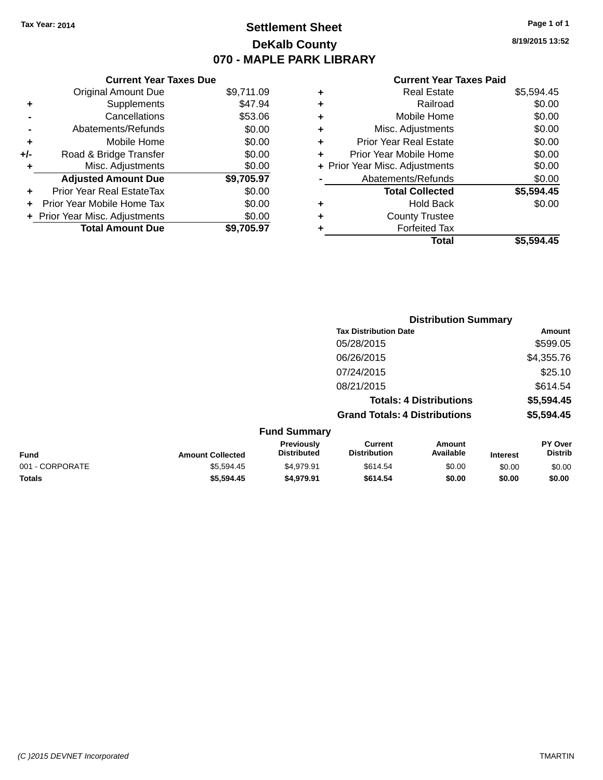# **Settlement Sheet Tax Year: 2014 Page 1 of 1 DeKalb County 070 - MAPLE PARK LIBRARY**

**8/19/2015 13:52**

### **Current Year Taxes Paid**

|     | <b>Current Year Taxes Due</b>  |            |   |             |
|-----|--------------------------------|------------|---|-------------|
|     | <b>Original Amount Due</b>     | \$9,711.09 | ٠ |             |
|     | Supplements                    | \$47.94    | ٠ |             |
|     | Cancellations                  | \$53.06    | ٠ |             |
|     | Abatements/Refunds             | \$0.00     | ٠ |             |
|     | Mobile Home                    | \$0.00     |   | Pri         |
| +/- | Road & Bridge Transfer         | \$0.00     |   | Prio        |
|     | Misc. Adjustments              | \$0.00     |   | + Prior Yea |
|     | <b>Adjusted Amount Due</b>     | \$9,705.97 |   | Α           |
| ÷   | Prior Year Real EstateTax      | \$0.00     |   |             |
|     | Prior Year Mobile Home Tax     | \$0.00     | ٠ |             |
|     | + Prior Year Misc. Adjustments | \$0.00     |   |             |
|     | <b>Total Amount Due</b>        | \$9,705.97 |   |             |
|     |                                |            |   |             |

| ٠ | <b>Real Estate</b>             | \$5,594.45 |
|---|--------------------------------|------------|
| ٠ | Railroad                       | \$0.00     |
| ٠ | Mobile Home                    | \$0.00     |
| ٠ | Misc. Adjustments              | \$0.00     |
| ٠ | <b>Prior Year Real Estate</b>  | \$0.00     |
| ٠ | Prior Year Mobile Home         | \$0.00     |
|   | + Prior Year Misc. Adjustments | \$0.00     |
|   | Abatements/Refunds             | \$0.00     |
|   | <b>Total Collected</b>         | \$5,594.45 |
| ٠ | <b>Hold Back</b>               | \$0.00     |
| ٠ | <b>County Trustee</b>          |            |
| ٠ | <b>Forfeited Tax</b>           |            |
|   | Total                          | \$5,594.45 |
|   |                                |            |

|                 |                         |                                  |                                       | <b>Distribution Summary</b>    |                 |                                  |
|-----------------|-------------------------|----------------------------------|---------------------------------------|--------------------------------|-----------------|----------------------------------|
|                 |                         |                                  | <b>Tax Distribution Date</b>          |                                |                 | <b>Amount</b>                    |
|                 |                         |                                  | 05/28/2015                            |                                |                 | \$599.05                         |
|                 |                         |                                  | 06/26/2015                            |                                |                 | \$4,355.76                       |
|                 |                         |                                  | 07/24/2015                            |                                |                 | \$25.10                          |
|                 |                         |                                  | 08/21/2015                            |                                |                 | \$614.54                         |
|                 |                         |                                  |                                       | <b>Totals: 4 Distributions</b> |                 | \$5,594.45                       |
|                 |                         |                                  | <b>Grand Totals: 4 Distributions</b>  |                                |                 | \$5,594.45                       |
|                 |                         | <b>Fund Summary</b>              |                                       |                                |                 |                                  |
| <b>Fund</b>     | <b>Amount Collected</b> | Previously<br><b>Distributed</b> | <b>Current</b><br><b>Distribution</b> | <b>Amount</b><br>Available     | <b>Interest</b> | <b>PY Over</b><br><b>Distrib</b> |
| 001 - CORPORATE | \$5,594.45              | \$4,979.91                       | \$614.54                              | \$0.00                         | \$0.00          | \$0.00                           |
| <b>Totals</b>   | \$5,594.45              | \$4,979.91                       | \$614.54                              | \$0.00                         | \$0.00          | \$0.00                           |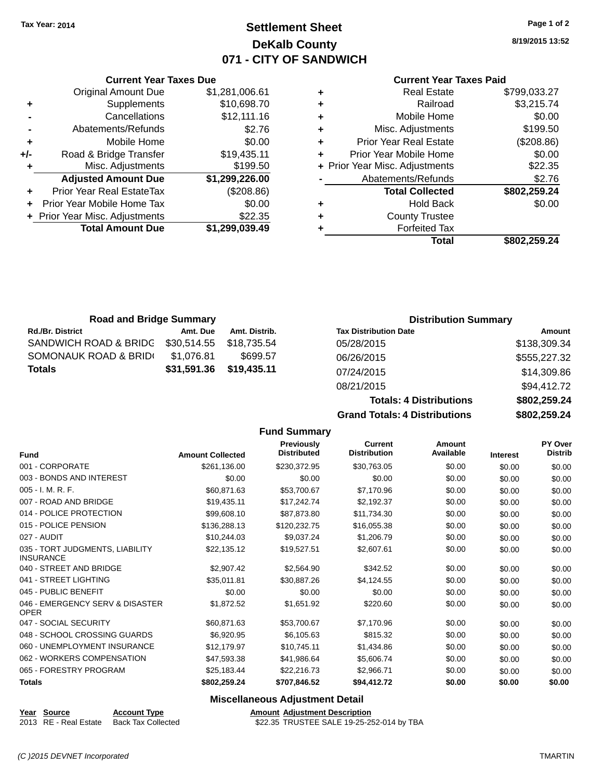**Current Year Taxes Due** Original Amount Due \$1,281,006.61

**Adjusted Amount Due \$1,299,226.00**

**Total Amount Due \$1,299,039.49**

**+** Supplements \$10,698.70 **-** Cancellations \$12,111.16 **-** Abatements/Refunds \$2.76 **+** Mobile Home \$0.00 **+/-** Road & Bridge Transfer \$19,435.11 **+** Misc. Adjustments \$199.50

**+** Prior Year Real EstateTax (\$208.86) **+** Prior Year Mobile Home Tax \$0.00 **+** Prior Year Misc. Adjustments \$22.35

# **Settlement Sheet Tax Year: 2014 Page 1 of 2 DeKalb County 071 - CITY OF SANDWICH**

**8/19/2015 13:52**

#### **Current Year Taxes Paid**

| ٠ | <b>Real Estate</b>             | \$799,033.27 |
|---|--------------------------------|--------------|
| ٠ | Railroad                       | \$3,215.74   |
| ٠ | Mobile Home                    | \$0.00       |
| ٠ | Misc. Adjustments              | \$199.50     |
| ٠ | <b>Prior Year Real Estate</b>  | (\$208.86)   |
| ٠ | Prior Year Mobile Home         | \$0.00       |
|   | + Prior Year Misc. Adjustments | \$22.35      |
|   | Abatements/Refunds             | \$2.76       |
|   | <b>Total Collected</b>         | \$802,259.24 |
| ٠ | <b>Hold Back</b>               | \$0.00       |
| ÷ | <b>County Trustee</b>          |              |
| ٠ | <b>Forfeited Tax</b>           |              |
|   | Total                          | \$802.259.24 |

| <b>Road and Bridge Summary</b> |             |               | <b>Distribution Summary</b>  |              |
|--------------------------------|-------------|---------------|------------------------------|--------------|
| <b>Rd./Br. District</b>        | Amt. Due    | Amt. Distrib. | <b>Tax Distribution Date</b> | Amount       |
| SANDWICH ROAD & BRIDG          | \$30,514.55 | \$18,735,54   | 05/28/2015                   | \$138,309.34 |
| SOMONAUK ROAD & BRIDI          | \$1,076.81  | \$699.57      | 06/26/2015                   | \$555,227.32 |
| <b>Totals</b>                  | \$31,591.36 | \$19,435.11   | 07/24/2015                   | \$14,309.86  |
|                                |             |               | 08/21/2015                   | \$94,412.72  |

 $Totals: 4$ **Grand Totals: 4 Fund Summary**

| <b>Distributions</b> | \$802.259.24 |
|----------------------|--------------|
| . Distributions      | \$802,259.24 |
|                      | \$94,412.72  |
|                      | \$14,309.80  |

| <b>Fund</b>                                         | <b>Amount Collected</b> | <b>Previously</b><br><b>Distributed</b> | <b>Current</b><br><b>Distribution</b> | Amount<br>Available | <b>Interest</b> | PY Over<br><b>Distrib</b> |
|-----------------------------------------------------|-------------------------|-----------------------------------------|---------------------------------------|---------------------|-----------------|---------------------------|
|                                                     |                         |                                         |                                       |                     |                 |                           |
| 001 - CORPORATE                                     | \$261,136.00            | \$230,372.95                            | \$30,763.05                           | \$0.00              | \$0.00          | \$0.00                    |
| 003 - BONDS AND INTEREST                            | \$0.00                  | \$0.00                                  | \$0.00                                | \$0.00              | \$0.00          | \$0.00                    |
| 005 - I. M. R. F.                                   | \$60,871.63             | \$53,700.67                             | \$7,170.96                            | \$0.00              | \$0.00          | \$0.00                    |
| 007 - ROAD AND BRIDGE                               | \$19,435.11             | \$17,242.74                             | \$2,192.37                            | \$0.00              | \$0.00          | \$0.00                    |
| 014 - POLICE PROTECTION                             | \$99,608.10             | \$87,873.80                             | \$11,734.30                           | \$0.00              | \$0.00          | \$0.00                    |
| 015 - POLICE PENSION                                | \$136,288.13            | \$120,232.75                            | \$16,055.38                           | \$0.00              | \$0.00          | \$0.00                    |
| 027 - AUDIT                                         | \$10,244.03             | \$9,037.24                              | \$1,206.79                            | \$0.00              | \$0.00          | \$0.00                    |
| 035 - TORT JUDGMENTS, LIABILITY<br><b>INSURANCE</b> | \$22,135.12             | \$19,527.51                             | \$2,607.61                            | \$0.00              | \$0.00          | \$0.00                    |
| 040 - STREET AND BRIDGE                             | \$2,907.42              | \$2,564.90                              | \$342.52                              | \$0.00              | \$0.00          | \$0.00                    |
| 041 - STREET LIGHTING                               | \$35,011.81             | \$30,887.26                             | \$4,124.55                            | \$0.00              | \$0.00          | \$0.00                    |
| 045 - PUBLIC BENEFIT                                | \$0.00                  | \$0.00                                  | \$0.00                                | \$0.00              | \$0.00          | \$0.00                    |
| 046 - EMERGENCY SERV & DISASTER<br><b>OPER</b>      | \$1,872.52              | \$1,651.92                              | \$220.60                              | \$0.00              | \$0.00          | \$0.00                    |
| 047 - SOCIAL SECURITY                               | \$60,871.63             | \$53,700.67                             | \$7,170.96                            | \$0.00              | \$0.00          | \$0.00                    |
| 048 - SCHOOL CROSSING GUARDS                        | \$6,920.95              | \$6,105.63                              | \$815.32                              | \$0.00              | \$0.00          | \$0.00                    |
| 060 - UNEMPLOYMENT INSURANCE                        | \$12,179.97             | \$10,745.11                             | \$1,434.86                            | \$0.00              | \$0.00          | \$0.00                    |
| 062 - WORKERS COMPENSATION                          | \$47,593.38             | \$41,986.64                             | \$5,606.74                            | \$0.00              | \$0.00          | \$0.00                    |
| 065 - FORESTRY PROGRAM                              | \$25,183.44             | \$22,216.73                             | \$2,966.71                            | \$0.00              | \$0.00          | \$0.00                    |
| <b>Totals</b>                                       | \$802,259.24            | \$707,846.52                            | \$94,412.72                           | \$0.00              | \$0.00          | \$0.00                    |

### **Miscellaneous Adjustment Detail**

**Year Source Account Type Account Adjustment Description** 2013 RE - Real Estate Back Tax Collected \$22.35 TRUSTEE SALE 19-25-252-014 by TBA

*(C )2015 DEVNET Incorporated* TMARTIN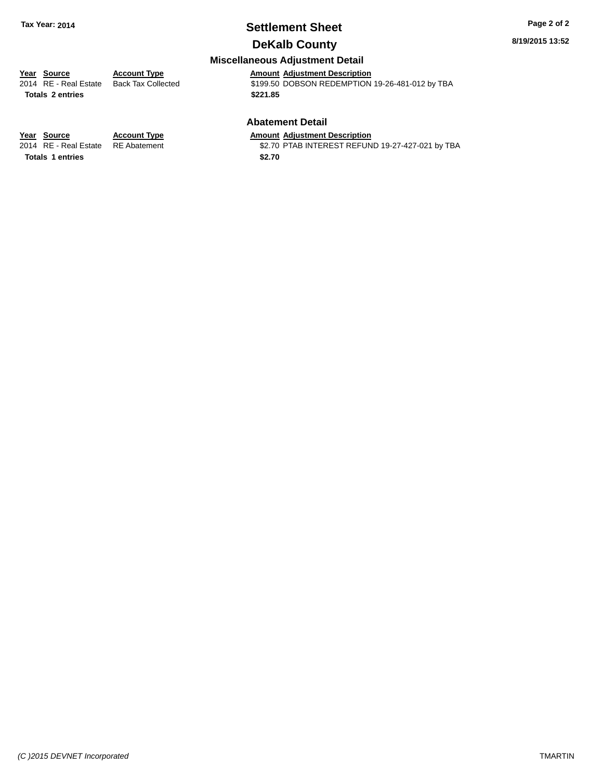# **Settlement Sheet Tax Year: 2014 Page 2 of 2**

## **DeKalb County**

**8/19/2015 13:52**

### **Miscellaneous Adjustment Detail**

| Year Source                  | Accou |
|------------------------------|-------|
| 2014 RE - Real Estate Back 1 |       |

**Totals \$221.85 2 entries**

**Account Type**<br>Back Tax Collected **Account Adjustment Description**<br>\$199.50 DOBSON REDEMPTION 2014 RE - Real Estate Back Tax Collected **\$199.50 DOBSON REDEMPTION 19-26-481-012 by TBA** 

### **Abatement Detail**

\$2.70 PTAB INTEREST REFUND 19-27-427-021 by TBA

**Year Source Account Type Amount Adjustment Description**<br>2014 RE - Real Estate RE Abatement \$2.70 PTAB INTEREST REFUN Totals 1 entries \$2.70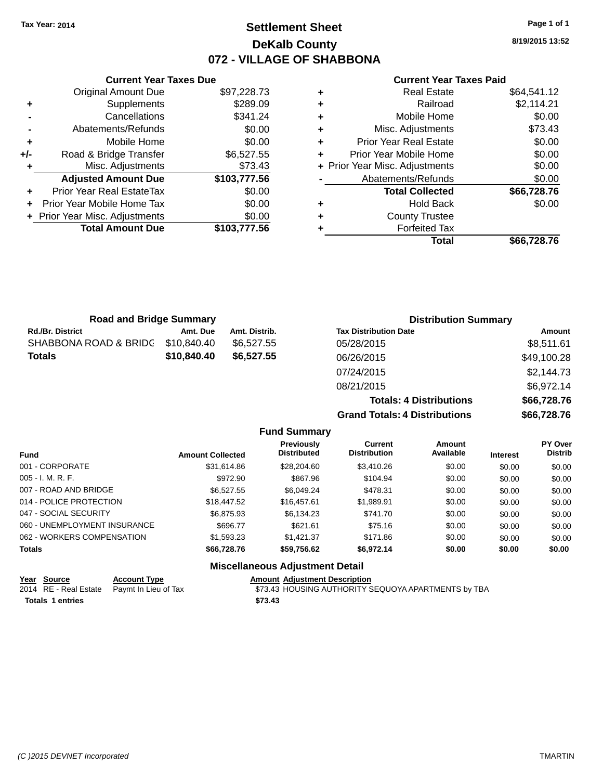# **Settlement Sheet Tax Year: 2014 Page 1 of 1 DeKalb County 072 - VILLAGE OF SHABBONA**

**8/19/2015 13:52**

### **Current Year Taxes Paid**

|     | <b>Current Year Taxes Due</b>  |              |
|-----|--------------------------------|--------------|
|     | <b>Original Amount Due</b>     | \$97,228.73  |
| ٠   | Supplements                    | \$289.09     |
|     | Cancellations                  | \$341.24     |
|     | Abatements/Refunds             | \$0.00       |
| ٠   | Mobile Home                    | \$0.00       |
| +/- | Road & Bridge Transfer         | \$6,527.55   |
|     | Misc. Adjustments              | \$73.43      |
|     | <b>Adjusted Amount Due</b>     | \$103,777.56 |
|     | Prior Year Real EstateTax      | \$0.00       |
|     | Prior Year Mobile Home Tax     | \$0.00       |
|     | + Prior Year Misc. Adjustments | \$0.00       |
|     | <b>Total Amount Due</b>        | \$103,777,56 |
|     |                                |              |

|   | <b>Real Estate</b>             | \$64,541.12 |
|---|--------------------------------|-------------|
| ٠ | Railroad                       | \$2,114.21  |
| ٠ | Mobile Home                    | \$0.00      |
| ٠ | Misc. Adjustments              | \$73.43     |
| ٠ | <b>Prior Year Real Estate</b>  | \$0.00      |
| ٠ | Prior Year Mobile Home         | \$0.00      |
|   | + Prior Year Misc. Adjustments | \$0.00      |
|   | Abatements/Refunds             | \$0.00      |
|   | <b>Total Collected</b>         | \$66,728.76 |
| ٠ | <b>Hold Back</b>               | \$0.00      |
| ٠ | <b>County Trustee</b>          |             |
| ٠ | <b>Forfeited Tax</b>           |             |
|   | Total                          | \$66.728.76 |
|   |                                |             |

| <b>Road and Bridge Summary</b> |             |               | <b>Distribution Summary</b>    |             |  |
|--------------------------------|-------------|---------------|--------------------------------|-------------|--|
| <b>Rd./Br. District</b>        | Amt. Due    | Amt. Distrib. | <b>Tax Distribution Date</b>   | Amount      |  |
| SHABBONA ROAD & BRIDC          | \$10,840.40 | \$6,527,55    | 05/28/2015                     | \$8,511.61  |  |
| <b>Totals</b>                  | \$10,840.40 | \$6,527,55    | 06/26/2015                     | \$49,100.28 |  |
|                                |             |               | 07/24/2015                     | \$2,144.73  |  |
|                                |             |               | 08/21/2015                     | \$6,972.14  |  |
|                                |             |               | <b>Totals: 4 Distributions</b> | \$66,728.76 |  |

**Grand Totals: 4 Distributions \$66,728.76**

|                              |                         | <b>Fund Summary</b>                    |                                |                     |                 |                                  |
|------------------------------|-------------------------|----------------------------------------|--------------------------------|---------------------|-----------------|----------------------------------|
| <b>Fund</b>                  | <b>Amount Collected</b> | Previously<br><b>Distributed</b>       | Current<br><b>Distribution</b> | Amount<br>Available | <b>Interest</b> | <b>PY Over</b><br><b>Distrib</b> |
| 001 - CORPORATE              | \$31,614.86             | \$28,204.60                            | \$3,410.26                     | \$0.00              | \$0.00          | \$0.00                           |
| $005 - I. M. R. F.$          | \$972.90                | \$867.96                               | \$104.94                       | \$0.00              | \$0.00          | \$0.00                           |
| 007 - ROAD AND BRIDGE        | \$6,527.55              | \$6.049.24                             | \$478.31                       | \$0.00              | \$0.00          | \$0.00                           |
| 014 - POLICE PROTECTION      | \$18,447.52             | \$16,457.61                            | \$1,989.91                     | \$0.00              | \$0.00          | \$0.00                           |
| 047 - SOCIAL SECURITY        | \$6,875.93              | \$6.134.23                             | \$741.70                       | \$0.00              | \$0.00          | \$0.00                           |
| 060 - UNEMPLOYMENT INSURANCE | \$696.77                | \$621.61                               | \$75.16                        | \$0.00              | \$0.00          | \$0.00                           |
| 062 - WORKERS COMPENSATION   | \$1,593,23              | \$1.421.37                             | \$171.86                       | \$0.00              | \$0.00          | \$0.00                           |
| <b>Totals</b>                | \$66,728,76             | \$59.756.62                            | \$6.972.14                     | \$0.00              | \$0.00          | \$0.00                           |
|                              |                         | <b>Miscellaneous Adjustment Detail</b> |                                |                     |                 |                                  |

|                  | Year Source | <b>Account Type</b>                        |         | <b>Amount Adiustment Description</b>                |
|------------------|-------------|--------------------------------------------|---------|-----------------------------------------------------|
|                  |             | 2014 RE - Real Estate Paymt In Lieu of Tax |         | \$73.43 HOUSING AUTHORITY SEQUOYA APARTMENTS by TBA |
| Totals 1 entries |             |                                            | \$73.43 |                                                     |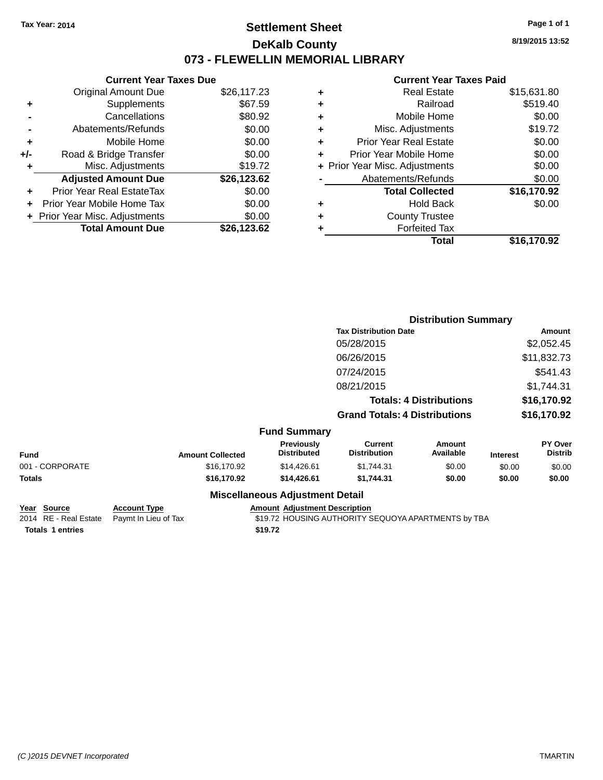# **Settlement Sheet Tax Year: 2014 Page 1 of 1 DeKalb County 073 - FLEWELLIN MEMORIAL LIBRARY**

**8/19/2015 13:52**

# **Current Year Taxes Paid**

|     | <b>Current Year Taxes Due</b> |             |
|-----|-------------------------------|-------------|
|     | <b>Original Amount Due</b>    | \$26,117.23 |
| ٠   | Supplements                   | \$67.59     |
|     | Cancellations                 | \$80.92     |
|     | Abatements/Refunds            | \$0.00      |
| ٠   | Mobile Home                   | \$0.00      |
| +/- | Road & Bridge Transfer        | \$0.00      |
| ٠   | Misc. Adjustments             | \$19.72     |
|     | <b>Adjusted Amount Due</b>    | \$26,123.62 |
| ÷   | Prior Year Real EstateTax     | \$0.00      |
|     | Prior Year Mobile Home Tax    | \$0.00      |
|     | Prior Year Misc. Adjustments  | \$0.00      |
|     | <b>Total Amount Due</b>       | \$26.123.62 |

| ٠ | <b>Real Estate</b>             | \$15,631.80 |
|---|--------------------------------|-------------|
| ٠ | Railroad                       | \$519.40    |
| ٠ | Mobile Home                    | \$0.00      |
| ٠ | Misc. Adjustments              | \$19.72     |
| ٠ | <b>Prior Year Real Estate</b>  | \$0.00      |
| ÷ | Prior Year Mobile Home         | \$0.00      |
|   | + Prior Year Misc. Adjustments | \$0.00      |
|   | Abatements/Refunds             | \$0.00      |
|   | <b>Total Collected</b>         | \$16,170.92 |
| ٠ | Hold Back                      | \$0.00      |
| ٠ | <b>County Trustee</b>          |             |
| ÷ | <b>Forfeited Tax</b>           |             |
|   | Total                          | \$16,170.92 |
|   |                                |             |

|                 |                         |                                  |                                       | <b>Distribution Summary</b>    |                 |                           |
|-----------------|-------------------------|----------------------------------|---------------------------------------|--------------------------------|-----------------|---------------------------|
|                 |                         |                                  | <b>Tax Distribution Date</b>          |                                |                 | Amount                    |
|                 |                         |                                  | 05/28/2015                            |                                |                 | \$2,052.45                |
|                 |                         |                                  | 06/26/2015                            |                                |                 | \$11,832.73               |
|                 |                         |                                  | 07/24/2015                            |                                |                 | \$541.43                  |
|                 |                         |                                  | 08/21/2015                            |                                |                 | \$1,744.31                |
|                 |                         |                                  |                                       | <b>Totals: 4 Distributions</b> |                 | \$16,170.92               |
|                 |                         |                                  | <b>Grand Totals: 4 Distributions</b>  |                                |                 | \$16,170.92               |
|                 |                         | <b>Fund Summary</b>              |                                       |                                |                 |                           |
| <b>Fund</b>     | <b>Amount Collected</b> | Previously<br><b>Distributed</b> | <b>Current</b><br><b>Distribution</b> | <b>Amount</b><br>Available     | <b>Interest</b> | PY Over<br><b>Distrib</b> |
| 001 - CORPORATE | \$16,170.92             | \$14,426.61                      | \$1,744.31                            | \$0.00                         | \$0.00          | \$0.00                    |
| <b>Totals</b>   | \$16,170.92             | \$14,426.61                      | \$1,744.31                            | \$0.00                         | \$0.00          | \$0.00                    |
|                 |                         | Micrallangous Adiustmant Datail  |                                       |                                |                 |                           |

#### **Miscellaneous Adjustment Detail**

| Year Source             | <b>Account Type</b>                        | <b>Amount Adjustment Description</b>                |  |
|-------------------------|--------------------------------------------|-----------------------------------------------------|--|
|                         | 2014 RE - Real Estate Paymt In Lieu of Tax | \$19.72 HOUSING AUTHORITY SEQUOYA APARTMENTS by TBA |  |
| <b>Totals 1 entries</b> |                                            | \$19.72                                             |  |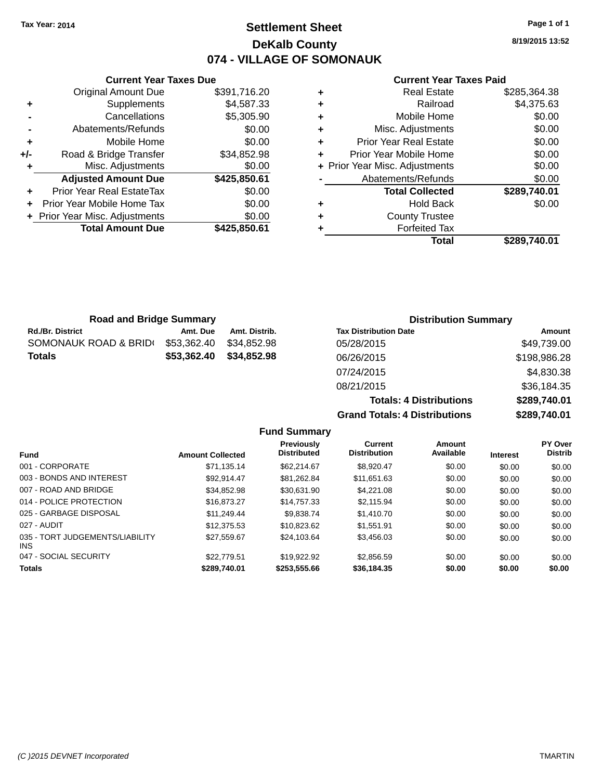**Original Amount Due** 

**Adjusted Amount Due** 

**Total Amount Due** 

**+** Supplements **-** Cancellations **-** Abatements/Refunds **+** Mobile Home **+/-** Road & Bridge Transfer **+** Misc. Adjustments

**+** Prior Year Real EstateTax \$0.00 **+** Prior Year Mobile Home Tax **+** Prior Year Misc. Adjustments

# **Settlement Sheet Tax Year: 2014 Page 1 of 1 DeKalb County 074 - VILLAGE OF SOMONAUK**

**8/19/2015 13:52**

**Total \$289,740.01**

#### **Current Year Taxes Paid**

| <b>Current Year Taxes Due</b> |              |   | <b>Current Year Taxes Paid</b> |              |
|-------------------------------|--------------|---|--------------------------------|--------------|
| ่<br>เl Amount Due            | \$391,716.20 | ٠ | <b>Real Estate</b>             | \$285,364.38 |
| Supplements                   | \$4,587.33   | ٠ | Railroad                       | \$4,375.63   |
| Cancellations                 | \$5,305.90   | ٠ | Mobile Home                    | \$0.00       |
| าents/Refunds                 | \$0.00       | ٠ | Misc. Adjustments              | \$0.00       |
| Mobile Home                   | \$0.00       | ÷ | <b>Prior Year Real Estate</b>  | \$0.00       |
| ridge Transfer                | \$34,852.98  | ÷ | Prior Year Mobile Home         | \$0.00       |
| . Adjustments                 | \$0.00       |   | + Prior Year Misc. Adjustments | \$0.00       |
| <b>Amount Due</b>             | \$425,850.61 |   | Abatements/Refunds             | \$0.00       |
| leal EstateTax≀               | \$0.00       |   | <b>Total Collected</b>         | \$289,740.01 |
| bile Home Tax                 | \$0.00       | ٠ | <b>Hold Back</b>               | \$0.00       |
| . Adjustments                 | \$0.00       | ÷ | <b>County Trustee</b>          |              |
| <b>Amount Due</b>             | \$425,850.61 |   | <b>Forfeited Tax</b>           |              |
|                               |              |   | Total                          | \$289.740.01 |

| <b>Road and Bridge Summary</b> |             |               | <b>Distribution Summary</b>  |              |
|--------------------------------|-------------|---------------|------------------------------|--------------|
| <b>Rd./Br. District</b>        | Amt. Due    | Amt. Distrib. | <b>Tax Distribution Date</b> | Amount       |
| SOMONAUK ROAD & BRIDI          | \$53,362.40 | \$34,852.98   | 05/28/2015                   | \$49,739.00  |
| <b>Totals</b>                  | \$53,362.40 | \$34,852.98   | 06/26/2015                   | \$198,986.28 |
|                                |             |               | 07/24/2015                   | \$4,830.38   |
|                                |             |               |                              |              |

08/21/2015 \$36,184.35 **Totals: 4 Distributions \$289,740.01 Grand Totals: 4 Distributions \$289,740.01 Fund Summary PY Over Amount Available Current Distribution Previously**

| <b>Fund</b>                             | <b>Amount Collected</b> | <b>Distributed</b> | <b>Distribution</b> | Available | <b>Interest</b> | <b>Distrib</b> |
|-----------------------------------------|-------------------------|--------------------|---------------------|-----------|-----------------|----------------|
| 001 - CORPORATE                         | \$71,135.14             | \$62,214.67        | \$8,920.47          | \$0.00    | \$0.00          | \$0.00         |
| 003 - BONDS AND INTEREST                | \$92.914.47             | \$81,262.84        | \$11,651.63         | \$0.00    | \$0.00          | \$0.00         |
| 007 - ROAD AND BRIDGE                   | \$34,852.98             | \$30,631.90        | \$4,221.08          | \$0.00    | \$0.00          | \$0.00         |
| 014 - POLICE PROTECTION                 | \$16,873.27             | \$14,757.33        | \$2,115.94          | \$0.00    | \$0.00          | \$0.00         |
| 025 - GARBAGE DISPOSAL                  | \$11,249.44             | \$9,838.74         | \$1,410.70          | \$0.00    | \$0.00          | \$0.00         |
| 027 - AUDIT                             | \$12,375.53             | \$10,823.62        | \$1,551.91          | \$0.00    | \$0.00          | \$0.00         |
| 035 - TORT JUDGEMENTS/LIABILITY<br>INS. | \$27.559.67             | \$24.103.64        | \$3,456.03          | \$0.00    | \$0.00          | \$0.00         |
| 047 - SOCIAL SECURITY                   | \$22,779.51             | \$19,922.92        | \$2,856.59          | \$0.00    | \$0.00          | \$0.00         |
| <b>Totals</b>                           | \$289,740.01            | \$253,555.66       | \$36,184.35         | \$0.00    | \$0.00          | \$0.00         |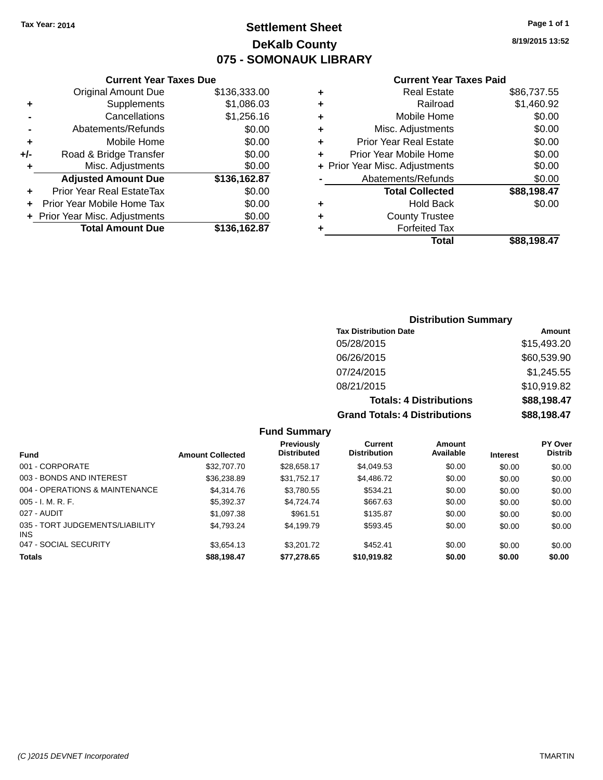# **Settlement Sheet Tax Year: 2014 Page 1 of 1 DeKalb County 075 - SOMONAUK LIBRARY**

**8/19/2015 13:52**

#### **Current Year Taxes Paid**

|       | <b>Current Year Taxes Due</b>  |              |
|-------|--------------------------------|--------------|
|       | <b>Original Amount Due</b>     | \$136,333.00 |
| ٠     | Supplements                    | \$1,086.03   |
|       | Cancellations                  | \$1,256.16   |
|       | Abatements/Refunds             | \$0.00       |
| ٠     | Mobile Home                    | \$0.00       |
| $+/-$ | Road & Bridge Transfer         | \$0.00       |
| ٠     | Misc. Adjustments              | \$0.00       |
|       | <b>Adjusted Amount Due</b>     | \$136,162.87 |
| ٠     | Prior Year Real EstateTax      | \$0.00       |
|       | Prior Year Mobile Home Tax     | \$0.00       |
|       | + Prior Year Misc. Adjustments | \$0.00       |
|       | <b>Total Amount Due</b>        | \$136.162.87 |
|       |                                |              |

| ٠ | <b>Real Estate</b>             | \$86,737.55 |
|---|--------------------------------|-------------|
| ٠ | Railroad                       | \$1,460.92  |
| ÷ | Mobile Home                    | \$0.00      |
| ٠ | Misc. Adjustments              | \$0.00      |
| ٠ | <b>Prior Year Real Estate</b>  | \$0.00      |
| ٠ | Prior Year Mobile Home         | \$0.00      |
|   | + Prior Year Misc. Adjustments | \$0.00      |
|   | Abatements/Refunds             | \$0.00      |
|   | <b>Total Collected</b>         | \$88,198.47 |
| ٠ | <b>Hold Back</b>               | \$0.00      |
| ٠ | <b>County Trustee</b>          |             |
| ٠ | <b>Forfeited Tax</b>           |             |
|   | Total                          | \$88.198.47 |
|   |                                |             |

# **Distribution Summary**

| <b>Tax Distribution Date</b>         | <b>Amount</b> |
|--------------------------------------|---------------|
| 05/28/2015                           | \$15,493.20   |
| 06/26/2015                           | \$60,539.90   |
| 07/24/2015                           | \$1,245.55    |
| 08/21/2015                           | \$10,919.82   |
| <b>Totals: 4 Distributions</b>       | \$88,198.47   |
| <b>Grand Totals: 4 Distributions</b> | \$88,198.47   |

#### **Fund Summary**

| <b>Fund</b>                                   | <b>Amount Collected</b> | <b>Previously</b><br><b>Distributed</b> | Current<br><b>Distribution</b> | Amount<br>Available | <b>Interest</b> | <b>PY Over</b><br><b>Distrib</b> |
|-----------------------------------------------|-------------------------|-----------------------------------------|--------------------------------|---------------------|-----------------|----------------------------------|
| 001 - CORPORATE                               | \$32,707.70             | \$28,658.17                             | \$4,049.53                     | \$0.00              | \$0.00          | \$0.00                           |
| 003 - BONDS AND INTEREST                      | \$36,238.89             | \$31,752.17                             | \$4,486.72                     | \$0.00              | \$0.00          | \$0.00                           |
| 004 - OPERATIONS & MAINTENANCE                | \$4,314.76              | \$3,780.55                              | \$534.21                       | \$0.00              | \$0.00          | \$0.00                           |
| $005 - I. M. R. F.$                           | \$5,392.37              | \$4.724.74                              | \$667.63                       | \$0.00              | \$0.00          | \$0.00                           |
| 027 - AUDIT                                   | \$1,097.38              | \$961.51                                | \$135.87                       | \$0.00              | \$0.00          | \$0.00                           |
| 035 - TORT JUDGEMENTS/LIABILITY<br><b>INS</b> | \$4.793.24              | \$4.199.79                              | \$593.45                       | \$0.00              | \$0.00          | \$0.00                           |
| 047 - SOCIAL SECURITY                         | \$3.654.13              | \$3,201.72                              | \$452.41                       | \$0.00              | \$0.00          | \$0.00                           |
| <b>Totals</b>                                 | \$88,198.47             | \$77,278.65                             | \$10,919.82                    | \$0.00              | \$0.00          | \$0.00                           |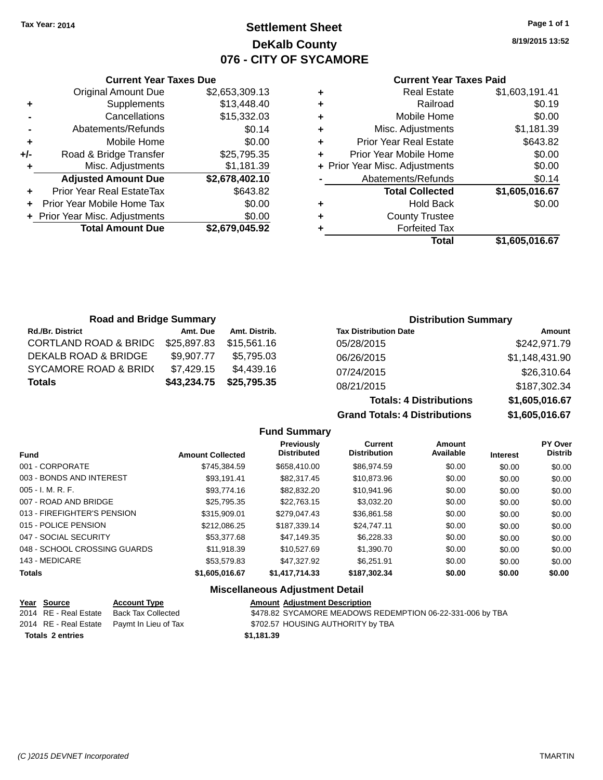# **Settlement Sheet Tax Year: 2014 Page 1 of 1 DeKalb County 076 - CITY OF SYCAMORE**

**8/19/2015 13:52**

#### **Current Year Taxes Paid**

|       | <b>Current Year Taxes Due</b>  |                |  |  |  |  |
|-------|--------------------------------|----------------|--|--|--|--|
|       | <b>Original Amount Due</b>     | \$2,653,309.13 |  |  |  |  |
| ٠     | Supplements                    | \$13,448.40    |  |  |  |  |
|       | Cancellations                  | \$15,332.03    |  |  |  |  |
|       | Abatements/Refunds             | \$0.14         |  |  |  |  |
| ٠     | Mobile Home                    | \$0.00         |  |  |  |  |
| $+/-$ | Road & Bridge Transfer         | \$25,795.35    |  |  |  |  |
|       | Misc. Adjustments              | \$1,181.39     |  |  |  |  |
|       | <b>Adjusted Amount Due</b>     | \$2,678,402.10 |  |  |  |  |
| ٠     | Prior Year Real EstateTax      | \$643.82       |  |  |  |  |
|       | Prior Year Mobile Home Tax     | \$0.00         |  |  |  |  |
|       | + Prior Year Misc. Adjustments | \$0.00         |  |  |  |  |
|       | <b>Total Amount Due</b>        | \$2,679,045.92 |  |  |  |  |
|       |                                |                |  |  |  |  |

| ٠ | <b>Real Estate</b>             | \$1,603,191.41 |
|---|--------------------------------|----------------|
| ٠ | Railroad                       | \$0.19         |
| ٠ | Mobile Home                    | \$0.00         |
| ٠ | Misc. Adjustments              | \$1,181.39     |
| ٠ | <b>Prior Year Real Estate</b>  | \$643.82       |
| ٠ | Prior Year Mobile Home         | \$0.00         |
|   | + Prior Year Misc. Adjustments | \$0.00         |
|   | Abatements/Refunds             | \$0.14         |
|   | <b>Total Collected</b>         | \$1,605,016.67 |
| ٠ | <b>Hold Back</b>               | \$0.00         |
| ٠ | <b>County Trustee</b>          |                |
| ٠ | <b>Forfeited Tax</b>           |                |
|   | Total                          | \$1,605,016.67 |
|   |                                |                |

| <b>Road and Bridge Summary</b>   |             |               |                              | <b>Distribution Summary</b> |
|----------------------------------|-------------|---------------|------------------------------|-----------------------------|
| <b>Rd./Br. District</b>          | Amt. Due    | Amt. Distrib. | <b>Tax Distribution Date</b> | Amount                      |
| <b>CORTLAND ROAD &amp; BRIDC</b> | \$25,897.83 | \$15,561.16   | 05/28/2015                   | \$242,971.79                |
| DEKALB ROAD & BRIDGE             | \$9.907.77  | \$5.795.03    | 06/26/2015                   | \$1,148,431.90              |
| <b>SYCAMORE ROAD &amp; BRID(</b> | \$7,429.15  | \$4,439.16    | 07/24/2015                   | \$26,310.64                 |
| <b>Totals</b>                    | \$43,234.75 | \$25,795.35   | 08/21/2015                   | \$187,302.34                |

# **Totals: 4 Distributions \$1,605,016.67 Grand Totals: 4 Distributions \$1,605,016.67**

|                         | <b>Fund Summary</b>                     |                                       |                     |                 |                                  |
|-------------------------|-----------------------------------------|---------------------------------------|---------------------|-----------------|----------------------------------|
| <b>Amount Collected</b> | <b>Previously</b><br><b>Distributed</b> | <b>Current</b><br><b>Distribution</b> | Amount<br>Available | <b>Interest</b> | <b>PY Over</b><br><b>Distrib</b> |
| \$745.384.59            | \$658,410.00                            | \$86,974.59                           | \$0.00              | \$0.00          | \$0.00                           |
| \$93.191.41             | \$82,317.45                             | \$10,873.96                           | \$0.00              | \$0.00          | \$0.00                           |
| \$93,774.16             | \$82,832,20                             | \$10.941.96                           | \$0.00              | \$0.00          | \$0.00                           |
| \$25,795.35             | \$22,763.15                             | \$3,032.20                            | \$0.00              | \$0.00          | \$0.00                           |
| \$315,909.01            | \$279.047.43                            | \$36.861.58                           | \$0.00              | \$0.00          | \$0.00                           |
| \$212.086.25            | \$187.339.14                            | \$24,747.11                           | \$0.00              | \$0.00          | \$0.00                           |
| \$53,377.68             | \$47.149.35                             | \$6,228,33                            | \$0.00              | \$0.00          | \$0.00                           |
| \$11.918.39             | \$10,527.69                             | \$1,390.70                            | \$0.00              | \$0.00          | \$0.00                           |
| \$53,579.83             | \$47.327.92                             | \$6.251.91                            | \$0.00              | \$0.00          | \$0.00                           |
| \$1,605,016.67          | \$1,417,714.33                          | \$187.302.34                          | \$0.00              | \$0.00          | \$0.00                           |
|                         |                                         |                                       |                     |                 |                                  |

#### **Miscellaneous Adjustment Detail**

| Year Source             | <b>Account Type</b>                        | <b>Amount Adiustment Description</b>                      |
|-------------------------|--------------------------------------------|-----------------------------------------------------------|
| 2014 RE - Real Estate   | Back Tax Collected                         | \$478.82 SYCAMORE MEADOWS REDEMPTION 06-22-331-006 by TBA |
|                         | 2014 RE - Real Estate Paymt In Lieu of Tax | \$702.57 HOUSING AUTHORITY by TBA                         |
| <b>Totals 2 entries</b> |                                            | \$1.181.39                                                |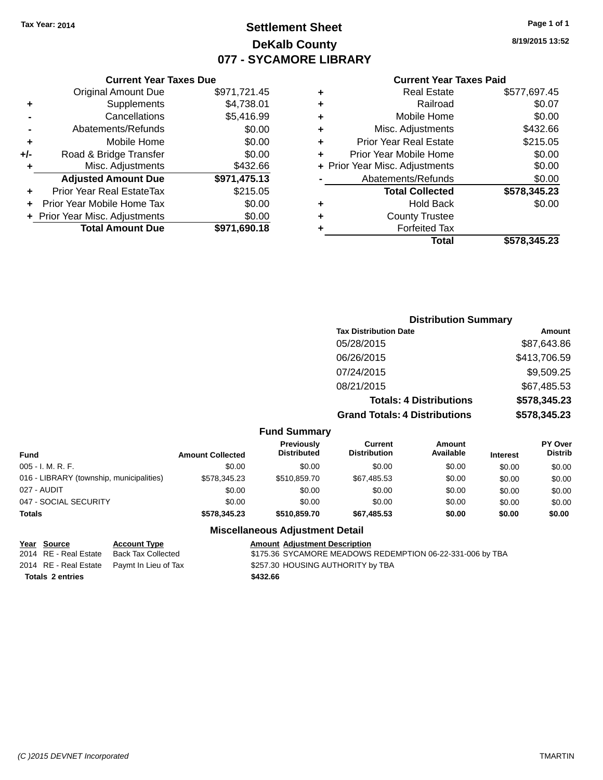# **Settlement Sheet Tax Year: 2014 Page 1 of 1 DeKalb County 077 - SYCAMORE LIBRARY**

**8/19/2015 13:52**

#### **Current Year Taxes Paid**

|     | <b>Total Amount Due</b>          | \$971,690.18 |
|-----|----------------------------------|--------------|
|     | + Prior Year Misc. Adjustments   | \$0.00       |
| ÷   | Prior Year Mobile Home Tax       | \$0.00       |
| ٠   | <b>Prior Year Real EstateTax</b> | \$215.05     |
|     | <b>Adjusted Amount Due</b>       | \$971,475.13 |
| ٠   | Misc. Adjustments                | \$432.66     |
| +/- | Road & Bridge Transfer           | \$0.00       |
| ٠   | Mobile Home                      | \$0.00       |
|     | Abatements/Refunds               | \$0.00       |
|     | Cancellations                    | \$5,416.99   |
| ٠   | Supplements                      | \$4,738.01   |
|     | <b>Original Amount Due</b>       | \$971,721.45 |
|     |                                  |              |

**Current Year Taxes Due**

|   | <b>Real Estate</b>             | \$577,697.45 |
|---|--------------------------------|--------------|
| ٠ | Railroad                       | \$0.07       |
| ٠ | Mobile Home                    | \$0.00       |
| ٠ | Misc. Adjustments              | \$432.66     |
| ٠ | <b>Prior Year Real Estate</b>  | \$215.05     |
| ÷ | Prior Year Mobile Home         | \$0.00       |
|   | + Prior Year Misc. Adjustments | \$0.00       |
|   | Abatements/Refunds             | \$0.00       |
|   | <b>Total Collected</b>         | \$578,345.23 |
| ٠ | <b>Hold Back</b>               | \$0.00       |
| ٠ | <b>County Trustee</b>          |              |
| ٠ | <b>Forfeited Tax</b>           |              |
|   | Total                          | \$578,345.23 |
|   |                                |              |

# **Distribution Summary Tax Distribution Date Amount** 05/28/2015 \$87,643.86 06/26/2015 \$413,706.59 07/24/2015 \$9,509.25 08/21/2015 \$67,485.53 **Totals: 4 Distributions \$578,345.23 Grand Totals: 4 Distributions \$578,345.23**

| Fund Summary |
|--------------|
|              |

| <b>Fund</b>                              | <b>Amount Collected</b> | <b>Previously</b><br><b>Distributed</b> | Current<br><b>Distribution</b> | Amount<br>Available | <b>Interest</b> | <b>PY Over</b><br><b>Distrib</b> |
|------------------------------------------|-------------------------|-----------------------------------------|--------------------------------|---------------------|-----------------|----------------------------------|
| 005 - I. M. R. F.                        | \$0.00                  | \$0.00                                  | \$0.00                         | \$0.00              | \$0.00          | \$0.00                           |
| 016 - LIBRARY (township, municipalities) | \$578.345.23            | \$510.859.70                            | \$67.485.53                    | \$0.00              | \$0.00          | \$0.00                           |
| 027 - AUDIT                              | \$0.00                  | \$0.00                                  | \$0.00                         | \$0.00              | \$0.00          | \$0.00                           |
| 047 - SOCIAL SECURITY                    | \$0.00                  | \$0.00                                  | \$0.00                         | \$0.00              | \$0.00          | \$0.00                           |
| <b>Totals</b>                            | \$578,345,23            | \$510,859.70                            | \$67,485,53                    | \$0.00              | \$0.00          | \$0.00                           |

#### **Miscellaneous Adjustment Detail**

| Year Source             | <b>Account Type</b>                        | <b>Amount Adjustment Description</b>                      |
|-------------------------|--------------------------------------------|-----------------------------------------------------------|
| 2014 RE - Real Estate   | Back Tax Collected                         | \$175.36 SYCAMORE MEADOWS REDEMPTION 06-22-331-006 by TBA |
|                         | 2014 RE - Real Estate Paymt In Lieu of Tax | \$257.30 HOUSING AUTHORITY by TBA                         |
| <b>Totals 2 entries</b> |                                            | \$432.66                                                  |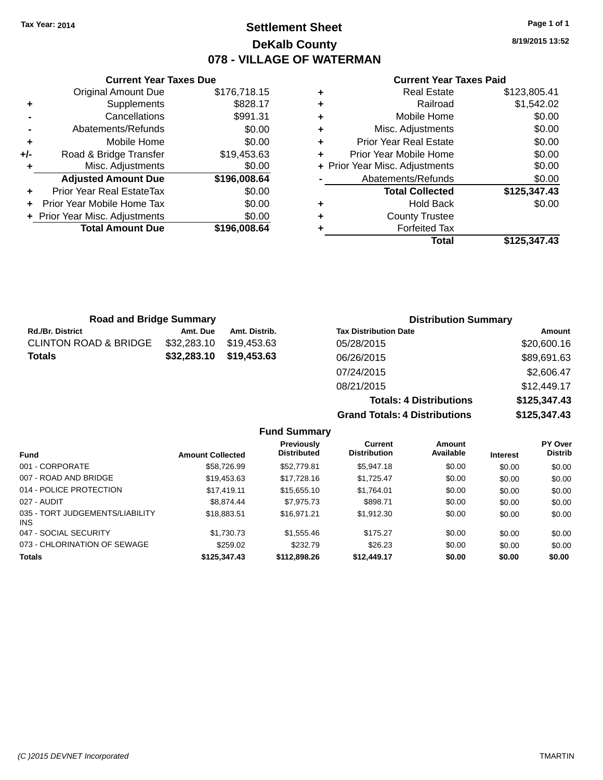# **Settlement Sheet Tax Year: 2014 Page 1 of 1 DeKalb County 078 - VILLAGE OF WATERMAN**

**8/19/2015 13:52**

|     | <b>Current Year Taxes Due</b>    |              |
|-----|----------------------------------|--------------|
|     | <b>Original Amount Due</b>       | \$176,718.15 |
| ٠   | Supplements                      | \$828.17     |
|     | Cancellations                    | \$991.31     |
|     | Abatements/Refunds               | \$0.00       |
| ٠   | Mobile Home                      | \$0.00       |
| +/- | Road & Bridge Transfer           | \$19,453.63  |
| ٠   | Misc. Adjustments                | \$0.00       |
|     | <b>Adjusted Amount Due</b>       | \$196,008.64 |
| ٠   | <b>Prior Year Real EstateTax</b> | \$0.00       |
|     | Prior Year Mobile Home Tax       | \$0.00       |
|     | + Prior Year Misc. Adjustments   | \$0.00       |
|     | <b>Total Amount Due</b>          | \$196,008.64 |
|     |                                  |              |

| \$123,805.41 |
|--------------|
| \$1,542.02   |
| \$0.00       |
| \$0.00       |
| \$0.00       |
| \$0.00       |
| \$0.00       |
| \$0.00       |
| \$125,347.43 |
| \$0.00       |
|              |
|              |
| \$125,347.43 |
|              |

| <b>Road and Bridge Summary</b> |             |               | <b>Distribution Summary</b>    |              |
|--------------------------------|-------------|---------------|--------------------------------|--------------|
| Rd./Br. District               | Amt. Due    | Amt. Distrib. | <b>Tax Distribution Date</b>   | Amount       |
| CLINTON ROAD & BRIDGE          | \$32,283.10 | \$19.453.63   | 05/28/2015                     | \$20,600.16  |
| Totals                         | \$32,283.10 | \$19,453.63   | 06/26/2015                     | \$89,691.63  |
|                                |             |               | 07/24/2015                     | \$2,606.47   |
|                                |             |               | 08/21/2015                     | \$12,449.17  |
|                                |             |               | <b>Totals: 4 Distributions</b> | \$125,347.43 |

|                                 |                         |                                  | <b>Grand Totals: 4 Distributions</b> |                     |                 | \$125,347.43                     |  |
|---------------------------------|-------------------------|----------------------------------|--------------------------------------|---------------------|-----------------|----------------------------------|--|
|                                 |                         | <b>Fund Summary</b>              |                                      |                     |                 |                                  |  |
| Fund                            | <b>Amount Collected</b> | Previously<br><b>Distributed</b> | Current<br><b>Distribution</b>       | Amount<br>Available | <b>Interest</b> | <b>PY Over</b><br><b>Distrib</b> |  |
| 001 - CORPORATE                 | \$58,726.99             | \$52,779.81                      | \$5,947.18                           | \$0.00              | \$0.00          | \$0.00                           |  |
| 007 - ROAD AND BRIDGE           | \$19.453.63             | \$17,728.16                      | \$1.725.47                           | \$0.00              | \$0.00          | \$0.00                           |  |
| 014 - POLICE PROTECTION         | \$17.419.11             | \$15,655.10                      | \$1,764.01                           | \$0.00              | \$0.00          | \$0.00                           |  |
| 027 - AUDIT                     | \$8,874.44              | \$7,975.73                       | \$898.71                             | \$0.00              | \$0.00          | \$0.00                           |  |
| 035 - TORT JUDGEMENTS/LIABILITY | \$18.883.51             | \$16.971.21                      | \$1.912.30                           | \$0.00              | \$0.00          | \$0.00                           |  |

| <b>Totals</b>                           | \$125,347,43 | \$112,898.26 | \$12,449.17 | \$0.00 | \$0.00 | \$0.00 |
|-----------------------------------------|--------------|--------------|-------------|--------|--------|--------|
| 073 - CHLORINATION OF SEWAGE            | \$259.02     | \$232.79     | \$26.23     | \$0.00 | \$0.00 | \$0.00 |
| 047 - SOCIAL SECURITY                   | \$1,730,73   | \$1,555.46   | \$175.27    | \$0.00 | \$0.00 | \$0.00 |
| 035 - TORT JUDGEMENTS/LIABILITY<br>INS. | \$18,883.51  | \$16.971.21  | \$1.912.30  | \$0.00 | \$0.00 | \$0.00 |
| 027 - AUDIT                             | \$8.874.44   | \$7,975.73   | \$898.71    | \$0.00 | \$0.00 | \$0.00 |
| 014 - POLICE PROTECTION                 | \$17.419.11  | \$15,655.10  | \$1.764.01  | \$0.00 | \$0.00 | \$0.00 |
| 007 - ROAD AND BRIDGE                   | \$19,453.63  | \$17,728.16  | \$1.725.47  | \$0.00 | \$0.00 | \$0.00 |
| 001 - CORPORATE                         | \$58,726.99  | \$52,779.81  | \$5,947.18  | \$0.00 | \$0.00 | \$0.00 |
|                                         |              |              |             |        |        |        |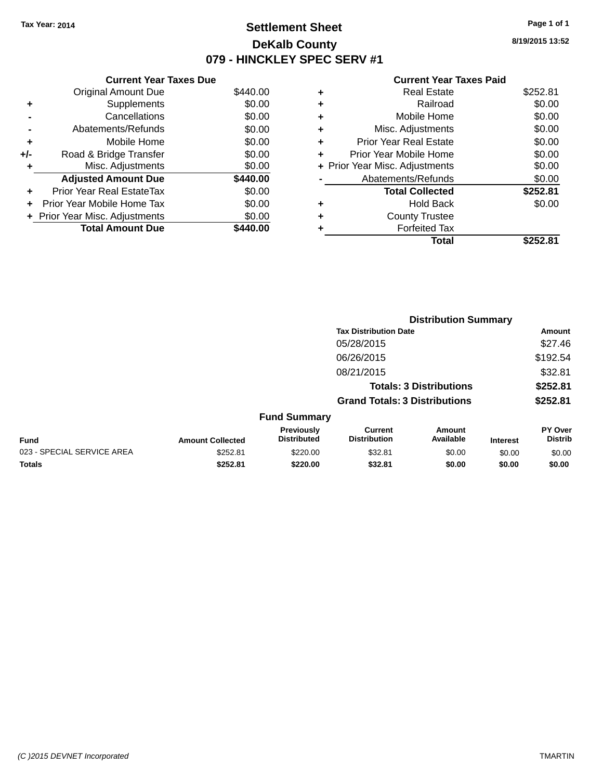# **Settlement Sheet Tax Year: 2014 Page 1 of 1 DeKalb County 079 - HINCKLEY SPEC SERV #1**

**8/19/2015 13:52**

|       | <b>Current Year Taxes Due</b>  |          |  |  |  |  |  |
|-------|--------------------------------|----------|--|--|--|--|--|
|       | <b>Original Amount Due</b>     | \$440.00 |  |  |  |  |  |
| ٠     | Supplements                    | \$0.00   |  |  |  |  |  |
|       | Cancellations                  | \$0.00   |  |  |  |  |  |
|       | Abatements/Refunds             | \$0.00   |  |  |  |  |  |
| ٠     | Mobile Home                    | \$0.00   |  |  |  |  |  |
| $+/-$ | Road & Bridge Transfer         | \$0.00   |  |  |  |  |  |
| ٠     | Misc. Adjustments              | \$0.00   |  |  |  |  |  |
|       | <b>Adjusted Amount Due</b>     | \$440.00 |  |  |  |  |  |
| ٠     | Prior Year Real EstateTax      | \$0.00   |  |  |  |  |  |
|       | Prior Year Mobile Home Tax     | \$0.00   |  |  |  |  |  |
|       | + Prior Year Misc. Adjustments | \$0.00   |  |  |  |  |  |
|       | <b>Total Amount Due</b>        | 440.00   |  |  |  |  |  |

| ٠ | <b>Real Estate</b>             | \$252.81 |
|---|--------------------------------|----------|
| ٠ | Railroad                       | \$0.00   |
| ٠ | Mobile Home                    | \$0.00   |
| ٠ | Misc. Adjustments              | \$0.00   |
| ٠ | Prior Year Real Estate         | \$0.00   |
|   | Prior Year Mobile Home         | \$0.00   |
|   | + Prior Year Misc. Adjustments | \$0.00   |
|   | Abatements/Refunds             | \$0.00   |
|   | <b>Total Collected</b>         | \$252.81 |
| ٠ | Hold Back                      | \$0.00   |
| ٠ | <b>County Trustee</b>          |          |
|   | <b>Forfeited Tax</b>           |          |
|   | Total                          | \$252.81 |
|   |                                |          |

|                            |                         |                                  | <b>Distribution Summary</b>           |                                |                 |                           |
|----------------------------|-------------------------|----------------------------------|---------------------------------------|--------------------------------|-----------------|---------------------------|
|                            |                         |                                  | <b>Tax Distribution Date</b>          |                                |                 | <b>Amount</b>             |
|                            |                         |                                  | 05/28/2015                            |                                |                 | \$27.46                   |
|                            |                         |                                  | 06/26/2015                            |                                |                 | \$192.54                  |
|                            |                         |                                  | 08/21/2015                            |                                |                 | \$32.81                   |
|                            |                         |                                  |                                       | <b>Totals: 3 Distributions</b> |                 | \$252.81                  |
|                            |                         |                                  | <b>Grand Totals: 3 Distributions</b>  |                                |                 | \$252.81                  |
|                            |                         | <b>Fund Summary</b>              |                                       |                                |                 |                           |
| Fund                       | <b>Amount Collected</b> | Previously<br><b>Distributed</b> | <b>Current</b><br><b>Distribution</b> | Amount<br>Available            | <b>Interest</b> | PY Over<br><b>Distrib</b> |
| 023 - SPECIAL SERVICE AREA | \$252.81                | \$220.00                         | \$32.81                               | \$0.00                         | \$0.00          | \$0.00                    |
| <b>Totals</b>              | \$252.81                | \$220.00                         | \$32.81                               | \$0.00                         | \$0.00          | \$0.00                    |
|                            |                         |                                  |                                       |                                |                 |                           |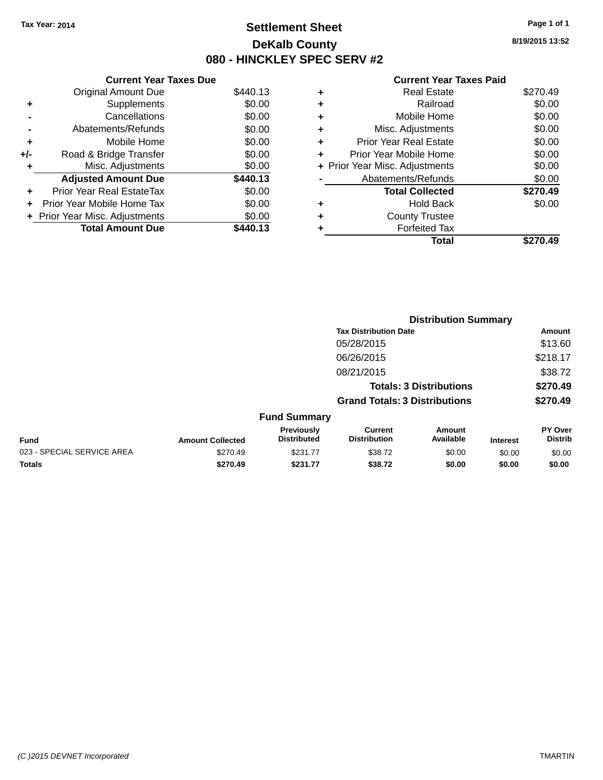# **Settlement Sheet Tax Year: 2014 Page 1 of 1 DeKalb County 080 - HINCKLEY SPEC SERV #2**

**8/19/2015 13:52**

|     | <b>Current Year Taxes Due</b>  |          |  |  |  |  |
|-----|--------------------------------|----------|--|--|--|--|
|     | <b>Original Amount Due</b>     | \$440.13 |  |  |  |  |
| ٠   | Supplements                    | \$0.00   |  |  |  |  |
|     | Cancellations                  | \$0.00   |  |  |  |  |
|     | Abatements/Refunds             | \$0.00   |  |  |  |  |
| ٠   | Mobile Home                    | \$0.00   |  |  |  |  |
| +/- | Road & Bridge Transfer         | \$0.00   |  |  |  |  |
| ٠   | Misc. Adjustments              | \$0.00   |  |  |  |  |
|     | <b>Adjusted Amount Due</b>     | \$440.13 |  |  |  |  |
| ÷   | Prior Year Real EstateTax      | \$0.00   |  |  |  |  |
| ÷   | Prior Year Mobile Home Tax     | \$0.00   |  |  |  |  |
|     | + Prior Year Misc. Adjustments | \$0.00   |  |  |  |  |
|     | <b>Total Amount Due</b>        | \$440.13 |  |  |  |  |

| ٠ | <b>Real Estate</b>             | \$270.49 |
|---|--------------------------------|----------|
| ٠ | Railroad                       | \$0.00   |
| ٠ | Mobile Home                    | \$0.00   |
| ٠ | Misc. Adjustments              | \$0.00   |
| ٠ | <b>Prior Year Real Estate</b>  | \$0.00   |
|   | Prior Year Mobile Home         | \$0.00   |
|   | + Prior Year Misc. Adjustments | \$0.00   |
|   | Abatements/Refunds             | \$0.00   |
|   | <b>Total Collected</b>         | \$270.49 |
| ٠ | Hold Back                      | \$0.00   |
|   | <b>County Trustee</b>          |          |
| ٠ | <b>Forfeited Tax</b>           |          |
|   | Total                          | \$270.49 |
|   |                                |          |

|                            |                         |                                  | <b>Distribution Summary</b>           |                                |                 |                           |
|----------------------------|-------------------------|----------------------------------|---------------------------------------|--------------------------------|-----------------|---------------------------|
|                            |                         |                                  | <b>Tax Distribution Date</b>          |                                |                 | Amount                    |
|                            |                         |                                  | 05/28/2015                            |                                |                 | \$13.60                   |
|                            |                         |                                  | 06/26/2015                            |                                |                 | \$218.17                  |
|                            |                         |                                  | 08/21/2015                            |                                |                 | \$38.72                   |
|                            |                         |                                  |                                       | <b>Totals: 3 Distributions</b> |                 | \$270.49                  |
|                            |                         |                                  | <b>Grand Totals: 3 Distributions</b>  |                                |                 | \$270.49                  |
|                            |                         | <b>Fund Summary</b>              |                                       |                                |                 |                           |
| <b>Fund</b>                | <b>Amount Collected</b> | Previously<br><b>Distributed</b> | <b>Current</b><br><b>Distribution</b> | Amount<br>Available            | <b>Interest</b> | PY Over<br><b>Distrib</b> |
| 023 - SPECIAL SERVICE AREA | \$270.49                | \$231.77                         | \$38.72                               | \$0.00                         | \$0.00          | \$0.00                    |
| <b>Totals</b>              | \$270.49                | \$231.77                         | \$38.72                               | \$0.00                         | \$0.00          | \$0.00                    |
|                            |                         |                                  |                                       |                                |                 |                           |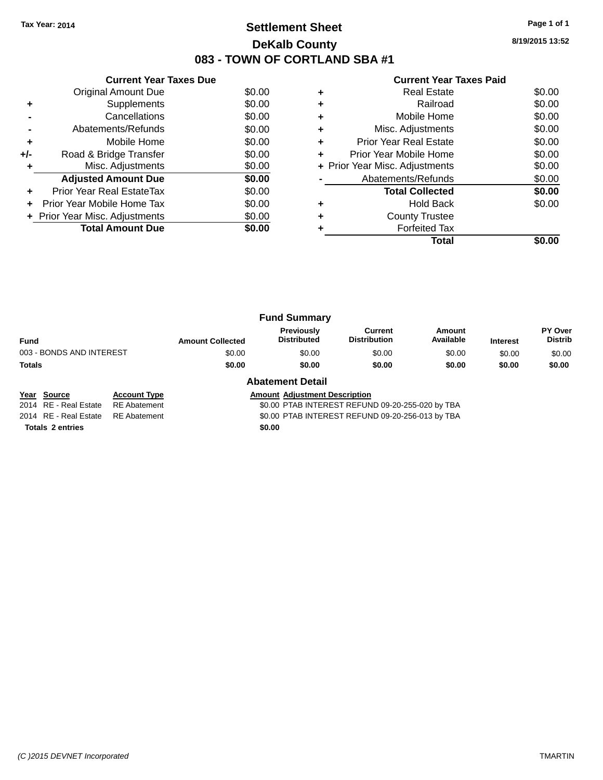# **Settlement Sheet Tax Year: 2014 Page 1 of 1 DeKalb County 083 - TOWN OF CORTLAND SBA #1**

**8/19/2015 13:52**

|       | <b>Current Year Taxes Due</b>  |        |
|-------|--------------------------------|--------|
|       | <b>Original Amount Due</b>     | \$0.00 |
| ٠     | Supplements                    | \$0.00 |
|       | Cancellations                  | \$0.00 |
|       | Abatements/Refunds             | \$0.00 |
| ٠     | Mobile Home                    | \$0.00 |
| $+/-$ | Road & Bridge Transfer         | \$0.00 |
|       | Misc. Adjustments              | \$0.00 |
|       | <b>Adjusted Amount Due</b>     | \$0.00 |
|       | Prior Year Real EstateTax      | \$0.00 |
|       | Prior Year Mobile Home Tax     | \$0.00 |
|       | + Prior Year Misc. Adjustments | \$0.00 |
|       | <b>Total Amount Due</b>        | \$0.00 |
|       |                                |        |

#### **Current Year Taxes Paid**

|   | <b>Real Estate</b>             | \$0.00 |
|---|--------------------------------|--------|
| ٠ | Railroad                       | \$0.00 |
| ٠ | Mobile Home                    | \$0.00 |
| ٠ | Misc. Adjustments              | \$0.00 |
| ٠ | Prior Year Real Estate         | \$0.00 |
| ÷ | Prior Year Mobile Home         | \$0.00 |
|   | + Prior Year Misc. Adjustments | \$0.00 |
|   | Abatements/Refunds             | \$0.00 |
|   | <b>Total Collected</b>         | \$0.00 |
| ٠ | <b>Hold Back</b>               | \$0.00 |
| ٠ | <b>County Trustee</b>          |        |
|   | <b>Forfeited Tax</b>           |        |
|   | Total                          |        |

|                          |                         | <b>Fund Summary</b>              |                                |                     |                 |                           |
|--------------------------|-------------------------|----------------------------------|--------------------------------|---------------------|-----------------|---------------------------|
| <b>Fund</b>              | <b>Amount Collected</b> | Previously<br><b>Distributed</b> | Current<br><b>Distribution</b> | Amount<br>Available | <b>Interest</b> | PY Over<br><b>Distrib</b> |
| 003 - BONDS AND INTEREST | \$0.00                  | \$0.00                           | \$0.00                         | \$0.00              | \$0.00          | \$0.00                    |
| <b>Totals</b>            | \$0.00                  | \$0.00                           | \$0.00                         | \$0.00              | \$0.00          | \$0.00                    |
|                          |                         | Ahotamant Datail                 |                                |                     |                 |                           |

**Totals 2 entries** \$0.00

#### **Abatement Detail**

**Year Source Account Type Account Adjustment Description** 

2014 RE - Real Estate RE Abatement \$0.00 PTAB INTEREST REFUND 09-20-255-020 by TBA

2014 RE - Real Estate RE Abatement \$0.00 PTAB INTEREST REFUND 09-20-256-013 by TBA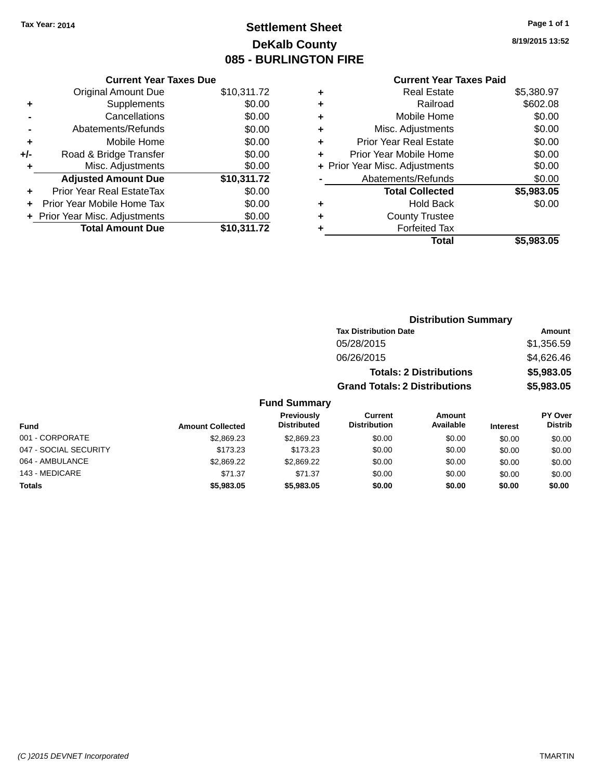# **Settlement Sheet Tax Year: 2014 Page 1 of 1 DeKalb County 085 - BURLINGTON FIRE**

**8/19/2015 13:52**

#### **Current Year Taxes Paid**

|     | <b>Current Year Taxes Due</b>  |             |
|-----|--------------------------------|-------------|
|     | <b>Original Amount Due</b>     | \$10,311.72 |
| ٠   | Supplements                    | \$0.00      |
|     | Cancellations                  | \$0.00      |
|     | Abatements/Refunds             | \$0.00      |
| ٠   | Mobile Home                    | \$0.00      |
| +/- | Road & Bridge Transfer         | \$0.00      |
| ٠   | Misc. Adjustments              | \$0.00      |
|     | <b>Adjusted Amount Due</b>     | \$10,311.72 |
| ÷   | Prior Year Real EstateTax      | \$0.00      |
|     | Prior Year Mobile Home Tax     | \$0.00      |
|     | + Prior Year Misc. Adjustments | \$0.00      |
|     | <b>Total Amount Due</b>        | \$10.311.72 |

| ٠ | <b>Real Estate</b>             | \$5,380.97 |
|---|--------------------------------|------------|
| ٠ | Railroad                       | \$602.08   |
| ٠ | Mobile Home                    | \$0.00     |
| ٠ | Misc. Adjustments              | \$0.00     |
| ٠ | Prior Year Real Estate         | \$0.00     |
| ÷ | Prior Year Mobile Home         | \$0.00     |
|   | + Prior Year Misc. Adjustments | \$0.00     |
|   | Abatements/Refunds             | \$0.00     |
|   | <b>Total Collected</b>         | \$5,983.05 |
| ٠ | Hold Back                      | \$0.00     |
| ٠ | <b>County Trustee</b>          |            |
| ٠ | <b>Forfeited Tax</b>           |            |
|   | Total                          | \$5,983.05 |
|   |                                |            |

|                       |                         |                                  | <b>Distribution Summary</b>          |                                |                 |                           |  |
|-----------------------|-------------------------|----------------------------------|--------------------------------------|--------------------------------|-----------------|---------------------------|--|
|                       |                         |                                  | <b>Tax Distribution Date</b>         |                                |                 | Amount                    |  |
|                       |                         |                                  | 05/28/2015                           |                                |                 | \$1,356.59                |  |
|                       |                         |                                  | 06/26/2015                           |                                |                 | \$4,626.46                |  |
|                       |                         |                                  |                                      | <b>Totals: 2 Distributions</b> |                 | \$5,983.05                |  |
|                       |                         |                                  | <b>Grand Totals: 2 Distributions</b> |                                |                 | \$5,983.05                |  |
|                       |                         | <b>Fund Summary</b>              |                                      |                                |                 |                           |  |
| Fund                  | <b>Amount Collected</b> | Previously<br><b>Distributed</b> | Current<br><b>Distribution</b>       | <b>Amount</b><br>Available     | <b>Interest</b> | PY Over<br><b>Distrib</b> |  |
| 001 - CORPORATE       | \$2,869.23              | \$2,869.23                       | \$0.00                               | \$0.00                         | \$0.00          | \$0.00                    |  |
| 047 - SOCIAL SECURITY | \$173.23                | \$173.23                         | \$0.00                               | \$0.00                         | \$0.00          | \$0.00                    |  |
| 064 - AMBULANCE       | \$2,869.22              | \$2,869.22                       | \$0.00                               | \$0.00                         | \$0.00          | \$0.00                    |  |
| 143 - MEDICARE        | \$71.37                 | \$71.37                          | \$0.00                               | \$0.00                         | \$0.00          | \$0.00                    |  |

**Totals \$5,983.05 \$5,983.05 \$0.00 \$0.00 \$0.00 \$0.00**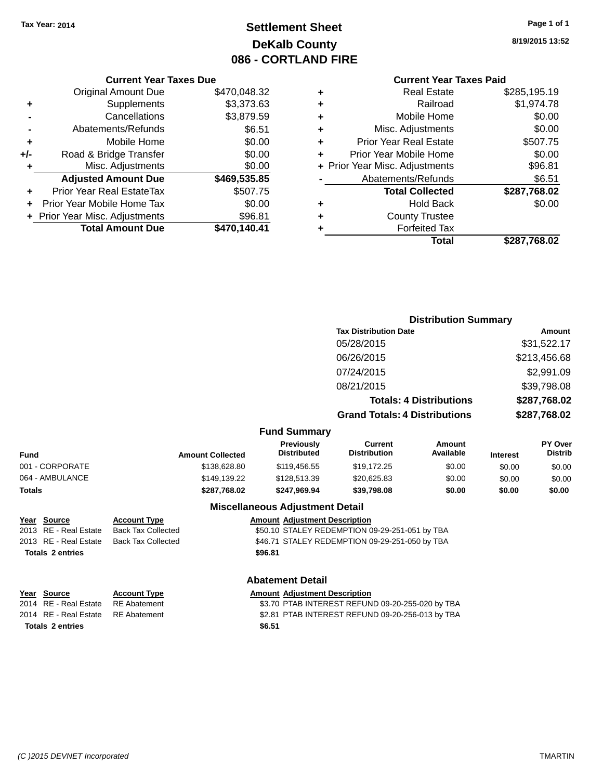# **Settlement Sheet Tax Year: 2014 Page 1 of 1 DeKalb County 086 - CORTLAND FIRE**

**8/19/2015 13:52**

#### **Current Year Taxes Due**

|       | <b>Original Amount Due</b>     | \$470,048.32 |
|-------|--------------------------------|--------------|
| ٠     | Supplements                    | \$3,373.63   |
|       | Cancellations                  | \$3,879.59   |
|       | Abatements/Refunds             | \$6.51       |
| ٠     | Mobile Home                    | \$0.00       |
| $+/-$ | Road & Bridge Transfer         | \$0.00       |
| ٠     | Misc. Adjustments              | \$0.00       |
|       | <b>Adjusted Amount Due</b>     | \$469,535.85 |
|       | Prior Year Real EstateTax      | \$507.75     |
|       | Prior Year Mobile Home Tax     | \$0.00       |
|       | + Prior Year Misc. Adjustments | \$96.81      |
|       | <b>Total Amount Due</b>        | \$470,140.41 |

#### **Current Year Taxes Paid**

| ٠ | <b>Real Estate</b>             | \$285,195.19 |
|---|--------------------------------|--------------|
| ٠ | Railroad                       | \$1,974.78   |
| ٠ | Mobile Home                    | \$0.00       |
| ٠ | Misc. Adjustments              | \$0.00       |
| ٠ | <b>Prior Year Real Estate</b>  | \$507.75     |
| ÷ | Prior Year Mobile Home         | \$0.00       |
|   | + Prior Year Misc. Adjustments | \$96.81      |
|   | Abatements/Refunds             | \$6.51       |
|   | <b>Total Collected</b>         | \$287,768.02 |
| ٠ | Hold Back                      | \$0.00       |
| ٠ | <b>County Trustee</b>          |              |
| ٠ | <b>Forfeited Tax</b>           |              |
|   | Total                          | \$287,768.02 |
|   |                                |              |

#### **Distribution Summary Tax Distribution Date Amount** 05/28/2015 \$31,522.17 06/26/2015 \$213,456.68 07/24/2015 \$2,991.09 08/21/2015 \$39,798.08 **Totals: 4 Distributions \$287,768.02 Grand Totals: 4 Distributions \$287,768.02 Fund Summary Fund Interest Amount Collected Distributed PY Over Distrib Amount Available Current Distribution Previously** 001 - CORPORATE \$138,628.80 \$119,456.55 \$19,172.25 \$0.00 \$0.00 \$0.00 064 - AMBULANCE 6 \$149,139.22 \$128,513.39 \$20,625.83 \$0.00 \$0.00 \$0.00 \$0.00 **Totals \$287,768.02 \$247,969.94 \$39,798.08 \$0.00 \$0.00 \$0.00 Miscellaneous Adjustment Detail Year** Source **Account Type Account Adjustment Description** 2013 RE - Real Estate Back Tax Collected \$50.10 STALEY REDEMPTION 09-29-251-051 by TBA

2013 RE - Real Estate Back Tax Collected \$46.71 STALEY REDEMPTION 09-29-251-050 by TBA **Totals \$96.81 2 entries**

#### **Abatement Detail**

| Year Source                        | <b>Account Type</b> | <b>Amount Adiustment Description</b>             |
|------------------------------------|---------------------|--------------------------------------------------|
| 2014 RE - Real Estate              | RE Abatement        | \$3.70 PTAB INTEREST REFUND 09-20-255-020 by TBA |
| 2014 RE - Real Estate RE Abatement |                     | \$2.81 PTAB INTEREST REFUND 09-20-256-013 by TBA |
| <b>Totals 2 entries</b>            |                     | \$6.51                                           |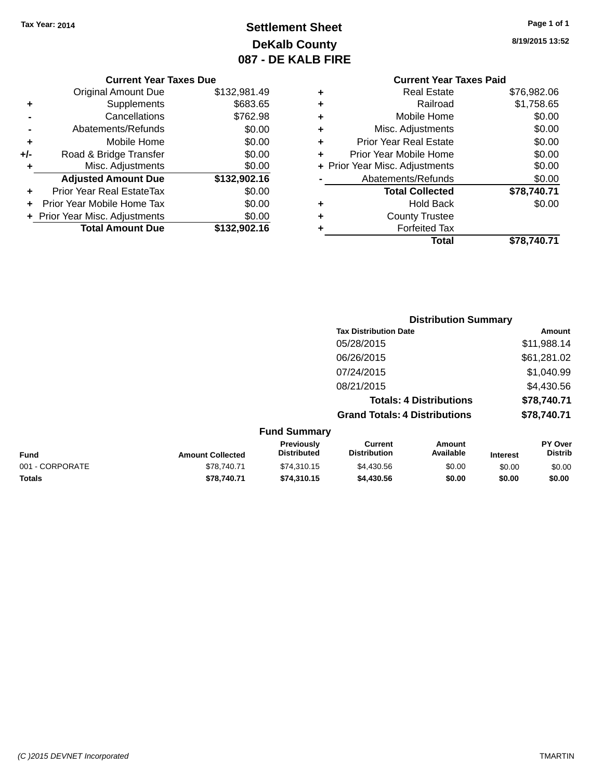# **Settlement Sheet Tax Year: 2014 Page 1 of 1 DeKalb County 087 - DE KALB FIRE**

**8/19/2015 13:52**

|       | <b>Current Year Taxes Due</b>  |              |  |  |  |  |  |
|-------|--------------------------------|--------------|--|--|--|--|--|
|       | <b>Original Amount Due</b>     | \$132,981.49 |  |  |  |  |  |
| ٠     | Supplements                    | \$683.65     |  |  |  |  |  |
|       | Cancellations                  | \$762.98     |  |  |  |  |  |
|       | Abatements/Refunds             | \$0.00       |  |  |  |  |  |
| ٠     | Mobile Home                    | \$0.00       |  |  |  |  |  |
| $+/-$ | Road & Bridge Transfer         | \$0.00       |  |  |  |  |  |
|       | Misc. Adjustments              | \$0.00       |  |  |  |  |  |
|       | <b>Adjusted Amount Due</b>     | \$132,902.16 |  |  |  |  |  |
|       | Prior Year Real EstateTax      | \$0.00       |  |  |  |  |  |
|       | Prior Year Mobile Home Tax     | \$0.00       |  |  |  |  |  |
|       | + Prior Year Misc. Adjustments | \$0.00       |  |  |  |  |  |
|       | <b>Total Amount Due</b>        | \$132,902.16 |  |  |  |  |  |

# **Current Year Taxes Paid +** Real Estate \$76,982.06 **+** Railroad \$1,758.65 **+** Mobile Home \$0.00 **+** Misc. Adjustments \$0.00 **+** Prior Year Real Estate \$0.00 **+** Prior Year Mobile Home \$0.00 **+ Prior Year Misc. Adjustments**  $$0.00$ **-** Abatements/Refunds \$0.00 **Total Collected \$78,740.71 +** Hold Back \$0.00 **+** County Trustee **+** Forfeited Tax **Total \$78,740.71**

|                 |                         |                                  | <b>Distribution Summary</b>           |                                |                 |                           |  |
|-----------------|-------------------------|----------------------------------|---------------------------------------|--------------------------------|-----------------|---------------------------|--|
|                 |                         |                                  | <b>Tax Distribution Date</b>          |                                |                 | Amount                    |  |
|                 |                         |                                  | 05/28/2015                            |                                |                 | \$11,988.14               |  |
|                 |                         |                                  | 06/26/2015                            |                                |                 | \$61,281.02               |  |
|                 |                         |                                  | 07/24/2015                            |                                |                 | \$1,040.99                |  |
|                 |                         |                                  | 08/21/2015                            |                                |                 | \$4,430.56                |  |
|                 |                         |                                  |                                       | <b>Totals: 4 Distributions</b> |                 | \$78,740.71               |  |
|                 |                         |                                  | <b>Grand Totals: 4 Distributions</b>  |                                |                 | \$78,740.71               |  |
|                 |                         | <b>Fund Summary</b>              |                                       |                                |                 |                           |  |
| <b>Fund</b>     | <b>Amount Collected</b> | Previously<br><b>Distributed</b> | <b>Current</b><br><b>Distribution</b> | Amount<br>Available            | <b>Interest</b> | PY Over<br><b>Distrib</b> |  |
| 001 - CORPORATE | \$78,740.71             | \$74,310.15                      | \$4,430.56                            | \$0.00                         | \$0.00          | \$0.00                    |  |
| <b>Totals</b>   | \$78,740.71             | \$74,310.15                      | \$4,430.56                            | \$0.00                         | \$0.00          | \$0.00                    |  |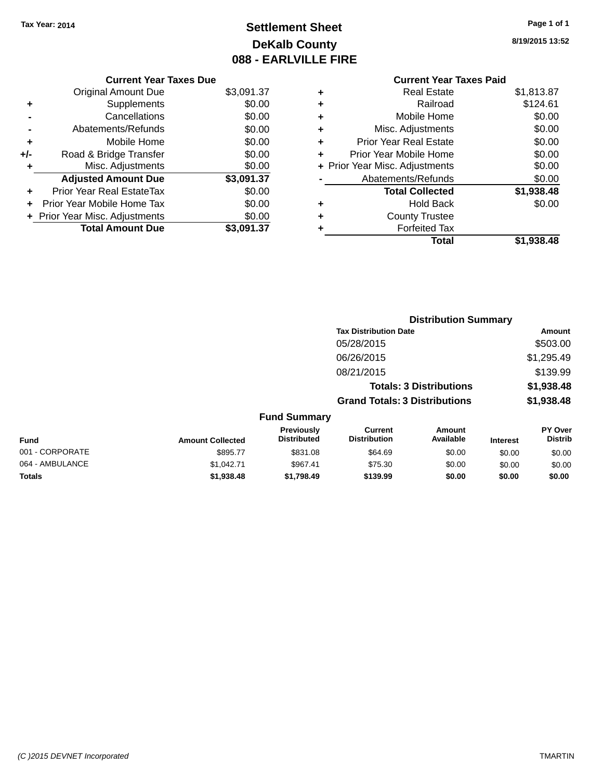# **Settlement Sheet Tax Year: 2014 Page 1 of 1 DeKalb County 088 - EARLVILLE FIRE**

**8/19/2015 13:52**

|   | <b>County Trustee</b><br><b>Forfeited Tax</b> |            |
|---|-----------------------------------------------|------------|
| ٠ | Hold Back                                     | \$0.00     |
|   | <b>Total Collected</b>                        | \$1,938.48 |
|   | Abatements/Refunds                            | \$0.00     |
|   | + Prior Year Misc. Adjustments                | \$0.00     |
| ٠ | Prior Year Mobile Home                        | \$0.00     |
| ٠ | <b>Prior Year Real Estate</b>                 | \$0.00     |
| ٠ | Misc. Adjustments                             | \$0.00     |
| ٠ | Mobile Home                                   | \$0.00     |
| ٠ | Railroad                                      | \$124.61   |
| ٠ | Real Estate                                   | \$1,813.87 |

**Distribution Summary Tax Distribution Date Amount**

|     | <b>Current Year Taxes Due</b>  |            |
|-----|--------------------------------|------------|
|     | Original Amount Due            | \$3,091.37 |
| ٠   | Supplements                    | \$0.00     |
|     | Cancellations                  | \$0.00     |
|     | Abatements/Refunds             | \$0.00     |
| ٠   | Mobile Home                    | \$0.00     |
| +/- | Road & Bridge Transfer         | \$0.00     |
| ٠   | Misc. Adjustments              | \$0.00     |
|     | <b>Adjusted Amount Due</b>     | \$3,091.37 |
|     | Prior Year Real EstateTax      | \$0.00     |
|     | Prior Year Mobile Home Tax     | \$0.00     |
|     | + Prior Year Misc. Adjustments | \$0.00     |
|     | <b>Total Amount Due</b>        | \$3,091.37 |
|     |                                |            |

|                 |                         |                                  | 05/28/2015                            |                                |                 | \$503.00                  |
|-----------------|-------------------------|----------------------------------|---------------------------------------|--------------------------------|-----------------|---------------------------|
|                 |                         |                                  | 06/26/2015                            |                                |                 | \$1,295.49                |
|                 |                         |                                  | 08/21/2015                            |                                |                 | \$139.99                  |
|                 |                         |                                  |                                       | <b>Totals: 3 Distributions</b> |                 | \$1,938.48                |
|                 |                         |                                  | <b>Grand Totals: 3 Distributions</b>  |                                |                 | \$1,938.48                |
|                 |                         | <b>Fund Summary</b>              |                                       |                                |                 |                           |
| <b>Fund</b>     | <b>Amount Collected</b> | Previously<br><b>Distributed</b> | <b>Current</b><br><b>Distribution</b> | <b>Amount</b><br>Available     | <b>Interest</b> | PY Over<br><b>Distrib</b> |
| 001 - CORPORATE | \$895.77                | \$831.08                         | \$64.69                               | \$0.00                         | \$0.00          | \$0.00                    |
| 064 - AMBULANCE | \$1,042.71              | \$967.41                         | \$75.30                               | \$0.00                         | \$0.00          | \$0.00                    |
| <b>Totals</b>   | \$1,938.48              | \$1.798.49                       | \$139.99                              | \$0.00                         | \$0.00          | \$0.00                    |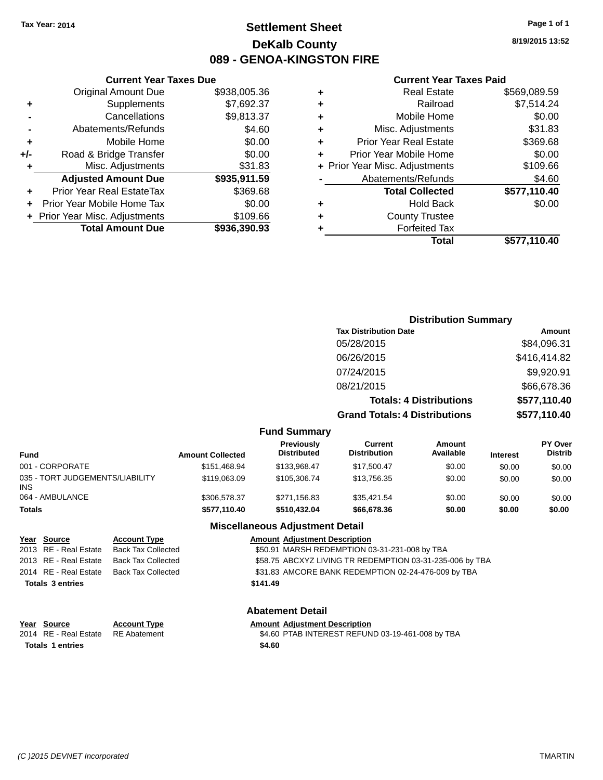**Original Amount Due** 

**Adjusted Amount Due** 

**Total Amount Due** 

**+** Supplements **-** Cancellations **-** Abatements/Refunds **+** Mobile Home **+/-** Road & Bridge Transfer **+** Misc. Adjustments

**+** Prior Year Real EstateTax \$369.68 **+** Prior Year Mobile Home Tax **+ Prior Year Misc. Adjustments** 

# **Settlement Sheet Tax Year: 2014 Page 1 of 1 DeKalb County 089 - GENOA-KINGSTON FIRE**

**8/19/2015 13:52**

\$577,110.40

#### **Current Year Taxes Paid**

| <b>Current Year Taxes Due</b> |              |   | <b>Current Year Taxes Paid</b> |              |  |  |
|-------------------------------|--------------|---|--------------------------------|--------------|--|--|
| ıl Amount Due                 | \$938,005.36 | ٠ | <b>Real Estate</b>             | \$569,089.59 |  |  |
| <b>Supplements</b>            | \$7,692.37   | ÷ | Railroad                       | \$7,514.24   |  |  |
| Cancellations                 | \$9,813.37   | ÷ | Mobile Home                    | \$0.00       |  |  |
| ıents/Refunds                 | \$4.60       | ÷ | Misc. Adjustments              | \$31.83      |  |  |
| Mobile Home                   | \$0.00       | ÷ | <b>Prior Year Real Estate</b>  | \$369.68     |  |  |
| ridge Transfer                | \$0.00       | ÷ | Prior Year Mobile Home         | \$0.00       |  |  |
| . Adjustments                 | \$31.83      |   | + Prior Year Misc. Adjustments | \$109.66     |  |  |
| <b>Amount Due</b>             | \$935,911.59 |   | Abatements/Refunds             | \$4.60       |  |  |
| eal EstateTax:                | \$369.68     |   | <b>Total Collected</b>         | \$577,110.40 |  |  |
| pile Home Tax                 | \$0.00       | ٠ | <b>Hold Back</b>               | \$0.00       |  |  |
| . Adjustments                 | \$109.66     | ÷ | <b>County Trustee</b>          |              |  |  |
| <b>Amount Due</b>             | \$936,390.93 | ٠ | <b>Forfeited Tax</b>           |              |  |  |
|                               |              |   | Total                          | \$577,110.40 |  |  |

|                                               |                         |                                         |                                                                        | <b>Distribution Summary</b> |                              |                           |
|-----------------------------------------------|-------------------------|-----------------------------------------|------------------------------------------------------------------------|-----------------------------|------------------------------|---------------------------|
|                                               |                         |                                         | <b>Tax Distribution Date</b>                                           |                             |                              | Amount                    |
|                                               |                         |                                         | 05/28/2015                                                             |                             |                              | \$84,096.31               |
|                                               |                         |                                         | 06/26/2015                                                             |                             |                              | \$416,414.82              |
|                                               |                         |                                         | 07/24/2015                                                             |                             |                              | \$9,920.91                |
|                                               |                         |                                         | 08/21/2015                                                             |                             |                              | \$66,678.36               |
|                                               |                         |                                         | <b>Totals: 4 Distributions</b><br><b>Grand Totals: 4 Distributions</b> |                             | \$577,110.40<br>\$577,110.40 |                           |
|                                               |                         |                                         |                                                                        |                             |                              |                           |
|                                               |                         | <b>Fund Summary</b>                     |                                                                        |                             |                              |                           |
| <b>Fund</b>                                   | <b>Amount Collected</b> | <b>Previously</b><br><b>Distributed</b> | <b>Current</b><br><b>Distribution</b>                                  | Amount<br>Available         | <b>Interest</b>              | PY Over<br><b>Distrib</b> |
| 001 - CORPORATE                               | \$151,468.94            | \$133,968.47                            | \$17,500.47                                                            | \$0.00                      | \$0.00                       | \$0.00                    |
| 035 - TORT JUDGEMENTS/LIABILITY<br><b>INS</b> | \$119,063.09            | \$105,306.74                            | \$13,756.35                                                            | \$0.00                      | \$0.00                       | \$0.00                    |
| 064 - AMBULANCE                               | \$306,578.37            | \$271,156.83                            | \$35,421.54                                                            | \$0.00                      | \$0.00                       | \$0.00                    |
| <b>Totals</b>                                 | \$577,110.40            | \$510,432.04                            | \$66,678.36                                                            | \$0.00                      | \$0.00                       | \$0.00                    |
|                                               |                         | <b>Miscellaneous Adjustment Detail</b>  |                                                                        |                             |                              |                           |

# **Year** Source **Account Type Account Adjustment Description** 2013 RE - Real Estate Back Tax Collected \$50.91 MARSH REDEMPTION 03-31-231-008 by TBA 2013 RE - Real Estate Back Tax Collected \$58.75 ABCXYZ LIVING TR REDEMPTION 03-31-235-006 by TBA 2014 RE - Real Estate Back Tax Collected \$31.83 AMCORE BANK REDEMPTION 02-24-476-009 by TBA **Totals \$141.49 3 entries Abatement Detail**

|                         | Year Source                        | <b>Account Type</b> | <b>Amount Adiustment Description</b>             |
|-------------------------|------------------------------------|---------------------|--------------------------------------------------|
|                         | 2014 RE - Real Estate RE Abatement |                     | \$4.60 PTAB INTEREST REFUND 03-19-461-008 by TBA |
| <b>Totals 1 entries</b> |                                    |                     | \$4.60                                           |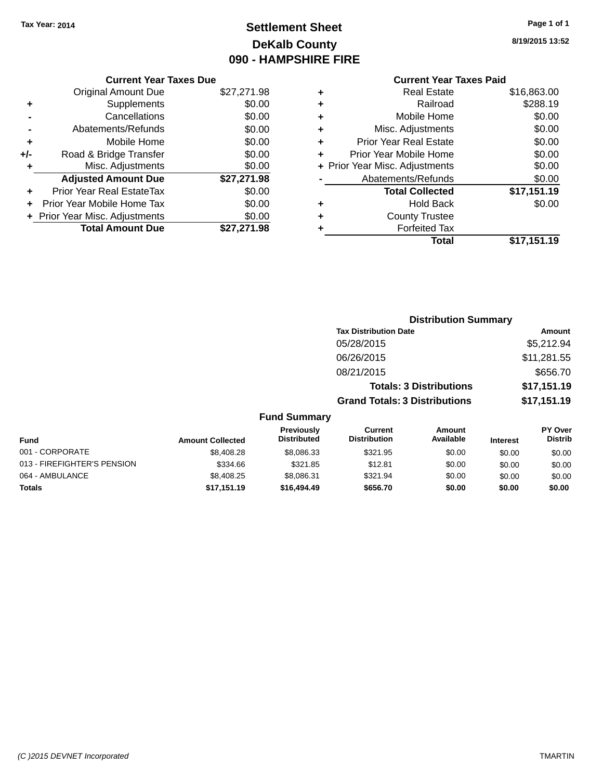# **Settlement Sheet Tax Year: 2014 Page 1 of 1 DeKalb County 090 - HAMPSHIRE FIRE**

**8/19/2015 13:52**

|       | <b>Current Year Taxes Due</b>             |             |  |  |  |  |
|-------|-------------------------------------------|-------------|--|--|--|--|
|       | \$27,271.98<br><b>Original Amount Due</b> |             |  |  |  |  |
| ٠     | Supplements                               | \$0.00      |  |  |  |  |
|       | Cancellations                             | \$0.00      |  |  |  |  |
|       | Abatements/Refunds                        | \$0.00      |  |  |  |  |
| ٠     | Mobile Home                               | \$0.00      |  |  |  |  |
| $+/-$ | Road & Bridge Transfer                    | \$0.00      |  |  |  |  |
| ٠     | \$0.00<br>Misc. Adjustments               |             |  |  |  |  |
|       | <b>Adjusted Amount Due</b>                | \$27,271.98 |  |  |  |  |
| ٠     | Prior Year Real EstateTax                 | \$0.00      |  |  |  |  |
|       | Prior Year Mobile Home Tax                | \$0.00      |  |  |  |  |
|       | + Prior Year Misc. Adjustments            | \$0.00      |  |  |  |  |
|       | <b>Total Amount Due</b>                   | \$27,271.98 |  |  |  |  |
|       |                                           |             |  |  |  |  |

| ٠ | <b>Real Estate</b>             | \$16,863.00 |
|---|--------------------------------|-------------|
| ٠ | Railroad                       | \$288.19    |
| ٠ | Mobile Home                    | \$0.00      |
| ٠ | Misc. Adjustments              | \$0.00      |
| ٠ | <b>Prior Year Real Estate</b>  | \$0.00      |
| ٠ | Prior Year Mobile Home         | \$0.00      |
|   | + Prior Year Misc. Adjustments | \$0.00      |
|   | Abatements/Refunds             | \$0.00      |
|   | <b>Total Collected</b>         | \$17,151.19 |
| ٠ | <b>Hold Back</b>               | \$0.00      |
| ٠ | <b>County Trustee</b>          |             |
| ٠ | <b>Forfeited Tax</b>           |             |
|   | Total                          | \$17,151.19 |
|   |                                |             |

|                             |                         |                                  |                                       | <b>Distribution Summary</b>    |                 |                           |
|-----------------------------|-------------------------|----------------------------------|---------------------------------------|--------------------------------|-----------------|---------------------------|
|                             |                         |                                  | <b>Tax Distribution Date</b>          |                                |                 | <b>Amount</b>             |
|                             |                         |                                  | 05/28/2015                            |                                |                 | \$5,212.94                |
|                             |                         |                                  | 06/26/2015                            |                                |                 | \$11,281.55               |
|                             |                         |                                  | 08/21/2015                            |                                |                 | \$656.70                  |
|                             |                         |                                  |                                       | <b>Totals: 3 Distributions</b> |                 | \$17,151.19               |
|                             |                         |                                  | <b>Grand Totals: 3 Distributions</b>  |                                |                 | \$17,151.19               |
|                             |                         | <b>Fund Summary</b>              |                                       |                                |                 |                           |
| <b>Fund</b>                 | <b>Amount Collected</b> | Previously<br><b>Distributed</b> | <b>Current</b><br><b>Distribution</b> | Amount<br>Available            | <b>Interest</b> | PY Over<br><b>Distrib</b> |
| 001 - CORPORATE             | \$8,408.28              | \$8,086.33                       | \$321.95                              | \$0.00                         | \$0.00          | \$0.00                    |
| 013 - FIREFIGHTER'S PENSION | \$334.66                | \$321.85                         | \$12.81                               | \$0.00                         | \$0.00          | \$0.00                    |
| 064 - AMBULANCE             | \$8,408.25              | \$8,086.31                       | \$321.94                              | \$0.00                         | \$0.00          | \$0.00                    |
| <b>Totals</b>               | \$17,151.19             | \$16,494.49                      | \$656.70                              | \$0.00                         | \$0.00          | \$0.00                    |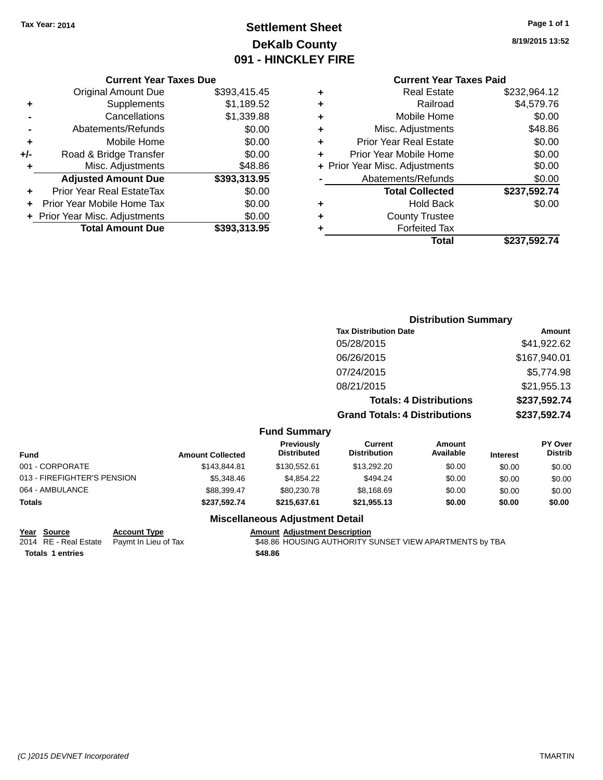# **Settlement Sheet Tax Year: 2014 Page 1 of 1 DeKalb County 091 - HINCKLEY FIRE**

**8/19/2015 13:52**

# **Current Year Taxes Paid**

|     | <b>Current Year Taxes Due</b>            |              |  |  |  |  |
|-----|------------------------------------------|--------------|--|--|--|--|
|     | <b>Original Amount Due</b>               | \$393,415.45 |  |  |  |  |
| ٠   | Supplements                              | \$1,189.52   |  |  |  |  |
|     | Cancellations                            | \$1,339.88   |  |  |  |  |
|     | Abatements/Refunds                       | \$0.00       |  |  |  |  |
| ٠   | Mobile Home                              | \$0.00       |  |  |  |  |
| +/- | Road & Bridge Transfer                   | \$0.00       |  |  |  |  |
| ٠   | Misc. Adjustments                        | \$48.86      |  |  |  |  |
|     | <b>Adjusted Amount Due</b>               | \$393,313.95 |  |  |  |  |
|     | Prior Year Real EstateTax                | \$0.00       |  |  |  |  |
|     | Prior Year Mobile Home Tax               | \$0.00       |  |  |  |  |
|     | \$0.00<br>+ Prior Year Misc. Adjustments |              |  |  |  |  |
|     | <b>Total Amount Due</b>                  | \$393,313.95 |  |  |  |  |
|     |                                          |              |  |  |  |  |

|   | <b>Real Estate</b>             | \$232,964.12 |  |  |  |
|---|--------------------------------|--------------|--|--|--|
| ٠ | Railroad                       | \$4,579.76   |  |  |  |
| ٠ | Mobile Home                    | \$0.00       |  |  |  |
| ٠ | Misc. Adjustments              | \$48.86      |  |  |  |
| ٠ | <b>Prior Year Real Estate</b>  | \$0.00       |  |  |  |
| ÷ | Prior Year Mobile Home         | \$0.00       |  |  |  |
|   | + Prior Year Misc. Adjustments | \$0.00       |  |  |  |
|   | Abatements/Refunds             | \$0.00       |  |  |  |
|   | <b>Total Collected</b>         | \$237,592.74 |  |  |  |
| ٠ | Hold Back                      | \$0.00       |  |  |  |
| ٠ | <b>County Trustee</b>          |              |  |  |  |
| ٠ | <b>Forfeited Tax</b>           |              |  |  |  |
|   | Total                          | \$237,592.74 |  |  |  |
|   |                                |              |  |  |  |

|     | <b>Distribution Summary</b>          |              |  |  |
|-----|--------------------------------------|--------------|--|--|
|     | <b>Tax Distribution Date</b>         | Amount       |  |  |
|     | 05/28/2015                           | \$41,922.62  |  |  |
|     | 06/26/2015                           | \$167,940.01 |  |  |
|     | 07/24/2015                           | \$5,774.98   |  |  |
|     | 08/21/2015                           | \$21,955.13  |  |  |
|     | <b>Totals: 4 Distributions</b>       | \$237,592.74 |  |  |
|     | <b>Grand Totals: 4 Distributions</b> | \$237,592.74 |  |  |
| $E$ |                                      |              |  |  |

#### **Fund Summary**

| Fund                        | <b>Amount Collected</b> | Previously<br><b>Distributed</b> | Current<br><b>Distribution</b> | Amount<br>Available | <b>Interest</b> | <b>PY Over</b><br><b>Distrib</b> |
|-----------------------------|-------------------------|----------------------------------|--------------------------------|---------------------|-----------------|----------------------------------|
| 001 - CORPORATE             | \$143,844.81            | \$130,552.61                     | \$13,292.20                    | \$0.00              | \$0.00          | \$0.00                           |
| 013 - FIREFIGHTER'S PENSION | \$5,348,46              | \$4.854.22                       | \$494.24                       | \$0.00              | \$0.00          | \$0.00                           |
| 064 - AMBULANCE             | \$88,399.47             | \$80,230.78                      | \$8,168.69                     | \$0.00              | \$0.00          | \$0.00                           |
| Totals                      | \$237.592.74            | \$215,637,61                     | \$21,955.13                    | \$0.00              | \$0.00          | \$0.00                           |

# **Miscellaneous Adjustment Detail**

**Totals \$48.86 1 entries**

**Year Source Account Type**<br>
2014 RE - Real Estate Paymt In Lieu of Tax **AMOUSING AUTHORITY S** \$48.86 HOUSING AUTHORITY SUNSET VIEW APARTMENTS by TBA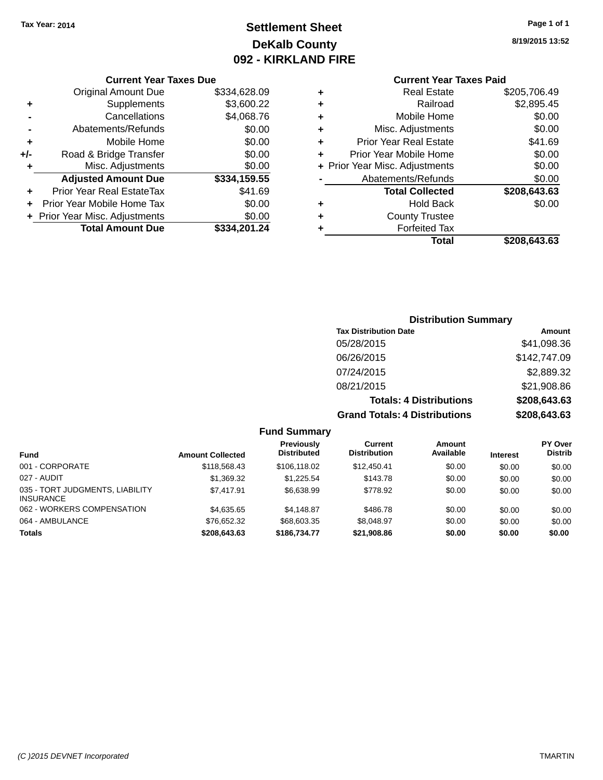# **Settlement Sheet Tax Year: 2014 Page 1 of 1 DeKalb County 092 - KIRKLAND FIRE**

**8/19/2015 13:52**

#### **Current Year Taxes Due**

|     | <b>Original Amount Due</b>     | \$334,628.09 |
|-----|--------------------------------|--------------|
| ٠   | Supplements                    | \$3,600.22   |
|     | Cancellations                  | \$4,068.76   |
|     | Abatements/Refunds             | \$0.00       |
| ٠   | Mobile Home                    | \$0.00       |
| +/- | Road & Bridge Transfer         | \$0.00       |
| ٠   | Misc. Adjustments              | \$0.00       |
|     | <b>Adjusted Amount Due</b>     | \$334,159.55 |
| ÷   | Prior Year Real EstateTax      | \$41.69      |
|     | Prior Year Mobile Home Tax     | \$0.00       |
|     | + Prior Year Misc. Adjustments | \$0.00       |
|     | <b>Total Amount Due</b>        | \$334,201.24 |

## **Current Year Taxes Paid**

| ٠ | Real Estate                    | \$205,706.49 |
|---|--------------------------------|--------------|
| ٠ | Railroad                       | \$2,895.45   |
| ٠ | Mobile Home                    | \$0.00       |
| ٠ | Misc. Adjustments              | \$0.00       |
| ٠ | <b>Prior Year Real Estate</b>  | \$41.69      |
| ٠ | Prior Year Mobile Home         | \$0.00       |
|   | + Prior Year Misc. Adjustments | \$0.00       |
|   | Abatements/Refunds             | \$0.00       |
|   | <b>Total Collected</b>         | \$208,643.63 |
| ٠ | Hold Back                      | \$0.00       |
| ٠ | <b>County Trustee</b>          |              |
| ٠ | <b>Forfeited Tax</b>           |              |
|   | Total                          | \$208,643.63 |
|   |                                |              |

# **Distribution Summary Tax Distribution Date Amount** 05/28/2015 \$41,098.36 06/26/2015 \$142,747.09 07/24/2015 \$2,889.32 08/21/2015 \$21,908.86 **Totals: 4 Distributions \$208,643.63 Grand Totals: 4 Distributions \$208,643.63**

#### **Fund Summary**

| <b>Fund</b>                                         | <b>Amount Collected</b> | Previously<br><b>Distributed</b> | Current<br><b>Distribution</b> | Amount<br>Available | <b>Interest</b> | <b>PY Over</b><br><b>Distrib</b> |
|-----------------------------------------------------|-------------------------|----------------------------------|--------------------------------|---------------------|-----------------|----------------------------------|
| 001 - CORPORATE                                     | \$118,568,43            | \$106.118.02                     | \$12,450.41                    | \$0.00              | \$0.00          | \$0.00                           |
| 027 - AUDIT                                         | \$1,369.32              | \$1.225.54                       | \$143.78                       | \$0.00              | \$0.00          | \$0.00                           |
| 035 - TORT JUDGMENTS, LIABILITY<br><b>INSURANCE</b> | \$7.417.91              | \$6,638.99                       | \$778.92                       | \$0.00              | \$0.00          | \$0.00                           |
| 062 - WORKERS COMPENSATION                          | \$4,635,65              | \$4.148.87                       | \$486.78                       | \$0.00              | \$0.00          | \$0.00                           |
| 064 - AMBULANCE                                     | \$76.652.32             | \$68,603.35                      | \$8,048.97                     | \$0.00              | \$0.00          | \$0.00                           |
| <b>Totals</b>                                       | \$208,643,63            | \$186,734,77                     | \$21,908.86                    | \$0.00              | \$0.00          | \$0.00                           |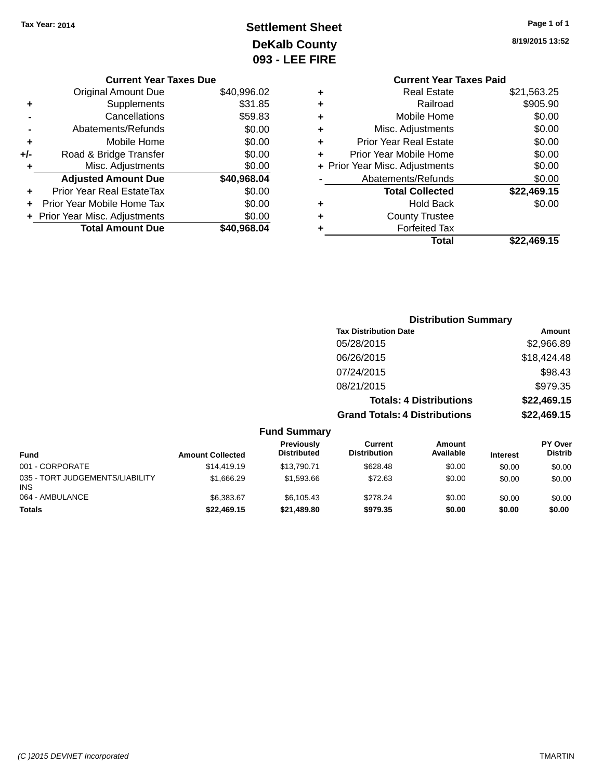# **Settlement Sheet Tax Year: 2014 Page 1 of 1 DeKalb County 093 - LEE FIRE**

|     | <b>Current Year Taxes Due</b>            |             |  |  |  |  |
|-----|------------------------------------------|-------------|--|--|--|--|
|     | <b>Original Amount Due</b>               | \$40,996.02 |  |  |  |  |
| ٠   | Supplements                              | \$31.85     |  |  |  |  |
|     | Cancellations                            | \$59.83     |  |  |  |  |
|     | Abatements/Refunds                       | \$0.00      |  |  |  |  |
| ٠   | Mobile Home                              | \$0.00      |  |  |  |  |
| +/- | Road & Bridge Transfer                   | \$0.00      |  |  |  |  |
| ٠   | \$0.00<br>Misc. Adjustments              |             |  |  |  |  |
|     | <b>Adjusted Amount Due</b>               | \$40,968.04 |  |  |  |  |
|     | Prior Year Real EstateTax                | \$0.00      |  |  |  |  |
|     | Prior Year Mobile Home Tax               | \$0.00      |  |  |  |  |
|     | \$0.00<br>+ Prior Year Misc. Adjustments |             |  |  |  |  |
|     | <b>Total Amount Due</b>                  | \$40,968.04 |  |  |  |  |

|   | Gurrent fear laxes Palu        |             |
|---|--------------------------------|-------------|
| ٠ | <b>Real Estate</b>             | \$21,563.25 |
| ٠ | Railroad                       | \$905.90    |
| ٠ | Mobile Home                    | \$0.00      |
| ٠ | Misc. Adjustments              | \$0.00      |
| ٠ | <b>Prior Year Real Estate</b>  | \$0.00      |
| ٠ | Prior Year Mobile Home         | \$0.00      |
|   | + Prior Year Misc. Adjustments | \$0.00      |
|   | Abatements/Refunds             | \$0.00      |
|   | <b>Total Collected</b>         | \$22,469.15 |
| ٠ | <b>Hold Back</b>               | \$0.00      |
| ٠ | <b>County Trustee</b>          |             |
|   | <b>Forfeited Tax</b>           |             |
|   | Total                          | \$22,469.15 |
|   |                                |             |

|                 |                         |                                  |                                       | <b>Distribution Summary</b>    |                 |                           |
|-----------------|-------------------------|----------------------------------|---------------------------------------|--------------------------------|-----------------|---------------------------|
|                 |                         |                                  | <b>Tax Distribution Date</b>          |                                |                 | <b>Amount</b>             |
|                 |                         |                                  | 05/28/2015                            |                                |                 | \$2,966.89                |
|                 |                         |                                  | 06/26/2015                            |                                |                 | \$18,424.48               |
|                 |                         |                                  | 07/24/2015                            |                                |                 | \$98.43                   |
|                 |                         |                                  | 08/21/2015                            |                                |                 | \$979.35                  |
|                 |                         |                                  |                                       | <b>Totals: 4 Distributions</b> |                 | \$22,469.15               |
|                 |                         |                                  | <b>Grand Totals: 4 Distributions</b>  |                                |                 | \$22,469.15               |
|                 |                         | <b>Fund Summary</b>              |                                       |                                |                 |                           |
| <b>Fund</b>     | <b>Amount Collected</b> | Previously<br><b>Distributed</b> | <b>Current</b><br><b>Distribution</b> | Amount<br>Available            | <b>Interest</b> | PY Over<br><b>Distrib</b> |
| 001 - CORPORATE | \$14,419.19             | \$13,790.71                      | \$628.48                              | \$0.00                         | \$0.00          | \$0.00                    |

| runa                                          | AMOUNT CORECTED | PIULINULVU  | .        | AVAIIUNIV | merest | -----  |
|-----------------------------------------------|-----------------|-------------|----------|-----------|--------|--------|
| 001 - CORPORATE                               | \$14,419.19     | \$13,790,71 | \$628.48 | \$0.00    | \$0.00 | \$0.00 |
| 035 - TORT JUDGEMENTS/LIABILITY<br><b>INS</b> | \$1,666.29      | \$1.593.66  | \$72.63  | \$0.00    | \$0.00 | \$0.00 |
| 064 - AMBULANCE                               | \$6,383,67      | \$6.105.43  | \$278.24 | \$0.00    | \$0.00 | \$0.00 |
| <b>Totals</b>                                 | \$22,469.15     | \$21,489.80 | \$979.35 | \$0.00    | \$0.00 | \$0.00 |
|                                               |                 |             |          |           |        |        |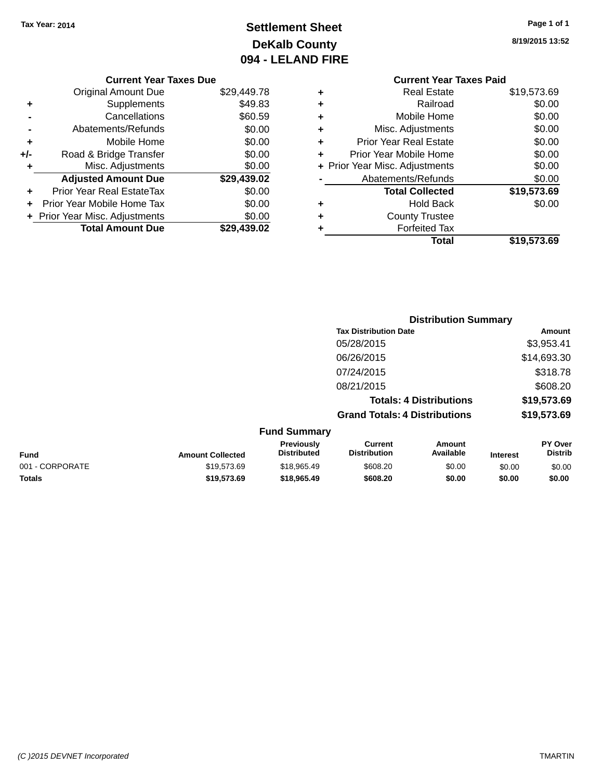# **Settlement Sheet Tax Year: 2014 Page 1 of 1 DeKalb County 094 - LELAND FIRE**

**8/19/2015 13:52**

\$19,573.69

#### **Current Year Taxes Due**

|     | <b>Original Amount Due</b>     | \$29,449.78 |
|-----|--------------------------------|-------------|
| ٠   | Supplements                    | \$49.83     |
|     | Cancellations                  | \$60.59     |
|     | Abatements/Refunds             | \$0.00      |
| ٠   | Mobile Home                    | \$0.00      |
| +/- | Road & Bridge Transfer         | \$0.00      |
| ÷   | Misc. Adjustments              | \$0.00      |
|     | <b>Adjusted Amount Due</b>     | \$29,439.02 |
| ÷   | Prior Year Real EstateTax      | \$0.00      |
|     | Prior Year Mobile Home Tax     | \$0.00      |
|     | + Prior Year Misc. Adjustments | \$0.00      |
|     | <b>Total Amount Due</b>        | \$29.439.02 |

#### **Current Year Taxes Paid +** Real Estate \$19,573.69 **+** Railroad \$0.00 **+** Mobile Home \$0.00 **+** Misc. Adjustments \$0.00 **+** Prior Year Real Estate \$0.00 **+** Prior Year Mobile Home \$0.00 **+** Prior Year Misc. Adjustments  $$0.00$ Abatements/Refunds \$0.00 **Total Collected \$19,573.69 +** Hold Back \$0.00

|  | illeiteu tax |  |  |
|--|--------------|--|--|
|  | ntal         |  |  |

**+** Forfeited Tax

**+** County Trustee

**Distribution Summary Tax Distribution Date Amount** 05/28/2015 \$3,953.41 06/26/2015 \$14,693.30 07/24/2015 \$318.78 08/21/2015 \$608.20 **Totals: 4 Distributions \$19,573.69 Grand Totals: 4 Distributions \$19,573.69**

| <b>Fund Summary</b> |                         |                                         |                                |                     |                 |                                  |
|---------------------|-------------------------|-----------------------------------------|--------------------------------|---------------------|-----------------|----------------------------------|
| Fund                | <b>Amount Collected</b> | <b>Previously</b><br><b>Distributed</b> | Current<br><b>Distribution</b> | Amount<br>Available | <b>Interest</b> | <b>PY Over</b><br><b>Distrib</b> |
| 001 - CORPORATE     | \$19.573.69             | \$18,965.49                             | \$608.20                       | \$0.00              | \$0.00          | \$0.00                           |
| <b>Totals</b>       | \$19,573.69             | \$18,965.49                             | \$608.20                       | \$0.00              | \$0.00          | \$0.00                           |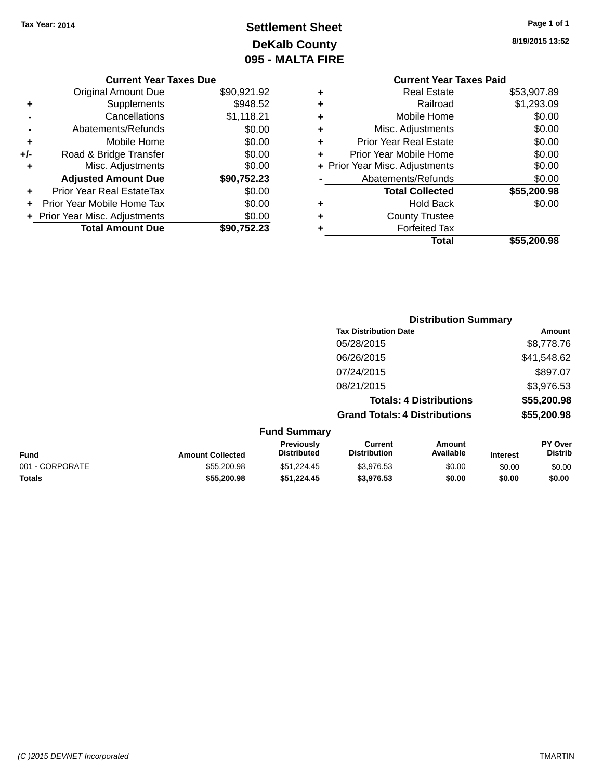# **Settlement Sheet Tax Year: 2014 Page 1 of 1 DeKalb County 095 - MALTA FIRE**

|     | <b>Current Year Taxes Due</b>  |             |
|-----|--------------------------------|-------------|
|     | <b>Original Amount Due</b>     | \$90,921.92 |
| ٠   | Supplements                    | \$948.52    |
|     | Cancellations                  | \$1,118.21  |
|     | Abatements/Refunds             | \$0.00      |
| ٠   | Mobile Home                    | \$0.00      |
| +/- | Road & Bridge Transfer         | \$0.00      |
| ٠   | Misc. Adjustments              | \$0.00      |
|     | <b>Adjusted Amount Due</b>     | \$90,752.23 |
|     | Prior Year Real EstateTax      | \$0.00      |
|     | Prior Year Mobile Home Tax     | \$0.00      |
|     | + Prior Year Misc. Adjustments | \$0.00      |
|     | <b>Total Amount Due</b>        | \$90,752.23 |

### **Current Year Taxes Paid +** Real Estate \$53,907.89 **+** Railroad \$1,293.09 **+** Mobile Home \$0.00 **+** Misc. Adjustments \$0.00 **+** Prior Year Real Estate \$0.00 **+** Prior Year Mobile Home \$0.00 **+ Prior Year Misc. Adjustments**  $$0.00$ **-** Abatements/Refunds \$0.00 **Total Collected \$55,200.98 +** Hold Back \$0.00 **+** County Trustee **+** Forfeited Tax **Total \$55,200.98**

**Distribution Summary**

|                 |                         |                                  |                                       | <b>PISUINGUOLI OGIIIIIIGI V</b> |                 |                           |
|-----------------|-------------------------|----------------------------------|---------------------------------------|---------------------------------|-----------------|---------------------------|
|                 |                         |                                  | <b>Tax Distribution Date</b>          |                                 |                 | Amount                    |
|                 |                         |                                  | 05/28/2015                            |                                 |                 | \$8,778.76                |
|                 |                         |                                  | 06/26/2015                            |                                 |                 | \$41,548.62               |
|                 |                         |                                  | 07/24/2015                            |                                 |                 | \$897.07                  |
|                 |                         |                                  | 08/21/2015                            |                                 |                 | \$3,976.53                |
|                 |                         |                                  |                                       | <b>Totals: 4 Distributions</b>  |                 | \$55,200.98               |
|                 |                         |                                  | <b>Grand Totals: 4 Distributions</b>  |                                 |                 | \$55,200.98               |
|                 |                         | <b>Fund Summary</b>              |                                       |                                 |                 |                           |
| <b>Fund</b>     | <b>Amount Collected</b> | Previously<br><b>Distributed</b> | <b>Current</b><br><b>Distribution</b> | Amount<br>Available             | <b>Interest</b> | PY Over<br><b>Distrib</b> |
| 001 - CORPORATE | \$55,200.98             | \$51,224.45                      | \$3,976.53                            | \$0.00                          | \$0.00          | \$0.00                    |
| <b>Totals</b>   | \$55,200.98             | \$51.224.45                      | \$3,976.53                            | \$0.00                          | \$0.00          | \$0.00                    |
|                 |                         |                                  |                                       |                                 |                 |                           |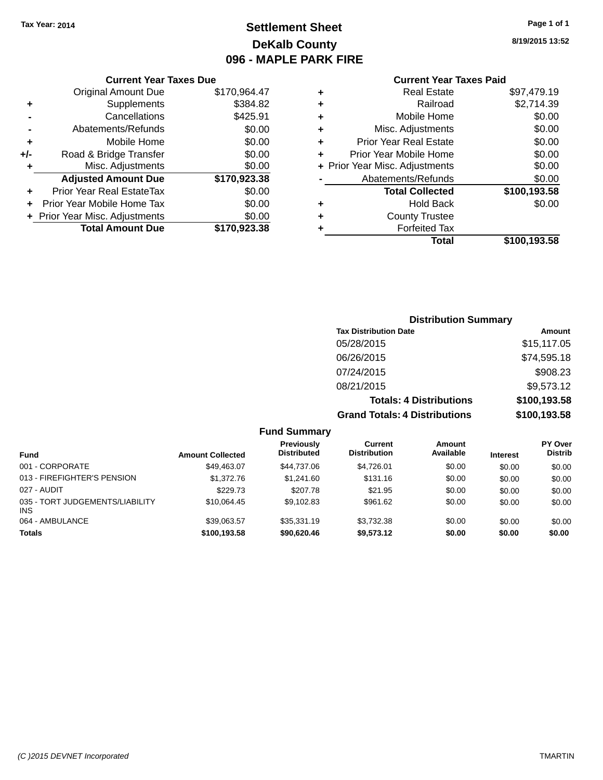# **Settlement Sheet Tax Year: 2014 Page 1 of 1 DeKalb County 096 - MAPLE PARK FIRE**

**8/19/2015 13:52**

| <b>Current Year Taxes Paid</b> |
|--------------------------------|
|--------------------------------|

| \$170,964.47                                                                                                               |
|----------------------------------------------------------------------------------------------------------------------------|
|                                                                                                                            |
|                                                                                                                            |
|                                                                                                                            |
|                                                                                                                            |
|                                                                                                                            |
|                                                                                                                            |
|                                                                                                                            |
|                                                                                                                            |
|                                                                                                                            |
|                                                                                                                            |
|                                                                                                                            |
|                                                                                                                            |
| \$384.82<br>\$425.91<br>\$0.00<br>\$0.00<br>\$0.00<br>\$0.00<br>\$170,923.38<br>\$0.00<br>\$0.00<br>\$0.00<br>\$170.923.38 |

| ٠ | <b>Real Estate</b>             | \$97,479.19  |
|---|--------------------------------|--------------|
| ٠ | Railroad                       | \$2,714.39   |
| ٠ | Mobile Home                    | \$0.00       |
| ٠ | Misc. Adjustments              | \$0.00       |
| ٠ | <b>Prior Year Real Estate</b>  | \$0.00       |
| ÷ | Prior Year Mobile Home         | \$0.00       |
|   | + Prior Year Misc. Adjustments | \$0.00       |
|   | Abatements/Refunds             | \$0.00       |
|   | <b>Total Collected</b>         | \$100,193.58 |
| ٠ | <b>Hold Back</b>               | \$0.00       |
| ٠ | <b>County Trustee</b>          |              |
| ٠ | <b>Forfeited Tax</b>           |              |
|   | Total                          | \$100,193.58 |
|   |                                |              |

| <b>Distribution Summary</b>          |              |  |  |  |  |  |  |
|--------------------------------------|--------------|--|--|--|--|--|--|
| <b>Tax Distribution Date</b>         | Amount       |  |  |  |  |  |  |
| 05/28/2015                           | \$15,117.05  |  |  |  |  |  |  |
| 06/26/2015                           | \$74,595.18  |  |  |  |  |  |  |
| 07/24/2015                           | \$908.23     |  |  |  |  |  |  |
| 08/21/2015                           | \$9,573.12   |  |  |  |  |  |  |
| <b>Totals: 4 Distributions</b>       | \$100,193.58 |  |  |  |  |  |  |
| <b>Grand Totals: 4 Distributions</b> | \$100,193.58 |  |  |  |  |  |  |

|                                         |                         | <b>Fund Summary</b>              |                                |                     |                 |                           |
|-----------------------------------------|-------------------------|----------------------------------|--------------------------------|---------------------|-----------------|---------------------------|
| <b>Fund</b>                             | <b>Amount Collected</b> | Previously<br><b>Distributed</b> | Current<br><b>Distribution</b> | Amount<br>Available | <b>Interest</b> | PY Over<br><b>Distrib</b> |
| 001 - CORPORATE                         | \$49,463.07             | \$44.737.06                      | \$4.726.01                     | \$0.00              | \$0.00          | \$0.00                    |
| 013 - FIREFIGHTER'S PENSION             | \$1,372.76              | \$1,241.60                       | \$131.16                       | \$0.00              | \$0.00          | \$0.00                    |
| 027 - AUDIT                             | \$229.73                | \$207.78                         | \$21.95                        | \$0.00              | \$0.00          | \$0.00                    |
| 035 - TORT JUDGEMENTS/LIABILITY<br>INS. | \$10.064.45             | \$9.102.83                       | \$961.62                       | \$0.00              | \$0.00          | \$0.00                    |
| 064 - AMBULANCE                         | \$39,063.57             | \$35,331.19                      | \$3,732.38                     | \$0.00              | \$0.00          | \$0.00                    |
| <b>Totals</b>                           | \$100,193.58            | \$90,620,46                      | \$9,573.12                     | \$0.00              | \$0.00          | \$0.00                    |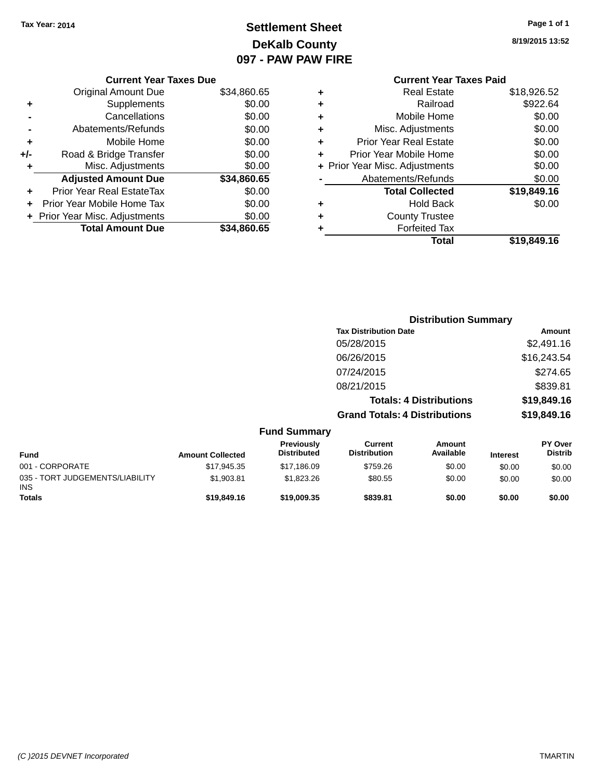# **Settlement Sheet Tax Year: 2014 Page 1 of 1 DeKalb County 097 - PAW PAW FIRE**

**8/19/2015 13:52**

|     | <b>Current Year Taxes Due</b>    |             |
|-----|----------------------------------|-------------|
|     | <b>Original Amount Due</b>       | \$34,860.65 |
| ٠   | Supplements                      | \$0.00      |
|     | Cancellations                    | \$0.00      |
|     | Abatements/Refunds               | \$0.00      |
| ٠   | Mobile Home                      | \$0.00      |
| +/- | Road & Bridge Transfer           | \$0.00      |
|     | Misc. Adjustments                | \$0.00      |
|     | <b>Adjusted Amount Due</b>       | \$34,860.65 |
| ÷   | <b>Prior Year Real EstateTax</b> | \$0.00      |
| ÷   | Prior Year Mobile Home Tax       | \$0.00      |
|     | + Prior Year Misc. Adjustments   | \$0.00      |
|     | <b>Total Amount Due</b>          | \$34,860.65 |
|     |                                  |             |

|   | <b>Current Year Taxes Paid</b> |             |
|---|--------------------------------|-------------|
| ٠ | <b>Real Estate</b>             | \$18,926.52 |
| ٠ | Railroad                       | \$922.64    |
| ٠ | Mobile Home                    | \$0.00      |
| ٠ | Misc. Adjustments              | \$0.00      |
| ٠ | <b>Prior Year Real Estate</b>  | \$0.00      |
| ٠ | Prior Year Mobile Home         | \$0.00      |
|   | + Prior Year Misc. Adjustments | \$0.00      |
|   | Abatements/Refunds             | \$0.00      |
|   | <b>Total Collected</b>         | \$19,849.16 |
| ٠ | <b>Hold Back</b>               | \$0.00      |
| ٠ | <b>County Trustee</b>          |             |
|   | <b>Forfeited Tax</b>           |             |
|   | Total                          | \$19,849.16 |
|   |                                |             |

|                                               |                         |                                  |                                       | <b>Distribution Summary</b>    |                 |                           |
|-----------------------------------------------|-------------------------|----------------------------------|---------------------------------------|--------------------------------|-----------------|---------------------------|
|                                               |                         |                                  | <b>Tax Distribution Date</b>          |                                |                 | Amount                    |
|                                               |                         |                                  | 05/28/2015                            |                                |                 | \$2,491.16                |
|                                               |                         |                                  | 06/26/2015                            |                                |                 | \$16,243.54               |
|                                               |                         |                                  | 07/24/2015                            |                                |                 | \$274.65                  |
|                                               |                         |                                  | 08/21/2015                            |                                |                 | \$839.81                  |
|                                               |                         |                                  |                                       | <b>Totals: 4 Distributions</b> |                 | \$19,849.16               |
|                                               |                         |                                  | <b>Grand Totals: 4 Distributions</b>  |                                |                 | \$19,849.16               |
|                                               |                         | <b>Fund Summary</b>              |                                       |                                |                 |                           |
| <b>Fund</b>                                   | <b>Amount Collected</b> | Previously<br><b>Distributed</b> | <b>Current</b><br><b>Distribution</b> | <b>Amount</b><br>Available     | <b>Interest</b> | PY Over<br><b>Distrib</b> |
| 001 - CORPORATE                               | \$17,945.35             | \$17,186.09                      | \$759.26                              | \$0.00                         | \$0.00          | \$0.00                    |
| 035 - TORT JUDGEMENTS/LIABILITY<br><b>INS</b> | \$1,903.81              | \$1,823.26                       | \$80.55                               | \$0.00                         | \$0.00          | \$0.00                    |
| <b>Totals</b>                                 | \$19,849.16             | \$19,009.35                      | \$839.81                              | \$0.00                         | \$0.00          | \$0.00                    |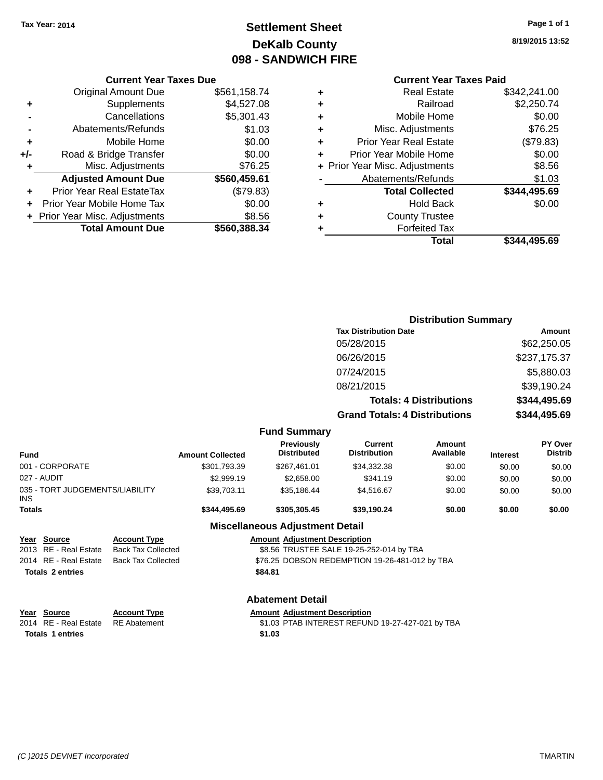# **Settlement Sheet Tax Year: 2014 Page 1 of 1 DeKalb County 098 - SANDWICH FIRE**

**8/19/2015 13:52**

# **Current Year Taxes Paid**

|   | <b>Real Estate</b>             | \$342,241.00 |
|---|--------------------------------|--------------|
| ٠ | Railroad                       | \$2,250.74   |
| ٠ | Mobile Home                    | \$0.00       |
| ٠ | Misc. Adjustments              | \$76.25      |
| ٠ | <b>Prior Year Real Estate</b>  | (\$79.83)    |
|   | Prior Year Mobile Home         | \$0.00       |
|   | + Prior Year Misc. Adjustments | \$8.56       |
|   | Abatements/Refunds             | \$1.03       |
|   | <b>Total Collected</b>         | \$344,495.69 |
| ٠ | <b>Hold Back</b>               | \$0.00       |
| ٠ | <b>County Trustee</b>          |              |
|   | <b>Forfeited Tax</b>           |              |
|   | Total                          | \$344,495.69 |
|   |                                |              |

|     | <b>Current Year Taxes Due</b>    |              |
|-----|----------------------------------|--------------|
|     | <b>Original Amount Due</b>       | \$561,158.74 |
| ٠   | Supplements                      | \$4,527.08   |
|     | Cancellations                    | \$5,301.43   |
|     | Abatements/Refunds               | \$1.03       |
| ٠   | Mobile Home                      | \$0.00       |
| +/- | Road & Bridge Transfer           | \$0.00       |
| ٠   | Misc. Adjustments                | \$76.25      |
|     | <b>Adjusted Amount Due</b>       | \$560,459.61 |
|     | <b>Prior Year Real EstateTax</b> | (\$79.83)    |
|     | Prior Year Mobile Home Tax       | \$0.00       |
|     | + Prior Year Misc. Adjustments   | \$8.56       |
|     | <b>Total Amount Due</b>          | \$560,388.34 |

|                                               |                           |                         |                                         |                                                | <b>Distribution Summary</b>    |                 |                                  |
|-----------------------------------------------|---------------------------|-------------------------|-----------------------------------------|------------------------------------------------|--------------------------------|-----------------|----------------------------------|
|                                               |                           |                         |                                         | <b>Tax Distribution Date</b>                   |                                |                 | Amount                           |
|                                               |                           |                         |                                         | 05/28/2015                                     |                                |                 | \$62,250.05                      |
|                                               |                           |                         |                                         | 06/26/2015                                     |                                |                 | \$237,175.37                     |
|                                               |                           |                         |                                         | 07/24/2015                                     |                                |                 | \$5,880.03                       |
|                                               |                           |                         |                                         | 08/21/2015                                     |                                |                 | \$39,190.24                      |
|                                               |                           |                         |                                         |                                                | <b>Totals: 4 Distributions</b> |                 | \$344,495.69                     |
|                                               |                           |                         |                                         | <b>Grand Totals: 4 Distributions</b>           |                                |                 | \$344,495.69                     |
|                                               |                           |                         | <b>Fund Summary</b>                     |                                                |                                |                 |                                  |
| <b>Fund</b>                                   |                           | <b>Amount Collected</b> | <b>Previously</b><br><b>Distributed</b> | <b>Current</b><br><b>Distribution</b>          | Amount<br>Available            | <b>Interest</b> | <b>PY Over</b><br><b>Distrib</b> |
| 001 - CORPORATE                               |                           | \$301,793.39            | \$267,461.01                            | \$34,332.38                                    | \$0.00                         | \$0.00          | \$0.00                           |
| 027 - AUDIT                                   |                           | \$2,999.19              | \$2,658.00                              | \$341.19                                       | \$0.00                         | \$0.00          | \$0.00                           |
| 035 - TORT JUDGEMENTS/LIABILITY<br><b>INS</b> |                           | \$39,703.11             | \$35,186.44                             | \$4,516.67                                     | \$0.00                         | \$0.00          | \$0.00                           |
| <b>Totals</b>                                 |                           | \$344,495.69            | \$305,305.45                            | \$39,190.24                                    | \$0.00                         | \$0.00          | \$0.00                           |
|                                               |                           |                         | <b>Miscellaneous Adjustment Detail</b>  |                                                |                                |                 |                                  |
| <b>Source</b><br>Year                         | <b>Account Type</b>       |                         | <b>Amount Adjustment Description</b>    |                                                |                                |                 |                                  |
| RE - Real Estate<br>2013                      | <b>Back Tax Collected</b> |                         |                                         | \$8.56 TRUSTEE SALE 19-25-252-014 by TBA       |                                |                 |                                  |
| 2014 RE - Real Estate                         | <b>Back Tax Collected</b> |                         |                                         | \$76.25 DOBSON REDEMPTION 19-26-481-012 by TBA |                                |                 |                                  |

# **Totals \$84.81 2 entries**

# **Abatement Detail**

#### **Year Source Account Type Amount Adjustment Description**<br>2014 RE - Real Estate RE Abatement \$1.03 PTAB INTEREST REFUN \$1.03 PTAB INTEREST REFUND 19-27-427-021 by TBA **Totals \$1.03 1 entries**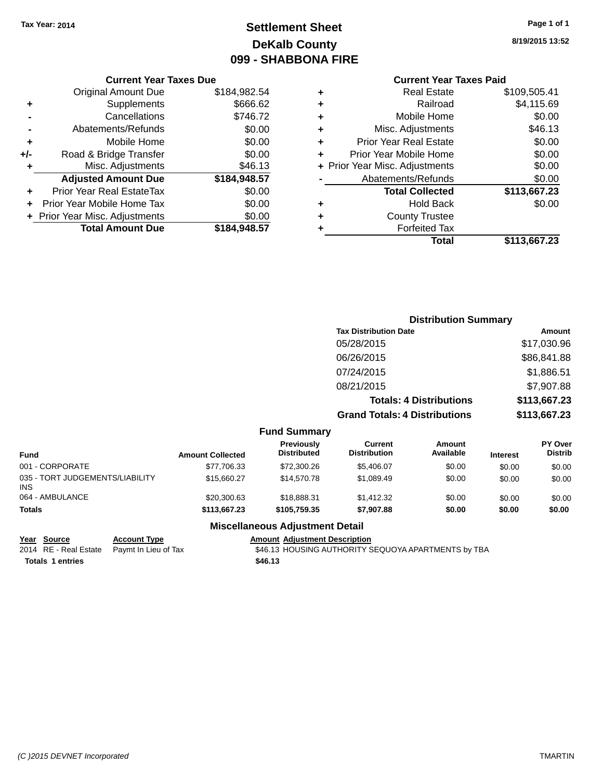# **Settlement Sheet Tax Year: 2014 Page 1 of 1 DeKalb County 099 - SHABBONA FIRE**

**8/19/2015 13:52**

# **Current Year Taxes Paid**

|     | <b>Current Year Taxes Due</b>  |              |
|-----|--------------------------------|--------------|
|     | <b>Original Amount Due</b>     | \$184,982.54 |
| ٠   | Supplements                    | \$666.62     |
|     | Cancellations                  | \$746.72     |
|     | Abatements/Refunds             | \$0.00       |
| ٠   | Mobile Home                    | \$0.00       |
| +/- | Road & Bridge Transfer         | \$0.00       |
| ٠   | Misc. Adjustments              | \$46.13      |
|     | <b>Adjusted Amount Due</b>     | \$184,948.57 |
| ٠   | Prior Year Real EstateTax      | \$0.00       |
|     | Prior Year Mobile Home Tax     | \$0.00       |
|     | + Prior Year Misc. Adjustments | \$0.00       |
|     | <b>Total Amount Due</b>        | \$184,948.57 |
|     |                                |              |

| ٠ | <b>Real Estate</b>             | \$109,505.41 |
|---|--------------------------------|--------------|
| ٠ | Railroad                       | \$4,115.69   |
| ٠ | Mobile Home                    | \$0.00       |
| ٠ | Misc. Adjustments              | \$46.13      |
| ٠ | <b>Prior Year Real Estate</b>  | \$0.00       |
| ٠ | Prior Year Mobile Home         | \$0.00       |
|   | + Prior Year Misc. Adjustments | \$0.00       |
|   | Abatements/Refunds             | \$0.00       |
|   | <b>Total Collected</b>         | \$113,667.23 |
| ٠ | <b>Hold Back</b>               | \$0.00       |
| ٠ | <b>County Trustee</b>          |              |
| ٠ | <b>Forfeited Tax</b>           |              |
|   | Total                          | \$113,667.23 |
|   |                                |              |

|                     | <b>Distribution Summary</b>          |              |
|---------------------|--------------------------------------|--------------|
|                     | <b>Tax Distribution Date</b>         | Amount       |
|                     | 05/28/2015                           | \$17,030.96  |
|                     | 06/26/2015                           | \$86,841.88  |
|                     | 07/24/2015                           | \$1,886.51   |
|                     | 08/21/2015                           | \$7,907.88   |
|                     | <b>Totals: 4 Distributions</b>       | \$113,667.23 |
|                     | <b>Grand Totals: 4 Distributions</b> | \$113,667.23 |
| <b>Fund Summary</b> |                                      |              |

| Fund                                   | <b>Amount Collected</b> | <b>Previously</b><br><b>Distributed</b> | Current<br><b>Distribution</b> | Amount<br>Available | <b>Interest</b> | <b>PY Over</b><br><b>Distrib</b> |
|----------------------------------------|-------------------------|-----------------------------------------|--------------------------------|---------------------|-----------------|----------------------------------|
| 001 - CORPORATE                        | \$77,706.33             | \$72,300.26                             | \$5.406.07                     | \$0.00              | \$0.00          | \$0.00                           |
| 035 - TORT JUDGEMENTS/LIABILITY<br>INS | \$15,660.27             | \$14,570.78                             | \$1.089.49                     | \$0.00              | \$0.00          | \$0.00                           |
| 064 - AMBULANCE                        | \$20,300.63             | \$18,888,31                             | \$1,412.32                     | \$0.00              | \$0.00          | \$0.00                           |
| Totals                                 | \$113,667,23            | \$105.759.35                            | \$7,907.88                     | \$0.00              | \$0.00          | \$0.00                           |

#### **Miscellaneous Adjustment Detail**

| Year Source              | Ac |
|--------------------------|----|
| 2014 RE - Real Estate Pa |    |

**Totals \$46.13 1 entries**

**<u>Count Type</u> <b>Amount Adjustment Description**<br>- \$46.13 HOUSING AUTHORITY S \$46.13 HOUSING AUTHORITY SEQUOYA APARTMENTS by TBA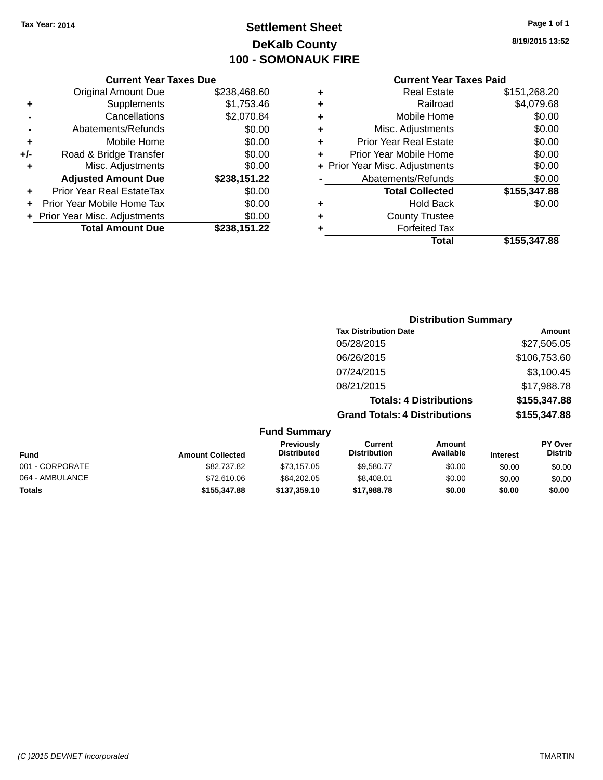# **Settlement Sheet Tax Year: 2014 Page 1 of 1 DeKalb County 100 - SOMONAUK FIRE**

**8/19/2015 13:52**

|     | <b>Current Year Taxes Due</b>  |              |  |
|-----|--------------------------------|--------------|--|
|     | <b>Original Amount Due</b>     | \$238,468.60 |  |
| ٠   | Supplements                    | \$1,753.46   |  |
|     | Cancellations                  | \$2,070.84   |  |
|     | Abatements/Refunds             | \$0.00       |  |
| ٠   | Mobile Home                    | \$0.00       |  |
| +/- | Road & Bridge Transfer         | \$0.00       |  |
| ٠   | Misc. Adjustments              | \$0.00       |  |
|     | <b>Adjusted Amount Due</b>     | \$238,151.22 |  |
| ٠   | Prior Year Real EstateTax      | \$0.00       |  |
|     | Prior Year Mobile Home Tax     | \$0.00       |  |
|     | + Prior Year Misc. Adjustments | \$0.00       |  |
|     | <b>Total Amount Due</b>        | \$238,151.22 |  |
|     |                                |              |  |

| ٠ | <b>Real Estate</b>             | \$151,268.20 |
|---|--------------------------------|--------------|
| ٠ | Railroad                       | \$4,079.68   |
| ٠ | Mobile Home                    | \$0.00       |
| ٠ | Misc. Adjustments              | \$0.00       |
| ٠ | <b>Prior Year Real Estate</b>  | \$0.00       |
| ÷ | Prior Year Mobile Home         | \$0.00       |
|   | + Prior Year Misc. Adjustments | \$0.00       |
|   | Abatements/Refunds             | \$0.00       |
|   | <b>Total Collected</b>         | \$155,347.88 |
| ٠ | <b>Hold Back</b>               | \$0.00       |
| ٠ | <b>County Trustee</b>          |              |
| ٠ | <b>Forfeited Tax</b>           |              |
|   | Total                          | \$155,347,88 |
|   |                                |              |

|                     | <b>Distribution Summary</b>          |              |
|---------------------|--------------------------------------|--------------|
|                     | <b>Tax Distribution Date</b>         | Amount       |
|                     | 05/28/2015                           | \$27,505.05  |
|                     | 06/26/2015                           | \$106,753.60 |
|                     | 07/24/2015                           | \$3,100.45   |
|                     | 08/21/2015                           | \$17,988.78  |
|                     | <b>Totals: 4 Distributions</b>       | \$155,347.88 |
|                     | <b>Grand Totals: 4 Distributions</b> | \$155,347.88 |
| <b>Fund Summary</b> |                                      |              |

| <b>Amount Collected</b> | <b>Previously</b><br><b>Distributed</b> | Current<br><b>Distribution</b> | Amount<br>Available | <b>Interest</b> | <b>PY Over</b><br><b>Distrib</b> |
|-------------------------|-----------------------------------------|--------------------------------|---------------------|-----------------|----------------------------------|
| \$82,737.82             | \$73,157.05                             | \$9.580.77                     | \$0.00              | \$0.00          | \$0.00                           |
| \$72,610.06             | \$64,202,05                             | \$8.408.01                     | \$0.00              | \$0.00          | \$0.00                           |
| \$155,347.88            | \$137,359.10                            | \$17,988.78                    | \$0.00              | \$0.00          | \$0.00                           |
|                         |                                         |                                |                     |                 |                                  |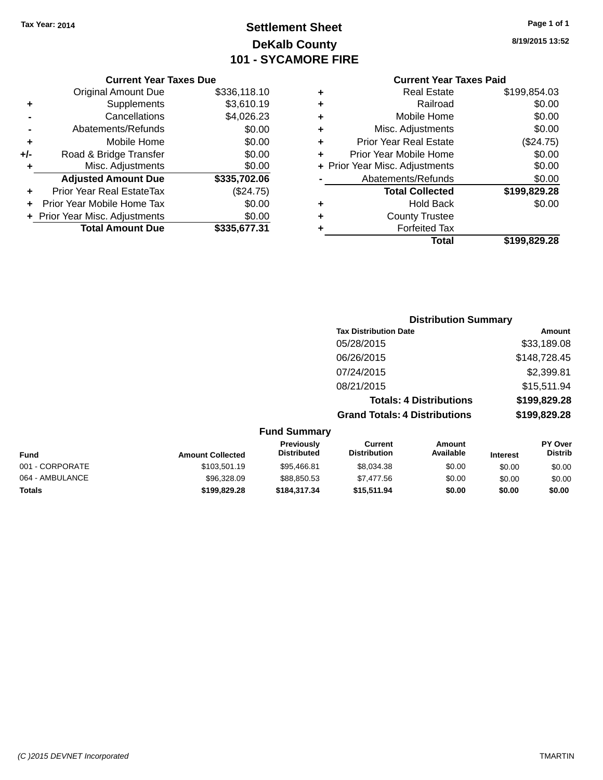# **Settlement Sheet Tax Year: 2014 Page 1 of 1 DeKalb County 101 - SYCAMORE FIRE**

**8/19/2015 13:52**

| ٠ | <b>Real Estate</b>             | \$199,854.03 |
|---|--------------------------------|--------------|
| ٠ | Railroad                       | \$0.00       |
| ٠ | Mobile Home                    | \$0.00       |
| ٠ | Misc. Adjustments              | \$0.00       |
| ٠ | <b>Prior Year Real Estate</b>  | (\$24.75)    |
| ÷ | Prior Year Mobile Home         | \$0.00       |
|   | + Prior Year Misc. Adjustments | \$0.00       |
|   | Abatements/Refunds             | \$0.00       |
|   | <b>Total Collected</b>         | \$199,829.28 |
| ٠ | Hold Back                      | \$0.00       |
| ٠ | <b>County Trustee</b>          |              |
|   | <b>Forfeited Tax</b>           |              |
|   | Total                          | \$199,829.28 |
|   |                                |              |

|     | <b>Current Year Taxes Due</b>    |              |
|-----|----------------------------------|--------------|
|     | <b>Original Amount Due</b>       | \$336,118.10 |
| ٠   | Supplements                      | \$3,610.19   |
|     | Cancellations                    | \$4,026.23   |
|     | Abatements/Refunds               | \$0.00       |
| ÷   | Mobile Home                      | \$0.00       |
| +/- | Road & Bridge Transfer           | \$0.00       |
| ٠   | Misc. Adjustments                | \$0.00       |
|     | <b>Adjusted Amount Due</b>       | \$335,702.06 |
|     | <b>Prior Year Real EstateTax</b> | (\$24.75)    |
|     | Prior Year Mobile Home Tax       | \$0.00       |
|     | + Prior Year Misc. Adjustments   | \$0.00       |
|     | <b>Total Amount Due</b>          | \$335,677.31 |

|                     | <b>Distribution Summary</b>          |              |
|---------------------|--------------------------------------|--------------|
|                     | <b>Tax Distribution Date</b>         | Amount       |
|                     | 05/28/2015                           | \$33,189.08  |
|                     | 06/26/2015                           | \$148,728.45 |
|                     | 07/24/2015                           | \$2,399.81   |
|                     | 08/21/2015                           | \$15,511.94  |
|                     | <b>Totals: 4 Distributions</b>       | \$199,829.28 |
|                     | <b>Grand Totals: 4 Distributions</b> | \$199,829.28 |
| <b>Fund Summary</b> |                                      |              |

| <b>Fund</b>     | <b>Amount Collected</b> | <b>Previously</b><br><b>Distributed</b> | Current<br><b>Distribution</b> | Amount<br>Available | <b>Interest</b> | <b>PY Over</b><br><b>Distrib</b> |
|-----------------|-------------------------|-----------------------------------------|--------------------------------|---------------------|-----------------|----------------------------------|
| 001 - CORPORATE | \$103,501.19            | \$95,466.81                             | \$8.034.38                     | \$0.00              | \$0.00          | \$0.00                           |
| 064 - AMBULANCE | \$96,328.09             | \$88,850.53                             | \$7.477.56                     | \$0.00              | \$0.00          | \$0.00                           |
| <b>Totals</b>   | \$199.829.28            | \$184.317.34                            | \$15.511.94                    | \$0.00              | \$0.00          | \$0.00                           |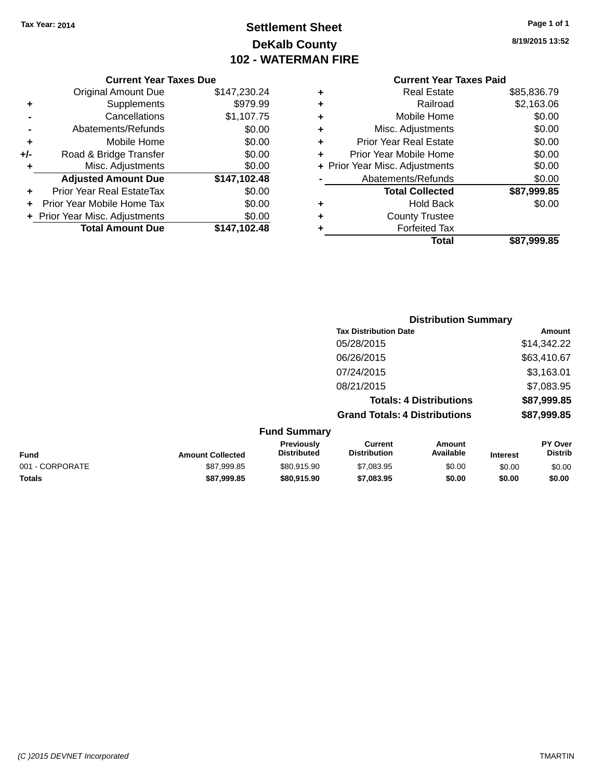# **Settlement Sheet Tax Year: 2014 Page 1 of 1 DeKalb County 102 - WATERMAN FIRE**

**8/19/2015 13:52**

| <b>Current Year Taxes Due</b> |  |  |  |  |  |
|-------------------------------|--|--|--|--|--|
|-------------------------------|--|--|--|--|--|

|     | <b>Total Amount Due</b>        | \$147,102.48 |
|-----|--------------------------------|--------------|
|     | + Prior Year Misc. Adjustments | \$0.00       |
|     | Prior Year Mobile Home Tax     | \$0.00       |
| ÷   | Prior Year Real EstateTax      | \$0.00       |
|     | <b>Adjusted Amount Due</b>     | \$147,102.48 |
| ٠   | Misc. Adjustments              | \$0.00       |
| +/- | Road & Bridge Transfer         | \$0.00       |
| ٠   | Mobile Home                    | \$0.00       |
|     | Abatements/Refunds             | \$0.00       |
|     | Cancellations                  | \$1,107.75   |
| ٠   | Supplements                    | \$979.99     |
|     | <b>Original Amount Due</b>     | \$147,230.24 |

# **Current Year Taxes Paid**

| ٠ | <b>Real Estate</b>             | \$85,836.79 |
|---|--------------------------------|-------------|
| ٠ | Railroad                       | \$2,163.06  |
| ٠ | Mobile Home                    | \$0.00      |
| ٠ | Misc. Adjustments              | \$0.00      |
| ٠ | <b>Prior Year Real Estate</b>  | \$0.00      |
| ٠ | Prior Year Mobile Home         | \$0.00      |
|   | + Prior Year Misc. Adjustments | \$0.00      |
|   | Abatements/Refunds             | \$0.00      |
|   | <b>Total Collected</b>         | \$87,999.85 |
| ٠ | <b>Hold Back</b>               | \$0.00      |
| ٠ | <b>County Trustee</b>          |             |
| ٠ | <b>Forfeited Tax</b>           |             |
|   | Total                          | \$87,999.85 |
|   |                                |             |

# **Distribution Summary Tax Distribution Date Amount** 05/28/2015 \$14,342.22 06/26/2015 \$63,410.67 07/24/2015 \$3,163.01 08/21/2015 \$7,083.95 **Totals: 4 Distributions \$87,999.85 Grand Totals: 4 Distributions \$87,999.85 Fund Summary**

| <b>Fund</b>     | <b>Amount Collected</b> | Previously<br><b>Distributed</b> | Current<br><b>Distribution</b> | Amount<br>Available | <b>Interest</b> | <b>PY Over</b><br>Distrib |
|-----------------|-------------------------|----------------------------------|--------------------------------|---------------------|-----------------|---------------------------|
| 001 - CORPORATE | \$87.999.85             | \$80.915.90                      | \$7,083.95                     | \$0.00              | \$0.00          | \$0.00                    |
| <b>Totals</b>   | \$87.999.85             | \$80.915.90                      | \$7.083.95                     | \$0.00              | \$0.00          | \$0.00                    |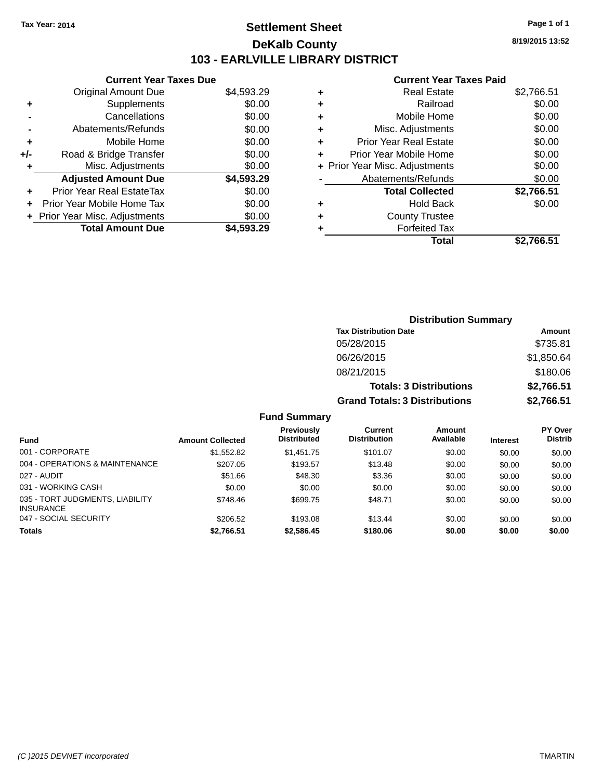# **Settlement Sheet Tax Year: 2014 Page 1 of 1 DeKalb County 103 - EARLVILLE LIBRARY DISTRICT**

**8/19/2015 13:52**

# **Current Year Taxes Paid**

| <b>Current Year Taxes Due</b>  |            |
|--------------------------------|------------|
| <b>Original Amount Due</b>     | \$4,593.29 |
| Supplements                    | \$0.00     |
| Cancellations                  | \$0.00     |
| Abatements/Refunds             | \$0.00     |
| Mobile Home                    | \$0.00     |
| Road & Bridge Transfer         | \$0.00     |
| Misc. Adjustments              | \$0.00     |
| <b>Adjusted Amount Due</b>     | \$4,593.29 |
| Prior Year Real EstateTax      | \$0.00     |
| Prior Year Mobile Home Tax     | \$0.00     |
| + Prior Year Misc. Adjustments | \$0.00     |
| <b>Total Amount Due</b>        | \$4.593.29 |
|                                |            |

| ٠ | <b>Real Estate</b>             | \$2,766.51 |
|---|--------------------------------|------------|
| ٠ | Railroad                       | \$0.00     |
| ٠ | Mobile Home                    | \$0.00     |
| ٠ | Misc. Adjustments              | \$0.00     |
| ٠ | <b>Prior Year Real Estate</b>  | \$0.00     |
|   | Prior Year Mobile Home         | \$0.00     |
|   | + Prior Year Misc. Adjustments | \$0.00     |
|   | Abatements/Refunds             | \$0.00     |
|   | <b>Total Collected</b>         | \$2,766.51 |
| ٠ | <b>Hold Back</b>               | \$0.00     |
| ٠ | <b>County Trustee</b>          |            |
| ٠ | <b>Forfeited Tax</b>           |            |
|   | Total                          | \$2,766.51 |
|   |                                |            |

| <b>Distribution Summary</b>          |            |  |  |
|--------------------------------------|------------|--|--|
| <b>Tax Distribution Date</b>         | Amount     |  |  |
| 05/28/2015                           | \$735.81   |  |  |
| 06/26/2015                           | \$1,850.64 |  |  |
| 08/21/2015                           | \$180.06   |  |  |
| <b>Totals: 3 Distributions</b>       | \$2,766.51 |  |  |
| <b>Grand Totals: 3 Distributions</b> | \$2,766.51 |  |  |

#### **Fund Summary**

| <b>Fund</b>                                         | <b>Amount Collected</b> | Previously<br><b>Distributed</b> | Current<br><b>Distribution</b> | <b>Amount</b><br>Available | <b>Interest</b> | <b>PY Over</b><br><b>Distrib</b> |
|-----------------------------------------------------|-------------------------|----------------------------------|--------------------------------|----------------------------|-----------------|----------------------------------|
| 001 - CORPORATE                                     | \$1,552.82              | \$1,451.75                       | \$101.07                       | \$0.00                     | \$0.00          | \$0.00                           |
| 004 - OPERATIONS & MAINTENANCE                      | \$207.05                | \$193.57                         | \$13.48                        | \$0.00                     | \$0.00          | \$0.00                           |
| 027 - AUDIT                                         | \$51.66                 | \$48.30                          | \$3.36                         | \$0.00                     | \$0.00          | \$0.00                           |
| 031 - WORKING CASH                                  | \$0.00                  | \$0.00                           | \$0.00                         | \$0.00                     | \$0.00          | \$0.00                           |
| 035 - TORT JUDGMENTS, LIABILITY<br><b>INSURANCE</b> | \$748.46                | \$699.75                         | \$48.71                        | \$0.00                     | \$0.00          | \$0.00                           |
| 047 - SOCIAL SECURITY                               | \$206.52                | \$193.08                         | \$13.44                        | \$0.00                     | \$0.00          | \$0.00                           |
| <b>Totals</b>                                       | \$2,766.51              | \$2,586.45                       | \$180.06                       | \$0.00                     | \$0.00          | \$0.00                           |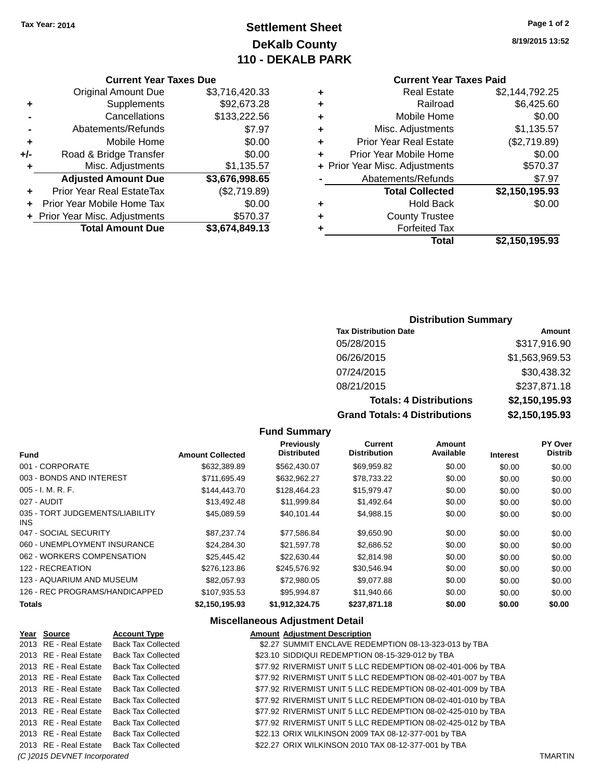# **Settlement Sheet Tax Year: 2014 Page 1 of 2 DeKalb County 110 - DEKALB PARK**

**8/19/2015 13:52**

# **Current Year Taxes Paid**

| \$2,144,792.25 |
|----------------|
| \$6,425.60     |
| \$0.00         |
| \$1,135.57     |
| (\$2,719.89)   |
| \$0.00         |
| \$570.37       |
| \$7.97         |
| \$2,150,195.93 |
| \$0.00         |
|                |
|                |
| \$2,150,195.93 |
|                |

|     | <b>Current Year Taxes Due</b>                |                |  |
|-----|----------------------------------------------|----------------|--|
|     | <b>Original Amount Due</b><br>\$3,716,420.33 |                |  |
| ٠   | Supplements                                  | \$92,673.28    |  |
|     | Cancellations                                | \$133,222.56   |  |
|     | Abatements/Refunds                           | \$7.97         |  |
| ÷   | Mobile Home                                  | \$0.00         |  |
| +/- | Road & Bridge Transfer                       | \$0.00         |  |
| ٠   | Misc. Adjustments                            | \$1,135.57     |  |
|     | <b>Adjusted Amount Due</b>                   | \$3,676,998.65 |  |
|     | <b>Prior Year Real EstateTax</b>             | (\$2,719.89)   |  |
|     | Prior Year Mobile Home Tax                   | \$0.00         |  |
|     | + Prior Year Misc. Adjustments               | \$570.37       |  |
|     | <b>Total Amount Due</b>                      | \$3,674,849.13 |  |

# **Distribution Summary**

| <b>Tax Distribution Date</b>         | Amount         |
|--------------------------------------|----------------|
| 05/28/2015                           | \$317,916.90   |
| 06/26/2015                           | \$1,563,969.53 |
| 07/24/2015                           | \$30,438.32    |
| 08/21/2015                           | \$237,871.18   |
| <b>Totals: 4 Distributions</b>       | \$2,150,195.93 |
| <b>Grand Totals: 4 Distributions</b> | \$2,150,195.93 |

#### **Fund Summary**

| <b>Fund</b>                             | <b>Amount Collected</b> | Previously<br><b>Distributed</b> | Current<br><b>Distribution</b> | Amount<br>Available | <b>Interest</b> | <b>PY Over</b><br><b>Distrib</b> |
|-----------------------------------------|-------------------------|----------------------------------|--------------------------------|---------------------|-----------------|----------------------------------|
| 001 - CORPORATE                         | \$632,389.89            | \$562,430.07                     | \$69,959.82                    | \$0.00              | \$0.00          | \$0.00                           |
| 003 - BONDS AND INTEREST                | \$711,695.49            | \$632,962.27                     | \$78,733.22                    | \$0.00              | \$0.00          | \$0.00                           |
| $005 - I. M. R. F.$                     | \$144,443.70            | \$128,464.23                     | \$15,979.47                    | \$0.00              | \$0.00          | \$0.00                           |
| 027 - AUDIT                             | \$13,492.48             | \$11,999.84                      | \$1,492.64                     | \$0.00              | \$0.00          | \$0.00                           |
| 035 - TORT JUDGEMENTS/LIABILITY<br>INS. | \$45,089.59             | \$40.101.44                      | \$4,988.15                     | \$0.00              | \$0.00          | \$0.00                           |
| 047 - SOCIAL SECURITY                   | \$87.237.74             | \$77,586.84                      | \$9,650.90                     | \$0.00              | \$0.00          | \$0.00                           |
| 060 - UNEMPLOYMENT INSURANCE            | \$24.284.30             | \$21,597.78                      | \$2,686.52                     | \$0.00              | \$0.00          | \$0.00                           |
| 062 - WORKERS COMPENSATION              | \$25.445.42             | \$22.630.44                      | \$2.814.98                     | \$0.00              | \$0.00          | \$0.00                           |
| 122 - RECREATION                        | \$276,123.86            | \$245,576.92                     | \$30,546.94                    | \$0.00              | \$0.00          | \$0.00                           |
| 123 - AQUARIUM AND MUSEUM               | \$82,057.93             | \$72,980.05                      | \$9.077.88                     | \$0.00              | \$0.00          | \$0.00                           |
| 126 - REC PROGRAMS/HANDICAPPED          | \$107,935.53            | \$95.994.87                      | \$11,940.66                    | \$0.00              | \$0.00          | \$0.00                           |
| <b>Totals</b>                           | \$2,150,195.93          | \$1,912,324.75                   | \$237,871.18                   | \$0.00              | \$0.00          | \$0.00                           |

# **Miscellaneous Adjustment Detail**

| Year Source                  | <b>Account Type</b>                      | <b>Amount Adjustment Description</b>                         |                |
|------------------------------|------------------------------------------|--------------------------------------------------------------|----------------|
| 2013 RE - Real Estate        | <b>Back Tax Collected</b>                | \$2.27 SUMMIT ENCLAVE REDEMPTION 08-13-323-013 by TBA        |                |
| 2013 RE - Real Estate        | Back Tax Collected                       | \$23.10 SIDDIQUI REDEMPTION 08-15-329-012 by TBA             |                |
| 2013 RE - Real Estate        | Back Tax Collected                       | \$77.92 RIVERMIST UNIT 5 LLC REDEMPTION 08-02-401-006 by TBA |                |
| 2013 RE - Real Estate        | <b>Back Tax Collected</b>                | \$77.92 RIVERMIST UNIT 5 LLC REDEMPTION 08-02-401-007 by TBA |                |
| 2013 RE - Real Estate        | <b>Back Tax Collected</b>                | \$77.92 RIVERMIST UNIT 5 LLC REDEMPTION 08-02-401-009 by TBA |                |
| 2013 RE - Real Estate        | Back Tax Collected                       | \$77.92 RIVERMIST UNIT 5 LLC REDEMPTION 08-02-401-010 by TBA |                |
| 2013 RE - Real Estate        | <b>Back Tax Collected</b>                | \$77.92 RIVERMIST UNIT 5 LLC REDEMPTION 08-02-425-010 by TBA |                |
| 2013 RE - Real Estate        | Back Tax Collected                       | \$77.92 RIVERMIST UNIT 5 LLC REDEMPTION 08-02-425-012 by TBA |                |
| 2013 RE - Real Estate        | Back Tax Collected                       | \$22.13 ORIX WILKINSON 2009 TAX 08-12-377-001 by TBA         |                |
|                              | 2013 RE - Real Estate Back Tax Collected | \$22.27 ORIX WILKINSON 2010 TAX 08-12-377-001 by TBA         |                |
| (C) 2015 DEVNET Incorporated |                                          |                                                              | <b>TMARTIN</b> |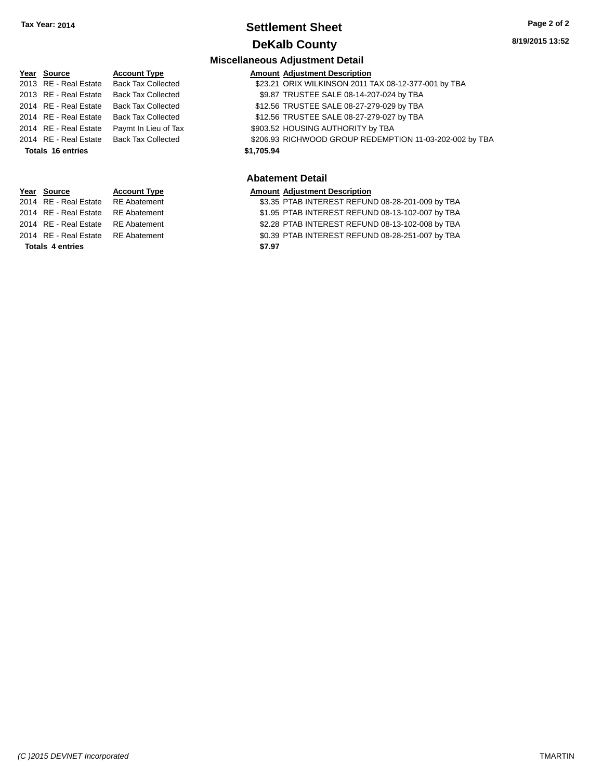# **Settlement Sheet Tax Year: 2014 Page 2 of 2 DeKalb County**

#### **Miscellaneous Adjustment Detail**

| <b>Account Type</b>                                                                                                                                                  | <b>Amount Adjustment Description</b>                    |
|----------------------------------------------------------------------------------------------------------------------------------------------------------------------|---------------------------------------------------------|
| <b>Back Tax Collected</b>                                                                                                                                            | \$23.21 ORIX WILKINSON 2011 TAX 08-12-377-001 by TBA    |
| <b>Back Tax Collected</b>                                                                                                                                            | \$9.87 TRUSTEE SALE 08-14-207-024 by TBA                |
| <b>Back Tax Collected</b>                                                                                                                                            | \$12.56 TRUSTEE SALE 08-27-279-029 by TBA               |
| <b>Back Tax Collected</b>                                                                                                                                            | \$12.56 TRUSTEE SALE 08-27-279-027 by TBA               |
| Paymt In Lieu of Tax                                                                                                                                                 | \$903.52 HOUSING AUTHORITY by TBA                       |
| <b>Back Tax Collected</b>                                                                                                                                            | \$206.93 RICHWOOD GROUP REDEMPTION 11-03-202-002 by TBA |
|                                                                                                                                                                      | \$1,705.94                                              |
|                                                                                                                                                                      | <b>Abatement Detail</b>                                 |
| Year Source<br>2013 RE - Real Estate<br>2013 RE - Real Estate<br>2014 RE - Real Estate<br>2014 RE - Real Estate<br>2014 RE - Real Estate<br><b>Totals 16 entries</b> | 2014 RE - Real Estate                                   |

# **Year Source Account Type Amount Adjustment Description**<br>2014 RE - Real Estate RE Abatement **Amount SEACT ASS** 35 PTAB INTEREST REFUN

**Totals \$7.97 4 entries**

\$3.35 PTAB INTEREST REFUND 08-28-201-009 by TBA 2014 RE - Real Estate RE Abatement \$1.95 PTAB INTEREST REFUND 08-13-102-007 by TBA 2014 RE - Real Estate RE Abatement \$2.28 PTAB INTEREST REFUND 08-13-102-008 by TBA 2014 RE - Real Estate RE Abatement \$0.39 PTAB INTEREST REFUND 08-28-251-007 by TBA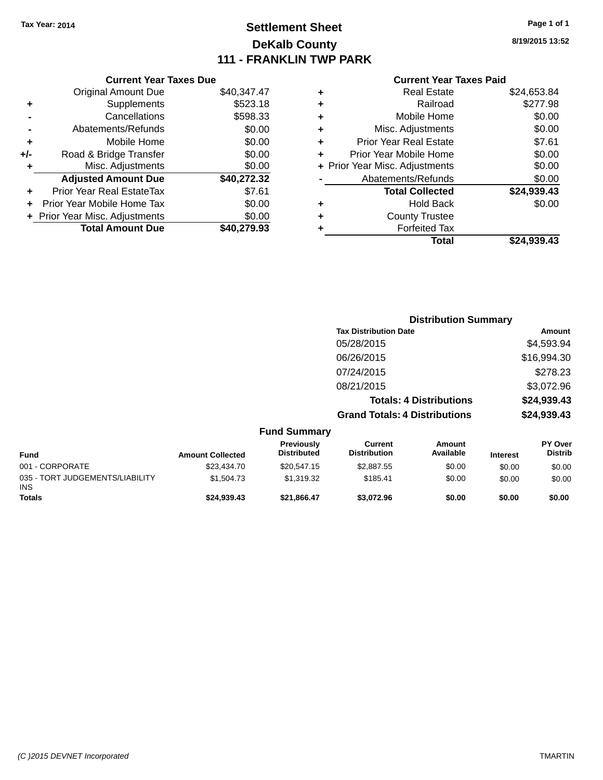# **Settlement Sheet Tax Year: 2014 Page 1 of 1 DeKalb County 111 - FRANKLIN TWP PARK**

**8/19/2015 13:52**

|     | <b>Current Year Taxes Due</b>  |             |
|-----|--------------------------------|-------------|
|     | <b>Original Amount Due</b>     | \$40,347.47 |
| ٠   | Supplements                    | \$523.18    |
|     | Cancellations                  | \$598.33    |
|     | Abatements/Refunds             | \$0.00      |
| ٠   | Mobile Home                    | \$0.00      |
| +/- | Road & Bridge Transfer         | \$0.00      |
|     | Misc. Adjustments              | \$0.00      |
|     | <b>Adjusted Amount Due</b>     | \$40,272.32 |
| ÷   | Prior Year Real EstateTax      | \$7.61      |
|     | Prior Year Mobile Home Tax     | \$0.00      |
|     | + Prior Year Misc. Adjustments | \$0.00      |
|     | <b>Total Amount Due</b>        | \$40,279.93 |

| ٠ | <b>Real Estate</b>             | \$24,653.84 |
|---|--------------------------------|-------------|
| ٠ | Railroad                       | \$277.98    |
| ٠ | Mobile Home                    | \$0.00      |
| ٠ | Misc. Adjustments              | \$0.00      |
| ٠ | <b>Prior Year Real Estate</b>  | \$7.61      |
| ٠ | Prior Year Mobile Home         | \$0.00      |
|   | + Prior Year Misc. Adjustments | \$0.00      |
|   | Abatements/Refunds             | \$0.00      |
|   | <b>Total Collected</b>         | \$24,939.43 |
| ٠ | Hold Back                      | \$0.00      |
| ٠ | <b>County Trustee</b>          |             |
| ٠ | <b>Forfeited Tax</b>           |             |
|   | Total                          | \$24,939.43 |
|   |                                |             |

|                                                                                                                                                                                                                                                       | <b>Distribution Summary</b>          |               |
|-------------------------------------------------------------------------------------------------------------------------------------------------------------------------------------------------------------------------------------------------------|--------------------------------------|---------------|
|                                                                                                                                                                                                                                                       | <b>Tax Distribution Date</b>         | <b>Amount</b> |
|                                                                                                                                                                                                                                                       | 05/28/2015                           | \$4,593.94    |
|                                                                                                                                                                                                                                                       | 06/26/2015                           | \$16,994.30   |
|                                                                                                                                                                                                                                                       | 07/24/2015                           | \$278.23      |
|                                                                                                                                                                                                                                                       | 08/21/2015                           | \$3,072.96    |
|                                                                                                                                                                                                                                                       | <b>Totals: 4 Distributions</b>       | \$24,939.43   |
|                                                                                                                                                                                                                                                       | <b>Grand Totals: 4 Distributions</b> | \$24,939.43   |
| <b>Fund Summary</b><br>Production of the second second second to the second second second to the second second second second second second second second second second second second second second second second second second second second second s | <b>A</b> 4                           | <b>BVA</b>    |

| <b>Fund</b>                                   | <b>Amount Collected</b> | Previously<br><b>Distributed</b> | Current<br><b>Distribution</b> | Amount<br>Available | <b>Interest</b> | <b>PY Over</b><br><b>Distrib</b> |
|-----------------------------------------------|-------------------------|----------------------------------|--------------------------------|---------------------|-----------------|----------------------------------|
| 001 - CORPORATE                               | \$23,434,70             | \$20,547.15                      | \$2,887.55                     | \$0.00              | \$0.00          | \$0.00                           |
| 035 - TORT JUDGEMENTS/LIABILITY<br><b>INS</b> | \$1,504.73              | \$1.319.32                       | \$185.41                       | \$0.00              | \$0.00          | \$0.00                           |
| <b>Totals</b>                                 | \$24.939.43             | \$21.866.47                      | \$3.072.96                     | \$0.00              | \$0.00          | \$0.00                           |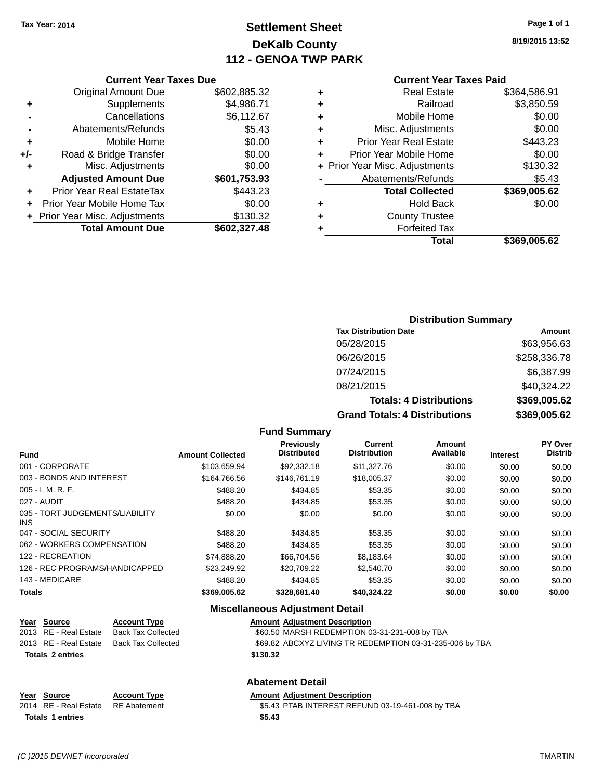# **Settlement Sheet Tax Year: 2014 Page 1 of 1 DeKalb County 112 - GENOA TWP PARK**

**8/19/2015 13:52**

| <b>Current Year Taxes Paid</b> |  |  |  |
|--------------------------------|--|--|--|
|--------------------------------|--|--|--|

|     | <b>Current Year Taxes Due</b>    |              |   |                 |
|-----|----------------------------------|--------------|---|-----------------|
|     | <b>Original Amount Due</b>       | \$602,885.32 | ٠ |                 |
|     | <b>Supplements</b>               | \$4,986.71   | ٠ |                 |
|     | Cancellations                    | \$6,112.67   | ٠ |                 |
|     | Abatements/Refunds               | \$5.43       | ٠ | Mi              |
|     | Mobile Home                      | \$0.00       |   | Prior Y         |
| +/- | Road & Bridge Transfer           | \$0.00       |   | Prior Ye        |
| ٠   | Misc. Adjustments                | \$0.00       |   | + Prior Year Mi |
|     | <b>Adjusted Amount Due</b>       | \$601,753.93 |   | Abate           |
|     | <b>Prior Year Real EstateTax</b> | \$443.23     |   |                 |
|     | Prior Year Mobile Home Tax       | \$0.00       |   |                 |
|     | + Prior Year Misc. Adjustments   | \$130.32     |   |                 |
|     | <b>Total Amount Due</b>          | \$602,327.48 |   |                 |
|     |                                  |              |   |                 |

| \$369,005.62 |
|--------------|
|              |
|              |
|              |
| \$0.00       |
| \$369,005.62 |
| \$5.43       |
| \$130.32     |
| \$0.00       |
| \$443.23     |
| \$0.00       |
| \$0.00       |
| \$3,850.59   |
| \$364,586.91 |
|              |

# **Distribution Summary Tax Distribution Date Amount** 05/28/2015 \$63,956.63 06/26/2015 \$258,336.78 07/24/2015 \$6,387.99 08/21/2015 \$40,324.22 **Totals: 4 Distributions \$369,005.62**

| <b>Totals: 4 Distributions</b>       | \$369,005.62 |
|--------------------------------------|--------------|
| <b>Grand Totals: 4 Distributions</b> | \$369,005.62 |

| Fund Summary |  |
|--------------|--|
|--------------|--|

| Fund                                    | <b>Amount Collected</b> | <b>Previously</b><br><b>Distributed</b> | Current<br><b>Distribution</b> | Amount<br>Available | <b>Interest</b> | PY Over<br><b>Distrib</b> |
|-----------------------------------------|-------------------------|-----------------------------------------|--------------------------------|---------------------|-----------------|---------------------------|
| 001 - CORPORATE                         | \$103.659.94            | \$92,332.18                             | \$11,327.76                    | \$0.00              | \$0.00          | \$0.00                    |
| 003 - BONDS AND INTEREST                | \$164,766.56            | \$146.761.19                            | \$18,005.37                    | \$0.00              | \$0.00          | \$0.00                    |
| $005 - I. M. R. F.$                     | \$488.20                | \$434.85                                | \$53.35                        | \$0.00              | \$0.00          | \$0.00                    |
| 027 - AUDIT                             | \$488.20                | \$434.85                                | \$53.35                        | \$0.00              | \$0.00          | \$0.00                    |
| 035 - TORT JUDGEMENTS/LIABILITY<br>INS. | \$0.00                  | \$0.00                                  | \$0.00                         | \$0.00              | \$0.00          | \$0.00                    |
| 047 - SOCIAL SECURITY                   | \$488.20                | \$434.85                                | \$53.35                        | \$0.00              | \$0.00          | \$0.00                    |
| 062 - WORKERS COMPENSATION              | \$488.20                | \$434.85                                | \$53.35                        | \$0.00              | \$0.00          | \$0.00                    |
| 122 - RECREATION                        | \$74.888.20             | \$66,704.56                             | \$8.183.64                     | \$0.00              | \$0.00          | \$0.00                    |
| 126 - REC PROGRAMS/HANDICAPPED          | \$23,249.92             | \$20.709.22                             | \$2,540.70                     | \$0.00              | \$0.00          | \$0.00                    |
| 143 - MEDICARE                          | \$488.20                | \$434.85                                | \$53.35                        | \$0.00              | \$0.00          | \$0.00                    |
| <b>Totals</b>                           | \$369,005.62            | \$328,681.40                            | \$40,324.22                    | \$0.00              | \$0.00          | \$0.00                    |

#### **Miscellaneous Adjustment Detail**

| Year Source             | <b>Account Type</b> | <b>Amount Adiustment Description</b>                     |
|-------------------------|---------------------|----------------------------------------------------------|
| 2013 RE - Real Estate   | Back Tax Collected  | \$60.50 MARSH REDEMPTION 03-31-231-008 by TBA            |
| 2013 RE - Real Estate   | Back Tax Collected  | \$69.82 ABCXYZ LIVING TR REDEMPTION 03-31-235-006 by TBA |
| <b>Totals 2 entries</b> |                     | \$130.32                                                 |
|                         |                     |                                                          |

# **Abatement Detail**

#### **Year Source Account Type Amount Adjustment Description**<br>2014 RE - Real Estate RE Abatement **Amount SE ACCOUNTEREST REFUN** \$5.43 PTAB INTEREST REFUND 03-19-461-008 by TBA **Totals \$5.43 1 entries**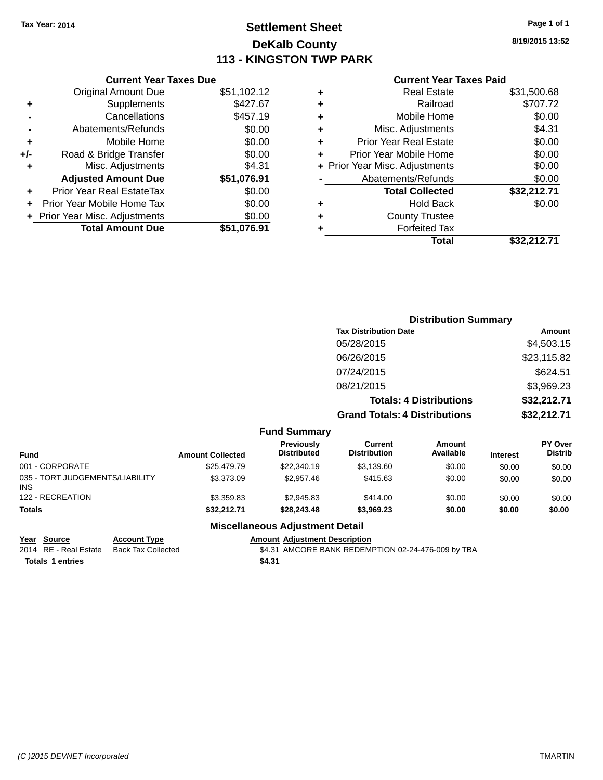# **Settlement Sheet Tax Year: 2014 Page 1 of 1 DeKalb County 113 - KINGSTON TWP PARK**

**8/19/2015 13:52**

|     | <b>Current Year Taxes Due</b>  |             |
|-----|--------------------------------|-------------|
|     | Original Amount Due            | \$51,102.12 |
| ٠   | Supplements                    | \$427.67    |
|     | Cancellations                  | \$457.19    |
|     | Abatements/Refunds             | \$0.00      |
| ٠   | Mobile Home                    | \$0.00      |
| +/- | Road & Bridge Transfer         | \$0.00      |
| ٠   | Misc. Adjustments              | \$4.31      |
|     | <b>Adjusted Amount Due</b>     | \$51,076.91 |
|     | Prior Year Real EstateTax      | \$0.00      |
|     | Prior Year Mobile Home Tax     | \$0.00      |
|     | + Prior Year Misc. Adjustments | \$0.00      |
|     | <b>Total Amount Due</b>        | \$51,076.91 |
|     |                                |             |

# **Current Year Taxes Paid**

|   | <b>Real Estate</b>             | \$31,500.68 |
|---|--------------------------------|-------------|
| ٠ | Railroad                       | \$707.72    |
| ٠ | Mobile Home                    | \$0.00      |
| ٠ | Misc. Adjustments              | \$4.31      |
| ٠ | <b>Prior Year Real Estate</b>  | \$0.00      |
| ٠ | Prior Year Mobile Home         | \$0.00      |
|   | + Prior Year Misc. Adjustments | \$0.00      |
|   | Abatements/Refunds             | \$0.00      |
|   | <b>Total Collected</b>         | \$32,212.71 |
| ٠ | Hold Back                      | \$0.00      |
| ٠ | <b>County Trustee</b>          |             |
| ٠ | <b>Forfeited Tax</b>           |             |
|   | Total                          | \$32,212.71 |
|   |                                |             |

|                                         | <b>Distribution Summary</b> |                                  |                                      |                                |                 |                           |
|-----------------------------------------|-----------------------------|----------------------------------|--------------------------------------|--------------------------------|-----------------|---------------------------|
|                                         |                             |                                  | <b>Tax Distribution Date</b>         |                                |                 | <b>Amount</b>             |
|                                         |                             |                                  | 05/28/2015                           |                                |                 | \$4,503.15                |
|                                         |                             |                                  | 06/26/2015                           |                                |                 | \$23,115.82               |
|                                         |                             |                                  | 07/24/2015                           |                                |                 | \$624.51                  |
|                                         |                             |                                  | 08/21/2015                           |                                |                 | \$3,969.23                |
|                                         |                             |                                  |                                      | <b>Totals: 4 Distributions</b> |                 | \$32,212.71               |
|                                         |                             |                                  | <b>Grand Totals: 4 Distributions</b> |                                |                 | \$32,212.71               |
|                                         |                             | <b>Fund Summary</b>              |                                      |                                |                 |                           |
| <b>Fund</b>                             | <b>Amount Collected</b>     | Previously<br><b>Distributed</b> | Current<br><b>Distribution</b>       | <b>Amount</b><br>Available     | <b>Interest</b> | PY Over<br><b>Distrib</b> |
| 001 - CORPORATE                         | \$25,479.79                 | \$22,340.19                      | \$3,139.60                           | \$0.00                         | \$0.00          | \$0.00                    |
| 035 - TORT JUDGEMENTS/LIABILITY<br>1010 | \$3,373.09                  | \$2,957.46                       | \$415.63                             | \$0.00                         | \$0.00          | \$0.00                    |

| Totals | \$32.212.71 | \$28,243,48                            | \$3.969.23 | \$0.00 | \$0.00 | \$0.00 |
|--------|-------------|----------------------------------------|------------|--------|--------|--------|
|        |             | <b>Miscellaneous Adjustment Detail</b> |            |        |        |        |

122 - RECREATION \$1,359.83 \$2,945.83 \$414.00 \$0.00 \$0.00 \$0.00 \$0.00

INS

**Totals \$4.31 1 entries**

#### **Year Source Account Type Amount Adjustment Description** \$4.31 AMCORE BANK REDEMPTION 02-24-476-009 by TBA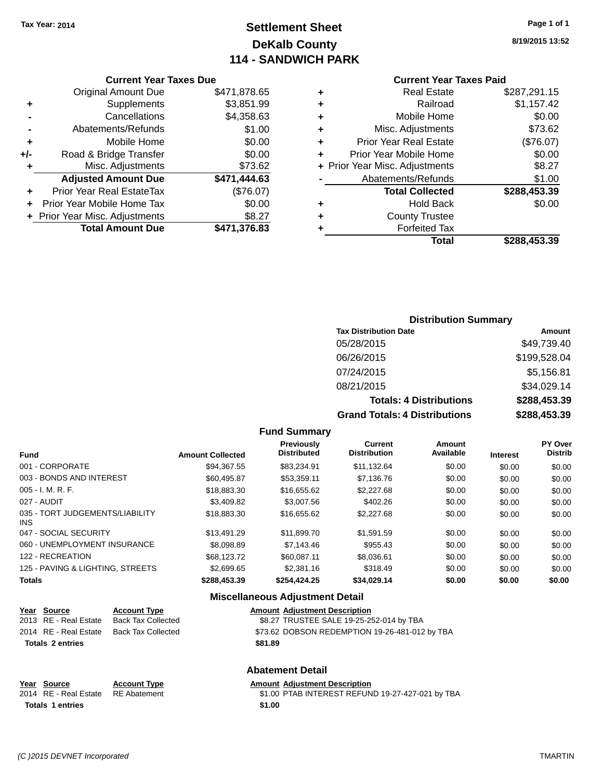# **Settlement Sheet Tax Year: 2014 Page 1 of 1 DeKalb County 114 - SANDWICH PARK**

**8/19/2015 13:52**

#### **Current Year Taxes Paid**

|     | <b>Current Year Taxes Due</b>  |              |  |  |  |  |
|-----|--------------------------------|--------------|--|--|--|--|
|     | <b>Original Amount Due</b>     | \$471,878.65 |  |  |  |  |
| ٠   | Supplements                    | \$3,851.99   |  |  |  |  |
|     | \$4,358.63<br>Cancellations    |              |  |  |  |  |
|     | \$1.00<br>Abatements/Refunds   |              |  |  |  |  |
| ٠   | Mobile Home                    | \$0.00       |  |  |  |  |
| +/- | Road & Bridge Transfer         | \$0.00       |  |  |  |  |
| ٠   | Misc. Adjustments              | \$73.62      |  |  |  |  |
|     | <b>Adjusted Amount Due</b>     | \$471,444.63 |  |  |  |  |
| ٠   | Prior Year Real EstateTax      | (\$76.07)    |  |  |  |  |
|     | Prior Year Mobile Home Tax     | \$0.00       |  |  |  |  |
|     | + Prior Year Misc. Adjustments | \$8.27       |  |  |  |  |
|     | <b>Total Amount Due</b>        | \$471,376.83 |  |  |  |  |
|     |                                |              |  |  |  |  |

| ٠ | <b>Real Estate</b>             | \$287,291.15 |
|---|--------------------------------|--------------|
| ٠ | Railroad                       | \$1,157.42   |
| ٠ | Mobile Home                    | \$0.00       |
| ٠ | Misc. Adjustments              | \$73.62      |
| ٠ | <b>Prior Year Real Estate</b>  | (\$76.07)    |
| ÷ | Prior Year Mobile Home         | \$0.00       |
|   | + Prior Year Misc. Adjustments | \$8.27       |
|   | Abatements/Refunds             | \$1.00       |
|   | <b>Total Collected</b>         | \$288,453.39 |
| ٠ | Hold Back                      | \$0.00       |
| ٠ | <b>County Trustee</b>          |              |
| ٠ | <b>Forfeited Tax</b>           |              |
|   | Total                          | \$288,453.39 |
|   |                                |              |

# **Distribution Summary**

| <b>Tax Distribution Date</b>         | Amount       |
|--------------------------------------|--------------|
| 05/28/2015                           | \$49,739.40  |
| 06/26/2015                           | \$199,528.04 |
| 07/24/2015                           | \$5,156.81   |
| 08/21/2015                           | \$34,029.14  |
| <b>Totals: 4 Distributions</b>       | \$288,453.39 |
| <b>Grand Totals: 4 Distributions</b> | \$288,453.39 |

#### **Fund Summary**

| <b>Fund</b>                             | <b>Amount Collected</b> | Previously<br><b>Distributed</b> | Current<br><b>Distribution</b> | Amount<br>Available | <b>Interest</b> | PY Over<br><b>Distrib</b> |
|-----------------------------------------|-------------------------|----------------------------------|--------------------------------|---------------------|-----------------|---------------------------|
| 001 - CORPORATE                         | \$94.367.55             | \$83.234.91                      | \$11.132.64                    | \$0.00              | \$0.00          | \$0.00                    |
| 003 - BONDS AND INTEREST                | \$60,495.87             | \$53.359.11                      | \$7,136,76                     | \$0.00              | \$0.00          | \$0.00                    |
| $005 - I. M. R. F.$                     | \$18,883,30             | \$16,655.62                      | \$2,227.68                     | \$0.00              | \$0.00          | \$0.00                    |
| 027 - AUDIT                             | \$3,409.82              | \$3,007.56                       | \$402.26                       | \$0.00              | \$0.00          | \$0.00                    |
| 035 - TORT JUDGEMENTS/LIABILITY<br>INS. | \$18,883,30             | \$16,655.62                      | \$2,227.68                     | \$0.00              | \$0.00          | \$0.00                    |
| 047 - SOCIAL SECURITY                   | \$13,491.29             | \$11.899.70                      | \$1.591.59                     | \$0.00              | \$0.00          | \$0.00                    |
| 060 - UNEMPLOYMENT INSURANCE            | \$8,098.89              | \$7,143.46                       | \$955.43                       | \$0.00              | \$0.00          | \$0.00                    |
| 122 - RECREATION                        | \$68,123,72             | \$60.087.11                      | \$8,036.61                     | \$0.00              | \$0.00          | \$0.00                    |
| 125 - PAVING & LIGHTING, STREETS        | \$2,699.65              | \$2,381.16                       | \$318.49                       | \$0.00              | \$0.00          | \$0.00                    |
| <b>Totals</b>                           | \$288,453,39            | \$254.424.25                     | \$34.029.14                    | \$0.00              | \$0.00          | \$0.00                    |

# **Miscellaneous Adjustment Detail**

| Year Source             | <b>Account Type</b>                      |  | <b>Amount Adjustment Description</b>           |
|-------------------------|------------------------------------------|--|------------------------------------------------|
| 2013 RE - Real Estate   | Back Tax Collected                       |  | \$8.27 TRUSTEE SALE 19-25-252-014 by TBA       |
|                         | 2014 RE - Real Estate Back Tax Collected |  | \$73.62 DOBSON REDEMPTION 19-26-481-012 by TBA |
| <b>Totals 2 entries</b> | \$81.89                                  |  |                                                |
|                         |                                          |  | <b>Abatement Detail</b>                        |

| Year Source             | <b>Account Type</b> | <b>Amount Adjustment Description</b>             |
|-------------------------|---------------------|--------------------------------------------------|
| 2014 RE - Real Estate   | RE Abatement        | \$1.00 PTAB INTEREST REFUND 19-27-427-021 by TBA |
| <b>Totals 1 entries</b> |                     | \$1.00                                           |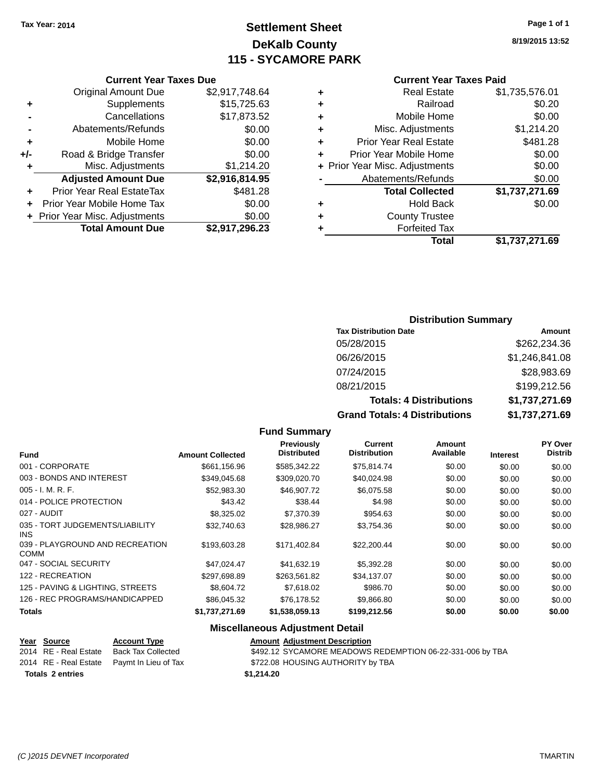# **Settlement Sheet Tax Year: 2014 Page 1 of 1 DeKalb County 115 - SYCAMORE PARK**

**8/19/2015 13:52**

|     | <b>Current Year Taxes Due</b>    |                |  |  |  |  |  |
|-----|----------------------------------|----------------|--|--|--|--|--|
|     | <b>Original Amount Due</b>       | \$2,917,748.64 |  |  |  |  |  |
| ٠   | Supplements                      | \$15,725.63    |  |  |  |  |  |
|     | Cancellations                    | \$17,873.52    |  |  |  |  |  |
|     | Abatements/Refunds               | \$0.00         |  |  |  |  |  |
| ٠   | Mobile Home                      | \$0.00         |  |  |  |  |  |
| +/- | Road & Bridge Transfer           | \$0.00         |  |  |  |  |  |
| ÷   | Misc. Adjustments                | \$1,214.20     |  |  |  |  |  |
|     | <b>Adjusted Amount Due</b>       | \$2,916,814.95 |  |  |  |  |  |
| ÷   | <b>Prior Year Real EstateTax</b> | \$481.28       |  |  |  |  |  |
| ÷   | Prior Year Mobile Home Tax       | \$0.00         |  |  |  |  |  |
|     | + Prior Year Misc. Adjustments   | \$0.00         |  |  |  |  |  |
|     | <b>Total Amount Due</b>          | \$2,917,296.23 |  |  |  |  |  |

|   | <b>Current Year Taxes Paid</b>            |                |  |  |  |  |  |
|---|-------------------------------------------|----------------|--|--|--|--|--|
| ٠ | <b>Real Estate</b><br>\$1,735,576.01      |                |  |  |  |  |  |
| ٠ | Railroad                                  | \$0.20         |  |  |  |  |  |
| ٠ | Mobile Home                               | \$0.00         |  |  |  |  |  |
| ٠ | Misc. Adjustments                         | \$1,214.20     |  |  |  |  |  |
| ٠ | \$481.28<br><b>Prior Year Real Estate</b> |                |  |  |  |  |  |
| ٠ | \$0.00<br>Prior Year Mobile Home          |                |  |  |  |  |  |
|   | + Prior Year Misc. Adjustments            | \$0.00         |  |  |  |  |  |
|   | Abatements/Refunds<br>\$0.00              |                |  |  |  |  |  |
|   | <b>Total Collected</b>                    | \$1,737,271.69 |  |  |  |  |  |
| ٠ | <b>Hold Back</b>                          | \$0.00         |  |  |  |  |  |
| ٠ | <b>County Trustee</b>                     |                |  |  |  |  |  |
|   | <b>Forfeited Tax</b>                      |                |  |  |  |  |  |
|   | Total                                     | \$1,737,271.69 |  |  |  |  |  |
|   |                                           |                |  |  |  |  |  |

#### **Distribution Summary**

| <b>Tax Distribution Date</b>         | Amount         |
|--------------------------------------|----------------|
| 05/28/2015                           | \$262,234.36   |
| 06/26/2015                           | \$1,246,841.08 |
| 07/24/2015                           | \$28,983.69    |
| 08/21/2015                           | \$199,212.56   |
| <b>Totals: 4 Distributions</b>       | \$1,737,271.69 |
| <b>Grand Totals: 4 Distributions</b> | \$1,737,271.69 |

#### **Fund Summary**

| <b>Fund</b>                                    | <b>Amount Collected</b> | Previously<br><b>Distributed</b> | Current<br><b>Distribution</b> | Amount<br>Available | <b>Interest</b> | <b>PY Over</b><br><b>Distrib</b> |
|------------------------------------------------|-------------------------|----------------------------------|--------------------------------|---------------------|-----------------|----------------------------------|
|                                                |                         |                                  |                                |                     |                 |                                  |
| 001 - CORPORATE                                | \$661,156.96            | \$585,342.22                     | \$75,814.74                    | \$0.00              | \$0.00          | \$0.00                           |
| 003 - BONDS AND INTEREST                       | \$349,045.68            | \$309,020.70                     | \$40,024.98                    | \$0.00              | \$0.00          | \$0.00                           |
| $005 - I. M. R. F.$                            | \$52,983.30             | \$46,907.72                      | \$6,075.58                     | \$0.00              | \$0.00          | \$0.00                           |
| 014 - POLICE PROTECTION                        | \$43.42                 | \$38.44                          | \$4.98                         | \$0.00              | \$0.00          | \$0.00                           |
| 027 - AUDIT                                    | \$8,325.02              | \$7,370.39                       | \$954.63                       | \$0.00              | \$0.00          | \$0.00                           |
| 035 - TORT JUDGEMENTS/LIABILITY<br>INS.        | \$32.740.63             | \$28.986.27                      | \$3,754.36                     | \$0.00              | \$0.00          | \$0.00                           |
| 039 - PLAYGROUND AND RECREATION<br><b>COMM</b> | \$193,603.28            | \$171.402.84                     | \$22,200.44                    | \$0.00              | \$0.00          | \$0.00                           |
| 047 - SOCIAL SECURITY                          | \$47,024.47             | \$41,632.19                      | \$5,392.28                     | \$0.00              | \$0.00          | \$0.00                           |
| 122 - RECREATION                               | \$297,698.89            | \$263,561.82                     | \$34,137.07                    | \$0.00              | \$0.00          | \$0.00                           |
| 125 - PAVING & LIGHTING, STREETS               | \$8,604.72              | \$7,618.02                       | \$986.70                       | \$0.00              | \$0.00          | \$0.00                           |
| 126 - REC PROGRAMS/HANDICAPPED                 | \$86,045.32             | \$76,178.52                      | \$9,866.80                     | \$0.00              | \$0.00          | \$0.00                           |
| <b>Totals</b>                                  | \$1,737,271.69          | \$1,538,059.13                   | \$199,212.56                   | \$0.00              | \$0.00          | \$0.00                           |

#### **Miscellaneous Adjustment Detail**

| Year Source             | <b>Account Type</b>                        | <b>Amount Adjustment Description</b>                      |
|-------------------------|--------------------------------------------|-----------------------------------------------------------|
| 2014 RE - Real Estate   | Back Tax Collected                         | \$492.12 SYCAMORE MEADOWS REDEMPTION 06-22-331-006 by TBA |
|                         | 2014 RE - Real Estate Paymt In Lieu of Tax | \$722.08 HOUSING AUTHORITY by TBA                         |
| <b>Totals 2 entries</b> |                                            | \$1,214.20                                                |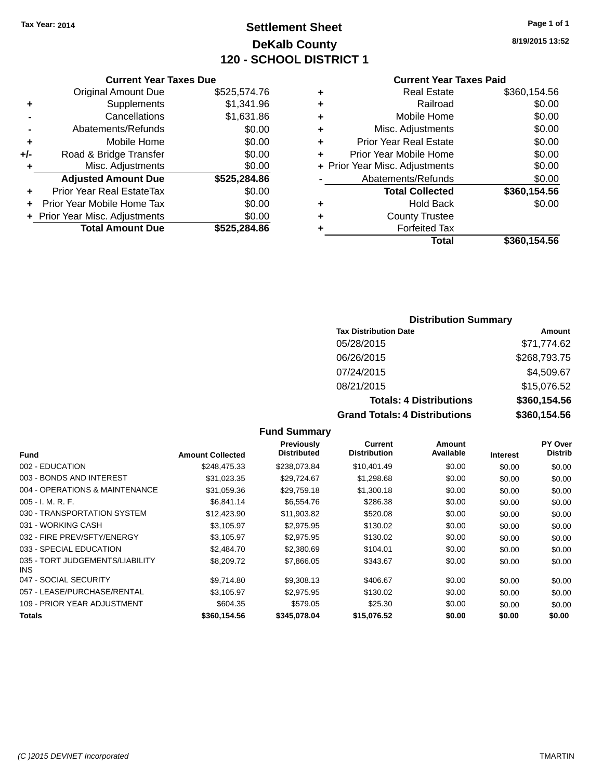# **Settlement Sheet Tax Year: 2014 Page 1 of 1 DeKalb County 120 - SCHOOL DISTRICT 1**

**8/19/2015 13:52**

#### **Current Year Taxes Paid**

|     | <b>Current Year Taxes Due</b> |              |  |  |
|-----|-------------------------------|--------------|--|--|
|     | <b>Original Amount Due</b>    | \$525,574.76 |  |  |
| ٠   | Supplements                   | \$1,341.96   |  |  |
|     | Cancellations                 | \$1,631.86   |  |  |
|     | Abatements/Refunds            | \$0.00       |  |  |
| ٠   | Mobile Home                   | \$0.00       |  |  |
| +/- | Road & Bridge Transfer        | \$0.00       |  |  |
| ٠   | Misc. Adjustments             | \$0.00       |  |  |
|     | <b>Adjusted Amount Due</b>    | \$525,284.86 |  |  |
| ÷   | Prior Year Real EstateTax     | \$0.00       |  |  |
| ٠   | Prior Year Mobile Home Tax    | \$0.00       |  |  |
|     | Prior Year Misc. Adjustments  | \$0.00       |  |  |
|     | <b>Total Amount Due</b>       | \$525,284.86 |  |  |
|     |                               |              |  |  |

| ٠ | <b>Real Estate</b>             | \$360,154.56 |
|---|--------------------------------|--------------|
| ٠ | Railroad                       | \$0.00       |
| ٠ | Mobile Home                    | \$0.00       |
| ٠ | Misc. Adjustments              | \$0.00       |
| ٠ | <b>Prior Year Real Estate</b>  | \$0.00       |
| ÷ | Prior Year Mobile Home         | \$0.00       |
|   | + Prior Year Misc. Adjustments | \$0.00       |
|   | Abatements/Refunds             | \$0.00       |
|   | <b>Total Collected</b>         | \$360,154.56 |
| ٠ | <b>Hold Back</b>               | \$0.00       |
| ٠ | <b>County Trustee</b>          |              |
| ٠ | <b>Forfeited Tax</b>           |              |
|   | Total                          | \$360,154.56 |
|   |                                |              |

#### **Distribution Summary**

| <b>Tax Distribution Date</b>         | Amount       |
|--------------------------------------|--------------|
| 05/28/2015                           | \$71,774.62  |
| 06/26/2015                           | \$268,793.75 |
| 07/24/2015                           | \$4,509.67   |
| 08/21/2015                           | \$15,076.52  |
| <b>Totals: 4 Distributions</b>       | \$360,154.56 |
| <b>Grand Totals: 4 Distributions</b> | \$360,154.56 |

#### **Fund Interest Amount Collected Distributed PY Over Distrib Amount Available Current Distribution Previously** 002 - EDUCATION \$248,475.33 \$238,073.84 \$10,401.49 \$0.00 \$0.00 \$0.00 003 - BONDS AND INTEREST 631,023.35 \$29,724.67 \$1,298.68 \$0.00 \$0.00 \$0.00 \$0.00 004 - OPERATIONS & MAINTENANCE \$31,059.36 \$29,759.18 \$1,300.18 \$0.00 \$0.00 \$0.00 005 - I. M. R. F. \$6,841.14 \$6,554.76 \$286.38 \$0.00 \$0.00 \$0.00 030 - TRANSPORTATION SYSTEM \$12,423.90 \$11,903.82 \$520.08 \$0.00 \$0.00 \$0.00 \$0.00 031 - WORKING CASH \$13,105.97 \$2,975.95 \$130.02 \$0.00 \$0.00 \$0.00 \$0.00 032 - FIRE PREV/SFTY/ENERGY \$3,105.97 \$2,975.95 \$130.02 \$0.00 \$0.00 \$0.00 \$0.00 033 - SPECIAL EDUCATION 62,484.70 \$2,380.69 \$104.01 \$0.00 \$0.00 \$0.00 \$0.00 035 - TORT JUDGEMENTS/LIABILITY INS \$8,209.72 \$7,866.05 \$343.67 \$0.00 \$0.00 \$0.00 047 - SOCIAL SECURITY \$9,714.80 \$9,308.13 \$0.00 \$0.00 \$0.00 \$0.00 \$0.00 057 - LEASE/PURCHASE/RENTAL  $$3,105.97$   $$2,975.95$   $$130.02$   $$0.00$   $$0.00$   $$0.00$ 109 - PRIOR YEAR ADJUSTMENT **\$604.35** \$579.05 \$25.30 \$0.00 \$0.00 \$0.00 \$0.00 **Totals \$360,154.56 \$345,078.04 \$15,076.52 \$0.00 \$0.00 \$0.00**

**Fund Summary**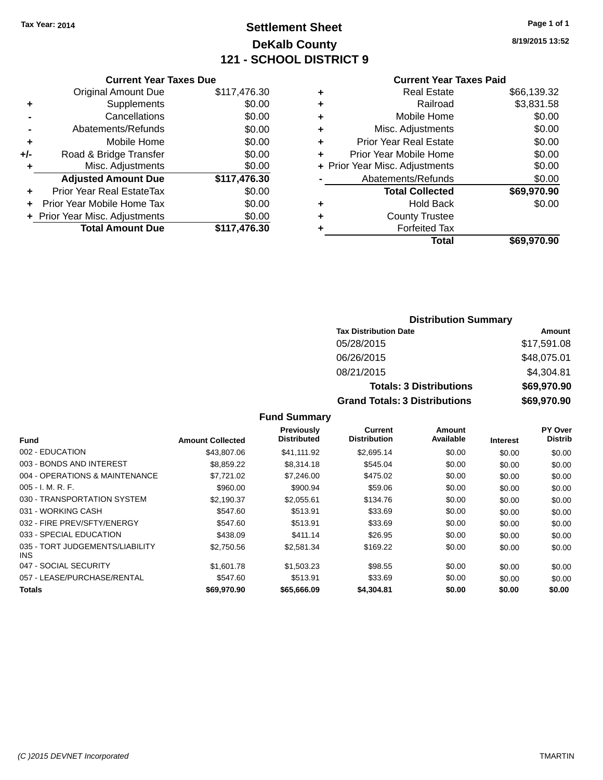## **Settlement Sheet Tax Year: 2014 Page 1 of 1 DeKalb County 121 - SCHOOL DISTRICT 9**

**8/19/2015 13:52**

#### **Current Year Taxes Paid**

|     | <b>Current Year Taxes Due</b>  |              |  |  |
|-----|--------------------------------|--------------|--|--|
|     | <b>Original Amount Due</b>     | \$117,476.30 |  |  |
| ٠   | Supplements                    | \$0.00       |  |  |
|     | Cancellations                  | \$0.00       |  |  |
|     | Abatements/Refunds             | \$0.00       |  |  |
| ٠   | Mobile Home                    | \$0.00       |  |  |
| +/- | Road & Bridge Transfer         | \$0.00       |  |  |
|     | Misc. Adjustments              | \$0.00       |  |  |
|     | <b>Adjusted Amount Due</b>     | \$117,476.30 |  |  |
| ٠   | Prior Year Real EstateTax      | \$0.00       |  |  |
|     | Prior Year Mobile Home Tax     | \$0.00       |  |  |
|     | + Prior Year Misc. Adjustments | \$0.00       |  |  |
|     | <b>Total Amount Due</b>        | \$117.476.30 |  |  |
|     |                                |              |  |  |

|   | <b>Real Estate</b>             | \$66,139.32 |
|---|--------------------------------|-------------|
| ٠ | Railroad                       | \$3,831.58  |
| ٠ | Mobile Home                    | \$0.00      |
| ٠ | Misc. Adjustments              | \$0.00      |
| ٠ | <b>Prior Year Real Estate</b>  | \$0.00      |
| ٠ | Prior Year Mobile Home         | \$0.00      |
|   | + Prior Year Misc. Adjustments | \$0.00      |
|   | Abatements/Refunds             | \$0.00      |
|   | <b>Total Collected</b>         | \$69,970.90 |
| ٠ | <b>Hold Back</b>               | \$0.00      |
| ٠ | <b>County Trustee</b>          |             |
| ٠ | <b>Forfeited Tax</b>           |             |
|   | Total                          | \$69,970.90 |
|   |                                |             |

### **Distribution Summary Tax Distribution Date Amount** 05/28/2015 \$17,591.08 06/26/2015 \$48,075.01 08/21/2015 \$4,304.81 **Totals: 3 Distributions \$69,970.90 Grand Totals: 3 Distributions \$69,970.90**

| Fund                                    | <b>Amount Collected</b> | <b>Previously</b><br><b>Distributed</b> | Current<br><b>Distribution</b> | Amount<br>Available | <b>Interest</b> | PY Over<br><b>Distrib</b> |
|-----------------------------------------|-------------------------|-----------------------------------------|--------------------------------|---------------------|-----------------|---------------------------|
| 002 - EDUCATION                         | \$43,807.06             | \$41,111.92                             | \$2,695.14                     | \$0.00              | \$0.00          | \$0.00                    |
| 003 - BONDS AND INTEREST                | \$8.859.22              | \$8,314.18                              | \$545.04                       | \$0.00              | \$0.00          | \$0.00                    |
| 004 - OPERATIONS & MAINTENANCE          | \$7,721.02              | \$7,246,00                              | \$475.02                       | \$0.00              | \$0.00          | \$0.00                    |
| $005 - I. M. R. F.$                     | \$960.00                | \$900.94                                | \$59.06                        | \$0.00              | \$0.00          | \$0.00                    |
| 030 - TRANSPORTATION SYSTEM             | \$2.190.37              | \$2.055.61                              | \$134.76                       | \$0.00              | \$0.00          | \$0.00                    |
| 031 - WORKING CASH                      | \$547.60                | \$513.91                                | \$33.69                        | \$0.00              | \$0.00          | \$0.00                    |
| 032 - FIRE PREV/SFTY/ENERGY             | \$547.60                | \$513.91                                | \$33.69                        | \$0.00              | \$0.00          | \$0.00                    |
| 033 - SPECIAL EDUCATION                 | \$438.09                | \$411.14                                | \$26.95                        | \$0.00              | \$0.00          | \$0.00                    |
| 035 - TORT JUDGEMENTS/LIABILITY<br>INS. | \$2,750.56              | \$2,581.34                              | \$169.22                       | \$0.00              | \$0.00          | \$0.00                    |
| 047 - SOCIAL SECURITY                   | \$1,601.78              | \$1,503.23                              | \$98.55                        | \$0.00              | \$0.00          | \$0.00                    |
| 057 - LEASE/PURCHASE/RENTAL             | \$547.60                | \$513.91                                | \$33.69                        | \$0.00              | \$0.00          | \$0.00                    |
| <b>Totals</b>                           | \$69,970.90             | \$65,666,09                             | \$4.304.81                     | \$0.00              | \$0.00          | \$0.00                    |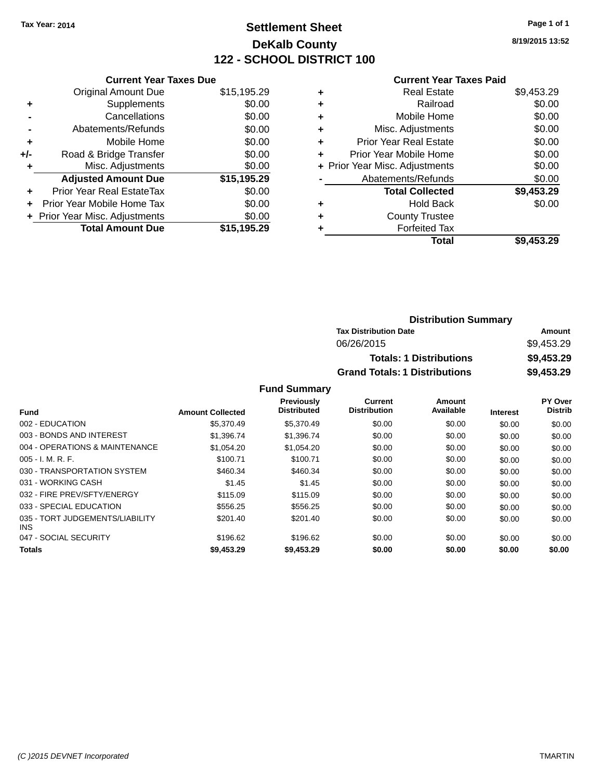## **Settlement Sheet Tax Year: 2014 Page 1 of 1 DeKalb County 122 - SCHOOL DISTRICT 100**

**8/19/2015 13:52**

#### **Current Year Taxes Paid**

|     | <b>Current Year Taxes Due</b>  |             |
|-----|--------------------------------|-------------|
|     | <b>Original Amount Due</b>     | \$15,195.29 |
| ÷   | Supplements                    | \$0.00      |
|     | Cancellations                  | \$0.00      |
|     | Abatements/Refunds             | \$0.00      |
| ٠   | Mobile Home                    | \$0.00      |
| +/- | Road & Bridge Transfer         | \$0.00      |
| ٠   | Misc. Adjustments              | \$0.00      |
|     | <b>Adjusted Amount Due</b>     | \$15,195.29 |
| ÷   | Prior Year Real EstateTax      | \$0.00      |
|     | Prior Year Mobile Home Tax     | \$0.00      |
|     | + Prior Year Misc. Adjustments | \$0.00      |
|     | <b>Total Amount Due</b>        | \$15,195.29 |
|     |                                |             |

| ٠ | <b>Real Estate</b>             | \$9,453.29 |
|---|--------------------------------|------------|
| ٠ | Railroad                       | \$0.00     |
| ٠ | Mobile Home                    | \$0.00     |
| ٠ | Misc. Adjustments              | \$0.00     |
| ٠ | <b>Prior Year Real Estate</b>  | \$0.00     |
| ٠ | Prior Year Mobile Home         | \$0.00     |
|   | + Prior Year Misc. Adjustments | \$0.00     |
|   | Abatements/Refunds             | \$0.00     |
|   | <b>Total Collected</b>         | \$9,453.29 |
| ٠ | Hold Back                      | \$0.00     |
| ٠ | <b>County Trustee</b>          |            |
| ٠ | <b>Forfeited Tax</b>           |            |
|   | Total                          | \$9,453.29 |
|   |                                |            |

| <b>Distribution Summary</b>          |            |  |
|--------------------------------------|------------|--|
| <b>Tax Distribution Date</b>         | Amount     |  |
| 06/26/2015                           | \$9,453.29 |  |
| <b>Totals: 1 Distributions</b>       | \$9,453.29 |  |
| <b>Grand Totals: 1 Distributions</b> | \$9,453.29 |  |

| <b>Amount Collected</b> | <b>Previously</b><br><b>Distributed</b> | Current<br><b>Distribution</b> | Amount<br>Available | <b>Interest</b> | PY Over<br><b>Distrib</b> |
|-------------------------|-----------------------------------------|--------------------------------|---------------------|-----------------|---------------------------|
| \$5,370.49              | \$5,370.49                              | \$0.00                         | \$0.00              | \$0.00          | \$0.00                    |
| \$1.396.74              | \$1,396.74                              | \$0.00                         | \$0.00              | \$0.00          | \$0.00                    |
| \$1.054.20              | \$1.054.20                              | \$0.00                         | \$0.00              | \$0.00          | \$0.00                    |
| \$100.71                | \$100.71                                | \$0.00                         | \$0.00              | \$0.00          | \$0.00                    |
| \$460.34                | \$460.34                                | \$0.00                         | \$0.00              | \$0.00          | \$0.00                    |
| \$1.45                  | \$1.45                                  | \$0.00                         | \$0.00              | \$0.00          | \$0.00                    |
| \$115.09                | \$115.09                                | \$0.00                         | \$0.00              | \$0.00          | \$0.00                    |
| \$556.25                | \$556.25                                | \$0.00                         | \$0.00              | \$0.00          | \$0.00                    |
| \$201.40                | \$201.40                                | \$0.00                         | \$0.00              | \$0.00          | \$0.00                    |
| \$196.62                | \$196.62                                | \$0.00                         | \$0.00              | \$0.00          | \$0.00                    |
| \$9,453.29              | \$9,453.29                              | \$0.00                         | \$0.00              | \$0.00          | \$0.00                    |
|                         |                                         |                                |                     |                 |                           |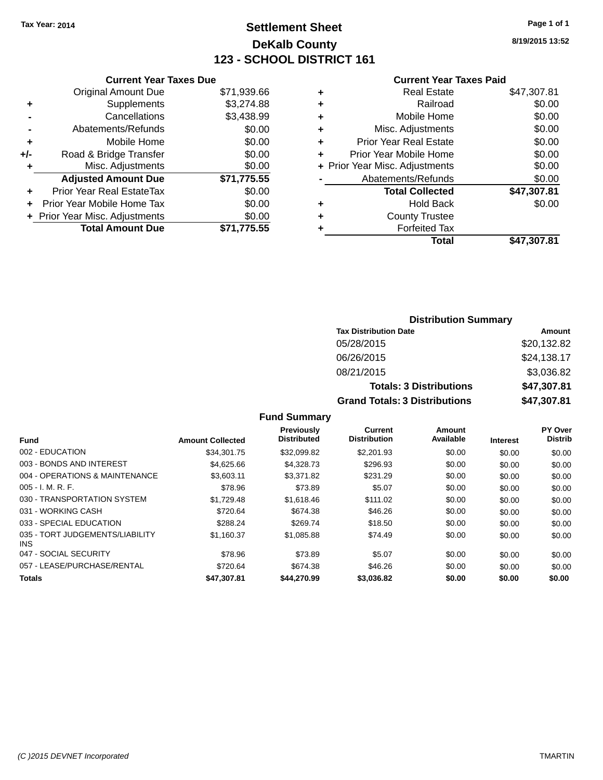## **Settlement Sheet Tax Year: 2014 Page 1 of 1 DeKalb County 123 - SCHOOL DISTRICT 161**

**8/19/2015 13:52**

#### **Current Year Taxes Paid**

|     | <b>Current Year Taxes Due</b>  |             |  |  |  |
|-----|--------------------------------|-------------|--|--|--|
|     | <b>Original Amount Due</b>     | \$71,939.66 |  |  |  |
| ٠   | Supplements                    | \$3,274.88  |  |  |  |
|     | Cancellations                  | \$3,438.99  |  |  |  |
|     | Abatements/Refunds             | \$0.00      |  |  |  |
| ٠   | Mobile Home                    | \$0.00      |  |  |  |
| +/- | Road & Bridge Transfer         | \$0.00      |  |  |  |
|     | Misc. Adjustments              | \$0.00      |  |  |  |
|     | <b>Adjusted Amount Due</b>     | \$71,775.55 |  |  |  |
| ٠   | Prior Year Real EstateTax      | \$0.00      |  |  |  |
|     | Prior Year Mobile Home Tax     | \$0.00      |  |  |  |
|     | + Prior Year Misc. Adjustments | \$0.00      |  |  |  |
|     | <b>Total Amount Due</b>        | \$71.775.55 |  |  |  |
|     |                                |             |  |  |  |

|   | <b>Real Estate</b>             | \$47,307.81 |
|---|--------------------------------|-------------|
| ٠ | Railroad                       | \$0.00      |
| ٠ | Mobile Home                    | \$0.00      |
| ٠ | Misc. Adjustments              | \$0.00      |
| ٠ | Prior Year Real Estate         | \$0.00      |
| ٠ | Prior Year Mobile Home         | \$0.00      |
|   | + Prior Year Misc. Adjustments | \$0.00      |
|   | Abatements/Refunds             | \$0.00      |
|   | <b>Total Collected</b>         | \$47,307.81 |
| ٠ | Hold Back                      | \$0.00      |
| ٠ | <b>County Trustee</b>          |             |
| ٠ | <b>Forfeited Tax</b>           |             |
|   | Total                          | \$47,307.81 |
|   |                                |             |

### **Distribution Summary Tax Distribution Date Amount** 05/28/2015 \$20,132.82 06/26/2015 \$24,138.17 08/21/2015 \$3,036.82 **Totals: 3 Distributions \$47,307.81 Grand Totals: 3 Distributions \$47,307.81**

| <b>Fund</b>                             | <b>Amount Collected</b> | Previously<br><b>Distributed</b> | <b>Current</b><br><b>Distribution</b> | <b>Amount</b><br>Available | <b>Interest</b> | PY Over<br><b>Distrib</b> |
|-----------------------------------------|-------------------------|----------------------------------|---------------------------------------|----------------------------|-----------------|---------------------------|
| 002 - EDUCATION                         | \$34.301.75             | \$32,099.82                      | \$2,201.93                            | \$0.00                     | \$0.00          | \$0.00                    |
| 003 - BONDS AND INTEREST                | \$4,625.66              | \$4,328.73                       | \$296.93                              | \$0.00                     | \$0.00          | \$0.00                    |
| 004 - OPERATIONS & MAINTENANCE          | \$3,603.11              | \$3.371.82                       | \$231.29                              | \$0.00                     | \$0.00          | \$0.00                    |
| $005 - I. M. R. F.$                     | \$78.96                 | \$73.89                          | \$5.07                                | \$0.00                     | \$0.00          | \$0.00                    |
| 030 - TRANSPORTATION SYSTEM             | \$1.729.48              | \$1.618.46                       | \$111.02                              | \$0.00                     | \$0.00          | \$0.00                    |
| 031 - WORKING CASH                      | \$720.64                | \$674.38                         | \$46.26                               | \$0.00                     | \$0.00          | \$0.00                    |
| 033 - SPECIAL EDUCATION                 | \$288.24                | \$269.74                         | \$18.50                               | \$0.00                     | \$0.00          | \$0.00                    |
| 035 - TORT JUDGEMENTS/LIABILITY<br>INS. | \$1,160.37              | \$1,085.88                       | \$74.49                               | \$0.00                     | \$0.00          | \$0.00                    |
| 047 - SOCIAL SECURITY                   | \$78.96                 | \$73.89                          | \$5.07                                | \$0.00                     | \$0.00          | \$0.00                    |
| 057 - LEASE/PURCHASE/RENTAL             | \$720.64                | \$674.38                         | \$46.26                               | \$0.00                     | \$0.00          | \$0.00                    |
| <b>Totals</b>                           | \$47.307.81             | \$44.270.99                      | \$3,036.82                            | \$0.00                     | \$0.00          | \$0.00                    |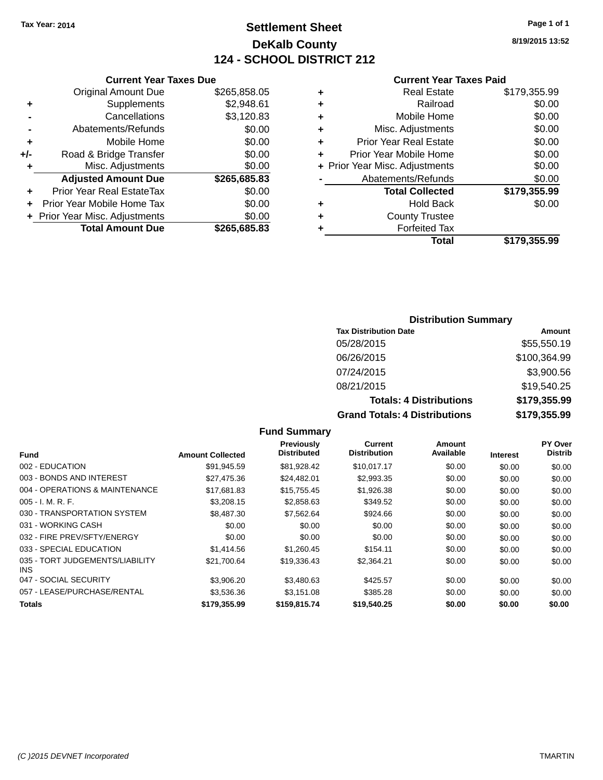## **Settlement Sheet Tax Year: 2014 Page 1 of 1 DeKalb County 124 - SCHOOL DISTRICT 212**

**8/19/2015 13:52**

#### **Current Year Taxes Paid**

|     | <b>Original Amount Due</b>       | \$265,858.05 |
|-----|----------------------------------|--------------|
| ٠   | Supplements                      | \$2,948.61   |
|     | Cancellations                    | \$3,120.83   |
| -   | Abatements/Refunds               | \$0.00       |
| ٠   | Mobile Home                      | \$0.00       |
| +/- | Road & Bridge Transfer           | \$0.00       |
| ٠   | Misc. Adjustments                | \$0.00       |
|     | <b>Adjusted Amount Due</b>       | \$265,685.83 |
| ٠   | <b>Prior Year Real EstateTax</b> | \$0.00       |
| ٠   | Prior Year Mobile Home Tax       | \$0.00       |
|     | + Prior Year Misc. Adjustments   | \$0.00       |
|     | <b>Total Amount Due</b>          | \$265,685.83 |
|     |                                  |              |

**Current Year Taxes Due**

| ٠ | <b>Real Estate</b>             | \$179,355.99 |
|---|--------------------------------|--------------|
| ٠ | Railroad                       | \$0.00       |
| ٠ | Mobile Home                    | \$0.00       |
| ٠ | Misc. Adjustments              | \$0.00       |
| ٠ | <b>Prior Year Real Estate</b>  | \$0.00       |
| ٠ | Prior Year Mobile Home         | \$0.00       |
|   | + Prior Year Misc. Adjustments | \$0.00       |
|   | Abatements/Refunds             | \$0.00       |
|   | <b>Total Collected</b>         | \$179,355.99 |
| ٠ | <b>Hold Back</b>               | \$0.00       |
| ٠ | <b>County Trustee</b>          |              |
| ٠ | <b>Forfeited Tax</b>           |              |
|   | Total                          | \$179,355.99 |
|   |                                |              |

#### **Distribution Summary**

| <b>Tax Distribution Date</b>         | Amount       |
|--------------------------------------|--------------|
| 05/28/2015                           | \$55,550.19  |
| 06/26/2015                           | \$100,364.99 |
| 07/24/2015                           | \$3,900.56   |
| 08/21/2015                           | \$19,540.25  |
| <b>Totals: 4 Distributions</b>       | \$179,355.99 |
| <b>Grand Totals: 4 Distributions</b> | \$179,355.99 |

#### **Fund Summary Fund Interest Amount Collected Distributed PY Over Distrib Amount Available Current Distribution Previously** 002 - EDUCATION \$91,945.59 \$81,928.42 \$10,017.17 \$0.00 \$0.00 \$0.00 003 - BONDS AND INTEREST 60.00 \$27,475.36 \$24,482.01 \$2,993.35 \$0.00 \$0.00 \$0.00 004 - OPERATIONS & MAINTENANCE \$17,681.83 \$15,755.45 \$1,926.38 \$0.00 \$0.00 \$0.00 005 - I. M. R. F. \$3,208.15 \$2,858.63 \$349.52 \$0.00 \$0.00 \$0.00 030 - TRANSPORTATION SYSTEM \$8,487.30 \$7,562.64 \$924.66 \$0.00 \$0.00 \$0.00 \$0.00 031 - WORKING CASH \$0.00 \$0.00 \$0.00 \$0.00 \$0.00 \$0.00 \$0.00 \$0.00 \$0.00 \$0.00 \$0.00 \$0.00 \$0.00 032 - FIRE PREV/SFTY/ENERGY  $$0.00$   $$0.00$   $$0.00$   $$0.00$   $$0.00$   $$0.00$   $$0.00$   $$0.00$ 033 - SPECIAL EDUCATION \$1,414.56 \$1,260.45 \$154.11 \$0.00 \$0.00 \$0.00 \$0.00 035 - TORT JUDGEMENTS/LIABILITY INS \$21,700.64 \$19,336.43 \$2,364.21 \$0.00 \$0.00 \$0.00 047 - SOCIAL SECURITY 63,906.20 \$3,480.63 \$425.57 \$0.00 \$0.00 \$0.00 \$0.00 057 - LEASE/PURCHASE/RENTAL \$3,536.36 \$3,151.08 \$385.28 \$0.00 \$0.00 \$0.00 **Totals \$179,355.99 \$159,815.74 \$19,540.25 \$0.00 \$0.00 \$0.00**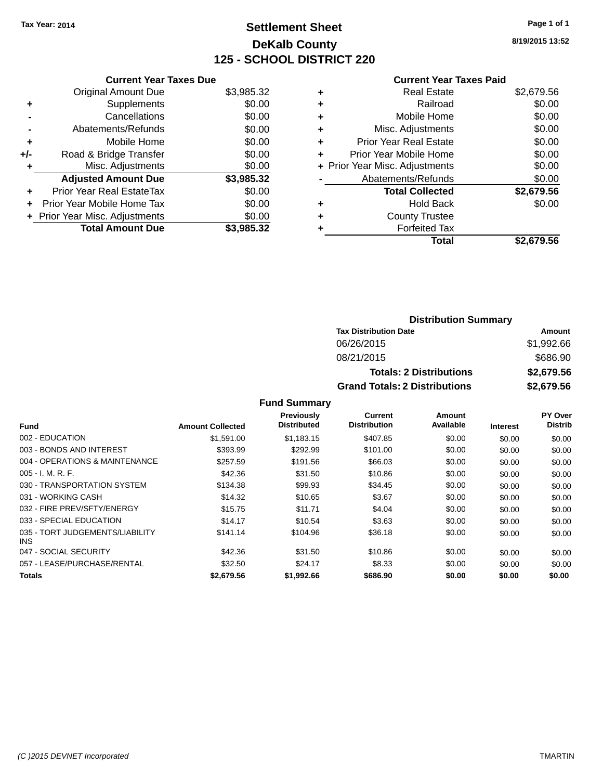## **Settlement Sheet Tax Year: 2014 Page 1 of 1 DeKalb County 125 - SCHOOL DISTRICT 220**

**8/19/2015 13:52**

#### **Current Year Taxes Paid**

|     | <b>Current Year Taxes Due</b>  |            |
|-----|--------------------------------|------------|
|     | <b>Original Amount Due</b>     | \$3,985.32 |
| ٠   | Supplements                    | \$0.00     |
|     | Cancellations                  | \$0.00     |
|     | Abatements/Refunds             | \$0.00     |
| ٠   | Mobile Home                    | \$0.00     |
| +/- | Road & Bridge Transfer         | \$0.00     |
|     | Misc. Adjustments              | \$0.00     |
|     | <b>Adjusted Amount Due</b>     | \$3,985.32 |
| ٠   | Prior Year Real EstateTax      | \$0.00     |
| ÷   | Prior Year Mobile Home Tax     | \$0.00     |
|     | + Prior Year Misc. Adjustments | \$0.00     |
|     | <b>Total Amount Due</b>        | \$3.985.32 |

| ٠ | <b>Real Estate</b>             | \$2,679.56 |
|---|--------------------------------|------------|
| ٠ | Railroad                       | \$0.00     |
| ٠ | Mobile Home                    | \$0.00     |
| ٠ | Misc. Adjustments              | \$0.00     |
| ٠ | <b>Prior Year Real Estate</b>  | \$0.00     |
| ÷ | Prior Year Mobile Home         | \$0.00     |
|   | + Prior Year Misc. Adjustments | \$0.00     |
|   | Abatements/Refunds             | \$0.00     |
|   | <b>Total Collected</b>         | \$2,679.56 |
| ٠ | Hold Back                      | \$0.00     |
| ٠ | <b>County Trustee</b>          |            |
| ٠ | <b>Forfeited Tax</b>           |            |
|   | Total                          | \$2,679.56 |
|   |                                |            |

| <b>Distribution Summary</b>          |            |  |  |  |
|--------------------------------------|------------|--|--|--|
| <b>Tax Distribution Date</b>         | Amount     |  |  |  |
| 06/26/2015                           | \$1,992.66 |  |  |  |
| 08/21/2015                           | \$686.90   |  |  |  |
| <b>Totals: 2 Distributions</b>       | \$2,679.56 |  |  |  |
| <b>Grand Totals: 2 Distributions</b> | \$2,679.56 |  |  |  |

|                                         |                         | <b>Previously</b>  | Current             | Amount    |                 | PY Over        |
|-----------------------------------------|-------------------------|--------------------|---------------------|-----------|-----------------|----------------|
| <b>Fund</b>                             | <b>Amount Collected</b> | <b>Distributed</b> | <b>Distribution</b> | Available | <b>Interest</b> | <b>Distrib</b> |
| 002 - EDUCATION                         | \$1.591.00              | \$1.183.15         | \$407.85            | \$0.00    | \$0.00          | \$0.00         |
| 003 - BONDS AND INTEREST                | \$393.99                | \$292.99           | \$101.00            | \$0.00    | \$0.00          | \$0.00         |
| 004 - OPERATIONS & MAINTENANCE          | \$257.59                | \$191.56           | \$66.03             | \$0.00    | \$0.00          | \$0.00         |
| $005 - I. M. R. F.$                     | \$42.36                 | \$31.50            | \$10.86             | \$0.00    | \$0.00          | \$0.00         |
| 030 - TRANSPORTATION SYSTEM             | \$134.38                | \$99.93            | \$34.45             | \$0.00    | \$0.00          | \$0.00         |
| 031 - WORKING CASH                      | \$14.32                 | \$10.65            | \$3.67              | \$0.00    | \$0.00          | \$0.00         |
| 032 - FIRE PREV/SFTY/ENERGY             | \$15.75                 | \$11.71            | \$4.04              | \$0.00    | \$0.00          | \$0.00         |
| 033 - SPECIAL EDUCATION                 | \$14.17                 | \$10.54            | \$3.63              | \$0.00    | \$0.00          | \$0.00         |
| 035 - TORT JUDGEMENTS/LIABILITY<br>INS. | \$141.14                | \$104.96           | \$36.18             | \$0.00    | \$0.00          | \$0.00         |
| 047 - SOCIAL SECURITY                   | \$42.36                 | \$31.50            | \$10.86             | \$0.00    | \$0.00          | \$0.00         |
| 057 - LEASE/PURCHASE/RENTAL             | \$32.50                 | \$24.17            | \$8.33              | \$0.00    | \$0.00          | \$0.00         |
| <b>Totals</b>                           | \$2,679.56              | \$1,992.66         | \$686.90            | \$0.00    | \$0.00          | \$0.00         |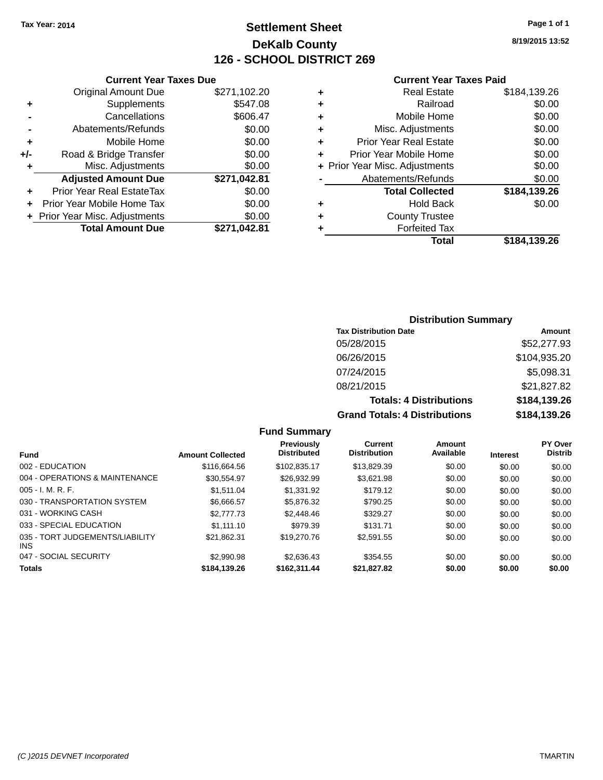## **Settlement Sheet Tax Year: 2014 Page 1 of 1 DeKalb County 126 - SCHOOL DISTRICT 269**

**8/19/2015 13:52**

#### **Current Year Taxes Paid**

|     | <b>Current Year Taxes Due</b>  |              |  |
|-----|--------------------------------|--------------|--|
|     | <b>Original Amount Due</b>     | \$271,102.20 |  |
| ٠   | Supplements                    | \$547.08     |  |
|     | Cancellations                  | \$606.47     |  |
|     | Abatements/Refunds             | \$0.00       |  |
| ٠   | Mobile Home                    | \$0.00       |  |
| +/- | Road & Bridge Transfer         | \$0.00       |  |
| ٠   | Misc. Adjustments              | \$0.00       |  |
|     | <b>Adjusted Amount Due</b>     | \$271,042.81 |  |
| ÷   | Prior Year Real EstateTax      | \$0.00       |  |
| ÷   | Prior Year Mobile Home Tax     | \$0.00       |  |
|     | + Prior Year Misc. Adjustments | \$0.00       |  |
|     | <b>Total Amount Due</b>        | \$271,042.81 |  |
|     |                                |              |  |

| <b>Real Estate</b>             | \$184,139.26 |
|--------------------------------|--------------|
| Railroad                       | \$0.00       |
| Mobile Home                    | \$0.00       |
| Misc. Adjustments              | \$0.00       |
| <b>Prior Year Real Estate</b>  | \$0.00       |
| Prior Year Mobile Home         | \$0.00       |
| + Prior Year Misc. Adjustments | \$0.00       |
| Abatements/Refunds             | \$0.00       |
| <b>Total Collected</b>         | \$184,139.26 |
| Hold Back                      | \$0.00       |
| <b>County Trustee</b>          |              |
| <b>Forfeited Tax</b>           |              |
| Total                          | \$184,139.26 |
|                                |              |

### **Distribution Summary Tax Distribution Date Amount** 05/28/2015 \$52,277.93 06/26/2015 \$104,935.20 07/24/2015 \$5,098.31 08/21/2015 \$21,827.82 **Totals: 4 Distributions \$184,139.26 Grand Totals: 4 Distributions \$184,139.26**

| <b>Fund</b>                             | <b>Amount Collected</b> | Previously<br><b>Distributed</b> | Current<br><b>Distribution</b> | Amount<br>Available | <b>Interest</b> | <b>PY Over</b><br><b>Distrib</b> |
|-----------------------------------------|-------------------------|----------------------------------|--------------------------------|---------------------|-----------------|----------------------------------|
| 002 - EDUCATION                         | \$116,664.56            | \$102.835.17                     | \$13,829.39                    | \$0.00              | \$0.00          | \$0.00                           |
| 004 - OPERATIONS & MAINTENANCE          | \$30.554.97             | \$26.932.99                      | \$3.621.98                     | \$0.00              | \$0.00          | \$0.00                           |
| 005 - I. M. R. F.                       | \$1.511.04              | \$1,331.92                       | \$179.12                       | \$0.00              | \$0.00          | \$0.00                           |
| 030 - TRANSPORTATION SYSTEM             | \$6.666.57              | \$5,876,32                       | \$790.25                       | \$0.00              | \$0.00          | \$0.00                           |
| 031 - WORKING CASH                      | \$2,777.73              | \$2,448.46                       | \$329.27                       | \$0.00              | \$0.00          | \$0.00                           |
| 033 - SPECIAL EDUCATION                 | \$1.111.10              | \$979.39                         | \$131.71                       | \$0.00              | \$0.00          | \$0.00                           |
| 035 - TORT JUDGEMENTS/LIABILITY<br>INS. | \$21.862.31             | \$19,270.76                      | \$2,591.55                     | \$0.00              | \$0.00          | \$0.00                           |
| 047 - SOCIAL SECURITY                   | \$2,990.98              | \$2,636.43                       | \$354.55                       | \$0.00              | \$0.00          | \$0.00                           |
| <b>Totals</b>                           | \$184,139.26            | \$162.311.44                     | \$21,827.82                    | \$0.00              | \$0.00          | \$0.00                           |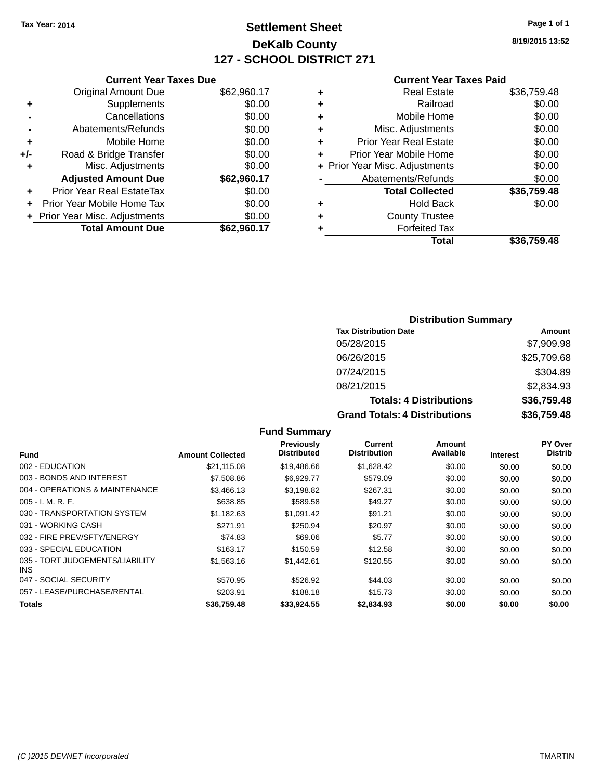## **Settlement Sheet Tax Year: 2014 Page 1 of 1 DeKalb County 127 - SCHOOL DISTRICT 271**

**8/19/2015 13:52**

#### **Current Year Taxes Paid**

|     | <b>Current Year Taxes Due</b>  |             |
|-----|--------------------------------|-------------|
|     | <b>Original Amount Due</b>     | \$62,960.17 |
| ٠   | Supplements                    | \$0.00      |
|     | Cancellations                  | \$0.00      |
|     | Abatements/Refunds             | \$0.00      |
| ÷   | Mobile Home                    | \$0.00      |
| +/- | Road & Bridge Transfer         | \$0.00      |
|     | Misc. Adjustments              | \$0.00      |
|     | <b>Adjusted Amount Due</b>     | \$62,960.17 |
| ÷   | Prior Year Real EstateTax      | \$0.00      |
|     | Prior Year Mobile Home Tax     | \$0.00      |
|     | + Prior Year Misc. Adjustments | \$0.00      |
|     | <b>Total Amount Due</b>        | \$62,960.17 |
|     |                                |             |

|   | <b>Real Estate</b>             | \$36,759.48 |
|---|--------------------------------|-------------|
| ٠ | Railroad                       | \$0.00      |
| ٠ | Mobile Home                    | \$0.00      |
| ٠ | Misc. Adjustments              | \$0.00      |
| ٠ | <b>Prior Year Real Estate</b>  | \$0.00      |
| ٠ | Prior Year Mobile Home         | \$0.00      |
|   | + Prior Year Misc. Adjustments | \$0.00      |
|   | Abatements/Refunds             | \$0.00      |
|   | <b>Total Collected</b>         | \$36,759.48 |
| ٠ | Hold Back                      | \$0.00      |
| ٠ | <b>County Trustee</b>          |             |
| ٠ | <b>Forfeited Tax</b>           |             |
|   | Total                          | \$36,759.48 |
|   |                                |             |

### **Distribution Summary Tax Distribution Date Amount** 05/28/2015 \$7,909.98 06/26/2015 \$25,709.68 07/24/2015 \$304.89 08/21/2015 \$2,834.93 **Totals: 4 Distributions \$36,759.48 Grand Totals: 4 Distributions \$36,759.48**

|                                         |                         | <b>Fund Summary</b>                     |                                       |                     |                 |                                  |
|-----------------------------------------|-------------------------|-----------------------------------------|---------------------------------------|---------------------|-----------------|----------------------------------|
| <b>Fund</b>                             | <b>Amount Collected</b> | <b>Previously</b><br><b>Distributed</b> | <b>Current</b><br><b>Distribution</b> | Amount<br>Available | <b>Interest</b> | <b>PY Over</b><br><b>Distrib</b> |
| 002 - EDUCATION                         | \$21,115.08             | \$19,486.66                             | \$1,628.42                            | \$0.00              | \$0.00          | \$0.00                           |
| 003 - BONDS AND INTEREST                | \$7,508.86              | \$6,929.77                              | \$579.09                              | \$0.00              | \$0.00          | \$0.00                           |
| 004 - OPERATIONS & MAINTENANCE          | \$3,466.13              | \$3,198.82                              | \$267.31                              | \$0.00              | \$0.00          | \$0.00                           |
| $005 - I. M. R. F.$                     | \$638.85                | \$589.58                                | \$49.27                               | \$0.00              | \$0.00          | \$0.00                           |
| 030 - TRANSPORTATION SYSTEM             | \$1,182.63              | \$1,091.42                              | \$91.21                               | \$0.00              | \$0.00          | \$0.00                           |
| 031 - WORKING CASH                      | \$271.91                | \$250.94                                | \$20.97                               | \$0.00              | \$0.00          | \$0.00                           |
| 032 - FIRE PREV/SFTY/ENERGY             | \$74.83                 | \$69.06                                 | \$5.77                                | \$0.00              | \$0.00          | \$0.00                           |
| 033 - SPECIAL EDUCATION                 | \$163.17                | \$150.59                                | \$12.58                               | \$0.00              | \$0.00          | \$0.00                           |
| 035 - TORT JUDGEMENTS/LIABILITY<br>INS. | \$1,563.16              | \$1,442.61                              | \$120.55                              | \$0.00              | \$0.00          | \$0.00                           |
| 047 - SOCIAL SECURITY                   | \$570.95                | \$526.92                                | \$44.03                               | \$0.00              | \$0.00          | \$0.00                           |
| 057 - LEASE/PURCHASE/RENTAL             | \$203.91                | \$188.18                                | \$15.73                               | \$0.00              | \$0.00          | \$0.00                           |
| Totals                                  | \$36.759.48             | \$33.924.55                             | \$2,834.93                            | \$0.00              | \$0.00          | \$0.00                           |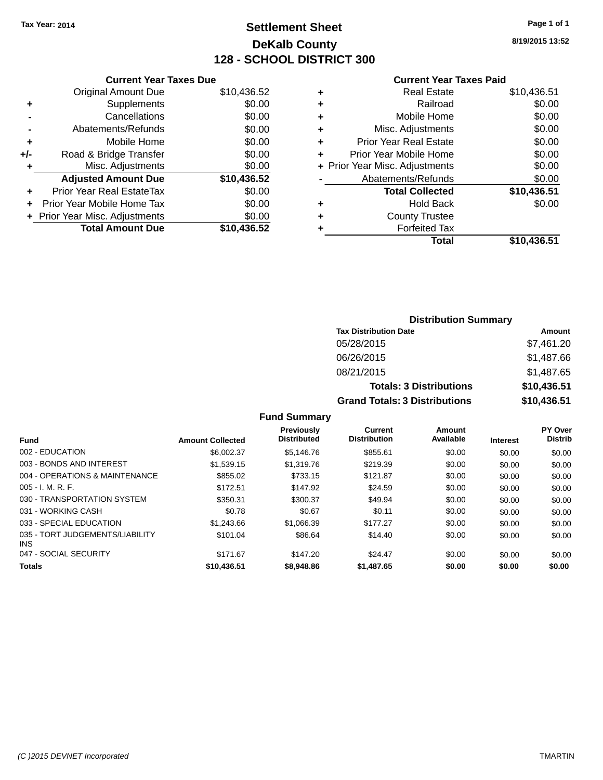## **Settlement Sheet Tax Year: 2014 Page 1 of 1 DeKalb County 128 - SCHOOL DISTRICT 300**

**8/19/2015 13:52**

#### **Current Year Taxes Paid**

|     | <b>Current Year Taxes Due</b>  |             |
|-----|--------------------------------|-------------|
|     | <b>Original Amount Due</b>     | \$10,436.52 |
| ÷   | Supplements                    | \$0.00      |
|     | Cancellations                  | \$0.00      |
|     | Abatements/Refunds             | \$0.00      |
| ٠   | Mobile Home                    | \$0.00      |
| +/- | Road & Bridge Transfer         | \$0.00      |
| ٠   | Misc. Adjustments              | \$0.00      |
|     | <b>Adjusted Amount Due</b>     | \$10,436.52 |
| ÷   | Prior Year Real EstateTax      | \$0.00      |
|     | Prior Year Mobile Home Tax     | \$0.00      |
|     | + Prior Year Misc. Adjustments | \$0.00      |
|     | <b>Total Amount Due</b>        | \$10,436.52 |
|     |                                |             |

| ٠ | <b>Real Estate</b>             | \$10,436.51 |
|---|--------------------------------|-------------|
| ٠ | Railroad                       | \$0.00      |
| ٠ | Mobile Home                    | \$0.00      |
| ٠ | Misc. Adjustments              | \$0.00      |
| ٠ | <b>Prior Year Real Estate</b>  | \$0.00      |
| ٠ | Prior Year Mobile Home         | \$0.00      |
|   | + Prior Year Misc. Adjustments | \$0.00      |
|   | Abatements/Refunds             | \$0.00      |
|   | <b>Total Collected</b>         | \$10,436.51 |
| ٠ | Hold Back                      | \$0.00      |
| ٠ | <b>County Trustee</b>          |             |
| ٠ | <b>Forfeited Tax</b>           |             |
|   | Total                          | \$10,436.51 |
|   |                                |             |

### **Distribution Summary Tax Distribution Date Amount** 05/28/2015 \$7,461.20 06/26/2015 \$1,487.66 08/21/2015 \$1,487.65 **Totals: 3 Distributions \$10,436.51 Grand Totals: 3 Distributions \$10,436.51**

| <b>Fund</b>                             | <b>Amount Collected</b> | <b>Previously</b><br><b>Distributed</b> | Current<br><b>Distribution</b> | Amount<br>Available | <b>Interest</b> | <b>PY Over</b><br><b>Distrib</b> |
|-----------------------------------------|-------------------------|-----------------------------------------|--------------------------------|---------------------|-----------------|----------------------------------|
| 002 - EDUCATION                         | \$6,002.37              | \$5,146.76                              | \$855.61                       | \$0.00              | \$0.00          | \$0.00                           |
| 003 - BONDS AND INTEREST                | \$1,539.15              | \$1,319.76                              | \$219.39                       | \$0.00              | \$0.00          | \$0.00                           |
| 004 - OPERATIONS & MAINTENANCE          | \$855.02                | \$733.15                                | \$121.87                       | \$0.00              | \$0.00          | \$0.00                           |
| $005 - I. M. R. F.$                     | \$172.51                | \$147.92                                | \$24.59                        | \$0.00              | \$0.00          | \$0.00                           |
| 030 - TRANSPORTATION SYSTEM             | \$350.31                | \$300.37                                | \$49.94                        | \$0.00              | \$0.00          | \$0.00                           |
| 031 - WORKING CASH                      | \$0.78                  | \$0.67                                  | \$0.11                         | \$0.00              | \$0.00          | \$0.00                           |
| 033 - SPECIAL EDUCATION                 | \$1,243.66              | \$1,066.39                              | \$177.27                       | \$0.00              | \$0.00          | \$0.00                           |
| 035 - TORT JUDGEMENTS/LIABILITY<br>INS. | \$101.04                | \$86.64                                 | \$14.40                        | \$0.00              | \$0.00          | \$0.00                           |
| 047 - SOCIAL SECURITY                   | \$171.67                | \$147.20                                | \$24.47                        | \$0.00              | \$0.00          | \$0.00                           |
| <b>Totals</b>                           | \$10,436.51             | \$8,948.86                              | \$1,487.65                     | \$0.00              | \$0.00          | \$0.00                           |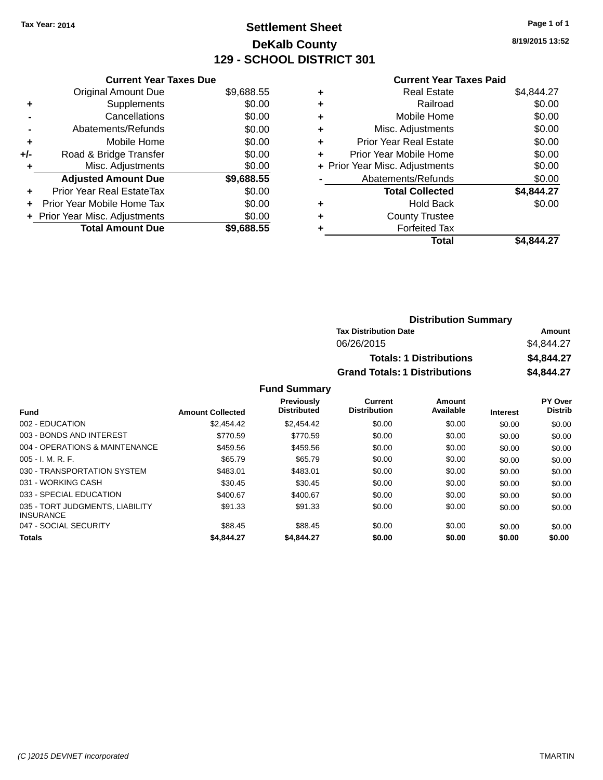## **Settlement Sheet Tax Year: 2014 Page 1 of 1 DeKalb County 129 - SCHOOL DISTRICT 301**

**8/19/2015 13:52**

|     | <b>Current Year Taxes Due</b>  |            |
|-----|--------------------------------|------------|
|     | <b>Original Amount Due</b>     | \$9,688.55 |
| ٠   | Supplements                    | \$0.00     |
|     | Cancellations                  | \$0.00     |
|     | Abatements/Refunds             | \$0.00     |
| ٠   | Mobile Home                    | \$0.00     |
| +/- | Road & Bridge Transfer         | \$0.00     |
| ٠   | Misc. Adjustments              | \$0.00     |
|     | <b>Adjusted Amount Due</b>     | \$9,688.55 |
| ٠   | Prior Year Real EstateTax      | \$0.00     |
| ÷   | Prior Year Mobile Home Tax     | \$0.00     |
|     | + Prior Year Misc. Adjustments | \$0.00     |
|     | <b>Total Amount Due</b>        | \$9.688.55 |

#### **Current Year Taxes Paid**

| ٠ | <b>Real Estate</b>             | \$4,844.27 |
|---|--------------------------------|------------|
| ÷ | Railroad                       | \$0.00     |
| ÷ | Mobile Home                    | \$0.00     |
| ٠ | Misc. Adjustments              | \$0.00     |
| ٠ | <b>Prior Year Real Estate</b>  | \$0.00     |
| ٠ | Prior Year Mobile Home         | \$0.00     |
|   | + Prior Year Misc. Adjustments | \$0.00     |
|   | Abatements/Refunds             | \$0.00     |
|   | <b>Total Collected</b>         | \$4,844.27 |
| ٠ | <b>Hold Back</b>               | \$0.00     |
| ٠ | <b>County Trustee</b>          |            |
| ٠ | <b>Forfeited Tax</b>           |            |
|   | <b>Total</b>                   | \$4,844.27 |
|   |                                |            |

| <b>Distribution Summary</b>          |            |
|--------------------------------------|------------|
| <b>Tax Distribution Date</b>         | Amount     |
| 06/26/2015                           | \$4.844.27 |
| <b>Totals: 1 Distributions</b>       | \$4,844.27 |
| <b>Grand Totals: 1 Distributions</b> | \$4,844.27 |

| <b>Fund</b>                                         | <b>Amount Collected</b> | <b>Previously</b><br><b>Distributed</b> | Current<br><b>Distribution</b> | Amount<br>Available | <b>Interest</b> | PY Over<br><b>Distrib</b> |
|-----------------------------------------------------|-------------------------|-----------------------------------------|--------------------------------|---------------------|-----------------|---------------------------|
| 002 - EDUCATION                                     | \$2,454.42              | \$2.454.42                              | \$0.00                         | \$0.00              | \$0.00          | \$0.00                    |
| 003 - BONDS AND INTEREST                            | \$770.59                | \$770.59                                | \$0.00                         | \$0.00              | \$0.00          | \$0.00                    |
| 004 - OPERATIONS & MAINTENANCE                      | \$459.56                | \$459.56                                | \$0.00                         | \$0.00              | \$0.00          | \$0.00                    |
| $005 - I. M. R. F.$                                 | \$65.79                 | \$65.79                                 | \$0.00                         | \$0.00              | \$0.00          | \$0.00                    |
| 030 - TRANSPORTATION SYSTEM                         | \$483.01                | \$483.01                                | \$0.00                         | \$0.00              | \$0.00          | \$0.00                    |
| 031 - WORKING CASH                                  | \$30.45                 | \$30.45                                 | \$0.00                         | \$0.00              | \$0.00          | \$0.00                    |
| 033 - SPECIAL EDUCATION                             | \$400.67                | \$400.67                                | \$0.00                         | \$0.00              | \$0.00          | \$0.00                    |
| 035 - TORT JUDGMENTS, LIABILITY<br><b>INSURANCE</b> | \$91.33                 | \$91.33                                 | \$0.00                         | \$0.00              | \$0.00          | \$0.00                    |
| 047 - SOCIAL SECURITY                               | \$88.45                 | \$88.45                                 | \$0.00                         | \$0.00              | \$0.00          | \$0.00                    |
| <b>Totals</b>                                       | \$4,844.27              | \$4,844.27                              | \$0.00                         | \$0.00              | \$0.00          | \$0.00                    |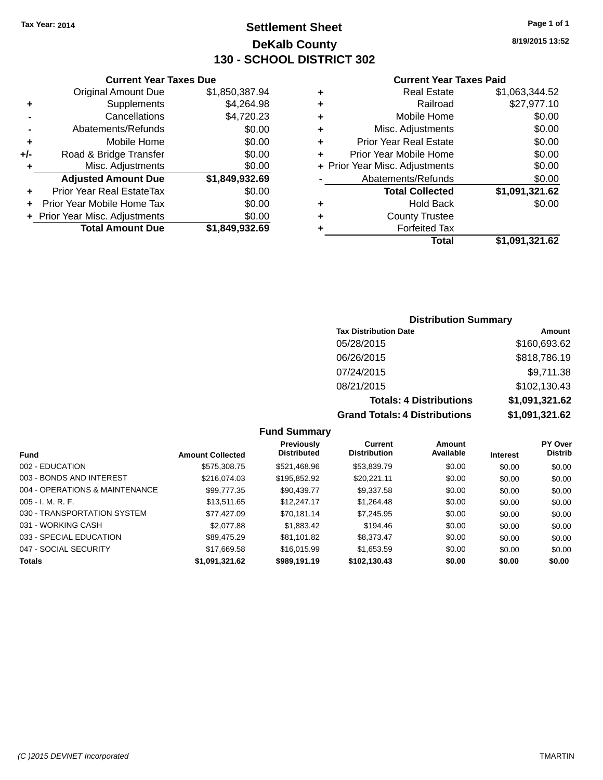## **Settlement Sheet Tax Year: 2014 Page 1 of 1 DeKalb County 130 - SCHOOL DISTRICT 302**

**8/19/2015 13:52**

#### **Current Year Taxes Paid**

|     | <b>Current Year Taxes Due</b>  |                |  |  |  |  |
|-----|--------------------------------|----------------|--|--|--|--|
|     | <b>Original Amount Due</b>     | \$1,850,387.94 |  |  |  |  |
| ٠   | Supplements                    | \$4,264.98     |  |  |  |  |
|     | Cancellations                  | \$4,720.23     |  |  |  |  |
|     | Abatements/Refunds             | \$0.00         |  |  |  |  |
| ٠   | Mobile Home                    | \$0.00         |  |  |  |  |
| +/- | Road & Bridge Transfer         | \$0.00         |  |  |  |  |
| ٠   | Misc. Adjustments              | \$0.00         |  |  |  |  |
|     | <b>Adjusted Amount Due</b>     | \$1,849,932.69 |  |  |  |  |
| ٠   | Prior Year Real EstateTax      | \$0.00         |  |  |  |  |
|     | Prior Year Mobile Home Tax     | \$0.00         |  |  |  |  |
|     | + Prior Year Misc. Adjustments | \$0.00         |  |  |  |  |
|     | <b>Total Amount Due</b>        | \$1,849,932.69 |  |  |  |  |
|     |                                |                |  |  |  |  |

| ٠ | <b>Real Estate</b>             | \$1,063,344.52 |
|---|--------------------------------|----------------|
| ٠ | Railroad                       | \$27,977.10    |
| ٠ | Mobile Home                    | \$0.00         |
| ٠ | Misc. Adjustments              | \$0.00         |
| ٠ | <b>Prior Year Real Estate</b>  | \$0.00         |
| ٠ | Prior Year Mobile Home         | \$0.00         |
|   | + Prior Year Misc. Adjustments | \$0.00         |
|   | Abatements/Refunds             | \$0.00         |
|   | <b>Total Collected</b>         | \$1,091,321.62 |
| ٠ | <b>Hold Back</b>               | \$0.00         |
| ٠ | <b>County Trustee</b>          |                |
| ٠ | <b>Forfeited Tax</b>           |                |
|   | Total                          | \$1,091,321.62 |
|   |                                |                |

#### **Distribution Summary**

| <b>Tax Distribution Date</b>         | Amount         |
|--------------------------------------|----------------|
| 05/28/2015                           | \$160,693.62   |
| 06/26/2015                           | \$818,786.19   |
| 07/24/2015                           | \$9,711.38     |
| 08/21/2015                           | \$102,130.43   |
| <b>Totals: 4 Distributions</b>       | \$1,091,321.62 |
| <b>Grand Totals: 4 Distributions</b> | \$1,091,321.62 |

| <b>Fund</b>                    | <b>Amount Collected</b> | Previously<br><b>Distributed</b> | Current<br><b>Distribution</b> | Amount<br>Available | <b>Interest</b> | <b>PY Over</b><br><b>Distrib</b> |
|--------------------------------|-------------------------|----------------------------------|--------------------------------|---------------------|-----------------|----------------------------------|
|                                |                         |                                  |                                |                     |                 |                                  |
| 002 - EDUCATION                | \$575,308.75            | \$521,468.96                     | \$53,839.79                    | \$0.00              | \$0.00          | \$0.00                           |
| 003 - BONDS AND INTEREST       | \$216,074.03            | \$195,852.92                     | \$20.221.11                    | \$0.00              | \$0.00          | \$0.00                           |
| 004 - OPERATIONS & MAINTENANCE | \$99.777.35             | \$90,439.77                      | \$9,337.58                     | \$0.00              | \$0.00          | \$0.00                           |
| $005 - I. M. R. F.$            | \$13,511,65             | \$12,247.17                      | \$1,264.48                     | \$0.00              | \$0.00          | \$0.00                           |
| 030 - TRANSPORTATION SYSTEM    | \$77,427.09             | \$70.181.14                      | \$7,245.95                     | \$0.00              | \$0.00          | \$0.00                           |
| 031 - WORKING CASH             | \$2,077.88              | \$1,883.42                       | \$194.46                       | \$0.00              | \$0.00          | \$0.00                           |
| 033 - SPECIAL EDUCATION        | \$89.475.29             | \$81,101.82                      | \$8,373.47                     | \$0.00              | \$0.00          | \$0.00                           |
| 047 - SOCIAL SECURITY          | \$17.669.58             | \$16,015.99                      | \$1,653.59                     | \$0.00              | \$0.00          | \$0.00                           |
| <b>Totals</b>                  | \$1,091,321.62          | \$989,191.19                     | \$102,130.43                   | \$0.00              | \$0.00          | \$0.00                           |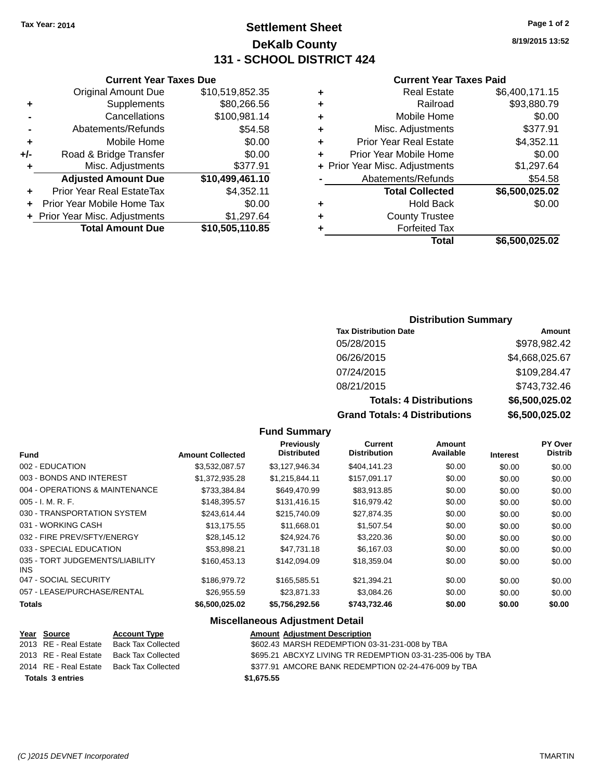## **Settlement Sheet Tax Year: 2014 Page 1 of 2 DeKalb County 131 - SCHOOL DISTRICT 424**

**8/19/2015 13:52**

#### **Current Year Taxes Paid**

| <b>Real Estate</b>             | \$6,400,171.15 |
|--------------------------------|----------------|
| Railroad                       | \$93,880.79    |
| Mobile Home                    | \$0.00         |
| Misc. Adjustments              | \$377.91       |
| <b>Prior Year Real Estate</b>  | \$4,352.11     |
| Prior Year Mobile Home         | \$0.00         |
| + Prior Year Misc. Adjustments | \$1,297.64     |
| Abatements/Refunds             | \$54.58        |
| <b>Total Collected</b>         | \$6,500,025.02 |
| <b>Hold Back</b>               | \$0.00         |
| <b>County Trustee</b>          |                |
| <b>Forfeited Tax</b>           |                |
| Total                          | \$6,500,025.02 |
|                                |                |

#### **Current Year Taxes Due** Original Amount Due \$10,519,852.35 **+** Supplements \$80,266.56 **-** Cancellations \$100,981.14 **-** Abatements/Refunds \$54.58 **+** Mobile Home \$0.00 **+/-** Road & Bridge Transfer \$0.00 **+** Misc. Adjustments \$377.91 **Adjusted Amount Due \$10,499,461.10 +** Prior Year Real EstateTax \$4,352.11 **+** Prior Year Mobile Home Tax \$0.00

| + Prior Year Misc. Adjustments | \$1,297.64      |
|--------------------------------|-----------------|
| <b>Total Amount Due</b>        | \$10,505,110.85 |

#### **Distribution Summary**

| <b>Tax Distribution Date</b>         | Amount         |
|--------------------------------------|----------------|
| 05/28/2015                           | \$978,982.42   |
| 06/26/2015                           | \$4,668,025.67 |
| 07/24/2015                           | \$109,284.47   |
| 08/21/2015                           | \$743,732.46   |
| <b>Totals: 4 Distributions</b>       | \$6,500,025.02 |
| <b>Grand Totals: 4 Distributions</b> | \$6,500,025.02 |

#### **Fund Summary**

|                                               |                         | Previously         | <b>Current</b>      | Amount    |                 | PY Over        |
|-----------------------------------------------|-------------------------|--------------------|---------------------|-----------|-----------------|----------------|
| <b>Fund</b>                                   | <b>Amount Collected</b> | <b>Distributed</b> | <b>Distribution</b> | Available | <b>Interest</b> | <b>Distrib</b> |
| 002 - EDUCATION                               | \$3,532,087.57          | \$3,127,946.34     | \$404,141.23        | \$0.00    | \$0.00          | \$0.00         |
| 003 - BONDS AND INTEREST                      | \$1,372,935.28          | \$1,215,844.11     | \$157,091.17        | \$0.00    | \$0.00          | \$0.00         |
| 004 - OPERATIONS & MAINTENANCE                | \$733,384.84            | \$649,470.99       | \$83,913.85         | \$0.00    | \$0.00          | \$0.00         |
| $005 - I. M. R. F.$                           | \$148,395.57            | \$131,416.15       | \$16,979.42         | \$0.00    | \$0.00          | \$0.00         |
| 030 - TRANSPORTATION SYSTEM                   | \$243.614.44            | \$215,740.09       | \$27,874.35         | \$0.00    | \$0.00          | \$0.00         |
| 031 - WORKING CASH                            | \$13,175.55             | \$11,668.01        | \$1,507.54          | \$0.00    | \$0.00          | \$0.00         |
| 032 - FIRE PREV/SFTY/ENERGY                   | \$28,145.12             | \$24,924.76        | \$3,220.36          | \$0.00    | \$0.00          | \$0.00         |
| 033 - SPECIAL EDUCATION                       | \$53,898.21             | \$47.731.18        | \$6,167.03          | \$0.00    | \$0.00          | \$0.00         |
| 035 - TORT JUDGEMENTS/LIABILITY<br><b>INS</b> | \$160,453.13            | \$142,094.09       | \$18,359.04         | \$0.00    | \$0.00          | \$0.00         |
| 047 - SOCIAL SECURITY                         | \$186,979.72            | \$165,585.51       | \$21,394.21         | \$0.00    | \$0.00          | \$0.00         |
| 057 - LEASE/PURCHASE/RENTAL                   | \$26,955.59             | \$23.871.33        | \$3,084.26          | \$0.00    | \$0.00          | \$0.00         |
| <b>Totals</b>                                 | \$6,500,025.02          | \$5,756,292.56     | \$743,732.46        | \$0.00    | \$0.00          | \$0.00         |

| Year Source             | <b>Account Type</b>       | <b>Amount Adjustment Description</b>                      |
|-------------------------|---------------------------|-----------------------------------------------------------|
| 2013 RE - Real Estate   | Back Tax Collected        | \$602.43 MARSH REDEMPTION 03-31-231-008 by TBA            |
| 2013 RE - Real Estate   | <b>Back Tax Collected</b> | \$695.21 ABCXYZ LIVING TR REDEMPTION 03-31-235-006 by TBA |
| 2014 RE - Real Estate   | Back Tax Collected        | \$377.91 AMCORE BANK REDEMPTION 02-24-476-009 by TBA      |
| <b>Totals 3 entries</b> |                           | \$1.675.55                                                |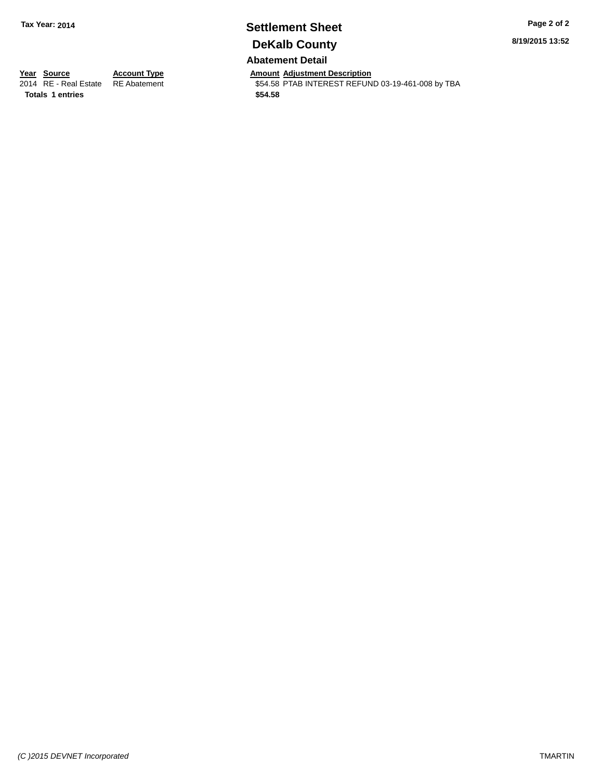# **Settlement Sheet Tax Year: 2014 Page 2 of 2 DeKalb County**

**8/19/2015 13:52**

#### **Abatement Detail**

**Totals \$54.58 1 entries**

**Year Source Account Type And Amount Adjustment Description**<br>2014 RE - Real Estate RE Abatement **Adjustment** \$54.58 PTAB INTEREST REFUN \$54.58 PTAB INTEREST REFUND 03-19-461-008 by TBA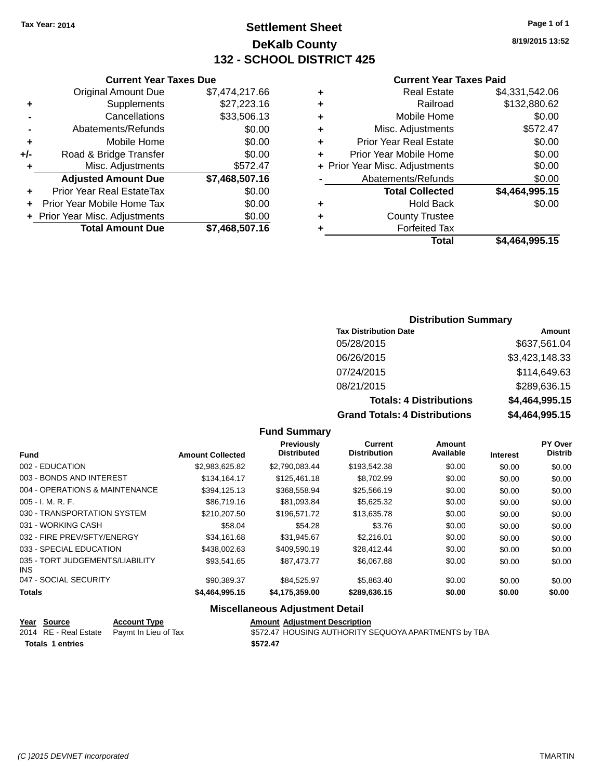**Original Amount Due** 

**Adjusted Amount Due** 

**Total Amount Due** 

**+** Supplements **-** Cancellations **-** Abatements/Refunds **+** Mobile Home **+/-** Road & Bridge Transfer **+** Misc. Adjustments

**+** Prior Year Real EstateTax \$0.00 **+** Prior Year Mobile Home Tax **+** Prior Year Misc. Adjustments

## **Settlement Sheet Tax Year: 2014 Page 1 of 1 DeKalb County 132 - SCHOOL DISTRICT 425**

**8/19/2015 13:52**

#### **Current Year Taxes Paid**

| <b>Current Year Taxes Due</b> |                |   | <b>Current Year Taxes Paid</b> |                |  |  |
|-------------------------------|----------------|---|--------------------------------|----------------|--|--|
| ่<br>เl Amount Due            | \$7,474,217.66 | ٠ | <b>Real Estate</b>             | \$4,331,542.06 |  |  |
| Supplements                   | \$27,223.16    | ٠ | Railroad                       | \$132,880.62   |  |  |
| Cancellations                 | \$33,506.13    | ٠ | Mobile Home                    | \$0.00         |  |  |
| าents/Refunds                 | \$0.00         | ÷ | Misc. Adjustments              | \$572.47       |  |  |
| Mobile Home                   | \$0.00         | ÷ | <b>Prior Year Real Estate</b>  | \$0.00         |  |  |
| ridge Transfer                | \$0.00         | ÷ | Prior Year Mobile Home         | \$0.00         |  |  |
| . Adjustments                 | \$572.47       |   | + Prior Year Misc. Adjustments | \$0.00         |  |  |
| <b>Amount Due</b>             | \$7,468,507.16 |   | Abatements/Refunds             | \$0.00         |  |  |
| eal EstateTax                 | \$0.00         |   | <b>Total Collected</b>         | \$4,464,995.15 |  |  |
| bile Home Tax                 | \$0.00         | ÷ | <b>Hold Back</b>               | \$0.00         |  |  |
| . Adjustments                 | \$0.00         | ٠ | <b>County Trustee</b>          |                |  |  |
| <b>Amount Due</b>             | \$7,468,507.16 |   | Forfeited Tax                  |                |  |  |
|                               |                |   | Total                          | \$4 464 995 15 |  |  |

# **Total \$4,464,995.15**

#### **Distribution Summary**

| <b>Tax Distribution Date</b>         | Amount         |
|--------------------------------------|----------------|
| 05/28/2015                           | \$637,561.04   |
| 06/26/2015                           | \$3,423,148.33 |
| 07/24/2015                           | \$114,649.63   |
| 08/21/2015                           | \$289,636.15   |
| <b>Totals: 4 Distributions</b>       | \$4,464,995.15 |
| <b>Grand Totals: 4 Distributions</b> | \$4,464,995.15 |

#### **Fund Summary**

|                                         |                         | Previously         | Current             | Amount    |                 | PY Over        |
|-----------------------------------------|-------------------------|--------------------|---------------------|-----------|-----------------|----------------|
| <b>Fund</b>                             | <b>Amount Collected</b> | <b>Distributed</b> | <b>Distribution</b> | Available | <b>Interest</b> | <b>Distrib</b> |
| 002 - EDUCATION                         | \$2,983,625.82          | \$2.790.083.44     | \$193,542.38        | \$0.00    | \$0.00          | \$0.00         |
| 003 - BONDS AND INTEREST                | \$134.164.17            | \$125,461.18       | \$8,702.99          | \$0.00    | \$0.00          | \$0.00         |
| 004 - OPERATIONS & MAINTENANCE          | \$394.125.13            | \$368,558.94       | \$25,566.19         | \$0.00    | \$0.00          | \$0.00         |
| 005 - I. M. R. F.                       | \$86,719.16             | \$81,093.84        | \$5,625.32          | \$0.00    | \$0.00          | \$0.00         |
| 030 - TRANSPORTATION SYSTEM             | \$210.207.50            | \$196.571.72       | \$13,635.78         | \$0.00    | \$0.00          | \$0.00         |
| 031 - WORKING CASH                      | \$58.04                 | \$54.28            | \$3.76              | \$0.00    | \$0.00          | \$0.00         |
| 032 - FIRE PREV/SFTY/ENERGY             | \$34.161.68             | \$31.945.67        | \$2.216.01          | \$0.00    | \$0.00          | \$0.00         |
| 033 - SPECIAL EDUCATION                 | \$438,002.63            | \$409.590.19       | \$28,412,44         | \$0.00    | \$0.00          | \$0.00         |
| 035 - TORT JUDGEMENTS/LIABILITY<br>INS. | \$93.541.65             | \$87,473,77        | \$6,067.88          | \$0.00    | \$0.00          | \$0.00         |
| 047 - SOCIAL SECURITY                   | \$90.389.37             | \$84.525.97        | \$5,863,40          | \$0.00    | \$0.00          | \$0.00         |
| <b>Totals</b>                           | \$4,464,995.15          | \$4,175,359.00     | \$289,636.15        | \$0.00    | \$0.00          | \$0.00         |

| <u>Year Source</u>      | <b>Account Type</b>                        | <b>Amount Adiustment Description</b>                 |
|-------------------------|--------------------------------------------|------------------------------------------------------|
|                         | 2014 RE - Real Estate Paymt In Lieu of Tax | \$572.47 HOUSING AUTHORITY SEQUOYA APARTMENTS by TBA |
| <b>Totals 1 entries</b> |                                            | \$572.47                                             |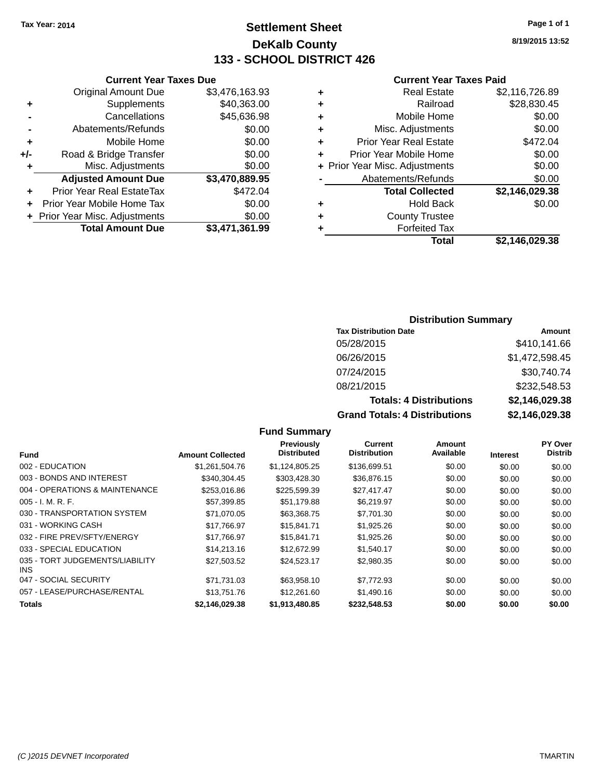## **Settlement Sheet Tax Year: 2014 Page 1 of 1 DeKalb County 133 - SCHOOL DISTRICT 426**

**8/19/2015 13:52**

#### **Current Year Taxes Paid**

|   | Total                          | \$2.146.029.38 |
|---|--------------------------------|----------------|
|   | <b>Forfeited Tax</b>           |                |
| ٠ | <b>County Trustee</b>          |                |
| ٠ | <b>Hold Back</b>               | \$0.00         |
|   | <b>Total Collected</b>         | \$2,146,029.38 |
|   | Abatements/Refunds             | \$0.00         |
|   | + Prior Year Misc. Adjustments | \$0.00         |
| ٠ | Prior Year Mobile Home         | \$0.00         |
| ٠ | <b>Prior Year Real Estate</b>  | \$472.04       |
| ٠ | Misc. Adjustments              | \$0.00         |
| ٠ | Mobile Home                    | \$0.00         |
| ٠ | Railroad                       | \$28,830.45    |
| ٠ | <b>Real Estate</b>             | \$2,116,726.89 |
|   |                                |                |

#### **Current Year Taxes Due** Original Amount Due \$3,476,163.93 **+** Supplements \$40,363.00 **-** Cancellations \$45,636.98 **-** Abatements/Refunds **\$0.00 +** Mobile Home \$0.00 **+/-** Road & Bridge Transfer \$0.00 **+** Misc. Adjustments \$0.00 **Adjusted Amount Due \$3,470,889.95 +** Prior Year Real EstateTax \$472.04 **+** Prior Year Mobile Home Tax \$0.00 **+ Prior Year Misc. Adjustments**  $$0.00$ **Total Amount Due \$3,471,361.99**

#### **Distribution Summary**

| <b>Tax Distribution Date</b>         | Amount         |
|--------------------------------------|----------------|
| 05/28/2015                           | \$410,141.66   |
| 06/26/2015                           | \$1,472,598.45 |
| 07/24/2015                           | \$30,740.74    |
| 08/21/2015                           | \$232,548.53   |
| <b>Totals: 4 Distributions</b>       | \$2,146,029.38 |
| <b>Grand Totals: 4 Distributions</b> | \$2,146,029.38 |

#### **Fund Summary Fund Interest Amount Collected Distributed PY Over Distrib Amount Available Current Distribution Previously** 002 - EDUCATION \$1,261,504.76 \$1,124,805.25 \$136,699.51 \$0.00 \$0.00 \$0.00 003 - BONDS AND INTEREST 6340,304.45 \$303,428.30 \$36,876.15 \$0.00 \$0.00 \$0.00 \$0.00 004 - OPERATIONS & MAINTENANCE \$253,016.86 \$225,599.39 \$27,417.47 \$0.00 \$0.00 \$0.00 005 - I. M. R. F. \$57,399.85 \$51,179.88 \$6,219.97 \$0.00 \$0.00 \$0.00 030 - TRANSPORTATION SYSTEM \$71,070.05 \$63,368.75 \$7,701.30 \$0.00 \$0.00 \$0.00 \$0.00 031 - WORKING CASH \$17,766.97 \$15,841.71 \$1,925.26 \$0.00 \$0.00 \$0.00 \$0.00 032 - FIRE PREV/SFTY/ENERGY \$17,766.97 \$15,841.71 \$1,925.26 \$0.00 \$0.00 \$0.00 \$0.00 033 - SPECIAL EDUCATION **514,213.16** \$12,672.99 \$1,540.17 \$0.00 \$0.00 \$0.00 \$0.00 035 - TORT JUDGEMENTS/LIABILITY INS \$27,503.52 \$24,523.17 \$2,980.35 \$0.00 \$0.00 \$0.00 047 - SOCIAL SECURITY \$71,731.03 \$63,958.10 \$7,772.93 \$0.00 \$0.00 \$0.00 057 - LEASE/PURCHASE/RENTAL \$13,751.76 \$12,261.60 \$1,490.16 \$0.00 \$0.00 \$0.00 **Totals \$2,146,029.38 \$1,913,480.85 \$232,548.53 \$0.00 \$0.00 \$0.00**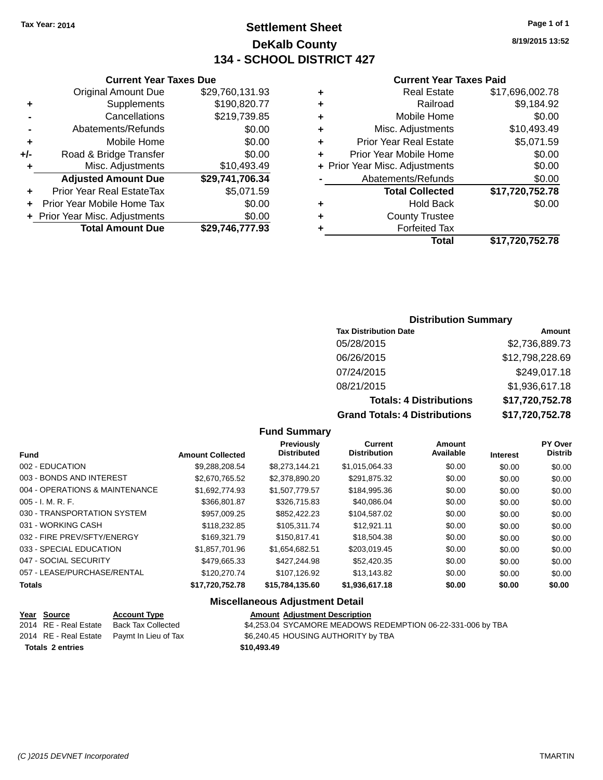## **Settlement Sheet Tax Year: 2014 Page 1 of 1 DeKalb County 134 - SCHOOL DISTRICT 427**

**8/19/2015 13:52**

#### **Current Year Taxes Paid**

|   | Total                          | \$17,720,752.78 |
|---|--------------------------------|-----------------|
| ٠ | <b>Forfeited Tax</b>           |                 |
| ٠ | <b>County Trustee</b>          |                 |
| ٠ | <b>Hold Back</b>               | \$0.00          |
|   | <b>Total Collected</b>         | \$17,720,752.78 |
|   | Abatements/Refunds             | \$0.00          |
|   | + Prior Year Misc. Adjustments | \$0.00          |
| ÷ | Prior Year Mobile Home         | \$0.00          |
| ÷ | <b>Prior Year Real Estate</b>  | \$5,071.59      |
| ٠ | Misc. Adjustments              | \$10,493.49     |
| ٠ | Mobile Home                    | \$0.00          |
| ٠ | Railroad                       | \$9,184.92      |
| ٠ | <b>Real Estate</b>             | \$17,696,002.78 |
|   |                                |                 |

|     | <b>Current Year Taxes Due</b>    |                 |
|-----|----------------------------------|-----------------|
|     | <b>Original Amount Due</b>       | \$29,760,131.93 |
| ٠   | Supplements                      | \$190,820.77    |
|     | Cancellations                    | \$219,739.85    |
|     | Abatements/Refunds               | \$0.00          |
| ٠   | Mobile Home                      | \$0.00          |
| +/- | Road & Bridge Transfer           | \$0.00          |
| ٠   | Misc. Adjustments                | \$10,493.49     |
|     | <b>Adjusted Amount Due</b>       | \$29,741,706.34 |
| ÷   | <b>Prior Year Real EstateTax</b> | \$5,071.59      |
|     | Prior Year Mobile Home Tax       | \$0.00          |
|     | + Prior Year Misc. Adjustments   | \$0.00          |
|     | <b>Total Amount Due</b>          | \$29,746,777.93 |
|     |                                  |                 |

#### **Distribution Summary**

| <b>Tax Distribution Date</b>         | Amount          |
|--------------------------------------|-----------------|
| 05/28/2015                           | \$2,736,889.73  |
| 06/26/2015                           | \$12,798,228.69 |
| 07/24/2015                           | \$249,017.18    |
| 08/21/2015                           | \$1,936,617.18  |
| <b>Totals: 4 Distributions</b>       | \$17,720,752.78 |
| <b>Grand Totals: 4 Distributions</b> | \$17,720,752.78 |

#### **Fund Summary**

| <b>Fund</b>                    | <b>Amount Collected</b> | Previously<br><b>Distributed</b> | <b>Current</b><br><b>Distribution</b> | Amount<br>Available | <b>Interest</b> | <b>PY Over</b><br><b>Distrib</b> |
|--------------------------------|-------------------------|----------------------------------|---------------------------------------|---------------------|-----------------|----------------------------------|
| 002 - EDUCATION                | \$9.288.208.54          | \$8,273,144.21                   | \$1,015,064.33                        | \$0.00              | \$0.00          | \$0.00                           |
| 003 - BONDS AND INTEREST       | \$2.670.765.52          | \$2.378.890.20                   | \$291.875.32                          | \$0.00              | \$0.00          | \$0.00                           |
| 004 - OPERATIONS & MAINTENANCE | \$1.692.774.93          | \$1.507.779.57                   | \$184,995.36                          | \$0.00              | \$0.00          | \$0.00                           |
| $005 - I. M. R. F.$            | \$366,801.87            | \$326,715.83                     | \$40,086.04                           | \$0.00              | \$0.00          | \$0.00                           |
| 030 - TRANSPORTATION SYSTEM    | \$957.009.25            | \$852,422,23                     | \$104.587.02                          | \$0.00              | \$0.00          | \$0.00                           |
| 031 - WORKING CASH             | \$118,232.85            | \$105,311.74                     | \$12.921.11                           | \$0.00              | \$0.00          | \$0.00                           |
| 032 - FIRE PREV/SFTY/ENERGY    | \$169,321.79            | \$150.817.41                     | \$18,504.38                           | \$0.00              | \$0.00          | \$0.00                           |
| 033 - SPECIAL EDUCATION        | \$1.857.701.96          | \$1.654.682.51                   | \$203.019.45                          | \$0.00              | \$0.00          | \$0.00                           |
| 047 - SOCIAL SECURITY          | \$479.665.33            | \$427.244.98                     | \$52,420.35                           | \$0.00              | \$0.00          | \$0.00                           |
| 057 - LEASE/PURCHASE/RENTAL    | \$120,270.74            | \$107.126.92                     | \$13.143.82                           | \$0.00              | \$0.00          | \$0.00                           |
| <b>Totals</b>                  | \$17,720,752.78         | \$15,784,135.60                  | \$1,936,617.18                        | \$0.00              | \$0.00          | \$0.00                           |

| <u>Year Source</u>      | <b>Account Type</b>                        | <b>Amount Adjustment Description</b>                        |
|-------------------------|--------------------------------------------|-------------------------------------------------------------|
| 2014 RE - Real Estate   | Back Tax Collected                         | \$4,253.04 SYCAMORE MEADOWS REDEMPTION 06-22-331-006 by TBA |
|                         | 2014 RE - Real Estate Paymt In Lieu of Tax | \$6,240.45 HOUSING AUTHORITY by TBA                         |
| <b>Totals 2 entries</b> |                                            | \$10,493,49                                                 |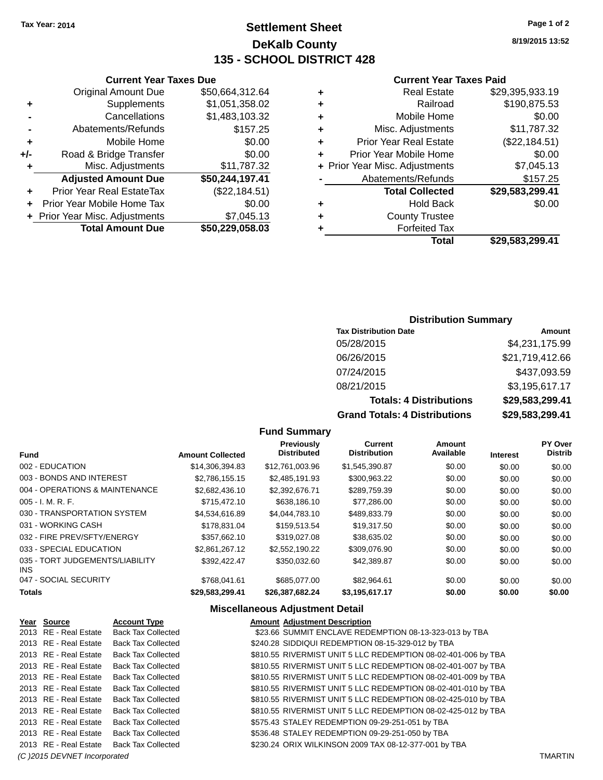## **Settlement Sheet Tax Year: 2014 Page 1 of 2 DeKalb County 135 - SCHOOL DISTRICT 428**

**8/19/2015 13:52**

#### **Current Year Taxes Paid**

| ٠ | <b>Real Estate</b>             | \$29,395,933.19 |
|---|--------------------------------|-----------------|
| ٠ | Railroad                       | \$190,875.53    |
| ٠ | Mobile Home                    | \$0.00          |
| ٠ | Misc. Adjustments              | \$11,787.32     |
| ٠ | <b>Prior Year Real Estate</b>  | (\$22,184.51)   |
| ÷ | Prior Year Mobile Home         | \$0.00          |
|   | + Prior Year Misc. Adjustments | \$7,045.13      |
|   | Abatements/Refunds             | \$157.25        |
|   | <b>Total Collected</b>         | \$29,583,299.41 |
| ٠ | <b>Hold Back</b>               | \$0.00          |
| ÷ | <b>County Trustee</b>          |                 |
| ٠ | <b>Forfeited Tax</b>           |                 |
|   | Total                          | \$29,583,299.41 |

|     | <b>Current Year Taxes Due</b>  |                 |
|-----|--------------------------------|-----------------|
|     | <b>Original Amount Due</b>     | \$50,664,312.64 |
| ٠   | Supplements                    | \$1,051,358.02  |
|     | Cancellations                  | \$1,483,103.32  |
|     | Abatements/Refunds             | \$157.25        |
| ٠   | Mobile Home                    | \$0.00          |
| +/- | Road & Bridge Transfer         | \$0.00          |
| ٠   | Misc. Adjustments              | \$11,787.32     |
|     | <b>Adjusted Amount Due</b>     | \$50,244,197.41 |
|     | Prior Year Real EstateTax      | (\$22,184.51)   |
|     | Prior Year Mobile Home Tax     | \$0.00          |
|     | + Prior Year Misc. Adjustments | \$7,045.13      |
|     | <b>Total Amount Due</b>        | \$50,229,058.03 |

#### **Distribution Summary**

| <b>Tax Distribution Date</b>         | Amount          |
|--------------------------------------|-----------------|
| 05/28/2015                           | \$4,231,175.99  |
| 06/26/2015                           | \$21,719,412.66 |
| 07/24/2015                           | \$437,093.59    |
| 08/21/2015                           | \$3,195,617.17  |
| <b>Totals: 4 Distributions</b>       | \$29,583,299.41 |
| <b>Grand Totals: 4 Distributions</b> | \$29,583,299.41 |

#### **Fund Summary**

|                                         |                         | Previously         | <b>Current</b>      | Amount    |                 | <b>PY Over</b> |
|-----------------------------------------|-------------------------|--------------------|---------------------|-----------|-----------------|----------------|
| <b>Fund</b>                             | <b>Amount Collected</b> | <b>Distributed</b> | <b>Distribution</b> | Available | <b>Interest</b> | <b>Distrib</b> |
| 002 - EDUCATION                         | \$14,306,394.83         | \$12.761.003.96    | \$1.545.390.87      | \$0.00    | \$0.00          | \$0.00         |
| 003 - BONDS AND INTEREST                | \$2.786.155.15          | \$2.485.191.93     | \$300,963.22        | \$0.00    | \$0.00          | \$0.00         |
| 004 - OPERATIONS & MAINTENANCE          | \$2,682,436.10          | \$2.392.676.71     | \$289,759.39        | \$0.00    | \$0.00          | \$0.00         |
| $005 - I. M. R. F.$                     | \$715,472.10            | \$638,186.10       | \$77.286.00         | \$0.00    | \$0.00          | \$0.00         |
| 030 - TRANSPORTATION SYSTEM             | \$4,534,616.89          | \$4,044,783.10     | \$489,833.79        | \$0.00    | \$0.00          | \$0.00         |
| 031 - WORKING CASH                      | \$178.831.04            | \$159.513.54       | \$19.317.50         | \$0.00    | \$0.00          | \$0.00         |
| 032 - FIRE PREV/SFTY/ENERGY             | \$357.662.10            | \$319,027,08       | \$38.635.02         | \$0.00    | \$0.00          | \$0.00         |
| 033 - SPECIAL EDUCATION                 | \$2,861,267.12          | \$2.552.190.22     | \$309,076.90        | \$0.00    | \$0.00          | \$0.00         |
| 035 - TORT JUDGEMENTS/LIABILITY<br>INS. | \$392.422.47            | \$350,032.60       | \$42,389.87         | \$0.00    | \$0.00          | \$0.00         |
| 047 - SOCIAL SECURITY                   | \$768.041.61            | \$685,077,00       | \$82.964.61         | \$0.00    | \$0.00          | \$0.00         |
| <b>Totals</b>                           | \$29,583,299.41         | \$26,387,682.24    | \$3,195,617.17      | \$0.00    | \$0.00          | \$0.00         |

| Year Source                  | <b>Account Type</b>       | <b>Amount Adiustment Description</b>                          |                |
|------------------------------|---------------------------|---------------------------------------------------------------|----------------|
| 2013 RE - Real Estate        | <b>Back Tax Collected</b> | \$23.66 SUMMIT ENCLAVE REDEMPTION 08-13-323-013 by TBA        |                |
| 2013 RE - Real Estate        | <b>Back Tax Collected</b> | \$240.28 SIDDIQUI REDEMPTION 08-15-329-012 by TBA             |                |
| 2013 RE - Real Estate        | <b>Back Tax Collected</b> | \$810.55 RIVERMIST UNIT 5 LLC REDEMPTION 08-02-401-006 by TBA |                |
| 2013 RE - Real Estate        | <b>Back Tax Collected</b> | \$810.55 RIVERMIST UNIT 5 LLC REDEMPTION 08-02-401-007 by TBA |                |
| 2013 RE - Real Estate        | <b>Back Tax Collected</b> | \$810.55 RIVERMIST UNIT 5 LLC REDEMPTION 08-02-401-009 by TBA |                |
| 2013 RE - Real Estate        | <b>Back Tax Collected</b> | \$810.55 RIVERMIST UNIT 5 LLC REDEMPTION 08-02-401-010 by TBA |                |
| 2013 RE - Real Estate        | <b>Back Tax Collected</b> | \$810.55 RIVERMIST UNIT 5 LLC REDEMPTION 08-02-425-010 by TBA |                |
| 2013 RE - Real Estate        | <b>Back Tax Collected</b> | \$810.55 RIVERMIST UNIT 5 LLC REDEMPTION 08-02-425-012 by TBA |                |
| 2013 RE - Real Estate        | <b>Back Tax Collected</b> | \$575.43 STALEY REDEMPTION 09-29-251-051 by TBA               |                |
| 2013 RE - Real Estate        | Back Tax Collected        | \$536.48 STALEY REDEMPTION 09-29-251-050 by TBA               |                |
| 2013 RE - Real Estate        | Back Tax Collected        | \$230.24 ORIX WILKINSON 2009 TAX 08-12-377-001 by TBA         |                |
| (C) 2015 DEVNET Incorporated |                           |                                                               | <b>TMARTIN</b> |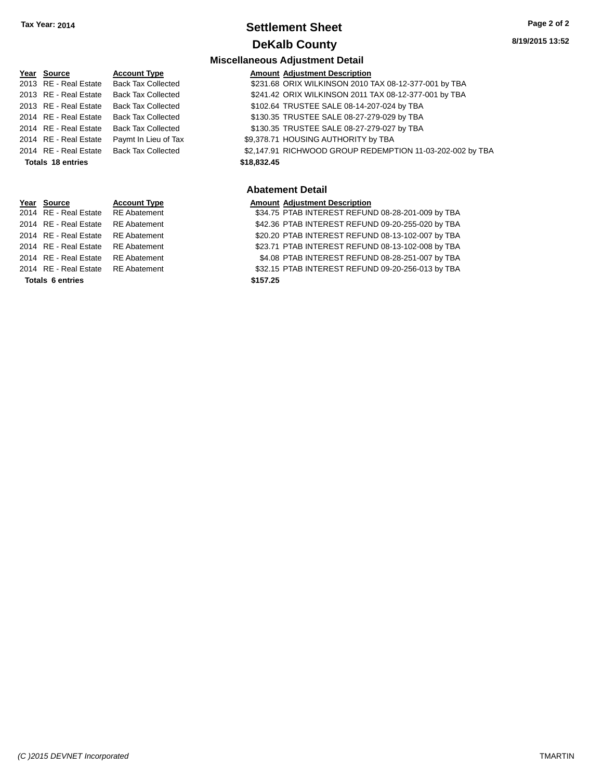## **Settlement Sheet Tax Year: 2014 Page 2 of 2 DeKalb County**

**8/19/2015 13:52**

## **Miscellaneous Adjustment Detail**

| Year Source              | <b>Account Type</b>       | <b>Amount Adjustment Description</b>                      |
|--------------------------|---------------------------|-----------------------------------------------------------|
| 2013 RE - Real Estate    | <b>Back Tax Collected</b> | \$231.68 ORIX WILKINSON 2010 TAX 08-12-377-001 by TBA     |
| 2013 RE - Real Estate    | <b>Back Tax Collected</b> | \$241.42 ORIX WILKINSON 2011 TAX 08-12-377-001 by TBA     |
| 2013 RE - Real Estate    | <b>Back Tax Collected</b> | \$102.64 TRUSTEE SALE 08-14-207-024 by TBA                |
| 2014 RE - Real Estate    | <b>Back Tax Collected</b> | \$130.35 TRUSTEE SALE 08-27-279-029 by TBA                |
| 2014 RE - Real Estate    | <b>Back Tax Collected</b> | \$130.35 TRUSTEE SALE 08-27-279-027 by TBA                |
| 2014 RE - Real Estate    | Paymt In Lieu of Tax      | \$9,378.71 HOUSING AUTHORITY by TBA                       |
| 2014 RE - Real Estate    | <b>Back Tax Collected</b> | \$2,147.91 RICHWOOD GROUP REDEMPTION 11-03-202-002 by TBA |
| <b>Totals 18 entries</b> |                           | \$18,832.45                                               |
|                          |                           |                                                           |

#### **Abatement Detail**

**Year Source Account Type Amount Adjustment Description**<br>2014 RE - Real Estate RE Abatement **Amount S34.75 PTAB INTEREST REFUN** \$34.75 PTAB INTEREST REFUND 08-28-201-009 by TBA 2014 RE - Real Estate RE Abatement \$42.36 PTAB INTEREST REFUND 09-20-255-020 by TBA 2014 RE - Real Estate RE Abatement \$20.20 PTAB INTEREST REFUND 08-13-102-007 by TBA 2014 RE - Real Estate RE Abatement \$23.71 PTAB INTEREST REFUND 08-13-102-008 by TBA 2014 RE - Real Estate RE Abatement \$4.08 PTAB INTEREST REFUND 08-28-251-007 by TBA 2014 RE - Real Estate RE Abatement \$32.15 PTAB INTEREST REFUND 09-20-256-013 by TBA

| 014 RE - Real Estate | RE Ab |
|----------------------|-------|
| 014 RE - Real Estate | RE Ab |
| 014 RE - Real Estate | RE Ab |
| 014 RE - Real Estate | RE Ab |
| 014 RE - Real Estate | RE Ab |
|                      |       |

**Totals \$157.25 6 entries**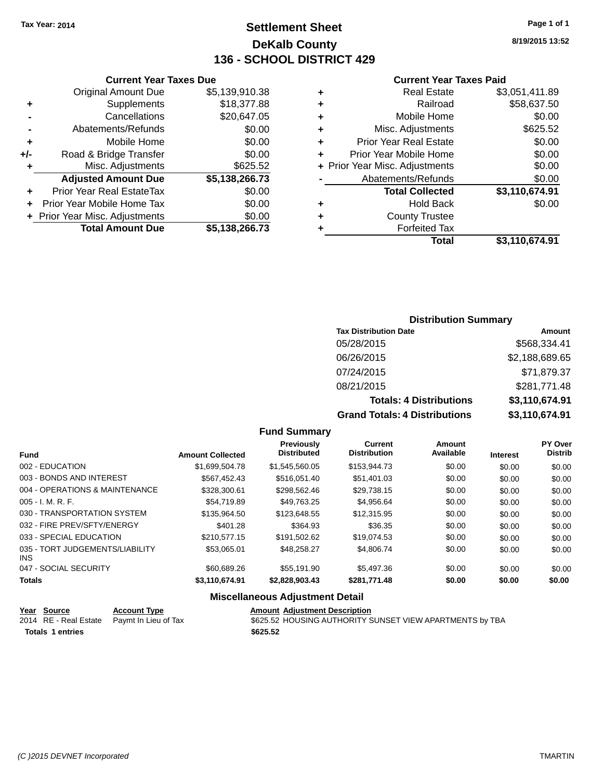## **Settlement Sheet Tax Year: 2014 Page 1 of 1 DeKalb County 136 - SCHOOL DISTRICT 429**

**8/19/2015 13:52**

#### **Current Year Taxes Paid**

|     | <b>Original Amount Due</b>       | \$5,139,910.38 |
|-----|----------------------------------|----------------|
| ٠   | Supplements                      | \$18,377.88    |
|     | Cancellations                    | \$20,647.05    |
|     | Abatements/Refunds               | \$0.00         |
| ٠   | Mobile Home                      | \$0.00         |
| +/- | Road & Bridge Transfer           | \$0.00         |
| ٠   | Misc. Adjustments                | \$625.52       |
|     | <b>Adjusted Amount Due</b>       | \$5,138,266.73 |
| ٠   | <b>Prior Year Real EstateTax</b> | \$0.00         |
| ٠   | Prior Year Mobile Home Tax       | \$0.00         |
|     | + Prior Year Misc. Adjustments   | \$0.00         |
|     | <b>Total Amount Due</b>          | \$5,138,266.73 |
|     |                                  |                |

**Current Year Taxes Due**

| ٠ | <b>Real Estate</b>             | \$3,051,411.89 |
|---|--------------------------------|----------------|
| ٠ | Railroad                       | \$58,637.50    |
| ٠ | Mobile Home                    | \$0.00         |
| ٠ | Misc. Adjustments              | \$625.52       |
| ٠ | <b>Prior Year Real Estate</b>  | \$0.00         |
| ٠ | Prior Year Mobile Home         | \$0.00         |
|   | + Prior Year Misc. Adjustments | \$0.00         |
|   | Abatements/Refunds             | \$0.00         |
|   | <b>Total Collected</b>         | \$3,110,674.91 |
| ٠ | <b>Hold Back</b>               | \$0.00         |
| ٠ | <b>County Trustee</b>          |                |
| ٠ | <b>Forfeited Tax</b>           |                |
|   | <b>Total</b>                   | \$3,110,674.91 |
|   |                                |                |

### **Distribution Summary Tax Distribution Date Amount** 05/28/2015 \$568,334.41 06/26/2015 \$2,188,689.65 07/24/2015 \$71,879.37 08/21/2015 \$281,771.48 **Totals: 4 Distributions \$3,110,674.91 Grand Totals: 4 Distributions \$3,110,674.91**

#### **Fund Summary**

| <b>Fund</b>                             | <b>Amount Collected</b> | Previously<br><b>Distributed</b> | Current<br><b>Distribution</b> | Amount<br>Available | <b>Interest</b> | PY Over<br><b>Distrib</b> |
|-----------------------------------------|-------------------------|----------------------------------|--------------------------------|---------------------|-----------------|---------------------------|
| 002 - EDUCATION                         | \$1,699,504.78          | \$1.545,560.05                   | \$153,944.73                   | \$0.00              | \$0.00          | \$0.00                    |
| 003 - BONDS AND INTEREST                | \$567.452.43            | \$516.051.40                     | \$51,401.03                    | \$0.00              | \$0.00          | \$0.00                    |
| 004 - OPERATIONS & MAINTENANCE          | \$328,300.61            | \$298,562.46                     | \$29.738.15                    | \$0.00              | \$0.00          | \$0.00                    |
| $005 - I. M. R. F.$                     | \$54.719.89             | \$49.763.25                      | \$4.956.64                     | \$0.00              | \$0.00          | \$0.00                    |
| 030 - TRANSPORTATION SYSTEM             | \$135,964.50            | \$123,648,55                     | \$12,315.95                    | \$0.00              | \$0.00          | \$0.00                    |
| 032 - FIRE PREV/SFTY/ENERGY             | \$401.28                | \$364.93                         | \$36.35                        | \$0.00              | \$0.00          | \$0.00                    |
| 033 - SPECIAL EDUCATION                 | \$210,577.15            | \$191.502.62                     | \$19.074.53                    | \$0.00              | \$0.00          | \$0.00                    |
| 035 - TORT JUDGEMENTS/LIABILITY<br>INS. | \$53,065.01             | \$48.258.27                      | \$4,806.74                     | \$0.00              | \$0.00          | \$0.00                    |
| 047 - SOCIAL SECURITY                   | \$60,689.26             | \$55.191.90                      | \$5,497.36                     | \$0.00              | \$0.00          | \$0.00                    |
| <b>Totals</b>                           | \$3,110,674.91          | \$2,828,903.43                   | \$281,771.48                   | \$0.00              | \$0.00          | \$0.00                    |

| Year Source             | <b>Account Type</b>                        | <b>Amount Adiustment Description</b>                     |
|-------------------------|--------------------------------------------|----------------------------------------------------------|
|                         | 2014 RE - Real Estate Paymt In Lieu of Tax | \$625.52 HOUSING AUTHORITY SUNSET VIEW APARTMENTS by TBA |
| <b>Totals 1 entries</b> |                                            | \$625.52                                                 |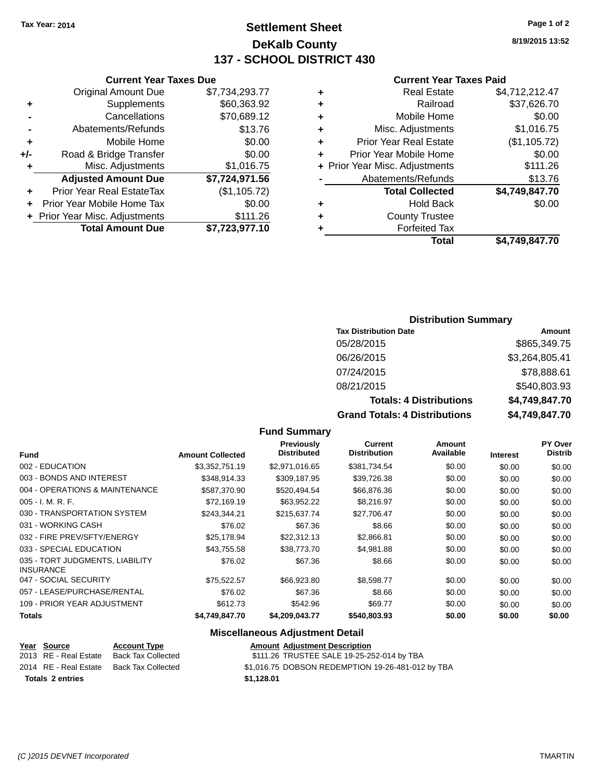## **Settlement Sheet Tax Year: 2014 Page 1 of 2 DeKalb County 137 - SCHOOL DISTRICT 430**

**8/19/2015 13:52**

#### **Current Year Taxes Paid**

| ٠ | <b>Real Estate</b>             | \$4,712,212.47 |
|---|--------------------------------|----------------|
| ٠ | Railroad                       | \$37,626.70    |
| ٠ | Mobile Home                    | \$0.00         |
| ٠ | Misc. Adjustments              | \$1,016.75     |
| ٠ | <b>Prior Year Real Estate</b>  | (\$1,105.72)   |
| ÷ | Prior Year Mobile Home         | \$0.00         |
|   | + Prior Year Misc. Adjustments | \$111.26       |
|   | Abatements/Refunds             | \$13.76        |
|   | <b>Total Collected</b>         | \$4,749,847.70 |
| ٠ | <b>Hold Back</b>               | \$0.00         |
| ÷ | <b>County Trustee</b>          |                |
|   | <b>Forfeited Tax</b>           |                |
|   | Total                          | \$4.749.847.70 |

#### **Current Year Taxes Due** Original Amount Due \$7,734,293.77 **+** Supplements \$60,363.92 **-** Cancellations \$70,689.12 **-** Abatements/Refunds \$13.76 **+** Mobile Home \$0.00 **+/-** Road & Bridge Transfer \$0.00 **+** Misc. Adjustments \$1,016.75 **Adjusted Amount Due \$7,724,971.56 +** Prior Year Real EstateTax (\$1,105.72) **+** Prior Year Mobile Home Tax \$0.00 **+ Prior Year Misc. Adjustments \$111.26 Total Amount Due \$7,723,977.10**

#### **Distribution Summary**

| <b>Tax Distribution Date</b>         | Amount         |
|--------------------------------------|----------------|
| 05/28/2015                           | \$865,349.75   |
| 06/26/2015                           | \$3,264,805.41 |
| 07/24/2015                           | \$78,888.61    |
| 08/21/2015                           | \$540,803.93   |
| <b>Totals: 4 Distributions</b>       | \$4,749,847.70 |
| <b>Grand Totals: 4 Distributions</b> | \$4,749,847.70 |

#### **Fund Summary**

|                                                     |                         | <b>Previously</b>  | <b>Current</b>      | Amount    |                 | <b>PY Over</b> |
|-----------------------------------------------------|-------------------------|--------------------|---------------------|-----------|-----------------|----------------|
| Fund                                                | <b>Amount Collected</b> | <b>Distributed</b> | <b>Distribution</b> | Available | <b>Interest</b> | <b>Distrib</b> |
| 002 - EDUCATION                                     | \$3,352,751.19          | \$2,971,016.65     | \$381,734.54        | \$0.00    | \$0.00          | \$0.00         |
| 003 - BONDS AND INTEREST                            | \$348.914.33            | \$309,187.95       | \$39,726.38         | \$0.00    | \$0.00          | \$0.00         |
| 004 - OPERATIONS & MAINTENANCE                      | \$587,370.90            | \$520,494.54       | \$66,876.36         | \$0.00    | \$0.00          | \$0.00         |
| $005 - I. M. R. F.$                                 | \$72,169.19             | \$63,952.22        | \$8,216.97          | \$0.00    | \$0.00          | \$0.00         |
| 030 - TRANSPORTATION SYSTEM                         | \$243.344.21            | \$215,637.74       | \$27.706.47         | \$0.00    | \$0.00          | \$0.00         |
| 031 - WORKING CASH                                  | \$76.02                 | \$67.36            | \$8.66              | \$0.00    | \$0.00          | \$0.00         |
| 032 - FIRE PREV/SFTY/ENERGY                         | \$25.178.94             | \$22,312.13        | \$2,866.81          | \$0.00    | \$0.00          | \$0.00         |
| 033 - SPECIAL EDUCATION                             | \$43.755.58             | \$38,773,70        | \$4.981.88          | \$0.00    | \$0.00          | \$0.00         |
| 035 - TORT JUDGMENTS, LIABILITY<br><b>INSURANCE</b> | \$76.02                 | \$67.36            | \$8.66              | \$0.00    | \$0.00          | \$0.00         |
| 047 - SOCIAL SECURITY                               | \$75,522.57             | \$66,923.80        | \$8,598.77          | \$0.00    | \$0.00          | \$0.00         |
| 057 - LEASE/PURCHASE/RENTAL                         | \$76.02                 | \$67.36            | \$8.66              | \$0.00    | \$0.00          | \$0.00         |
| 109 - PRIOR YEAR ADJUSTMENT                         | \$612.73                | \$542.96           | \$69.77             | \$0.00    | \$0.00          | \$0.00         |
| Totals                                              | \$4,749,847.70          | \$4,209,043.77     | \$540,803.93        | \$0.00    | \$0.00          | \$0.00         |

| Year Source             | <b>Account Type</b>                      | <b>Amount Adiustment Description</b> |                                                   |
|-------------------------|------------------------------------------|--------------------------------------|---------------------------------------------------|
| 2013 RE - Real Estate   | Back Tax Collected                       |                                      | \$111.26 TRUSTEE SALE 19-25-252-014 by TBA        |
|                         | 2014 RE - Real Estate Back Tax Collected |                                      | \$1,016.75 DOBSON REDEMPTION 19-26-481-012 by TBA |
| <b>Totals 2 entries</b> |                                          | \$1.128.01                           |                                                   |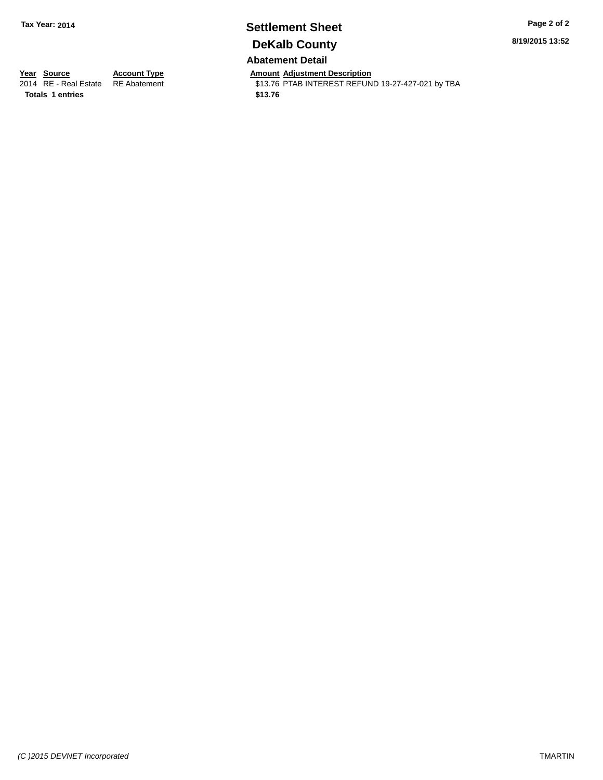# **Settlement Sheet Tax Year: 2014 Page 2 of 2 DeKalb County**

**8/19/2015 13:52**

#### **Abatement Detail**

**Totals \$13.76 1 entries**

**Year Source Account Type Amount Adjustment Description**<br>2014 RE - Real Estate RE Abatement **Amount Adjustment Description** \$13.76 PTAB INTEREST REFUND 19-27-427-021 by TBA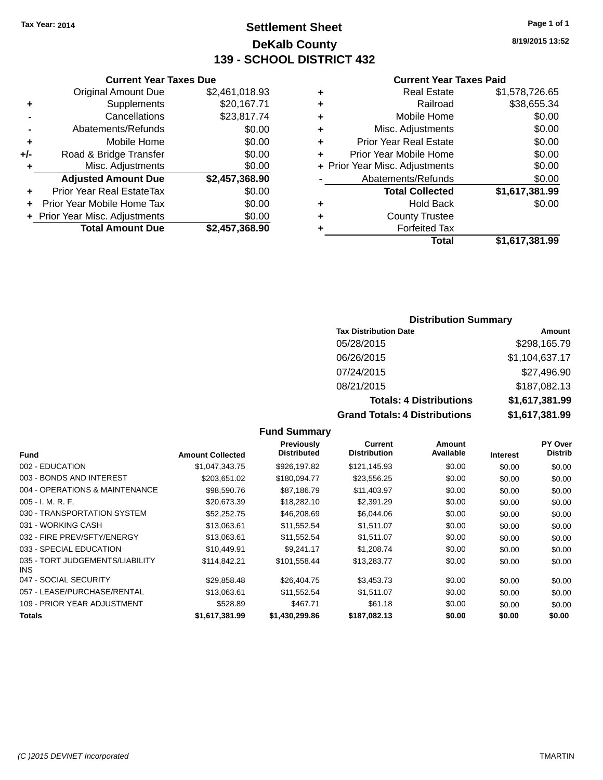## **Settlement Sheet Tax Year: 2014 Page 1 of 1 DeKalb County 139 - SCHOOL DISTRICT 432**

**8/19/2015 13:52**

#### **Current Year Taxes Paid**

|     | <b>Current Year Taxes Due</b>  |                |  |  |  |
|-----|--------------------------------|----------------|--|--|--|
|     | <b>Original Amount Due</b>     | \$2,461,018.93 |  |  |  |
| ٠   | Supplements                    | \$20,167.71    |  |  |  |
|     | Cancellations                  | \$23,817.74    |  |  |  |
|     | Abatements/Refunds             | \$0.00         |  |  |  |
| ٠   | Mobile Home                    | \$0.00         |  |  |  |
| +/- | Road & Bridge Transfer         | \$0.00         |  |  |  |
| ٠   | Misc. Adjustments              | \$0.00         |  |  |  |
|     | <b>Adjusted Amount Due</b>     | \$2,457,368.90 |  |  |  |
| ٠   | Prior Year Real EstateTax      | \$0.00         |  |  |  |
|     | Prior Year Mobile Home Tax     | \$0.00         |  |  |  |
|     | + Prior Year Misc. Adjustments | \$0.00         |  |  |  |
|     | <b>Total Amount Due</b>        | \$2,457,368.90 |  |  |  |
|     |                                |                |  |  |  |

|   | <b>Real Estate</b>             | \$1,578,726.65 |
|---|--------------------------------|----------------|
| ٠ | Railroad                       | \$38,655.34    |
| ٠ | Mobile Home                    | \$0.00         |
| ٠ | Misc. Adjustments              | \$0.00         |
| ٠ | <b>Prior Year Real Estate</b>  | \$0.00         |
| ٠ | Prior Year Mobile Home         | \$0.00         |
|   | + Prior Year Misc. Adjustments | \$0.00         |
|   | Abatements/Refunds             | \$0.00         |
|   | <b>Total Collected</b>         | \$1,617,381.99 |
| ٠ | <b>Hold Back</b>               | \$0.00         |
| ٠ | <b>County Trustee</b>          |                |
|   | <b>Forfeited Tax</b>           |                |
|   | Total                          | \$1,617,381.99 |
|   |                                |                |

#### **Distribution Summary**

| <b>Tax Distribution Date</b>         | Amount         |
|--------------------------------------|----------------|
| 05/28/2015                           | \$298,165.79   |
| 06/26/2015                           | \$1,104,637.17 |
| 07/24/2015                           | \$27,496.90    |
| 08/21/2015                           | \$187,082.13   |
| <b>Totals: 4 Distributions</b>       | \$1,617,381.99 |
| <b>Grand Totals: 4 Distributions</b> | \$1,617,381.99 |

| <b>Fund</b>                             | <b>Amount Collected</b> | <b>Previously</b><br><b>Distributed</b> | <b>Current</b><br><b>Distribution</b> | Amount<br>Available | <b>Interest</b> | PY Over<br><b>Distrib</b> |
|-----------------------------------------|-------------------------|-----------------------------------------|---------------------------------------|---------------------|-----------------|---------------------------|
| 002 - EDUCATION                         | \$1,047,343.75          | \$926.197.82                            | \$121,145.93                          | \$0.00              | \$0.00          | \$0.00                    |
| 003 - BONDS AND INTEREST                | \$203,651.02            | \$180,094.77                            | \$23,556.25                           | \$0.00              | \$0.00          | \$0.00                    |
| 004 - OPERATIONS & MAINTENANCE          | \$98,590.76             | \$87,186.79                             | \$11,403.97                           | \$0.00              | \$0.00          | \$0.00                    |
| 005 - I. M. R. F.                       | \$20,673.39             | \$18,282.10                             | \$2,391.29                            | \$0.00              | \$0.00          | \$0.00                    |
| 030 - TRANSPORTATION SYSTEM             | \$52.252.75             | \$46,208.69                             | \$6,044.06                            | \$0.00              | \$0.00          | \$0.00                    |
| 031 - WORKING CASH                      | \$13,063.61             | \$11,552.54                             | \$1,511.07                            | \$0.00              | \$0.00          | \$0.00                    |
| 032 - FIRE PREV/SFTY/ENERGY             | \$13,063.61             | \$11,552.54                             | \$1,511.07                            | \$0.00              | \$0.00          | \$0.00                    |
| 033 - SPECIAL EDUCATION                 | \$10,449.91             | \$9,241.17                              | \$1,208.74                            | \$0.00              | \$0.00          | \$0.00                    |
| 035 - TORT JUDGEMENTS/LIABILITY<br>INS. | \$114,842.21            | \$101,558.44                            | \$13,283.77                           | \$0.00              | \$0.00          | \$0.00                    |
| 047 - SOCIAL SECURITY                   | \$29,858.48             | \$26.404.75                             | \$3,453.73                            | \$0.00              | \$0.00          | \$0.00                    |
| 057 - LEASE/PURCHASE/RENTAL             | \$13,063.61             | \$11,552.54                             | \$1,511.07                            | \$0.00              | \$0.00          | \$0.00                    |
| 109 - PRIOR YEAR ADJUSTMENT             | \$528.89                | \$467.71                                | \$61.18                               | \$0.00              | \$0.00          | \$0.00                    |
| Totals                                  | \$1,617,381.99          | \$1,430,299.86                          | \$187,082.13                          | \$0.00              | \$0.00          | \$0.00                    |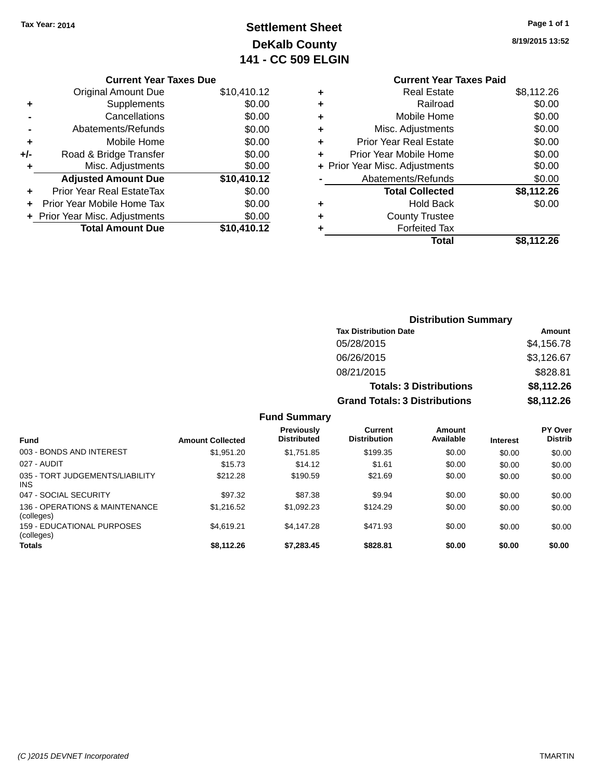## **Settlement Sheet Tax Year: 2014 Page 1 of 1 DeKalb County 141 - CC 509 ELGIN**

**8/19/2015 13:52**

|       | <b>Current Year Taxes Due</b>  |             |
|-------|--------------------------------|-------------|
|       | <b>Original Amount Due</b>     | \$10,410.12 |
|       | Supplements                    | \$0.00      |
|       | Cancellations                  | \$0.00      |
|       | Abatements/Refunds             | \$0.00      |
| ٠     | Mobile Home                    | \$0.00      |
| $+/-$ | Road & Bridge Transfer         | \$0.00      |
| ٠     | Misc. Adjustments              | \$0.00      |
|       | <b>Adjusted Amount Due</b>     | \$10,410.12 |
| ÷     | Prior Year Real EstateTax      | \$0.00      |
|       | Prior Year Mobile Home Tax     | \$0.00      |
|       | + Prior Year Misc. Adjustments | \$0.00      |
|       | <b>Total Amount Due</b>        | \$10,410.12 |
|       |                                |             |

#### **Current Year Taxes Paid +** Real Estate \$8,112.26 **+** Railroad \$0.00 **+** Mobile Home \$0.00 **+** Misc. Adjustments \$0.00 **+** Prior Year Real Estate \$0.00<br> **+** Prior Year Mobile Home \$0.00 **+** Prior Year Mobile Home

|                      | Total                          | \$8,112.26 |
|----------------------|--------------------------------|------------|
|                      | <b>Forfeited Tax</b>           |            |
|                      | <b>County Trustee</b>          |            |
| $\ddot{\phantom{1}}$ | <b>Hold Back</b>               | \$0.00     |
|                      | <b>Total Collected</b>         | \$8,112.26 |
|                      | Abatements/Refunds             | \$0.00     |
|                      | + Prior Year Misc. Adjustments | \$0.00     |
|                      |                                | vv.vv      |

| <b>Distribution Summary</b>          |            |
|--------------------------------------|------------|
| <b>Tax Distribution Date</b>         | Amount     |
| 05/28/2015                           | \$4,156.78 |
| 06/26/2015                           | \$3,126.67 |
| 08/21/2015                           | \$828.81   |
| <b>Totals: 3 Distributions</b>       | \$8,112.26 |
| <b>Grand Totals: 3 Distributions</b> | \$8,112.26 |

| <b>Fund</b>                                  | <b>Amount Collected</b> | <b>Previously</b><br><b>Distributed</b> | <b>Current</b><br><b>Distribution</b> | Amount<br>Available | <b>Interest</b> | <b>PY Over</b><br><b>Distrib</b> |
|----------------------------------------------|-------------------------|-----------------------------------------|---------------------------------------|---------------------|-----------------|----------------------------------|
| 003 - BONDS AND INTEREST                     | \$1,951.20              | \$1,751.85                              | \$199.35                              | \$0.00              | \$0.00          | \$0.00                           |
| 027 - AUDIT                                  | \$15.73                 | \$14.12                                 | \$1.61                                | \$0.00              | \$0.00          | \$0.00                           |
| 035 - TORT JUDGEMENTS/LIABILITY<br>INS.      | \$212.28                | \$190.59                                | \$21.69                               | \$0.00              | \$0.00          | \$0.00                           |
| 047 - SOCIAL SECURITY                        | \$97.32                 | \$87.38                                 | \$9.94                                | \$0.00              | \$0.00          | \$0.00                           |
| 136 - OPERATIONS & MAINTENANCE<br>(colleges) | \$1,216,52              | \$1.092.23                              | \$124.29                              | \$0.00              | \$0.00          | \$0.00                           |
| 159 - EDUCATIONAL PURPOSES<br>(colleges)     | \$4.619.21              | \$4.147.28                              | \$471.93                              | \$0.00              | \$0.00          | \$0.00                           |
| <b>Totals</b>                                | \$8,112.26              | \$7,283.45                              | \$828.81                              | \$0.00              | \$0.00          | \$0.00                           |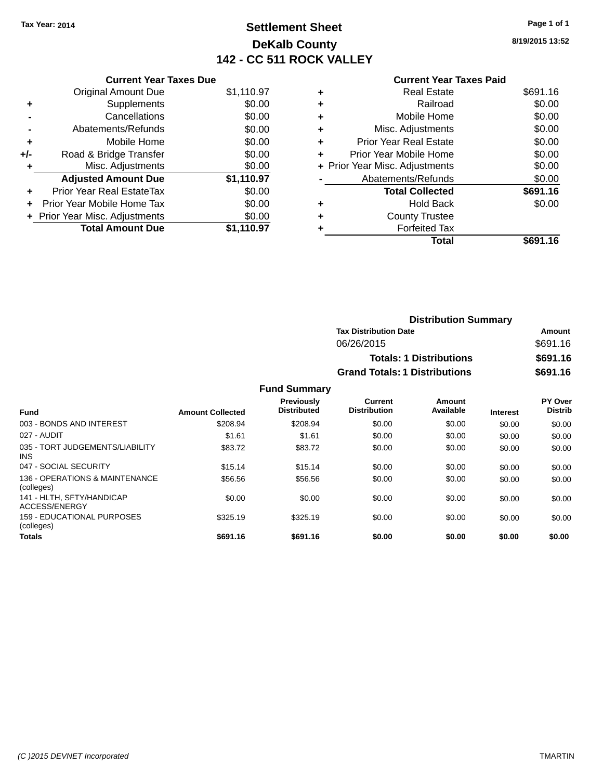## **Settlement Sheet Tax Year: 2014 Page 1 of 1 DeKalb County 142 - CC 511 ROCK VALLEY**

**8/19/2015 13:52**

|     | <b>Current Year Taxes Due</b>  |            |
|-----|--------------------------------|------------|
|     | <b>Original Amount Due</b>     | \$1,110.97 |
| ٠   | Supplements                    | \$0.00     |
|     | Cancellations                  | \$0.00     |
|     | Abatements/Refunds             | \$0.00     |
| ٠   | Mobile Home                    | \$0.00     |
| +/- | Road & Bridge Transfer         | \$0.00     |
| ٠   | Misc. Adjustments              | \$0.00     |
|     | <b>Adjusted Amount Due</b>     | \$1,110.97 |
| ÷   | Prior Year Real EstateTax      | \$0.00     |
| ÷   | Prior Year Mobile Home Tax     | \$0.00     |
|     | + Prior Year Misc. Adjustments | \$0.00     |
|     | <b>Total Amount Due</b>        | \$1.110.97 |

## **Current Year Taxes Paid**

|   | <b>Real Estate</b>             | \$691.16 |
|---|--------------------------------|----------|
| ٠ | Railroad                       | \$0.00   |
| ٠ | Mobile Home                    | \$0.00   |
| ٠ | Misc. Adjustments              | \$0.00   |
| ٠ | <b>Prior Year Real Estate</b>  | \$0.00   |
| ÷ | Prior Year Mobile Home         | \$0.00   |
|   | + Prior Year Misc. Adjustments | \$0.00   |
|   | Abatements/Refunds             | \$0.00   |
|   | <b>Total Collected</b>         | \$691.16 |
| ٠ | <b>Hold Back</b>               | \$0.00   |
| ٠ | <b>County Trustee</b>          |          |
| ٠ | <b>Forfeited Tax</b>           |          |
|   | Total                          | \$691.16 |
|   |                                |          |

| <b>Distribution Summary</b>          |          |  |  |
|--------------------------------------|----------|--|--|
| <b>Tax Distribution Date</b>         | Amount   |  |  |
| 06/26/2015                           | \$691.16 |  |  |
| <b>Totals: 1 Distributions</b>       | \$691.16 |  |  |
| <b>Grand Totals: 1 Distributions</b> | \$691.16 |  |  |

| <b>Fund</b>                                     | <b>Amount Collected</b> | <b>Previously</b><br><b>Distributed</b> | <b>Current</b><br><b>Distribution</b> | Amount<br>Available | <b>Interest</b> | PY Over<br><b>Distrib</b> |
|-------------------------------------------------|-------------------------|-----------------------------------------|---------------------------------------|---------------------|-----------------|---------------------------|
| 003 - BONDS AND INTEREST                        | \$208.94                | \$208.94                                | \$0.00                                | \$0.00              | \$0.00          | \$0.00                    |
| 027 - AUDIT                                     | \$1.61                  | \$1.61                                  | \$0.00                                | \$0.00              | \$0.00          | \$0.00                    |
| 035 - TORT JUDGEMENTS/LIABILITY<br><b>INS</b>   | \$83.72                 | \$83.72                                 | \$0.00                                | \$0.00              | \$0.00          | \$0.00                    |
| 047 - SOCIAL SECURITY                           | \$15.14                 | \$15.14                                 | \$0.00                                | \$0.00              | \$0.00          | \$0.00                    |
| 136 - OPERATIONS & MAINTENANCE<br>(colleges)    | \$56.56                 | \$56.56                                 | \$0.00                                | \$0.00              | \$0.00          | \$0.00                    |
| 141 - HLTH, SFTY/HANDICAP<br>ACCESS/ENERGY      | \$0.00                  | \$0.00                                  | \$0.00                                | \$0.00              | \$0.00          | \$0.00                    |
| <b>159 - EDUCATIONAL PURPOSES</b><br>(colleges) | \$325.19                | \$325.19                                | \$0.00                                | \$0.00              | \$0.00          | \$0.00                    |
| <b>Totals</b>                                   | \$691.16                | \$691.16                                | \$0.00                                | \$0.00              | \$0.00          | \$0.00                    |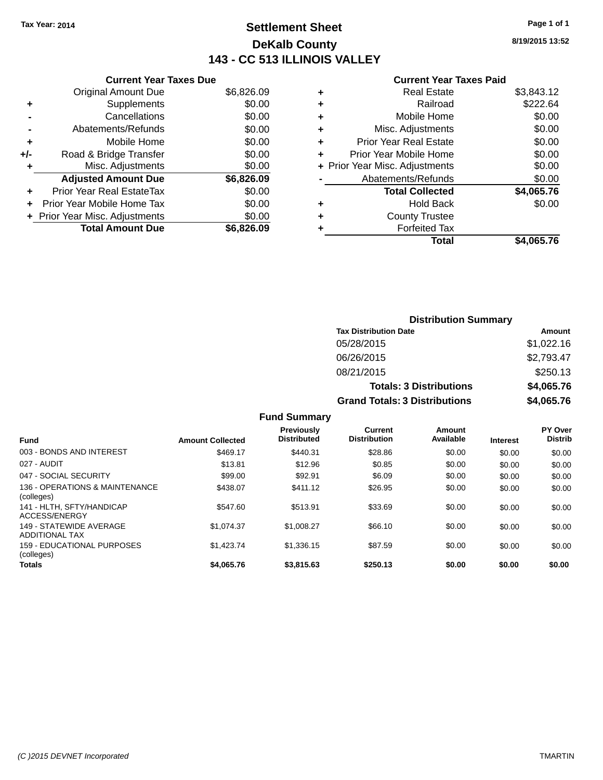## **Settlement Sheet Tax Year: 2014 Page 1 of 1 DeKalb County 143 - CC 513 ILLINOIS VALLEY**

**8/19/2015 13:52**

#### **Current Year Taxes Paid**

|     | <b>Current Year Taxes Due</b>  |            |
|-----|--------------------------------|------------|
|     | <b>Original Amount Due</b>     | \$6,826.09 |
| ٠   | Supplements                    | \$0.00     |
|     | Cancellations                  | \$0.00     |
|     | Abatements/Refunds             | \$0.00     |
| ٠   | Mobile Home                    | \$0.00     |
| +/- | Road & Bridge Transfer         | \$0.00     |
| ٠   | Misc. Adjustments              | \$0.00     |
|     | <b>Adjusted Amount Due</b>     | \$6,826.09 |
| ÷   | Prior Year Real EstateTax      | \$0.00     |
| ÷   | Prior Year Mobile Home Tax     | \$0.00     |
|     | + Prior Year Misc. Adjustments | \$0.00     |
|     | <b>Total Amount Due</b>        | \$6.826.09 |

| ٠ | <b>Real Estate</b>             | \$3,843.12 |
|---|--------------------------------|------------|
| ٠ | Railroad                       | \$222.64   |
| ٠ | Mobile Home                    | \$0.00     |
| ٠ | Misc. Adjustments              | \$0.00     |
| ٠ | Prior Year Real Estate         | \$0.00     |
| ٠ | Prior Year Mobile Home         | \$0.00     |
|   | + Prior Year Misc. Adjustments | \$0.00     |
|   | Abatements/Refunds             | \$0.00     |
|   | <b>Total Collected</b>         | \$4,065.76 |
| ٠ | <b>Hold Back</b>               | \$0.00     |
| ٠ | <b>County Trustee</b>          |            |
| ٠ | <b>Forfeited Tax</b>           |            |
|   | Total                          | \$4,065.76 |
|   |                                |            |

| <b>Distribution Summary</b>          |            |  |  |
|--------------------------------------|------------|--|--|
| <b>Tax Distribution Date</b>         | Amount     |  |  |
| 05/28/2015                           | \$1,022.16 |  |  |
| 06/26/2015                           | \$2,793.47 |  |  |
| 08/21/2015                           | \$250.13   |  |  |
| <b>Totals: 3 Distributions</b>       | \$4,065.76 |  |  |
| <b>Grand Totals: 3 Distributions</b> | \$4,065.76 |  |  |

| <b>Fund</b>                                      | <b>Amount Collected</b> | <b>Previously</b><br><b>Distributed</b> | Current<br><b>Distribution</b> | Amount<br>Available | <b>Interest</b> | <b>PY Over</b><br><b>Distrib</b> |
|--------------------------------------------------|-------------------------|-----------------------------------------|--------------------------------|---------------------|-----------------|----------------------------------|
| 003 - BONDS AND INTEREST                         | \$469.17                | \$440.31                                | \$28.86                        | \$0.00              | \$0.00          | \$0.00                           |
| 027 - AUDIT                                      | \$13.81                 | \$12.96                                 | \$0.85                         | \$0.00              | \$0.00          | \$0.00                           |
| 047 - SOCIAL SECURITY                            | \$99.00                 | \$92.91                                 | \$6.09                         | \$0.00              | \$0.00          | \$0.00                           |
| 136 - OPERATIONS & MAINTENANCE<br>(colleges)     | \$438.07                | \$411.12                                | \$26.95                        | \$0.00              | \$0.00          | \$0.00                           |
| 141 - HLTH, SFTY/HANDICAP<br>ACCESS/ENERGY       | \$547.60                | \$513.91                                | \$33.69                        | \$0.00              | \$0.00          | \$0.00                           |
| 149 - STATEWIDE AVERAGE<br><b>ADDITIONAL TAX</b> | \$1.074.37              | \$1,008.27                              | \$66.10                        | \$0.00              | \$0.00          | \$0.00                           |
| 159 - EDUCATIONAL PURPOSES<br>(colleges)         | \$1,423.74              | \$1,336.15                              | \$87.59                        | \$0.00              | \$0.00          | \$0.00                           |
| Totals                                           | \$4,065.76              | \$3.815.63                              | \$250.13                       | \$0.00              | \$0.00          | \$0.00                           |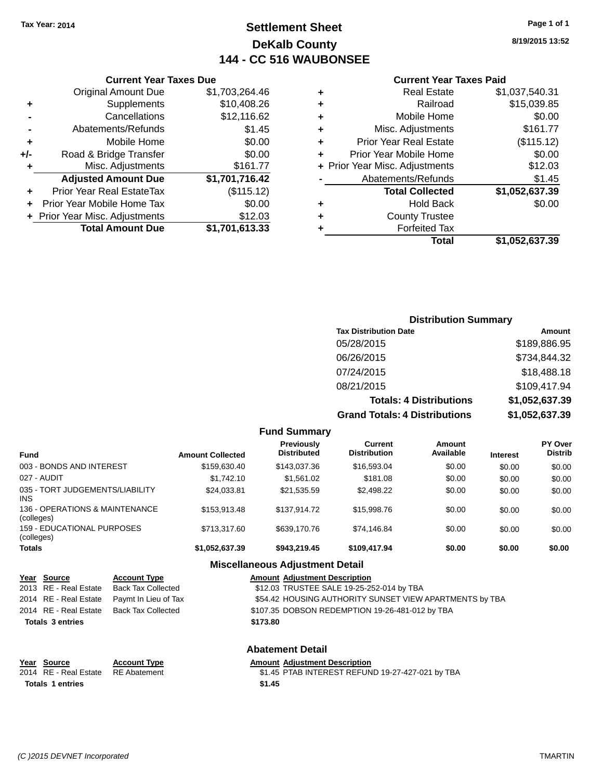## **Settlement Sheet Tax Year: 2014 Page 1 of 1 DeKalb County 144 - CC 516 WAUBONSEE**

**8/19/2015 13:52**

#### **Current Year Taxes Paid**

|   | Total                          | \$1,052,637.39 |
|---|--------------------------------|----------------|
|   | <b>Forfeited Tax</b>           |                |
| ٠ | <b>County Trustee</b>          |                |
| ٠ | <b>Hold Back</b>               | \$0.00         |
|   | <b>Total Collected</b>         | \$1,052,637.39 |
|   | Abatements/Refunds             | \$1.45         |
|   | + Prior Year Misc. Adjustments | \$12.03        |
| ٠ | Prior Year Mobile Home         | \$0.00         |
| ٠ | <b>Prior Year Real Estate</b>  | (\$115.12)     |
| ٠ | Misc. Adjustments              | \$161.77       |
| ٠ | Mobile Home                    | \$0.00         |
| ٠ | Railroad                       | \$15,039.85    |
| ٠ | <b>Real Estate</b>             | \$1,037,540.31 |
|   |                                |                |

|     | <b>Current Year Taxes Due</b>    |                |  |
|-----|----------------------------------|----------------|--|
|     | <b>Original Amount Due</b>       | \$1,703,264.46 |  |
| ٠   | Supplements                      | \$10,408.26    |  |
|     | Cancellations                    | \$12,116.62    |  |
|     | Abatements/Refunds               | \$1.45         |  |
| ٠   | Mobile Home                      | \$0.00         |  |
| +/- | Road & Bridge Transfer           | \$0.00         |  |
| ٠   | Misc. Adjustments                | \$161.77       |  |
|     | <b>Adjusted Amount Due</b>       | \$1,701,716.42 |  |
|     | <b>Prior Year Real EstateTax</b> | (\$115.12)     |  |
|     | Prior Year Mobile Home Tax       | \$0.00         |  |
|     | + Prior Year Misc. Adjustments   | \$12.03        |  |
|     | <b>Total Amount Due</b>          | \$1,701,613.33 |  |

| <b>Distribution Summary</b>          |                |  |  |  |
|--------------------------------------|----------------|--|--|--|
| <b>Tax Distribution Date</b>         | Amount         |  |  |  |
| 05/28/2015                           | \$189,886.95   |  |  |  |
| 06/26/2015                           | \$734,844.32   |  |  |  |
| 07/24/2015                           | \$18,488.18    |  |  |  |
| 08/21/2015                           | \$109,417.94   |  |  |  |
| <b>Totals: 4 Distributions</b>       | \$1,052,637.39 |  |  |  |
| <b>Grand Totals: 4 Distributions</b> | \$1,052,637.39 |  |  |  |

|                                                 |                         | <b>Fund Summary</b>                     |                                |                     |                 |                                  |
|-------------------------------------------------|-------------------------|-----------------------------------------|--------------------------------|---------------------|-----------------|----------------------------------|
| <b>Fund</b>                                     | <b>Amount Collected</b> | <b>Previously</b><br><b>Distributed</b> | Current<br><b>Distribution</b> | Amount<br>Available | <b>Interest</b> | <b>PY Over</b><br><b>Distrib</b> |
| 003 - BONDS AND INTEREST                        | \$159,630.40            | \$143,037,36                            | \$16,593.04                    | \$0.00              | \$0.00          | \$0.00                           |
| 027 - AUDIT                                     | \$1,742.10              | \$1.561.02                              | \$181.08                       | \$0.00              | \$0.00          | \$0.00                           |
| 035 - TORT JUDGEMENTS/LIABILITY<br>INS.         | \$24.033.81             | \$21.535.59                             | \$2,498.22                     | \$0.00              | \$0.00          | \$0.00                           |
| 136 - OPERATIONS & MAINTENANCE<br>(colleges)    | \$153,913.48            | \$137.914.72                            | \$15,998.76                    | \$0.00              | \$0.00          | \$0.00                           |
| <b>159 - EDUCATIONAL PURPOSES</b><br>(colleges) | \$713.317.60            | \$639,170.76                            | \$74.146.84                    | \$0.00              | \$0.00          | \$0.00                           |
| Totals                                          | \$1,052,637.39          | \$943.219.45                            | \$109,417.94                   | \$0.00              | \$0.00          | \$0.00                           |
|                                                 |                         | <b>Miscellaneous Adjustment Detail</b>  |                                |                     |                 |                                  |

| Year Source             | <b>Account Type</b>  | <b>Amount Adjustment Description</b>                    |
|-------------------------|----------------------|---------------------------------------------------------|
| 2013 RE - Real Estate   | Back Tax Collected   | \$12.03 TRUSTEE SALE 19-25-252-014 by TBA               |
| 2014 RE - Real Estate   | Paymt In Lieu of Tax | \$54.42 HOUSING AUTHORITY SUNSET VIEW APARTMENTS by TBA |
| 2014 RE - Real Estate   | Back Tax Collected   | \$107.35 DOBSON REDEMPTION 19-26-481-012 by TBA         |
| <b>Totals 3 entries</b> |                      | \$173.80                                                |
|                         |                      | <b>Abatement Detail</b>                                 |

| Year Source                        | <b>Account Type</b> |        | <b>Amount Adjustment Description</b>             |
|------------------------------------|---------------------|--------|--------------------------------------------------|
| 2014 RE - Real Estate RE Abatement |                     |        | \$1.45 PTAB INTEREST REFUND 19-27-427-021 by TBA |
| <b>Totals 1 entries</b>            |                     | \$1.45 |                                                  |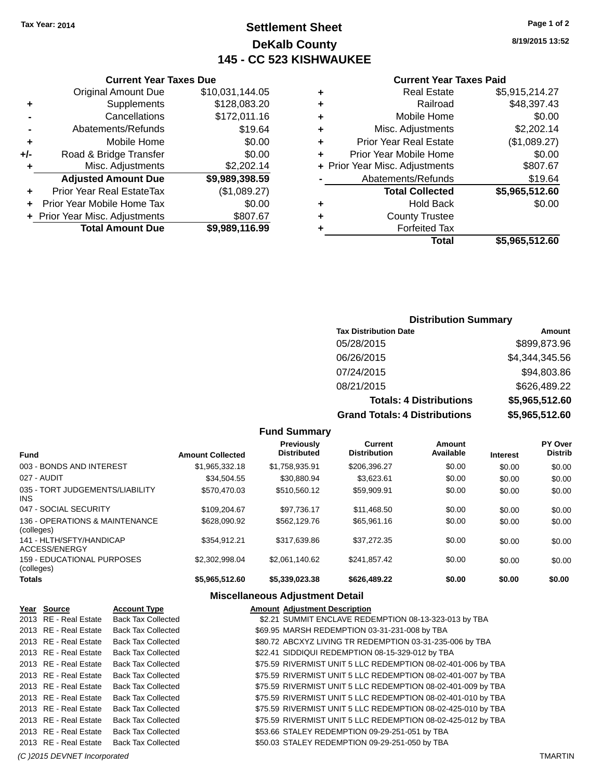## **Settlement Sheet Tax Year: 2014 Page 1 of 2 DeKalb County 145 - CC 523 KISHWAUKEE**

**8/19/2015 13:52**

#### **Current Year Taxes Paid**

|                                | \$5,915,214.27                          |
|--------------------------------|-----------------------------------------|
| Railroad                       | \$48,397.43                             |
| Mobile Home                    | \$0.00                                  |
|                                | \$2,202.14                              |
| <b>Prior Year Real Estate</b>  | (\$1,089.27)                            |
| Prior Year Mobile Home         | \$0.00                                  |
| + Prior Year Misc. Adjustments | \$807.67                                |
| Abatements/Refunds             | \$19.64                                 |
| <b>Total Collected</b>         | \$5,965,512.60                          |
| <b>Hold Back</b>               | \$0.00                                  |
| <b>County Trustee</b>          |                                         |
| <b>Forfeited Tax</b>           |                                         |
| Total                          | \$5,965,512.60                          |
|                                | <b>Real Estate</b><br>Misc. Adjustments |

|     | <b>Current Year Taxes Due</b>  |                 |
|-----|--------------------------------|-----------------|
|     | <b>Original Amount Due</b>     | \$10,031,144.05 |
| ٠   | Supplements                    | \$128,083.20    |
|     | Cancellations                  | \$172,011.16    |
|     | Abatements/Refunds             | \$19.64         |
| ٠   | Mobile Home                    | \$0.00          |
| +/- | Road & Bridge Transfer         | \$0.00          |
| ٠   | Misc. Adjustments              | \$2,202.14      |
|     | <b>Adjusted Amount Due</b>     | \$9,989,398.59  |
| ٠   | Prior Year Real EstateTax      | (\$1,089.27)    |
|     | Prior Year Mobile Home Tax     | \$0.00          |
|     | + Prior Year Misc. Adjustments | \$807.67        |
|     | <b>Total Amount Due</b>        | \$9,989,116.99  |

### **Distribution Summary**

| <b>Tax Distribution Date</b>         | Amount         |
|--------------------------------------|----------------|
| 05/28/2015                           | \$899,873.96   |
| 06/26/2015                           | \$4,344,345.56 |
| 07/24/2015                           | \$94,803.86    |
| 08/21/2015                           | \$626,489.22   |
| <b>Totals: 4 Distributions</b>       | \$5,965,512.60 |
| <b>Grand Totals: 4 Distributions</b> | \$5,965,512.60 |

|                                                 |                         | <b>Fund Summary</b>                     |                                |                     |                 |                           |
|-------------------------------------------------|-------------------------|-----------------------------------------|--------------------------------|---------------------|-----------------|---------------------------|
| <b>Fund</b>                                     | <b>Amount Collected</b> | <b>Previously</b><br><b>Distributed</b> | Current<br><b>Distribution</b> | Amount<br>Available | <b>Interest</b> | PY Over<br><b>Distrib</b> |
| 003 - BONDS AND INTEREST                        | \$1,965,332.18          | \$1,758,935.91                          | \$206,396.27                   | \$0.00              | \$0.00          | \$0.00                    |
| 027 - AUDIT                                     | \$34.504.55             | \$30,880.94                             | \$3,623.61                     | \$0.00              | \$0.00          | \$0.00                    |
| 035 - TORT JUDGEMENTS/LIABILITY<br>INS.         | \$570.470.03            | \$510,560.12                            | \$59.909.91                    | \$0.00              | \$0.00          | \$0.00                    |
| 047 - SOCIAL SECURITY                           | \$109,204.67            | \$97,736.17                             | \$11,468.50                    | \$0.00              | \$0.00          | \$0.00                    |
| 136 - OPERATIONS & MAINTENANCE<br>(colleges)    | \$628,090.92            | \$562,129.76                            | \$65,961.16                    | \$0.00              | \$0.00          | \$0.00                    |
| 141 - HLTH/SFTY/HANDICAP<br>ACCESS/ENERGY       | \$354.912.21            | \$317.639.86                            | \$37.272.35                    | \$0.00              | \$0.00          | \$0.00                    |
| <b>159 - EDUCATIONAL PURPOSES</b><br>(colleges) | \$2,302,998.04          | \$2.061.140.62                          | \$241.857.42                   | \$0.00              | \$0.00          | \$0.00                    |
| <b>Totals</b>                                   | \$5,965,512.60          | \$5,339,023.38                          | \$626,489.22                   | \$0.00              | \$0.00          | \$0.00                    |

| Year Source                  | <b>Account Type</b>       | <b>Amount Adjustment Description</b>                         |                |
|------------------------------|---------------------------|--------------------------------------------------------------|----------------|
| 2013 RE - Real Estate        | <b>Back Tax Collected</b> | \$2.21 SUMMIT ENCLAVE REDEMPTION 08-13-323-013 by TBA        |                |
| 2013 RE - Real Estate        | <b>Back Tax Collected</b> | \$69.95 MARSH REDEMPTION 03-31-231-008 by TBA                |                |
| 2013 RE - Real Estate        | <b>Back Tax Collected</b> | \$80.72 ABCXYZ LIVING TR REDEMPTION 03-31-235-006 by TBA     |                |
| 2013 RE - Real Estate        | <b>Back Tax Collected</b> | \$22.41 SIDDIQUI REDEMPTION 08-15-329-012 by TBA             |                |
| 2013 RE - Real Estate        | <b>Back Tax Collected</b> | \$75.59 RIVERMIST UNIT 5 LLC REDEMPTION 08-02-401-006 by TBA |                |
| 2013 RE - Real Estate        | <b>Back Tax Collected</b> | \$75.59 RIVERMIST UNIT 5 LLC REDEMPTION 08-02-401-007 by TBA |                |
| 2013 RE - Real Estate        | <b>Back Tax Collected</b> | \$75.59 RIVERMIST UNIT 5 LLC REDEMPTION 08-02-401-009 by TBA |                |
| 2013 RE - Real Estate        | <b>Back Tax Collected</b> | \$75.59 RIVERMIST UNIT 5 LLC REDEMPTION 08-02-401-010 by TBA |                |
| 2013 RE - Real Estate        | <b>Back Tax Collected</b> | \$75.59 RIVERMIST UNIT 5 LLC REDEMPTION 08-02-425-010 by TBA |                |
| 2013 RE - Real Estate        | <b>Back Tax Collected</b> | \$75.59 RIVERMIST UNIT 5 LLC REDEMPTION 08-02-425-012 by TBA |                |
| 2013 RE - Real Estate        | <b>Back Tax Collected</b> | \$53.66 STALEY REDEMPTION 09-29-251-051 by TBA               |                |
| 2013 RE - Real Estate        | <b>Back Tax Collected</b> | \$50.03 STALEY REDEMPTION 09-29-251-050 by TBA               |                |
| (C) 2015 DEVNET Incorporated |                           |                                                              | <b>TMARTIN</b> |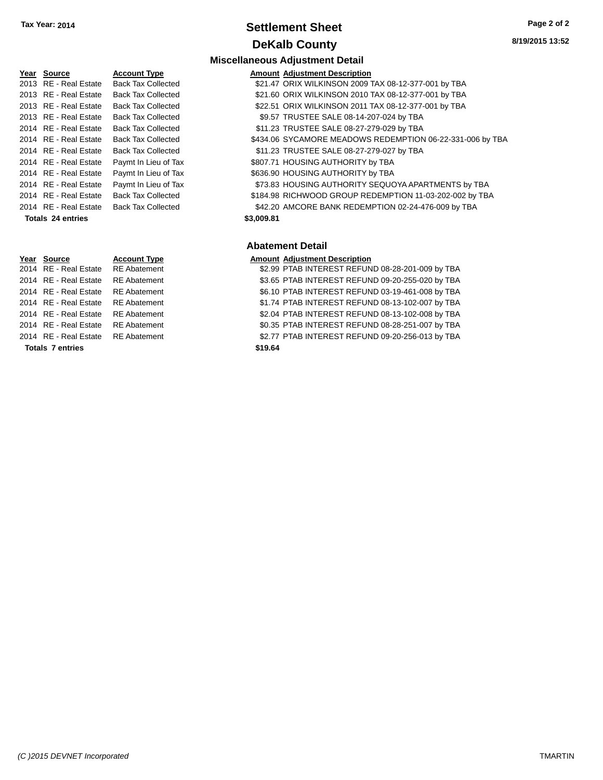## **Settlement Sheet Tax Year: 2014 Page 2 of 2 DeKalb County**

**Miscellaneous Adjustment Detail**

|      | Year Source              | Accou             |
|------|--------------------------|-------------------|
|      | 2013 RE - Real Estate    | Back 7            |
|      | 2013 RE - Real Estate    | Back <sup>-</sup> |
|      | 2013 RE - Real Estate    | Back <sup>-</sup> |
| 2013 | <b>RE</b> - Real Estate  | Back <sup>-</sup> |
| 2014 | RE - Real Estate         | Back <sup>-</sup> |
| 2014 | <b>RE</b> - Real Estate  | Back <sup>-</sup> |
| 2014 | <b>RE</b> - Real Estate  | Back <sup>-</sup> |
| 2014 | <b>RE</b> - Real Estate  | Paymt             |
|      | 2014 RE - Real Estate    | Paymt             |
|      | 2014 RE - Real Estate    | Paymt             |
|      | 2014 RE - Real Estate    | Back <sup>-</sup> |
|      | 2014 RE - Real Estate    | Back <sup>-</sup> |
|      | <b>Totals 24 entries</b> |                   |

**Totals \$19.64 7 entries**

**Amount Adjustment Description Amount Adjustment Description** Tax Collected **2013 S21.47 ORIX WILKINSON 2009 TAX 08-12-377-001 by TBA** Tax Collected **2013 S21.60 ORIX WILKINSON 2010 TAX 08-12-377-001 by TBA** Tax Collected **2014 S22.51 ORIX WILKINSON 2011 TAX 08-12-377-001 by TBA** Tax Collected **2013 SP.57 TRUSTEE SALE 08-14-207-024 by TBA** Tax Collected **2014 State State SALE 08-27-279-029 by TBA** Tax Collected **2014 REAL ESTATE STATE STATE STATE AREADOWS REDEMPTION 06-22-331-006 by TBA** Tax Collected **Estate State Set Estate SALE 08-27-279-027 by TBA** In Lieu of Tax  $$807.71$  HOUSING AUTHORITY by TBA In Lieu of Tax  $$636.90$  HOUSING AUTHORITY by TBA In Lieu of Tax  $$73.83$  HOUSING AUTHORITY SEQUOYA APARTMENTS by TBA Tax Collected **2014 SAL ESTATE STATE STATE STATE STATE ASSESS** THE STATE STATE STATE STATE STATE STATE STATE STA Tax Collected **2014 SALL AMCORE BANK REDEMPTION 02-24-476-009 by TBA Totals \$3,009.81 24 entries**

#### **Abatement Detail**

#### **Year Source Account Type Amount Adjustment Description** 2014 RE - Real Estate RE Abatement \$2.99 PTAB INTEREST REFUND 08-28-201-009 by TBA 2014 RE - Real Estate RE Abatement \$3.65 PTAB INTEREST REFUND 09-20-255-020 by TBA 2014 RE - Real Estate RE Abatement 66.10 PTAB INTEREST REFUND 03-19-461-008 by TBA 2014 RE - Real Estate RE Abatement \$1.74 PTAB INTEREST REFUND 08-13-102-007 by TBA 2014 RE - Real Estate RE Abatement \$2.04 PTAB INTEREST REFUND 08-13-102-008 by TBA

- 2014 RE Real Estate RE Abatement \$0.35 PTAB INTEREST REFUND 08-28-251-007 by TBA
- 2014 RE Real Estate RE Abatement \$2.77 PTAB INTEREST REFUND 09-20-256-013 by TBA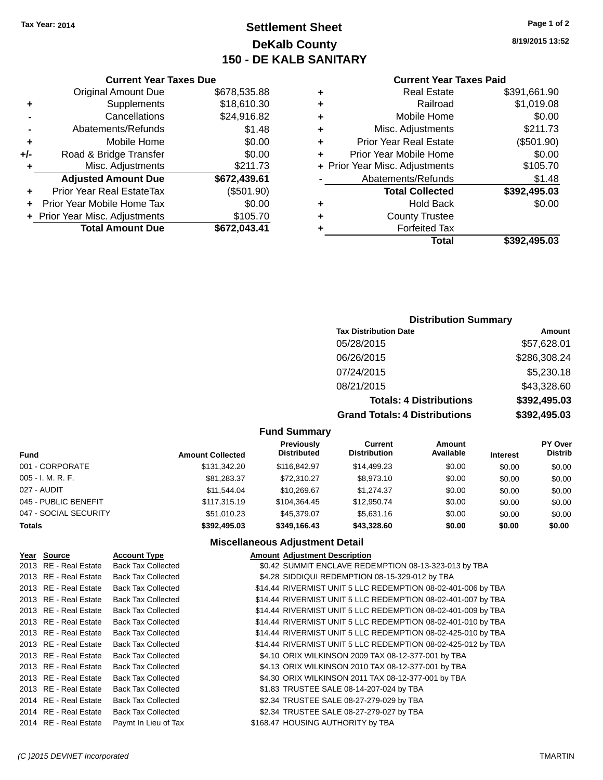## **Settlement Sheet Tax Year: 2014 Page 1 of 2 DeKalb County 150 - DE KALB SANITARY**

## **8/19/2015 13:52**

| <b>Current Year Taxes Paid</b> |  |  |  |
|--------------------------------|--|--|--|
|--------------------------------|--|--|--|

|   | Total                          | \$392.495.03 |
|---|--------------------------------|--------------|
|   | <b>Forfeited Tax</b>           |              |
| ٠ | <b>County Trustee</b>          |              |
| ٠ | <b>Hold Back</b>               | \$0.00       |
|   | <b>Total Collected</b>         | \$392,495.03 |
|   | Abatements/Refunds             | \$1.48       |
|   | + Prior Year Misc. Adjustments | \$105.70     |
| ÷ | Prior Year Mobile Home         | \$0.00       |
| ٠ | <b>Prior Year Real Estate</b>  | (\$501.90)   |
| ٠ | Misc. Adjustments              | \$211.73     |
| ٠ | Mobile Home                    | \$0.00       |
| ٠ | Railroad                       | \$1,019.08   |
|   | <b>Real Estate</b>             | \$391,661.90 |

| <b>Original Amount Due</b>     | \$678,535.88                  |
|--------------------------------|-------------------------------|
| Supplements                    | \$18,610.30                   |
| Cancellations                  | \$24,916.82                   |
| Abatements/Refunds             | \$1.48                        |
| Mobile Home                    | \$0.00                        |
| Road & Bridge Transfer         | \$0.00                        |
| Misc. Adjustments              | \$211.73                      |
| <b>Adjusted Amount Due</b>     | \$672,439.61                  |
| Prior Year Real EstateTax      | (\$501.90)                    |
| Prior Year Mobile Home Tax     | \$0.00                        |
| + Prior Year Misc. Adjustments | \$105.70                      |
| <b>Total Amount Due</b>        | \$672,043.41                  |
|                                | <b>Current Year Taxes Due</b> |

#### **Distribution Summary**

| <b>Tax Distribution Date</b>         | Amount       |
|--------------------------------------|--------------|
| 05/28/2015                           | \$57,628.01  |
| 06/26/2015                           | \$286,308.24 |
| 07/24/2015                           | \$5,230.18   |
| 08/21/2015                           | \$43,328.60  |
| <b>Totals: 4 Distributions</b>       | \$392,495.03 |
| <b>Grand Totals: 4 Distributions</b> | \$392,495.03 |

#### **Fund Summary**

| Fund                  | <b>Amount Collected</b> | <b>Previously</b><br><b>Distributed</b> | Current<br><b>Distribution</b> | Amount<br>Available | <b>Interest</b> | <b>PY Over</b><br><b>Distrib</b> |
|-----------------------|-------------------------|-----------------------------------------|--------------------------------|---------------------|-----------------|----------------------------------|
| 001 - CORPORATE       | \$131,342,20            | \$116,842,97                            | \$14,499.23                    | \$0.00              | \$0.00          | \$0.00                           |
| 005 - I. M. R. F.     | \$81.283.37             | \$72.310.27                             | \$8,973.10                     | \$0.00              | \$0.00          | \$0.00                           |
| 027 - AUDIT           | \$11.544.04             | \$10.269.67                             | \$1.274.37                     | \$0.00              | \$0.00          | \$0.00                           |
| 045 - PUBLIC BENEFIT  | \$117,315,19            | \$104.364.45                            | \$12,950.74                    | \$0.00              | \$0.00          | \$0.00                           |
| 047 - SOCIAL SECURITY | \$51,010.23             | \$45,379.07                             | \$5,631.16                     | \$0.00              | \$0.00          | \$0.00                           |
| <b>Totals</b>         | \$392,495.03            | \$349,166,43                            | \$43,328.60                    | \$0.00              | \$0.00          | \$0.00                           |

| Year Source           | <b>Account Type</b>       | <b>Amount Adiustment Description</b>                         |
|-----------------------|---------------------------|--------------------------------------------------------------|
| 2013 RE - Real Estate | <b>Back Tax Collected</b> | \$0.42 SUMMIT ENCLAVE REDEMPTION 08-13-323-013 by TBA        |
| 2013 RE - Real Estate | <b>Back Tax Collected</b> | \$4.28 SIDDIQUI REDEMPTION 08-15-329-012 by TBA              |
| 2013 RE - Real Estate | <b>Back Tax Collected</b> | \$14.44 RIVERMIST UNIT 5 LLC REDEMPTION 08-02-401-006 by TBA |
| 2013 RE - Real Estate | <b>Back Tax Collected</b> | \$14.44 RIVERMIST UNIT 5 LLC REDEMPTION 08-02-401-007 by TBA |
| 2013 RE - Real Estate | <b>Back Tax Collected</b> | \$14.44 RIVERMIST UNIT 5 LLC REDEMPTION 08-02-401-009 by TBA |
| 2013 RE - Real Estate | <b>Back Tax Collected</b> | \$14.44 RIVERMIST UNIT 5 LLC REDEMPTION 08-02-401-010 by TBA |
| 2013 RE - Real Estate | <b>Back Tax Collected</b> | \$14.44 RIVERMIST UNIT 5 LLC REDEMPTION 08-02-425-010 by TBA |
| 2013 RE - Real Estate | <b>Back Tax Collected</b> | \$14.44 RIVERMIST UNIT 5 LLC REDEMPTION 08-02-425-012 by TBA |
| 2013 RE - Real Estate | <b>Back Tax Collected</b> | \$4.10 ORIX WILKINSON 2009 TAX 08-12-377-001 by TBA          |
| 2013 RE - Real Estate | <b>Back Tax Collected</b> | \$4.13 ORIX WILKINSON 2010 TAX 08-12-377-001 by TBA          |
| 2013 RE - Real Estate | <b>Back Tax Collected</b> | \$4.30 ORIX WILKINSON 2011 TAX 08-12-377-001 by TBA          |
| 2013 RE - Real Estate | <b>Back Tax Collected</b> | \$1.83 TRUSTEE SALE 08-14-207-024 by TBA                     |
| 2014 RE - Real Estate | <b>Back Tax Collected</b> | \$2.34 TRUSTEE SALE 08-27-279-029 by TBA                     |
| 2014 RE - Real Estate | <b>Back Tax Collected</b> | \$2.34 TRUSTEE SALE 08-27-279-027 by TBA                     |
| 2014 RE - Real Estate | Paymt In Lieu of Tax      | \$168.47 HOUSING AUTHORITY by TBA                            |
|                       |                           |                                                              |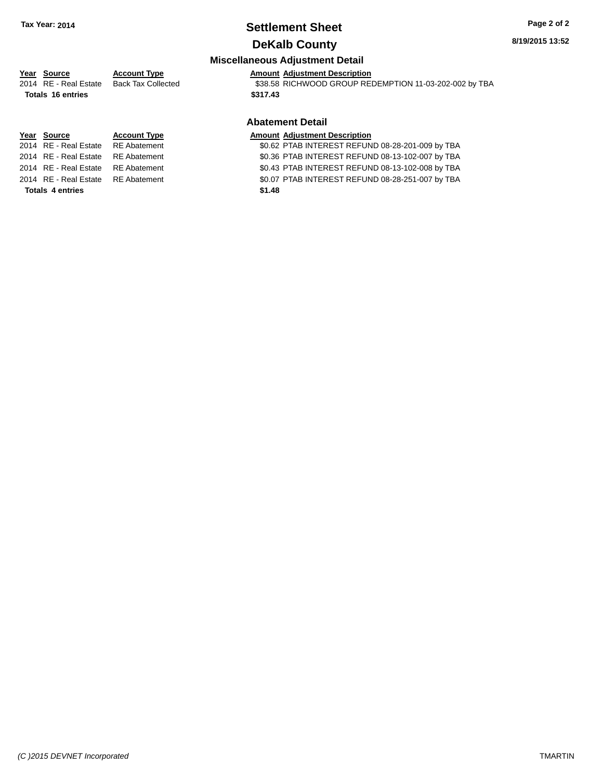# **Settlement Sheet Tax Year: 2014 Page 2 of 2**

### **DeKalb County**

## **8/19/2015 13:52**

#### **Miscellaneous Adjustment Detail**

## **Year** Source **Account Type Aggle 2016** Amount Adjustment Description

**Totals \$317.43 16 entries**

## 2014 RE - Real Estate Back Tax Collected \$38.58 RICHWOOD GROUP REDEMPTION 11-03-202-002 by TBA

**Totals \$1.48 4 entries**

### **Abatement Detail**

#### **Year Source Account Type Account Type Amount Adjustment Description**

2014 RE - Real Estate RE Abatement \$0.62 PTAB INTEREST REFUND 08-28-201-009 by TBA 2014 RE - Real Estate RE Abatement \$0.36 PTAB INTEREST REFUND 08-13-102-007 by TBA 2014 RE - Real Estate RE Abatement \$0.43 PTAB INTEREST REFUND 08-13-102-008 by TBA 2014 RE - Real Estate RE Abatement \$0.07 PTAB INTEREST REFUND 08-28-251-007 by TBA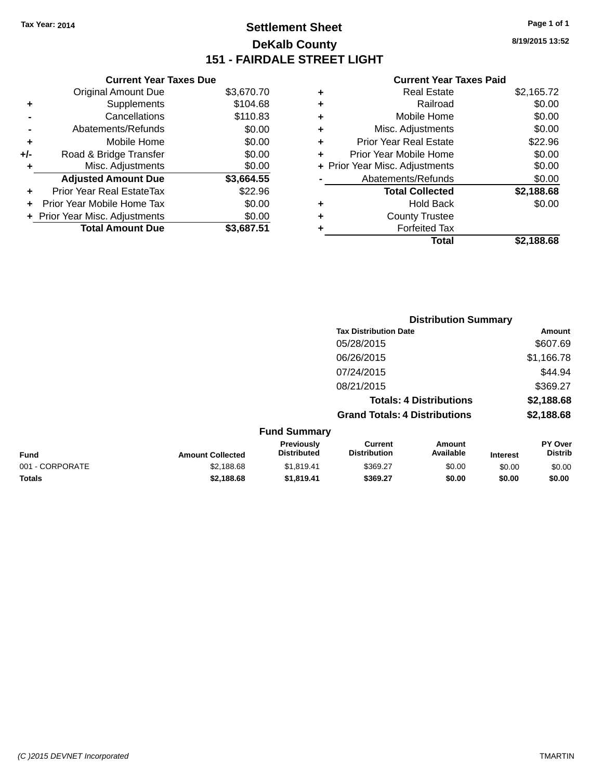## **Settlement Sheet Tax Year: 2014 Page 1 of 1 DeKalb County 151 - FAIRDALE STREET LIGHT**

**8/19/2015 13:52**

#### **Current Year Taxes Paid**

|     | <b>Current Year Taxes Due</b>  |            |   |
|-----|--------------------------------|------------|---|
|     | <b>Original Amount Due</b>     | \$3,670.70 | ٠ |
| ٠   | Supplements                    | \$104.68   | ٠ |
|     | Cancellations                  | \$110.83   | ÷ |
|     | Abatements/Refunds             | \$0.00     | ٠ |
|     | Mobile Home                    | \$0.00     | ÷ |
| +/- | Road & Bridge Transfer         | \$0.00     | ÷ |
|     | Misc. Adjustments              | \$0.00     |   |
|     | <b>Adjusted Amount Due</b>     | \$3,664.55 |   |
|     | Prior Year Real EstateTax      | \$22.96    |   |
|     | Prior Year Mobile Home Tax     | \$0.00     | ٠ |
|     | + Prior Year Misc. Adjustments | \$0.00     | ٠ |
|     | <b>Total Amount Due</b>        | \$3,687.51 |   |
|     |                                |            |   |

| ٠ | <b>Real Estate</b>             | \$2,165.72 |
|---|--------------------------------|------------|
| ٠ | Railroad                       | \$0.00     |
| ٠ | Mobile Home                    | \$0.00     |
| ٠ | Misc. Adjustments              | \$0.00     |
| ٠ | <b>Prior Year Real Estate</b>  | \$22.96    |
| ٠ | Prior Year Mobile Home         | \$0.00     |
|   | + Prior Year Misc. Adjustments | \$0.00     |
|   | Abatements/Refunds             | \$0.00     |
|   | <b>Total Collected</b>         | \$2,188.68 |
| ٠ | <b>Hold Back</b>               | \$0.00     |
| ٠ | <b>County Trustee</b>          |            |
| ٠ | <b>Forfeited Tax</b>           |            |
|   | Total                          | \$2.188.68 |
|   |                                |            |

|                 |                         |                                  |                                       | <b>Distribution Summary</b>    |                 |                                  |
|-----------------|-------------------------|----------------------------------|---------------------------------------|--------------------------------|-----------------|----------------------------------|
|                 |                         |                                  | <b>Tax Distribution Date</b>          |                                |                 | <b>Amount</b>                    |
|                 |                         |                                  | 05/28/2015                            |                                |                 | \$607.69                         |
|                 |                         |                                  | 06/26/2015                            |                                |                 | \$1,166.78                       |
|                 |                         |                                  | 07/24/2015                            |                                |                 | \$44.94                          |
|                 |                         |                                  | 08/21/2015                            |                                |                 | \$369.27                         |
|                 |                         |                                  |                                       | <b>Totals: 4 Distributions</b> |                 | \$2,188.68                       |
|                 |                         |                                  | <b>Grand Totals: 4 Distributions</b>  |                                |                 | \$2,188.68                       |
|                 |                         | <b>Fund Summary</b>              |                                       |                                |                 |                                  |
| <b>Fund</b>     | <b>Amount Collected</b> | Previously<br><b>Distributed</b> | <b>Current</b><br><b>Distribution</b> | Amount<br>Available            | <b>Interest</b> | <b>PY Over</b><br><b>Distrib</b> |
| 001 - CORPORATE | \$2,188.68              | \$1,819.41                       | \$369.27                              | \$0.00                         | \$0.00          | \$0.00                           |
| <b>Totals</b>   | \$2,188.68              | \$1,819.41                       | \$369.27                              | \$0.00                         | \$0.00          | \$0.00                           |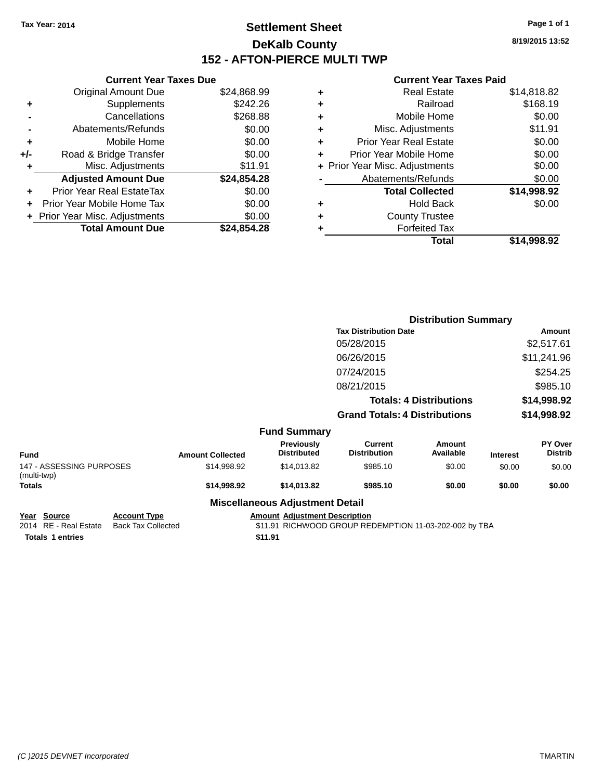## **Settlement Sheet Tax Year: 2014 Page 1 of 1 DeKalb County 152 - AFTON-PIERCE MULTI TWP**

**8/19/2015 13:52**

#### **Current Year Taxes Paid**

|     | <b>Current Year Taxes Due</b>  |             |  |
|-----|--------------------------------|-------------|--|
|     | <b>Original Amount Due</b>     | \$24,868.99 |  |
| ٠   | Supplements                    | \$242.26    |  |
|     | Cancellations                  | \$268.88    |  |
|     | Abatements/Refunds             | \$0.00      |  |
| ٠   | Mobile Home                    | \$0.00      |  |
| +/- | Road & Bridge Transfer         | \$0.00      |  |
|     | Misc. Adjustments              | \$11.91     |  |
|     | <b>Adjusted Amount Due</b>     | \$24,854.28 |  |
|     | Prior Year Real EstateTax      | \$0.00      |  |
|     | Prior Year Mobile Home Tax     | \$0.00      |  |
|     | + Prior Year Misc. Adjustments | \$0.00      |  |
|     | <b>Total Amount Due</b>        | \$24.854.28 |  |
|     |                                |             |  |

| ٠ | <b>Real Estate</b>             | \$14,818.82 |
|---|--------------------------------|-------------|
| ٠ | Railroad                       | \$168.19    |
| ٠ | Mobile Home                    | \$0.00      |
| ٠ | Misc. Adjustments              | \$11.91     |
| ٠ | <b>Prior Year Real Estate</b>  | \$0.00      |
| ٠ | Prior Year Mobile Home         | \$0.00      |
|   | + Prior Year Misc. Adjustments | \$0.00      |
|   | Abatements/Refunds             | \$0.00      |
|   | <b>Total Collected</b>         | \$14,998.92 |
| ٠ | <b>Hold Back</b>               | \$0.00      |
| ٠ | <b>County Trustee</b>          |             |
| ٠ | <b>Forfeited Tax</b>           |             |
|   | Total                          | \$14,998.92 |
|   |                                |             |

|                                         |                     |                         |                                         |                                       | <b>Distribution Summary</b>    |                 |                           |
|-----------------------------------------|---------------------|-------------------------|-----------------------------------------|---------------------------------------|--------------------------------|-----------------|---------------------------|
|                                         |                     |                         |                                         | <b>Tax Distribution Date</b>          |                                |                 | <b>Amount</b>             |
|                                         |                     |                         |                                         | 05/28/2015                            |                                |                 | \$2,517.61                |
|                                         |                     |                         |                                         | 06/26/2015                            |                                |                 | \$11,241.96               |
|                                         |                     |                         |                                         | 07/24/2015                            |                                |                 | \$254.25                  |
|                                         |                     |                         |                                         | 08/21/2015                            |                                |                 | \$985.10                  |
|                                         |                     |                         |                                         |                                       | <b>Totals: 4 Distributions</b> |                 | \$14,998.92               |
|                                         |                     |                         |                                         | <b>Grand Totals: 4 Distributions</b>  |                                |                 | \$14,998.92               |
|                                         |                     |                         | <b>Fund Summary</b>                     |                                       |                                |                 |                           |
| <b>Fund</b>                             |                     | <b>Amount Collected</b> | <b>Previously</b><br><b>Distributed</b> | <b>Current</b><br><b>Distribution</b> | <b>Amount</b><br>Available     | <b>Interest</b> | PY Over<br><b>Distrib</b> |
| 147 - ASSESSING PURPOSES<br>(multi-twp) |                     | \$14,998.92             | \$14,013.82                             | \$985.10                              | \$0.00                         | \$0.00          | \$0.00                    |
| <b>Totals</b>                           |                     | \$14,998.92             | \$14,013.82                             | \$985.10                              | \$0.00                         | \$0.00          | \$0.00                    |
|                                         |                     |                         | <b>Miscellaneous Adjustment Detail</b>  |                                       |                                |                 |                           |
| Year Source                             | <b>Account Type</b> |                         | <b>Amount Adiustment Description</b>    |                                       |                                |                 |                           |

**<u>Pear</u> Source Account Type</u><br>2014 RE - Real Estate Back Tax Collected Totals 1 entries** \$11.91

\$11.91 RICHWOOD GROUP REDEMPTION 11-03-202-002 by TBA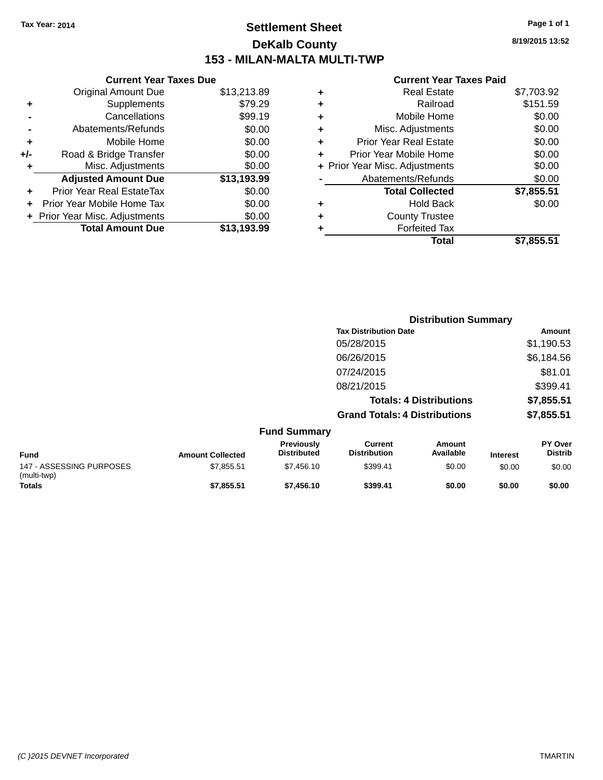## **Settlement Sheet Tax Year: 2014 Page 1 of 1 DeKalb County 153 - MILAN-MALTA MULTI-TWP**

**8/19/2015 13:52**

#### **Current Year Taxes Paid**

|     | <b>Current Year Taxes Due</b>  |             |  |
|-----|--------------------------------|-------------|--|
|     | <b>Original Amount Due</b>     | \$13,213.89 |  |
| ٠   | Supplements                    | \$79.29     |  |
|     | Cancellations                  | \$99.19     |  |
|     | Abatements/Refunds             | \$0.00      |  |
| ٠   | Mobile Home                    | \$0.00      |  |
| +/- | Road & Bridge Transfer         | \$0.00      |  |
| ٠   | Misc. Adjustments              | \$0.00      |  |
|     | <b>Adjusted Amount Due</b>     | \$13,193.99 |  |
|     | Prior Year Real EstateTax      | \$0.00      |  |
|     | Prior Year Mobile Home Tax     | \$0.00      |  |
|     | + Prior Year Misc. Adjustments | \$0.00      |  |
|     | <b>Total Amount Due</b>        | \$13.193.99 |  |
|     |                                |             |  |

|   | Total                          | \$7,855.51 |
|---|--------------------------------|------------|
|   | <b>Forfeited Tax</b>           |            |
| ٠ | <b>County Trustee</b>          |            |
| ٠ | <b>Hold Back</b>               | \$0.00     |
|   | <b>Total Collected</b>         | \$7,855.51 |
|   | Abatements/Refunds             | \$0.00     |
|   | + Prior Year Misc. Adjustments | \$0.00     |
| ٠ | Prior Year Mobile Home         | \$0.00     |
| ÷ | <b>Prior Year Real Estate</b>  | \$0.00     |
| ٠ | Misc. Adjustments              | \$0.00     |
| ٠ | Mobile Home                    | \$0.00     |
| ٠ | Railroad                       | \$151.59   |
| ٠ | <b>Real Estate</b>             | \$7,703.92 |
|   |                                |            |

|                                         |                         |                                  |                                       | <b>Distribution Summary</b>    |                 |                                  |
|-----------------------------------------|-------------------------|----------------------------------|---------------------------------------|--------------------------------|-----------------|----------------------------------|
|                                         |                         |                                  | <b>Tax Distribution Date</b>          |                                |                 | <b>Amount</b>                    |
|                                         |                         |                                  | 05/28/2015                            |                                |                 | \$1,190.53                       |
|                                         |                         |                                  | 06/26/2015                            |                                |                 | \$6,184.56                       |
|                                         |                         |                                  | 07/24/2015                            |                                |                 | \$81.01                          |
|                                         |                         |                                  | 08/21/2015                            |                                |                 | \$399.41                         |
|                                         |                         |                                  |                                       | <b>Totals: 4 Distributions</b> |                 | \$7,855.51                       |
|                                         |                         |                                  | <b>Grand Totals: 4 Distributions</b>  |                                |                 | \$7,855.51                       |
|                                         |                         | <b>Fund Summary</b>              |                                       |                                |                 |                                  |
| <b>Fund</b>                             | <b>Amount Collected</b> | Previously<br><b>Distributed</b> | <b>Current</b><br><b>Distribution</b> | <b>Amount</b><br>Available     | <b>Interest</b> | <b>PY Over</b><br><b>Distrib</b> |
| 147 - ASSESSING PURPOSES<br>(multi-twp) | \$7,855.51              | \$7,456.10                       | \$399.41                              | \$0.00                         | \$0.00          | \$0.00                           |
| Totals                                  | \$7,855.51              | \$7,456.10                       | \$399.41                              | \$0.00                         | \$0.00          | \$0.00                           |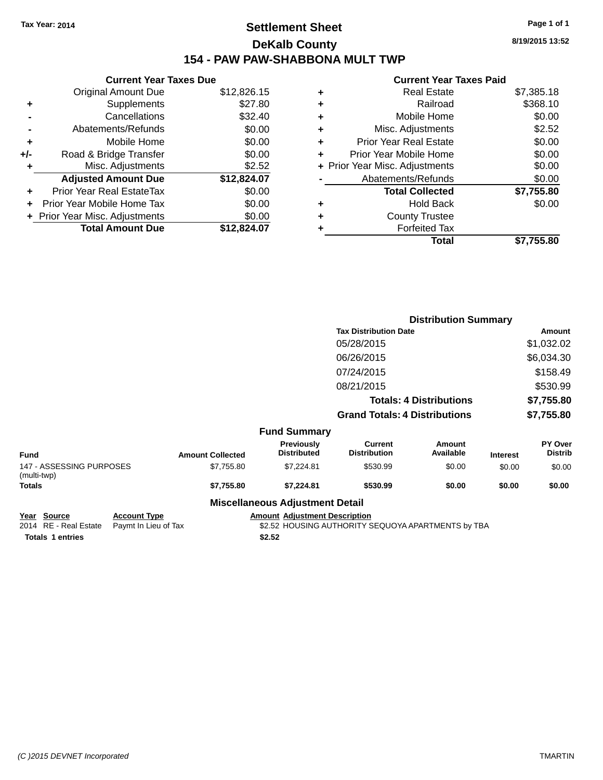## **Settlement Sheet Tax Year: 2014 Page 1 of 1 DeKalb County 154 - PAW PAW-SHABBONA MULT TWP**

|     | <b>Current Year Taxes Due</b>  |             |  |  |  |  |  |
|-----|--------------------------------|-------------|--|--|--|--|--|
|     | <b>Original Amount Due</b>     | \$12,826.15 |  |  |  |  |  |
| ٠   | Supplements                    | \$27.80     |  |  |  |  |  |
|     | Cancellations                  | \$32.40     |  |  |  |  |  |
|     | Abatements/Refunds             | \$0.00      |  |  |  |  |  |
| ٠   | Mobile Home                    | \$0.00      |  |  |  |  |  |
| +/- | Road & Bridge Transfer         | \$0.00      |  |  |  |  |  |
| ٠   | Misc. Adjustments              | \$2.52      |  |  |  |  |  |
|     | <b>Adjusted Amount Due</b>     | \$12,824.07 |  |  |  |  |  |
| ÷   | Prior Year Real EstateTax      | \$0.00      |  |  |  |  |  |
| ٠   | Prior Year Mobile Home Tax     | \$0.00      |  |  |  |  |  |
|     | + Prior Year Misc. Adjustments | \$0.00      |  |  |  |  |  |
|     | <b>Total Amount Due</b>        | \$12,824.07 |  |  |  |  |  |

#### **Current Year Taxes Paid**

|   | <b>Real Estate</b>             | \$7,385.18 |
|---|--------------------------------|------------|
| ٠ | Railroad                       | \$368.10   |
| ٠ | Mobile Home                    | \$0.00     |
| ٠ | Misc. Adjustments              | \$2.52     |
| ٠ | <b>Prior Year Real Estate</b>  | \$0.00     |
|   | Prior Year Mobile Home         | \$0.00     |
|   | + Prior Year Misc. Adjustments | \$0.00     |
|   | Abatements/Refunds             | \$0.00     |
|   | <b>Total Collected</b>         | \$7,755.80 |
| ٠ | <b>Hold Back</b>               | \$0.00     |
| ٠ | <b>County Trustee</b>          |            |
|   | <b>Forfeited Tax</b>           |            |
|   | Total                          | \$7,755.80 |
|   |                                |            |

|                                         |                         |                                        | <b>Distribution Summary</b>           |                                |                 |                           |
|-----------------------------------------|-------------------------|----------------------------------------|---------------------------------------|--------------------------------|-----------------|---------------------------|
|                                         |                         |                                        | <b>Tax Distribution Date</b>          |                                |                 | Amount                    |
|                                         |                         |                                        | 05/28/2015                            |                                |                 | \$1,032.02                |
|                                         |                         |                                        | 06/26/2015                            |                                |                 | \$6,034.30                |
|                                         |                         |                                        | 07/24/2015                            |                                |                 | \$158.49                  |
|                                         |                         |                                        | 08/21/2015                            |                                |                 | \$530.99                  |
|                                         |                         |                                        |                                       | <b>Totals: 4 Distributions</b> |                 | \$7,755.80                |
|                                         |                         |                                        | <b>Grand Totals: 4 Distributions</b>  |                                |                 | \$7,755.80                |
|                                         |                         | <b>Fund Summary</b>                    |                                       |                                |                 |                           |
| <b>Fund</b>                             | <b>Amount Collected</b> | Previously<br><b>Distributed</b>       | <b>Current</b><br><b>Distribution</b> | <b>Amount</b><br>Available     | <b>Interest</b> | PY Over<br><b>Distrib</b> |
| 147 - ASSESSING PURPOSES<br>(multi-twp) | \$7,755.80              | \$7,224.81                             | \$530.99                              | \$0.00                         | \$0.00          | \$0.00                    |
| Totals                                  | \$7,755.80              | \$7,224.81                             | \$530.99                              | \$0.00                         | \$0.00          | \$0.00                    |
|                                         |                         | <b>Miscellaneous Adjustment Detail</b> |                                       |                                |                 |                           |

**Year Source Account Type Account Type Amount Adjustment Description**<br>2014 RE - Real Estate Paymt In Lieu of Tax \$2.52 HOUSING AUTHORITY S **Totals 1 entries** \$2.52

\$2.52 HOUSING AUTHORITY SEQUOYA APARTMENTS by TBA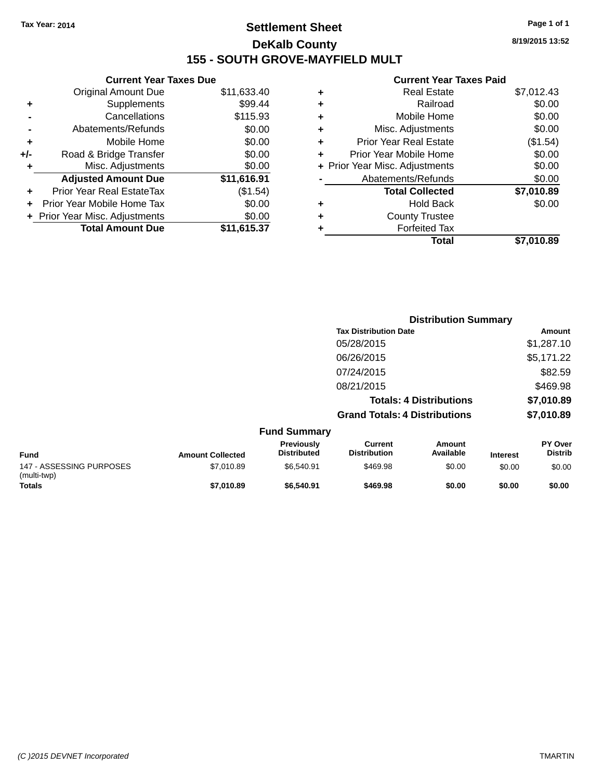## **Settlement Sheet Tax Year: 2014 Page 1 of 1 DeKalb County 155 - SOUTH GROVE-MAYFIELD MULT**

**8/19/2015 13:52**

#### **Current Year Taxes Paid**

| <b>Original Amount Due</b>   | \$11,633.40                   |
|------------------------------|-------------------------------|
| Supplements                  | \$99.44                       |
| Cancellations                | \$115.93                      |
| Abatements/Refunds           | \$0.00                        |
| Mobile Home                  | \$0.00                        |
| Road & Bridge Transfer       | \$0.00                        |
| Misc. Adjustments            | \$0.00                        |
| <b>Adjusted Amount Due</b>   | \$11,616.91                   |
| Prior Year Real EstateTax    | (\$1.54)                      |
| Prior Year Mobile Home Tax   | \$0.00                        |
| Prior Year Misc. Adjustments | \$0.00                        |
| <b>Total Amount Due</b>      | \$11,615.37                   |
|                              | <b>Current Year Taxes Due</b> |

| ٠ | <b>Real Estate</b>             | \$7,012.43 |
|---|--------------------------------|------------|
| ٠ | Railroad                       | \$0.00     |
| ٠ | Mobile Home                    | \$0.00     |
| ٠ | Misc. Adjustments              | \$0.00     |
| ٠ | <b>Prior Year Real Estate</b>  | (\$1.54)   |
| ٠ | Prior Year Mobile Home         | \$0.00     |
|   | + Prior Year Misc. Adjustments | \$0.00     |
|   | Abatements/Refunds             | \$0.00     |
|   | <b>Total Collected</b>         | \$7,010.89 |
| ٠ | <b>Hold Back</b>               | \$0.00     |
| ٠ | <b>County Trustee</b>          |            |
| ٠ | <b>Forfeited Tax</b>           |            |
|   | Total                          | \$7,010.89 |
|   |                                |            |

|                                         |                         |                                  | <b>Distribution Summary</b>           |                                |                 |                                  |
|-----------------------------------------|-------------------------|----------------------------------|---------------------------------------|--------------------------------|-----------------|----------------------------------|
|                                         |                         |                                  | <b>Tax Distribution Date</b>          |                                |                 | Amount                           |
|                                         |                         |                                  | 05/28/2015                            |                                |                 | \$1,287.10                       |
|                                         |                         |                                  | 06/26/2015                            |                                |                 | \$5,171.22                       |
|                                         |                         |                                  | 07/24/2015                            |                                |                 | \$82.59                          |
|                                         |                         |                                  | 08/21/2015                            |                                |                 | \$469.98                         |
|                                         |                         |                                  |                                       | <b>Totals: 4 Distributions</b> |                 | \$7,010.89                       |
|                                         |                         |                                  | <b>Grand Totals: 4 Distributions</b>  |                                |                 | \$7,010.89                       |
|                                         |                         | <b>Fund Summary</b>              |                                       |                                |                 |                                  |
| <b>Fund</b>                             | <b>Amount Collected</b> | Previously<br><b>Distributed</b> | <b>Current</b><br><b>Distribution</b> | Amount<br>Available            | <b>Interest</b> | <b>PY Over</b><br><b>Distrib</b> |
| 147 - ASSESSING PURPOSES<br>(multi-twp) | \$7,010.89              | \$6,540.91                       | \$469.98                              | \$0.00                         | \$0.00          | \$0.00                           |
| Totals                                  | \$7,010.89              | \$6,540.91                       | \$469.98                              | \$0.00                         | \$0.00          | \$0.00                           |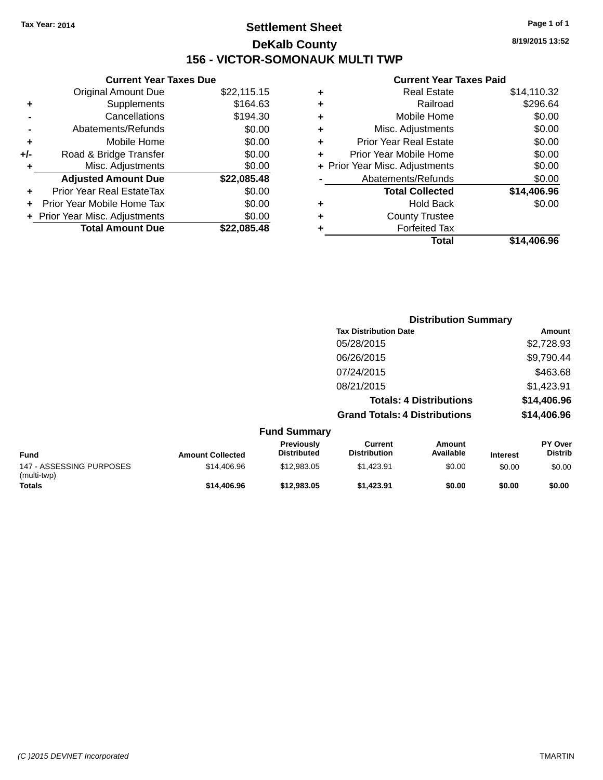## **Settlement Sheet Tax Year: 2014 Page 1 of 1 DeKalb County 156 - VICTOR-SOMONAUK MULTI TWP**

**8/19/2015 13:52**

#### **Current Year Taxes Paid**

| <b>Current Year Taxes Due</b> |                                |  |  |  |  |
|-------------------------------|--------------------------------|--|--|--|--|
| <b>Original Amount Due</b>    | \$22,115.15                    |  |  |  |  |
| Supplements                   | \$164.63                       |  |  |  |  |
| Cancellations                 | \$194.30                       |  |  |  |  |
| Abatements/Refunds            | \$0.00                         |  |  |  |  |
| Mobile Home                   | \$0.00                         |  |  |  |  |
| Road & Bridge Transfer        | \$0.00                         |  |  |  |  |
| Misc. Adjustments             | \$0.00                         |  |  |  |  |
| <b>Adjusted Amount Due</b>    | \$22,085.48                    |  |  |  |  |
| Prior Year Real EstateTax     | \$0.00                         |  |  |  |  |
| Prior Year Mobile Home Tax    | \$0.00                         |  |  |  |  |
|                               | \$0.00                         |  |  |  |  |
| <b>Total Amount Due</b>       | \$22.085.48                    |  |  |  |  |
|                               | + Prior Year Misc. Adjustments |  |  |  |  |

| ٠ | <b>Real Estate</b>             | \$14,110.32 |
|---|--------------------------------|-------------|
| ٠ | Railroad                       | \$296.64    |
| ٠ | Mobile Home                    | \$0.00      |
| ٠ | Misc. Adjustments              | \$0.00      |
| ٠ | <b>Prior Year Real Estate</b>  | \$0.00      |
| ÷ | Prior Year Mobile Home         | \$0.00      |
|   | + Prior Year Misc. Adjustments | \$0.00      |
|   | Abatements/Refunds             | \$0.00      |
|   | <b>Total Collected</b>         | \$14,406.96 |
| ٠ | <b>Hold Back</b>               | \$0.00      |
| ÷ | <b>County Trustee</b>          |             |
| ٠ | <b>Forfeited Tax</b>           |             |
|   | Total                          | \$14,406.96 |
|   |                                |             |

|                                         |                         |                                  | <b>Distribution Summary</b>           |                                |                 |                                  |
|-----------------------------------------|-------------------------|----------------------------------|---------------------------------------|--------------------------------|-----------------|----------------------------------|
|                                         |                         |                                  | <b>Tax Distribution Date</b>          |                                |                 | Amount                           |
|                                         |                         |                                  | 05/28/2015                            |                                |                 | \$2,728.93                       |
|                                         |                         |                                  | 06/26/2015                            |                                |                 | \$9,790.44                       |
|                                         |                         |                                  | 07/24/2015                            |                                |                 | \$463.68                         |
|                                         |                         |                                  | 08/21/2015                            |                                |                 | \$1,423.91                       |
|                                         |                         |                                  |                                       | <b>Totals: 4 Distributions</b> |                 | \$14,406.96                      |
|                                         |                         |                                  | <b>Grand Totals: 4 Distributions</b>  |                                |                 | \$14,406.96                      |
|                                         |                         | <b>Fund Summary</b>              |                                       |                                |                 |                                  |
| <b>Fund</b>                             | <b>Amount Collected</b> | Previously<br><b>Distributed</b> | <b>Current</b><br><b>Distribution</b> | <b>Amount</b><br>Available     | <b>Interest</b> | <b>PY Over</b><br><b>Distrib</b> |
| 147 - ASSESSING PURPOSES<br>(multi-twp) | \$14,406.96             | \$12,983.05                      | \$1,423.91                            | \$0.00                         | \$0.00          | \$0.00                           |
| Totals                                  | \$14,406.96             | \$12,983.05                      | \$1,423.91                            | \$0.00                         | \$0.00          | \$0.00                           |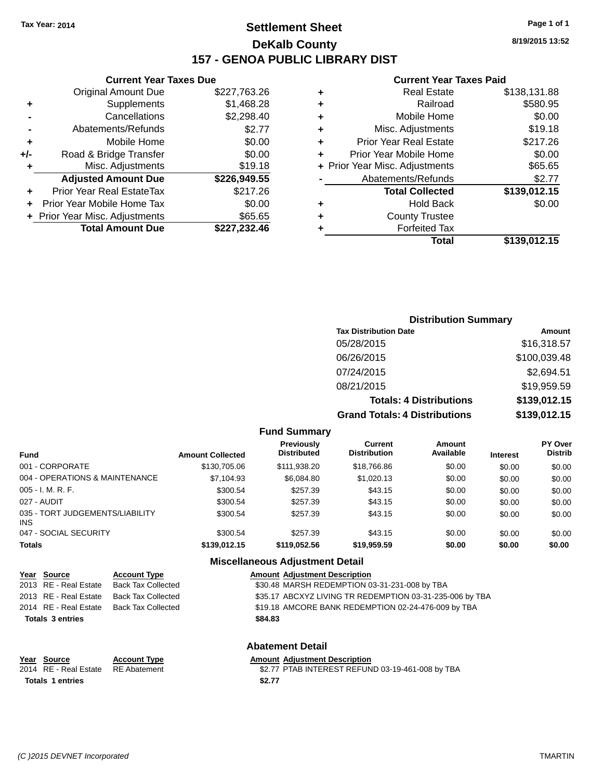## **Settlement Sheet Tax Year: 2014 Page 1 of 1 DeKalb County 157 - GENOA PUBLIC LIBRARY DIST**

**Current Year Taxes Due**

|     | <b>Original Amount Due</b>       | \$227,763.26 |
|-----|----------------------------------|--------------|
| ٠   | Supplements                      | \$1,468.28   |
|     | Cancellations                    | \$2,298.40   |
|     | Abatements/Refunds               | \$2.77       |
| ٠   | Mobile Home                      | \$0.00       |
| +/- | Road & Bridge Transfer           | \$0.00       |
| ٠   | Misc. Adjustments                | \$19.18      |
|     | <b>Adjusted Amount Due</b>       | \$226,949.55 |
| ÷   | <b>Prior Year Real EstateTax</b> | \$217.26     |
|     | Prior Year Mobile Home Tax       | \$0.00       |
|     | + Prior Year Misc. Adjustments   | \$65.65      |
|     | <b>Total Amount Due</b>          | \$227,232.46 |

#### **Current Year Taxes Paid**

|   | <b>Real Estate</b>             | \$138,131.88 |
|---|--------------------------------|--------------|
| ٠ | Railroad                       | \$580.95     |
| ٠ | Mobile Home                    | \$0.00       |
| ٠ | Misc. Adjustments              | \$19.18      |
| ٠ | <b>Prior Year Real Estate</b>  | \$217.26     |
| ٠ | Prior Year Mobile Home         | \$0.00       |
|   | + Prior Year Misc. Adjustments | \$65.65      |
|   | Abatements/Refunds             | \$2.77       |
|   | <b>Total Collected</b>         | \$139,012.15 |
| ٠ | <b>Hold Back</b>               | \$0.00       |
| ٠ | <b>County Trustee</b>          |              |
| ٠ | <b>Forfeited Tax</b>           |              |
|   | Total                          | \$139,012.15 |
|   |                                |              |

### **Distribution Summary Tax Distribution Date Amount** 05/28/2015 \$16,318.57 06/26/2015 \$100,039.48 07/24/2015 \$2,694.51 08/21/2015 \$19,959.59 **Totals: 4 Distributions \$139,012.15 Grand Totals: 4 Distributions \$139,012.15**

#### **Fund Summary**

| Fund                                   | <b>Amount Collected</b> | <b>Previously</b><br><b>Distributed</b> | Current<br><b>Distribution</b> | Amount<br>Available | <b>Interest</b> | <b>PY Over</b><br><b>Distrib</b> |
|----------------------------------------|-------------------------|-----------------------------------------|--------------------------------|---------------------|-----------------|----------------------------------|
| 001 - CORPORATE                        | \$130,705.06            | \$111.938.20                            | \$18,766.86                    | \$0.00              | \$0.00          | \$0.00                           |
| 004 - OPERATIONS & MAINTENANCE         | \$7,104.93              | \$6.084.80                              | \$1,020.13                     | \$0.00              | \$0.00          | \$0.00                           |
| 005 - I. M. R. F.                      | \$300.54                | \$257.39                                | \$43.15                        | \$0.00              | \$0.00          | \$0.00                           |
| 027 - AUDIT                            | \$300.54                | \$257.39                                | \$43.15                        | \$0.00              | \$0.00          | \$0.00                           |
| 035 - TORT JUDGEMENTS/LIABILITY<br>INS | \$300.54                | \$257.39                                | \$43.15                        | \$0.00              | \$0.00          | \$0.00                           |
| 047 - SOCIAL SECURITY                  | \$300.54                | \$257.39                                | \$43.15                        | \$0.00              | \$0.00          | \$0.00                           |
| <b>Totals</b>                          | \$139,012.15            | \$119.052.56                            | \$19,959.59                    | \$0.00              | \$0.00          | \$0.00                           |

#### **Miscellaneous Adjustment Detail**

|                         | <u>Year Source</u>    | <b>Account Type</b>       |         | <b>Amount Adjustment Description</b>                     |
|-------------------------|-----------------------|---------------------------|---------|----------------------------------------------------------|
|                         | 2013 RE - Real Estate | <b>Back Tax Collected</b> |         | \$30.48 MARSH REDEMPTION 03-31-231-008 by TBA            |
|                         | 2013 RE - Real Estate | <b>Back Tax Collected</b> |         | \$35.17 ABCXYZ LIVING TR REDEMPTION 03-31-235-006 by TBA |
|                         | 2014 RE - Real Estate | Back Tax Collected        |         | \$19.18 AMCORE BANK REDEMPTION 02-24-476-009 by TBA      |
| <b>Totals 3 entries</b> |                       |                           | \$84.83 |                                                          |
|                         |                       |                           |         |                                                          |

#### **Abatement Detail**

| Year Source                        | <b>Account Type</b> | <b>Amount Adiustment Description</b>             |
|------------------------------------|---------------------|--------------------------------------------------|
| 2014 RE - Real Estate RE Abatement |                     | \$2.77 PTAB INTEREST REFUND 03-19-461-008 by TBA |
| Totals 1 entries                   |                     | \$2.77                                           |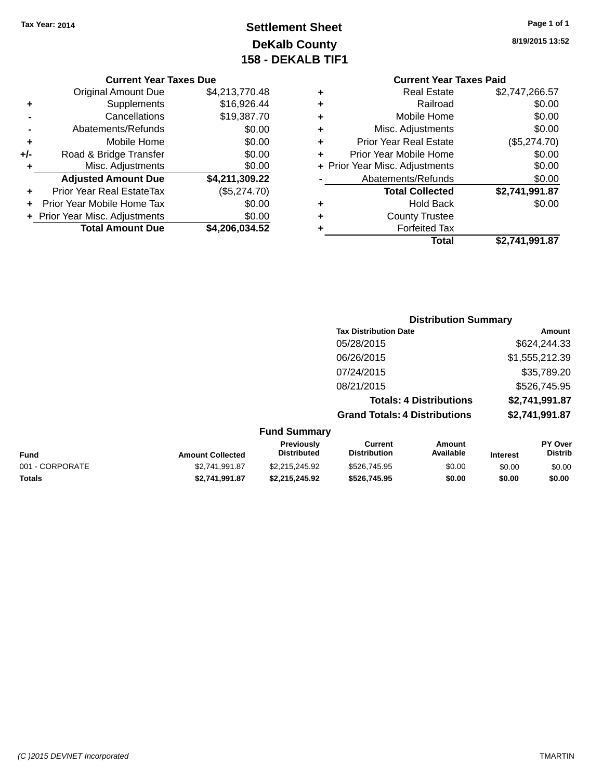# **Settlement Sheet Tax Year: 2014 Page 1 of 1 DeKalb County 158 - DEKALB TIF1**

**8/19/2015 13:52**

#### **Current Year Taxes Due**

|     | <b>Original Amount Due</b>     | \$4,213,770.48 |
|-----|--------------------------------|----------------|
| ٠   | Supplements                    | \$16,926.44    |
|     | Cancellations                  | \$19,387.70    |
|     | Abatements/Refunds             | \$0.00         |
| ٠   | Mobile Home                    | \$0.00         |
| +/- | Road & Bridge Transfer         | \$0.00         |
| ٠   | Misc. Adjustments              | \$0.00         |
|     | <b>Adjusted Amount Due</b>     | \$4,211,309.22 |
|     | Prior Year Real EstateTax      | (\$5,274.70)   |
|     | Prior Year Mobile Home Tax     | \$0.00         |
|     | + Prior Year Misc. Adjustments | \$0.00         |
|     | <b>Total Amount Due</b>        | \$4,206,034.52 |

# **Current Year Taxes Paid**

|   | Total                          | \$2,741,991.87 |
|---|--------------------------------|----------------|
| ٠ | <b>Forfeited Tax</b>           |                |
| ٠ | <b>County Trustee</b>          |                |
| ٠ | <b>Hold Back</b>               | \$0.00         |
|   | <b>Total Collected</b>         | \$2,741,991.87 |
|   | Abatements/Refunds             | \$0.00         |
|   | + Prior Year Misc. Adjustments | \$0.00         |
| ٠ | Prior Year Mobile Home         | \$0.00         |
| ٠ | <b>Prior Year Real Estate</b>  | (\$5,274.70)   |
| ٠ | Misc. Adjustments              | \$0.00         |
| ٠ | Mobile Home                    | \$0.00         |
| ٠ | Railroad                       | \$0.00         |
| ٠ | <b>Real Estate</b>             | \$2,747,266.57 |

### **Distribution Summary Tax Distribution Date Amount** 05/28/2015 \$624,244.33 06/26/2015 \$1,555,212.39 07/24/2015 \$35,789.20 08/21/2015 \$526,745.95 **Totals: 4 Distributions \$2,741,991.87 Grand Totals: 4 Distributions \$2,741,991.87**

### **Fund Summary**

| Fund            | <b>Amount Collected</b> | Previously<br><b>Distributed</b> | Current<br><b>Distribution</b> | Amount<br>Available | <b>Interest</b> | <b>PY Over</b><br><b>Distrib</b> |
|-----------------|-------------------------|----------------------------------|--------------------------------|---------------------|-----------------|----------------------------------|
| 001 - CORPORATE | \$2,741,991.87          | \$2.215.245.92                   | \$526,745.95                   | \$0.00              | \$0.00          | \$0.00                           |
| Totals          | \$2.741.991.87          | \$2.215.245.92                   | \$526.745.95                   | \$0.00              | \$0.00          | \$0.00                           |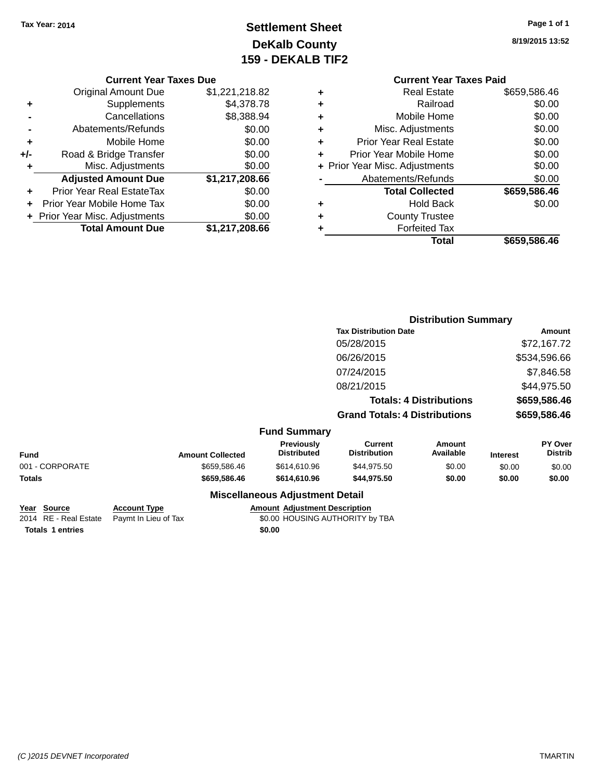# **Settlement Sheet Tax Year: 2014 Page 1 of 1 DeKalb County 159 - DEKALB TIF2**

**8/19/2015 13:52**

#### **Current Year Taxes Due**

|     | <b>Original Amount Due</b>       | \$1,221,218.82 |
|-----|----------------------------------|----------------|
| ٠   | Supplements                      | \$4,378.78     |
|     | Cancellations                    | \$8,388.94     |
|     | Abatements/Refunds               | \$0.00         |
| ٠   | Mobile Home                      | \$0.00         |
| +/- | Road & Bridge Transfer           | \$0.00         |
| ٠   | Misc. Adjustments                | \$0.00         |
|     | <b>Adjusted Amount Due</b>       | \$1,217,208.66 |
|     | <b>Prior Year Real EstateTax</b> | \$0.00         |
|     | Prior Year Mobile Home Tax       | \$0.00         |
|     | + Prior Year Misc. Adjustments   | \$0.00         |
|     | <b>Total Amount Due</b>          | \$1,217,208.66 |

### **Current Year Taxes Paid +** Real Estate \$659,586.46

|   | Total                          | \$659,586.46 |
|---|--------------------------------|--------------|
| ٠ | <b>Forfeited Tax</b>           |              |
| ٠ | <b>County Trustee</b>          |              |
| ٠ | <b>Hold Back</b>               | \$0.00       |
|   | <b>Total Collected</b>         | \$659,586.46 |
|   | Abatements/Refunds             | \$0.00       |
|   | + Prior Year Misc. Adjustments | \$0.00       |
| ٠ | Prior Year Mobile Home         | \$0.00       |
| ٠ | <b>Prior Year Real Estate</b>  | \$0.00       |
| ٠ | Misc. Adjustments              | \$0.00       |
| ÷ | Mobile Home                    | \$0.00       |
| ÷ | Railroad                       | \$0.00       |
| т | ngal Lolal <del>c</del>        | ΨΩΩΩΩΩΩ      |

|                 |                     |                         |                                        | <b>Distribution Summary</b>           |                                |                 |                           |
|-----------------|---------------------|-------------------------|----------------------------------------|---------------------------------------|--------------------------------|-----------------|---------------------------|
|                 |                     |                         |                                        | <b>Tax Distribution Date</b>          |                                | Amount          |                           |
|                 |                     |                         |                                        | 05/28/2015                            |                                |                 | \$72,167.72               |
|                 |                     |                         |                                        | 06/26/2015                            |                                | \$534,596.66    |                           |
|                 |                     |                         |                                        | 07/24/2015                            |                                |                 | \$7,846.58                |
|                 |                     |                         |                                        | 08/21/2015                            |                                |                 | \$44,975.50               |
|                 |                     |                         |                                        |                                       | <b>Totals: 4 Distributions</b> |                 | \$659,586.46              |
|                 |                     |                         |                                        | <b>Grand Totals: 4 Distributions</b>  |                                |                 | \$659,586.46              |
|                 |                     |                         | <b>Fund Summary</b>                    |                                       |                                |                 |                           |
| <b>Fund</b>     |                     | <b>Amount Collected</b> | Previously<br><b>Distributed</b>       | <b>Current</b><br><b>Distribution</b> | Amount<br>Available            | <b>Interest</b> | PY Over<br><b>Distrib</b> |
| 001 - CORPORATE |                     | \$659,586.46            | \$614,610.96                           | \$44,975.50                           | \$0.00                         | \$0.00          | \$0.00                    |
| <b>Totals</b>   |                     | \$659,586.46            | \$614,610.96                           | \$44,975.50                           | \$0.00                         | \$0.00          | \$0.00                    |
|                 |                     |                         | <b>Miscellaneous Adjustment Detail</b> |                                       |                                |                 |                           |
| Year Source     | <b>Account Type</b> |                         | <b>Amount Adjustment Description</b>   |                                       |                                |                 |                           |

| <b>IGAI JUULUE</b>      | AGGOUIL IVDE                               | Allivulli Aulustillelli Describtion |
|-------------------------|--------------------------------------------|-------------------------------------|
|                         | 2014 RE - Real Estate Paymt In Lieu of Tax | \$0.00 HOUSING AUTHORITY by TBA     |
| <b>Totals 1 entries</b> |                                            | \$0.00                              |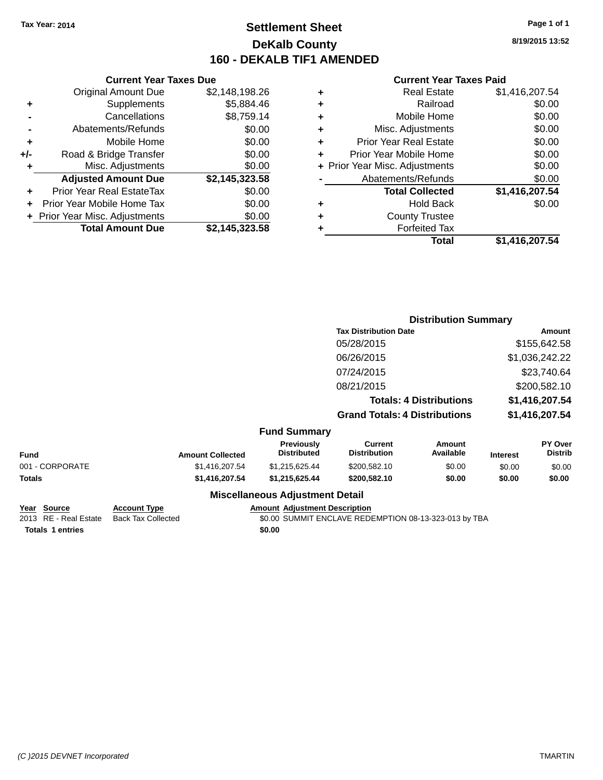### **Settlement Sheet Tax Year: 2014 Page 1 of 1 DeKalb County 160 - DEKALB TIF1 AMENDED**

**8/19/2015 13:52**

|     | <b>Total Amount Due</b>                  | \$2,145,323.58 |  |  |  |
|-----|------------------------------------------|----------------|--|--|--|
|     | \$0.00<br>+ Prior Year Misc. Adjustments |                |  |  |  |
| ÷   | Prior Year Mobile Home Tax               | \$0.00         |  |  |  |
| ٠   | Prior Year Real EstateTax                | \$0.00         |  |  |  |
|     | <b>Adjusted Amount Due</b>               | \$2,145,323.58 |  |  |  |
| ٠   | Misc. Adjustments                        | \$0.00         |  |  |  |
| +/- | Road & Bridge Transfer                   | \$0.00         |  |  |  |
| ٠   | Mobile Home                              | \$0.00         |  |  |  |
|     | Abatements/Refunds                       | \$0.00         |  |  |  |
|     | Cancellations                            | \$8,759.14     |  |  |  |
| ٠   | Supplements                              | \$5,884.46     |  |  |  |
|     | <b>Original Amount Due</b>               | \$2,148,198.26 |  |  |  |
|     | <b>Current Year Taxes Due</b>            |                |  |  |  |

| ۰ | <b>Real Estate</b>             | \$1,416,207.54 |
|---|--------------------------------|----------------|
| ٠ | Railroad                       | \$0.00         |
| ٠ | Mobile Home                    | \$0.00         |
| ٠ | Misc. Adjustments              | \$0.00         |
| ٠ | <b>Prior Year Real Estate</b>  | \$0.00         |
| ٠ | Prior Year Mobile Home         | \$0.00         |
|   | + Prior Year Misc. Adjustments | \$0.00         |
|   | Abatements/Refunds             | \$0.00         |
|   | <b>Total Collected</b>         | \$1,416,207.54 |
| ٠ | <b>Hold Back</b>               | \$0.00         |
| ٠ | <b>County Trustee</b>          |                |
| ٠ | <b>Forfeited Tax</b>           |                |
|   | <b>Total</b>                   | \$1,416,207.54 |
|   |                                |                |

|                 |                         |                                         | <b>Distribution Summary</b>           |                                |                 |                           |
|-----------------|-------------------------|-----------------------------------------|---------------------------------------|--------------------------------|-----------------|---------------------------|
|                 |                         |                                         | <b>Tax Distribution Date</b>          |                                |                 | <b>Amount</b>             |
|                 |                         |                                         | 05/28/2015                            |                                |                 | \$155,642.58              |
|                 |                         |                                         | 06/26/2015                            |                                |                 | \$1,036,242.22            |
|                 |                         |                                         | 07/24/2015                            |                                |                 | \$23,740.64               |
|                 |                         |                                         | 08/21/2015                            |                                |                 | \$200,582.10              |
|                 |                         |                                         |                                       | <b>Totals: 4 Distributions</b> |                 | \$1,416,207.54            |
|                 |                         |                                         | <b>Grand Totals: 4 Distributions</b>  |                                |                 | \$1,416,207.54            |
|                 |                         | <b>Fund Summary</b>                     |                                       |                                |                 |                           |
| <b>Fund</b>     | <b>Amount Collected</b> | <b>Previously</b><br><b>Distributed</b> | <b>Current</b><br><b>Distribution</b> | <b>Amount</b><br>Available     | <b>Interest</b> | PY Over<br><b>Distrib</b> |
| 001 - CORPORATE | \$1,416,207.54          | \$1,215,625.44                          | \$200,582.10                          | \$0.00                         | \$0.00          | \$0.00                    |
| Totals          | \$1,416,207.54          | \$1,215,625.44                          | \$200,582.10                          | \$0.00                         | \$0.00          | \$0.00                    |
|                 |                         | <b>Miscellaneous Adjustment Detail</b>  |                                       |                                |                 |                           |

| Year Source             | <b>Account Type</b> | <b>Amount Adiustment Description</b>                  |  |
|-------------------------|---------------------|-------------------------------------------------------|--|
| 2013 RE - Real Estate   | Back Tax Collected  | \$0.00 SUMMIT ENCLAVE REDEMPTION 08-13-323-013 by TBA |  |
| <b>Totals 1 entries</b> |                     | \$0.00                                                |  |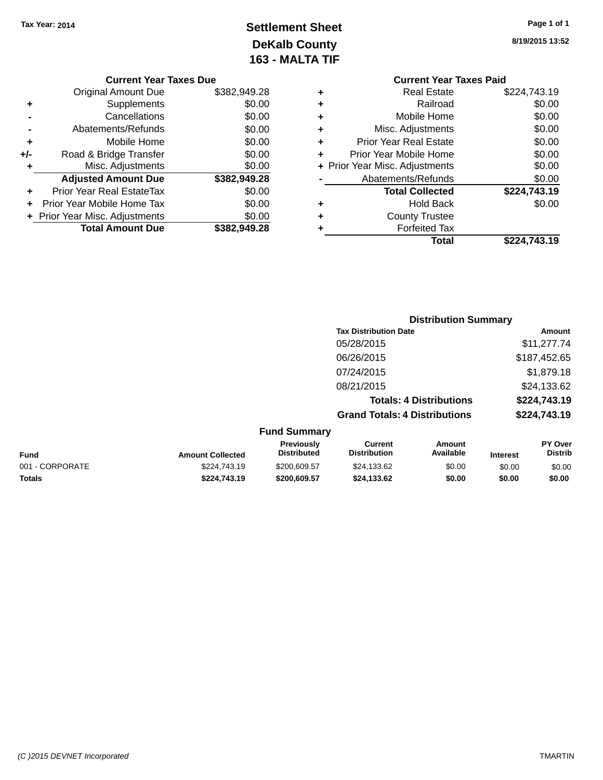# **Settlement Sheet Tax Year: 2014 Page 1 of 1 DeKalb County 163 - MALTA TIF**

**8/19/2015 13:52**

|  | <b>Current Year Taxes Due</b> |  |
|--|-------------------------------|--|
|  |                               |  |

|       | <b>Total Amount Due</b>          | \$382,949.28 |
|-------|----------------------------------|--------------|
|       | + Prior Year Misc. Adjustments   | \$0.00       |
|       | Prior Year Mobile Home Tax       | \$0.00       |
| ٠     | <b>Prior Year Real EstateTax</b> | \$0.00       |
|       | <b>Adjusted Amount Due</b>       | \$382,949.28 |
| ٠     | Misc. Adjustments                | \$0.00       |
| $+/-$ | Road & Bridge Transfer           | \$0.00       |
| ٠     | Mobile Home                      | \$0.00       |
|       | Abatements/Refunds               | \$0.00       |
|       | Cancellations                    | \$0.00       |
| ٠     | Supplements                      | \$0.00       |
|       | <b>Original Amount Due</b>       | \$382,949.28 |

|   | <b>Current Year Taxes Paid</b> |              |
|---|--------------------------------|--------------|
| ٠ | Real Estate                    | \$224,743.19 |
| ٠ | Railroad                       | \$0.00       |
| ٠ | Mobile Home                    | \$0.00       |
| ٠ | Misc. Adjustments              | \$0.00       |
| ٠ | <b>Prior Year Real Estate</b>  | \$0.00       |
| ٠ | Prior Year Mobile Home         | \$0.00       |
|   | + Prior Year Misc. Adjustments | \$0.00       |
|   | Abatements/Refunds             | \$0.00       |
|   | <b>Total Collected</b>         | \$224,743.19 |
| ٠ | <b>Hold Back</b>               | \$0.00       |
| ٠ | <b>County Trustee</b>          |              |
|   | <b>Forfeited Tax</b>           |              |
|   | Total                          | \$224,743.19 |
|   |                                |              |

|                     | <b>Distribution Summary</b>          |              |
|---------------------|--------------------------------------|--------------|
|                     | <b>Tax Distribution Date</b>         | Amount       |
|                     | 05/28/2015                           | \$11,277.74  |
|                     | 06/26/2015                           | \$187,452.65 |
|                     | 07/24/2015                           | \$1,879.18   |
|                     | 08/21/2015                           | \$24,133.62  |
|                     | <b>Totals: 4 Distributions</b>       | \$224,743.19 |
|                     | <b>Grand Totals: 4 Distributions</b> | \$224,743.19 |
| <b>Fund Summary</b> |                                      |              |

| Fund            | <b>Amount Collected</b> | Previously<br><b>Distributed</b> | Current<br><b>Distribution</b> | Amount<br>Available | Interest | <b>PY Over</b><br><b>Distrib</b> |
|-----------------|-------------------------|----------------------------------|--------------------------------|---------------------|----------|----------------------------------|
| 001 - CORPORATE | \$224,743.19            | \$200,609.57                     | \$24.133.62                    | \$0.00              | \$0.00   | \$0.00                           |
| <b>Totals</b>   | \$224.743.19            | \$200,609.57                     | \$24.133.62                    | \$0.00              | \$0.00   | \$0.00                           |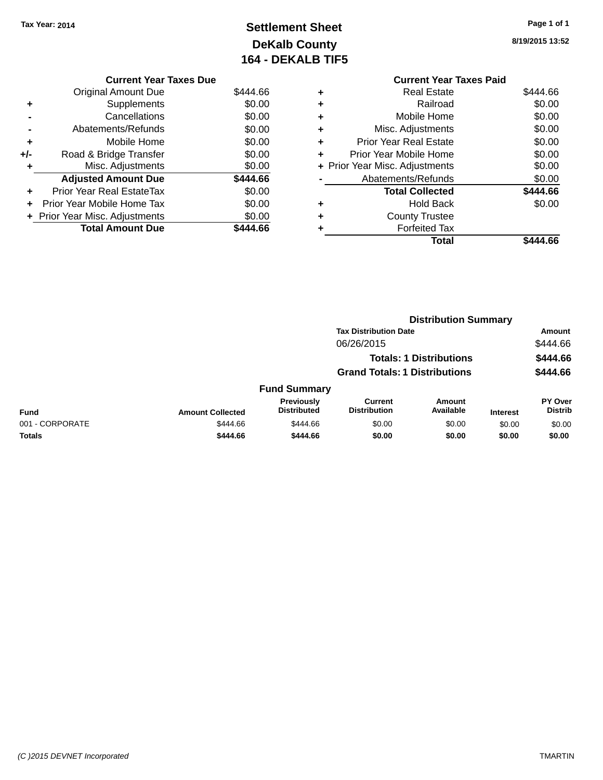# **Settlement Sheet Tax Year: 2014 Page 1 of 1 DeKalb County 164 - DEKALB TIF5**

**8/19/2015 13:52**

|     | <b>Current Year Taxes Due</b>    |          |  |  |  |
|-----|----------------------------------|----------|--|--|--|
|     | <b>Original Amount Due</b>       | \$444.66 |  |  |  |
| ٠   | Supplements                      | \$0.00   |  |  |  |
|     | Cancellations                    | \$0.00   |  |  |  |
|     | Abatements/Refunds               | \$0.00   |  |  |  |
| ٠   | Mobile Home                      | \$0.00   |  |  |  |
| +/- | Road & Bridge Transfer           | \$0.00   |  |  |  |
|     | Misc. Adjustments                | \$0.00   |  |  |  |
|     | <b>Adjusted Amount Due</b>       | \$444.66 |  |  |  |
|     | Prior Year Real EstateTax        | \$0.00   |  |  |  |
|     | Prior Year Mobile Home Tax       | \$0.00   |  |  |  |
|     | + Prior Year Misc. Adjustments   | \$0.00   |  |  |  |
|     | <b>Total Amount Due</b><br>44.66 |          |  |  |  |

|   | <b>Current Year Taxes Paid</b> |          |  |  |  |
|---|--------------------------------|----------|--|--|--|
| ٠ | Real Estate                    | \$444.66 |  |  |  |
| ٠ | Railroad                       | \$0.00   |  |  |  |
|   | Mobile Home                    | \$0.00   |  |  |  |
|   | Misc. Adjustments              | \$0.00   |  |  |  |
| ٠ | <b>Prior Year Real Estate</b>  | \$0.00   |  |  |  |
| ٠ | Prior Year Mobile Home         | \$0.00   |  |  |  |
|   | + Prior Year Misc. Adjustments | \$0.00   |  |  |  |
|   | Abatements/Refunds             | \$0.00   |  |  |  |
|   | <b>Total Collected</b>         | \$444.66 |  |  |  |
|   | Hold Back                      | \$0.00   |  |  |  |
|   | <b>County Trustee</b>          |          |  |  |  |
|   | <b>Forfeited Tax</b>           |          |  |  |  |
|   | Total                          | \$444.66 |  |  |  |
|   |                                |          |  |  |  |

|                                      |                         | <b>Distribution Summary</b>             |                                       |                                |                 |                           |  |
|--------------------------------------|-------------------------|-----------------------------------------|---------------------------------------|--------------------------------|-----------------|---------------------------|--|
|                                      |                         |                                         | <b>Tax Distribution Date</b>          |                                |                 | Amount                    |  |
|                                      |                         |                                         | 06/26/2015                            |                                |                 | \$444.66                  |  |
|                                      |                         |                                         |                                       | <b>Totals: 1 Distributions</b> |                 | \$444.66                  |  |
| <b>Grand Totals: 1 Distributions</b> |                         |                                         | \$444.66                              |                                |                 |                           |  |
|                                      |                         | <b>Fund Summary</b>                     |                                       |                                |                 |                           |  |
| <b>Fund</b>                          | <b>Amount Collected</b> | <b>Previously</b><br><b>Distributed</b> | <b>Current</b><br><b>Distribution</b> | <b>Amount</b><br>Available     | <b>Interest</b> | PY Over<br><b>Distrib</b> |  |
| 001 - CORPORATE                      | \$444.66                | \$444.66                                | \$0.00                                | \$0.00                         | \$0.00          | \$0.00                    |  |
| <b>Totals</b>                        | \$444.66                | \$444.66                                | \$0.00                                | \$0.00                         | \$0.00          | \$0.00                    |  |
|                                      |                         |                                         |                                       |                                |                 |                           |  |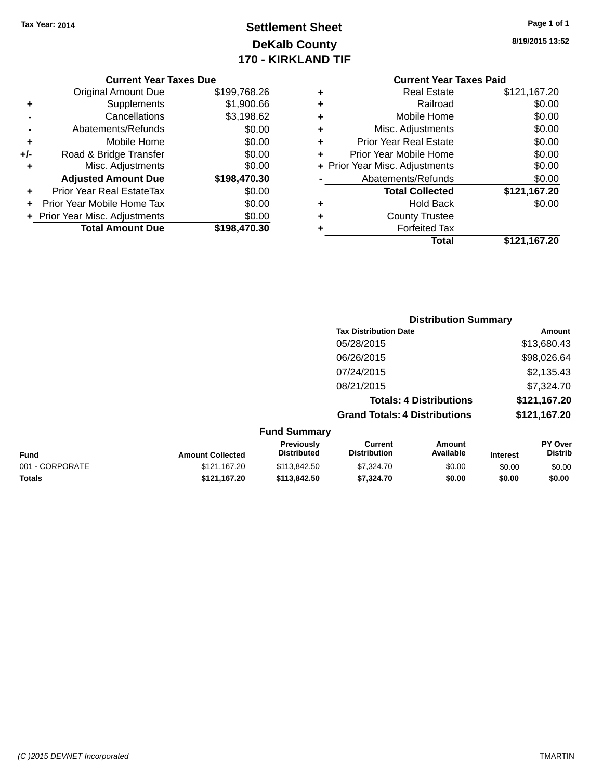# **Settlement Sheet Tax Year: 2014 Page 1 of 1 DeKalb County 170 - KIRKLAND TIF**

**8/19/2015 13:52**

|     | <b>Original Amount Due</b>       | \$199,768.26 |
|-----|----------------------------------|--------------|
| ٠   | Supplements                      | \$1,900.66   |
|     | Cancellations                    | \$3,198.62   |
|     | Abatements/Refunds               | \$0.00       |
| ٠   | Mobile Home                      | \$0.00       |
| +/- | Road & Bridge Transfer           | \$0.00       |
| ٠   | Misc. Adjustments                | \$0.00       |
|     | <b>Adjusted Amount Due</b>       | \$198,470.30 |
|     | <b>Prior Year Real EstateTax</b> | \$0.00       |
|     | Prior Year Mobile Home Tax       | \$0.00       |
|     | + Prior Year Misc. Adjustments   | \$0.00       |
|     | <b>Total Amount Due</b>          | \$198,470.30 |

| ٠ | <b>Real Estate</b>             | \$121,167.20 |
|---|--------------------------------|--------------|
| ٠ | Railroad                       | \$0.00       |
| ٠ | Mobile Home                    | \$0.00       |
| ٠ | Misc. Adjustments              | \$0.00       |
| ٠ | <b>Prior Year Real Estate</b>  | \$0.00       |
| ٠ | Prior Year Mobile Home         | \$0.00       |
|   | + Prior Year Misc. Adjustments | \$0.00       |
|   | Abatements/Refunds             | \$0.00       |
|   | <b>Total Collected</b>         | \$121,167.20 |
| ٠ | Hold Back                      | \$0.00       |
| ٠ | <b>County Trustee</b>          |              |
| ٠ | <b>Forfeited Tax</b>           |              |
|   | Total                          | \$121,167.20 |
|   |                                |              |

|                     | <b>Distribution Summary</b>          |              |
|---------------------|--------------------------------------|--------------|
|                     | <b>Tax Distribution Date</b>         | Amount       |
|                     | 05/28/2015                           | \$13,680.43  |
|                     | 06/26/2015                           | \$98,026.64  |
|                     | 07/24/2015                           | \$2,135.43   |
|                     | 08/21/2015                           | \$7,324.70   |
|                     | <b>Totals: 4 Distributions</b>       | \$121,167.20 |
|                     | <b>Grand Totals: 4 Distributions</b> | \$121,167.20 |
| <b>Fund Summary</b> |                                      |              |

| <b>Fund</b>     | <b>Amount Collected</b> | <b>Previously</b><br><b>Distributed</b> | Current<br><b>Distribution</b> | Amount<br>Available | <b>Interest</b> | PY Over<br>Distrib |
|-----------------|-------------------------|-----------------------------------------|--------------------------------|---------------------|-----------------|--------------------|
| 001 - CORPORATE | \$121.167.20            | \$113,842,50                            | \$7,324.70                     | \$0.00              | \$0.00          | \$0.00             |
| Totals          | \$121.167.20            | \$113,842.50                            | \$7,324.70                     | \$0.00              | \$0.00          | \$0.00             |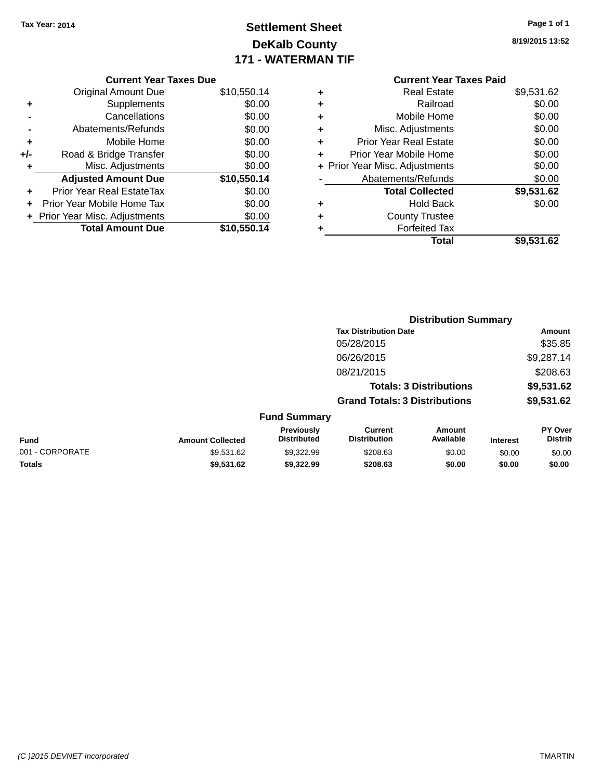# **Settlement Sheet Tax Year: 2014 Page 1 of 1 DeKalb County 171 - WATERMAN TIF**

| Page 1 or 1 |  |  |
|-------------|--|--|
|             |  |  |

**8/19/2015 13:52**

|     | <b>Current Year Taxes Due</b>  |             |
|-----|--------------------------------|-------------|
|     | <b>Original Amount Due</b>     | \$10,550.14 |
| ٠   | Supplements                    | \$0.00      |
|     | Cancellations                  | \$0.00      |
|     | Abatements/Refunds             | \$0.00      |
| ٠   | Mobile Home                    | \$0.00      |
| +/- | Road & Bridge Transfer         | \$0.00      |
| ٠   | Misc. Adjustments              | \$0.00      |
|     | <b>Adjusted Amount Due</b>     | \$10,550.14 |
| ÷   | Prior Year Real EstateTax      | \$0.00      |
|     | Prior Year Mobile Home Tax     | \$0.00      |
|     | + Prior Year Misc. Adjustments | \$0.00      |
|     | <b>Total Amount Due</b>        | \$10,550.14 |
|     |                                |             |

|   | <b>Real Estate</b>             | \$9,531.62 |
|---|--------------------------------|------------|
| ٠ | Railroad                       | \$0.00     |
| ٠ | Mobile Home                    | \$0.00     |
| ٠ | Misc. Adjustments              | \$0.00     |
| ٠ | <b>Prior Year Real Estate</b>  | \$0.00     |
| ٠ | Prior Year Mobile Home         | \$0.00     |
|   | + Prior Year Misc. Adjustments | \$0.00     |
|   | Abatements/Refunds             | \$0.00     |
|   | <b>Total Collected</b>         | \$9,531.62 |
| ٠ | <b>Hold Back</b>               | \$0.00     |
| ٠ | <b>County Trustee</b>          |            |
|   | <b>Forfeited Tax</b>           |            |
|   | Total                          | \$9,531.62 |
|   |                                |            |

|                 |                         |                                         |                                       | <b>Distribution Summary</b>    |                 |                           |
|-----------------|-------------------------|-----------------------------------------|---------------------------------------|--------------------------------|-----------------|---------------------------|
|                 |                         |                                         | <b>Tax Distribution Date</b>          |                                |                 | Amount                    |
|                 |                         |                                         | 05/28/2015                            |                                |                 | \$35.85                   |
|                 |                         |                                         | 06/26/2015                            |                                |                 | \$9,287.14                |
|                 |                         |                                         | 08/21/2015                            |                                |                 | \$208.63                  |
|                 |                         |                                         |                                       | <b>Totals: 3 Distributions</b> |                 | \$9,531.62                |
|                 |                         |                                         | <b>Grand Totals: 3 Distributions</b>  |                                |                 | \$9,531.62                |
|                 |                         | <b>Fund Summary</b>                     |                                       |                                |                 |                           |
| <b>Fund</b>     | <b>Amount Collected</b> | <b>Previously</b><br><b>Distributed</b> | <b>Current</b><br><b>Distribution</b> | Amount<br>Available            | <b>Interest</b> | PY Over<br><b>Distrib</b> |
| 001 - CORPORATE | \$9,531.62              | \$9.322.99                              | \$208.63                              | \$0.00                         | \$0.00          | \$0.00                    |
| <b>Totals</b>   | \$9,531.62              | \$9,322.99                              | \$208.63                              | \$0.00                         | \$0.00          | \$0.00                    |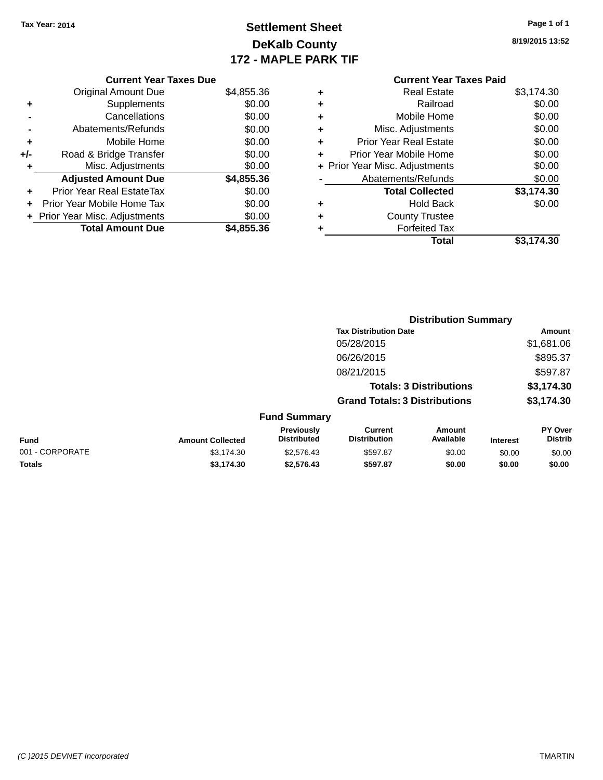# **Settlement Sheet Tax Year: 2014 Page 1 of 1 DeKalb County 172 - MAPLE PARK TIF**

**8/19/2015 13:52**

|     | <b>Current Year Taxes Due</b>  |            |
|-----|--------------------------------|------------|
|     | <b>Original Amount Due</b>     | \$4,855.36 |
| ٠   | Supplements                    | \$0.00     |
|     | Cancellations                  | \$0.00     |
|     | Abatements/Refunds             | \$0.00     |
| ٠   | Mobile Home                    | \$0.00     |
| +/- | Road & Bridge Transfer         | \$0.00     |
| ٠   | Misc. Adjustments              | \$0.00     |
|     | <b>Adjusted Amount Due</b>     | \$4,855.36 |
| ٠   | Prior Year Real EstateTax      | \$0.00     |
| ÷   | Prior Year Mobile Home Tax     | \$0.00     |
|     | + Prior Year Misc. Adjustments | \$0.00     |
|     | <b>Total Amount Due</b>        | \$4,855.36 |

| ٠ | <b>Real Estate</b>             | \$3,174.30 |
|---|--------------------------------|------------|
| ٠ | Railroad                       | \$0.00     |
| ٠ | Mobile Home                    | \$0.00     |
| ٠ | Misc. Adjustments              | \$0.00     |
| ٠ | <b>Prior Year Real Estate</b>  | \$0.00     |
| ٠ | Prior Year Mobile Home         | \$0.00     |
|   | + Prior Year Misc. Adjustments | \$0.00     |
|   | Abatements/Refunds             | \$0.00     |
|   | <b>Total Collected</b>         | \$3,174.30 |
| ٠ | <b>Hold Back</b>               | \$0.00     |
| ٠ | <b>County Trustee</b>          |            |
| ٠ | <b>Forfeited Tax</b>           |            |
|   | Total                          | \$3.174.30 |
|   |                                |            |

|                 | <b>Distribution Summary</b> |                                         |                                       |                                |                 |                                  |
|-----------------|-----------------------------|-----------------------------------------|---------------------------------------|--------------------------------|-----------------|----------------------------------|
|                 |                             |                                         | <b>Tax Distribution Date</b>          |                                |                 | Amount                           |
|                 |                             |                                         | 05/28/2015                            |                                |                 | \$1,681.06                       |
|                 |                             |                                         | 06/26/2015                            |                                |                 | \$895.37                         |
|                 |                             |                                         | 08/21/2015                            |                                |                 | \$597.87                         |
|                 |                             |                                         |                                       | <b>Totals: 3 Distributions</b> |                 | \$3,174.30                       |
|                 |                             |                                         | <b>Grand Totals: 3 Distributions</b>  |                                |                 | \$3,174.30                       |
|                 |                             | <b>Fund Summary</b>                     |                                       |                                |                 |                                  |
| <b>Fund</b>     | <b>Amount Collected</b>     | <b>Previously</b><br><b>Distributed</b> | <b>Current</b><br><b>Distribution</b> | Amount<br>Available            | <b>Interest</b> | <b>PY Over</b><br><b>Distrib</b> |
| 001 - CORPORATE | \$3,174.30                  | \$2,576.43                              | \$597.87                              | \$0.00                         | \$0.00          | \$0.00                           |
| <b>Totals</b>   | \$3,174.30                  | \$2.576.43                              | \$597.87                              | \$0.00                         | \$0.00          | \$0.00                           |
|                 |                             |                                         |                                       |                                |                 |                                  |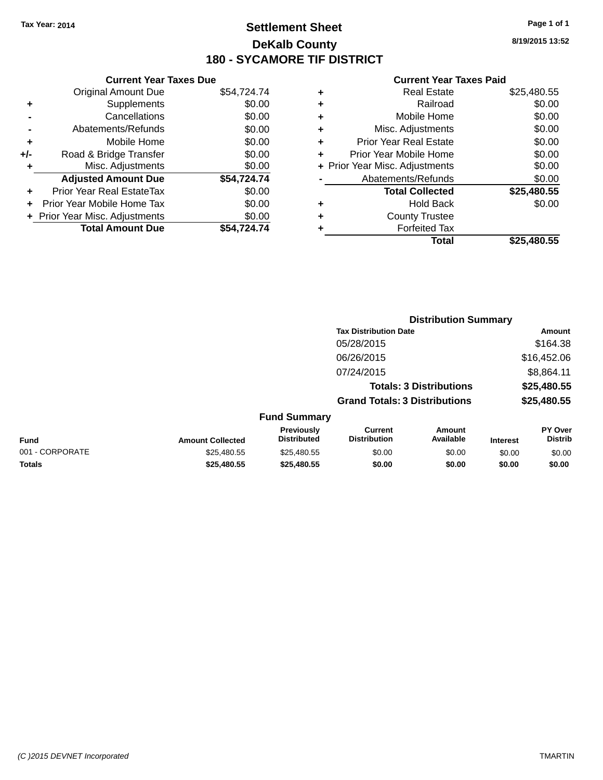### **Settlement Sheet Tax Year: 2014 Page 1 of 1 DeKalb County 180 - SYCAMORE TIF DISTRICT**

**8/19/2015 13:52**

|       | <b>Current Year Taxes Due</b>  |             |
|-------|--------------------------------|-------------|
|       | <b>Original Amount Due</b>     | \$54,724.74 |
| ٠     | Supplements                    | \$0.00      |
|       | Cancellations                  | \$0.00      |
|       | Abatements/Refunds             | \$0.00      |
| ÷     | Mobile Home                    | \$0.00      |
| $+/-$ | Road & Bridge Transfer         | \$0.00      |
|       | Misc. Adjustments              | \$0.00      |
|       | <b>Adjusted Amount Due</b>     | \$54.724.74 |
| ٠     | Prior Year Real EstateTax      | \$0.00      |
|       | Prior Year Mobile Home Tax     | \$0.00      |
|       | + Prior Year Misc. Adjustments | \$0.00      |
|       | <b>Total Amount Due</b>        | \$54.724.74 |
|       |                                |             |

|   | <b>Real Estate</b>             | \$25,480.55 |
|---|--------------------------------|-------------|
| ٠ | Railroad                       | \$0.00      |
| ٠ | Mobile Home                    | \$0.00      |
| ٠ | Misc. Adjustments              | \$0.00      |
| ٠ | Prior Year Real Estate         | \$0.00      |
| ٠ | Prior Year Mobile Home         | \$0.00      |
|   | + Prior Year Misc. Adjustments | \$0.00      |
|   | Abatements/Refunds             | \$0.00      |
|   | <b>Total Collected</b>         | \$25,480.55 |
| ٠ | <b>Hold Back</b>               | \$0.00      |
| ٠ | <b>County Trustee</b>          |             |
| ٠ | <b>Forfeited Tax</b>           |             |
|   | Total                          | \$25.480.55 |
|   |                                |             |

|                 |                         |                                  |                                       | <b>Distribution Summary</b>    |                 |                           |
|-----------------|-------------------------|----------------------------------|---------------------------------------|--------------------------------|-----------------|---------------------------|
|                 |                         |                                  | <b>Tax Distribution Date</b>          |                                |                 | Amount                    |
|                 |                         |                                  | 05/28/2015                            |                                |                 | \$164.38                  |
|                 |                         |                                  | 06/26/2015                            |                                |                 | \$16,452.06               |
|                 |                         |                                  | 07/24/2015                            |                                |                 | \$8,864.11                |
|                 |                         |                                  |                                       | <b>Totals: 3 Distributions</b> |                 | \$25,480.55               |
|                 |                         |                                  | <b>Grand Totals: 3 Distributions</b>  |                                |                 | \$25,480.55               |
|                 |                         | <b>Fund Summary</b>              |                                       |                                |                 |                           |
| <b>Fund</b>     | <b>Amount Collected</b> | Previously<br><b>Distributed</b> | <b>Current</b><br><b>Distribution</b> | Amount<br>Available            | <b>Interest</b> | PY Over<br><b>Distrib</b> |
| 001 - CORPORATE | \$25,480.55             | \$25,480.55                      | \$0.00                                | \$0.00                         | \$0.00          | \$0.00                    |
| <b>Totals</b>   | \$25,480.55             | \$25,480.55                      | \$0.00                                | \$0.00                         | \$0.00          | \$0.00                    |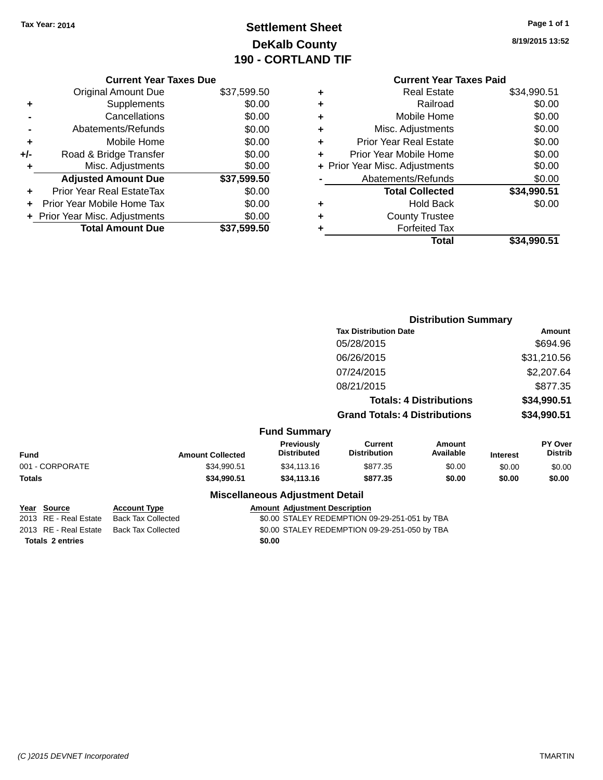# **Settlement Sheet Tax Year: 2014 Page 1 of 1 DeKalb County 190 - CORTLAND TIF**

|     | <b>Current Year Taxes Due</b>  |             |
|-----|--------------------------------|-------------|
|     | <b>Original Amount Due</b>     | \$37,599.50 |
| ٠   | Supplements                    | \$0.00      |
|     | Cancellations                  | \$0.00      |
|     | Abatements/Refunds             | \$0.00      |
| ٠   | Mobile Home                    | \$0.00      |
| +/- | Road & Bridge Transfer         | \$0.00      |
| ٠   | Misc. Adjustments              | \$0.00      |
|     | <b>Adjusted Amount Due</b>     | \$37,599.50 |
|     | Prior Year Real EstateTax      | \$0.00      |
|     | Prior Year Mobile Home Tax     | \$0.00      |
|     | + Prior Year Misc. Adjustments | \$0.00      |
|     | <b>Total Amount Due</b>        | \$37,599.50 |

**8/19/2015 13:52**

### **Current Year Taxes Paid +** Real Estate \$34,990.51 **+** Railroad \$0.00 **+** Mobile Home \$0.00 **+** Misc. Adjustments \$0.00 **+** Prior Year Real Estate \$0.00 **+** Prior Year Mobile Home \$0.00<br> **+** Prior Year Misc. Adjustments \$0.00 **+ Prior Year Misc. Adjustments -** Abatements/Refunds \$0.00 **Total Collected \$34,990.51 +** Hold Back \$0.00 **+** County Trustee **+** Forfeited Tax **Total \$34,990.51**

|                 |                         |                                        |                                       | <b>Distribution Summary</b>    |                 |                           |
|-----------------|-------------------------|----------------------------------------|---------------------------------------|--------------------------------|-----------------|---------------------------|
|                 |                         |                                        | <b>Tax Distribution Date</b>          |                                |                 | <b>Amount</b>             |
|                 |                         |                                        | 05/28/2015                            |                                |                 | \$694.96                  |
|                 |                         |                                        | 06/26/2015                            |                                |                 | \$31,210.56               |
|                 |                         |                                        | 07/24/2015                            |                                |                 | \$2,207.64                |
|                 |                         |                                        | 08/21/2015                            |                                |                 | \$877.35                  |
|                 |                         |                                        |                                       | <b>Totals: 4 Distributions</b> |                 | \$34,990.51               |
|                 |                         |                                        | <b>Grand Totals: 4 Distributions</b>  |                                |                 | \$34,990.51               |
|                 |                         | <b>Fund Summary</b>                    |                                       |                                |                 |                           |
| <b>Fund</b>     | <b>Amount Collected</b> | Previously<br><b>Distributed</b>       | <b>Current</b><br><b>Distribution</b> | <b>Amount</b><br>Available     | <b>Interest</b> | PY Over<br><b>Distrib</b> |
| 001 - CORPORATE | \$34,990.51             | \$34,113.16                            | \$877.35                              | \$0.00                         | \$0.00          | \$0.00                    |
| <b>Totals</b>   | \$34,990.51             | \$34,113.16                            | \$877.35                              | \$0.00                         | \$0.00          | \$0.00                    |
|                 |                         | <b>Miscellaneous Adjustment Detail</b> |                                       |                                |                 |                           |

|                         | Year Source           | <b>Account Type</b> |  | <b>Amount Adjustment Description</b>          |
|-------------------------|-----------------------|---------------------|--|-----------------------------------------------|
|                         | 2013 RE - Real Estate | Back Tax Collected  |  | \$0.00 STALEY REDEMPTION 09-29-251-051 by TBA |
|                         | 2013 RE - Real Estate | Back Tax Collected  |  | \$0.00 STALEY REDEMPTION 09-29-251-050 by TBA |
| <b>Totals 2 entries</b> |                       | \$0.00              |  |                                               |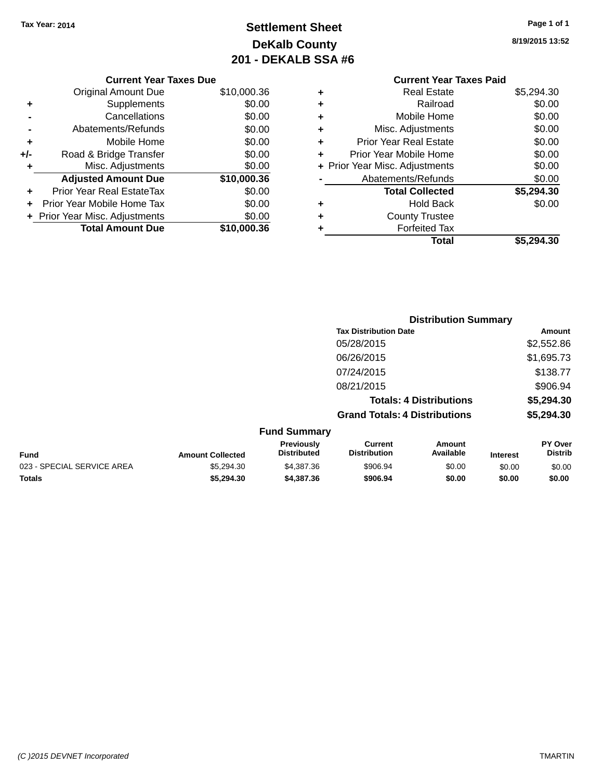# **Settlement Sheet Tax Year: 2014 Page 1 of 1 DeKalb County 201 - DEKALB SSA #6**

|       | <b>Current Year Taxes Due</b>    |             |
|-------|----------------------------------|-------------|
|       | <b>Original Amount Due</b>       | \$10,000.36 |
| ٠     | Supplements                      | \$0.00      |
|       | Cancellations                    | \$0.00      |
|       | Abatements/Refunds               | \$0.00      |
| ٠     | Mobile Home                      | \$0.00      |
| $+/-$ | Road & Bridge Transfer           | \$0.00      |
| ٠     | Misc. Adjustments                | \$0.00      |
|       | <b>Adjusted Amount Due</b>       | \$10,000.36 |
| ÷     | <b>Prior Year Real EstateTax</b> | \$0.00      |
|       | Prior Year Mobile Home Tax       | \$0.00      |
|       | + Prior Year Misc. Adjustments   | \$0.00      |
|       | <b>Total Amount Due</b>          | \$10.000.36 |
|       |                                  |             |

### **Current Year Taxes Paid +** Real Estate \$5,294.30 **+** Railroad \$0.00 **+** Mobile Home \$0.00 **+** Misc. Adjustments \$0.00 **+** Prior Year Real Estate \$0.00 **+** Prior Year Mobile Home \$0.00 **+ Prior Year Misc. Adjustments**  $$0.00$ **-** Abatements/Refunds \$0.00 **Total Collected \$5,294.30 +** Hold Back \$0.00 **+** County Trustee **+** Forfeited Tax **Total \$5,294.30**

|                            |                         |                                  |                                       | <b>Distribution Summary</b>    |                 |                           |
|----------------------------|-------------------------|----------------------------------|---------------------------------------|--------------------------------|-----------------|---------------------------|
|                            |                         |                                  | <b>Tax Distribution Date</b>          |                                |                 | Amount                    |
|                            |                         |                                  | 05/28/2015                            |                                |                 | \$2,552.86                |
|                            |                         |                                  | 06/26/2015                            |                                |                 | \$1,695.73                |
|                            |                         |                                  | 07/24/2015                            |                                |                 | \$138.77                  |
|                            |                         |                                  | 08/21/2015                            |                                |                 | \$906.94                  |
|                            |                         |                                  |                                       | <b>Totals: 4 Distributions</b> |                 | \$5,294.30                |
|                            |                         |                                  | <b>Grand Totals: 4 Distributions</b>  |                                |                 | \$5,294.30                |
|                            |                         | <b>Fund Summary</b>              |                                       |                                |                 |                           |
| <b>Fund</b>                | <b>Amount Collected</b> | Previously<br><b>Distributed</b> | <b>Current</b><br><b>Distribution</b> | Amount<br>Available            | <b>Interest</b> | PY Over<br><b>Distrib</b> |
| 023 - SPECIAL SERVICE AREA | \$5,294.30              | \$4,387.36                       | \$906.94                              | \$0.00                         | \$0.00          | \$0.00                    |
| <b>Totals</b>              | \$5,294.30              | \$4,387.36                       | \$906.94                              | \$0.00                         | \$0.00          | \$0.00                    |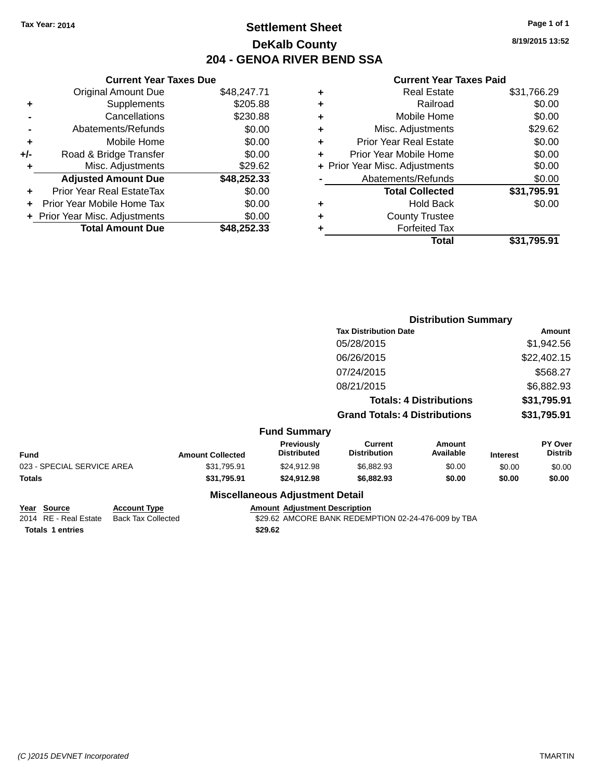### **Settlement Sheet Tax Year: 2014 Page 1 of 1 DeKalb County 204 - GENOA RIVER BEND SSA**

**8/19/2015 13:52**

#### **Current Year Taxes Paid**

|     | <b>Current Year Taxes Due</b>  |             |
|-----|--------------------------------|-------------|
|     | <b>Original Amount Due</b>     | \$48,247.71 |
| ٠   | Supplements                    | \$205.88    |
|     | Cancellations                  | \$230.88    |
|     | Abatements/Refunds             | \$0.00      |
| ٠   | Mobile Home                    | \$0.00      |
| +/- | Road & Bridge Transfer         | \$0.00      |
| ٠   | Misc. Adjustments              | \$29.62     |
|     | <b>Adjusted Amount Due</b>     | \$48,252.33 |
| ٠   | Prior Year Real EstateTax      | \$0.00      |
| ÷   | Prior Year Mobile Home Tax     | \$0.00      |
|     | + Prior Year Misc. Adjustments | \$0.00      |
|     | <b>Total Amount Due</b>        | \$48,252.33 |

| ٠ | <b>Real Estate</b>             | \$31,766.29 |
|---|--------------------------------|-------------|
| ٠ | Railroad                       | \$0.00      |
| ٠ | Mobile Home                    | \$0.00      |
| ٠ | Misc. Adjustments              | \$29.62     |
| ٠ | <b>Prior Year Real Estate</b>  | \$0.00      |
|   | Prior Year Mobile Home         | \$0.00      |
|   | + Prior Year Misc. Adjustments | \$0.00      |
|   | Abatements/Refunds             | \$0.00      |
|   | <b>Total Collected</b>         | \$31,795.91 |
| ٠ | Hold Back                      | \$0.00      |
| ٠ | <b>County Trustee</b>          |             |
|   | <b>Forfeited Tax</b>           |             |
|   | Total                          | \$31,795.91 |
|   |                                |             |

|                            |                         |                                  |                                       | <b>Distribution Summary</b>    |                 |                           |
|----------------------------|-------------------------|----------------------------------|---------------------------------------|--------------------------------|-----------------|---------------------------|
|                            |                         |                                  | <b>Tax Distribution Date</b>          |                                |                 | Amount                    |
|                            |                         |                                  | 05/28/2015                            |                                |                 | \$1,942.56                |
|                            |                         |                                  | 06/26/2015                            |                                |                 | \$22,402.15               |
|                            |                         |                                  | 07/24/2015                            |                                |                 | \$568.27                  |
|                            |                         |                                  | 08/21/2015                            |                                |                 | \$6,882.93                |
|                            |                         |                                  |                                       | <b>Totals: 4 Distributions</b> |                 | \$31,795.91               |
|                            |                         |                                  | <b>Grand Totals: 4 Distributions</b>  |                                |                 | \$31,795.91               |
|                            |                         | <b>Fund Summary</b>              |                                       |                                |                 |                           |
| <b>Fund</b>                | <b>Amount Collected</b> | Previously<br><b>Distributed</b> | <b>Current</b><br><b>Distribution</b> | <b>Amount</b><br>Available     | <b>Interest</b> | PY Over<br><b>Distrib</b> |
| 023 - SPECIAL SERVICE AREA | \$31,795.91             | \$24,912.98                      | \$6,882.93                            | \$0.00                         | \$0.00          | \$0.00                    |
| <b>Totals</b>              | \$31,795.91             | \$24,912.98                      | \$6,882.93                            | \$0.00                         | \$0.00          | \$0.00                    |
|                            |                         | Miscellaneous Adiustment Detail  |                                       |                                |                 |                           |

#### **Miscellaneous Adjustment Detail**

**Year Source Account Type Amount Adjustment Description**<br>2014 RE - Real Estate Back Tax Collected \$29.62 AMCORE BANK REDEMI **Totals \$29.62 1 entries**

\$29.62 AMCORE BANK REDEMPTION 02-24-476-009 by TBA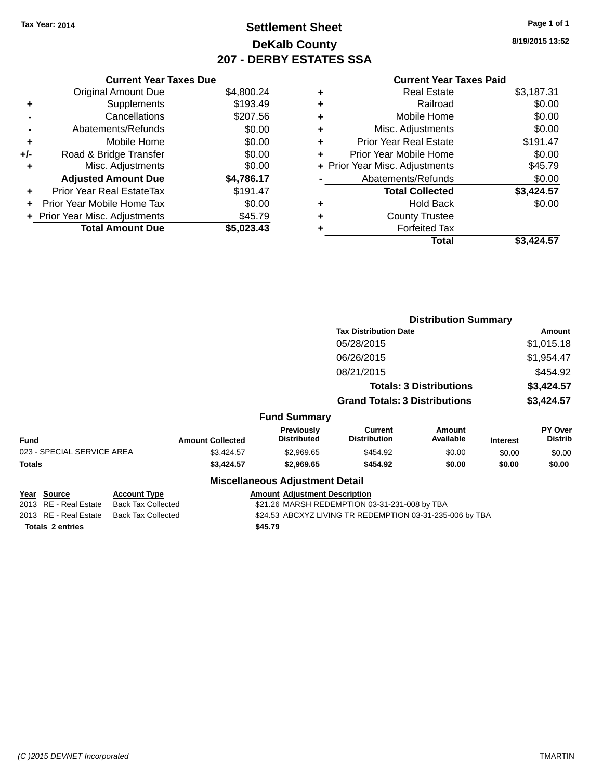### **Settlement Sheet Tax Year: 2014 Page 1 of 1 DeKalb County 207 - DERBY ESTATES SSA**

**8/19/2015 13:52**

| <b>Current Year Taxes Paid</b> |    |
|--------------------------------|----|
| Real Estate                    | \$ |

|     | <b>Current Year Taxes Due</b>  |            |
|-----|--------------------------------|------------|
|     | <b>Original Amount Due</b>     | \$4,800.24 |
| ٠   | Supplements                    | \$193.49   |
|     | Cancellations                  | \$207.56   |
|     | Abatements/Refunds             | \$0.00     |
| ٠   | Mobile Home                    | \$0.00     |
| +/- | Road & Bridge Transfer         | \$0.00     |
| ٠   | Misc. Adjustments              | \$0.00     |
|     | <b>Adjusted Amount Due</b>     | \$4,786.17 |
|     | Prior Year Real EstateTax      | \$191.47   |
|     | Prior Year Mobile Home Tax     | \$0.00     |
|     | + Prior Year Misc. Adjustments | \$45.79    |
|     | <b>Total Amount Due</b>        | \$5,023.43 |
|     |                                |            |

| ٠ | <b>Real Estate</b>             | \$3,187.31 |
|---|--------------------------------|------------|
| ÷ | Railroad                       | \$0.00     |
| ٠ | Mobile Home                    | \$0.00     |
| ٠ | Misc. Adjustments              | \$0.00     |
| ٠ | <b>Prior Year Real Estate</b>  | \$191.47   |
| ٠ | Prior Year Mobile Home         | \$0.00     |
|   | + Prior Year Misc. Adjustments | \$45.79    |
|   | Abatements/Refunds             | \$0.00     |
|   | <b>Total Collected</b>         | \$3,424.57 |
| ٠ | <b>Hold Back</b>               | \$0.00     |
| ٠ | <b>County Trustee</b>          |            |
| ٠ | <b>Forfeited Tax</b>           |            |
|   | <b>Total</b>                   | \$3.424.57 |
|   |                                |            |

|             |                                              |                                                  |                         |                                         | <b>Distribution Summary</b>                              |                                |                 |                           |
|-------------|----------------------------------------------|--------------------------------------------------|-------------------------|-----------------------------------------|----------------------------------------------------------|--------------------------------|-----------------|---------------------------|
|             |                                              |                                                  |                         |                                         | <b>Tax Distribution Date</b>                             |                                |                 | <b>Amount</b>             |
|             |                                              |                                                  |                         |                                         | 05/28/2015                                               |                                |                 | \$1,015.18                |
|             |                                              |                                                  |                         |                                         | 06/26/2015                                               |                                |                 | \$1,954.47                |
|             |                                              |                                                  |                         |                                         | 08/21/2015                                               |                                |                 | \$454.92                  |
|             |                                              |                                                  |                         |                                         |                                                          | <b>Totals: 3 Distributions</b> |                 | \$3,424.57                |
|             |                                              |                                                  |                         |                                         | <b>Grand Totals: 3 Distributions</b>                     |                                |                 | \$3,424.57                |
|             |                                              |                                                  |                         | <b>Fund Summary</b>                     |                                                          |                                |                 |                           |
| <b>Fund</b> |                                              |                                                  | <b>Amount Collected</b> | <b>Previously</b><br><b>Distributed</b> | <b>Current</b><br><b>Distribution</b>                    | <b>Amount</b><br>Available     | <b>Interest</b> | PY Over<br><b>Distrib</b> |
|             | 023 - SPECIAL SERVICE AREA                   |                                                  | \$3,424.57              | \$2,969.65                              | \$454.92                                                 | \$0.00                         | \$0.00          | \$0.00                    |
| Totals      |                                              |                                                  | \$3,424.57              | \$2,969.65                              | \$454.92                                                 | \$0.00                         | \$0.00          | \$0.00                    |
|             |                                              |                                                  |                         | <b>Miscellaneous Adjustment Detail</b>  |                                                          |                                |                 |                           |
|             | <u> Year Source</u><br>2013 RE - Real Estate | <b>Account Type</b><br><b>Back Tax Collected</b> |                         | <b>Amount Adjustment Description</b>    | \$21.26 MARSH REDEMPTION 03-31-231-008 by TBA            |                                |                 |                           |
|             | 2013 RE - Real Estate                        | <b>Back Tax Collected</b>                        |                         |                                         | \$24.53 ABCXYZ LIVING TR REDEMPTION 03-31-235-006 by TBA |                                |                 |                           |

Totals 2 entries **2 and 2 and 2 and 2 and 2 and 2 and 2 and 2 and 2 and 2 and 2 and 2 and 2 and 2 and 2 and 2 and 2 and 2 and 2 and 2 and 2 and 2 and 2 and 2 and 2 and 2 and 2 and 2 and 2 and 2 and 2 and 2 and 2 and 2 and**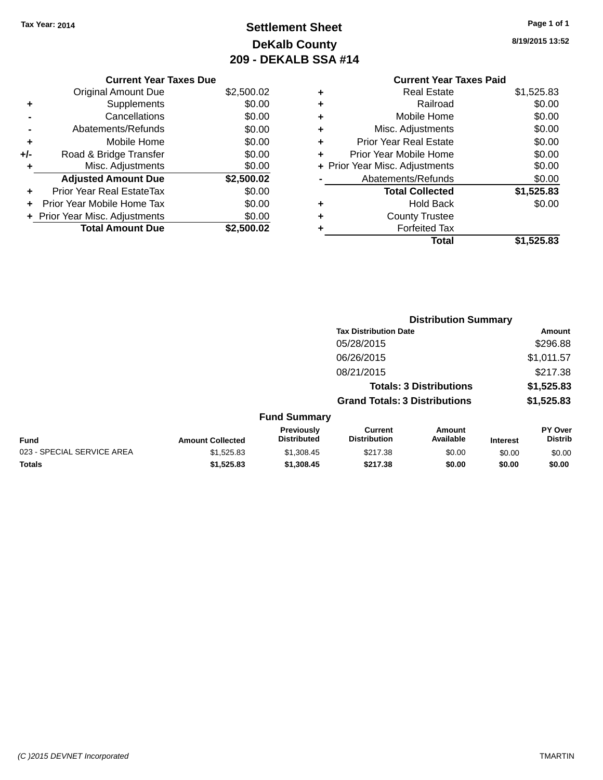# **Settlement Sheet Tax Year: 2014 Page 1 of 1 DeKalb County 209 - DEKALB SSA #14**

**8/19/2015 13:52**

|     | <b>Current Year Taxes Due</b>    |            |
|-----|----------------------------------|------------|
|     | <b>Original Amount Due</b>       | \$2,500.02 |
| ٠   | Supplements                      | \$0.00     |
|     | Cancellations                    | \$0.00     |
|     | Abatements/Refunds               | \$0.00     |
| ٠   | Mobile Home                      | \$0.00     |
| +/- | Road & Bridge Transfer           | \$0.00     |
| ٠   | Misc. Adjustments                | \$0.00     |
|     | <b>Adjusted Amount Due</b>       | \$2,500.02 |
| ٠   | <b>Prior Year Real EstateTax</b> | \$0.00     |
| ÷   | Prior Year Mobile Home Tax       | \$0.00     |
|     | + Prior Year Misc. Adjustments   | \$0.00     |
|     | <b>Total Amount Due</b>          | \$2,500.02 |

### **Current Year Taxes Paid +** Real Estate \$1,525.83 **+** Railroad \$0.00 **+** Mobile Home \$0.00 **+** Misc. Adjustments \$0.00 **+** Prior Year Real Estate \$0.00

|   | Prior Year Mobile Home         | \$0.00     |
|---|--------------------------------|------------|
|   | + Prior Year Misc. Adjustments | \$0.00     |
|   | Abatements/Refunds             | \$0.00     |
|   | <b>Total Collected</b>         | \$1,525.83 |
|   | <b>Hold Back</b>               | \$0.00     |
| ÷ | <b>County Trustee</b>          |            |
|   | <b>Forfeited Tax</b>           |            |
|   | Total                          | \$1,525.83 |

|     |                         |                                  |                                       | <b>Distribution Summary</b>    |                 |                           |
|-----|-------------------------|----------------------------------|---------------------------------------|--------------------------------|-----------------|---------------------------|
|     |                         |                                  | <b>Tax Distribution Date</b>          |                                |                 | Amount                    |
|     |                         |                                  | 05/28/2015                            |                                |                 | \$296.88                  |
|     |                         |                                  | 06/26/2015                            |                                |                 | \$1,011.57                |
|     |                         |                                  | 08/21/2015                            |                                |                 | \$217.38                  |
|     |                         |                                  |                                       | <b>Totals: 3 Distributions</b> |                 | \$1,525.83                |
|     |                         |                                  | <b>Grand Totals: 3 Distributions</b>  |                                |                 | \$1,525.83                |
|     |                         | <b>Fund Summary</b>              |                                       |                                |                 |                           |
|     | <b>Amount Collected</b> | Previously<br><b>Distributed</b> | <b>Current</b><br><b>Distribution</b> | Amount<br>Available            | <b>Interest</b> | PY Over<br><b>Distrib</b> |
| REA | \$1.525.83              | \$1,308.45                       | \$217.38                              | \$0.00                         | \$0.00          | \$0.00                    |

| <b>Fund</b>                | <b>Amount Collected</b> | Distributed | Distribution | Available | <b>Interest</b> | <b>Distrib</b> |
|----------------------------|-------------------------|-------------|--------------|-----------|-----------------|----------------|
| 023 - SPECIAL SERVICE AREA | \$1.525.83              | \$1.308.45  | \$217.38     | \$0.00    | \$0.00          | \$0.00         |
| <b>Totals</b>              | \$1.525.83              | \$1.308.45  | \$217.38     | \$0.00    | \$0.00          | \$0.00         |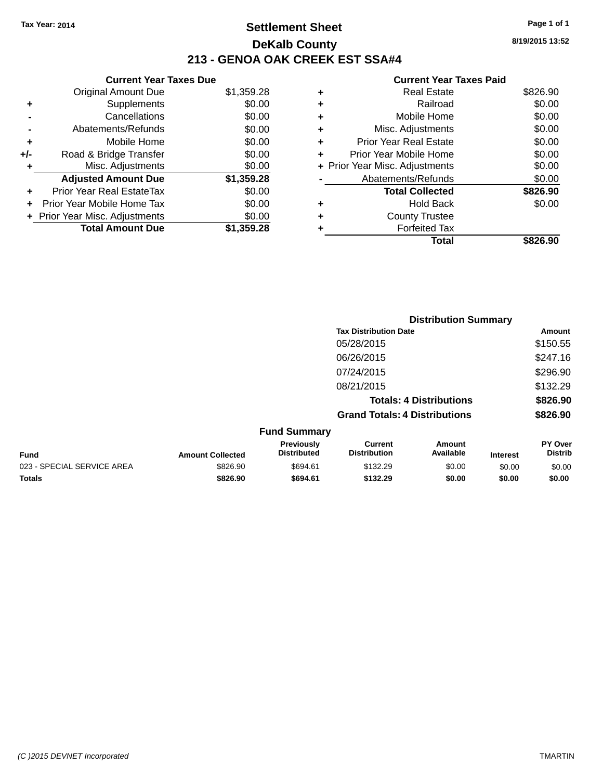### **Settlement Sheet Tax Year: 2014 Page 1 of 1 DeKalb County 213 - GENOA OAK CREEK EST SSA#4**

|       | <b>Current Year Taxes Due</b>  |            |
|-------|--------------------------------|------------|
|       | <b>Original Amount Due</b>     | \$1,359.28 |
| ٠     | Supplements                    | \$0.00     |
|       | Cancellations                  | \$0.00     |
|       | Abatements/Refunds             | \$0.00     |
| ٠     | Mobile Home                    | \$0.00     |
| $+/-$ | Road & Bridge Transfer         | \$0.00     |
| ٠     | Misc. Adjustments              | \$0.00     |
|       | <b>Adjusted Amount Due</b>     | \$1,359.28 |
| ٠     | Prior Year Real EstateTax      | \$0.00     |
|       | Prior Year Mobile Home Tax     | \$0.00     |
|       | + Prior Year Misc. Adjustments | \$0.00     |
|       | <b>Total Amount Due</b>        | \$1,359.28 |

| ٠ | <b>Real Estate</b>             | \$826.90 |
|---|--------------------------------|----------|
| ٠ | Railroad                       | \$0.00   |
| ٠ | Mobile Home                    | \$0.00   |
| ٠ | Misc. Adjustments              | \$0.00   |
| ٠ | <b>Prior Year Real Estate</b>  | \$0.00   |
| ÷ | Prior Year Mobile Home         | \$0.00   |
|   | + Prior Year Misc. Adjustments | \$0.00   |
|   | Abatements/Refunds             | \$0.00   |
|   | <b>Total Collected</b>         | \$826.90 |
| ٠ | <b>Hold Back</b>               | \$0.00   |
| ٠ | <b>County Trustee</b>          |          |
|   | <b>Forfeited Tax</b>           |          |
|   | Total                          | \$826.90 |
|   |                                |          |

|                            |                         | <b>Distribution Summary</b>      |                                       |                                |                 |                           |  |
|----------------------------|-------------------------|----------------------------------|---------------------------------------|--------------------------------|-----------------|---------------------------|--|
|                            |                         |                                  | <b>Tax Distribution Date</b>          |                                |                 | Amount                    |  |
|                            |                         |                                  | 05/28/2015                            |                                |                 | \$150.55                  |  |
|                            |                         |                                  | 06/26/2015                            |                                |                 | \$247.16                  |  |
|                            |                         |                                  | 07/24/2015                            |                                |                 | \$296.90                  |  |
|                            |                         |                                  | 08/21/2015                            |                                |                 | \$132.29                  |  |
|                            |                         |                                  |                                       | <b>Totals: 4 Distributions</b> |                 | \$826.90                  |  |
|                            |                         |                                  | <b>Grand Totals: 4 Distributions</b>  |                                |                 | \$826.90                  |  |
|                            |                         | <b>Fund Summary</b>              |                                       |                                |                 |                           |  |
| <b>Fund</b>                | <b>Amount Collected</b> | Previously<br><b>Distributed</b> | <b>Current</b><br><b>Distribution</b> | Amount<br>Available            | <b>Interest</b> | PY Over<br><b>Distrib</b> |  |
| 023 - SPECIAL SERVICE AREA | \$826.90                | \$694.61                         | \$132.29                              | \$0.00                         | \$0.00          | \$0.00                    |  |
| Totals                     | \$826.90                | \$694.61                         | \$132.29                              | \$0.00                         | \$0.00          | \$0.00                    |  |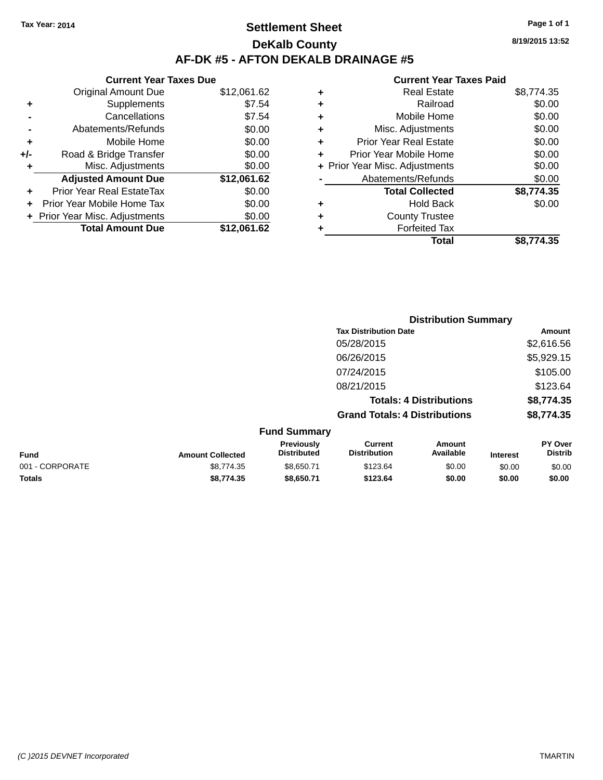### **Settlement Sheet Tax Year: 2014 Page 1 of 1 DeKalb County AF-DK #5 - AFTON DEKALB DRAINAGE #5**

|     | <b>Current Year Taxes Due</b>  |             |
|-----|--------------------------------|-------------|
|     | Original Amount Due            | \$12,061.62 |
|     | Supplements                    | \$7.54      |
|     | Cancellations                  | \$7.54      |
|     | Abatements/Refunds             | \$0.00      |
| ٠   | Mobile Home                    | \$0.00      |
| +/- | Road & Bridge Transfer         | \$0.00      |
|     | Misc. Adjustments              | \$0.00      |
|     | <b>Adjusted Amount Due</b>     | \$12,061.62 |
| ٠   | Prior Year Real EstateTax      | \$0.00      |
|     | Prior Year Mobile Home Tax     | \$0.00      |
|     | + Prior Year Misc. Adjustments | \$0.00      |
|     | <b>Total Amount Due</b>        | \$12.061.62 |

#### **Current Year Taxes Paid**

|   | <b>Real Estate</b>             | \$8,774.35 |
|---|--------------------------------|------------|
| ٠ | Railroad                       | \$0.00     |
| ٠ | Mobile Home                    | \$0.00     |
| ٠ | Misc. Adjustments              | \$0.00     |
| ٠ | <b>Prior Year Real Estate</b>  | \$0.00     |
| ٠ | Prior Year Mobile Home         | \$0.00     |
|   | + Prior Year Misc. Adjustments | \$0.00     |
|   | Abatements/Refunds             | \$0.00     |
|   | <b>Total Collected</b>         | \$8,774.35 |
| ٠ | <b>Hold Back</b>               | \$0.00     |
| ٠ | <b>County Trustee</b>          |            |
| ٠ | <b>Forfeited Tax</b>           |            |
|   | Total                          | \$8,774.35 |
|   |                                |            |

|                 |                         |                                  | <b>Distribution Summary</b>           |                                |                 |                           |
|-----------------|-------------------------|----------------------------------|---------------------------------------|--------------------------------|-----------------|---------------------------|
|                 |                         |                                  | <b>Tax Distribution Date</b>          |                                |                 | Amount                    |
|                 |                         |                                  | 05/28/2015                            |                                |                 | \$2,616.56                |
|                 |                         |                                  | 06/26/2015                            |                                |                 | \$5,929.15                |
|                 |                         |                                  | 07/24/2015                            |                                |                 | \$105.00                  |
|                 |                         |                                  | 08/21/2015                            |                                |                 | \$123.64                  |
|                 |                         |                                  |                                       | <b>Totals: 4 Distributions</b> |                 | \$8,774.35                |
|                 |                         |                                  | <b>Grand Totals: 4 Distributions</b>  |                                |                 | \$8,774.35                |
|                 |                         | <b>Fund Summary</b>              |                                       |                                |                 |                           |
| <b>Fund</b>     | <b>Amount Collected</b> | Previously<br><b>Distributed</b> | <b>Current</b><br><b>Distribution</b> | Amount<br>Available            | <b>Interest</b> | PY Over<br><b>Distrib</b> |
| 001 - CORPORATE | \$8,774.35              | \$8,650.71                       | \$123.64                              | \$0.00                         | \$0.00          | \$0.00                    |
| <b>Totals</b>   | \$8,774.35              | \$8,650.71                       | \$123.64                              | \$0.00                         | \$0.00          | \$0.00                    |

**8/19/2015 13:52**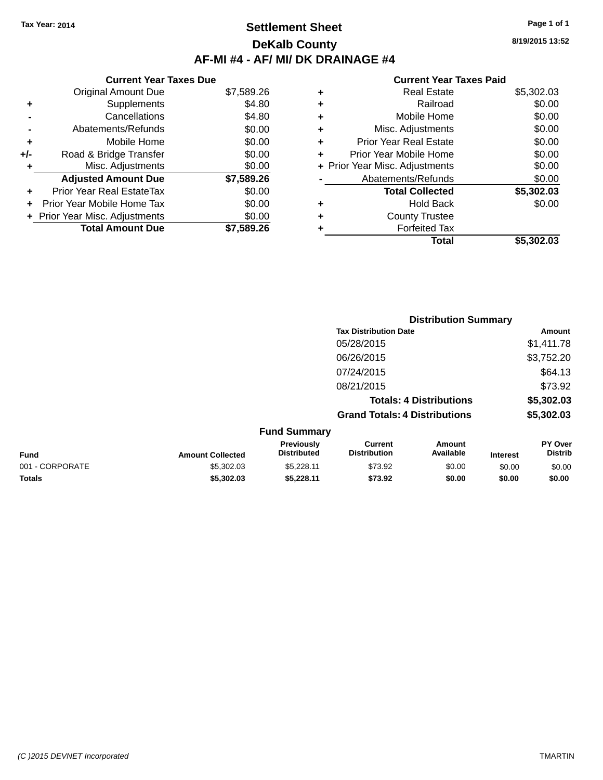### **Settlement Sheet Tax Year: 2014 Page 1 of 1 DeKalb County AF-MI #4 - AF/ MI/ DK DRAINAGE #4**

**8/19/2015 13:52**

### **Current Year Taxes Paid**

|     | <b>Current Year Taxes Due</b>  |            |
|-----|--------------------------------|------------|
|     | <b>Original Amount Due</b>     | \$7,589.26 |
| ٠   | Supplements                    | \$4.80     |
|     | Cancellations                  | \$4.80     |
|     | Abatements/Refunds             | \$0.00     |
| ٠   | Mobile Home                    | \$0.00     |
| +/- | Road & Bridge Transfer         | \$0.00     |
|     | Misc. Adjustments              | \$0.00     |
|     | <b>Adjusted Amount Due</b>     | \$7,589.26 |
| ٠   | Prior Year Real EstateTax      | \$0.00     |
| ÷   | Prior Year Mobile Home Tax     | \$0.00     |
|     | + Prior Year Misc. Adjustments | \$0.00     |
|     | <b>Total Amount Due</b>        | \$7.589.26 |

| ٠ | <b>Real Estate</b>             | \$5,302.03 |
|---|--------------------------------|------------|
| ٠ | Railroad                       | \$0.00     |
| ٠ | Mobile Home                    | \$0.00     |
| ٠ | Misc. Adjustments              | \$0.00     |
| ٠ | <b>Prior Year Real Estate</b>  | \$0.00     |
| ÷ | Prior Year Mobile Home         | \$0.00     |
|   | + Prior Year Misc. Adjustments | \$0.00     |
|   | Abatements/Refunds             | \$0.00     |
|   | <b>Total Collected</b>         | \$5,302.03 |
| ٠ | <b>Hold Back</b>               | \$0.00     |
| ٠ | <b>County Trustee</b>          |            |
| ٠ | <b>Forfeited Tax</b>           |            |
|   | Total                          | \$5.302.03 |
|   |                                |            |

|                 |                         |                                  |                                       | <b>Distribution Summary</b>    |                 |                           |
|-----------------|-------------------------|----------------------------------|---------------------------------------|--------------------------------|-----------------|---------------------------|
|                 |                         |                                  | <b>Tax Distribution Date</b>          |                                |                 | Amount                    |
|                 |                         |                                  | 05/28/2015                            |                                |                 | \$1,411.78                |
|                 |                         |                                  | 06/26/2015                            |                                |                 | \$3,752.20                |
|                 |                         |                                  | 07/24/2015                            |                                |                 | \$64.13                   |
|                 |                         |                                  | 08/21/2015                            |                                |                 | \$73.92                   |
|                 |                         |                                  |                                       | <b>Totals: 4 Distributions</b> |                 | \$5,302.03                |
|                 |                         |                                  | <b>Grand Totals: 4 Distributions</b>  |                                |                 | \$5,302.03                |
|                 |                         | <b>Fund Summary</b>              |                                       |                                |                 |                           |
| <b>Fund</b>     | <b>Amount Collected</b> | Previously<br><b>Distributed</b> | <b>Current</b><br><b>Distribution</b> | <b>Amount</b><br>Available     | <b>Interest</b> | PY Over<br><b>Distrib</b> |
| 001 - CORPORATE | \$5,302.03              | \$5,228.11                       | \$73.92                               | \$0.00                         | \$0.00          | \$0.00                    |

**Totals \$5,302.03 \$5,228.11 \$73.92 \$0.00 \$0.00 \$0.00**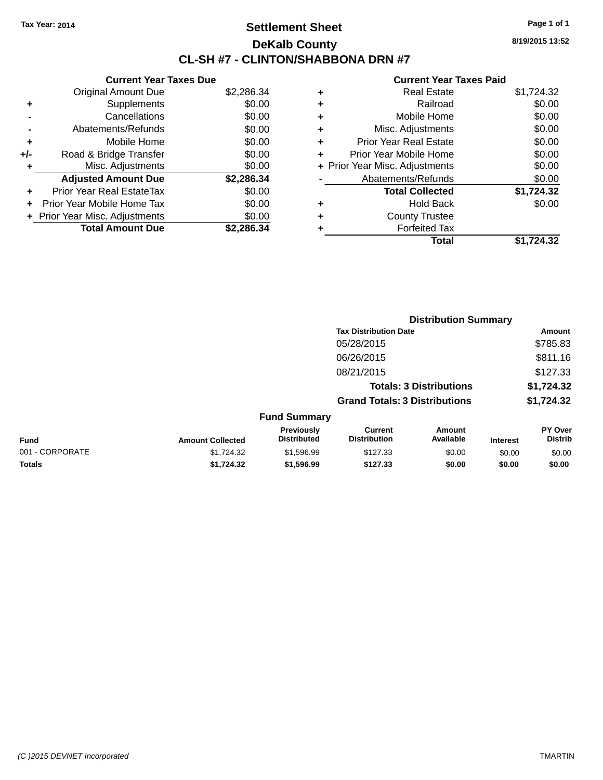### **Settlement Sheet Tax Year: 2014 Page 1 of 1 DeKalb County CL-SH #7 - CLINTON/SHABBONA DRN #7**

**8/19/2015 13:52**

| <b>Current Year Taxes Due</b>  |            |
|--------------------------------|------------|
| <b>Original Amount Due</b>     | \$2,286.34 |
| Supplements                    | \$0.00     |
| Cancellations                  | \$0.00     |
| Abatements/Refunds             | \$0.00     |
| Mobile Home                    | \$0.00     |
| Road & Bridge Transfer         | \$0.00     |
| Misc. Adjustments              | \$0.00     |
| <b>Adjusted Amount Due</b>     | \$2,286.34 |
| Prior Year Real EstateTax      | \$0.00     |
| Prior Year Mobile Home Tax     | \$0.00     |
| + Prior Year Misc. Adjustments | \$0.00     |
| <b>Total Amount Due</b>        | \$2,286.34 |
|                                |            |

| ٠ | <b>Real Estate</b>             | \$1,724.32 |
|---|--------------------------------|------------|
| ٠ | Railroad                       | \$0.00     |
| ٠ | Mobile Home                    | \$0.00     |
| ٠ | Misc. Adjustments              | \$0.00     |
| ٠ | <b>Prior Year Real Estate</b>  | \$0.00     |
| ÷ | Prior Year Mobile Home         | \$0.00     |
|   | + Prior Year Misc. Adjustments | \$0.00     |
|   | Abatements/Refunds             | \$0.00     |
|   | <b>Total Collected</b>         | \$1,724.32 |
| ٠ | <b>Hold Back</b>               | \$0.00     |
| ÷ | <b>County Trustee</b>          |            |
| ٠ | <b>Forfeited Tax</b>           |            |
|   | Total                          | \$1,724.32 |
|   |                                |            |

|                 |                         | <b>Distribution Summary</b>      |                                       |                                |                 |                           |  |
|-----------------|-------------------------|----------------------------------|---------------------------------------|--------------------------------|-----------------|---------------------------|--|
|                 |                         |                                  | <b>Tax Distribution Date</b>          |                                |                 | Amount                    |  |
|                 |                         |                                  | 05/28/2015                            |                                |                 | \$785.83                  |  |
|                 |                         |                                  | 06/26/2015                            |                                |                 | \$811.16                  |  |
|                 |                         |                                  | 08/21/2015                            |                                |                 | \$127.33                  |  |
|                 |                         |                                  |                                       | <b>Totals: 3 Distributions</b> |                 | \$1,724.32                |  |
|                 |                         |                                  | <b>Grand Totals: 3 Distributions</b>  |                                |                 | \$1,724.32                |  |
|                 |                         | <b>Fund Summary</b>              |                                       |                                |                 |                           |  |
| <b>Fund</b>     | <b>Amount Collected</b> | Previously<br><b>Distributed</b> | <b>Current</b><br><b>Distribution</b> | Amount<br>Available            | <b>Interest</b> | PY Over<br><b>Distrib</b> |  |
| 001 - CORPORATE | \$1,724.32              | \$1,596.99                       | \$127.33                              | \$0.00                         | \$0.00          | \$0.00                    |  |
| <b>Totals</b>   | \$1,724.32              | \$1,596.99                       | \$127.33                              | \$0.00                         | \$0.00          | \$0.00                    |  |
|                 |                         |                                  |                                       |                                |                 |                           |  |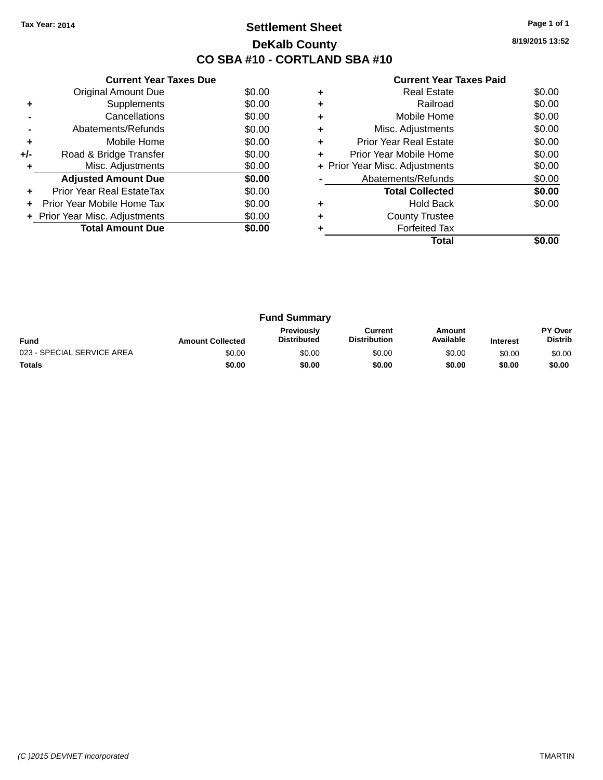### **Settlement Sheet Tax Year: 2014 Page 1 of 1 DeKalb County CO SBA #10 - CORTLAND SBA #10**

**8/19/2015 13:52**

|     | <b>Current Year Taxes Due</b>  |        |
|-----|--------------------------------|--------|
|     | <b>Original Amount Due</b>     | \$0.00 |
| ٠   | Supplements                    | \$0.00 |
|     | Cancellations                  | \$0.00 |
|     | Abatements/Refunds             | \$0.00 |
| ٠   | Mobile Home                    | \$0.00 |
| +/- | Road & Bridge Transfer         | \$0.00 |
| ٠   | Misc. Adjustments              | \$0.00 |
|     | <b>Adjusted Amount Due</b>     | \$0.00 |
| ٠   | Prior Year Real EstateTax      | \$0.00 |
| ÷   | Prior Year Mobile Home Tax     | \$0.00 |
|     | + Prior Year Misc. Adjustments | \$0.00 |
|     | <b>Total Amount Due</b>        | \$0.00 |
|     |                                |        |

|   | <b>Real Estate</b>             | \$0.00 |
|---|--------------------------------|--------|
|   | Railroad                       | \$0.00 |
| ٠ | Mobile Home                    | \$0.00 |
| ٠ | Misc. Adjustments              | \$0.00 |
| ٠ | Prior Year Real Estate         | \$0.00 |
| ٠ | Prior Year Mobile Home         | \$0.00 |
|   | + Prior Year Misc. Adjustments | \$0.00 |
|   | Abatements/Refunds             | \$0.00 |
|   | <b>Total Collected</b>         | \$0.00 |
|   | Hold Back                      | \$0.00 |
|   | <b>County Trustee</b>          |        |
|   | <b>Forfeited Tax</b>           |        |
|   | Total                          |        |

| <b>Fund Summary</b>        |                         |                                         |                                |                     |                 |                           |
|----------------------------|-------------------------|-----------------------------------------|--------------------------------|---------------------|-----------------|---------------------------|
| <b>Fund</b>                | <b>Amount Collected</b> | <b>Previously</b><br><b>Distributed</b> | Current<br><b>Distribution</b> | Amount<br>Available | <b>Interest</b> | PY Over<br><b>Distrib</b> |
| 023 - SPECIAL SERVICE AREA | \$0.00                  | \$0.00                                  | \$0.00                         | \$0.00              | \$0.00          | \$0.00                    |
| <b>Totals</b>              | \$0.00                  | \$0.00                                  | \$0.00                         | \$0.00              | \$0.00          | \$0.00                    |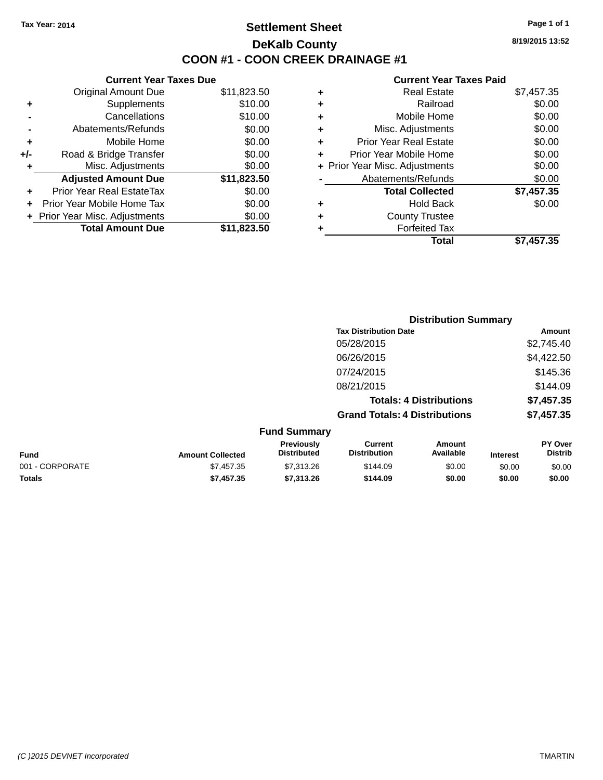### **Settlement Sheet Tax Year: 2014 Page 1 of 1 DeKalb County COON #1 - COON CREEK DRAINAGE #1**

**8/19/2015 13:52**

| <b>Current Year Taxes Due</b>  |             |
|--------------------------------|-------------|
| <b>Original Amount Due</b>     | \$11,823.50 |
| Supplements                    | \$10.00     |
| Cancellations                  | \$10.00     |
| Abatements/Refunds             | \$0.00      |
| Mobile Home                    | \$0.00      |
| Road & Bridge Transfer         | \$0.00      |
| Misc. Adjustments              | \$0.00      |
| <b>Adjusted Amount Due</b>     | \$11,823.50 |
| Prior Year Real EstateTax      | \$0.00      |
| Prior Year Mobile Home Tax     | \$0.00      |
| + Prior Year Misc. Adjustments | \$0.00      |
| <b>Total Amount Due</b>        | \$11,823.50 |
|                                |             |

| ٠ | <b>Real Estate</b>             | \$7,457.35 |
|---|--------------------------------|------------|
| ٠ | Railroad                       | \$0.00     |
| ٠ | Mobile Home                    | \$0.00     |
| ٠ | Misc. Adjustments              | \$0.00     |
| ÷ | <b>Prior Year Real Estate</b>  | \$0.00     |
| ٠ | Prior Year Mobile Home         | \$0.00     |
|   | + Prior Year Misc. Adjustments | \$0.00     |
|   | Abatements/Refunds             | \$0.00     |
|   | <b>Total Collected</b>         | \$7,457.35 |
| ٠ | <b>Hold Back</b>               | \$0.00     |
| ٠ | <b>County Trustee</b>          |            |
| ٠ | <b>Forfeited Tax</b>           |            |
|   | Total                          | \$7,457.35 |
|   |                                |            |

|                 |                         |                                  | <b>Distribution Summary</b>           |                                |                 |                           |
|-----------------|-------------------------|----------------------------------|---------------------------------------|--------------------------------|-----------------|---------------------------|
|                 |                         |                                  | <b>Tax Distribution Date</b>          |                                |                 | Amount                    |
|                 |                         |                                  | 05/28/2015                            |                                |                 | \$2,745.40                |
|                 |                         |                                  | 06/26/2015                            |                                |                 | \$4,422.50                |
|                 |                         |                                  | 07/24/2015                            |                                |                 | \$145.36                  |
|                 |                         |                                  | 08/21/2015                            |                                |                 | \$144.09                  |
|                 |                         |                                  |                                       | <b>Totals: 4 Distributions</b> |                 | \$7,457.35                |
|                 |                         |                                  | <b>Grand Totals: 4 Distributions</b>  |                                |                 | \$7,457.35                |
|                 |                         | <b>Fund Summary</b>              |                                       |                                |                 |                           |
| <b>Fund</b>     | <b>Amount Collected</b> | Previously<br><b>Distributed</b> | <b>Current</b><br><b>Distribution</b> | <b>Amount</b><br>Available     | <b>Interest</b> | PY Over<br><b>Distrib</b> |
| 001 - CORPORATE | \$7,457.35              | \$7,313.26                       | \$144.09                              | \$0.00                         | \$0.00          | \$0.00                    |
| <b>Totals</b>   | \$7,457.35              | \$7,313.26                       | \$144.09                              | \$0.00                         | \$0.00          | \$0.00                    |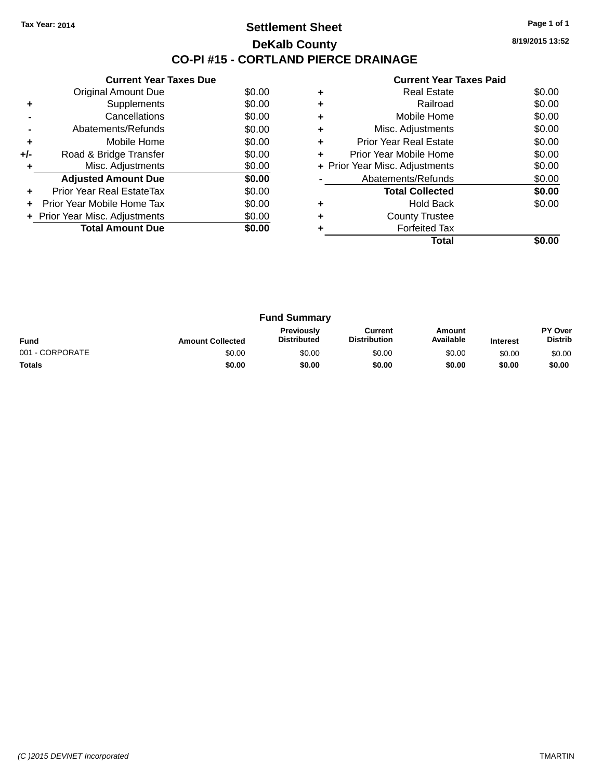### **Settlement Sheet Tax Year: 2014 Page 1 of 1 DeKalb County CO-PI #15 - CORTLAND PIERCE DRAINAGE**

**8/19/2015 13:52**

|     | <b>Current Year Taxes Due</b>  |        |
|-----|--------------------------------|--------|
|     | Original Amount Due            | \$0.00 |
| ÷   | Supplements                    | \$0.00 |
|     | Cancellations                  | \$0.00 |
|     | Abatements/Refunds             | \$0.00 |
| ٠   | Mobile Home                    | \$0.00 |
| +/- | Road & Bridge Transfer         | \$0.00 |
| ٠   | Misc. Adjustments              | \$0.00 |
|     | <b>Adjusted Amount Due</b>     | \$0.00 |
| ÷   | Prior Year Real EstateTax      | \$0.00 |
| ÷   | Prior Year Mobile Home Tax     | \$0.00 |
|     | + Prior Year Misc. Adjustments | \$0.00 |
|     | <b>Total Amount Due</b>        | \$0.00 |
|     |                                |        |

|   | <b>Real Estate</b>             | \$0.00 |
|---|--------------------------------|--------|
|   | Railroad                       | \$0.00 |
| ٠ | Mobile Home                    | \$0.00 |
| ٠ | Misc. Adjustments              | \$0.00 |
| ٠ | Prior Year Real Estate         | \$0.00 |
|   | Prior Year Mobile Home         | \$0.00 |
|   | + Prior Year Misc. Adjustments | \$0.00 |
|   | Abatements/Refunds             | \$0.00 |
|   | <b>Total Collected</b>         | \$0.00 |
|   | Hold Back                      | \$0.00 |
| ٠ | <b>County Trustee</b>          |        |
|   | <b>Forfeited Tax</b>           |        |
|   | Total                          |        |

| <b>Fund Summary</b> |                         |                                         |                                |                     |                 |                           |
|---------------------|-------------------------|-----------------------------------------|--------------------------------|---------------------|-----------------|---------------------------|
| <b>Fund</b>         | <b>Amount Collected</b> | <b>Previously</b><br><b>Distributed</b> | Current<br><b>Distribution</b> | Amount<br>Available | <b>Interest</b> | PY Over<br><b>Distrib</b> |
| 001 - CORPORATE     | \$0.00                  | \$0.00                                  | \$0.00                         | \$0.00              | \$0.00          | \$0.00                    |
| <b>Totals</b>       | \$0.00                  | \$0.00                                  | \$0.00                         | \$0.00              | \$0.00          | \$0.00                    |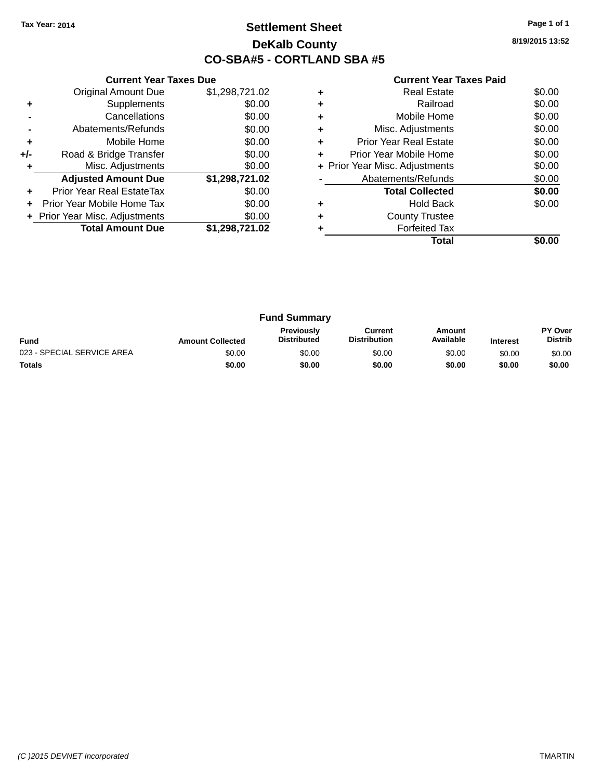### **Settlement Sheet Tax Year: 2014 Page 1 of 1 DeKalb County CO-SBA#5 - CORTLAND SBA #5**

**8/19/2015 13:52**

|     | <b>Current Year Taxes Due</b>  |                |  |  |  |  |
|-----|--------------------------------|----------------|--|--|--|--|
|     | <b>Original Amount Due</b>     | \$1,298,721.02 |  |  |  |  |
| ٠   | Supplements                    | \$0.00         |  |  |  |  |
|     | Cancellations                  | \$0.00         |  |  |  |  |
|     | \$0.00<br>Abatements/Refunds   |                |  |  |  |  |
| ۰   | Mobile Home                    | \$0.00         |  |  |  |  |
| +/- | Road & Bridge Transfer         | \$0.00         |  |  |  |  |
|     | Misc. Adjustments              | \$0.00         |  |  |  |  |
|     | <b>Adjusted Amount Due</b>     | \$1,298,721.02 |  |  |  |  |
|     | Prior Year Real EstateTax      | \$0.00         |  |  |  |  |
|     | Prior Year Mobile Home Tax     | \$0.00         |  |  |  |  |
|     | + Prior Year Misc. Adjustments | \$0.00         |  |  |  |  |
|     | <b>Total Amount Due</b>        | \$1,298,721.02 |  |  |  |  |
|     |                                |                |  |  |  |  |

| Real Estate                   | \$0.00                         |
|-------------------------------|--------------------------------|
| Railroad                      | \$0.00                         |
| Mobile Home                   | \$0.00                         |
| Misc. Adjustments             | \$0.00                         |
| <b>Prior Year Real Estate</b> | \$0.00                         |
| Prior Year Mobile Home        | \$0.00                         |
|                               | \$0.00                         |
| Abatements/Refunds            | \$0.00                         |
| <b>Total Collected</b>        | \$0.00                         |
| <b>Hold Back</b>              | \$0.00                         |
| <b>County Trustee</b>         |                                |
| <b>Forfeited Tax</b>          |                                |
| Total                         |                                |
|                               | + Prior Year Misc. Adjustments |

| <b>Fund Summary</b>        |                         |                                         |                                |                     |                 |                                  |
|----------------------------|-------------------------|-----------------------------------------|--------------------------------|---------------------|-----------------|----------------------------------|
| <b>Fund</b>                | <b>Amount Collected</b> | <b>Previously</b><br><b>Distributed</b> | Current<br><b>Distribution</b> | Amount<br>Available | <b>Interest</b> | <b>PY Over</b><br><b>Distrib</b> |
| 023 - SPECIAL SERVICE AREA | \$0.00                  | \$0.00                                  | \$0.00                         | \$0.00              | \$0.00          | \$0.00                           |
| <b>Totals</b>              | \$0.00                  | \$0.00                                  | \$0.00                         | \$0.00              | \$0.00          | \$0.00                           |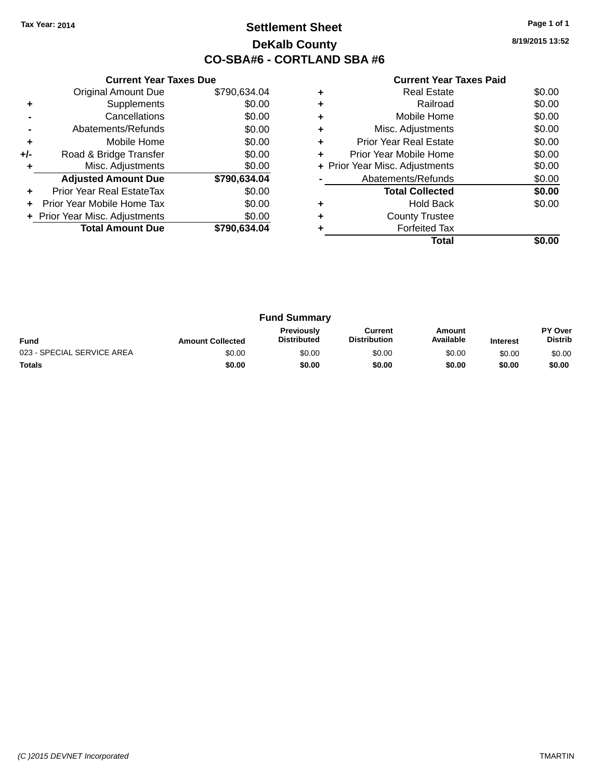### **Settlement Sheet Tax Year: 2014 Page 1 of 1 DeKalb County CO-SBA#6 - CORTLAND SBA #6**

**8/19/2015 13:52**

|     | <b>Current Year Taxes Due</b>  |              |
|-----|--------------------------------|--------------|
|     | <b>Original Amount Due</b>     | \$790,634.04 |
| ٠   | Supplements                    | \$0.00       |
|     | Cancellations                  | \$0.00       |
|     | Abatements/Refunds             | \$0.00       |
| ÷   | Mobile Home                    | \$0.00       |
| +/- | Road & Bridge Transfer         | \$0.00       |
|     | Misc. Adjustments              | \$0.00       |
|     | <b>Adjusted Amount Due</b>     | \$790,634.04 |
| ÷   | Prior Year Real EstateTax      | \$0.00       |
|     | Prior Year Mobile Home Tax     | \$0.00       |
|     | + Prior Year Misc. Adjustments | \$0.00       |
|     | <b>Total Amount Due</b>        | \$790,634.04 |
|     |                                |              |

|   | <b>Real Estate</b>             | \$0.00 |
|---|--------------------------------|--------|
|   | Railroad                       | \$0.00 |
|   | Mobile Home                    | \$0.00 |
|   | Misc. Adjustments              | \$0.00 |
| ٠ | Prior Year Real Estate         | \$0.00 |
| ÷ | Prior Year Mobile Home         | \$0.00 |
|   | + Prior Year Misc. Adjustments | \$0.00 |
|   | Abatements/Refunds             | \$0.00 |
|   | <b>Total Collected</b>         | \$0.00 |
|   | <b>Hold Back</b>               | \$0.00 |
| ÷ | <b>County Trustee</b>          |        |
|   | <b>Forfeited Tax</b>           |        |
|   | Total                          |        |

| <b>Fund Summary</b>        |                         |                                         |                                |                     |                 |                                  |
|----------------------------|-------------------------|-----------------------------------------|--------------------------------|---------------------|-----------------|----------------------------------|
| <b>Fund</b>                | <b>Amount Collected</b> | <b>Previously</b><br><b>Distributed</b> | Current<br><b>Distribution</b> | Amount<br>Available | <b>Interest</b> | <b>PY Over</b><br><b>Distrib</b> |
| 023 - SPECIAL SERVICE AREA | \$0.00                  | \$0.00                                  | \$0.00                         | \$0.00              | \$0.00          | \$0.00                           |
| <b>Totals</b>              | \$0.00                  | \$0.00                                  | \$0.00                         | \$0.00              | \$0.00          | \$0.00                           |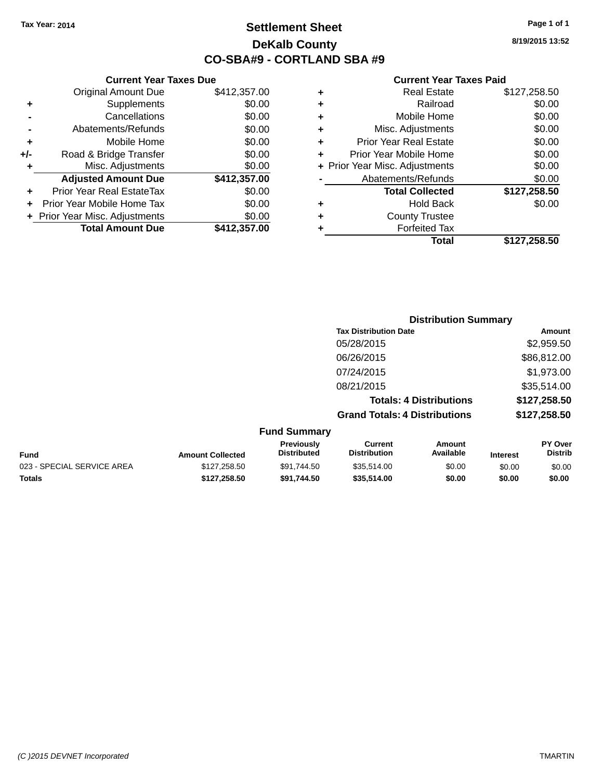**Current Year Taxes Due** Original Amount Due \$412,357.00

**Adjusted Amount Due \$412,357.00**

**Total Amount Due \$412,357.00** 

**+** Supplements \$0.00 **-** Cancellations \$0.00 **-** Abatements/Refunds \$0.00 **+** Mobile Home \$0.00 **+/-** Road & Bridge Transfer \$0.00 **+** Misc. Adjustments \$0.00

**+** Prior Year Real EstateTax \$0.00 **+** Prior Year Mobile Home Tax \$0.00 **+ Prior Year Misc. Adjustments**  $$0.00$ 

### **Settlement Sheet Tax Year: 2014 Page 1 of 1 DeKalb County CO-SBA#9 - CORTLAND SBA #9**

**8/19/2015 13:52**

|                     | <b>Tax Distribution Date</b>         | <b>Distribution Summary</b>    | Amount         |
|---------------------|--------------------------------------|--------------------------------|----------------|
|                     | 05/28/2015                           |                                | \$2,959.50     |
|                     |                                      |                                |                |
|                     | 06/26/2015                           |                                | \$86,812.00    |
|                     | 07/24/2015                           |                                | \$1,973.00     |
|                     | 08/21/2015                           |                                | \$35,514.00    |
|                     |                                      | <b>Totals: 4 Distributions</b> | \$127,258.50   |
|                     | <b>Grand Totals: 4 Distributions</b> |                                | \$127,258.50   |
| <b>Fund Summary</b> |                                      |                                |                |
| Previously          | Current                              | <b>Amount</b>                  | <b>PY Over</b> |

| <b>Amount Collected</b> | <b>Previously</b><br><b>Distributed</b> | Current<br><b>Distribution</b> | Amount<br>Available | <b>Interest</b> | <b>PY Over</b><br><b>Distrib</b> |
|-------------------------|-----------------------------------------|--------------------------------|---------------------|-----------------|----------------------------------|
| \$127,258.50            | \$91.744.50                             | \$35,514.00                    | \$0.00              | \$0.00          | \$0.00                           |
| \$127.258.50            | \$91.744.50                             | \$35,514.00                    | \$0.00              | \$0.00          | \$0.00                           |
|                         |                                         |                                |                     |                 |                                  |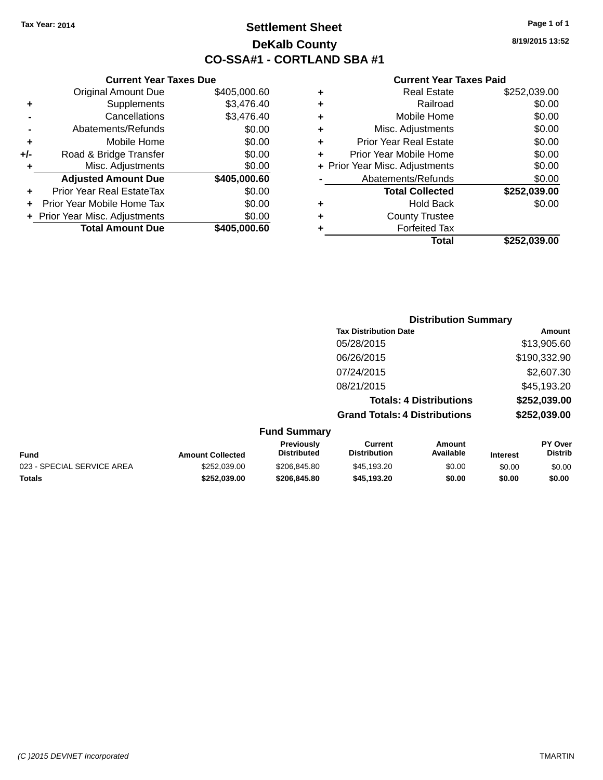### **Settlement Sheet Tax Year: 2014 Page 1 of 1 DeKalb County CO-SSA#1 - CORTLAND SBA #1**

**8/19/2015 13:52**

|     | <b>Current Year Taxes Due</b>    |              |
|-----|----------------------------------|--------------|
|     | <b>Original Amount Due</b>       | \$405,000.60 |
| ٠   | Supplements                      | \$3,476.40   |
|     | Cancellations                    | \$3,476.40   |
|     | Abatements/Refunds               | \$0.00       |
| ٠   | Mobile Home                      | \$0.00       |
| +/- | Road & Bridge Transfer           | \$0.00       |
| ٠   | Misc. Adjustments                | \$0.00       |
|     | <b>Adjusted Amount Due</b>       | \$405,000.60 |
| ٠   | <b>Prior Year Real EstateTax</b> | \$0.00       |
|     | Prior Year Mobile Home Tax       | \$0.00       |
|     | + Prior Year Misc. Adjustments   | \$0.00       |
|     | <b>Total Amount Due</b>          | \$405,000.60 |

| <b>Distribution Summary</b> |                                      |                              |
|-----------------------------|--------------------------------------|------------------------------|
| Amount                      |                                      | <b>Tax Distribution Date</b> |
| \$13,905.60                 |                                      | 05/28/2015                   |
| \$190,332.90                |                                      | 06/26/2015                   |
| \$2,607.30                  |                                      | 07/24/2015                   |
| \$45,193.20                 |                                      | 08/21/2015                   |
| \$252,039.00                | <b>Totals: 4 Distributions</b>       |                              |
| \$252,039.00                | <b>Grand Totals: 4 Distributions</b> |                              |
|                             |                                      |                              |

|  | <b>Fund Summary</b> |  |
|--|---------------------|--|
|--|---------------------|--|

|                            |                         | Previously         | Current             | Amount    |                 | <b>PY Over</b> |
|----------------------------|-------------------------|--------------------|---------------------|-----------|-----------------|----------------|
| Fund                       | <b>Amount Collected</b> | <b>Distributed</b> | <b>Distribution</b> | Available | <b>Interest</b> | <b>Distrib</b> |
| 023 - SPECIAL SERVICE AREA | \$252.039.00            | \$206.845.80       | \$45,193.20         | \$0.00    | \$0.00          | \$0.00         |
| Totals                     | \$252.039.00            | \$206,845,80       | \$45.193.20         | \$0.00    | \$0.00          | \$0.00         |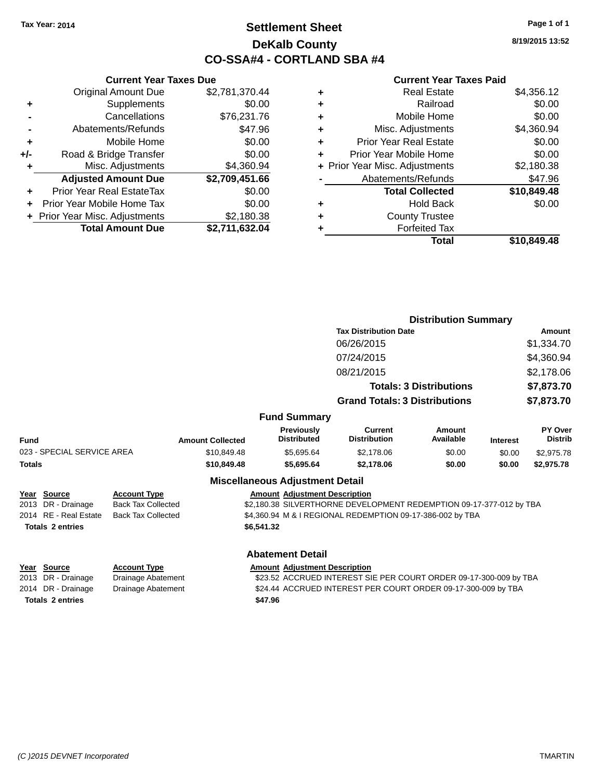### **Settlement Sheet Tax Year: 2014 Page 1 of 1 DeKalb County CO-SSA#4 - CORTLAND SBA #4**

**8/19/2015 13:52**

#### **Current Year Taxes Paid**

|               |                                   |                                                  |                         |                                         |                                                                     | <b>Distribution Summary</b>    |                 |                                  |  |
|---------------|-----------------------------------|--------------------------------------------------|-------------------------|-----------------------------------------|---------------------------------------------------------------------|--------------------------------|-----------------|----------------------------------|--|
|               |                                   |                                                  |                         |                                         | <b>Tax Distribution Date</b>                                        |                                |                 | Amount                           |  |
|               |                                   |                                                  |                         |                                         | 06/26/2015                                                          |                                |                 | \$1,334.70                       |  |
|               |                                   |                                                  |                         |                                         | 07/24/2015                                                          |                                |                 | \$4,360.94                       |  |
|               |                                   |                                                  |                         |                                         | 08/21/2015                                                          |                                |                 | \$2,178.06                       |  |
|               |                                   |                                                  |                         |                                         |                                                                     | <b>Totals: 3 Distributions</b> |                 | \$7,873.70                       |  |
|               |                                   |                                                  |                         |                                         | <b>Grand Totals: 3 Distributions</b>                                |                                |                 | \$7,873.70                       |  |
|               |                                   |                                                  |                         |                                         |                                                                     |                                |                 |                                  |  |
|               |                                   |                                                  |                         | <b>Fund Summary</b>                     |                                                                     |                                |                 |                                  |  |
| Fund          |                                   |                                                  | <b>Amount Collected</b> | <b>Previously</b><br><b>Distributed</b> | <b>Current</b><br><b>Distribution</b>                               | Amount<br><b>Available</b>     | <b>Interest</b> | <b>PY Over</b><br><b>Distrib</b> |  |
|               | 023 - SPECIAL SERVICE AREA        |                                                  | \$10,849.48             | \$5,695.64                              | \$2,178.06                                                          | \$0.00                         | \$0.00          | \$2,975.78                       |  |
| <b>Totals</b> |                                   |                                                  | \$10,849.48             | \$5,695.64                              | \$2,178.06                                                          | \$0.00                         | \$0.00          | \$2,975.78                       |  |
|               |                                   |                                                  |                         | <b>Miscellaneous Adjustment Detail</b>  |                                                                     |                                |                 |                                  |  |
|               | Year Source<br>2013 DR - Drainage | <b>Account Type</b><br><b>Back Tax Collected</b> |                         | <b>Amount Adjustment Description</b>    | \$2,180.38 SILVERTHORNE DEVELOPMENT REDEMPTION 09-17-377-012 by TBA |                                |                 |                                  |  |
|               | 2014 RE - Real Estate             | <b>Back Tax Collected</b>                        |                         |                                         | \$4,360.94 M & I REGIONAL REDEMPTION 09-17-386-002 by TBA           |                                |                 |                                  |  |
|               | <b>Totals 2 entries</b>           |                                                  |                         | \$6,541.32                              |                                                                     |                                |                 |                                  |  |
|               |                                   |                                                  |                         |                                         |                                                                     |                                |                 |                                  |  |
|               |                                   |                                                  |                         | <b>Abatement Detail</b>                 |                                                                     |                                |                 |                                  |  |
|               | Year Source                       | <b>Account Type</b>                              |                         | <b>Amount Adjustment Description</b>    |                                                                     |                                |                 |                                  |  |
|               | 2013 DR - Drainage                | Drainage Abatement                               |                         |                                         | \$23.52 ACCRUED INTEREST SIE PER COURT ORDER 09-17-300-009 by TBA   |                                |                 |                                  |  |

**Totals \$47.96 2 entries**

**Current Year Taxes Due** Original Amount Due \$2,781,370.44

**Adjusted Amount Due \$2,709,451.66**

**Total Amount Due \$2,711,632.04**

**+** Supplements \$0.00 **-** Cancellations \$76,231.76 **-** Abatements/Refunds \$47.96 **+** Mobile Home \$0.00 **+/-** Road & Bridge Transfer \$0.00<br>**+** Misc. Adjustments \$4,360.94

**+** Prior Year Real EstateTax \$0.00 **+** Prior Year Mobile Home Tax \$0.00 **+** Prior Year Misc. Adjustments \$2,180.38

**+** Misc. Adjustments

2014 DR - Drainage Drainage Abatement \$24.44 ACCRUED INTEREST PER COURT ORDER 09-17-300-009 by TBA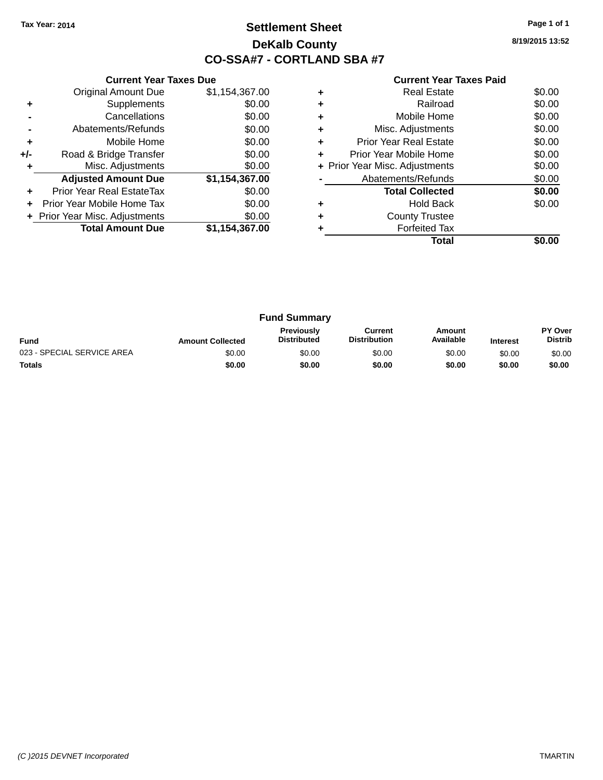### **Settlement Sheet Tax Year: 2014 Page 1 of 1 DeKalb County CO-SSA#7 - CORTLAND SBA #7**

**8/19/2015 13:52**

|     | <b>Current Year Taxes Due</b>  |                |
|-----|--------------------------------|----------------|
|     | <b>Original Amount Due</b>     | \$1,154,367.00 |
| ٠   | Supplements                    | \$0.00         |
|     | Cancellations                  | \$0.00         |
|     | Abatements/Refunds             | \$0.00         |
| ÷   | Mobile Home                    | \$0.00         |
| +/- | Road & Bridge Transfer         | \$0.00         |
| ٠   | Misc. Adjustments              | \$0.00         |
|     | <b>Adjusted Amount Due</b>     | \$1,154,367.00 |
| ÷   | Prior Year Real EstateTax      | \$0.00         |
| ÷   | Prior Year Mobile Home Tax     | \$0.00         |
|     | + Prior Year Misc. Adjustments | \$0.00         |
|     | <b>Total Amount Due</b>        | \$1,154,367.00 |
|     |                                |                |

|   | Total                          |        |
|---|--------------------------------|--------|
|   | <b>Forfeited Tax</b>           |        |
| ٠ | <b>County Trustee</b>          |        |
|   | Hold Back                      | \$0.00 |
|   | <b>Total Collected</b>         | \$0.00 |
|   | Abatements/Refunds             | \$0.00 |
|   | + Prior Year Misc. Adjustments | \$0.00 |
| ÷ | Prior Year Mobile Home         | \$0.00 |
| ٠ | <b>Prior Year Real Estate</b>  | \$0.00 |
| ٠ | Misc. Adjustments              | \$0.00 |
| ٠ | Mobile Home                    | \$0.00 |
|   | Railroad                       | \$0.00 |
|   | Real Estate                    | \$0.00 |

| <b>Fund Summary</b>        |                         |                                         |                                |                     |                 |                           |
|----------------------------|-------------------------|-----------------------------------------|--------------------------------|---------------------|-----------------|---------------------------|
| <b>Fund</b>                | <b>Amount Collected</b> | <b>Previously</b><br><b>Distributed</b> | Current<br><b>Distribution</b> | Amount<br>Available | <b>Interest</b> | PY Over<br><b>Distrib</b> |
| 023 - SPECIAL SERVICE AREA | \$0.00                  | \$0.00                                  | \$0.00                         | \$0.00              | \$0.00          | \$0.00                    |
| <b>Totals</b>              | \$0.00                  | \$0.00                                  | \$0.00                         | \$0.00              | \$0.00          | \$0.00                    |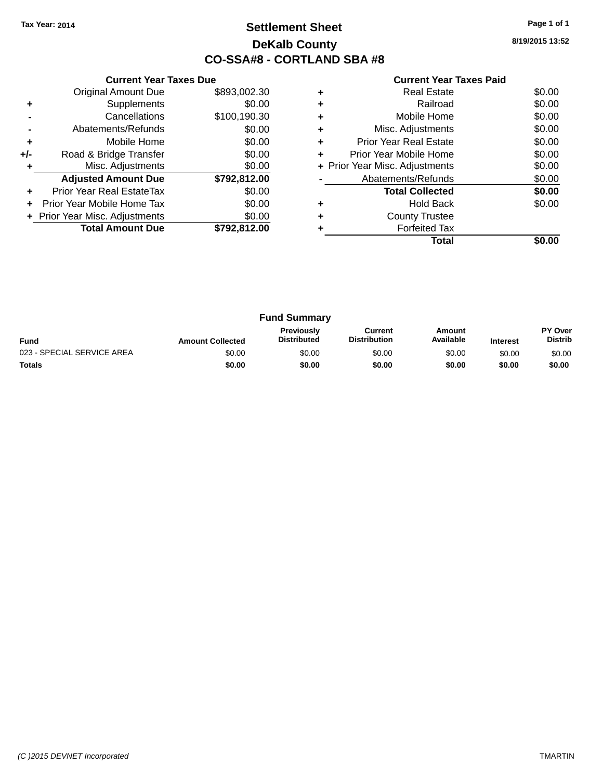### **Settlement Sheet Tax Year: 2014 Page 1 of 1 DeKalb County CO-SSA#8 - CORTLAND SBA #8**

**8/19/2015 13:52**

|     | <b>Current Year Taxes Due</b>  |              |
|-----|--------------------------------|--------------|
|     | <b>Original Amount Due</b>     | \$893,002.30 |
| ÷   | Supplements                    | \$0.00       |
|     | Cancellations                  | \$100,190.30 |
|     | Abatements/Refunds             | \$0.00       |
| ٠   | Mobile Home                    | \$0.00       |
| +/- | Road & Bridge Transfer         | \$0.00       |
|     | Misc. Adjustments              | \$0.00       |
|     | <b>Adjusted Amount Due</b>     | \$792,812.00 |
| ÷   | Prior Year Real EstateTax      | \$0.00       |
| ÷   | Prior Year Mobile Home Tax     | \$0.00       |
|     | + Prior Year Misc. Adjustments | \$0.00       |
|     | <b>Total Amount Due</b>        | \$792.812.00 |
|     |                                |              |

|   | Total                          |        |
|---|--------------------------------|--------|
|   | <b>Forfeited Tax</b>           |        |
|   | <b>County Trustee</b>          |        |
|   | Hold Back                      | \$0.00 |
|   | <b>Total Collected</b>         | \$0.00 |
|   | Abatements/Refunds             | \$0.00 |
|   | + Prior Year Misc. Adjustments | \$0.00 |
| ٠ | Prior Year Mobile Home         | \$0.00 |
| ÷ | <b>Prior Year Real Estate</b>  | \$0.00 |
| ٠ | Misc. Adjustments              | \$0.00 |
|   | Mobile Home                    | \$0.00 |
|   | Railroad                       | \$0.00 |
|   | <b>Real Estate</b>             | \$0.00 |

| <b>Fund Summary</b>        |                         |                                         |                                |                     |                 |                                  |
|----------------------------|-------------------------|-----------------------------------------|--------------------------------|---------------------|-----------------|----------------------------------|
| <b>Fund</b>                | <b>Amount Collected</b> | <b>Previously</b><br><b>Distributed</b> | Current<br><b>Distribution</b> | Amount<br>Available | <b>Interest</b> | <b>PY Over</b><br><b>Distrib</b> |
| 023 - SPECIAL SERVICE AREA | \$0.00                  | \$0.00                                  | \$0.00                         | \$0.00              | \$0.00          | \$0.00                           |
| <b>Totals</b>              | \$0.00                  | \$0.00                                  | \$0.00                         | \$0.00              | \$0.00          | \$0.00                           |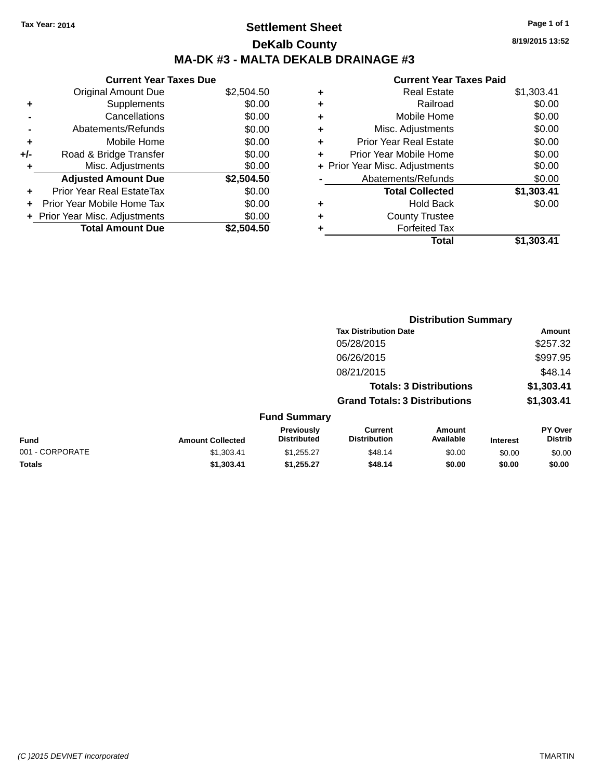### **Settlement Sheet Tax Year: 2014 Page 1 of 1 DeKalb County MA-DK #3 - MALTA DEKALB DRAINAGE #3**

**Current Year Taxes Due** Original Amount Due \$2,504.50 **+** Supplements \$0.00 **-** Cancellations \$0.00 **-** Abatements/Refunds \$0.00 **+** Mobile Home \$0.00 **+/-** Road & Bridge Transfer \$0.00 **+** Misc. Adjustments \$0.00 **Adjusted Amount Due \$2,504.50 +** Prior Year Real EstateTax \$0.00 **+** Prior Year Mobile Home Tax \$0.00 **+ Prior Year Misc. Adjustments**  $$0.00$ **Total Amount Due \$2,504.50**

#### **Current Year Taxes Paid**

| ٠ | <b>Real Estate</b>             | \$1,303.41 |
|---|--------------------------------|------------|
| ٠ | Railroad                       | \$0.00     |
| ٠ | Mobile Home                    | \$0.00     |
| ٠ | Misc. Adjustments              | \$0.00     |
| ٠ | <b>Prior Year Real Estate</b>  | \$0.00     |
| ٠ | Prior Year Mobile Home         | \$0.00     |
|   | + Prior Year Misc. Adjustments | \$0.00     |
|   | Abatements/Refunds             | \$0.00     |
|   | <b>Total Collected</b>         | \$1,303.41 |
| ٠ | <b>Hold Back</b>               | \$0.00     |
| ٠ | <b>County Trustee</b>          |            |
| ٠ | <b>Forfeited Tax</b>           |            |
|   | Total                          | \$1.303.41 |
|   |                                |            |

**Distribution Summary**

|                 |                         |                                  |                                       | 213811846011 Julianu           |                 |                           |  |  |
|-----------------|-------------------------|----------------------------------|---------------------------------------|--------------------------------|-----------------|---------------------------|--|--|
|                 |                         |                                  | <b>Tax Distribution Date</b>          |                                |                 | Amount                    |  |  |
|                 |                         |                                  | 05/28/2015                            |                                |                 | \$257.32                  |  |  |
|                 |                         |                                  | 06/26/2015                            |                                |                 | \$997.95                  |  |  |
|                 |                         |                                  | 08/21/2015                            |                                |                 | \$48.14                   |  |  |
|                 |                         |                                  |                                       | <b>Totals: 3 Distributions</b> |                 | \$1,303.41                |  |  |
|                 |                         |                                  | <b>Grand Totals: 3 Distributions</b>  |                                |                 | \$1,303.41                |  |  |
|                 |                         | <b>Fund Summary</b>              |                                       |                                |                 |                           |  |  |
| <b>Fund</b>     | <b>Amount Collected</b> | Previously<br><b>Distributed</b> | <b>Current</b><br><b>Distribution</b> | Amount<br>Available            | <b>Interest</b> | PY Over<br><b>Distrib</b> |  |  |
| 001 - CORPORATE | \$1,303.41              | \$1,255.27                       | \$48.14                               | \$0.00                         | \$0.00          | \$0.00                    |  |  |
| <b>Totals</b>   | \$1,303.41              | \$1,255.27                       | \$48.14                               | \$0.00                         | \$0.00          | \$0.00                    |  |  |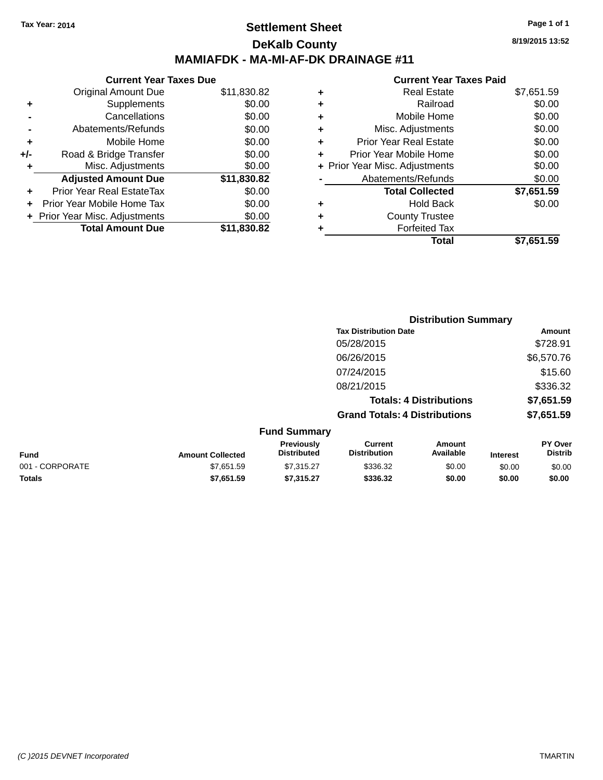### **Settlement Sheet Tax Year: 2014 Page 1 of 1 DeKalb County MAMIAFDK - MA-MI-AF-DK DRAINAGE #11**

|     | <b>Current Year Taxes Due</b>  |             |
|-----|--------------------------------|-------------|
|     | <b>Original Amount Due</b>     | \$11,830.82 |
|     | Supplements                    | \$0.00      |
|     | Cancellations                  | \$0.00      |
|     | Abatements/Refunds             | \$0.00      |
| ÷   | Mobile Home                    | \$0.00      |
| +/- | Road & Bridge Transfer         | \$0.00      |
|     | Misc. Adjustments              | \$0.00      |
|     | <b>Adjusted Amount Due</b>     | \$11,830.82 |
|     | Prior Year Real EstateTax      | \$0.00      |
|     | Prior Year Mobile Home Tax     | \$0.00      |
|     | + Prior Year Misc. Adjustments | \$0.00      |
|     | <b>Total Amount Due</b>        | \$11,830.82 |

|   | Total                          | \$7,651.59 |
|---|--------------------------------|------------|
| ٠ | <b>Forfeited Tax</b>           |            |
| ٠ | <b>County Trustee</b>          |            |
| ٠ | <b>Hold Back</b>               | \$0.00     |
|   | <b>Total Collected</b>         | \$7,651.59 |
|   | Abatements/Refunds             | \$0.00     |
|   | + Prior Year Misc. Adjustments | \$0.00     |
| ٠ | Prior Year Mobile Home         | \$0.00     |
| ٠ | <b>Prior Year Real Estate</b>  | \$0.00     |
| ٠ | Misc. Adjustments              | \$0.00     |
| ٠ | Mobile Home                    | \$0.00     |
| ٠ | Railroad                       | \$0.00     |
| ٠ | <b>Real Estate</b>             | \$7,651.59 |
|   |                                |            |

|                 |                         |                                  |                                       | <b>Distribution Summary</b>    |                 |                           |
|-----------------|-------------------------|----------------------------------|---------------------------------------|--------------------------------|-----------------|---------------------------|
|                 |                         |                                  | <b>Tax Distribution Date</b>          |                                |                 | Amount                    |
|                 |                         |                                  | 05/28/2015                            |                                |                 | \$728.91                  |
|                 |                         |                                  | 06/26/2015                            |                                |                 | \$6,570.76                |
|                 |                         |                                  | 07/24/2015                            |                                |                 | \$15.60                   |
|                 |                         |                                  | 08/21/2015                            |                                |                 | \$336.32                  |
|                 |                         |                                  |                                       | <b>Totals: 4 Distributions</b> |                 | \$7,651.59                |
|                 |                         |                                  | <b>Grand Totals: 4 Distributions</b>  |                                |                 | \$7,651.59                |
|                 |                         | <b>Fund Summary</b>              |                                       |                                |                 |                           |
| <b>Fund</b>     | <b>Amount Collected</b> | Previously<br><b>Distributed</b> | <b>Current</b><br><b>Distribution</b> | <b>Amount</b><br>Available     | <b>Interest</b> | PY Over<br><b>Distrib</b> |
| 001 - CORPORATE | \$7,651.59              | \$7,315.27                       | \$336.32                              | \$0.00                         | \$0.00          | \$0.00                    |
| <b>Totals</b>   | \$7,651.59              | \$7,315.27                       | \$336.32                              | \$0.00                         | \$0.00          | \$0.00                    |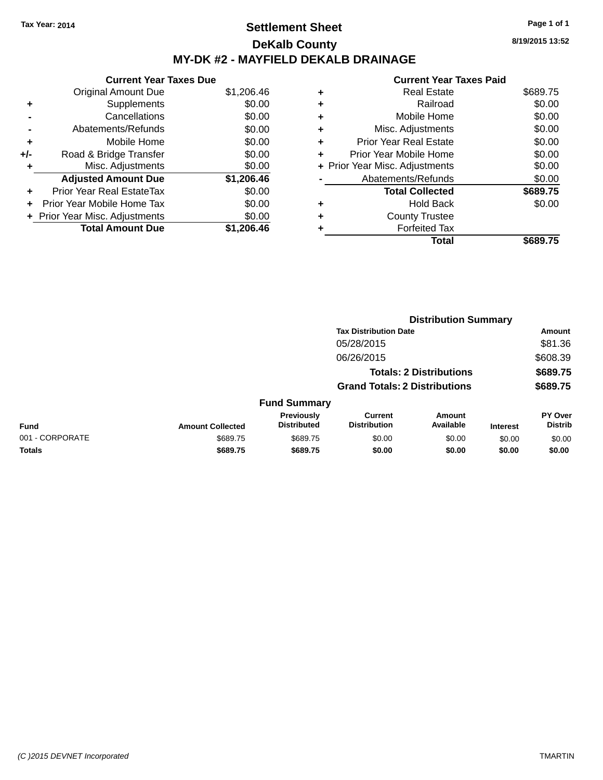### **Settlement Sheet Tax Year: 2014 Page 1 of 1 DeKalb County MY-DK #2 - MAYFIELD DEKALB DRAINAGE**

**8/19/2015 13:52**

|     | <b>Current Year Taxes Due</b>  |            |  |  |  |  |
|-----|--------------------------------|------------|--|--|--|--|
|     | <b>Original Amount Due</b>     | \$1,206.46 |  |  |  |  |
| ٠   | Supplements                    | \$0.00     |  |  |  |  |
|     | Cancellations                  | \$0.00     |  |  |  |  |
|     | Abatements/Refunds             | \$0.00     |  |  |  |  |
| ٠   | Mobile Home                    | \$0.00     |  |  |  |  |
| +/- | Road & Bridge Transfer         | \$0.00     |  |  |  |  |
|     | Misc. Adjustments              | \$0.00     |  |  |  |  |
|     | <b>Adjusted Amount Due</b>     | \$1,206.46 |  |  |  |  |
|     | Prior Year Real EstateTax      | \$0.00     |  |  |  |  |
|     | Prior Year Mobile Home Tax     | \$0.00     |  |  |  |  |
|     | + Prior Year Misc. Adjustments | \$0.00     |  |  |  |  |
|     | <b>Total Amount Due</b>        | \$1,206.46 |  |  |  |  |
|     |                                |            |  |  |  |  |

|   | Total                          | \$689.75 |
|---|--------------------------------|----------|
|   | <b>Forfeited Tax</b>           |          |
|   | <b>County Trustee</b>          |          |
| ٠ | <b>Hold Back</b>               | \$0.00   |
|   | <b>Total Collected</b>         | \$689.75 |
|   | Abatements/Refunds             | \$0.00   |
|   | + Prior Year Misc. Adjustments | \$0.00   |
| ٠ | Prior Year Mobile Home         | \$0.00   |
| ÷ | <b>Prior Year Real Estate</b>  | \$0.00   |
| ٠ | Misc. Adjustments              | \$0.00   |
| ٠ | Mobile Home                    | \$0.00   |
| ٠ | Railroad                       | \$0.00   |
| ٠ | <b>Real Estate</b>             | \$689.75 |
|   |                                |          |

|                 |                         |                                  |                                       | <b>Distribution Summary</b>    |                 |                                  |
|-----------------|-------------------------|----------------------------------|---------------------------------------|--------------------------------|-----------------|----------------------------------|
|                 |                         |                                  | <b>Tax Distribution Date</b>          |                                |                 | Amount                           |
|                 |                         |                                  | 05/28/2015                            |                                |                 | \$81.36                          |
|                 |                         |                                  | 06/26/2015                            |                                |                 | \$608.39                         |
|                 |                         |                                  |                                       | <b>Totals: 2 Distributions</b> |                 | \$689.75                         |
|                 |                         |                                  | <b>Grand Totals: 2 Distributions</b>  |                                |                 | \$689.75                         |
|                 |                         | <b>Fund Summary</b>              |                                       |                                |                 |                                  |
| <b>Fund</b>     | <b>Amount Collected</b> | Previously<br><b>Distributed</b> | <b>Current</b><br><b>Distribution</b> | Amount<br>Available            | <b>Interest</b> | <b>PY Over</b><br><b>Distrib</b> |
| 001 - CORPORATE | \$689.75                | \$689.75                         | \$0.00                                | \$0.00                         | \$0.00          | \$0.00                           |
| <b>Totals</b>   | \$689.75                | \$689.75                         | \$0.00                                | \$0.00                         | \$0.00          | \$0.00                           |
|                 |                         |                                  |                                       |                                |                 |                                  |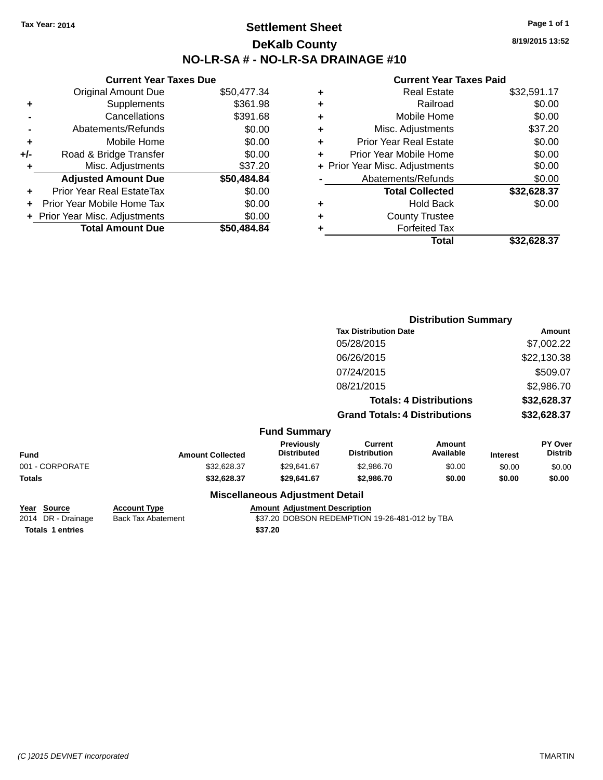### **Settlement Sheet Tax Year: 2014 Page 1 of 1 DeKalb County NO-LR-SA # - NO-LR-SA DRAINAGE #10**

**8/19/2015 13:52**

### **Current Year Taxes Paid**

| <b>Current Year Taxes Due</b>  |                         |  |  |  |  |
|--------------------------------|-------------------------|--|--|--|--|
| <b>Original Amount Due</b>     | \$50,477.34             |  |  |  |  |
| Supplements                    | \$361.98                |  |  |  |  |
| Cancellations                  | \$391.68                |  |  |  |  |
| Abatements/Refunds             | \$0.00                  |  |  |  |  |
| Mobile Home                    | \$0.00                  |  |  |  |  |
| Road & Bridge Transfer         | \$0.00                  |  |  |  |  |
| Misc. Adjustments              | \$37.20                 |  |  |  |  |
| <b>Adjusted Amount Due</b>     | \$50,484.84             |  |  |  |  |
| Prior Year Real EstateTax      | \$0.00                  |  |  |  |  |
| Prior Year Mobile Home Tax     | \$0.00                  |  |  |  |  |
| + Prior Year Misc. Adjustments | \$0.00                  |  |  |  |  |
|                                | \$50,484.84             |  |  |  |  |
|                                | <b>Total Amount Due</b> |  |  |  |  |

|   | <b>Real Estate</b>             | \$32,591.17 |
|---|--------------------------------|-------------|
| ٠ | Railroad                       | \$0.00      |
| ٠ | Mobile Home                    | \$0.00      |
| ٠ | Misc. Adjustments              | \$37.20     |
| ٠ | <b>Prior Year Real Estate</b>  | \$0.00      |
| ٠ | Prior Year Mobile Home         | \$0.00      |
|   | + Prior Year Misc. Adjustments | \$0.00      |
|   | Abatements/Refunds             | \$0.00      |
|   | <b>Total Collected</b>         | \$32,628.37 |
|   | <b>Hold Back</b>               | \$0.00      |
| ٠ | <b>County Trustee</b>          |             |
|   | <b>Forfeited Tax</b>           |             |
|   | Total                          | \$32.628.37 |
|   |                                |             |

|                 |                         |                                        | <b>Distribution Summary</b>           |                                |                 |                           |
|-----------------|-------------------------|----------------------------------------|---------------------------------------|--------------------------------|-----------------|---------------------------|
|                 |                         |                                        | <b>Tax Distribution Date</b>          |                                | <b>Amount</b>   |                           |
|                 |                         |                                        | 05/28/2015                            |                                |                 | \$7,002.22                |
|                 |                         |                                        | 06/26/2015                            |                                |                 | \$22,130.38               |
|                 |                         |                                        | 07/24/2015                            |                                |                 | \$509.07                  |
|                 |                         |                                        | 08/21/2015                            |                                |                 | \$2,986.70                |
|                 |                         |                                        |                                       | <b>Totals: 4 Distributions</b> |                 | \$32,628.37               |
|                 |                         |                                        | <b>Grand Totals: 4 Distributions</b>  |                                |                 | \$32,628.37               |
|                 |                         | <b>Fund Summary</b>                    |                                       |                                |                 |                           |
| <b>Fund</b>     | <b>Amount Collected</b> | Previously<br><b>Distributed</b>       | <b>Current</b><br><b>Distribution</b> | <b>Amount</b><br>Available     | <b>Interest</b> | PY Over<br><b>Distrib</b> |
| 001 - CORPORATE | \$32,628.37             | \$29,641.67                            | \$2,986.70                            | \$0.00                         | \$0.00          | \$0.00                    |
| Totals          | \$32,628.37             | \$29,641.67                            | \$2,986.70                            | \$0.00                         | \$0.00          | \$0.00                    |
|                 |                         | <b>Miscellaneous Adjustment Detail</b> |                                       |                                |                 |                           |

| Year Source             | <b>Account Type</b>       | Amount  |
|-------------------------|---------------------------|---------|
| 2014 DR - Drainage      | <b>Back Tax Abatement</b> | \$37.20 |
| <b>Totals 1 entries</b> |                           | \$37.20 |

**<u>Rount Adjustment Description</u>**  $7.20$  DOBSON REDEMPTION 19-26-481-012 by TBA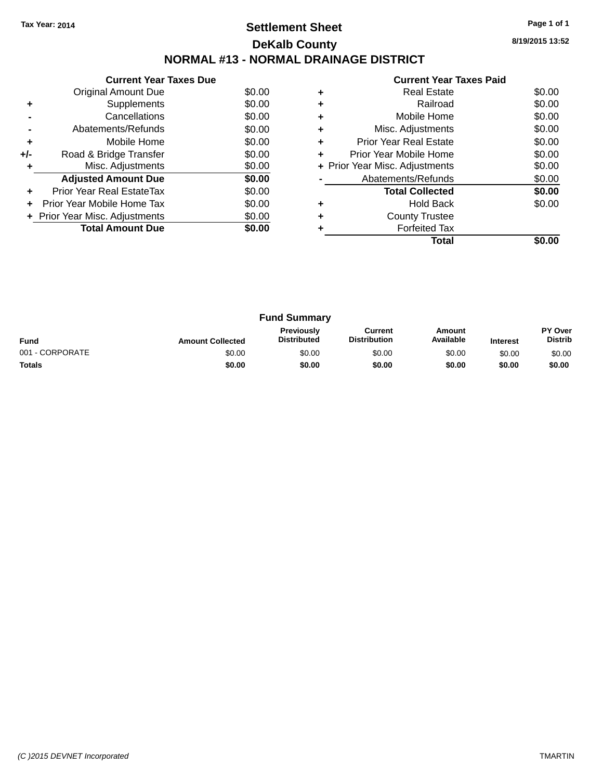### **Settlement Sheet Tax Year: 2014 Page 1 of 1 DeKalb County NORMAL #13 - NORMAL DRAINAGE DISTRICT**

**8/19/2015 13:52**

|     | <b>Current Year Taxes Due</b>    |        |  |  |  |  |  |
|-----|----------------------------------|--------|--|--|--|--|--|
|     | Original Amount Due              | \$0.00 |  |  |  |  |  |
|     | Supplements                      | \$0.00 |  |  |  |  |  |
|     | Cancellations                    | \$0.00 |  |  |  |  |  |
|     | \$0.00<br>Abatements/Refunds     |        |  |  |  |  |  |
| ٠   | \$0.00<br>Mobile Home            |        |  |  |  |  |  |
| +/- | Road & Bridge Transfer           | \$0.00 |  |  |  |  |  |
|     | Misc. Adjustments                | \$0.00 |  |  |  |  |  |
|     | <b>Adjusted Amount Due</b>       | \$0.00 |  |  |  |  |  |
|     | <b>Prior Year Real EstateTax</b> | \$0.00 |  |  |  |  |  |
|     | Prior Year Mobile Home Tax       | \$0.00 |  |  |  |  |  |
|     | + Prior Year Misc. Adjustments   | \$0.00 |  |  |  |  |  |
|     | <b>Total Amount Due</b>          | \$0.00 |  |  |  |  |  |
|     |                                  |        |  |  |  |  |  |

|   | Total                          |        |
|---|--------------------------------|--------|
|   | <b>Forfeited Tax</b>           |        |
|   | <b>County Trustee</b>          |        |
|   | Hold Back                      | \$0.00 |
|   | <b>Total Collected</b>         | \$0.00 |
|   | Abatements/Refunds             | \$0.00 |
|   | + Prior Year Misc. Adjustments | \$0.00 |
| ٠ | Prior Year Mobile Home         | \$0.00 |
| ٠ | <b>Prior Year Real Estate</b>  | \$0.00 |
| ٠ | Misc. Adjustments              | \$0.00 |
|   | Mobile Home                    | \$0.00 |
| ٠ | Railroad                       | \$0.00 |
|   | <b>Real Estate</b>             | \$0.00 |
|   |                                |        |

| <b>Fund Summary</b> |                         |                                         |                                |                     |                 |                           |
|---------------------|-------------------------|-----------------------------------------|--------------------------------|---------------------|-----------------|---------------------------|
| <b>Fund</b>         | <b>Amount Collected</b> | <b>Previously</b><br><b>Distributed</b> | Current<br><b>Distribution</b> | Amount<br>Available | <b>Interest</b> | PY Over<br><b>Distrib</b> |
| 001 - CORPORATE     | \$0.00                  | \$0.00                                  | \$0.00                         | \$0.00              | \$0.00          | \$0.00                    |
| <b>Totals</b>       | \$0.00                  | \$0.00                                  | \$0.00                         | \$0.00              | \$0.00          | \$0.00                    |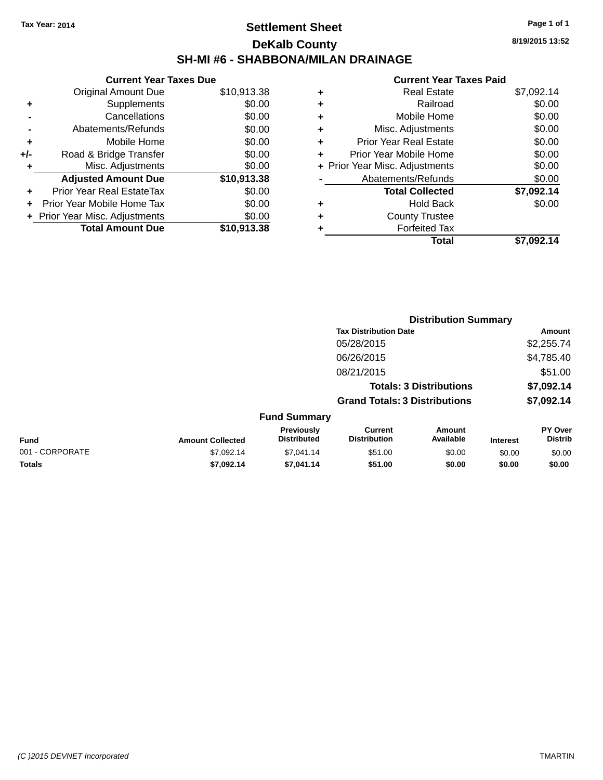### **Settlement Sheet Tax Year: 2014 Page 1 of 1 DeKalb County SH-MI #6 - SHABBONA/MILAN DRAINAGE**

**8/19/2015 13:52**

|       | <b>Current Year Taxes Due</b>  |             |
|-------|--------------------------------|-------------|
|       | <b>Original Amount Due</b>     | \$10,913.38 |
| ٠     | Supplements                    | \$0.00      |
|       | Cancellations                  | \$0.00      |
|       | Abatements/Refunds             | \$0.00      |
| ÷     | Mobile Home                    | \$0.00      |
| $+/-$ | Road & Bridge Transfer         | \$0.00      |
| ٠     | Misc. Adjustments              | \$0.00      |
|       | <b>Adjusted Amount Due</b>     | \$10,913.38 |
| ٠     | Prior Year Real EstateTax      | \$0.00      |
|       | Prior Year Mobile Home Tax     | \$0.00      |
|       | + Prior Year Misc. Adjustments | \$0.00      |
|       | <b>Total Amount Due</b>        | \$10,913.38 |
|       |                                |             |

| ٠ | <b>Real Estate</b>             | \$7,092.14 |
|---|--------------------------------|------------|
| ٠ | Railroad                       | \$0.00     |
| ٠ | Mobile Home                    | \$0.00     |
| ٠ | Misc. Adjustments              | \$0.00     |
| ٠ | <b>Prior Year Real Estate</b>  | \$0.00     |
| ÷ | Prior Year Mobile Home         | \$0.00     |
|   | + Prior Year Misc. Adjustments | \$0.00     |
|   | Abatements/Refunds             | \$0.00     |
|   | <b>Total Collected</b>         | \$7,092.14 |
| ٠ | <b>Hold Back</b>               | \$0.00     |
| ٠ | <b>County Trustee</b>          |            |
| ٠ | <b>Forfeited Tax</b>           |            |
|   | Total                          | \$7.092.14 |
|   |                                |            |

|                 | <b>Distribution Summary</b> |                                         |                                       |                                |                 |                           |  |
|-----------------|-----------------------------|-----------------------------------------|---------------------------------------|--------------------------------|-----------------|---------------------------|--|
|                 |                             |                                         | <b>Tax Distribution Date</b>          |                                |                 | <b>Amount</b>             |  |
|                 |                             |                                         | 05/28/2015                            |                                |                 | \$2,255.74                |  |
|                 |                             |                                         | 06/26/2015                            |                                |                 | \$4,785.40                |  |
|                 |                             |                                         | 08/21/2015                            |                                |                 | \$51.00                   |  |
|                 |                             |                                         |                                       | <b>Totals: 3 Distributions</b> |                 | \$7,092.14                |  |
|                 |                             |                                         | <b>Grand Totals: 3 Distributions</b>  |                                |                 | \$7,092.14                |  |
|                 |                             | <b>Fund Summary</b>                     |                                       |                                |                 |                           |  |
| <b>Fund</b>     | <b>Amount Collected</b>     | <b>Previously</b><br><b>Distributed</b> | <b>Current</b><br><b>Distribution</b> | Amount<br>Available            | <b>Interest</b> | PY Over<br><b>Distrib</b> |  |
| 001 - CORPORATE | \$7,092.14                  | \$7,041.14                              | \$51.00                               | \$0.00                         | \$0.00          | \$0.00                    |  |
| <b>Totals</b>   | \$7,092.14                  | \$7,041.14                              | \$51.00                               | \$0.00                         | \$0.00          | \$0.00                    |  |
|                 |                             |                                         |                                       |                                |                 |                           |  |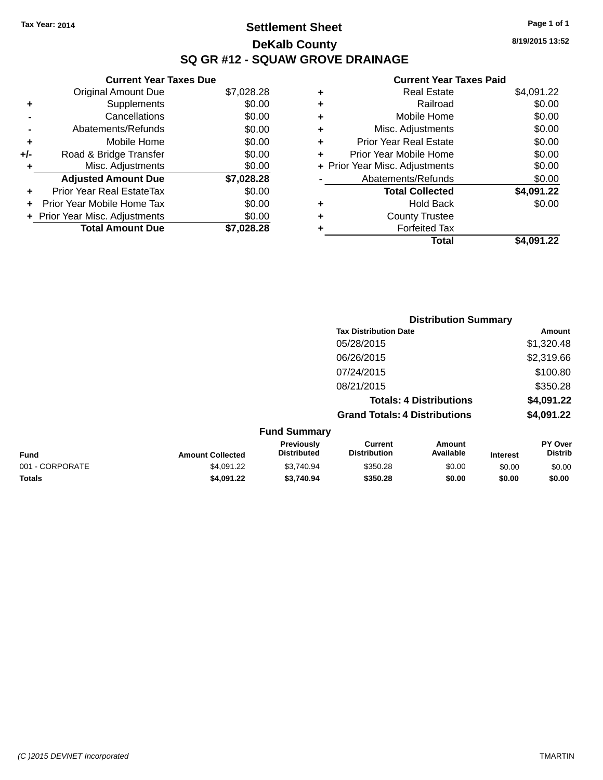### **Settlement Sheet Tax Year: 2014 Page 1 of 1 DeKalb County SQ GR #12 - SQUAW GROVE DRAINAGE**

**8/19/2015 13:52**

### **Current Year Taxes Paid**

|     | <b>Current Year Taxes Due</b>     |            |
|-----|-----------------------------------|------------|
|     | <b>Original Amount Due</b>        | \$7,028.28 |
| ٠   | Supplements                       | \$0.00     |
|     | Cancellations                     | \$0.00     |
|     | Abatements/Refunds                | \$0.00     |
| ٠   | Mobile Home                       | \$0.00     |
| +/- | Road & Bridge Transfer            | \$0.00     |
| ٠   | Misc. Adjustments                 | \$0.00     |
|     | <b>Adjusted Amount Due</b>        | \$7,028.28 |
| ÷   | Prior Year Real EstateTax         | \$0.00     |
| ÷   | <b>Prior Year Mobile Home Tax</b> | \$0.00     |
|     | + Prior Year Misc. Adjustments    | \$0.00     |
|     | <b>Total Amount Due</b>           | \$7,028.28 |

| ٠ | <b>Real Estate</b>             | \$4,091.22 |
|---|--------------------------------|------------|
| ٠ | Railroad                       | \$0.00     |
| ٠ | Mobile Home                    | \$0.00     |
| ٠ | Misc. Adjustments              | \$0.00     |
| ٠ | <b>Prior Year Real Estate</b>  | \$0.00     |
| ٠ | Prior Year Mobile Home         | \$0.00     |
|   | + Prior Year Misc. Adjustments | \$0.00     |
|   | Abatements/Refunds             | \$0.00     |
|   | <b>Total Collected</b>         | \$4,091.22 |
| ٠ | <b>Hold Back</b>               | \$0.00     |
| ٠ | <b>County Trustee</b>          |            |
| ٠ | <b>Forfeited Tax</b>           |            |
|   | Total                          | \$4,091.22 |
|   |                                |            |

|                 |                         | <b>Distribution Summary</b>      |                                       |                                |                 |                           |  |
|-----------------|-------------------------|----------------------------------|---------------------------------------|--------------------------------|-----------------|---------------------------|--|
|                 |                         |                                  | <b>Tax Distribution Date</b>          |                                |                 | Amount                    |  |
|                 |                         |                                  | 05/28/2015                            |                                |                 | \$1,320.48                |  |
|                 |                         |                                  | 06/26/2015                            |                                |                 | \$2,319.66                |  |
|                 |                         |                                  | 07/24/2015                            |                                |                 | \$100.80                  |  |
|                 |                         |                                  | 08/21/2015                            |                                |                 | \$350.28                  |  |
|                 |                         |                                  |                                       | <b>Totals: 4 Distributions</b> |                 | \$4,091.22                |  |
|                 |                         |                                  | <b>Grand Totals: 4 Distributions</b>  |                                |                 | \$4,091.22                |  |
|                 |                         | <b>Fund Summary</b>              |                                       |                                |                 |                           |  |
| <b>Fund</b>     | <b>Amount Collected</b> | Previously<br><b>Distributed</b> | <b>Current</b><br><b>Distribution</b> | Amount<br>Available            | <b>Interest</b> | PY Over<br><b>Distrib</b> |  |
| 001 - CORPORATE | \$4.091.22              | \$3.740.94                       | \$350.28                              | \$0.00                         | \$0.00          | \$0.00                    |  |

**Totals \$4,091.22 \$3,740.94 \$350.28 \$0.00 \$0.00 \$0.00**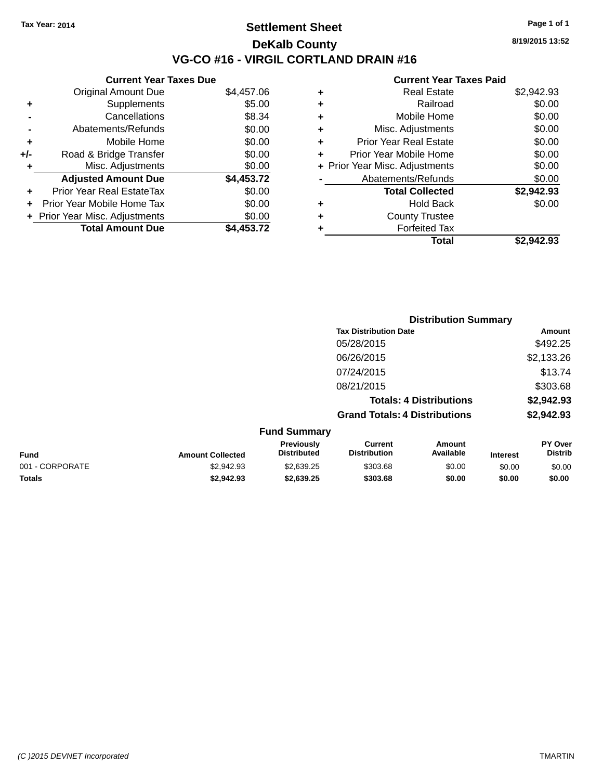### **Settlement Sheet Tax Year: 2014 Page 1 of 1 DeKalb County VG-CO #16 - VIRGIL CORTLAND DRAIN #16**

**8/19/2015 13:52**

|       | <b>Current Year Taxes Due</b>  |            |
|-------|--------------------------------|------------|
|       | <b>Original Amount Due</b>     | \$4,457.06 |
|       | Supplements                    | \$5.00     |
|       | Cancellations                  | \$8.34     |
|       | Abatements/Refunds             | \$0.00     |
| ٠     | Mobile Home                    | \$0.00     |
| $+/-$ | Road & Bridge Transfer         | \$0.00     |
| ٠     | Misc. Adjustments              | \$0.00     |
|       | <b>Adjusted Amount Due</b>     | \$4,453.72 |
| ٠     | Prior Year Real EstateTax      | \$0.00     |
|       | Prior Year Mobile Home Tax     | \$0.00     |
|       | + Prior Year Misc. Adjustments | \$0.00     |
|       | <b>Total Amount Due</b>        | \$4.453.72 |
|       |                                |            |

| ٠ | <b>Real Estate</b>             | \$2,942.93 |
|---|--------------------------------|------------|
| ٠ | Railroad                       | \$0.00     |
| ٠ | Mobile Home                    | \$0.00     |
| ٠ | Misc. Adjustments              | \$0.00     |
| ٠ | <b>Prior Year Real Estate</b>  | \$0.00     |
| ٠ | Prior Year Mobile Home         | \$0.00     |
|   | + Prior Year Misc. Adjustments | \$0.00     |
|   | Abatements/Refunds             | \$0.00     |
|   | <b>Total Collected</b>         | \$2,942.93 |
| ٠ | <b>Hold Back</b>               | \$0.00     |
| ٠ | <b>County Trustee</b>          |            |
| ٠ | <b>Forfeited Tax</b>           |            |
|   | Total                          | \$2.942.93 |
|   |                                |            |

|                 |                         |                                  | <b>Distribution Summary</b>          |                                |                 |                           |
|-----------------|-------------------------|----------------------------------|--------------------------------------|--------------------------------|-----------------|---------------------------|
|                 |                         |                                  | <b>Tax Distribution Date</b>         |                                |                 | Amount                    |
|                 |                         |                                  | 05/28/2015                           |                                |                 | \$492.25                  |
|                 |                         |                                  | 06/26/2015                           |                                |                 | \$2,133.26                |
|                 |                         |                                  | 07/24/2015                           |                                |                 | \$13.74                   |
|                 |                         |                                  | 08/21/2015                           |                                |                 | \$303.68                  |
|                 |                         |                                  |                                      | <b>Totals: 4 Distributions</b> |                 | \$2,942.93                |
|                 |                         |                                  | <b>Grand Totals: 4 Distributions</b> |                                |                 | \$2,942.93                |
|                 |                         | <b>Fund Summary</b>              |                                      |                                |                 |                           |
| <b>Fund</b>     | <b>Amount Collected</b> | Previously<br><b>Distributed</b> | Current<br><b>Distribution</b>       | Amount<br>Available            | <b>Interest</b> | PY Over<br><b>Distrib</b> |
| 001 - CORPORATE | \$2,942.93              | \$2,639.25                       | \$303.68                             | \$0.00                         | \$0.00          | \$0.00                    |
| <b>Totals</b>   | \$2,942.93              | \$2,639.25                       | \$303.68                             | \$0.00                         | \$0.00          | \$0.00                    |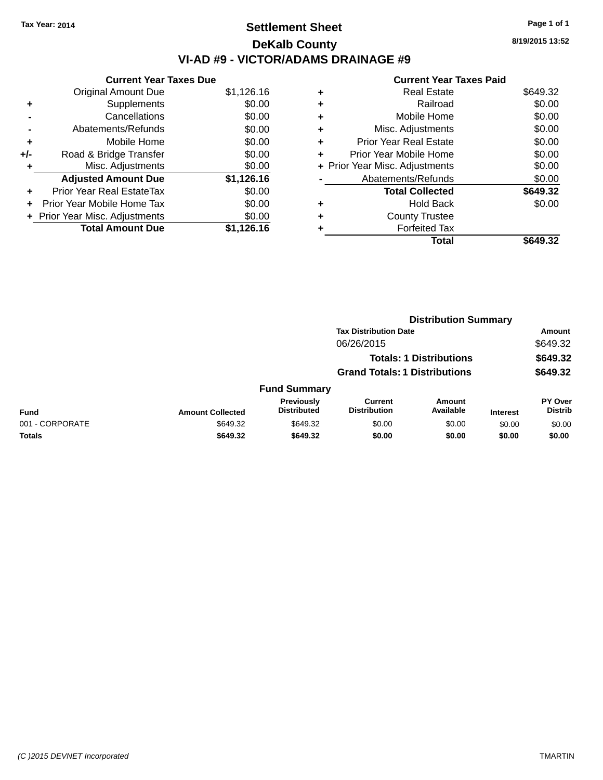# **Settlement Sheet Tax Year: 2014 Page 1 of 1 DeKalb County VI-AD #9 - VICTOR/ADAMS DRAINAGE #9**

**Current Year Taxes Due** Original Amount Due \$1,126.16 **+** Supplements \$0.00 **-** Cancellations \$0.00 **-** Abatements/Refunds \$0.00 **+** Mobile Home \$0.00 **+/-** Road & Bridge Transfer \$0.00 **+** Misc. Adjustments \$0.00 **Adjusted Amount Due \$1,126.16 +** Prior Year Real EstateTax \$0.00 **+** Prior Year Mobile Home Tax \$0.00 **+ Prior Year Misc. Adjustments**  $$0.00$ **Total Amount Due \$1,126.16**

|   | <b>Current Year Taxes Paid</b> |          |
|---|--------------------------------|----------|
| ٠ | <b>Real Estate</b>             | \$649.32 |
|   | Railroad                       | \$0.00   |
| ٠ | Mobile Home                    | \$0.00   |
| ٠ | Misc. Adjustments              | \$0.00   |
|   | Prior Year Real Estate         | \$0.00   |
| ٠ | Prior Year Mobile Home         | \$0.00   |
|   | + Prior Year Misc. Adjustments | \$0.00   |
|   | Abatements/Refunds             | \$0.00   |
|   | <b>Total Collected</b>         | \$649.32 |
| ٠ | Hold Back                      | \$0.00   |
|   | <b>County Trustee</b>          |          |
|   | <b>Forfeited Tax</b>           |          |
|   | Total                          | \$649.32 |

**Distribution Summary**

|                 |                                |                                  | <b>Tax Distribution Date</b><br>06/26/2015 |                            | . .<br>Amount   |                                  |
|-----------------|--------------------------------|----------------------------------|--------------------------------------------|----------------------------|-----------------|----------------------------------|
|                 |                                |                                  |                                            |                            |                 | \$649.32                         |
|                 | <b>Totals: 1 Distributions</b> |                                  |                                            | \$649.32                   |                 |                                  |
|                 |                                |                                  | <b>Grand Totals: 1 Distributions</b>       |                            |                 | \$649.32                         |
|                 |                                | <b>Fund Summary</b>              |                                            |                            |                 |                                  |
| <b>Fund</b>     | <b>Amount Collected</b>        | Previously<br><b>Distributed</b> | <b>Current</b><br><b>Distribution</b>      | <b>Amount</b><br>Available | <b>Interest</b> | <b>PY Over</b><br><b>Distrib</b> |
| 001 - CORPORATE | \$649.32                       | \$649.32                         | \$0.00                                     | \$0.00                     | \$0.00          | \$0.00                           |
| <b>Totals</b>   | \$649.32                       | \$649.32                         | \$0.00                                     | \$0.00                     | \$0.00          | \$0.00                           |

**8/19/2015 13:52**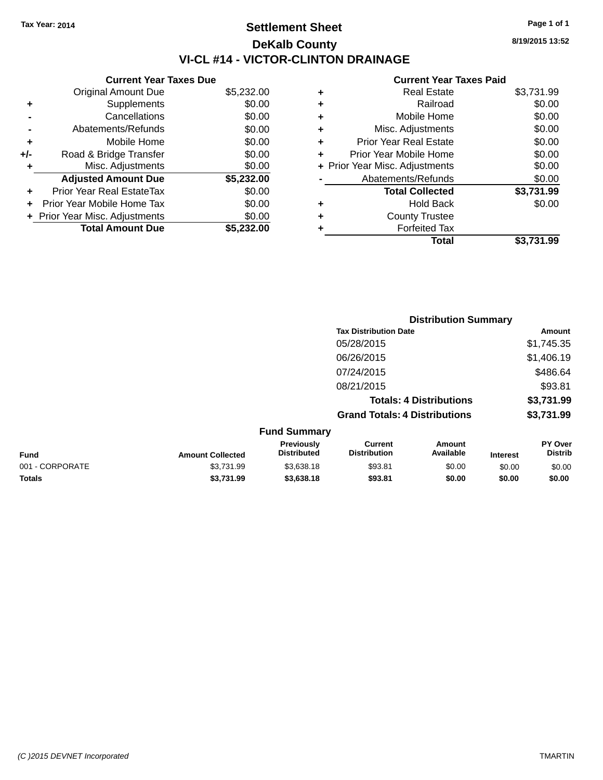# **Settlement Sheet Tax Year: 2014 Page 1 of 1 DeKalb County VI-CL #14 - VICTOR-CLINTON DRAINAGE**

**Current Year Taxes Due** Original Amount Due \$5,232.00<br>Supplements \$0.00 **+** Supplements **-** Cancellations \$0.00 **-** Abatements/Refunds \$0.00 **+** Mobile Home \$0.00 **+/-** Road & Bridge Transfer \$0.00 **+** Misc. Adjustments \$0.00 **Adjusted Amount Due \$5,232.00 +** Prior Year Real EstateTax \$0.00 **+** Prior Year Mobile Home Tax \$0.00 **+ Prior Year Misc. Adjustments**  $$0.00$ **Total Amount Due \$5,232.00**

### **Current Year Taxes Paid**

|   | <b>Real Estate</b>             | \$3,731.99 |
|---|--------------------------------|------------|
| ٠ | Railroad                       | \$0.00     |
| ٠ | Mobile Home                    | \$0.00     |
| ٠ | Misc. Adjustments              | \$0.00     |
| ٠ | <b>Prior Year Real Estate</b>  | \$0.00     |
| ٠ | Prior Year Mobile Home         | \$0.00     |
|   | + Prior Year Misc. Adjustments | \$0.00     |
|   | Abatements/Refunds             | \$0.00     |
|   | <b>Total Collected</b>         | \$3,731.99 |
| ٠ | <b>Hold Back</b>               | \$0.00     |
| ٠ | <b>County Trustee</b>          |            |
| ٠ | <b>Forfeited Tax</b>           |            |
|   | Total                          | \$3,731.99 |
|   |                                |            |

|                 |                         |                                  |                                       | <b>Distribution Summary</b>    |                 |                                  |
|-----------------|-------------------------|----------------------------------|---------------------------------------|--------------------------------|-----------------|----------------------------------|
|                 |                         |                                  | <b>Tax Distribution Date</b>          |                                |                 | Amount                           |
|                 |                         |                                  | 05/28/2015                            |                                |                 | \$1,745.35                       |
|                 |                         |                                  | 06/26/2015                            |                                |                 | \$1,406.19                       |
|                 |                         |                                  | 07/24/2015                            |                                |                 | \$486.64                         |
|                 |                         |                                  | 08/21/2015                            |                                |                 | \$93.81                          |
|                 |                         |                                  |                                       | <b>Totals: 4 Distributions</b> |                 | \$3,731.99                       |
|                 |                         |                                  | <b>Grand Totals: 4 Distributions</b>  |                                |                 | \$3,731.99                       |
|                 |                         | <b>Fund Summary</b>              |                                       |                                |                 |                                  |
| <b>Fund</b>     | <b>Amount Collected</b> | Previously<br><b>Distributed</b> | <b>Current</b><br><b>Distribution</b> | Amount<br>Available            | <b>Interest</b> | <b>PY Over</b><br><b>Distrib</b> |
| 001 - CORPORATE | \$3,731.99              | \$3,638.18                       | \$93.81                               | \$0.00                         | \$0.00          | \$0.00                           |
| <b>Totals</b>   | \$3,731.99              | \$3,638.18                       | \$93.81                               | \$0.00                         | \$0.00          | \$0.00                           |